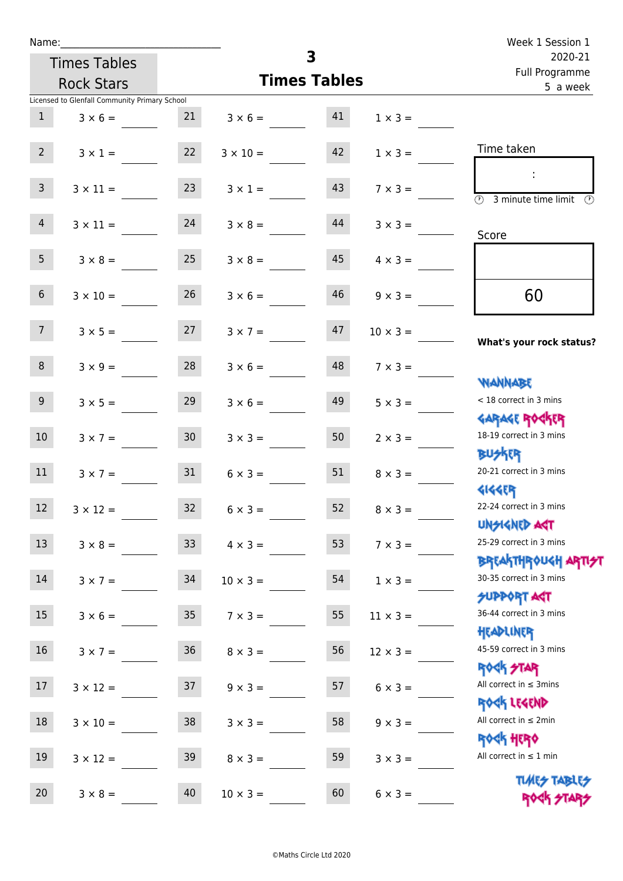| Name:            |                                               |                 | Week 1 Session 1   |                         |                 |                                                                  |
|------------------|-----------------------------------------------|-----------------|--------------------|-------------------------|-----------------|------------------------------------------------------------------|
|                  | <b>Times Tables</b>                           |                 |                    | $\overline{\mathbf{3}}$ |                 | 2020-21<br>Full Programme                                        |
|                  | <b>Rock Stars</b>                             |                 |                    | <b>Times Tables</b>     |                 | 5 a week                                                         |
|                  | Licensed to Glenfall Community Primary School |                 |                    |                         |                 |                                                                  |
| $\mathbf{1}$     | $3 \times 6 =$                                | 21              | $3 \times 6 = 41$  |                         | $1 \times 3 =$  |                                                                  |
| $2^{\circ}$      | $3 \times 1 = 22$                             |                 | $3 \times 10 = 42$ |                         | $1 \times 3 =$  | Time taken                                                       |
| 3 <sup>7</sup>   | $3 \times 11 =$                               | 23              | $3 \times 1 =$     | 43                      | $7 \times 3 =$  | $\overline{(\mathcal{V})}$<br>3 minute time limit<br>O)          |
| 4                | $3 \times 11 = 24$                            |                 | $3 \times 8 =$     | 44                      | $3 \times 3 =$  | Score                                                            |
| 5 <sup>5</sup>   | $3 \times 8 =$                                | 25              | $3 \times 8 =$     | 45                      | $4 \times 3 =$  |                                                                  |
| 6 <sup>1</sup>   | $3 \times 10 =$                               | 26              | $3 \times 6 =$     | 46                      | $9 \times 3 =$  | 60                                                               |
| 7 <sup>7</sup>   | $3 \times 5 = 27$                             |                 | $3 \times 7 =$     | 47                      | $10 \times 3 =$ | What's your rock status?                                         |
| 8                | $3 \times 9 = 28$                             |                 | $3 \times 6 =$     | 48                      | $7 \times 3 =$  | <b>NANNABE</b>                                                   |
| 9 <sub>o</sub>   | $3 \times 5 =$                                | 29              | $3 \times 6 =$     | 49                      | $5 \times 3 =$  | < 18 correct in 3 mins<br><b>GARAGE ROGKER</b>                   |
| 10 <sup>°</sup>  | $3 \times 7 =$                                | 30 <sup>°</sup> | $3 \times 3 =$     | 50                      | $2 \times 3 =$  | 18-19 correct in 3 mins<br>₿Џ <del>∕</del> ӄӶ҈ҁ                  |
| 11               | $3 \times 7 = 31$                             |                 | $6 \times 3 =$     | 51                      | $8 \times 3 =$  | 20-21 correct in 3 mins<br><b>4144ER</b>                         |
| 12               | $3 \times 12 =$                               | 32              | $6 \times 3 =$     | 52                      | $8 \times 3 =$  | 22-24 correct in 3 mins<br><b>UNSIGNED AGT</b>                   |
| 13               | $3 \times 8 =$                                | 33 <sup>°</sup> | $4 \times 3 =$     | 53                      | $7 \times 3 =$  | 25-29 correct in 3 mins<br><b>BREAKTHROUGH ARTI<del>S</del>T</b> |
| 14               | $3 \times 7 =$                                | 34              | $10 \times 3 =$    | 54                      | $1 \times 3 =$  | 30-35 correct in 3 mins<br><b>SUPPORT AGT</b>                    |
| $15\phantom{.0}$ | $3 \times 6 =$                                | 35              | $7 \times 3 =$     | 55                      | $11 \times 3 =$ | 36-44 correct in 3 mins<br>HEADLINER                             |
| 16               | $3 \times 7 =$                                | 36              | $8 \times 3 =$     | 56                      | $12 \times 3 =$ | 45-59 correct in 3 mins<br><b>ROCK STAR</b>                      |
| 17               | $3 \times 12 =$                               | 37              | $9 \times 3 =$     | 57                      | $6 \times 3 =$  | All correct in $\leq$ 3mins<br>ROCK LEGEND                       |
| 18               | $3 \times 10 =$                               | 38              | $3 \times 3 =$     | 58                      | $9 \times 3 =$  | All correct in $\leq 2$ min<br><b>ROCK HERO</b>                  |
| 19               | $3 \times 12 =$                               | 39              | $8 \times 3 =$     | 59                      | $3 \times 3 =$  | All correct in $\leq 1$ min<br><b>TUARS TABLES</b>               |
| 20               | $3 \times 8 =$                                | 40              | $10 \times 3 =$    | 60                      | $6 \times 3 =$  | ROCK STARS                                                       |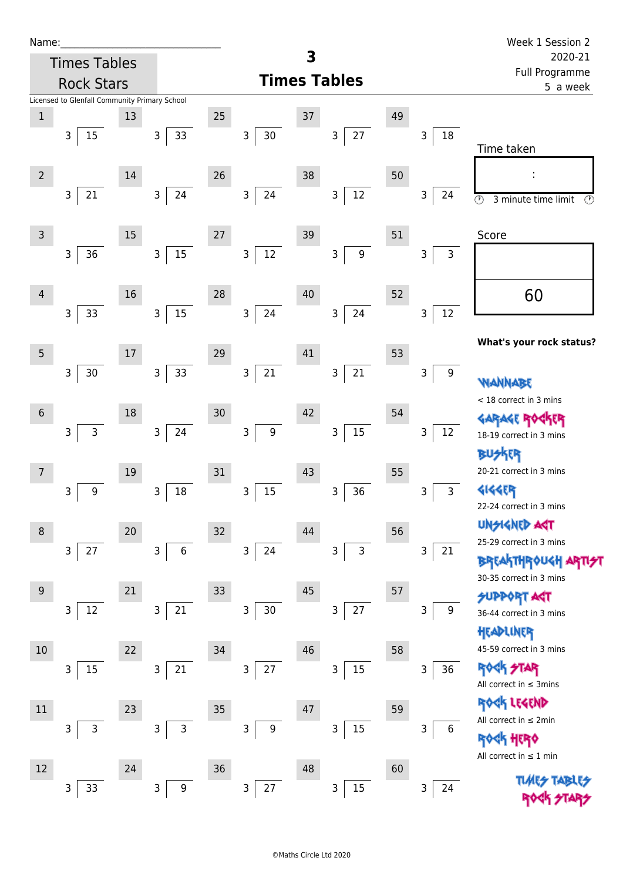| Name:          |                                               |    |                        |    |                               |          |                       |    |                                 | Week 1 Session 2                                          |
|----------------|-----------------------------------------------|----|------------------------|----|-------------------------------|----------|-----------------------|----|---------------------------------|-----------------------------------------------------------|
|                | <b>Times Tables</b>                           |    |                        | 3  |                               |          |                       |    |                                 | 2020-21<br>Full Programme                                 |
|                | <b>Rock Stars</b>                             |    |                        |    | <b>Times Tables</b>           | 5 a week |                       |    |                                 |                                                           |
|                | Licensed to Glenfall Community Primary School |    |                        |    |                               |          |                       |    |                                 |                                                           |
| $\,1\,$        |                                               | 13 |                        | 25 |                               | 37       |                       | 49 |                                 |                                                           |
|                | 3<br>15                                       |    | 33<br>3                |    | $30\,$<br>3                   |          | 27<br>3               |    | $\mathsf{3}$<br>18              | Time taken                                                |
|                |                                               |    |                        |    |                               |          |                       |    |                                 |                                                           |
| $\overline{2}$ |                                               | 14 |                        | 26 |                               | 38       |                       | 50 |                                 |                                                           |
|                | $21\,$<br>3                                   |    | 24<br>$\mathsf{3}$     |    | 24<br>3                       |          | 12<br>3               |    | $\mathsf 3$<br>24               | $\overline{\odot}$<br>3 minute time limit<br>$\mathbb{C}$ |
|                |                                               |    |                        |    |                               |          |                       |    |                                 |                                                           |
| $\mathsf{3}$   |                                               | 15 |                        | 27 |                               | 39       |                       | 51 |                                 | Score                                                     |
|                | 3<br>36                                       |    | 15<br>$\mathsf 3$      |    | 3<br>$12\,$                   |          | $\boldsymbol{9}$<br>3 |    | $\mathsf 3$<br>3                |                                                           |
|                |                                               |    |                        |    |                               |          |                       |    |                                 |                                                           |
| $\overline{4}$ |                                               | 16 |                        | 28 |                               | 40       |                       | 52 |                                 | 60                                                        |
|                | 33<br>3                                       |    | 15<br>$\mathsf{3}$     |    | 24<br>$\mathsf{3}$            |          | 24<br>3               |    | $12\,$<br>$\mathsf{3}$          |                                                           |
|                |                                               |    |                        |    |                               |          |                       |    |                                 | What's your rock status?                                  |
| 5              |                                               | 17 |                        | 29 |                               | 41       |                       | 53 |                                 |                                                           |
|                | 3<br>30                                       |    | 33<br>$\mathsf 3$      |    | 21<br>3                       |          | $21\,$<br>3           |    | $\mathsf 3$<br>$\boldsymbol{9}$ | <b>WANNABE</b>                                            |
|                |                                               |    |                        |    |                               |          |                       |    |                                 | < 18 correct in 3 mins                                    |
| $6\,$          |                                               | 18 |                        | 30 |                               | 42       |                       | 54 |                                 | <b>GARAGE RO</b>                                          |
|                | 3<br>$\mathsf{3}$                             |    | $\mathsf 3$<br>24      |    | 3<br>9                        |          | $15\,$<br>3           |    | 3<br>12                         | 18-19 correct in 3 mins                                   |
|                |                                               |    |                        |    |                               |          |                       |    |                                 | <b>BUSKER</b>                                             |
|                |                                               | 19 |                        | 31 |                               | 43       |                       | 55 |                                 | 20-21 correct in 3 mins                                   |
|                | $\boldsymbol{9}$<br>3                         |    | $18\,$<br>3            |    | 15<br>3                       |          | 36<br>3               |    | $\mathsf{3}$<br>3               | 4144ER                                                    |
|                |                                               |    |                        |    |                               |          |                       |    |                                 | 22-24 correct in 3 mins<br><b>UNSIGNED AGT</b>            |
| 8              |                                               | 20 |                        | 32 |                               | 44       |                       | 56 |                                 | 25-29 correct in 3 mins                                   |
|                | $\mathsf{3}$<br>27                            |    | $\overline{3}$<br>6    |    | 3 <sup>1</sup><br>24          |          | $\mathsf{3}$<br>3     |    | $\mathsf 3$<br>21               | <b>BREAKTHROUGH</b>                                       |
|                |                                               |    |                        |    |                               |          |                       |    |                                 | 30-35 correct in 3 mins                                   |
| 9              |                                               | 21 |                        | 33 |                               | 45       |                       | 57 |                                 | <b>SUPPORT AGT</b>                                        |
|                | $12\,$<br>3                                   |    | 21<br>$\mathsf 3$      |    | $30\,$<br>3                   |          | 27<br>3               |    | 3<br>9                          | 36-44 correct in 3 mins                                   |
|                |                                               |    |                        |    |                               |          |                       |    |                                 | HEADLINER                                                 |
| $10$           |                                               | 22 |                        | 34 |                               | 46       |                       | 58 |                                 | 45-59 correct in 3 mins                                   |
|                | 15<br>3                                       |    | $21\,$<br>$\mathsf{3}$ |    | 27<br>$\overline{\mathbf{3}}$ |          | 15<br>3               |    | 36<br>3                         | <b>ROCK STAR</b>                                          |
|                |                                               |    |                        |    |                               |          |                       |    |                                 | All correct in $\leq$ 3mins                               |
| $11\,$         |                                               | 23 |                        | 35 |                               | 47       |                       | 59 |                                 | ROCK LEGEND<br>All correct in $\leq 2$ min                |
|                | 3<br>3                                        |    | 3<br>3                 |    | 3<br>9                        |          | 15<br>3               |    | 3<br>6                          | <b>《内 HER》</b>                                            |
|                |                                               |    |                        |    |                               |          |                       |    |                                 | All correct in $\leq 1$ min                               |
| 12             |                                               | 24 |                        | 36 |                               | 48       |                       | 60 |                                 | <b>TIMES TABLES</b>                                       |
|                | 33<br>3                                       |    | 3<br>9                 |    | $27\,$<br>3                   |          | $15\,$<br>3           |    | 3<br>24                         |                                                           |
|                |                                               |    |                        |    |                               |          |                       |    |                                 |                                                           |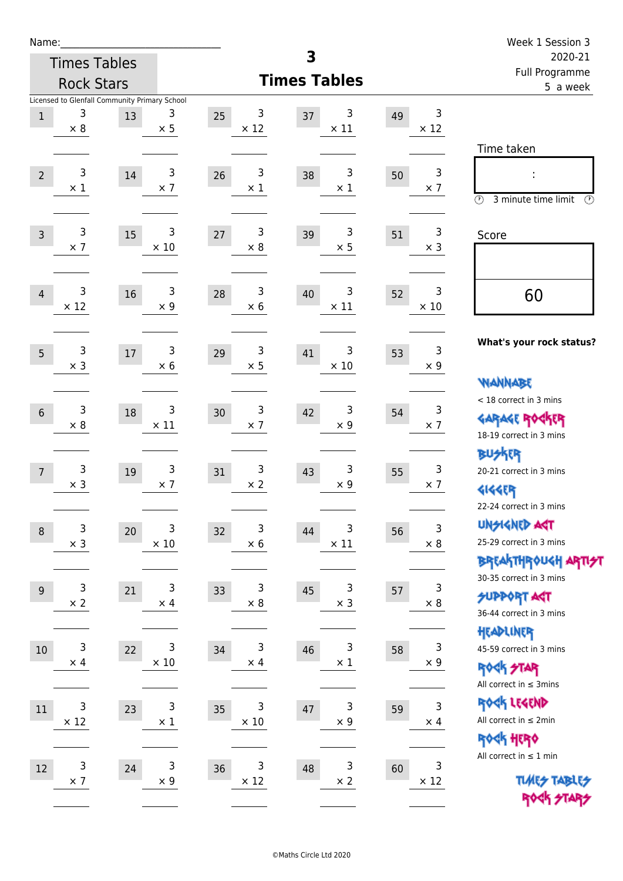| Name:          |                 |                                               |                  |                        |                        |    |                            | Week 1 Session 3                                      |
|----------------|-----------------|-----------------------------------------------|------------------|------------------------|------------------------|----|----------------------------|-------------------------------------------------------|
|                |                 | <b>Times Tables</b>                           |                  |                        | 3                      |    |                            | 2020-21<br>Full Programme                             |
|                |                 | <b>Rock Stars</b>                             |                  |                        | <b>Times Tables</b>    |    |                            | 5 a week                                              |
|                | 3               | Licensed to Glenfall Community Primary School | 3                | 3                      | 3                      |    | 3                          |                                                       |
| $\mathbf{1}$   | $\times 8$      | 13                                            | $\times$ 5       | 25<br>$\times$ 12      | 37<br>$\times$ 11      | 49 | $\times$ 12                |                                                       |
|                |                 |                                               |                  |                        |                        |    |                            | Time taken                                            |
|                | 3               |                                               | 3                | 3                      | 3                      |    | $\ensuremath{\mathsf{3}}$  |                                                       |
| $\overline{2}$ | $\times$ 1      | 14                                            | $\times$ 7       | 26<br>$\times$ 1       | 38<br>$\times$ 1       | 50 | $\times$ 7                 |                                                       |
|                |                 |                                               |                  |                        |                        |    |                            | $\circled{r}$<br>3 minute time limit<br>$\mathcal{O}$ |
|                | 3               |                                               | 3                | 3                      | 3                      |    | 3                          |                                                       |
| $\overline{3}$ | $\times$ 7      | 15                                            | $\times$ 10      | 27<br>$\times 8$       | 39<br>$\times$ 5       | 51 | $\times$ 3                 | Score                                                 |
|                |                 |                                               |                  |                        |                        |    |                            |                                                       |
|                | 3               | 16                                            | 3                | 3<br>28                | 3<br>40                |    | 3                          |                                                       |
| $\overline{4}$ | $\times$ 12     |                                               | $\times$ 9       | $\times$ 6             | $\times$ 11            | 52 | $\times$ 10                | 60                                                    |
|                |                 |                                               |                  |                        |                        |    |                            |                                                       |
| 5              | 3               | 17                                            | 3                | 3<br>29                | 3<br>41                | 53 | 3                          | What's your rock status?                              |
|                | $\times$ 3      |                                               | $\times$ 6       | $\times$ 5             | $\times$ 10            |    | $\times$ 9                 |                                                       |
|                |                 |                                               |                  |                        |                        |    |                            | <b>NANNABE</b>                                        |
|                | 3               |                                               | 3                | 3                      | 3                      |    | 3                          | < 18 correct in 3 mins                                |
| $6\phantom{1}$ | $\times$ 8      | 18                                            | $\times$ 11      | 30<br>$\times$ 7       | 42<br>$\times$ 9       | 54 | $\times$ 7                 | <b>GARAGE ROGKER</b>                                  |
|                |                 |                                               |                  |                        |                        |    |                            | 18-19 correct in 3 mins                               |
|                |                 |                                               |                  |                        |                        |    |                            | <b>BUSKER</b>                                         |
| $\overline{7}$ | 3<br>$\times$ 3 | 19                                            | 3<br>$\times$ 7  | 3<br>31<br>$\times$ 2  | 3<br>43<br>$\times$ 9  | 55 | 3<br>$\times$ 7            | 20-21 correct in 3 mins                               |
|                |                 |                                               |                  |                        |                        |    |                            | <b>4144EP</b><br>22-24 correct in 3 mins              |
|                |                 |                                               |                  |                        |                        |    |                            | <b>UNSIGNED AGT</b>                                   |
| $\,8\,$        | 3<br>$\times$ 3 | 20                                            | 3<br>$\times$ 10 | 3<br>32<br>$\times$ 6  | 3<br>44<br>$\times$ 11 | 56 | 3<br>$\times$ 8            | 25-29 correct in 3 mins                               |
|                |                 |                                               |                  |                        |                        |    |                            | BREAKTHRÓUGH ARTI <del>2</del> 1                      |
|                |                 |                                               |                  |                        |                        |    |                            | 30-35 correct in 3 mins                               |
| $9\,$          | 3<br>$\times$ 2 | 21                                            | 3<br>$\times$ 4  | 3<br>33<br>$\times$ 8  | 3<br>45<br>$\times$ 3  | 57 | 3<br>$\times$ 8            | <b>SUPPORT ART</b>                                    |
|                |                 |                                               |                  |                        |                        |    |                            | 36-44 correct in 3 mins                               |
|                |                 |                                               |                  |                        |                        |    |                            | HEADLINER                                             |
| 10             | 3<br>$\times$ 4 | 22                                            | 3<br>$\times$ 10 | 3<br>34<br>$\times$ 4  | 3<br>46<br>$\times$ 1  | 58 | 3<br>$\times 9$            | 45-59 correct in 3 mins                               |
|                |                 |                                               |                  |                        |                        |    |                            | <b>ROCK STAR</b>                                      |
|                |                 |                                               |                  |                        |                        |    |                            | All correct in $\leq$ 3mins                           |
| 11             | 3               | 23                                            | 3<br>$\times$ 1  | 3<br>35<br>$\times$ 10 | 3<br>47<br>$\times$ 9  | 59 | $\mathsf{3}$<br>$\times$ 4 | ROCK LEGEND<br>All correct in $\leq 2$ min            |
|                | $\times$ 12     |                                               |                  |                        |                        |    |                            | ROCK HERO                                             |
|                |                 |                                               |                  |                        |                        |    |                            | All correct in $\leq 1$ min                           |
| 12             | $\mathsf 3$     | 24                                            | 3                | 3<br>36                | 3<br>48                | 60 | 3                          |                                                       |
|                | $\times$ 7      |                                               | $\times$ 9       | $\times$ 12            | $\times$ 2             |    | $\times$ 12                | <b>TUARS TABLES</b><br>ROCK STARS                     |
|                |                 |                                               |                  |                        |                        |    |                            |                                                       |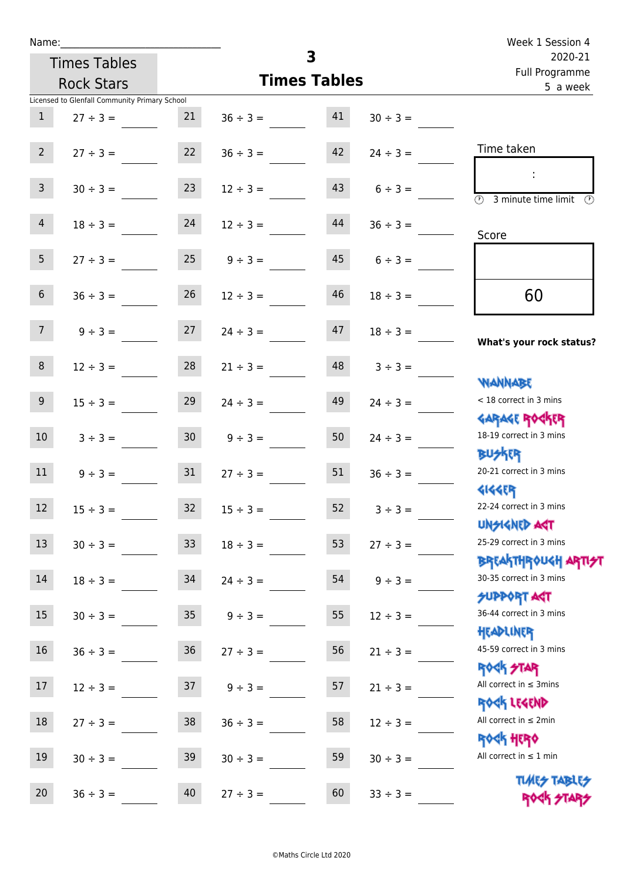|                 | Name:                                         |                 | Week 1 Session 4              |                           |               |                                                                            |
|-----------------|-----------------------------------------------|-----------------|-------------------------------|---------------------------|---------------|----------------------------------------------------------------------------|
|                 | <b>Times Tables</b>                           |                 | $\overline{\mathbf{3}}$       | 2020-21<br>Full Programme |               |                                                                            |
|                 | <b>Rock Stars</b>                             |                 | <b>Times Tables</b>           |                           |               | 5 a week                                                                   |
|                 | Licensed to Glenfall Community Primary School |                 |                               |                           |               |                                                                            |
| 1               | $27 \div 3 =$                                 | 21              | $36 \div 3 = 41$              |                           | $30 \div 3 =$ |                                                                            |
| $2^{\circ}$     | $27 \div 3 =$                                 | 22              | $36 \div 3 =$                 | 42                        | $24 \div 3 =$ | Time taken                                                                 |
| $\mathbf{3}$    | $30 \div 3 =$                                 | 23              | $12 \div 3 =$                 | 43                        | $6 \div 3 =$  | $\sim$<br>$\overline{\mathcal{O}}$<br>3 minute time limit<br>$\mathcal{O}$ |
| 4               | $18 \div 3 = 24$                              |                 | $12 \div 3 =$                 | 44                        | $36 \div 3 =$ | Score                                                                      |
| 5 <sub>1</sub>  | $27 \div 3 =$                                 | 25              | $9 \div 3 =$                  | 45                        | $6 \div 3 =$  |                                                                            |
| 6 <sup>1</sup>  | $36 \div 3 =$                                 | 26              | $12 \div 3 =$                 | 46                        | $18 \div 3 =$ | 60                                                                         |
| 7 <sup>7</sup>  |                                               |                 | $9 \div 3 = 27$ $24 \div 3 =$ | 47                        | $18 \div 3 =$ | What's your rock status?                                                   |
| 8               | $12 \div 3 =$                                 | 28              | $21 \div 3 =$                 | 48                        | $3 \div 3 =$  | <b>NANNABE</b>                                                             |
| 9 <sub>o</sub>  | $15 \div 3 =$                                 | 29              | $24 \div 3 =$                 | 49                        | $24 \div 3 =$ | < 18 correct in 3 mins<br><b>GARAGE ROCKER</b>                             |
| 10 <sup>°</sup> | $3 \div 3 = 30$                               |                 | $9 \div 3 =$                  | 50                        | $24 \div 3 =$ | 18-19 correct in 3 mins<br><b>BUSKER</b>                                   |
| 11              | $9 \div 3 =$                                  |                 | $31 \t 27 \div 3 =$           | 51                        | $36 \div 3 =$ | 20-21 correct in 3 mins<br><b>4144ER</b>                                   |
| 12              | $15 \div 3 =$                                 | 32              | $15 \div 3 =$                 | 52                        | $3 ÷ 3 =$     | 22-24 correct in 3 mins<br><b>UNSIGNED AST</b>                             |
| 13              | $30 \div 3 =$                                 | 33 <sup>°</sup> | $18 \div 3 =$                 | 53                        | $27 \div 3 =$ | 25-29 correct in 3 mins<br><b>BREAKTHROUGH ARTI<del>S</del>T</b>           |
| 14              | $18 \div 3 =$                                 | 34              | $24 \div 3 =$                 | 54                        | $9 ÷ 3 =$     | 30-35 correct in 3 mins<br><b>SUPPORT AGT</b>                              |
| 15 <sub>1</sub> | $30 \div 3 =$                                 | 35 <sub>2</sub> | $9 ÷ 3 =$                     | 55                        | $12 \div 3 =$ | 36-44 correct in 3 mins<br>HEADLINER                                       |
| 16              | $36 ÷ 3 =$                                    | $36\,$          | $27 \div 3 =$                 | 56                        | $21 \div 3 =$ | 45-59 correct in 3 mins<br><b>ROCK STAR</b>                                |
| 17              | $12 \div 3 =$                                 | 37              | $9 ÷ 3 =$                     | 57                        | $21 \div 3 =$ | All correct in $\leq$ 3mins<br>ROCK LEGEND                                 |
| 18              | $27 \div 3 =$                                 | 38              | $36 \div 3 =$                 | 58                        | $12 \div 3 =$ | All correct in $\leq 2$ min<br><b>ROCK HERO</b>                            |
| 19              | $30 \div 3 =$                                 | 39              | $30 \div 3 =$                 | 59                        | $30 \div 3 =$ | All correct in $\leq 1$ min<br><b>TUARS TABLES</b>                         |
| 20              | $36 \div 3 =$                                 | 40              | $27 ÷ 3 =$                    | 60                        | $33 ÷ 3 =$    | ROCK STARS                                                                 |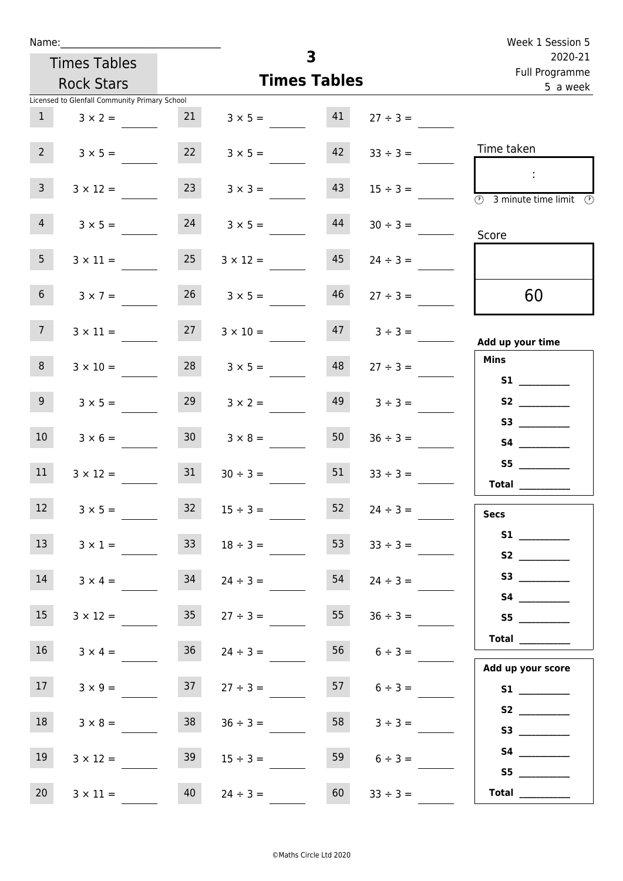| Week 1 Session 5                                                                           |                   |                     |                      |                     |                                               | Name:           |  |  |  |
|--------------------------------------------------------------------------------------------|-------------------|---------------------|----------------------|---------------------|-----------------------------------------------|-----------------|--|--|--|
| 2020-21                                                                                    |                   | 3                   |                      | <b>Times Tables</b> |                                               |                 |  |  |  |
| Full Programme<br>5 a week                                                                 |                   | <b>Times Tables</b> |                      | <b>Rock Stars</b>   |                                               |                 |  |  |  |
|                                                                                            |                   |                     |                      |                     | Licensed to Glenfall Community Primary School |                 |  |  |  |
|                                                                                            | $27 \div 3 =$     | 41                  | $3 \times 5 =$       | 21                  | $3 \times 2 =$                                | 1               |  |  |  |
| Time taken                                                                                 | $33 \div 3 =$     | 42                  | $3 \times 5 =$       | 22                  | $3 \times 5 =$                                | 2 <sup>7</sup>  |  |  |  |
| $\sim 10$<br>$\overline{\textcircled{2}}$ 3 minute time limit $\overline{\textcircled{2}}$ | $15 \div 3 =$     | 43                  | $3 \times 3 =$       | 23                  | $3 \times 12 =$                               | 3 <sup>7</sup>  |  |  |  |
| Score                                                                                      | $30 \div 3 =$     | 44                  | $3 \times 5 =$       | 24                  | $3 \times 5 =$                                | $\overline{4}$  |  |  |  |
|                                                                                            | $24 \div 3 =$     | 45                  | $3 \times 12 =$      | 25                  | $3 \times 11 =$                               | 5 <sub>1</sub>  |  |  |  |
| 60                                                                                         | $27 \div 3 =$     | 46                  | $26 \t 3 \times 5 =$ |                     | $3 \times 7 =$                                | 6 <sup>1</sup>  |  |  |  |
| Add up your time                                                                           | $47 \t3 \div 3 =$ |                     | $3 \times 10 =$      | 27                  | $3 \times 11 =$                               | 7 <sup>7</sup>  |  |  |  |
| <b>Mins</b><br><b>S1 S1</b>                                                                | $27 \div 3 =$     | 48                  | $3 \times 5 =$       | 28                  | $3 \times 10 =$                               | 8               |  |  |  |
| S2                                                                                         | $3 \div 3 =$      | 49                  | $3 \times 2 =$       | 29                  | $3 \times 5 =$                                | 9 <sub>o</sub>  |  |  |  |
| S3                                                                                         | $36 \div 3 =$     | 50                  | $3 \times 8 =$       | 30 <sup>1</sup>     | $3 \times 6 =$                                | 10 <sup>°</sup> |  |  |  |
| S5<br>Total $\qquad$                                                                       | $33 \div 3 =$     | 51                  | $30 \div 3 =$        | 31                  | $3 \times 12 =$                               | 11              |  |  |  |
| <b>Secs</b>                                                                                | $24 \div 3 =$     | 52                  | $15 \div 3 =$        | $32$                | $3 \times 5 =$                                | 12              |  |  |  |
|                                                                                            | $33 \div 3 =$     | 53                  | $18 \div 3 =$        | 33 <sup>°</sup>     | $3 \times 1 =$                                | 13              |  |  |  |
|                                                                                            | $24 \div 3 =$     | 54                  | $24 \div 3 =$        | 34                  | $3 \times 4 =$                                | 14              |  |  |  |
| S5                                                                                         | $36 \div 3 =$     | 55                  | $27 \div 3 =$        | 35                  | $3 \times 12 =$                               | 15              |  |  |  |
| <b>Total</b> __________                                                                    | $56$ $6 \div 3 =$ |                     | $24 \div 3 =$        | 36                  | $3 \times 4 =$                                | 16 <sup>1</sup> |  |  |  |
| Add up your score                                                                          | $57$ $6 \div 3 =$ |                     | $27 \div 3 =$        | 37                  | $3 \times 9 =$                                | 17              |  |  |  |
|                                                                                            | $3 \div 3 =$      | 58                  | $36 \div 3 =$        | 38                  | $3 \times 8 =$                                | 18              |  |  |  |
|                                                                                            | $6 \div 3 =$      | 59                  | $15 \div 3 =$        | 39                  | $3 \times 12 =$                               | 19              |  |  |  |
| S5<br>Total $\frac{1}{1}$                                                                  | $33 \div 3 =$     | 60                  | $24 \div 3 =$        | 40                  | $3 \times 11 =$                               | 20              |  |  |  |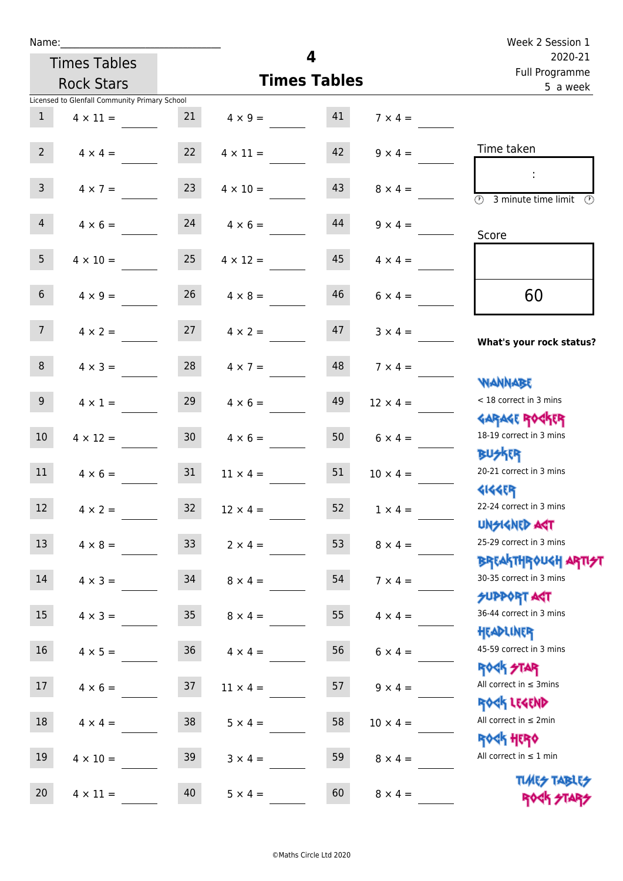| Name:           |                                               |                 | Week 2 Session 1                  |                     |                     |                                                                  |
|-----------------|-----------------------------------------------|-----------------|-----------------------------------|---------------------|---------------------|------------------------------------------------------------------|
|                 | <b>Times Tables</b>                           |                 |                                   | 4                   |                     | 2020-21<br>Full Programme                                        |
|                 | <b>Rock Stars</b>                             |                 |                                   | <b>Times Tables</b> |                     | 5 a week                                                         |
|                 | Licensed to Glenfall Community Primary School |                 |                                   |                     |                     |                                                                  |
| $\mathbf{1}$    | $4 \times 11 =$                               | 21              | $4 \times 9 = 41$                 |                     | $7 \times 4 =$      |                                                                  |
| $2 \quad$       |                                               |                 | $4 \times 4 = 22$ $4 \times 11 =$ | 42                  | $9 \times 4 =$      | Time taken                                                       |
| 3 <sup>7</sup>  | $4 \times 7 =$                                | 23              | $4 \times 10 =$                   | 43                  | $8 \times 4 =$      | $\circled{r}$<br>3 minute time limit                             |
| $\overline{4}$  | $4 \times 6 = 24$                             |                 | $4 \times 6 =$                    | 44                  | $9 \times 4 =$      | Score                                                            |
| 5 <sup>5</sup>  | $4 \times 10 =$                               | 25              | $4 \times 12 =$                   | 45                  | $4 \times 4 =$      |                                                                  |
| 6 <sup>1</sup>  | $4 \times 9 =$                                | 26              | $4 \times 8 =$                    | 46                  | $6 \times 4 =$      | 60                                                               |
| 7 <sup>7</sup>  |                                               |                 | $4 \times 2 = 27$ $4 \times 2 =$  |                     | $47$ $3 \times 4 =$ | What's your rock status?                                         |
| 8               | $4 \times 3 =$                                |                 | $28 \t 4 \times 7 =$              |                     | $48$ $7 \times 4 =$ | <b>NANNABE</b>                                                   |
| 9 <sub>o</sub>  | $4 \times 1 =$                                | 29              | $4 \times 6 =$                    | 49                  | $12 \times 4 =$     | < 18 correct in 3 mins<br><b>GARAGE ROCKER</b>                   |
| 10 <sup>°</sup> | $4 \times 12 =$                               | 30 <sub>o</sub> | $4 \times 6 =$                    | 50                  | $6 \times 4 =$      | 18-19 correct in 3 mins<br><b>BU外四</b>                           |
| 11              | $4 \times 6 = 31$                             |                 | $11 \times 4 =$                   | 51                  | $10 \times 4 =$     | 20-21 correct in 3 mins<br><b>4144ER</b>                         |
| 12              | $4 \times 2 =$                                | 32              | $12 \times 4 =$                   | 52                  | $1 \times 4 =$      | 22-24 correct in 3 mins<br><b>UNSIGNED AST</b>                   |
| 13              | $4 \times 8 =$                                | 33 <sup>°</sup> | $2 \times 4 =$                    | 53                  | $8 \times 4 =$      | 25-29 correct in 3 mins<br><b>BREAKTHROUGH ARTI<del>S</del>T</b> |
| 14              | $4 \times 3 =$                                | 34              | $8 \times 4 =$                    | 54                  | $7 \times 4 =$      | 30-35 correct in 3 mins<br><b>SUPPORT AGT</b>                    |
| 15              | $4 \times 3 =$                                | 35 <sub>1</sub> | $8 \times 4 =$                    | 55                  | $4 \times 4 =$      | 36-44 correct in 3 mins<br>HEADLINER                             |
| 16 <sup>1</sup> | $4 \times 5 =$                                | 36              | $4 \times 4 =$                    | 56                  | $6 \times 4 =$      | 45-59 correct in 3 mins<br><b>ROCK STAR</b>                      |
| 17              | $4 \times 6 =$                                | 37              | $11 \times 4 =$                   | 57                  | $9 \times 4 =$      | All correct in $\leq$ 3mins<br>ROCK LEGEND                       |
| 18              | $4 \times 4 =$                                | 38              | $5 \times 4 =$                    | 58                  | $10 \times 4 =$     | All correct in $\leq 2$ min<br><b>ROCK HERO</b>                  |
| 19              | $4 \times 10 =$                               | 39              | $3 \times 4 =$                    | 59                  | $8 \times 4 =$      | All correct in $\leq 1$ min                                      |
| 20              | $4 \times 11 =$                               | 40              | $5 \times 4 =$                    | 60                  | $8 \times 4 =$      | <b>TUARS TABLES</b><br>ROCK STARS                                |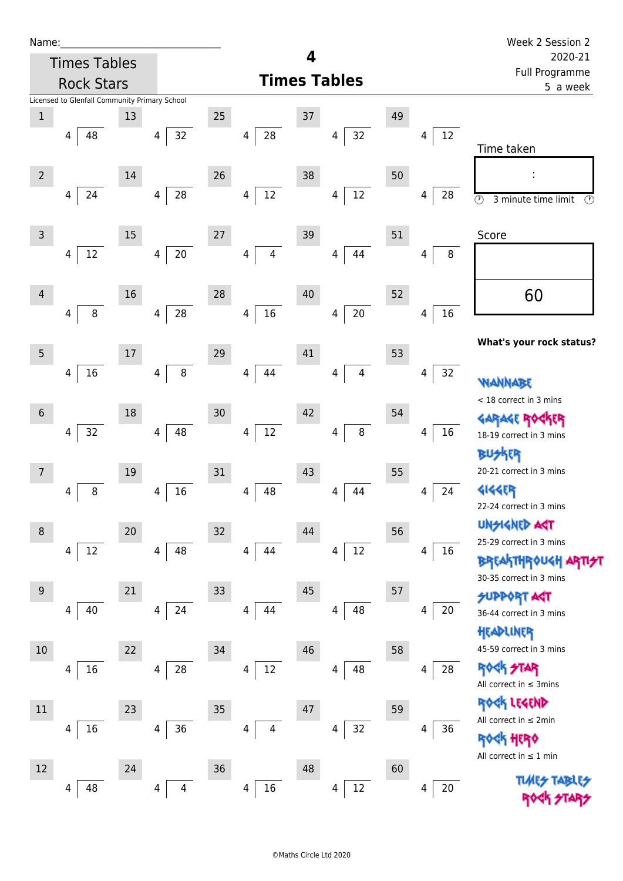| Ń | am |  | L |  |
|---|----|--|---|--|
|   |    |  |   |  |
|   |    |  |   |  |

Times Tables

|                | <b>Rock Stars</b>                             |    |                      |        | <b>Times Tables</b>                       | i un rivgiunnic<br>5 a week |                               |    |                               |                                                 |
|----------------|-----------------------------------------------|----|----------------------|--------|-------------------------------------------|-----------------------------|-------------------------------|----|-------------------------------|-------------------------------------------------|
|                | Licensed to Glenfall Community Primary School |    |                      |        |                                           |                             |                               |    |                               |                                                 |
| $\mathbf{1}$   | 48<br>4                                       | 13 | 32<br>4              | $25\,$ | ${\bf 28}$<br>4                           | 37                          | 32<br>4                       | 49 | 12<br>4                       |                                                 |
|                |                                               |    |                      |        |                                           |                             |                               |    |                               | Time taken                                      |
| $\overline{2}$ |                                               | 14 |                      | 26     |                                           | 38                          |                               | 50 |                               | ÷                                               |
|                | 24<br>4                                       |    | 28<br>$\overline{4}$ |        | 12<br>4                                   |                             | $12\,$<br>4                   |    | 28<br>4                       | $\odot$<br>3 minute time limit<br>$\odot$       |
| 3              |                                               | 15 |                      | $27\,$ |                                           | 39                          |                               | 51 |                               | Score                                           |
|                | $12\,$<br>4                                   |    | $20\,$<br>4          |        | $\overline{\mathbf{4}}$<br>$\overline{4}$ |                             | 44<br>4                       |    | 8<br>4                        |                                                 |
| $\overline{4}$ |                                               | 16 |                      | 28     |                                           | 40                          |                               | 52 |                               | 60                                              |
|                | $\,8\,$<br>4                                  |    | 28<br>4              |        | $16\,$<br>4                               |                             | $20\,$<br>4                   |    | $16\,$<br>4                   |                                                 |
| 5              |                                               | 17 |                      | 29     |                                           | 41                          |                               | 53 |                               | What's your rock status?                        |
|                | $16\,$<br>4                                   |    | $\bf 8$<br>4         |        | 44<br>$\overline{4}$                      |                             | $\overline{4}$<br>4           |    | 32<br>4                       | <b>NANNABE</b>                                  |
| $6\,$          |                                               | 18 |                      | 30     |                                           | 42                          |                               | 54 |                               | < 18 correct in 3 mins                          |
|                | $32\,$<br>4                                   |    | 48<br>$\overline{4}$ |        | $12\,$<br>4                               |                             | $\bf 8$<br>4                  |    | 16<br>4                       | <b>GARAGE ROGKER</b>                            |
|                |                                               |    |                      |        |                                           |                             |                               |    |                               | 18-19 correct in 3 mins<br><b>BUSKRA</b>        |
| 7              |                                               | 19 |                      | 31     |                                           | 43                          |                               | 55 |                               | 20-21 correct in 3 mins                         |
|                | $\bf 8$<br>4                                  |    | 16<br>$\overline{4}$ |        | 48<br>$\overline{4}$                      |                             | 44<br>4                       |    | 24<br>$\overline{\mathbf{4}}$ | <b>4144ER</b>                                   |
|                |                                               |    |                      |        |                                           |                             |                               |    |                               | 22-24 correct in 3 mins                         |
| 8              |                                               | 20 |                      | 32     |                                           | 44                          |                               | 56 |                               | <b>UNSIGNED AGT</b>                             |
|                | 12<br>4                                       |    | 48<br>4              |        | 44<br>4                                   |                             | 12<br>$\overline{\mathbf{4}}$ |    | 16<br>4                       | 25-29 correct in 3 mins                         |
|                |                                               |    |                      |        |                                           |                             |                               |    |                               | BREAKTHRÓUGH<br>30-35 correct in 3 mins         |
| 9              |                                               | 21 |                      | 33     |                                           | 45                          |                               | 57 |                               | <b>SUPPORT ART</b>                              |
|                | 40<br>4                                       |    | 24<br>4              |        | 44<br>4                                   |                             | 48<br>4                       |    | 20<br>4                       | 36-44 correct in 3 mins                         |
|                |                                               |    |                      |        |                                           |                             |                               |    |                               | HEADLINER                                       |
| 10             |                                               | 22 |                      | 34     |                                           | 46                          |                               | 58 |                               | 45-59 correct in 3 mins                         |
|                | 16<br>4                                       |    | $28\,$<br>4          |        | 12<br>4                                   |                             | 48<br>4                       |    | 28<br>4                       | <b>ROCK STAR</b><br>All correct in $\leq$ 3mins |
| 11             |                                               | 23 |                      | 35     |                                           | 47                          |                               | 59 |                               | ROCK LEGEND                                     |
|                | 16<br>4                                       |    | $36\,$<br>4          |        | 4<br>4                                    |                             | 32<br>4                       |    | 36<br>4                       | All correct in ≤ 2min                           |
|                |                                               |    |                      |        |                                           |                             |                               |    |                               | <b>ROGK HERO</b><br>All correct in $\leq 1$ min |
| 12             |                                               | 24 |                      | 36     |                                           | 48                          |                               | 60 |                               | <b>TUARS TABARS</b>                             |
|                | 48<br>4                                       |    | 4<br>4               |        | 16<br>4                                   |                             | 12<br>4                       |    | $20\,$<br>4                   |                                                 |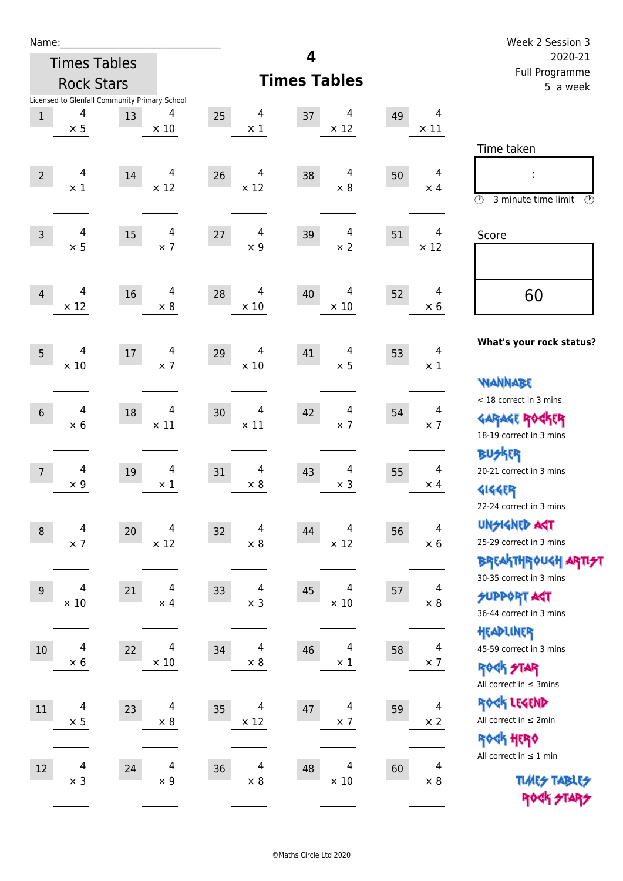| Name:          |                  |                                               |                  |                               |                                    |    |                              | Week 2 Session 3                                                 |
|----------------|------------------|-----------------------------------------------|------------------|-------------------------------|------------------------------------|----|------------------------------|------------------------------------------------------------------|
|                |                  | <b>Times Tables</b>                           |                  |                               | 4                                  |    |                              | 2020-21<br>Full Programme                                        |
|                |                  | <b>Rock Stars</b>                             |                  |                               | <b>Times Tables</b>                |    |                              | 5 a week                                                         |
|                | 4                | Licensed to Glenfall Community Primary School | 4                | 4                             | 4                                  |    | $\overline{4}$               |                                                                  |
| $1\,$          | $\times$ 5       | 13                                            | $\times$ 10      | 25<br>$\times$ 1              | 37<br>$\times$ 12                  | 49 | $\times$ 11                  |                                                                  |
|                |                  |                                               |                  |                               |                                    |    |                              | Time taken                                                       |
|                | 4                |                                               |                  |                               |                                    |    | $\overline{4}$               |                                                                  |
| $\overline{2}$ | $\times$ 1       | 14                                            | 4<br>$\times$ 12 | 4<br>26<br>$\times$ 12        | 4<br>38<br>$\times$ 8              | 50 | $\times$ 4                   |                                                                  |
|                |                  |                                               |                  |                               |                                    |    |                              | $\circled{r}$<br>3 minute time limit<br>$\circled{r}$            |
|                |                  |                                               |                  |                               |                                    |    |                              |                                                                  |
| $\overline{3}$ | 4<br>$\times$ 5  | 15                                            | 4<br>$\times$ 7  | 4<br>27<br>$\times 9$         | 4<br>39<br>$\times 2$              | 51 | 4<br>$\times$ 12             | Score                                                            |
|                |                  |                                               |                  |                               |                                    |    |                              |                                                                  |
|                |                  |                                               |                  |                               |                                    |    |                              |                                                                  |
| $\overline{4}$ | 4<br>$\times$ 12 | 16                                            | 4<br>$\times$ 8  | 4<br>28<br>$\times$ 10        | 4<br>40<br>$\times$ 10             | 52 | 4<br>$\times 6$              | 60                                                               |
|                |                  |                                               |                  |                               |                                    |    |                              |                                                                  |
|                |                  |                                               |                  |                               |                                    |    |                              | What's your rock status?                                         |
| 5              | 4<br>$\times 10$ | $17\,$                                        | 4<br>$\times$ 7  | 4<br>29<br>$\times$ 10        | 4<br>41<br>$\times$ 5              | 53 | $\overline{4}$<br>$\times$ 1 |                                                                  |
|                |                  |                                               |                  |                               |                                    |    |                              | <b>NANNABE</b>                                                   |
|                |                  |                                               |                  |                               |                                    |    |                              | < 18 correct in 3 mins                                           |
| $6\phantom{1}$ | 4<br>$\times 6$  | 18                                            | 4<br>$\times$ 11 | 4<br>30<br>$\times$ 11        | $\overline{4}$<br>42<br>$\times$ 7 | 54 | 4<br>$\times$ 7              | <b>GARAGE ROCKER</b>                                             |
|                |                  |                                               |                  |                               |                                    |    |                              | 18-19 correct in 3 mins                                          |
|                |                  |                                               |                  |                               |                                    |    |                              | <b>BUSKER</b>                                                    |
| $\overline{7}$ | 4                | 19                                            | 4                | 4<br>31                       | 4<br>43                            | 55 | $\overline{4}$               | 20-21 correct in 3 mins                                          |
|                | $\times$ 9       |                                               | $\times$ 1       | $\times 8$                    | $\times$ 3                         |    | $\times$ 4                   | <b>4144EP</b>                                                    |
|                |                  |                                               |                  |                               |                                    |    |                              | 22-24 correct in 3 mins                                          |
| $\,8\,$        | 4                | 20                                            | 4                | $\overline{\mathbf{4}}$<br>32 | 4<br>44                            | 56 | 4                            | <b>UNSIGNED AGT</b>                                              |
|                | $\times$ 7       |                                               | $\times$ 12      | $\times$ 8                    | $\times$ 12                        |    | $\times$ 6                   | 25-29 correct in 3 mins                                          |
|                |                  |                                               |                  |                               |                                    |    |                              | <b>BREAKTHROUGH ARTI<del>S</del>T</b><br>30-35 correct in 3 mins |
| 9              | 4                | 21                                            | 4                | 4<br>33                       | 4<br>45                            | 57 | 4                            | <b>SUPPORT ART</b>                                               |
|                | $\times$ 10      |                                               | $\times$ 4       | $\times$ 3                    | $\times$ 10                        |    | $\times$ 8                   | 36-44 correct in 3 mins                                          |
|                |                  |                                               |                  |                               |                                    |    |                              | HEADLINER                                                        |
| 10             | 4                | 22                                            | 4                | 4<br>34                       | 4<br>46                            | 58 | 4                            | 45-59 correct in 3 mins                                          |
|                | $\times$ 6       |                                               | $\times$ 10      | $\times 8$                    | $\times$ 1                         |    | $\times$ 7                   | <b>ROCK STAR</b>                                                 |
|                |                  |                                               |                  |                               |                                    |    |                              | All correct in $\leq$ 3mins                                      |
| $11\,$         | 4                | 23                                            | 4                | 4<br>35                       | $\overline{4}$<br>47               | 59 | $\overline{4}$               | ROCK LEGEND                                                      |
|                | $\times$ 5       |                                               | $\times$ 8       | $\times$ 12                   | $\times$ 7                         |    | $\times 2$                   | All correct in $\leq 2$ min                                      |
|                |                  |                                               |                  |                               |                                    |    |                              | ROCK HERO                                                        |
| 12             | 4                | 24                                            | $\overline{4}$   | $\overline{4}$<br>36          | 4<br>48                            | 60 | $\overline{4}$               | All correct in $\leq 1$ min                                      |
|                | $\times$ 3       |                                               | $\times$ 9       | $\times 8$                    | $\times$ 10                        |    | $\times 8$                   | <b>TUARS TABLES</b>                                              |
|                |                  |                                               |                  |                               |                                    |    |                              | ROCK STARS                                                       |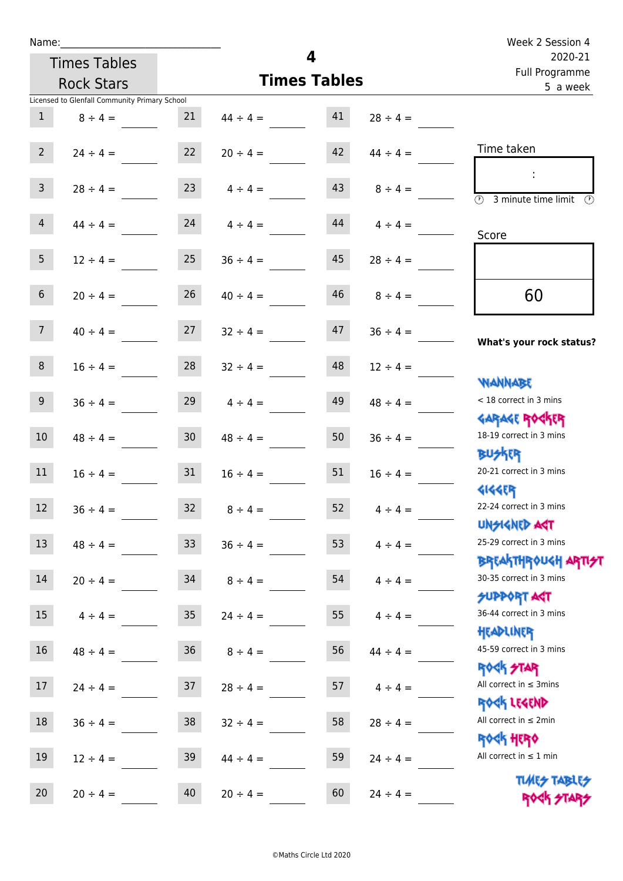| Name:           |                                               |                 | Week 2 Session 4   |                     |               |                                                                     |
|-----------------|-----------------------------------------------|-----------------|--------------------|---------------------|---------------|---------------------------------------------------------------------|
|                 | <b>Times Tables</b>                           |                 |                    | 4                   |               | 2020-21<br>Full Programme                                           |
|                 | <b>Rock Stars</b>                             |                 |                    | <b>Times Tables</b> |               | 5 a week                                                            |
|                 | Licensed to Glenfall Community Primary School |                 |                    |                     |               |                                                                     |
| $\mathbf{1}$    | $8 \div 4 =$                                  | 21              | $44 \div 4 =$      | 41                  | $28 \div 4 =$ |                                                                     |
| $2^{\circ}$     | $24 \div 4 =$                                 | 22              | $20 \div 4 =$      | 42                  | $44 \div 4 =$ | Time taken                                                          |
| 3 <sup>7</sup>  | $28 \div 4 =$                                 | 23              | $4 \div 4 =$       | 43                  | $8 \div 4 =$  | $\overline{(\mathfrak{h})}$<br>3 minute time limit<br>$\mathcal{O}$ |
| 4               | $44 \div 4 =$                                 |                 | $24 \t 4 \div 4 =$ | 44                  | $4 \div 4 =$  | Score                                                               |
| 5 <sup>1</sup>  | $12 \div 4 =$                                 | 25              | $36 \div 4 =$      | 45                  | $28 \div 4 =$ |                                                                     |
| 6 <sup>1</sup>  | $20 \div 4 =$                                 | 26              | $40 \div 4 =$      | 46                  | $8 \div 4 =$  | 60                                                                  |
| 7 <sup>7</sup>  | $40 \div 4 =$                                 | 27              | $32 \div 4 =$      | 47                  | $36 \div 4 =$ | What's your rock status?                                            |
| 8               | $16 \div 4 =$                                 | 28              | $32 \div 4 =$      | 48                  | $12 \div 4 =$ | <b>NANNABE</b>                                                      |
| 9 <sub>o</sub>  | $36 \div 4 =$                                 | 29              | $4 \div 4 =$       | 49                  | $48 \div 4 =$ | < 18 correct in 3 mins<br><b>GARAGE ROCKER</b>                      |
| 10 <sup>°</sup> | $48 \div 4 =$                                 | 30 <sup>°</sup> | $48 \div 4 =$      | 50                  | $36 \div 4 =$ | 18-19 correct in 3 mins<br><b>BUSKER</b>                            |
| 11              | $16 \div 4 =$                                 | 31              | $16 \div 4 =$      | 51                  | $16 \div 4 =$ | 20-21 correct in 3 mins<br><b>4144EP</b>                            |
| 12              | $36 \div 4 =$                                 | 32              | $8 \div 4 =$       | 52                  | $4 \div 4 =$  | 22-24 correct in 3 mins<br><b>UNSIGNED AST</b>                      |
| 13              | $48 \div 4 =$                                 | 33              | $36 \div 4 =$      | 53                  | $4 \div 4 =$  | 25-29 correct in 3 mins<br>ΒΡΓΑΚΤΗΡΟUGH ΑΡΤΙ <del>2</del> Τ         |
| $14\,$          | $20 \div 4 =$                                 | 34              | $8 \div 4 =$       | 54                  | $4 \div 4 =$  | 30-35 correct in 3 mins<br><b>SUPPORT AGT</b>                       |
| 15              | $4 \div 4 =$                                  | $35\,$          | $24 \div 4 =$      | 55                  | $4 \div 4 =$  | 36-44 correct in 3 mins<br>HEADLINER                                |
| 16              | $48 \div 4 =$                                 | $36\,$          | $8 \div 4 =$       | 56                  | $44 \div 4 =$ | 45-59 correct in 3 mins<br><b>ROCK STAR</b>                         |
| 17              | $24 \div 4 =$                                 | 37              | $28 \div 4 =$      | 57                  | $4 \div 4 =$  | All correct in $\leq$ 3mins<br>ROCK LEGEND                          |
| $18\,$          | $36 \div 4 =$                                 | 38              | $32 \div 4 =$      | 58                  | $28 \div 4 =$ | All correct in $\leq 2$ min<br><b>ROCK HERO</b>                     |
| 19              | $12 \div 4 =$                                 | 39              | $44 \div 4 =$      | 59                  | $24 \div 4 =$ | All correct in $\leq 1$ min<br><b>TUARS TABLES</b>                  |
| $20\,$          | $20 \div 4 =$                                 | 40              | $20 \div 4 =$      | 60                  | $24 \div 4 =$ | ROCK STARS                                                          |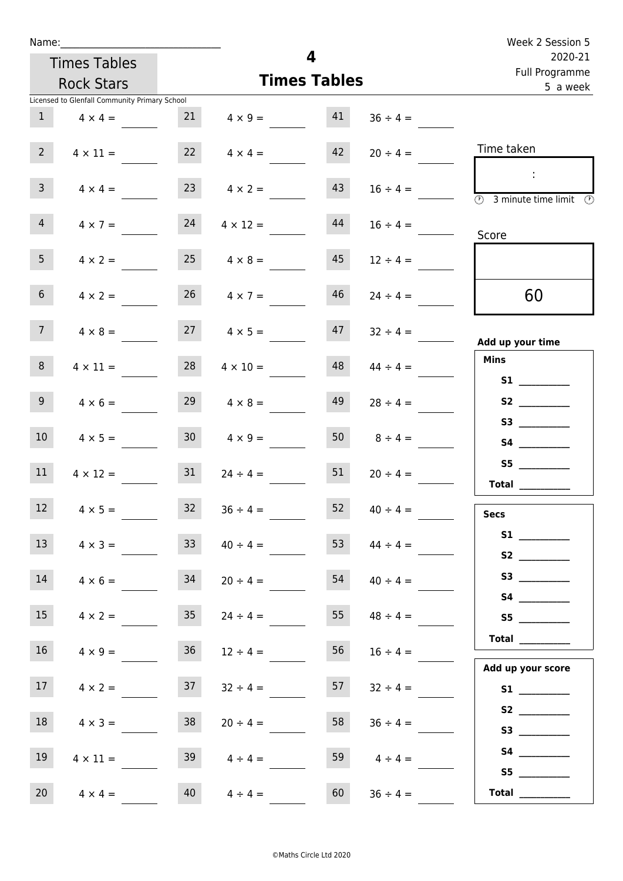| Name:           |                                               |                 |                         | 4        |                           | Week 2 Session 5                                                                        |
|-----------------|-----------------------------------------------|-----------------|-------------------------|----------|---------------------------|-----------------------------------------------------------------------------------------|
|                 | <b>Times Tables</b>                           |                 |                         |          | 2020-21<br>Full Programme |                                                                                         |
|                 | <b>Rock Stars</b>                             |                 | <b>Times Tables</b>     | 5 a week |                           |                                                                                         |
|                 | Licensed to Glenfall Community Primary School |                 |                         |          |                           |                                                                                         |
| 1               | $4 \times 4 =$                                |                 | $21 \t 4 \times 9 = 41$ |          | $36 \div 4 =$             |                                                                                         |
| $2^{\circ}$     | $4 \times 11 =$                               |                 | 22 $4 \times 4 =$       | 42       | $20 \div 4 =$             | Time taken                                                                              |
| $\mathsf{3}$    | $4 \times 4 =$                                | 23              | $4 \times 2 =$          | 43       | $16 \div 4 =$             | $\sim$<br>$\overline{\textcircled{2}}$ 3 minute time limit $\overline{\textcircled{2}}$ |
| $\overline{4}$  | $4 \times 7 =$                                | 24              | $4 \times 12 =$         | 44       | $16 \div 4 =$             | Score                                                                                   |
| 5 <sub>1</sub>  | $4 \times 2 =$                                | 25              | $4 \times 8 =$          | 45       | $12 \div 4 =$             |                                                                                         |
| 6 <sup>1</sup>  | $4 \times 2 =$                                |                 | $26 \t 4 \times 7 =$    | 46       | $24 \div 4 =$             | 60                                                                                      |
| 7 <sup>7</sup>  | $4 \times 8 =$                                |                 | $27 \t 4 \times 5 =$    | 47       | $32 \div 4 =$             | Add up your time                                                                        |
| 8               | $4 \times 11 =$                               | 28              | $4 \times 10 =$         | 48       | $44 \div 4 =$             | <b>Mins</b><br><b>S1 S1</b>                                                             |
| 9 <sup>°</sup>  | $4 \times 6 =$                                | 29              | $4 \times 8 =$          | 49       | $28 \div 4 =$             | S2                                                                                      |
| 10 <sup>°</sup> | $4 \times 5 =$                                |                 | $30 \t 4 \times 9 =$    | 50       | $8 \div 4 =$              |                                                                                         |
| 11              | $4 \times 12 =$                               | 31              | $24 \div 4 =$           | 51       | $20 \div 4 =$             | S5<br>Total $\qquad$                                                                    |
| 12 <sup>7</sup> | $4 \times 5 =$                                | 32              | $36 \div 4 =$           | 52       | $40 \div 4 =$             | <b>Secs</b>                                                                             |
| 13 <sup>°</sup> | $4 \times 3 =$                                | 33              | $40 \div 4 =$           | 53       | $44 \div 4 =$             |                                                                                         |
| 14              | $4 \times 6 =$                                | 34              | $20 \div 4 =$           | 54       | $40 \div 4 =$             | S3                                                                                      |
| 15              | $4 \times 2 =$                                | 35 <sub>1</sub> | $24 \div 4 =$           | 55       | $48 \div 4 =$             | S5                                                                                      |
| 16 <sup>1</sup> | $4 \times 9 =$                                | 36              | $12 \div 4 =$           | 56       | $16 \div 4 =$             | $\begin{tabular}{c} Total \end{tabular}$<br>Add up your score                           |
| 17              | $4 \times 2 =$                                | 37              | $32 \div 4 =$           | 57       | $32 \div 4 =$             | S1                                                                                      |
| 18              | $4 \times 3 =$                                | 38              | $20 \div 4 =$           | 58       | $36 \div 4 =$             | S2                                                                                      |
| 19              | $4 \times 11 =$                               | 39              | $4 \div 4 =$            | 59       | $4 \div 4 =$              | S4                                                                                      |
| 20              | $4 \times 4 =$                                | 40              | $4 \div 4 =$            | 60       | $36 \div 4 =$             | Total $\frac{1}{\sqrt{1-\frac{1}{2}}\cdot\frac{1}{\sqrt{1-\frac{1}{2}}}}$               |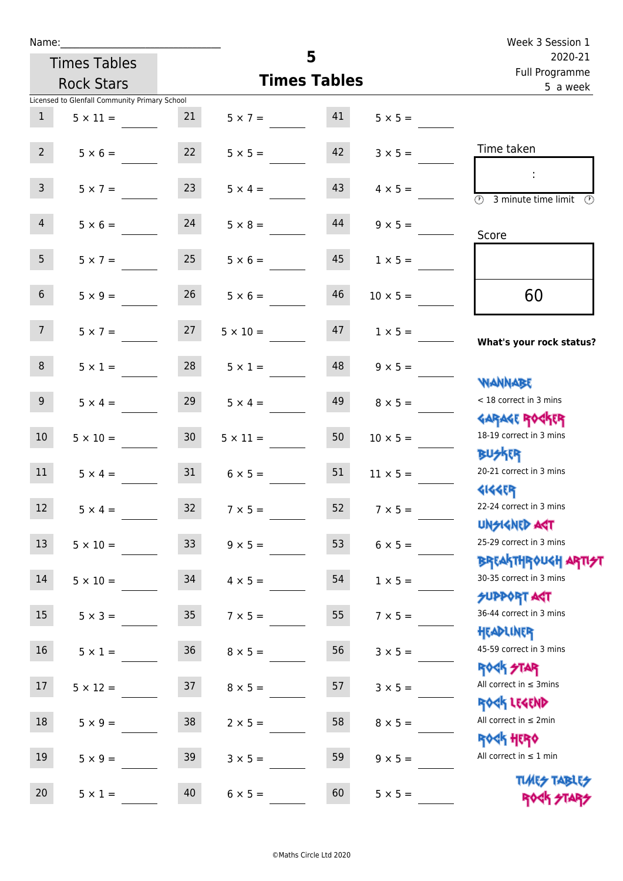|                 | Name:                                         |                 |                                   | Week 3 Session 1          |                     |                                                                                            |
|-----------------|-----------------------------------------------|-----------------|-----------------------------------|---------------------------|---------------------|--------------------------------------------------------------------------------------------|
|                 | <b>Times Tables</b>                           |                 |                                   | 2020-21<br>Full Programme |                     |                                                                                            |
|                 | <b>Rock Stars</b>                             |                 |                                   | <b>Times Tables</b>       |                     | 5 a week                                                                                   |
|                 | Licensed to Glenfall Community Primary School |                 |                                   |                           |                     |                                                                                            |
| 1               | $5 \times 11 = 21$                            |                 | $5 \times 7 = 41$                 |                           | $5 \times 5 =$      |                                                                                            |
| $2^{\circ}$     | $5 \times 6 = 22$                             |                 | $5 \times 5 = 42$                 |                           | $3 \times 5 =$      | Time taken                                                                                 |
| 3 <sup>7</sup>  | $5 \times 7 =$                                | 23              | $5 \times 4 =$                    | 43                        | $4 \times 5 =$      | $\sim 10$<br>$\overline{\textcircled{1}}$ 3 minute time limit $\overline{\textcircled{1}}$ |
| $\overline{4}$  | $5 \times 6 = 24$                             |                 | $5 \times 8 =$                    | 44                        | $9 \times 5 =$      | Score                                                                                      |
| 5 <sub>1</sub>  | $5 \times 7 =$                                | 25              | $5 \times 6 =$                    | 45                        | $1 \times 5 =$      |                                                                                            |
| 6 <sup>1</sup>  | $5 \times 9 =$                                | 26              | $5 \times 6 =$                    | 46                        | $10 \times 5 =$     | 60                                                                                         |
| 7 <sup>7</sup>  |                                               |                 | $5 \times 7 = 27$ $5 \times 10 =$ |                           | $1 \times 5 =$      | What's your rock status?                                                                   |
| 8               | $5 \times 1 =$                                | 28              | $5 \times 1 =$                    |                           | $48$ $9 \times 5 =$ | <b>NANNABE</b>                                                                             |
| 9 <sub>o</sub>  | $5 \times 4 =$                                | 29              | $5 \times 4 =$                    | 49                        | $8 \times 5 =$      | < 18 correct in 3 mins<br><b>GARAGE ROCKER</b>                                             |
| 10 <sup>°</sup> | $5 \times 10 = 30$                            |                 | $5 \times 11 =$                   | 50                        | $10 \times 5 =$     | 18-19 correct in 3 mins<br><b>BUSKER</b>                                                   |
| 11              | $5 \times 4 =$                                |                 | $31 \t 6 \times 5 =$              | 51                        | $11 \times 5 =$     | 20-21 correct in 3 mins<br><b>4144EP</b>                                                   |
| 12              | $5 \times 4 =$                                | 32              | $7 \times 5 =$                    | 52                        | $7 \times 5 =$      | 22-24 correct in 3 mins<br><b>UNSIGNED AGT</b>                                             |
| 13              | $5 \times 10 =$                               | 33 <sup>°</sup> | $9 \times 5 =$                    | 53                        | $6 \times 5 =$      | 25-29 correct in 3 mins<br><b>BREAKTHROUGH ARTI<del>S</del>T</b>                           |
| 14              | $5 \times 10 =$                               | 34              | $4 \times 5 =$                    | 54                        | $1 \times 5 =$      | 30-35 correct in 3 mins<br><b>SUPPORT AGT</b>                                              |
| 15 <sub>1</sub> | $5 \times 3 =$                                | 35 <sub>o</sub> | $7 \times 5 =$                    | 55                        | $7 \times 5 =$      | 36-44 correct in 3 mins<br>HEADLINER                                                       |
| 16              | $5 \times 1 =$                                | 36              | $8 \times 5 =$                    | 56                        | $3 \times 5 =$      | 45-59 correct in 3 mins<br><b>ROCK STAR</b>                                                |
| 17              | $5 \times 12 =$                               | 37              | $8 \times 5 =$                    | 57                        | $3 \times 5 =$      | All correct in $\leq$ 3mins<br>ROCK LEGEND                                                 |
| 18              | $5 \times 9 =$                                | 38              | $2 \times 5 =$                    | 58                        | $8 \times 5 =$      | All correct in $\leq 2$ min<br><b>ROCK HERO</b>                                            |
| 19              | $5 \times 9 =$                                | 39              | $3 \times 5 =$                    | 59                        | $9 \times 5 =$      | All correct in $\leq 1$ min<br><b>TUARS TABLES</b>                                         |
| 20              | $5 \times 1 =$                                | 40              | $6 \times 5 =$                    | 60                        | $5 \times 5 =$      | ROCK STARS                                                                                 |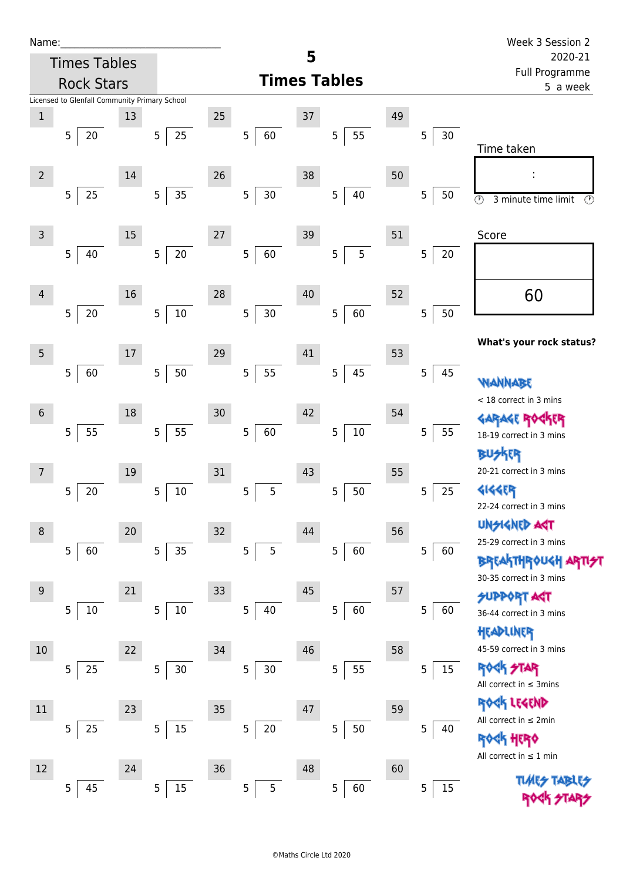| Ń | am |  | L |  |
|---|----|--|---|--|
|   |    |  |   |  |
|   |    |  |   |  |

| Name:          |                                               |    |                      |        |                          |        |                       |    |             | Week 3 Session 2                                                       |  |  |
|----------------|-----------------------------------------------|----|----------------------|--------|--------------------------|--------|-----------------------|----|-------------|------------------------------------------------------------------------|--|--|
|                | <b>Times Tables</b>                           |    |                      |        |                          | 5      |                       |    |             | 2020-21                                                                |  |  |
|                | <b>Rock Stars</b>                             |    |                      |        | <b>Times Tables</b>      |        |                       |    |             | Full Programme<br>5 a week                                             |  |  |
|                | Licensed to Glenfall Community Primary School |    |                      |        |                          |        |                       |    |             |                                                                        |  |  |
| $\mathbf 1$    |                                               | 13 |                      | 25     |                          | 37     |                       | 49 |             |                                                                        |  |  |
|                | 5 <br>20                                      |    | $25\,$<br>5          |        | 60<br>5                  |        | 55<br>5               |    | 5<br>30     |                                                                        |  |  |
|                |                                               |    |                      |        |                          |        |                       |    |             | Time taken                                                             |  |  |
| $\overline{2}$ |                                               | 14 |                      | 26     |                          | 38     |                       | 50 |             | f,                                                                     |  |  |
|                | 5 <sup>1</sup><br>25                          |    | 5<br>35              |        | 5<br>$30\,$              |        | $40\,$<br>5           |    | 5<br>50     | $\overline{\circlearrowright}$<br>3 minute time limit<br>$\circled{r}$ |  |  |
|                |                                               |    |                      |        |                          |        |                       |    |             |                                                                        |  |  |
| 3              |                                               | 15 |                      | $27\,$ |                          | 39     |                       | 51 |             | Score                                                                  |  |  |
|                | 5 <br>40                                      |    | $20\,$<br>5          |        | 5 <sub>5</sub><br>60     |        | 5<br>$5\phantom{.0}$  |    | $20\,$<br>5 |                                                                        |  |  |
|                |                                               |    |                      |        |                          |        |                       |    |             |                                                                        |  |  |
| $\overline{4}$ |                                               | 16 |                      | 28     |                          | 40     |                       | 52 |             | 60                                                                     |  |  |
|                | $5 \mid 20$                                   |    | $10\,$<br>5          |        | 5 <sub>5</sub><br>$30\,$ |        | 60<br>5               |    | 5<br>50     |                                                                        |  |  |
|                |                                               |    |                      |        |                          |        |                       |    |             |                                                                        |  |  |
|                |                                               |    |                      |        |                          |        |                       |    |             | What's your rock status?                                               |  |  |
| 5              |                                               | 17 |                      | 29     |                          | 41     |                       | 53 |             |                                                                        |  |  |
|                | 5 <br>60                                      |    | 5<br>50              |        | 5<br>55                  |        | 45<br>$5\phantom{.0}$ |    | 5<br>45     | <b>WANNABE</b>                                                         |  |  |
|                |                                               |    |                      |        |                          |        |                       |    |             | < 18 correct in 3 mins                                                 |  |  |
| $6\,$          |                                               | 18 |                      | 30     |                          | 42     |                       | 54 |             | <b>GARAGE ROGKER</b>                                                   |  |  |
|                | 55<br>5                                       |    | 55<br>$\overline{5}$ |        | $\overline{5}$<br>60     |        | $10\,$<br>5           |    | 5<br>55     | 18-19 correct in 3 mins                                                |  |  |
|                |                                               |    |                      |        |                          |        |                       |    |             | <b>R</b>                                                               |  |  |
| 7              |                                               | 19 |                      | $31\,$ |                          | 43     |                       | 55 |             | 20-21 correct in 3 mins                                                |  |  |
|                | 20<br>5                                       |    | $10\,$<br>5          |        | 5<br>5                   |        | 50<br>5               |    | 25<br>5     | <b>4144ER</b>                                                          |  |  |
|                |                                               |    |                      |        |                          |        |                       |    |             | 22-24 correct in 3 mins                                                |  |  |
| 8              |                                               | 20 |                      | 32     |                          | 44     |                       | 56 |             | <b>UNSIGNED AST</b>                                                    |  |  |
|                | 5 <sup>1</sup><br>60                          |    | 5<br>35              |        | 5 <sup>1</sup><br>5      |        | 60<br>5 <sub>1</sub>  |    | 5<br>60     | 25-29 correct in 3 mins                                                |  |  |
|                |                                               |    |                      |        |                          |        |                       |    |             | <b>BREAKTHROUGH ARTIST</b>                                             |  |  |
| 9              |                                               | 21 |                      | 33     |                          | 45     |                       | 57 |             | 30-35 correct in 3 mins                                                |  |  |
|                | 5<br>10                                       |    | 10<br>5 <sup>1</sup> |        | 5 <sub>5</sub><br>40     |        | 60<br>5               |    | 5<br>60     | SUPPORT AGT                                                            |  |  |
|                |                                               |    |                      |        |                          |        |                       |    |             | 36-44 correct in 3 mins                                                |  |  |
|                |                                               |    |                      |        |                          |        |                       |    |             | HEADLINER                                                              |  |  |
| 10             |                                               | 22 |                      | 34     |                          | 46     |                       | 58 |             | 45-59 correct in 3 mins                                                |  |  |
|                | 5<br>25                                       |    | 5<br>30              |        | 5<br>$30\,$              |        | 55<br>5               |    | 5<br>15     | <b>ROCK STAR</b><br>All correct in $\leq$ 3mins                        |  |  |
|                |                                               |    |                      |        |                          |        |                       |    |             |                                                                        |  |  |
| $11\,$         |                                               | 23 |                      | $35\,$ |                          | $47\,$ |                       | 59 |             | ROCK LEGEND<br>All correct in $\leq 2$ min                             |  |  |
|                | 5<br>25                                       |    | 5<br>15              |        | 5<br>$20\,$              |        | $50\,$<br>5           |    | 5<br>40     | <b>ROGK HERO</b>                                                       |  |  |
|                |                                               |    |                      |        |                          |        |                       |    |             | All correct in $\leq 1$ min                                            |  |  |
| 12             |                                               | 24 |                      | $36\,$ |                          | 48     |                       | 60 |             |                                                                        |  |  |
|                | 45<br>5                                       |    | 15<br>5              |        | 5 <sub>5</sub><br>5      |        | 5<br>60               |    | 5<br>15     | <b>TLARS</b>                                                           |  |  |
|                |                                               |    |                      |        |                          |        |                       |    |             |                                                                        |  |  |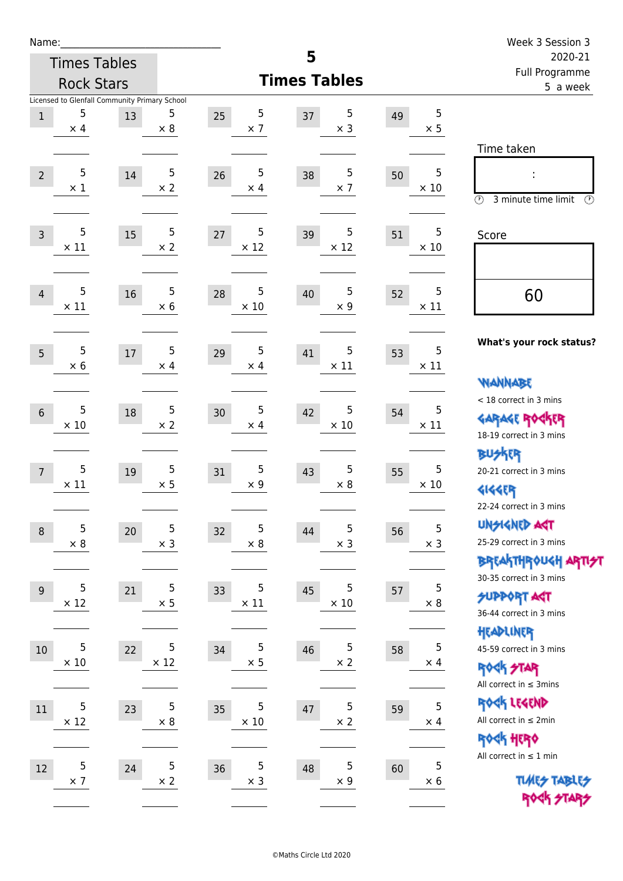| Name:           |                     |                                               |                          |                       | 5                         |          |                  | Week 3 Session 3                                      |
|-----------------|---------------------|-----------------------------------------------|--------------------------|-----------------------|---------------------------|----------|------------------|-------------------------------------------------------|
|                 | <b>Times Tables</b> |                                               |                          |                       | 2020-21<br>Full Programme |          |                  |                                                       |
|                 | <b>Rock Stars</b>   |                                               |                          | <b>Times Tables</b>   |                           | 5 a week |                  |                                                       |
|                 |                     | Licensed to Glenfall Community Primary School |                          |                       |                           |          |                  |                                                       |
| $\mathbf{1}$    | 5<br>$\times$ 4     | 13                                            | 5<br>$\times 8$          | 5<br>25<br>$\times$ 7 | 5<br>37<br>$\times$ 3     | 49       | 5<br>$\times$ 5  |                                                       |
|                 |                     |                                               |                          |                       |                           |          |                  | Time taken                                            |
|                 |                     |                                               | 5                        | 5                     |                           |          | 5                |                                                       |
| $\overline{2}$  | 5<br>$\times$ 1     | 14                                            | $\times 2$               | 26<br>$\times$ 4      | 5<br>38<br>$\times$ 7     | 50       | $\times$ 10      |                                                       |
|                 |                     |                                               |                          |                       |                           |          |                  | $\circled{r}$<br>3 minute time limit<br>$\mathcal{O}$ |
|                 | 5                   |                                               | 5                        | 5                     | 5                         |          | 5                |                                                       |
| $\overline{3}$  | $\times$ 11         | 15                                            | $\times 2$               | 27<br>$\times$ 12     | 39<br>$\times$ 12         | 51       | $\times$ 10      | Score                                                 |
|                 |                     |                                               |                          |                       |                           |          |                  |                                                       |
|                 | 5                   |                                               | 5                        | 5                     | 5                         |          | 5                |                                                       |
| $\overline{4}$  | $\times$ 11         | 16                                            | $\times$ 6               | 28<br>$\times$ 10     | 40<br>$\times$ 9          | 52       | $\times$ 11      | 60                                                    |
|                 |                     |                                               |                          |                       |                           |          |                  |                                                       |
|                 | 5                   |                                               | 5                        | $\sqrt{5}$            |                           |          | 5                | What's your rock status?                              |
| 5               | $\times$ 6          | $17\,$                                        | $\times$ 4               | 29<br>$\times$ 4      | 5<br>41<br>$\times$ 11    | 53       | $\times$ 11      |                                                       |
|                 |                     |                                               |                          |                       |                           |          |                  | <b>NANNABE</b>                                        |
|                 |                     |                                               |                          |                       |                           |          |                  | < 18 correct in 3 mins                                |
| $6\phantom{1}6$ | 5<br>$\times$ 10    | 18                                            | $\sqrt{5}$<br>$\times$ 2 | 5<br>30<br>$\times$ 4 | 5<br>42<br>$\times$ 10    | 54       | 5<br>$\times$ 11 | <b>GARAGE ROCKER</b>                                  |
|                 |                     |                                               |                          |                       |                           |          |                  | 18-19 correct in 3 mins                               |
|                 |                     |                                               |                          |                       |                           |          |                  | <b>BUSKER</b>                                         |
| 7               | 5<br>$\times$ 11    | 19                                            | 5<br>$\times$ 5          | 5<br>31<br>$\times$ 9 | 5<br>43<br>$\times 8$     | 55       | 5<br>$\times$ 10 | 20-21 correct in 3 mins                               |
|                 |                     |                                               |                          |                       |                           |          |                  | <b>4144EP</b>                                         |
|                 |                     |                                               |                          |                       |                           |          |                  | 22-24 correct in 3 mins                               |
| $\, 8$          | 5<br>$\times$ 8     | 20                                            | 5<br>$\times$ 3          | 5<br>32<br>$\times 8$ | 5<br>44<br>$\times$ 3     | 56       | 5<br>$\times$ 3  | <b>UNSIGNED AGT</b><br>25-29 correct in 3 mins        |
|                 |                     |                                               |                          |                       |                           |          |                  | BREAKTHRÓUGH ARTI <del>2</del> 1                      |
|                 |                     |                                               |                          |                       |                           |          |                  | 30-35 correct in 3 mins                               |
| $9\,$           | $\overline{5}$      | 21                                            | 5                        | 5<br>33               | 5<br>45                   | 57       | 5                | <b>SUPPORT ART</b>                                    |
|                 | $\times$ 12         |                                               | $\times$ 5               | $\times$ 11           | $\times$ 10               |          | $\times$ 8       | 36-44 correct in 3 mins                               |
|                 |                     |                                               |                          |                       |                           |          |                  | HEADLINER                                             |
| $10\,$          | 5                   | 22                                            | 5                        | 5<br>34               | 5<br>46                   | 58       | 5                | 45-59 correct in 3 mins                               |
|                 | $\times 10$         |                                               | $\times$ 12              | $\times$ 5            | $\times$ 2                |          | $\times$ 4       | <b>ROCK STAR</b>                                      |
|                 |                     |                                               |                          |                       |                           |          |                  | All correct in $\leq$ 3mins                           |
| 11              | 5                   | 23                                            | 5                        | 5<br>35               | 5<br>47                   | 59       | 5                | ROCK LEGEND                                           |
|                 | $\times$ 12         |                                               | $\times$ 8               | $\times$ 10           | $\times$ 2                |          | $\times$ 4       | All correct in $\leq 2$ min                           |
|                 |                     |                                               |                          |                       |                           |          |                  | ROCK HERO                                             |
| 12              | 5                   | 24                                            | 5                        | $\mathsf 5$<br>36     | 5<br>48                   | 60       | 5                | All correct in $\leq 1$ min                           |
|                 | $\times$ 7          |                                               | $\times$ 2               | $\times$ 3            | $\times$ 9                |          | $\times 6$       | <b>TUARS TABLES</b>                                   |
|                 |                     |                                               |                          |                       |                           |          |                  | ROCK STARS                                            |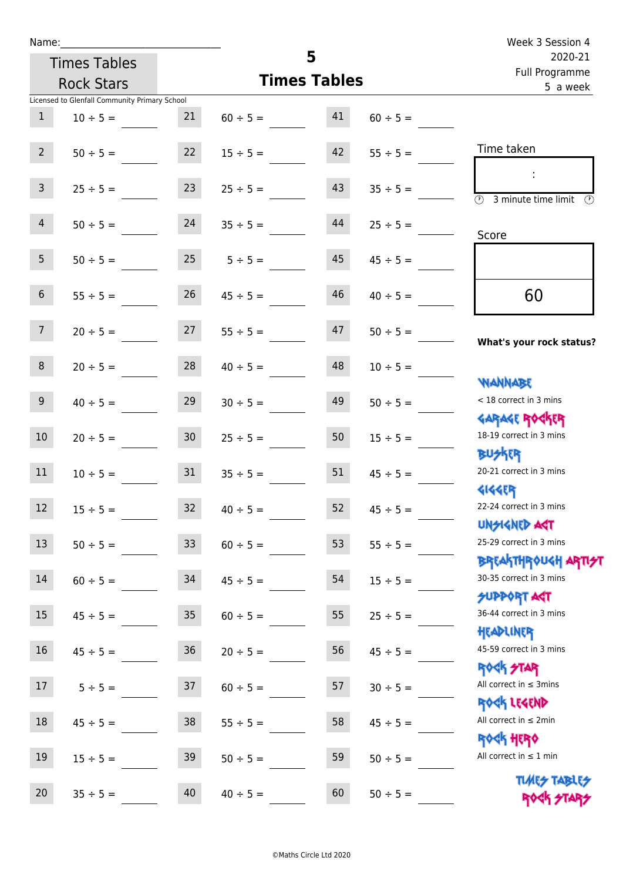| Name:                                         |                         |                     |                           | Week 3 Session 4                                            |
|-----------------------------------------------|-------------------------|---------------------|---------------------------|-------------------------------------------------------------|
| <b>Times Tables</b>                           |                         | 5                   | 2020-21<br>Full Programme |                                                             |
| <b>Rock Stars</b>                             |                         | <b>Times Tables</b> | 5 a week                  |                                                             |
| Licensed to Glenfall Community Primary School |                         |                     |                           |                                                             |
| 1<br>$10 \div 5 =$                            | 21                      | 41<br>$60 \div 5 =$ | $60 \div 5 =$             |                                                             |
| $2^{\circ}$<br>$50 \div 5 =$                  | 22                      | 42<br>$15 \div 5 =$ | $55 \div 5 =$             | Time taken                                                  |
| 3 <sup>7</sup><br>$25 \div 5 =$               | 23                      | 43<br>$25 \div 5 =$ | $35 \div 5 =$             | $\overline{(\mathcal{V})}$<br>3 minute time limit<br>(V)    |
| 4<br>$50 \div 5 =$                            | 24                      | 44<br>$35 \div 5 =$ | $25 \div 5 =$             | Score                                                       |
| 5 <sup>1</sup><br>$50 \div 5 =$               | $25 \t 5 \div 5 =$      | 45                  | $45 \div 5 =$             |                                                             |
| 6 <sup>1</sup><br>$55 \div 5 =$               | 26                      | 46<br>$45 \div 5 =$ | $40 \div 5 =$             | 60                                                          |
| 7 <sup>7</sup><br>$20 \div 5 =$               | $27$ $55 \div 5 =$      | 47                  | $50 \div 5 =$             | What's your rock status?                                    |
| 8<br>$20 \div 5 =$                            | 28                      | 48<br>$40 \div 5 =$ | $10 \div 5 =$             | <b>NANNABE</b>                                              |
| 9 <sub>o</sub><br>$40 \div 5 =$               | 29                      | 49<br>$30 \div 5 =$ | $50 \div 5 =$             | < 18 correct in 3 mins<br><b>GARAGE ROCKER</b>              |
| 10 <sup>°</sup><br>$20 \div 5 =$              | 30 <sup>°</sup>         | 50<br>$25 \div 5 =$ | $15 \div 5 =$             | 18-19 correct in 3 mins<br><b>BUSKER</b>                    |
| 11<br>$10 \div 5 =$                           | 31                      | 51<br>$35 \div 5 =$ | $45 \div 5 =$             | 20-21 correct in 3 mins<br><b>4144ER</b>                    |
| 12<br>$15 \div 5 =$                           | 32<br>$40 \div 5 =$     | 52                  | $45 \div 5 =$             | 22-24 correct in 3 mins<br><b>UNSIGNED AGT</b>              |
| 13<br>$50 \div 5 =$                           | 33<br>$60 \div 5 =$     | 53                  | $55 \div 5 =$             | 25-29 correct in 3 mins                                     |
| 14<br>$60 \div 5 =$                           | 34<br>$45 \div 5 =$     | 54                  | $15 \div 5 =$             | BREAKTHRÓUGH ARTI <del>2</del> 1<br>30-35 correct in 3 mins |
| 15<br>$45 \div 5 =$                           | $35\,$<br>$60 \div 5 =$ | 55                  | $25 ÷ 5 =$                | <b>SUPPORT AGT</b><br>36-44 correct in 3 mins<br>HEADLINER  |
| $16\,$<br>$45 \div 5 =$                       | 36<br>$20 \div 5 =$     | 56                  | $45 \div 5 =$             | 45-59 correct in 3 mins<br><b>ROCK STAR</b>                 |
| 17<br>$5 ÷ 5 =$                               | 37<br>$60 \div 5 =$     | 57                  | $30 \div 5 =$             | All correct in $\leq$ 3mins<br>ROCK LEGEND                  |
| $18\,$<br>$45 \div 5 =$                       | 38<br>$55 \div 5 =$     | 58                  | $45 \div 5 =$             | All correct in $\leq 2$ min<br><b>ROCK HERO</b>             |
| 19<br>$15 ÷ 5 =$                              | 39<br>$50 \div 5 =$     | 59                  | $50 \div 5 =$             | All correct in $\leq 1$ min                                 |
| 20<br>$35 ÷ 5 =$                              | 40<br>$40 \div 5 =$     | 60                  | $50 \div 5 =$             | <b>TUARS TABLES</b><br>ROCK STARS                           |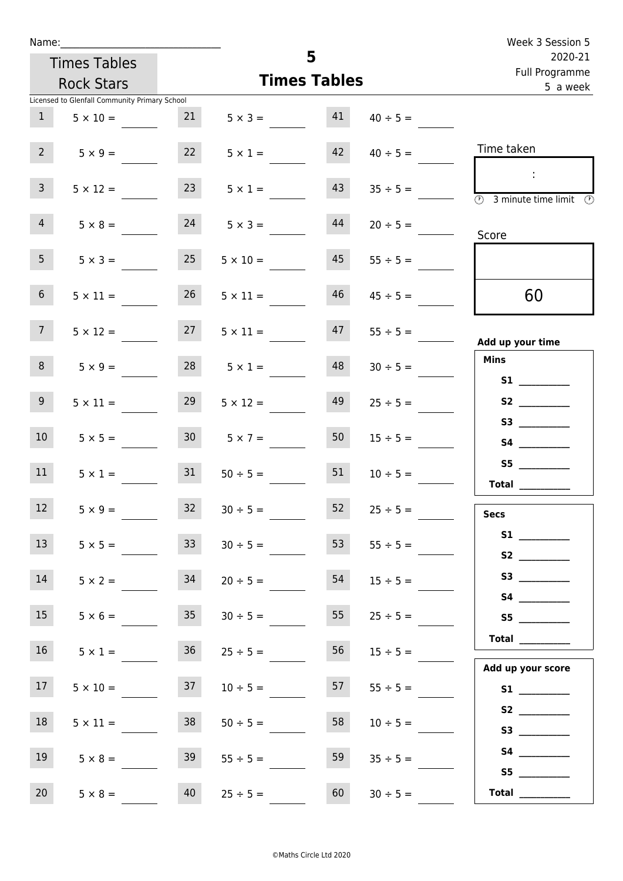| Week 3 Session 5                                                                                             |               |                          |                     |                 |                                               | Name:           |  |  |  |
|--------------------------------------------------------------------------------------------------------------|---------------|--------------------------|---------------------|-----------------|-----------------------------------------------|-----------------|--|--|--|
| 2020-21                                                                                                      |               | 5<br><b>Times Tables</b> |                     |                 |                                               |                 |  |  |  |
| Full Programme<br>5 a week                                                                                   |               |                          | <b>Times Tables</b> |                 | <b>Rock Stars</b>                             |                 |  |  |  |
|                                                                                                              |               |                          |                     |                 | Licensed to Glenfall Community Primary School |                 |  |  |  |
|                                                                                                              | $40 \div 5 =$ | 41                       | $5 \times 3 =$      | 21              | $5 \times 10 =$                               | 1               |  |  |  |
| Time taken                                                                                                   | $40 \div 5 =$ | 42                       | $5 \times 1 =$      | 22              | $5 \times 9 =$                                | $2^{\circ}$     |  |  |  |
| $\mathcal{L}_{\mathcal{C}}$<br>$\overline{\textcircled{1}}$ 3 minute time limit $\overline{\textcircled{1}}$ | $35 \div 5 =$ | 43                       | $5 \times 1 =$      | 23              | $5 \times 12 =$                               | 3 <sup>7</sup>  |  |  |  |
| Score                                                                                                        | $20 \div 5 =$ | 44                       | $5 \times 3 =$      | 24              | $5 \times 8 =$                                | $\overline{4}$  |  |  |  |
|                                                                                                              | $55 \div 5 =$ | 45                       | $5 \times 10 =$     | 25              | $5 \times 3 =$                                | 5 <sub>1</sub>  |  |  |  |
| 60                                                                                                           | $45 \div 5 =$ | 46                       | $5 \times 11 =$     | 26              | $5 \times 11 =$                               | 6 <sup>1</sup>  |  |  |  |
| Add up your time                                                                                             | $55 \div 5 =$ | 47                       | $5 \times 11 =$     | 27              | $5 \times 12 =$                               | 7 <sup>7</sup>  |  |  |  |
| <b>Mins</b>                                                                                                  | $30 \div 5 =$ | 48                       | $5 \times 1 =$      | 28              | $5 \times 9 =$                                | 8               |  |  |  |
|                                                                                                              | $25 \div 5 =$ | 49                       | $5 \times 12 =$     | 29              | $5 \times 11 =$                               | 9 <sub>o</sub>  |  |  |  |
|                                                                                                              | $15 \div 5 =$ | 50                       | $5 \times 7 =$      | 30              | $5 \times 5 =$                                | 10 <sup>°</sup> |  |  |  |
| S5<br>Total $\qquad$                                                                                         | $10 \div 5 =$ | 51                       | $50 \div 5 =$       | 31              | $5 \times 1 =$                                | 11              |  |  |  |
| <b>Secs</b>                                                                                                  | $25 \div 5 =$ | 52                       | $30 \div 5 =$       | 32              | $5 \times 9 =$                                | 12              |  |  |  |
|                                                                                                              | $55 \div 5 =$ | 53                       | $30 \div 5 =$       | 33 <sup>°</sup> | $5 \times 5 =$                                | 13              |  |  |  |
|                                                                                                              | $15 \div 5 =$ | 54                       | $20 \div 5 =$       | 34              | $5 \times 2 =$                                | 14              |  |  |  |
| S5                                                                                                           | $25 \div 5 =$ | 55                       | $30 \div 5 =$       | 35              | $5 \times 6 =$                                | 15              |  |  |  |
| Total<br>Add up your score                                                                                   | $15 \div 5 =$ | 56                       | $25 \div 5 =$       | 36              | $5 \times 1 =$                                | 16              |  |  |  |
| S1                                                                                                           | $55 \div 5 =$ | 57                       | $10 \div 5 =$       | 37              | $5 \times 10 =$                               | 17              |  |  |  |
| S2                                                                                                           | $10 \div 5 =$ | 58                       | $50 \div 5 =$       | 38              | $5 \times 11 =$                               | 18              |  |  |  |
| S5                                                                                                           | $35 \div 5 =$ | 59                       | $55 \div 5 =$       | 39              | $5 \times 8 =$                                | 19              |  |  |  |
| Total $\qquad$                                                                                               | $30 \div 5 =$ | 60                       | $25 \div 5 =$       | 40              | $5 \times 8 =$                                | 20 <sub>2</sub> |  |  |  |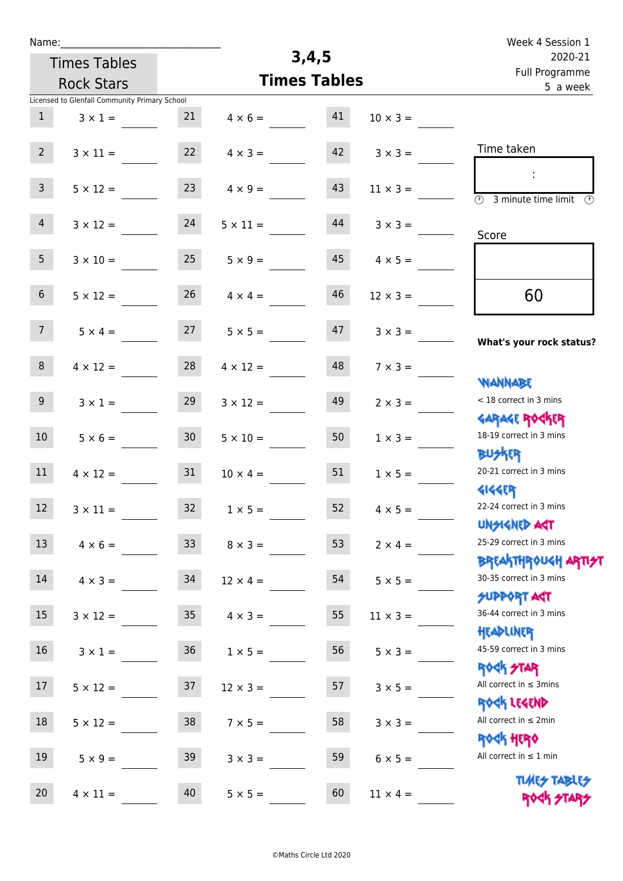| Name:            |                                               |                 |                 |                     |                 | Week 4 Session 1                                           |
|------------------|-----------------------------------------------|-----------------|-----------------|---------------------|-----------------|------------------------------------------------------------|
|                  | <b>Times Tables</b>                           |                 |                 | 3,4,5               |                 | 2020-21                                                    |
|                  | <b>Rock Stars</b>                             |                 |                 | <b>Times Tables</b> |                 | Full Programme<br>5 a week                                 |
|                  | Licensed to Glenfall Community Primary School |                 |                 |                     |                 |                                                            |
| $\mathbf{1}$     | $3 \times 1 =$                                | 21              | $4 \times 6 =$  | 41                  | $10 \times 3 =$ |                                                            |
|                  |                                               |                 |                 |                     |                 |                                                            |
| 2 <sup>7</sup>   | $3 \times 11 =$                               | 22              | $4 \times 3 =$  | 42                  | $3 \times 3 =$  | Time taken                                                 |
|                  |                                               |                 |                 |                     |                 | ÷                                                          |
| 3 <sup>7</sup>   | $5 \times 12 =$                               | 23              | $4 \times 9 =$  | 43                  | $11 \times 3 =$ | $\overline{\circ}$<br>3 minute time limit<br>$\mathcal{O}$ |
| $\overline{4}$   |                                               | 24              |                 | 44                  |                 |                                                            |
|                  | $3 \times 12 =$                               |                 | $5 \times 11 =$ |                     | $3 \times 3 =$  | Score                                                      |
| 5 <sub>1</sub>   | $3 \times 10 =$                               | 25              | $5 \times 9 =$  | 45                  | $4 \times 5 =$  |                                                            |
|                  |                                               |                 |                 |                     |                 |                                                            |
| 6 <sup>1</sup>   | $5 \times 12 =$                               | 26              | $4 \times 4 =$  | 46                  | $12 \times 3 =$ | 60                                                         |
|                  |                                               |                 |                 |                     |                 |                                                            |
| 7 <sup>7</sup>   | $5 \times 4 =$                                | 27              | $5 \times 5 =$  | 47                  | $3 \times 3 =$  |                                                            |
|                  |                                               |                 |                 |                     |                 | What's your rock status?                                   |
| 8                | $4 \times 12 =$                               | 28              | $4 \times 12 =$ | 48                  | $7 \times 3 =$  |                                                            |
|                  |                                               |                 |                 |                     |                 | WANNABE                                                    |
| 9 <sup>°</sup>   | $3 \times 1 =$                                | 29              | $3 \times 12 =$ | 49                  | $2 \times 3 =$  | < 18 correct in 3 mins                                     |
|                  |                                               |                 |                 |                     |                 | <b>GARAGE ROCKER</b><br>18-19 correct in 3 mins            |
| 10 <sup>°</sup>  | $5 \times 6 =$                                | 30 <sub>o</sub> | $5 \times 10 =$ | 50                  | $1 \times 3 =$  | <b>BUSKER</b>                                              |
| 11               | $4 \times 12 =$                               | 31              | $10 \times 4 =$ | 51                  | $1 \times 5 =$  | 20-21 correct in 3 mins                                    |
|                  |                                               |                 |                 |                     |                 | <b>4144EP</b>                                              |
| 12               | $3 \times 11 =$                               | 32              | $1 \times 5 =$  | 52                  | $4 \times 5 =$  | 22-24 correct in 3 mins                                    |
|                  |                                               |                 |                 |                     |                 | <b>UNSIGNED AGT</b>                                        |
| 13               | $4 \times 6 =$                                | 33 <sup>°</sup> | $8 \times 3 =$  | 53                  | $2 \times 4 =$  | 25-29 correct in 3 mins                                    |
|                  |                                               |                 |                 |                     |                 | <b>BREAKTHROUGH ARTI<del>S</del>T</b>                      |
| 14               | $4 \times 3 =$                                | 34              | $12 \times 4 =$ | 54                  | $5 \times 5 =$  | 30-35 correct in 3 mins                                    |
|                  |                                               |                 |                 |                     |                 | <b>SUPPORT AGT</b>                                         |
| $15\phantom{.0}$ | $3 \times 12 =$                               | 35 <sub>o</sub> | $4 \times 3 =$  | 55                  | $11 \times 3 =$ | 36-44 correct in 3 mins                                    |
|                  |                                               |                 |                 |                     |                 | HEADLINER                                                  |
| 16               | $3 \times 1 =$                                | 36              | $1 \times 5 =$  | 56                  | $5 \times 3 =$  | 45-59 correct in 3 mins                                    |
|                  |                                               |                 |                 |                     |                 | <b>ROCK STAR</b><br>All correct in $\leq$ 3mins            |
| 17               | $5 \times 12 =$                               | 37              | $12 \times 3 =$ | 57                  | $3 \times 5 =$  | ROCK LEGEND                                                |
| 18               | $5 \times 12 =$                               | 38              | $7 \times 5 =$  | 58                  | $3 \times 3 =$  | All correct in $\leq 2$ min                                |
|                  |                                               |                 |                 |                     |                 | <b>ROGH HERO</b>                                           |
| 19               | $5 \times 9 =$                                | 39              | $3 \times 3 =$  | 59                  | $6 \times 5 =$  | All correct in $\leq 1$ min                                |
|                  |                                               |                 |                 |                     |                 | <b>TUARS TABLES</b>                                        |
| 20               | $4 \times 11 =$                               | 40              | $5 \times 5 =$  | 60                  | $11 \times 4 =$ | ROCK STARS                                                 |
|                  |                                               |                 |                 |                     |                 |                                                            |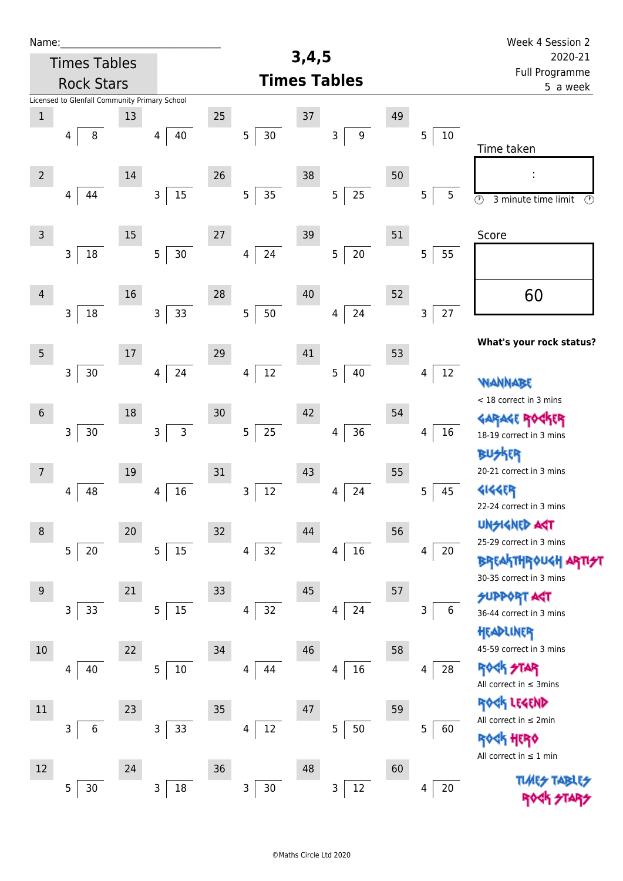| Name:          |                                               |        |                              |    |                          |                            |             |    |         | Week 4 Session 2                                           |
|----------------|-----------------------------------------------|--------|------------------------------|----|--------------------------|----------------------------|-------------|----|---------|------------------------------------------------------------|
|                | <b>Times Tables</b>                           |        |                              |    |                          | 3,4,5                      |             |    |         | 2020-21                                                    |
|                | <b>Rock Stars</b>                             |        |                              |    | <b>Times Tables</b>      | Full Programme<br>5 a week |             |    |         |                                                            |
|                | Licensed to Glenfall Community Primary School |        |                              |    |                          |                            |             |    |         |                                                            |
| $\mathbf 1$    |                                               | 13     |                              | 25 |                          | 37                         |             | 49 |         |                                                            |
|                | 8<br>4                                        |        | 40<br>4                      |    | $30\,$<br>$\mathsf S$    |                            | 9<br>3      |    | 5<br>10 | Time taken                                                 |
| $\overline{2}$ |                                               | $14\,$ |                              | 26 |                          | 38                         |             | 50 |         |                                                            |
|                | 44<br>4                                       |        | $\mathsf{3}$<br>$15\,$       |    | $\overline{5}$<br>35     |                            | 25<br>5     |    | 5<br>5  | $\overline{\circ}$<br>3 minute time limit<br>$\circled{r}$ |
| $\mathsf{3}$   |                                               | $15\,$ |                              | 27 |                          | 39                         |             | 51 |         | Score                                                      |
|                | 18<br>3                                       |        | $30$<br>5                    |    | 24<br>4                  |                            | $20\,$<br>5 |    | 5<br>55 |                                                            |
| $\overline{4}$ |                                               | 16     |                              | 28 |                          | 40                         |             | 52 |         | 60                                                         |
|                | 18<br>3                                       |        | 33<br>$\mathsf{3}$           |    | 5<br>50                  |                            | 24<br>4     |    | 27<br>3 |                                                            |
| 5              |                                               | $17\,$ |                              | 29 |                          | 41                         |             | 53 |         | What's your rock status?                                   |
|                | 3<br>$30\,$                                   |        | 24<br>4                      |    | $12\,$<br>4              |                            | 40<br>5     |    | 12<br>4 | WANNABE                                                    |
| $6\phantom{1}$ |                                               | 18     |                              | 30 |                          | 42                         |             | 54 |         | < 18 correct in 3 mins                                     |
|                | $\mathsf{3}$<br>30                            |        | $\mathsf{3}$<br>$\mathsf{3}$ |    | $25\,$<br>$\overline{5}$ |                            | $36\,$<br>4 |    | 16<br>4 | <b>GARAGE RO</b><br>18-19 correct in 3 mins                |
| 7              |                                               | 19     |                              | 31 |                          | 43                         |             | 55 |         | <b>BUSKER</b><br>20-21 correct in 3 mins                   |
|                | 48<br>4                                       |        | 16<br>4                      |    | $12\,$<br>$\mathsf 3$    |                            | 24<br>4     |    | 45<br>5 | <b>4144EP</b>                                              |
|                |                                               |        |                              |    |                          |                            |             |    |         | 22-24 correct in 3 mins                                    |
| $\,8\,$        |                                               | $20\,$ |                              | 32 |                          | 44                         |             | 56 |         | <b>UNSIGNED AGT</b>                                        |
|                | 5<br>20                                       |        | 5<br>15                      |    | 32<br>4                  |                            | $16\,$<br>4 |    | 20<br>4 | 25-29 correct in 3 mins                                    |
| $9\,$          |                                               | 21     |                              | 33 |                          | 45                         |             | 57 |         | <b>BREAKTHROUGH</b><br>30-35 correct in 3 mins             |
|                | 33<br>3                                       |        | 15<br>5                      |    | 32<br>4                  |                            | 24<br>4     |    | 6<br>3  | <b>SUPPORT AGT</b>                                         |
|                |                                               |        |                              |    |                          |                            |             |    |         | 36-44 correct in 3 mins<br>HEADLINER                       |
| 10             |                                               | 22     |                              | 34 |                          | 46                         |             | 58 |         | 45-59 correct in 3 mins                                    |
|                | 40<br>4                                       |        | 10<br>5                      |    | 44<br>4                  |                            | $16\,$<br>4 |    | 28<br>4 | <b>ROCK STAR</b><br>All correct in $\leq$ 3mins            |
| 11             |                                               | 23     |                              | 35 |                          | 47                         |             | 59 |         | ROCK LEGEND                                                |
|                | 3<br>6                                        |        | 3<br>33                      |    | 12<br>4                  |                            | 50<br>5     |    | 5<br>60 | All correct in $\leq 2$ min                                |
| 12             |                                               | 24     |                              | 36 |                          | 48                         |             | 60 |         | <b>ROGH HERO</b><br>All correct in $\leq 1$ min            |
|                | 5<br>30                                       |        | 18<br>3                      |    | $\mathsf 3$<br>$30\,$    |                            | 12<br>3     |    | 20<br>4 |                                                            |
|                |                                               |        |                              |    |                          |                            |             |    |         |                                                            |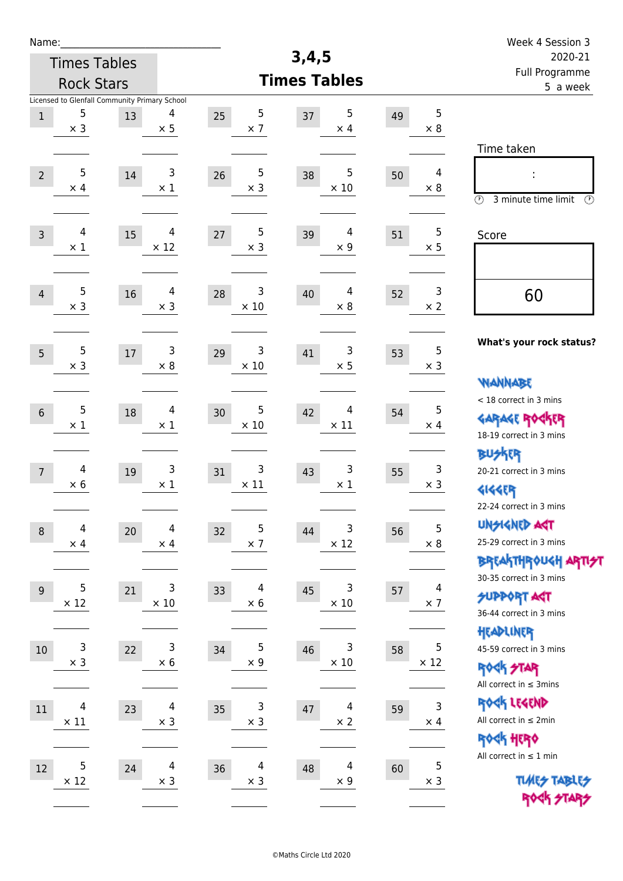| Name:                        |                                               |                                    |                                    |    |                           | Week 4 Session 3                                      |
|------------------------------|-----------------------------------------------|------------------------------------|------------------------------------|----|---------------------------|-------------------------------------------------------|
| <b>Times Tables</b>          |                                               |                                    | 3,4,5                              |    |                           | 2020-21                                               |
| <b>Rock Stars</b>            |                                               |                                    | <b>Times Tables</b>                |    |                           | Full Programme<br>5 a week                            |
|                              | Licensed to Glenfall Community Primary School |                                    |                                    |    |                           |                                                       |
| 5<br>$\,1$                   | 4<br>13<br>$\times$ 5                         | $\sqrt{5}$<br>25<br>$\times$ 7     | 5<br>37<br>$\times$ 4              | 49 | 5<br>$\times 8$           |                                                       |
| $\times$ 3                   |                                               |                                    |                                    |    |                           |                                                       |
|                              |                                               |                                    |                                    |    |                           | Time taken                                            |
| 5<br>$\overline{2}$          | 3<br>14                                       | 5<br>26                            | 5<br>38                            | 50 | 4                         | İ,                                                    |
| $\times$ 4                   | $\times$ 1                                    | $\times$ 3                         | $\times$ 10                        |    | $\times 8$                | $\circled{r}$<br>3 minute time limit<br>$\mathcal{O}$ |
|                              |                                               |                                    |                                    |    |                           |                                                       |
| 4<br>$\overline{3}$          | 4<br>15                                       | 5<br>27                            | 4<br>39                            | 51 | 5                         | Score                                                 |
| $\times 1$                   | $\times$ 12                                   | $\times$ 3                         | $\times$ 9                         |    | $\times$ 5                |                                                       |
|                              |                                               |                                    |                                    |    |                           |                                                       |
| 5                            | 4                                             | 3                                  | 4                                  |    | 3                         |                                                       |
| $\overline{4}$<br>$\times$ 3 | 16<br>$\times$ 3                              | 28<br>$\times$ 10                  | 40<br>$\times 8$                   | 52 | $\times 2$                | 60                                                    |
|                              |                                               |                                    |                                    |    |                           |                                                       |
|                              |                                               |                                    |                                    |    |                           | What's your rock status?                              |
| 5<br>5                       | 3<br>$17\,$                                   | 3<br>29                            | 3<br>41                            | 53 | 5                         |                                                       |
| $\times$ 3                   | $\times 8$                                    | $\times$ 10                        | $\times$ 5                         |    | $\times$ 3                | <b>WANNABE</b>                                        |
|                              |                                               |                                    |                                    |    |                           | < 18 correct in 3 mins                                |
| 5<br>$6\,$                   | 4<br>18                                       | 5<br>30                            | 4<br>42                            | 54 | 5                         | <b>GARAGE ROCKER</b>                                  |
| $\times$ 1                   | $\times$ 1                                    | $\times$ 10                        | $\times$ 11                        |    | $\times$ 4                | 18-19 correct in 3 mins                               |
|                              |                                               |                                    |                                    |    |                           | <b>BUSKRR</b>                                         |
| 4<br>$\overline{7}$          | 3<br>19                                       | 3<br>31                            | 3<br>43                            | 55 | 3                         | 20-21 correct in 3 mins                               |
| $\times$ 6                   | $\times$ 1                                    | $\times$ 11                        | $\times$ 1                         |    | $\times$ 3                | <b>4144EP</b>                                         |
|                              |                                               |                                    |                                    |    |                           | 22-24 correct in 3 mins                               |
|                              |                                               |                                    |                                    |    | $\overline{5}$            | <b>UNGIGNED AGT</b>                                   |
| 4<br>$\,8\,$<br>$\times$ 4   | $\overline{\mathcal{A}}$<br>20<br>$\times$ 4  | 5<br>32<br>$\times$ 7              | 3<br>44<br>$\times$ 12             | 56 | $\times$ 8                | 25-29 correct in 3 mins                               |
|                              |                                               |                                    |                                    |    |                           | <b>BREAKTHROUGH ARTI<del>S</del>T</b>                 |
|                              |                                               |                                    |                                    |    |                           | 30-35 correct in 3 mins                               |
| 5<br>$\overline{9}$          | 3<br>21                                       | 4<br>33                            | 3<br>45                            | 57 | 4                         | <b>SUPPORT AGT</b>                                    |
| $\times$ 12                  | $\times$ 10                                   | $\times 6$                         | $\times$ 10                        |    | $\times$ 7                | 36-44 correct in 3 mins                               |
|                              |                                               |                                    |                                    |    |                           | HEADLINER                                             |
| 3<br>10                      | $\mathsf 3$<br>22                             | 5<br>34                            | 3<br>46                            | 58 | $\sqrt{5}$                | 45-59 correct in 3 mins                               |
| $\times$ 3                   | $\times 6$                                    | $\times$ 9                         | $\times$ 10                        |    | $\times$ 12               | <b>ROCK STAR</b>                                      |
|                              |                                               |                                    |                                    |    |                           | All correct in $\leq$ 3mins                           |
| 4<br>$11\,$                  | $\overline{4}$<br>23                          | 3<br>35                            | 4<br>47                            | 59 | $\mathsf 3$               | ROCK LEGEND                                           |
| $\times$ 11                  | $\times$ 3                                    | $\times$ 3                         | $\times$ 2                         |    | $\times$ 4                | All correct in $\leq 2$ min                           |
|                              |                                               |                                    |                                    |    |                           | ROCK HERO                                             |
|                              |                                               |                                    |                                    |    |                           | All correct in $\leq 1$ min                           |
| 5<br>$12\,$<br>$\times$ 12   | $\overline{\mathcal{A}}$<br>24<br>$\times$ 3  | $\overline{4}$<br>36<br>$\times$ 3 | $\overline{4}$<br>48<br>$\times$ 9 | 60 | $\mathbf 5$<br>$\times$ 3 | <b>TUARS TABLES</b>                                   |
|                              |                                               |                                    |                                    |    |                           | ROCK STARS                                            |
|                              |                                               |                                    |                                    |    |                           |                                                       |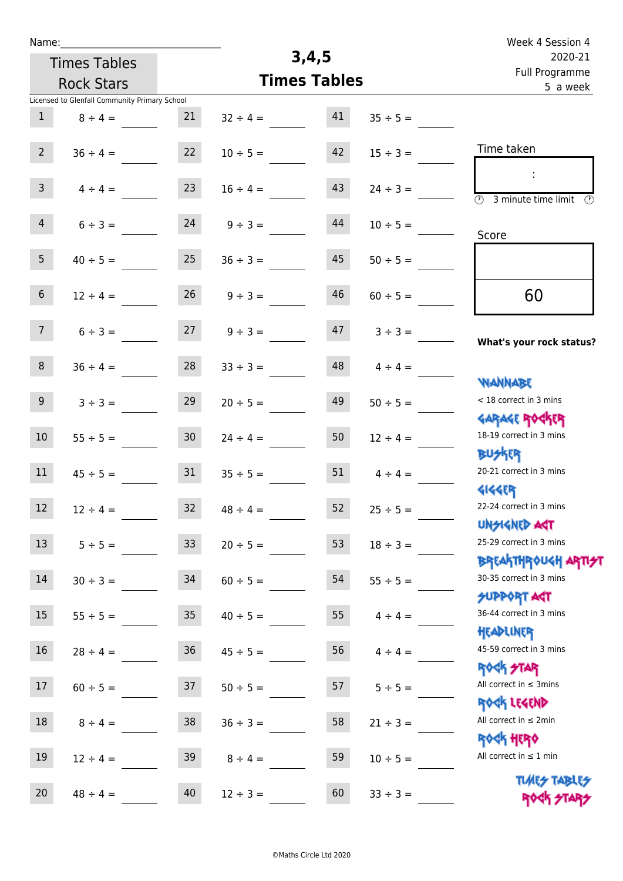| Week 4 Session 4                                                 |               |                     |               |                   |                                               | Name:             |  |  |  |
|------------------------------------------------------------------|---------------|---------------------|---------------|-------------------|-----------------------------------------------|-------------------|--|--|--|
| 2020-21                                                          |               |                     | 3,4,5         |                   | <b>Times Tables</b>                           |                   |  |  |  |
| Full Programme<br>5 a week                                       |               | <b>Times Tables</b> |               | <b>Rock Stars</b> |                                               |                   |  |  |  |
|                                                                  |               |                     |               |                   | Licensed to Glenfall Community Primary School |                   |  |  |  |
|                                                                  | $35 \div 5 =$ | 41                  | $32 \div 4 =$ | 21                | $8 \div 4 =$                                  | $\mathbf{1}$      |  |  |  |
| Time taken                                                       | $15 \div 3 =$ | 42                  | $10 \div 5 =$ | 22                | $36 \div 4 =$                                 | $\overline{2}$    |  |  |  |
| $\circled{r}$<br>3 minute time limit<br>$\mathcal{O}$            | $24 \div 3 =$ | 43                  | $16 \div 4 =$ | 23                | $4 \div 4 =$                                  | $\mathbf{3}$      |  |  |  |
| Score                                                            | $10 \div 5 =$ | 44                  | $9 ÷ 3 =$     | 24                | $6 \div 3 =$                                  | $\overline{4}$    |  |  |  |
|                                                                  | $50 \div 5 =$ | 45                  | $36 \div 3 =$ | 25                | $40 \div 5 =$                                 | 5                 |  |  |  |
| 60                                                               | $60 \div 5 =$ | 46                  | $9 ÷ 3 =$     | 26                | $12 \div 4 =$                                 | $\sqrt{6}$        |  |  |  |
| What's your rock status?                                         | $3 ÷ 3 =$     | 47                  | $9 ÷ 3 =$     | 27                | $6 ÷ 3 =$                                     | 7 <sup>7</sup>    |  |  |  |
| <b>JARNARY</b>                                                   | $4 \div 4 =$  | 48                  | $33 \div 3 =$ | 28                | $36 \div 4 =$                                 | $\,8\,$           |  |  |  |
| < 18 correct in 3 mins                                           | $50 \div 5 =$ | 49                  | $20 \div 5 =$ | 29                | $3 ÷ 3 =$                                     | $\boldsymbol{9}$  |  |  |  |
| <b>GARAGE ROGKER</b><br>18-19 correct in 3 mins<br><b>BUSKRR</b> | $12 \div 4 =$ | 50                  | $24 \div 4 =$ | 30 <sub>o</sub>   | $55 \div 5 =$                                 | 10                |  |  |  |
| 20-21 correct in 3 mins<br><b>4144EP</b>                         | $4 \div 4 =$  | 51                  | $35 \div 5 =$ | 31                | $45 \div 5 =$                                 | 11                |  |  |  |
| 22-24 correct in 3 mins<br><b>UNSIGNED AGT</b>                   | $25 \div 5 =$ | 52                  | $48 \div 4 =$ | 32                | $12 \div 4 =$                                 | $12 \overline{ }$ |  |  |  |
| 25-29 correct in 3 mins                                          | $18 \div 3 =$ | 53                  | $20 \div 5 =$ | 33 <sup>°</sup>   | $5 ÷ 5 =$                                     | 13                |  |  |  |
| <b>BREAKTHROUGH ARTI<del>S</del>T</b><br>30-35 correct in 3 mins | $55 \div 5 =$ | 54                  | $60 \div 5 =$ | 34                | $30 \div 3 =$                                 | $14\,$            |  |  |  |
| <b>SUPPORT AGT</b><br>36-44 correct in 3 mins                    | $4 \div 4 =$  | 55                  | $40 \div 5 =$ | $35\phantom{.0}$  | $55 \div 5 =$                                 | 15                |  |  |  |
| HEADLINER<br>45-59 correct in 3 mins                             | $4 \div 4 =$  | 56                  | $45 \div 5 =$ | 36                | $28 \div 4 =$                                 | $16\,$            |  |  |  |
| <b>ROCK STAR</b><br>All correct in $\leq$ 3mins                  | $5 ÷ 5 =$     | 57                  | $50 \div 5 =$ | 37                | $60 \div 5 =$                                 | 17                |  |  |  |
| ROCK LEGEND<br>All correct in $\leq 2$ min                       | $21 \div 3 =$ | 58                  | $36 \div 3 =$ | 38                | $8 \div 4 =$                                  | $18\,$            |  |  |  |
| <b>ROCK HERO</b><br>All correct in $\leq 1$ min                  | $10 \div 5 =$ | 59                  | $8 \div 4 =$  | 39                | $12 \div 4 =$                                 | 19                |  |  |  |
| <b>TUARS TABLES</b><br>ROCK STARS                                | $33 \div 3 =$ | 60                  | $12 \div 3 =$ | 40                | $48 \div 4 =$                                 | 20                |  |  |  |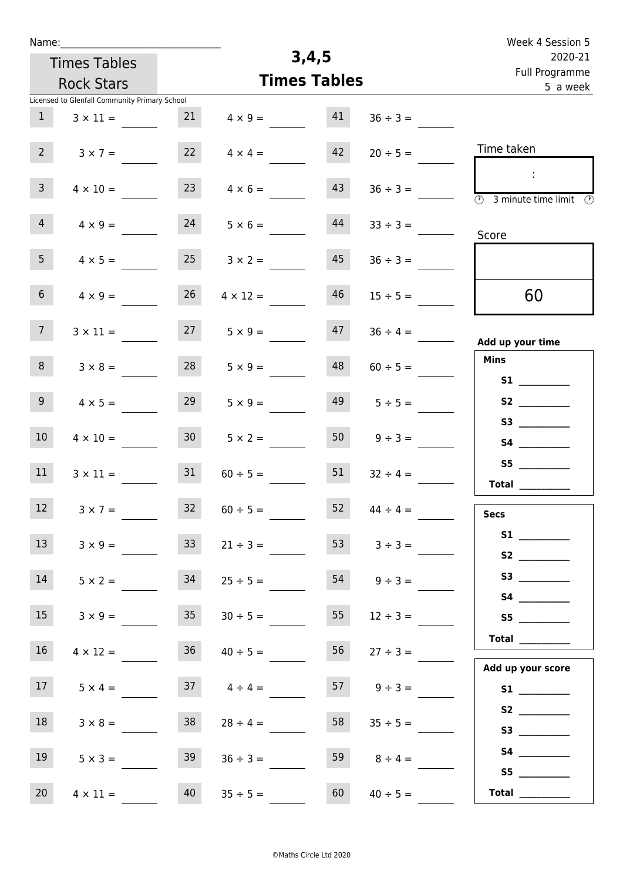| Name:           |                                               |                 |                 |                     |               | Week 4 Session 5                                                        |
|-----------------|-----------------------------------------------|-----------------|-----------------|---------------------|---------------|-------------------------------------------------------------------------|
|                 | <b>Times Tables</b>                           |                 | 3,4,5           | 2020-21             |               |                                                                         |
|                 | <b>Rock Stars</b>                             |                 |                 | <b>Times Tables</b> |               | Full Programme<br>5 a week                                              |
|                 | Licensed to Glenfall Community Primary School |                 |                 |                     |               |                                                                         |
| 1               | $3 \times 11 =$                               | 21              | $4 \times 9 =$  | 41                  | $36 \div 3 =$ |                                                                         |
| $2^{\circ}$     | $3 \times 7 =$                                | 22              | $4 \times 4 =$  | 42                  | $20 \div 5 =$ | Time taken                                                              |
| $\mathbf{3}$    | $4 \times 10 =$                               | 23              | $4 \times 6 =$  | 43                  | $36 \div 3 =$ | $\mathcal{L}_{\mathcal{C}}$<br>(1)<br>3 minute time limit $\circled{)}$ |
| $\overline{4}$  | $4 \times 9 =$                                | 24              | $5 \times 6 =$  | 44                  | $33 \div 3 =$ | Score                                                                   |
| 5 <sub>1</sub>  | $4 \times 5 =$                                | 25              | $3 \times 2 =$  | 45                  | $36 \div 3 =$ |                                                                         |
| 6 <sup>1</sup>  | $4 \times 9 =$                                | 26              | $4 \times 12 =$ | 46                  | $15 \div 5 =$ | 60                                                                      |
| 7 <sup>7</sup>  | $3 \times 11 =$                               | 27              | $5 \times 9 =$  | 47                  | $36 \div 4 =$ | Add up your time                                                        |
| 8               | $3 \times 8 =$                                | 28              | $5 \times 9 =$  | 48                  | $60 \div 5 =$ | <b>Mins</b><br><b>S1</b>                                                |
| 9 <sub>o</sub>  | $4 \times 5 =$                                | 29              | $5 \times 9 =$  | 49                  | $5 \div 5 =$  |                                                                         |
| 10 <sup>°</sup> | $4 \times 10 =$                               | 30 <sup>°</sup> | $5 \times 2 =$  | 50                  | $9 ÷ 3 =$     |                                                                         |
| 11              | $3 \times 11 =$                               | 31              | $60 \div 5 =$   | 51                  | $32 \div 4 =$ | S5<br>Total                                                             |
| 12              | $3 \times 7 =$                                | 32              | $60 \div 5 =$   | 52                  | $44 \div 4 =$ | <b>Secs</b>                                                             |
| 13              | $3 \times 9 =$                                | 33 <sup>°</sup> | $21 \div 3 =$   | 53                  | $3 ÷ 3 =$     |                                                                         |
| 14              | $5 \times 2 =$                                | 34              | $25 \div 5 =$   | 54                  | $9 ÷ 3 =$     |                                                                         |
| 15              | $3 \times 9 =$                                | 35 <sub>1</sub> | $30 \div 5 =$   | 55                  | $12 \div 3 =$ | S5                                                                      |
| 16 <sup>1</sup> | $4 \times 12 =$                               | 36              | $40 \div 5 =$   | 56                  | $27 \div 3 =$ |                                                                         |
| 17              | $5 \times 4 =$                                | 37              | $4 \div 4 =$    | 57                  | $9 \div 3 =$  | Add up your score<br>S1                                                 |
| 18              | $3 \times 8 =$                                | 38              | $28 \div 4 =$   | 58                  | $35 \div 5 =$ |                                                                         |
| 19              | $5 \times 3 =$                                | 39              | $36 \div 3 =$   | 59                  | $8 \div 4 =$  |                                                                         |
| 20 <sub>2</sub> | $4 \times 11 =$                               | 40              | $35 \div 5 =$   | 60                  | $40 \div 5 =$ | S5                                                                      |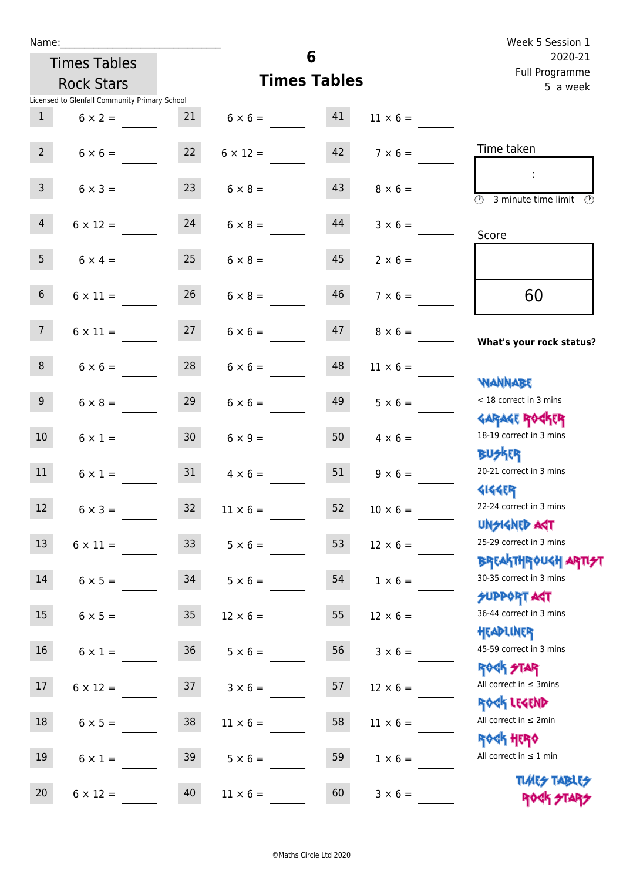| Name:           |                                               |                 |                 | 6                         |                                     | Week 5 Session 1                                                 |
|-----------------|-----------------------------------------------|-----------------|-----------------|---------------------------|-------------------------------------|------------------------------------------------------------------|
|                 | <b>Times Tables</b>                           |                 |                 | 2020-21<br>Full Programme |                                     |                                                                  |
|                 | <b>Rock Stars</b>                             |                 |                 | <b>Times Tables</b>       |                                     | 5 a week                                                         |
|                 | Licensed to Glenfall Community Primary School |                 |                 |                           |                                     |                                                                  |
| $\mathbf{1}$    | $6 \times 2 = 21$                             |                 |                 | $6 \times 6 = 41$         | $11 \times 6 =$                     |                                                                  |
| 2               | $6 \times 6 = 22$                             |                 |                 |                           | $6 \times 12 =$ $42$ $7 \times 6 =$ | Time taken                                                       |
| 3 <sup>7</sup>  | $6 \times 3 =$                                | 23              | $6 \times 8 =$  | 43                        | $8 \times 6 =$                      | <b>3</b> minute time limit                                       |
| $\overline{4}$  | $6 \times 12 = 24$                            |                 | $6 \times 8 =$  | 44                        | $3 \times 6 =$                      | Score                                                            |
| 5 <sub>1</sub>  | $6 \times 4 =$                                | 25              | $6 \times 8 =$  | 45                        | $2 \times 6 =$                      |                                                                  |
| 6 <sup>1</sup>  | $6 \times 11 =$                               | 26              | $6 \times 8 =$  | 46                        | $7 \times 6 =$                      | 60                                                               |
| $7\overline{ }$ | $6 \times 11 = 27$                            |                 | $6 \times 6 =$  | 47                        | $8 \times 6 =$                      | What's your rock status?                                         |
| 8 <sup>1</sup>  | $6 \times 6 =$                                | 28              | $6 \times 6 =$  | 48                        | $11 \times 6 =$                     | <b>WANNABE</b>                                                   |
| 9               | $6 \times 8 =$                                | 29              | $6 \times 6 =$  | 49                        | $5 \times 6 =$                      | < 18 correct in 3 mins<br><b>GARAGE ROCKER</b>                   |
| 10 <sup>°</sup> | $6 \times 1 =$                                | 30 <sup>7</sup> | $6 \times 9 =$  | 50                        | $4 \times 6 =$                      | 18-19 correct in 3 mins<br><b>BUSKER</b>                         |
| 11              | $6 \times 1 =$ 31                             |                 | $4 \times 6 =$  | 51                        | $9 \times 6 =$                      | 20-21 correct in 3 mins<br><b>4144ER</b>                         |
| 12              | $6 \times 3 =$                                | 32              | $11 \times 6 =$ | 52                        | $10 \times 6 =$                     | 22-24 correct in 3 mins<br><b>UNSIGNED AGT</b>                   |
| 13              | $6 \times 11 =$                               | 33              | $5 \times 6 =$  | 53                        | $12 \times 6 =$                     | 25-29 correct in 3 mins<br><b>BREAKTHROUGH ARTI<del>S</del>T</b> |
| 14              | $6 \times 5 =$                                | 34              | $5 \times 6 =$  | 54                        | $1 \times 6 =$                      | 30-35 correct in 3 mins<br><b>SUPPORT ART</b>                    |
| 15              | $6 \times 5 =$                                | 35              | $12 \times 6 =$ | 55                        | $12 \times 6 =$                     | 36-44 correct in 3 mins<br>HEADLINER                             |
| 16              | $6 \times 1 =$                                | 36              | $5 \times 6 =$  | 56                        | $3 \times 6 =$                      | 45-59 correct in 3 mins<br><b>ROCK STAR</b>                      |
| 17              | $6 \times 12 =$                               | 37              | $3 \times 6 =$  | 57                        | $12 \times 6 =$                     | All correct in $\leq$ 3mins<br>ROCK LEGEND                       |
| 18              | $6 \times 5 =$                                | 38              | $11 \times 6 =$ | 58                        | $11 \times 6 =$                     | All correct in $\leq 2$ min<br><b>ROCK HERO</b>                  |
| 19              | $6 \times 1 =$                                | 39              | $5 \times 6 =$  | 59                        | $1 \times 6 =$                      | All correct in $\leq 1$ min                                      |
| 20              | $6 \times 12 =$                               | 40              | $11 \times 6 =$ | 60                        | $3 \times 6 =$                      | <b>TUARS TABLES</b><br>ROCK STARS                                |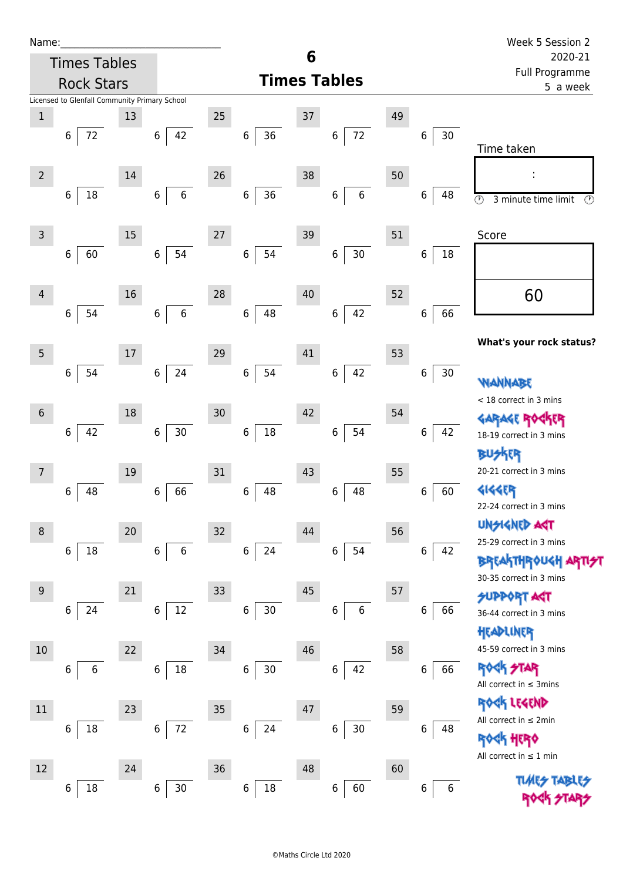| Name:          |                                               |    |                   |        |                            |    |                       |    |             | Week 5 Session 2                                                       |  |  |
|----------------|-----------------------------------------------|----|-------------------|--------|----------------------------|----|-----------------------|----|-------------|------------------------------------------------------------------------|--|--|
|                | <b>Times Tables</b>                           |    |                   |        |                            | 6  |                       |    |             | 2020-21                                                                |  |  |
|                | <b>Rock Stars</b>                             |    |                   |        | <b>Times Tables</b>        |    |                       |    |             | Full Programme<br>5 a week                                             |  |  |
|                | Licensed to Glenfall Community Primary School |    |                   |        |                            |    |                       |    |             |                                                                        |  |  |
| 1              |                                               | 13 |                   | 25     |                            | 37 |                       | 49 |             |                                                                        |  |  |
|                | 72<br>6                                       |    | 42<br>6           |        | 36<br>$\,6$                |    | 72<br>6               |    | 30<br>6     |                                                                        |  |  |
|                |                                               |    |                   |        |                            |    |                       |    |             | Time taken                                                             |  |  |
| $\overline{2}$ |                                               | 14 |                   | 26     |                            | 38 |                       | 50 |             | ÷                                                                      |  |  |
|                | $18\,$<br>6                                   |    | $\,$ 6 $\,$<br>6  |        | 36<br>$\,$ 6 $\,$          |    | $\boldsymbol{6}$<br>6 |    | 6<br>48     | $\overline{\circlearrowright}$<br>$\circled{r}$<br>3 minute time limit |  |  |
|                |                                               |    |                   |        |                            |    |                       |    |             |                                                                        |  |  |
| 3              |                                               | 15 |                   | 27     |                            | 39 |                       | 51 |             | Score                                                                  |  |  |
|                | 6<br>60                                       |    | 54<br>$\,$ 6 $\,$ |        | 6<br>54                    |    | 30<br>$\,$ 6 $\,$     |    | 6<br>18     |                                                                        |  |  |
|                |                                               |    |                   |        |                            |    |                       |    |             |                                                                        |  |  |
| 4              |                                               | 16 |                   | 28     |                            | 40 |                       | 52 |             | 60                                                                     |  |  |
|                | 6<br>54                                       |    | 6<br>6            |        | 48<br>$\,6\,$              |    | 42<br>$\,6\,$         |    | 66<br>6     |                                                                        |  |  |
|                |                                               |    |                   |        |                            |    |                       |    |             |                                                                        |  |  |
| 5              |                                               | 17 |                   | 29     |                            | 41 |                       | 53 |             | What's your rock status?                                               |  |  |
|                | 54<br>6                                       |    | 24<br>6           |        | $\,$ 6 $\,$<br>54          |    | 42<br>$\,6$           |    | $\,6$<br>30 |                                                                        |  |  |
|                |                                               |    |                   |        |                            |    |                       |    |             | <b>WANNABE</b>                                                         |  |  |
|                |                                               |    |                   |        |                            |    |                       |    |             | < 18 correct in 3 mins                                                 |  |  |
| $6\,$          |                                               | 18 |                   | 30     |                            | 42 |                       | 54 |             | <b>GARAGE ROGKER</b>                                                   |  |  |
|                | 42<br>6                                       |    | $30\,$<br>6       |        | $18\,$<br>6                |    | 54<br>6               |    | 42<br>6     | 18-19 correct in 3 mins                                                |  |  |
|                |                                               |    |                   |        |                            |    |                       |    |             | kER                                                                    |  |  |
| 7              |                                               | 19 |                   | 31     |                            | 43 |                       | 55 |             | 20-21 correct in 3 mins                                                |  |  |
|                | 48<br>6                                       |    | 66<br>$\,6$       |        | $\boldsymbol{6}$<br>48     |    | 48<br>6               |    | 60<br>6     | 4144ER                                                                 |  |  |
|                |                                               |    |                   |        |                            |    |                       |    |             | 22-24 correct in 3 mins                                                |  |  |
| 8              |                                               | 20 |                   | 32     |                            | 44 |                       | 56 |             | <b>UNSIGNED AST</b><br>25-29 correct in 3 mins                         |  |  |
|                | 18<br>6                                       |    | 6<br>$\,6\,$      |        | 6<br>24                    |    | 54<br>$\,6\,$         |    | 42<br>6     | <b>BREAKTHROUGH ARTI<del>S</del>T</b>                                  |  |  |
|                |                                               |    |                   |        |                            |    |                       |    |             | 30-35 correct in 3 mins                                                |  |  |
| 9              |                                               | 21 |                   | 33     |                            | 45 |                       | 57 |             | <b>SUPPORT AST</b>                                                     |  |  |
|                | 6<br>24                                       |    | $12\,$<br>$\,6\,$ |        | $\bf 6$<br>$30\,$          |    | $6\,$<br>6            |    | 6<br>66     | 36-44 correct in 3 mins                                                |  |  |
|                |                                               |    |                   |        |                            |    |                       |    |             | HEADLINER                                                              |  |  |
| $10$           |                                               | 22 |                   | $34\,$ |                            | 46 |                       | 58 |             | 45-59 correct in 3 mins                                                |  |  |
|                | 6<br>6                                        |    | $18\,$<br>6       |        | $\boldsymbol{6}$<br>$30\,$ |    | 42<br>6               |    | 66<br>6     | <b>ROCK STAR</b>                                                       |  |  |
|                |                                               |    |                   |        |                            |    |                       |    |             | All correct in $\leq$ 3mins                                            |  |  |
| 11             |                                               | 23 |                   | 35     |                            | 47 |                       | 59 |             | ROCK LEGEND                                                            |  |  |
|                | $18\,$<br>6                                   |    | 72<br>6           |        | $\bf 6$<br>24              |    | 30 <sub>o</sub><br>6  |    | 6<br>48     | All correct in $\leq 2$ min                                            |  |  |
|                |                                               |    |                   |        |                            |    |                       |    |             | <b>ROGK HERO</b>                                                       |  |  |
| 12             |                                               | 24 |                   | 36     |                            | 48 |                       | 60 |             | All correct in $\leq 1$ min                                            |  |  |
|                | 18<br>6                                       |    | $30$<br>6         |        | $\boldsymbol{6}$<br>18     |    | 60<br>6               |    | 6<br>6      | <b>TLME<del>S</del></b>                                                |  |  |
|                |                                               |    |                   |        |                            |    |                       |    |             |                                                                        |  |  |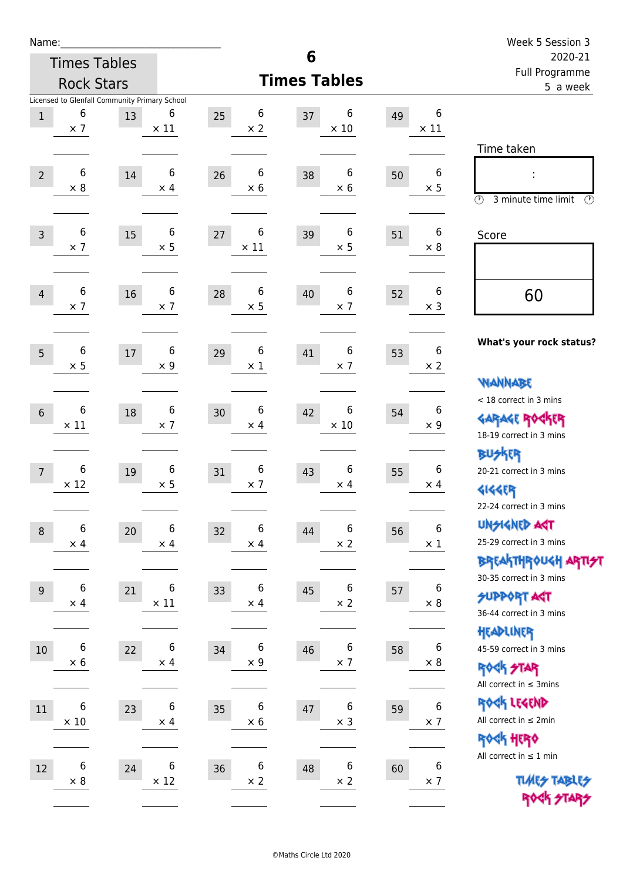| Name:           |                                                                  |    |                  |                                      |                                      |                             | Week 5 Session 3                                                                        |
|-----------------|------------------------------------------------------------------|----|------------------|--------------------------------------|--------------------------------------|-----------------------------|-----------------------------------------------------------------------------------------|
|                 | <b>Times Tables</b>                                              |    |                  |                                      | 6                                    |                             | 2020-21<br>Full Programme                                                               |
|                 | <b>Rock Stars</b>                                                |    |                  |                                      | <b>Times Tables</b>                  | 5 a week                    |                                                                                         |
| $1\,$           | Licensed to Glenfall Community Primary School<br>6<br>$\times$ 7 | 13 | 6<br>$\times$ 11 | 6<br>25<br>$\times$ 2                | 6<br>37<br>$\times$ 10               | 6<br>49<br>$\times$ 11      | Time taken                                                                              |
| $\overline{2}$  | 6<br>$\times 8$                                                  | 14 | 6<br>$\times$ 4  | 6<br>26<br>$\times$ 6                | 6<br>38<br>$\times 6$                | 6<br>50<br>$\times$ 5       | $\circled{r}$<br>3 minute time limit<br>$\mathcal{O}$                                   |
| $\overline{3}$  | 6<br>$\times$ 7                                                  | 15 | 6<br>$\times$ 5  | 6<br>27<br>$\times$ 11               | 6<br>39<br>$\times$ 5                | 6<br>51<br>$\times 8$       | Score                                                                                   |
| $\overline{4}$  | 6<br>$\times$ 7                                                  | 16 | 6<br>$\times$ 7  | 6<br>28<br>$\times$ 5                | 6<br>40<br>$\times$ 7                | 6<br>52<br>$\times$ 3       | 60                                                                                      |
| 5               | 6<br>$\times$ 5                                                  | 17 | 6<br>$\times$ 9  | 6<br>29<br>$\times$ 1                | 6<br>41<br>$\times$ 7                | 6<br>53<br>$\times$ 2       | What's your rock status?<br>WANNABE                                                     |
| $6\phantom{1}6$ | 6<br>$\times$ 11                                                 | 18 | 6<br>$\times$ 7  | 6<br>30<br>$\times$ 4                | 6<br>42<br>$\times$ 10               | 6<br>54<br>$\times$ 9       | < 18 correct in 3 mins<br><b>GARAGE ROG</b><br>18-19 correct in 3 mins                  |
| $\overline{7}$  | 6<br>$\times$ 12                                                 | 19 | 6<br>$\times$ 5  | $\boldsymbol{6}$<br>31<br>$\times$ 7 | 6<br>43<br>$\times$ 4                | 6<br>55<br>$\times$ 4       | <b>BUSKER</b><br>20-21 correct in 3 mins<br><b>4144EP</b><br>22-24 correct in 3 mins    |
| $\,8\,$         | 6<br>$\times$ 4                                                  | 20 | 6<br>$\times$ 4  | 6<br>32<br>$\times$ 4                | 6<br>44<br>$\times$ 2                | 6<br>56<br>$\times$ 1       | <b>UNSIGNED AGT</b><br>25-29 correct in 3 mins<br><b>BREAKTHROUGH ARTI<del>S</del>T</b> |
| $9\,$           | 6<br>$\times$ 4                                                  | 21 | 6<br>$\times$ 11 | 6<br>33<br>$\times$ 4                | 6<br>45<br>$\times$ 2                | 6<br>57<br>$\times$ 8       | 30-35 correct in 3 mins<br>SUPPORT AGT<br>36-44 correct in 3 mins                       |
| $10\,$          | 6<br>$\times$ 6                                                  | 22 | 6<br>$\times$ 4  | 6<br>34<br>$\times$ 9                | 6<br>46<br>$\times$ 7                | 6<br>58<br>$\times$ 8       | HEADLINER<br>45-59 correct in 3 mins<br><b>ROCK STAR</b><br>All correct in $\leq$ 3mins |
| 11              | 6<br>$\times$ 10                                                 | 23 | 6<br>$\times$ 4  | 6<br>35<br>$\times 6$                | $\,$ 6 $\,$<br>47<br>$\times$ 3      | $\bf 6$<br>59<br>$\times$ 7 | ROCK LEGEND<br>All correct in $\leq 2$ min<br>ROCK HERO                                 |
| 12              | 6<br>$\times$ 8                                                  | 24 | 6<br>$\times$ 12 | 6<br>36<br>$\times$ 2                | $\boldsymbol{6}$<br>48<br>$\times$ 2 | 6<br>60<br>$\times$ 7       | All correct in $\leq 1$ min<br><b>TUARS TABLES</b><br>ROCK STARS                        |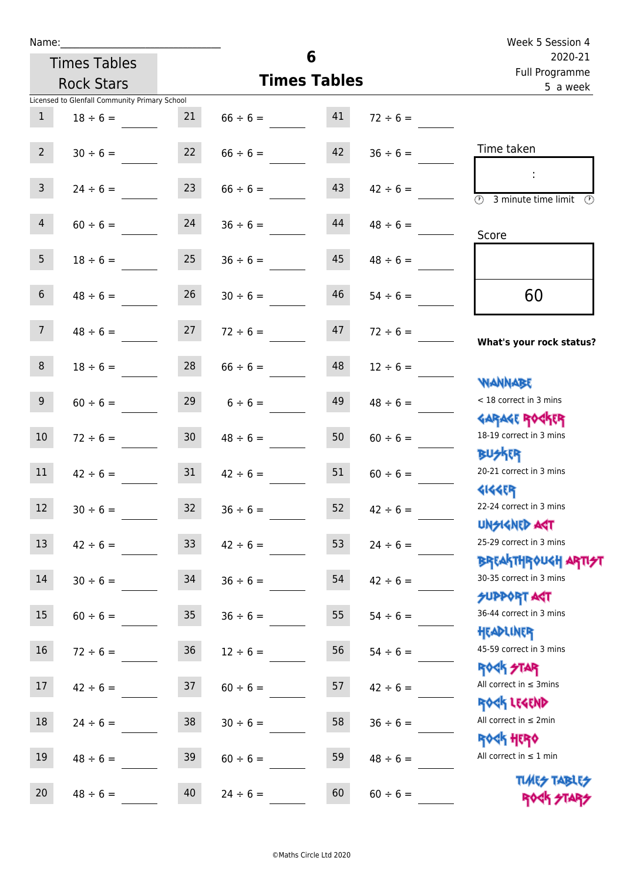| Name:                                         |                                |                                |    |                     | Week 5 Session 4                                                              |  |
|-----------------------------------------------|--------------------------------|--------------------------------|----|---------------------|-------------------------------------------------------------------------------|--|
| <b>Times Tables</b>                           |                                | 6                              |    |                     | 2020-21<br>Full Programme                                                     |  |
| <b>Rock Stars</b>                             |                                | <b>Times Tables</b>            |    |                     | 5 a week                                                                      |  |
| Licensed to Glenfall Community Primary School |                                |                                |    |                     |                                                                               |  |
| $\mathbf{1}$<br>$18 \div 6 =$                 | 21                             | $66 \div 6 =$                  | 41 | $72 \div 6 =$       |                                                                               |  |
| $2^{\circ}$                                   |                                | $30 \div 6 = 22$ $66 \div 6 =$ |    | $42 \t 36 \div 6 =$ | Time taken                                                                    |  |
| 3 <sup>7</sup><br>$24 \div 6 =$               | 23                             | $66 \div 6 =$                  | 43 | $42 \div 6 =$       | $\overline{\textcircled{1}}$ 3 minute time limit $\overline{\textcircled{1}}$ |  |
| $\overline{4}$<br>$60 \div 6 =$               | 24                             | $36 \div 6 =$                  | 44 | $48 \div 6 =$       | Score                                                                         |  |
| 5 <sub>1</sub><br>$18 \div 6 =$               | 25                             | $36 \div 6 =$                  | 45 | $48 \div 6 =$       |                                                                               |  |
| 6 <sup>1</sup><br>$48 \div 6 =$               | 26                             | $30 \div 6 =$                  | 46 | $54 \div 6 =$       | 60                                                                            |  |
| 7 <sup>7</sup>                                | $48 \div 6 =$ 27 $72 \div 6 =$ |                                | 47 | $72 \div 6 =$       | What's your rock status?                                                      |  |
| 8 <sup>1</sup><br>$18 \div 6 =$               |                                | $28$ $66 \div 6 =$             | 48 | $12 \div 6 =$       | <b>NANNABE</b>                                                                |  |
| 9<br>$60 \div 6 =$                            | 29                             | $6 \div 6 =$                   | 49 | $48 \div 6 =$       | < 18 correct in 3 mins<br><b>GARAGE ROCKER</b>                                |  |
| 10 <sup>°</sup><br>$72 \div 6 =$              | 30 <sup>1</sup>                | $48 \div 6 =$                  | 50 | $60 \div 6 =$       | 18-19 correct in 3 mins<br><b>BUSKER</b>                                      |  |
| $42 \div 6 = 31$<br>11                        |                                | $42 \div 6 =$                  | 51 | $60 \div 6 =$       | 20-21 correct in 3 mins<br><b>4144ER</b>                                      |  |
| 12<br>$30 \div 6 =$                           | 32                             | $36 \div 6 =$                  | 52 | $42 \div 6 =$       | 22-24 correct in 3 mins<br><b>UNSIGNED AGT</b>                                |  |
| 13<br>$42 \div 6 =$                           | 33 <sup>°</sup>                | $42 \div 6 =$                  | 53 | $24 \div 6 =$       | 25-29 correct in 3 mins<br><b>BREAKTHROUGH ARTI<del>S</del>T</b>              |  |
| 14<br>$30 \div 6 =$                           | 34                             | $36 \div 6 =$                  | 54 | $42 \div 6 =$       | 30-35 correct in 3 mins<br><b>SUPPORT AGT</b>                                 |  |
| 15<br>$60 \div 6 =$                           | 35 <sub>1</sub>                | $36 \div 6 =$                  | 55 | $54 \div 6 =$       | 36-44 correct in 3 mins<br>HEADLINER                                          |  |
| 16<br>$72 \div 6 =$                           | $36\,$                         | $12 \div 6 =$                  | 56 | $54 \div 6 =$       | 45-59 correct in 3 mins<br><b>ROCK STAR</b>                                   |  |
| 17<br>$42 \div 6 =$                           | 37                             | $60 \div 6 =$                  | 57 | $42 \div 6 =$       | All correct in $\leq$ 3mins<br>ROCK LEGEND                                    |  |
| 18<br>$24 \div 6 =$                           | 38                             | $30 \div 6 =$                  | 58 | $36 \div 6 =$       | All correct in $\leq 2$ min<br><b>ROCK HERO</b>                               |  |
| 19<br>$48 \div 6 =$                           | 39                             | $60 \div 6 =$                  | 59 | $48 \div 6 =$       | All correct in $\leq 1$ min                                                   |  |
| 20<br>$48 \div 6 =$                           | 40                             | $24 \div 6 =$                  | 60 | $60 \div 6 =$       | <b>TUARS TABLES</b><br>ROCK STARS                                             |  |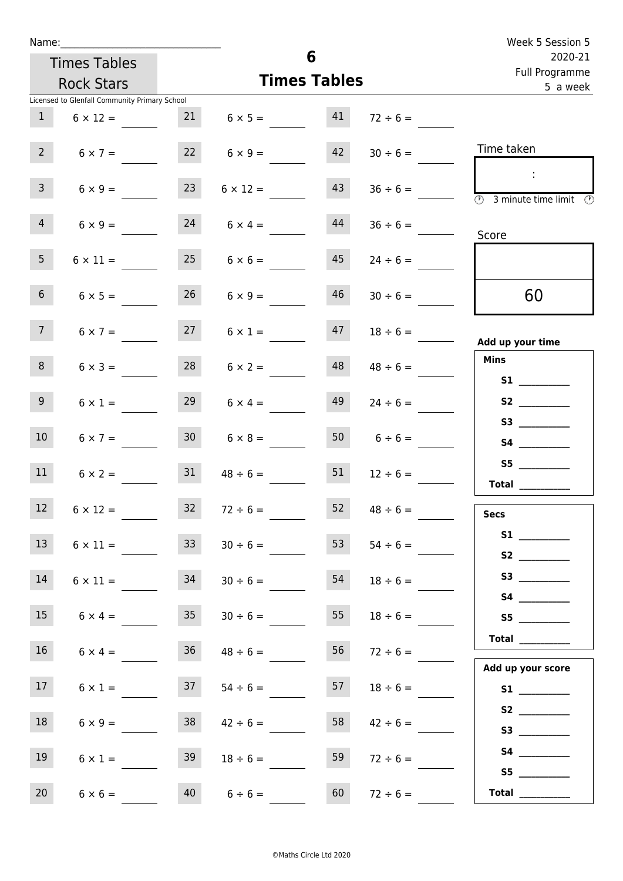| Name:           |                                               |                 |                         |                     |                    | Week 5 Session 5                                                                           |
|-----------------|-----------------------------------------------|-----------------|-------------------------|---------------------|--------------------|--------------------------------------------------------------------------------------------|
|                 | <b>Times Tables</b>                           |                 |                         | 6                   |                    | 2020-21<br>Full Programme                                                                  |
|                 | <b>Rock Stars</b>                             |                 |                         | <b>Times Tables</b> |                    | 5 a week                                                                                   |
|                 | Licensed to Glenfall Community Primary School |                 |                         |                     |                    |                                                                                            |
| 1               | $6 \times 12 =$                               |                 | $21 \t 6 \times 5 = 41$ |                     | $72 \div 6 =$      |                                                                                            |
| $2^{\circ}$     | $6 \times 7 =$                                |                 | $6 \times 9 =$          | 42                  | $30 \div 6 =$      | Time taken                                                                                 |
| $\mathbf{3}$    | $6 \times 9 =$                                | 23              | $6 \times 12 =$         | 43                  | $36 \div 6 =$      | $\sim 10$<br>$\overline{\textcircled{1}}$ 3 minute time limit $\overline{\textcircled{1}}$ |
| $\overline{4}$  | $6 \times 9 =$                                | 24              | $6 \times 4 =$          | 44                  | $36 \div 6 =$      | Score                                                                                      |
| 5 <sub>1</sub>  | $6 \times 11 =$                               |                 | $25 \t 6 \times 6 =$    | 45                  | $24 \div 6 =$      |                                                                                            |
| 6 <sup>1</sup>  | $6 \times 5 =$                                | 26              | $6 \times 9 =$          | 46                  | $30 \div 6 =$      | 60                                                                                         |
| 7 <sup>7</sup>  | $6 \times 7 =$                                |                 | $27 \t 6 \times 1 =$    |                     | $47$ $18 \div 6 =$ | Add up your time                                                                           |
| 8               | $6 \times 3 =$                                | 28              | $6 \times 2 =$          | 48                  | $48 \div 6 =$      | <b>Mins</b><br><b>S1 S1</b>                                                                |
| 9 <sub>o</sub>  | $6 \times 1 =$                                | 29              | $6 \times 4 =$          | 49                  | $24 \div 6 =$      | S2                                                                                         |
| 10 <sup>°</sup> | $6 \times 7 =$                                | 30 <sup>1</sup> | $6 \times 8 =$          |                     | 50 $6 \div 6 =$    |                                                                                            |
| 11              | $6 \times 2 =$                                | 31              | $48 \div 6 =$           | 51                  | $12 \div 6 =$      | S5<br>Total $\qquad$                                                                       |
| 12 <sup>2</sup> | $6 \times 12 =$                               | 32 <sub>2</sub> | $72 \div 6 =$           | 52                  | $48 \div 6 =$      | <b>Secs</b>                                                                                |
| 13              | $6 \times 11 =$                               | 33              | $30 \div 6 =$           | 53                  | $54 \div 6 =$      |                                                                                            |
| 14              | $6 \times 11 =$                               | 34              | $30 \div 6 =$           | 54                  | $18 \div 6 =$      |                                                                                            |
| 15 <sub>1</sub> | $6 \times 4 =$                                | 35 <sub>1</sub> | $30 \div 6 =$           | 55                  | $18 \div 6 =$      | S5                                                                                         |
| 16              | $6 \times 4 =$                                | 36              | $48 \div 6 =$           | 56                  | $72 \div 6 =$      | Total $\_\_$                                                                               |
| 17              | $6 \times 1 =$                                | 37              | $54 \div 6 =$           | 57                  | $18 \div 6 =$      | Add up your score                                                                          |
| 18              | $6 \times 9 =$                                | 38              | $42 \div 6 =$           | 58                  | $42 \div 6 =$      | S2                                                                                         |
| 19              | $6 \times 1 =$                                | 39              | $18 \div 6 =$           | 59                  | $72 \div 6 =$      |                                                                                            |
| 20              | $6 \times 6 =$                                | 40              | $6 \div 6 =$            | 60                  | $72 \div 6 =$      | S5<br>Total $\_\_$                                                                         |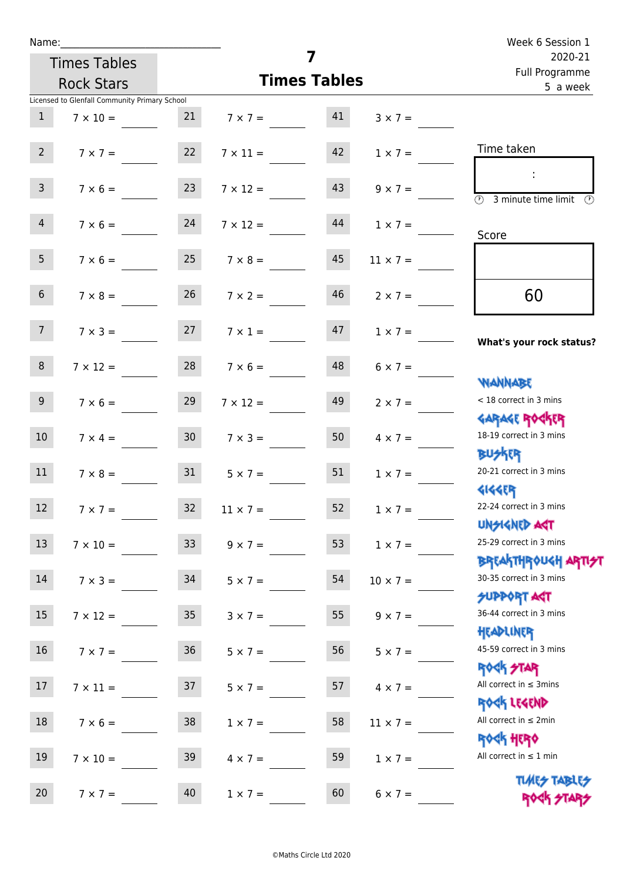| Name:           |                                               |                 |                                                     |                     |                 | Week 6 Session 1                                                              |
|-----------------|-----------------------------------------------|-----------------|-----------------------------------------------------|---------------------|-----------------|-------------------------------------------------------------------------------|
|                 | <b>Times Tables</b>                           |                 |                                                     | 7                   |                 | 2020-21<br>Full Programme                                                     |
|                 | <b>Rock Stars</b>                             |                 |                                                     | <b>Times Tables</b> |                 | 5 a week                                                                      |
|                 | Licensed to Glenfall Community Primary School |                 |                                                     |                     |                 |                                                                               |
| $\mathbf{1}$    | $7 \times 10 =$                               |                 | $7 \times 7 = 41$                                   |                     | $3 \times 7 =$  |                                                                               |
| 2               |                                               |                 | $7 \times 7 =$ 22 $7 \times 11 =$ 42 $1 \times 7 =$ |                     |                 | Time taken                                                                    |
| 3 <sup>7</sup>  | $7 \times 6 =$ 23                             |                 | $7 \times 12 =$                                     | 43                  | $9 \times 7 =$  | $\overline{\textcircled{2}}$ 3 minute time limit $\overline{\textcircled{2}}$ |
| $\overline{4}$  | $7 \times 6 = 24$                             |                 | $7 \times 12 =$                                     | 44                  | $1 \times 7 =$  | Score                                                                         |
| 5 <sup>5</sup>  |                                               |                 | $7 \times 6 = 25$ $7 \times 8 =$                    | 45                  | $11 \times 7 =$ |                                                                               |
| 6 <sup>1</sup>  | $7 \times 8 =$                                | 26              | $7 \times 2 =$                                      | 46                  | $2 \times 7 =$  | 60                                                                            |
| 7 <sup>7</sup>  | $7 \times 3 = 27$                             |                 | $7 \times 1 =$                                      | 47                  | $1 \times 7 =$  | What's your rock status?                                                      |
| 8               |                                               |                 | $7 \times 12 = 28$ $7 \times 6 =$                   | 48                  | $6 \times 7 =$  | <b>WANNABE</b>                                                                |
| 9 <sub>o</sub>  | $7 \times 6 =$                                | 29              | $7 \times 12 =$                                     | 49                  | $2 \times 7 =$  | < 18 correct in 3 mins<br><b>GARAGE ROCKER</b>                                |
| 10 <sup>°</sup> | $7 \times 4 =$                                | 30              | $7 \times 3 =$                                      | 50                  | $4 \times 7 =$  | 18-19 correct in 3 mins<br><b>BUSKER</b>                                      |
| 11              |                                               |                 | $7 \times 8 = 31$ $5 \times 7 = 5$                  | 51                  | $1 \times 7 =$  | 20-21 correct in 3 mins<br><b>4144ER</b>                                      |
| 12              | $7 \times 7 =$                                | 32              | $11 \times 7 =$                                     | 52                  | $1 \times 7 =$  | 22-24 correct in 3 mins<br><b>UNSIGNED AGT</b>                                |
| 13              | $7 \times 10 =$                               | 33 <sup>°</sup> | $9 \times 7 =$                                      | 53                  | $1 \times 7 =$  | 25-29 correct in 3 mins<br><b>BREAKTHROUGH ARTH</b>                           |
| 14              | $7 \times 3 =$                                | 34              | $5 \times 7 =$                                      | 54                  | $10 \times 7 =$ | 30-35 correct in 3 mins<br><b>SUPPORT ART</b>                                 |
| 15 <sub>1</sub> | $7 \times 12 =$                               | 35 <sub>o</sub> | $3 \times 7 =$                                      | 55                  | $9 \times 7 =$  | 36-44 correct in 3 mins<br>HEADLINER                                          |
| 16              | $7 \times 7 =$                                | 36              | $5 \times 7 =$                                      | 56                  | $5 \times 7 =$  | 45-59 correct in 3 mins<br><b>ROCK STAR</b>                                   |
| 17              | $7 \times 11 =$                               | 37              | $5 \times 7 =$                                      | 57                  | $4 \times 7 =$  | All correct in $\leq$ 3mins<br>ROCK LEGEND                                    |
| 18              | $7 \times 6 =$                                | 38              | $1 \times 7 =$                                      | 58                  | $11 \times 7 =$ | All correct in $\leq 2$ min<br><b>ROCK HERO</b>                               |
| 19              | $7 \times 10 =$                               | 39              | $4 \times 7 =$                                      | 59                  | $1 \times 7 =$  | All correct in $\leq 1$ min<br><b>TUARS TABLES</b>                            |
| 20              | $7 \times 7 =$                                | 40              | $1 \times 7 =$                                      | 60                  | $6 \times 7 =$  | ROCK STARS                                                                    |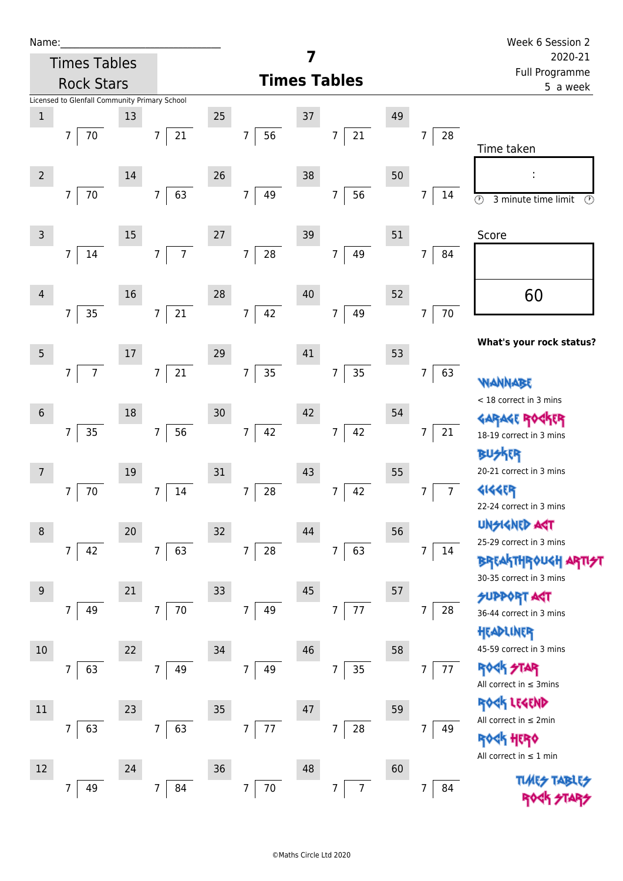| Name:                                                  |                                          |                                  |                          | 7                          |                                  | Week 6 Session 2<br>2020-21                          |
|--------------------------------------------------------|------------------------------------------|----------------------------------|--------------------------|----------------------------|----------------------------------|------------------------------------------------------|
|                                                        | <b>Times Tables</b><br><b>Rock Stars</b> |                                  |                          | <b>Times Tables</b>        |                                  | Full Programme<br>5 a week                           |
| Licensed to Glenfall Community Primary School<br>$1\,$ | 13                                       |                                  | 25                       | 37                         | 49                               |                                                      |
| $\overline{7}$                                         | $70\,$                                   | $\overline{7}$<br>21             | 56<br>7                  | $21\,$<br>7                | $\overline{7}$<br>28             | Time taken                                           |
| $\mathbf 2$<br>$\overline{7}$                          | 14<br>$70\,$                             | 63<br>$\overline{7}$             | 26<br>49<br>7            | 38<br>56<br>$\overline{7}$ | 50<br>7<br>14                    |                                                      |
|                                                        |                                          |                                  |                          |                            |                                  | $\odot$<br>3 minute time limit<br>O)                 |
| $\mathsf 3$<br>$\overline{7}$                          | $15\,$<br>14                             | $\overline{7}$<br>$\overline{7}$ | 27<br>28<br>7            | 39<br>49<br>$\overline{7}$ | 51<br>$\overline{7}$<br>84       | Score                                                |
|                                                        |                                          |                                  |                          |                            |                                  |                                                      |
| $\overline{4}$                                         | 16                                       |                                  | 28                       | 40                         | 52                               | 60                                                   |
| $\overline{7}$                                         | $35\,$                                   | $21\,$<br>$\overline{7}$         | 42<br>$\overline{7}$     | 49<br>7                    | $70\,$<br>$\overline{7}$         | What's your rock status?                             |
| 5                                                      | $17\,$                                   |                                  | 29                       | 41                         | 53                               |                                                      |
| $\overline{7}$                                         | $\overline{7}$                           | $21\,$<br>$\overline{7}$         | 35<br>$\overline{7}$     | 35<br>$\overline{7}$       | $\overline{7}$<br>63             | <b>WANNABE</b><br>< 18 correct in 3 mins             |
| $\sqrt{6}$                                             | 18                                       |                                  | 30                       | 42                         | 54                               |                                                      |
| $\overline{7}$                                         | 35                                       | 56<br>$\overline{7}$             | 42<br>7                  | 42<br>7                    | $\overline{7}$<br>21             | 18-19 correct in 3 mins<br><b>RUSKER</b>             |
| $\overline{7}$                                         | 19                                       |                                  | 31                       | 43                         | 55                               | 20-21 correct in 3 mins                              |
| 7                                                      | $70\,$                                   | $14\,$<br>7                      | 28<br>7                  | 42<br>7                    | $\overline{7}$<br>$\overline{7}$ | <b>4144EP</b><br>22-24 correct in 3 mins             |
| $\, 8$                                                 | 20                                       |                                  | 32                       | 44                         | 56                               | <b>UNSIGNED AGT</b><br>25-29 correct in 3 mins       |
| 7                                                      | 42                                       | 63<br>7                          | $28\,$<br>7              | 63<br>7                    | $\overline{7}$<br>14             | <b>BREAKTHROUGH ARTIS</b><br>30-35 correct in 3 mins |
| $\overline{9}$                                         | 21                                       |                                  | 33                       | 45                         | 57                               | <b>SUPPORT AST</b>                                   |
| $\overline{7}$                                         | 49                                       | $70\,$<br>7 <sup>7</sup>         | 7<br>49                  | 77<br>$\overline{7}$       | 7<br>28                          | 36-44 correct in 3 mins<br>HEADLINER                 |
| $10\,$                                                 | 22                                       |                                  | 34                       | 46                         | 58                               | 45-59 correct in 3 mins                              |
| $\overline{7}$                                         | 63                                       | $\overline{7}$<br>49             | 7<br>49                  | 35<br>7                    | $\overline{7}$<br>77             | <b>ROCK STAR</b><br>All correct in $\leq$ 3mins      |
| $11\,$                                                 | 23                                       |                                  | $35\,$                   | 47                         | 59                               | ROCK LEGEND<br>All correct in $\leq 2$ min           |
| 7                                                      | 63                                       | 63<br>$\overline{7}$             | $77\,$<br>$\overline{7}$ | 28<br>7                    | $\overline{7}$<br>49             | <b>ROCK HERO</b><br>All correct in $\leq 1$ min      |
| 12                                                     | 24                                       |                                  | 36                       | 48                         | 60                               | <b>TUARS TAT</b>                                     |
| 7                                                      | 49                                       | 7<br>84                          | $70\,$<br>7              | $\overline{7}$<br>7        | $\overline{7}$<br>84             |                                                      |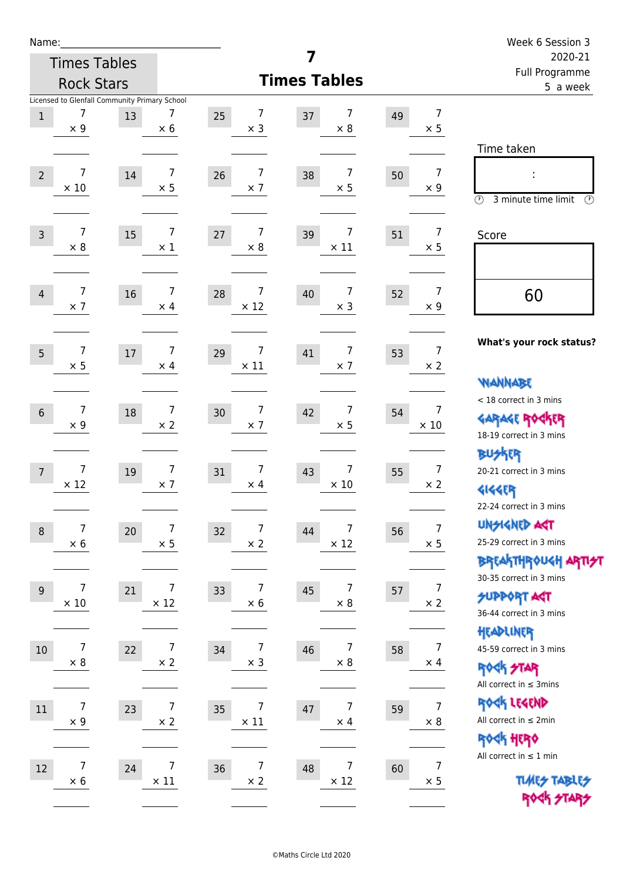| Name:          |                                                                  |        |                               |                                      |                                     |    |                                | Week 6 Session 3                                                                      |
|----------------|------------------------------------------------------------------|--------|-------------------------------|--------------------------------------|-------------------------------------|----|--------------------------------|---------------------------------------------------------------------------------------|
|                | <b>Times Tables</b>                                              |        |                               |                                      | 7                                   |    |                                | 2020-21<br>Full Programme                                                             |
|                | <b>Rock Stars</b>                                                |        |                               |                                      | <b>Times Tables</b>                 |    |                                | 5 a week                                                                              |
| $\mathbf 1$    | Licensed to Glenfall Community Primary School<br>7<br>$\times$ 9 | 13     | 7<br>$\times$ 6               | 7<br>25<br>$\times$ 3                | 7<br>37<br>$\times 8$               | 49 | $\overline{7}$<br>$\times$ 5   | Time taken                                                                            |
| $\overline{2}$ | $\overline{7}$<br>$\times$ 10                                    | 14     | 7<br>$\times$ 5               | $\overline{7}$<br>26<br>$\times$ 7   | 7<br>38<br>$\times$ 5               | 50 | $\overline{7}$<br>$\times$ 9   | $\circled{r}$<br>3 minute time limit<br>$\mathcal{O}$                                 |
| $\overline{3}$ | $\overline{7}$<br>$\times 8$                                     | 15     | $\overline{7}$<br>$\times$ 1  | $\overline{7}$<br>27<br>$\times 8$   | 7<br>39<br>$\times$ 11              | 51 | $\overline{7}$<br>$\times$ 5   | Score                                                                                 |
| $\overline{4}$ | 7<br>$\times$ 7                                                  | 16     | 7<br>$\times$ 4               | 7<br>28<br>$\times$ 12               | 7<br>40<br>$\times$ 3               | 52 | $\overline{7}$<br>$\times$ 9   | 60                                                                                    |
| 5              | $\overline{7}$<br>$\times$ 5                                     | 17     | $\overline{7}$<br>$\times$ 4  | 7<br>29<br>$\times$ 11               | 7<br>41<br>$\times$ 7               | 53 | $\overline{7}$<br>$\times$ 2   | What's your rock status?<br><b>WANNABE</b>                                            |
| $6\phantom{1}$ | $\overline{7}$<br>$\times$ 9                                     | $18\,$ | $\overline{7}$<br>$\times$ 2  | 7<br>30<br>$\times$ 7                | $\overline{7}$<br>42<br>$\times$ 5  | 54 | $\overline{7}$<br>$\times$ 10  | < 18 correct in 3 mins<br><b>GARAGE ROGKER</b><br>18-19 correct in 3 mins             |
| $\overline{7}$ | $\overline{7}$<br>$\times$ 12                                    | 19     | $\overline{7}$<br>$\times$ 7  | $\overline{7}$<br>31<br>$\times$ 4   | $\overline{7}$<br>43<br>$\times$ 10 | 55 | $\overline{7}$<br>$\times 2$   | <b>BUSKER</b><br>20-21 correct in 3 mins<br><b>4144EP</b><br>22-24 correct in 3 mins  |
| $\,8\,$        | 7<br>$\times$ 6                                                  | 20     | 7<br>$\times$ 5               | 7<br>32<br>$\times$ 2                | 7<br>44<br>$\times$ 12              | 56 | $\overline{7}$<br>$\times$ 5   | <b>UNSIGNED AGT</b><br>25-29 correct in 3 mins<br><b>BREAKTHROUGH ARTIST</b>          |
| 9              | $\overline{7}$<br>$\times$ 10                                    | 21     | 7<br>$\times$ 12              | $\boldsymbol{7}$<br>33<br>$\times$ 6 | 7<br>45<br>$\times$ 8               | 57 | $\overline{7}$<br>$\times 2$   | 30-35 correct in 3 mins<br><b>SUPPORT ART</b><br>36-44 correct in 3 mins<br>HEADLINER |
| 10             | 7<br>$\times$ 8                                                  | 22     | 7<br>$\times$ 2               | 7<br>34<br>$\times$ 3                | 7<br>46<br>$\times$ 8               | 58 | 7<br>$\times$ 4                | 45-59 correct in 3 mins<br><b>ROCK STAR</b><br>All correct in $\leq$ 3mins            |
| $11\,$         | 7<br>$\times$ 9                                                  | 23     | $\overline{7}$<br>$\times$ 2  | 7<br>35<br>$\times$ 11               | 7<br>47<br>$\times$ 4               | 59 | $\overline{7}$<br>$\times 8$   | ROCK LEGEND<br>All correct in $\leq 2$ min<br>ROCK HERO                               |
| 12             | 7<br>$\times$ 6                                                  | 24     | $\overline{7}$<br>$\times$ 11 | 7<br>36<br>$\times$ 2                | 7<br>48<br>$\times$ 12              | 60 | $\boldsymbol{7}$<br>$\times$ 5 | All correct in $\leq 1$ min<br><b>TUARS TABLES</b><br>ROCK STARS                      |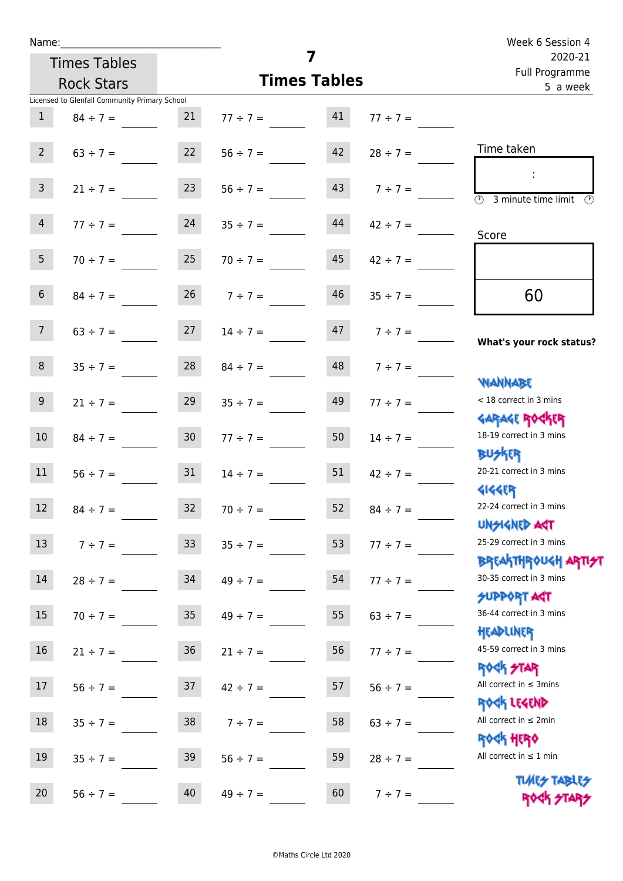| Name:                                         |                 |                                   |                     |                    | Week 6 Session 4                                                   |
|-----------------------------------------------|-----------------|-----------------------------------|---------------------|--------------------|--------------------------------------------------------------------|
| <b>Times Tables</b>                           |                 |                                   | 7                   |                    | 2020-21<br>Full Programme                                          |
| <b>Rock Stars</b>                             |                 |                                   | <b>Times Tables</b> |                    | 5 a week                                                           |
| Licensed to Glenfall Community Primary School |                 |                                   |                     |                    |                                                                    |
| $\mathbf{1}$<br>$84 \div 7 =$                 | 21              | $77 \div 7 = 41$                  |                     | $77 \div 7 =$      |                                                                    |
| 2 <sup>1</sup>                                |                 | $63 \div 7 =$ 22 $56 \div 7 =$ 42 |                     | $28 \div 7 =$      | Time taken                                                         |
| 3 <sup>7</sup><br>$21 \div 7 =$               |                 | $23 \t 56 \div 7 =$               |                     | $7 \div 7 =$       | $\overline{\textcircled{2}}$ 3 minute time limit $\textcircled{2}$ |
| 4<br>$77 \div 7 =$                            | 24              | $35 \div 7 =$                     | 44                  | $42 \div 7 =$      | Score                                                              |
| 5 <sub>1</sub>                                |                 | $70 \div 7 = 25$ $70 \div 7 = 45$ |                     | $42 \div 7 =$      |                                                                    |
| 6 <sup>1</sup><br>$84 \div 7 =$               |                 | $26 \t 7 \div 7 =$                | 46                  | $35 \div 7 =$      | 60                                                                 |
| 7 <sup>7</sup>                                |                 | $63 \div 7 =$ 27 $14 \div 7 =$    |                     | $47 \t 7 \div 7 =$ | What's your rock status?                                           |
| 8 <sup>1</sup>                                |                 | $35 \div 7 = 28$ $84 \div 7 =$    |                     | $48$ $7 \div 7 =$  | <b>WANNABE</b>                                                     |
| 9 <sub>o</sub><br>$21 \div 7 =$               | 29              | $35 \div 7 =$                     | 49                  | $77 \div 7 =$      | < 18 correct in 3 mins<br><b>GARAGE ROCKER</b>                     |
| 10 <sup>°</sup><br>$84 \div 7 =$              | 30              | $77 \div 7 =$                     | 50                  | $14 \div 7 =$      | 18-19 correct in 3 mins<br><b>BUSKER</b>                           |
| $56 \div 7 = 31$<br>11                        |                 | $14 \div 7 =$                     | 51                  | $42 \div 7 =$      | 20-21 correct in 3 mins<br><b>4144ER</b>                           |
| 12<br>$84 \div 7 =$                           | 32              | $70 \div 7 =$                     | 52                  | $84 \div 7 =$      | 22-24 correct in 3 mins<br><b>UNSIGNED AGT</b>                     |
| 13<br>$7 ÷ 7 =$                               | 33 <sup>°</sup> | $35 \div 7 =$                     | 53                  | $77 ÷ 7 =$         | 25-29 correct in 3 mins<br><b>BREAKTHROUGH ARTH</b>                |
| 14<br>$28 \div 7 =$                           | 34              | $49 \div 7 =$                     | 54                  | $77 ÷ 7 =$         | 30-35 correct in 3 mins<br><b>SUPPORT AGT</b>                      |
| 15<br>$70 \div 7 =$                           | 35              | $49 \div 7 =$                     | 55                  | $63 \div 7 =$      | 36-44 correct in 3 mins<br>HEADLINER                               |
| 16<br>$21 \div 7 =$                           | 36              | $21 \div 7 =$                     | 56                  | $77 ÷ 7 =$         | 45-59 correct in 3 mins<br><b>ROCK STAR</b>                        |
| 17<br>$56 \div 7 =$                           | 37              | $42 \div 7 =$                     | 57                  | $56 ÷ 7 =$         | All correct in $\leq$ 3mins<br>ROCK LEGEND                         |
| 18<br>$35 \div 7 =$                           | 38              | $7 ÷ 7 =$                         | 58                  | $63 \div 7 =$      | All correct in $\leq 2$ min<br><b>ROCK HERO</b>                    |
| 19<br>$35 \div 7 =$                           | 39              | $56 \div 7 =$                     | 59                  | $28 \div 7 =$      | All correct in $\leq 1$ min                                        |
| 20<br>$56 \div 7 =$                           | 40              | $49 \div 7 =$                     | 60                  | $7 ÷ 7 =$          | <b>TUARS TABLES</b><br>ROCK STARS                                  |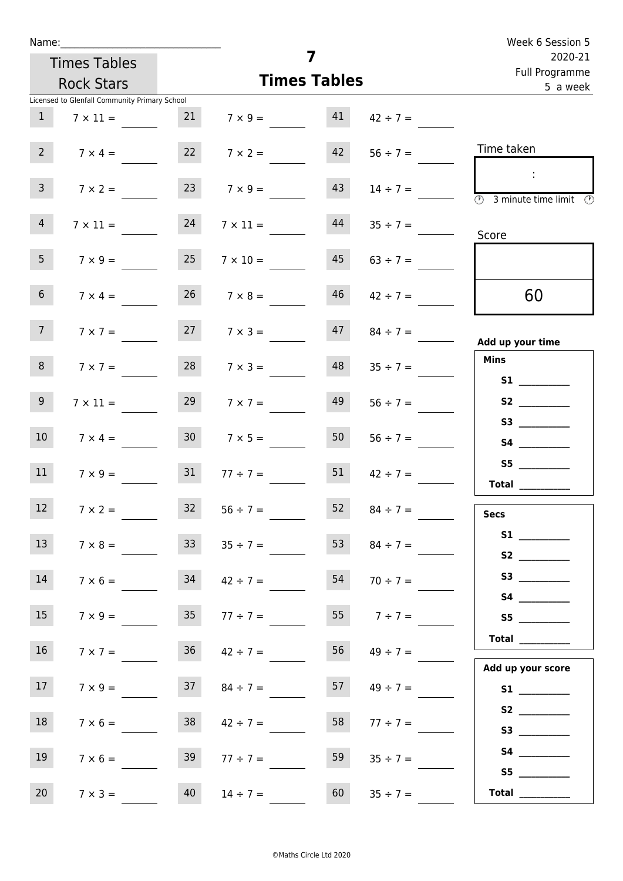|                   | Name:                                         |                 |                                    |                     |                     | Week 6 Session 5                                                                                                                                                                                                                                                                                                                                                                                                                                                                                                                                                                                                    |
|-------------------|-----------------------------------------------|-----------------|------------------------------------|---------------------|---------------------|---------------------------------------------------------------------------------------------------------------------------------------------------------------------------------------------------------------------------------------------------------------------------------------------------------------------------------------------------------------------------------------------------------------------------------------------------------------------------------------------------------------------------------------------------------------------------------------------------------------------|
|                   | <b>Times Tables</b>                           |                 |                                    | 7                   |                     | 2020-21<br>Full Programme                                                                                                                                                                                                                                                                                                                                                                                                                                                                                                                                                                                           |
|                   | <b>Rock Stars</b>                             |                 |                                    | <b>Times Tables</b> |                     | 5 a week                                                                                                                                                                                                                                                                                                                                                                                                                                                                                                                                                                                                            |
|                   | Licensed to Glenfall Community Primary School |                 |                                    |                     |                     |                                                                                                                                                                                                                                                                                                                                                                                                                                                                                                                                                                                                                     |
| 1                 | $7 \times 11 =$                               |                 | 21 $7 \times 9 =$ 41 $42 \div 7 =$ |                     |                     |                                                                                                                                                                                                                                                                                                                                                                                                                                                                                                                                                                                                                     |
| $2^{\circ}$       | $7 \times 4 =$                                |                 | $7 \times 2 =$                     | 42                  | $56 \div 7 =$       | Time taken                                                                                                                                                                                                                                                                                                                                                                                                                                                                                                                                                                                                          |
| 3 <sup>7</sup>    | $7 \times 2 =$                                |                 | $7 \times 9 =$                     | 43                  | $14 \div 7 =$       | $\sim 10$<br>$\overline{\textcircled{1}}$ 3 minute time limit $\overline{\textcircled{1}}$                                                                                                                                                                                                                                                                                                                                                                                                                                                                                                                          |
| $\overline{4}$    | $7 \times 11 =$                               | 24              | $7 \times 11 = 44$                 |                     | $35 \div 7 =$       | Score                                                                                                                                                                                                                                                                                                                                                                                                                                                                                                                                                                                                               |
| 5 <sub>1</sub>    | $7 \times 9 =$                                | 25              | $7 \times 10 =$                    | 45                  | $63 \div 7 =$       |                                                                                                                                                                                                                                                                                                                                                                                                                                                                                                                                                                                                                     |
| 6 <sup>1</sup>    | $7 \times 4 =$                                |                 | $26 \t 7 \times 8 =$               | 46                  | $42 \div 7 =$       | 60                                                                                                                                                                                                                                                                                                                                                                                                                                                                                                                                                                                                                  |
| 7 <sup>7</sup>    | $7 \times 7 =$                                |                 | $7 \times 3 =$                     |                     | $47 \t 84 \div 7 =$ | Add up your time                                                                                                                                                                                                                                                                                                                                                                                                                                                                                                                                                                                                    |
| 8                 | $7 \times 7 =$                                | 28              | $7 \times 3 =$                     | 48                  | $35 \div 7 =$       | <b>Mins</b><br>S1                                                                                                                                                                                                                                                                                                                                                                                                                                                                                                                                                                                                   |
| 9 <sub>o</sub>    | $7 \times 11 =$                               | 29              | $7 \times 7 =$                     | 49                  | $56 \div 7 =$       | S2                                                                                                                                                                                                                                                                                                                                                                                                                                                                                                                                                                                                                  |
| 10 <sup>1</sup>   | $7 \times 4 =$                                | 30 <sub>1</sub> | $7 \times 5 =$                     | 50                  | $56 \div 7 =$       | <b>S4 S4</b>                                                                                                                                                                                                                                                                                                                                                                                                                                                                                                                                                                                                        |
| 11                | $7 \times 9 =$                                | 31              | $77 \div 7 =$                      | 51                  | $42 \div 7 =$       | S5<br>Total $\qquad$                                                                                                                                                                                                                                                                                                                                                                                                                                                                                                                                                                                                |
| $12 \overline{ }$ | $7 \times 2 =$                                | 32              | $56 \div 7 =$                      | 52                  | $84 \div 7 =$       | <b>Secs</b>                                                                                                                                                                                                                                                                                                                                                                                                                                                                                                                                                                                                         |
| 13                | $7 \times 8 =$                                | 33              | $35 \div 7 =$                      | 53                  | $84 \div 7 =$       |                                                                                                                                                                                                                                                                                                                                                                                                                                                                                                                                                                                                                     |
| 14                | $7 \times 6 =$                                | 34              | $42 \div 7 =$                      | 54                  | $70 \div 7 =$       | S3                                                                                                                                                                                                                                                                                                                                                                                                                                                                                                                                                                                                                  |
| 15                | $7 \times 9 =$                                | 35 <sub>1</sub> | $77 \div 7 =$                      | 55                  | $7 ÷ 7 =$           | S5                                                                                                                                                                                                                                                                                                                                                                                                                                                                                                                                                                                                                  |
| 16 <sup>1</sup>   | $7 \times 7 =$                                | 36              | $42 \div 7 =$                      | 56                  | $49 \div 7 =$       | $\begin{tabular}{c} Total & \underline{\hspace{1cm}} & \underline{\hspace{1cm}} & \underline{\hspace{1cm}} & \underline{\hspace{1cm}} & \underline{\hspace{1cm}} & \underline{\hspace{1cm}} & \underline{\hspace{1cm}} & \underline{\hspace{1cm}} & \underline{\hspace{1cm}} & \underline{\hspace{1cm}} & \underline{\hspace{1cm}} & \underline{\hspace{1cm}} & \underline{\hspace{1cm}} & \underline{\hspace{1cm}} & \underline{\hspace{1cm}} & \underline{\hspace{1cm}} & \underline{\hspace{1cm}} & \underline{\hspace{1cm}} & \underline{\hspace{1cm}} & \underline{\hspace{1cm}} & \underline{\hspace{1cm}} &$ |
| 17                | $7 \times 9 =$                                | 37              | $84 \div 7 =$                      | 57                  | $49 \div 7 =$       | Add up your score                                                                                                                                                                                                                                                                                                                                                                                                                                                                                                                                                                                                   |
| 18                | $7 \times 6 =$                                | 38              | $42 \div 7 =$                      | 58                  | $77 \div 7 =$       | S2                                                                                                                                                                                                                                                                                                                                                                                                                                                                                                                                                                                                                  |
| 19                | $7 \times 6 =$                                | 39              | $77 \div 7 =$                      | 59                  | $35 \div 7 =$       |                                                                                                                                                                                                                                                                                                                                                                                                                                                                                                                                                                                                                     |
| 20                | $7 \times 3 =$                                | 40              | $14 \div 7 =$                      | 60                  | $35 \div 7 =$       | S5<br>Total $\_\_$                                                                                                                                                                                                                                                                                                                                                                                                                                                                                                                                                                                                  |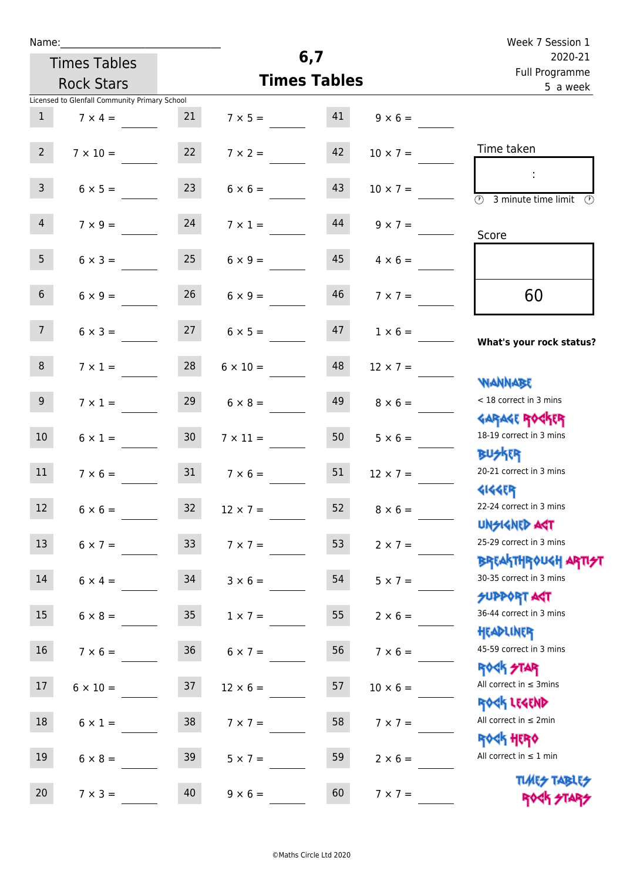|  | Name |  |
|--|------|--|
|  |      |  |
|  |      |  |

| Name:           |                                               |                 |                                   |                     |                                  | Week 7 Session 1                                    |  |
|-----------------|-----------------------------------------------|-----------------|-----------------------------------|---------------------|----------------------------------|-----------------------------------------------------|--|
|                 | <b>Times Tables</b>                           |                 |                                   | 6,7                 |                                  | 2020-21<br>Full Programme                           |  |
|                 | <b>Rock Stars</b>                             |                 |                                   | <b>Times Tables</b> |                                  | 5 a week                                            |  |
|                 | Licensed to Glenfall Community Primary School |                 |                                   |                     |                                  |                                                     |  |
| $\mathbf{1}$    | $7 \times 4 =$                                | $21$            |                                   |                     | $7 \times 5 = 41$ $9 \times 6 =$ |                                                     |  |
| $2^{\circ}$     |                                               |                 | $7 \times 10 = 22$ $7 \times 2 =$ | 42                  | $10 \times 7 =$                  | Time taken                                          |  |
| 3 <sup>7</sup>  | $6 \times 5 =$                                | 23              | $6 \times 6 =$                    | 43                  | $10 \times 7 =$                  | <b>3</b> minute time limit <b>3</b>                 |  |
| $\overline{4}$  | $7 \times 9 =$                                | 24              | $7 \times 1 =$                    | 44                  | $9 \times 7 =$                   | Score                                               |  |
| 5 <sub>1</sub>  | $6 \times 3 =$                                |                 | $25 \t 6 \times 9 =$              | 45                  | $4 \times 6 =$                   |                                                     |  |
| 6 <sup>1</sup>  | $6 \times 9 =$                                | 26              | $6 \times 9 =$                    | 46                  | $7 \times 7 =$                   | 60                                                  |  |
| 7 <sup>7</sup>  | $6 \times 3 =$                                |                 | $27 \t 6 \times 5 =$              | 47                  | $1 \times 6 =$                   | What's your rock status?                            |  |
| 8               |                                               |                 | $7 \times 1 = 28$ $6 \times 10 =$ | 48                  | $12 \times 7 =$                  | <b>WANNABE</b>                                      |  |
| 9 <sub>o</sub>  | $7 \times 1 =$                                | 29              | $6 \times 8 =$                    | 49                  | $8 \times 6 =$                   | < 18 correct in 3 mins<br><b>GARAGE ROCKER</b>      |  |
| 10 <sup>°</sup> | $6 \times 1 =$                                | 30 <sub>o</sub> | $7 \times 11 =$                   |                     | $50$ $5 \times 6 =$              | 18-19 correct in 3 mins<br><b>BUSKER</b>            |  |
| 11              |                                               |                 | $7 \times 6 =$ 31 $7 \times 6 =$  | 51                  | $12 \times 7 =$                  | 20-21 correct in 3 mins<br><b>4144EP</b>            |  |
| 12              | $6 \times 6 =$                                | 32              | $12 \times 7 =$                   | 52                  | $8 \times 6 =$                   | 22-24 correct in 3 mins<br>UNSIGNED ACT             |  |
| 13              | $6 \times 7 =$                                | 33 <sup>°</sup> | $7 \times 7 =$                    | 53                  | $2 \times 7 =$                   | 25-29 correct in 3 mins<br><b>BREAKTHROUGH ARTH</b> |  |
| 14              | $6 \times 4 =$                                | 34              | $3 \times 6 =$                    | 54                  | $5 \times 7 =$                   | 30-35 correct in 3 mins                             |  |
| 15              | $6 \times 8 =$                                | 35 <sub>1</sub> | $1 \times 7 =$                    | 55                  | $2 \times 6 =$                   | SUPPORT AGT<br>36-44 correct in 3 mins<br>HEADLINER |  |
| 16              | $7 \times 6 =$                                | 36 <sup>°</sup> | $6 \times 7 =$                    | 56                  | $7 \times 6 =$                   | 45-59 correct in 3 mins<br><b>ROCK STAR</b>         |  |
| 17              | $6 \times 10 =$                               | 37              | $12 \times 6 =$                   | 57                  | $10 \times 6 =$                  | All correct in $\leq$ 3mins<br>ROCK LEGEND          |  |
| 18              | $6 \times 1 =$                                | 38              | $7 \times 7 =$                    | 58                  | $7 \times 7 =$                   | All correct in $\leq 2$ min<br><b>ROCK HERO</b>     |  |
| 19              | $6 \times 8 =$                                | 39              | $5 \times 7 =$                    | 59                  | $2 \times 6 =$                   | All correct in $\leq 1$ min                         |  |
| 20              | $7 \times 3 =$                                | 40              | $9 \times 6 =$                    | 60                  | $7 \times 7 =$                   | <b>TUARS TABLES</b><br>ROCK STARS                   |  |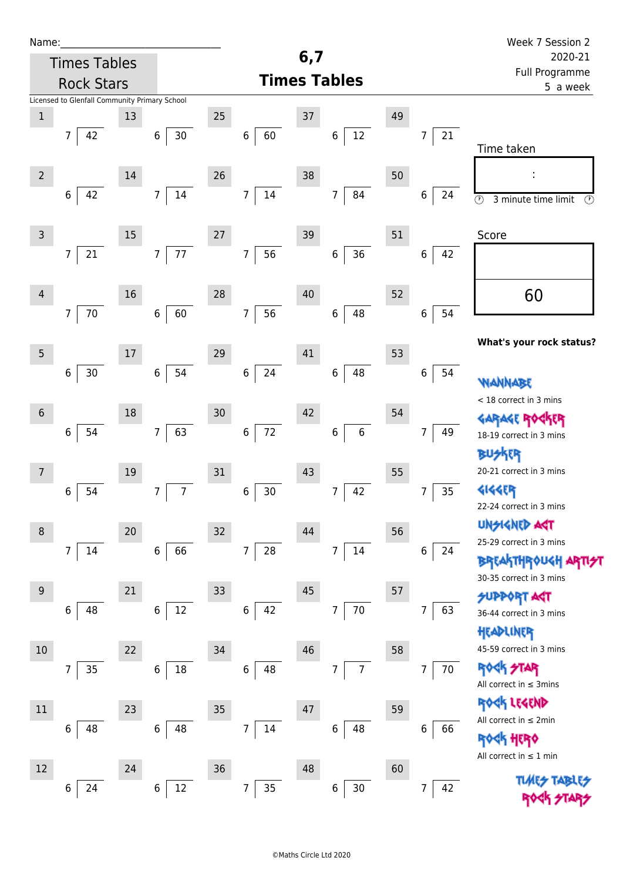| Name:            |                                               |        |                          |    |                            |     |                           |    |                      | Week 7 Session 2                                                       |
|------------------|-----------------------------------------------|--------|--------------------------|----|----------------------------|-----|---------------------------|----|----------------------|------------------------------------------------------------------------|
|                  | <b>Times Tables</b>                           |        |                          |    |                            | 6,7 |                           |    |                      | 2020-21                                                                |
|                  | <b>Rock Stars</b>                             |        |                          |    |                            |     | <b>Times Tables</b>       |    |                      | Full Programme<br>5 a week                                             |
|                  | Licensed to Glenfall Community Primary School |        |                          |    |                            |     |                           |    |                      |                                                                        |
| $\mathbf 1$      |                                               | 13     |                          | 25 |                            | 37  |                           | 49 |                      |                                                                        |
|                  | 42<br>$\overline{7}$                          |        | $30\,$<br>$\,6\,$        |    | 60<br>$\,6\,$              |     | $12\,$<br>$\,$ 6 $\,$     |    | 21<br>7              | Time taken                                                             |
|                  |                                               |        |                          |    |                            |     |                           |    |                      |                                                                        |
| $2^{\circ}$      |                                               | 14     |                          | 26 |                            | 38  |                           | 50 |                      |                                                                        |
|                  | 42<br>6                                       |        | 14<br>$\overline{7}$     |    | $14\,$<br>$\overline{7}$   |     | 84<br>$\overline{7}$      |    | 6<br>24              | $\overline{\circlearrowright}$<br>3 minute time limit<br>$\circled{r}$ |
|                  |                                               |        |                          |    |                            |     |                           |    |                      |                                                                        |
| $\mathsf{3}$     |                                               | 15     |                          | 27 |                            | 39  |                           | 51 |                      | Score                                                                  |
|                  | 21<br>$\overline{7}$                          |        | $77\,$<br>$\overline{7}$ |    | 56<br>$\boldsymbol{7}$     |     | 36<br>$\,6\,$             |    | 6<br>42              |                                                                        |
|                  |                                               |        |                          |    |                            |     |                           |    |                      |                                                                        |
| $\overline{4}$   |                                               | 16     |                          | 28 |                            | 40  |                           | 52 |                      | 60                                                                     |
|                  | 70<br>$7\overline{ }$                         |        | 60<br>$\,6$              |    | 56<br>$\overline{7}$       |     | 48<br>$\,6$               |    | 54<br>$\bf 6$        |                                                                        |
|                  |                                               |        |                          |    |                            |     |                           |    |                      | What's your rock status?                                               |
| $5\phantom{.0}$  |                                               | $17\,$ |                          | 29 |                            | 41  |                           | 53 |                      |                                                                        |
|                  | 30<br>6                                       |        | 54<br>6                  |    | 24<br>$\,6\,$              |     | 48<br>$\,6$               |    | 6<br>54              | WANNABE                                                                |
|                  |                                               |        |                          |    |                            |     |                           |    |                      | < 18 correct in 3 mins                                                 |
| $6\,$            |                                               | 18     |                          | 30 |                            | 42  |                           | 54 |                      | <b>GARAGE RO</b><br><b>下下</b>                                          |
|                  | 54<br>6                                       |        | 63<br>$\overline{7}$     |    | 72<br>$\,$ 6 $\,$          |     | $\boldsymbol{6}$<br>$\,6$ |    | 7<br>49              | 18-19 correct in 3 mins                                                |
|                  |                                               |        |                          |    |                            |     |                           |    |                      | <b>BUSKER</b>                                                          |
| 7                |                                               | 19     |                          | 31 |                            | 43  |                           | 55 |                      | 20-21 correct in 3 mins                                                |
|                  | 54<br>6                                       |        | $\overline{7}$<br>7      |    | $30$<br>6                  |     | 42<br>7                   |    | 35<br>$\overline{7}$ | <b>4144EP</b>                                                          |
|                  |                                               |        |                          |    |                            |     |                           |    |                      | 22-24 correct in 3 mins                                                |
| $\,8\,$          |                                               | 20     |                          | 32 |                            | 44  |                           | 56 |                      | <b>UNSIGNED AGT</b>                                                    |
|                  | $\overline{7}$<br>14                          |        | $\,6\,$<br>66            |    | $\overline{7}$<br>28       |     | 14<br>7                   |    | $\,6$<br>24          | 25-29 correct in 3 mins                                                |
|                  |                                               |        |                          |    |                            |     |                           |    |                      | <b>BREAKTHROUGH</b><br>30-35 correct in 3 mins                         |
| $\boldsymbol{9}$ |                                               | 21     |                          | 33 |                            | 45  |                           | 57 |                      | <b>SUPPORT AGT</b>                                                     |
|                  | 48<br>6                                       |        | 12<br>$\,6\,$            |    | 42<br>$\,6$                |     | $70\,$<br>$\overline{7}$  |    | 63<br>7              | 36-44 correct in 3 mins                                                |
|                  |                                               |        |                          |    |                            |     |                           |    |                      | HEADLINER                                                              |
| 10               |                                               | 22     |                          | 34 |                            | 46  |                           | 58 |                      | 45-59 correct in 3 mins                                                |
|                  | 35<br>7                                       |        | 18<br>$\boldsymbol{6}$   |    | $\,6$<br>48                |     | $\overline{7}$<br>7       |    | 70<br>$\overline{7}$ | <b>ROCK STAR</b>                                                       |
|                  |                                               |        |                          |    |                            |     |                           |    |                      | All correct in $\leq$ 3mins                                            |
| 11               |                                               | 23     |                          | 35 |                            | 47  |                           | 59 |                      | ROCK LEGEND                                                            |
|                  | 6<br>48                                       |        | 48<br>6                  |    | $14\,$<br>$\boldsymbol{7}$ |     | 48<br>6                   |    | 6<br>66              | All correct in $\leq 2$ min                                            |
|                  |                                               |        |                          |    |                            |     |                           |    |                      | <b>ROCK HERO</b>                                                       |
| 12               |                                               | 24     |                          | 36 |                            | 48  |                           | 60 |                      | All correct in $\leq 1$ min                                            |
|                  | 24<br>6                                       |        | $12\,$<br>6              |    | 7<br>$35\,$                |     | $30\,$<br>6               |    | 42<br>7              |                                                                        |
|                  |                                               |        |                          |    |                            |     |                           |    |                      |                                                                        |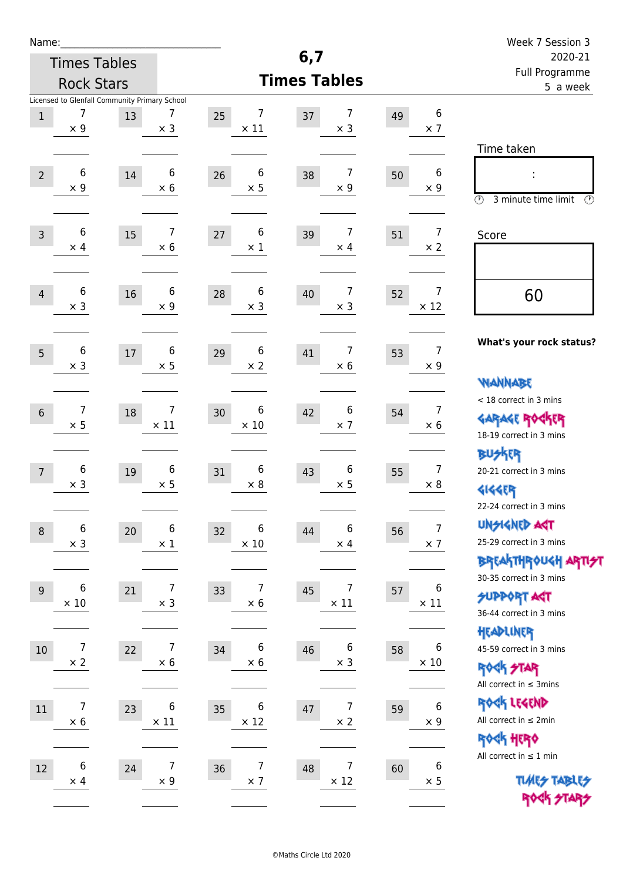| Name:                                                                           |                  |                        |                                        |                                    | Week 7 Session 3                                                                                |
|---------------------------------------------------------------------------------|------------------|------------------------|----------------------------------------|------------------------------------|-------------------------------------------------------------------------------------------------|
| <b>Times Tables</b>                                                             |                  |                        | 6,7                                    |                                    | 2020-21                                                                                         |
| <b>Rock Stars</b>                                                               |                  |                        | <b>Times Tables</b>                    |                                    | Full Programme<br>5 a week                                                                      |
| Licensed to Glenfall Community Primary School<br>7<br>13<br>$1\,$<br>$\times$ 9 | 7<br>$\times$ 3  | 7<br>25<br>$\times$ 11 | 7<br>37<br>$\times$ 3                  | 6<br>49<br>$\times$ 7              | Time taken                                                                                      |
| 6<br>$\overline{2}$<br>14<br>$\times$ 9                                         | 6<br>$\times 6$  | 6<br>26<br>$\times$ 5  | 7<br>38<br>$\times$ 9                  | 6<br>50<br>$\times$ 9              | t,<br>$\circledcirc$<br>3 minute time limit<br>$\mathcal{O}$                                    |
| 6<br>15<br>$\overline{3}$<br>$\times$ 4                                         | 7<br>$\times 6$  | 6<br>27<br>$\times$ 1  | $\overline{7}$<br>39<br>$\times$ 4     | $\overline{7}$<br>51<br>$\times$ 2 | Score                                                                                           |
| 6<br>16<br>$\overline{4}$<br>$\times$ 3                                         | 6<br>$\times$ 9  | 6<br>28<br>$\times$ 3  | $\overline{7}$<br>40<br>$\times$ 3     | 7<br>52<br>$\times$ 12             | 60                                                                                              |
| 6<br>5<br>17<br>$\times$ 3                                                      | 6<br>$\times$ 5  | 6<br>29<br>$\times 2$  | $\overline{7}$<br>41<br>$\times 6$     | 7<br>53<br>$\times$ 9              | What's your rock status?<br><b>WANNABE</b>                                                      |
| $\overline{7}$<br>18<br>$6\,$<br>$\times$ 5                                     | 7<br>$\times$ 11 | 6<br>30<br>$\times$ 10 | 6<br>42<br>$\times$ 7                  | $\overline{7}$<br>54<br>$\times 6$ | < 18 correct in 3 mins<br><b>GARAGE ROGKER</b><br>18-19 correct in 3 mins                       |
| 6<br>$\overline{7}$<br>19<br>$\times$ 3                                         | 6<br>$\times$ 5  | 6<br>31<br>$\times$ 8  | 6<br>43<br>$\times$ 5                  | $\overline{7}$<br>55<br>$\times 8$ | <b>BUSKER</b><br>20-21 correct in 3 mins<br><b>4144EP</b><br>22-24 correct in 3 mins            |
| 6<br>20<br>$\,8\,$<br>$\times$ 3                                                | 6<br>$\times$ 1  | 6<br>32<br>$\times$ 10 | 6<br>44<br>$\times$ 4                  | $\overline{7}$<br>56<br>$\times$ 7 | <b>UNSIGNED AGT</b><br>25-29 correct in 3 mins<br>ΒΡΓΑ <sup>Κ</sup> ΤΗΡΟυΚΗ ΑΡΤΙ <del>2</del> Τ |
| 6<br>21<br>$9\,$<br>$\times$ 10                                                 | 7<br>$\times$ 3  | 7<br>33<br>$\times$ 6  | $\overline{7}$<br>45<br>$\times$ 11    | 6<br>57<br>$\times$ 11             | 30-35 correct in 3 mins<br><b>SUPPORT AGT</b><br>36-44 correct in 3 mins                        |
| $\overline{7}$<br>22<br>$10\,$<br>$\times 2$                                    | 7<br>$\times 6$  | 6<br>34<br>$\times$ 6  | $\boldsymbol{6}$<br>46<br>$\times$ 3   | 6<br>58<br>$\times$ 10             | HEADLINER<br>45-59 correct in 3 mins<br><b>ROCK STAR</b><br>All correct in $\leq$ 3mins         |
| $\overline{7}$<br>11<br>23<br>$\times$ 6                                        | 6<br>$\times$ 11 | 6<br>35<br>$\times$ 12 | $\overline{7}$<br>$47\,$<br>$\times$ 2 | 6<br>59<br>$\times$ 9              | ROCK LEGEND<br>All correct in $\leq 2$ min<br><b>ROCK HERO</b>                                  |
| 6<br>24<br>12<br>$\times$ 4                                                     | 7<br>$\times$ 9  | 7<br>36<br>$\times$ 7  | $\overline{7}$<br>48<br>$\times$ 12    | 6<br>60<br>$\times$ 5              | All correct in $\leq 1$ min<br><b>TUARS TABLES</b><br>ROCK STARS                                |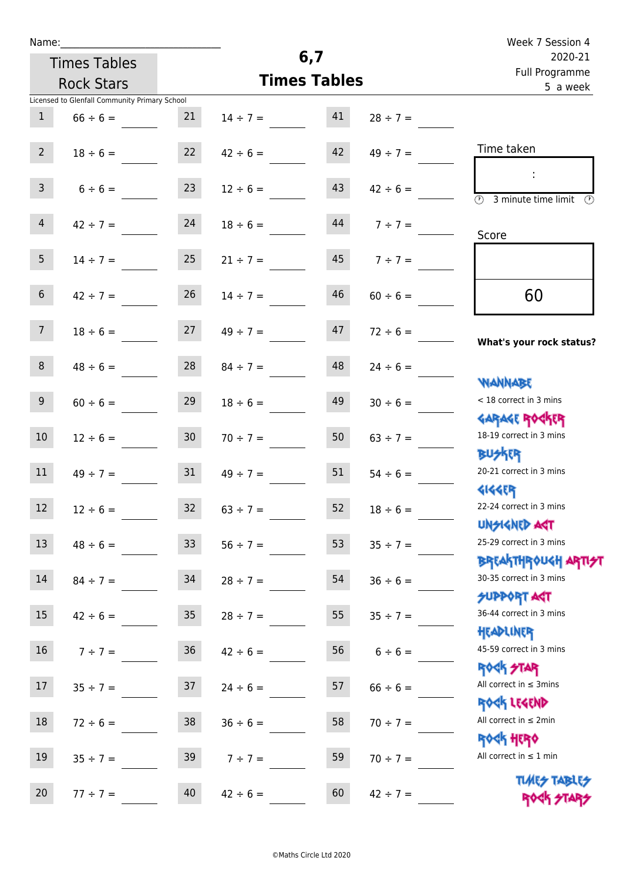| Name:            |                                               |                 |                                |                           |                    | Week 7 Session 4                                            |
|------------------|-----------------------------------------------|-----------------|--------------------------------|---------------------------|--------------------|-------------------------------------------------------------|
|                  | <b>Times Tables</b>                           |                 | 6,7                            | 2020-21<br>Full Programme |                    |                                                             |
|                  | <b>Rock Stars</b>                             |                 |                                | <b>Times Tables</b>       |                    | 5 a week                                                    |
|                  | Licensed to Glenfall Community Primary School |                 |                                |                           |                    |                                                             |
| $\mathbf{1}$     | $66 \div 6 =$                                 | 21              | $14 \div 7 = 41$               |                           | $28 \div 7 =$      |                                                             |
| $2^{\circ}$      |                                               |                 | $18 \div 6 = 22$ $42 \div 6 =$ | 42                        | $49 \div 7 =$      | Time taken                                                  |
| 3 <sup>7</sup>   | $6 \div 6 =$                                  | 23              | $12 \div 6 =$                  | 43                        | $42 \div 6 =$      | $(\mathcal{V})$<br>3 minute time limit                      |
| $\overline{4}$   | $42 \div 7 =$                                 | 24              | $18 \div 6 =$                  |                           | $144$ $7 \div 7 =$ | Score                                                       |
| 5 <sub>1</sub>   | $14 \div 7 = 25$                              |                 | $21 \div 7 =$                  |                           | $45 \t 7 \div 7 =$ |                                                             |
| 6 <sup>1</sup>   | $42 \div 7 =$                                 | 26              | $14 \div 7 =$                  | 46                        | $60 \div 6 =$      | 60                                                          |
| 7 <sup>7</sup>   |                                               |                 | $18 \div 6 = 27$ $49 \div 7 =$ | 47                        | $72 \div 6 =$      | What's your rock status?                                    |
| 8 <sup>1</sup>   |                                               |                 | $48 \div 6 =$ 28 $84 \div 7 =$ | 48                        | $24 \div 6 =$      | <b>NANNABE</b>                                              |
| 9                | $60 \div 6 =$                                 | 29              | $18 \div 6 =$                  | 49                        | $30 \div 6 =$      | < 18 correct in 3 mins<br><b>GARAGE ROCKER</b>              |
| 10 <sup>°</sup>  | $12 \div 6 =$                                 | 30 <sub>o</sub> | $70 \div 7 =$                  | 50                        | $63 \div 7 =$      | 18-19 correct in 3 mins<br><b>BUSKER</b>                    |
| 11               | $49 \div 7 = 31$                              |                 | $49 \div 7 =$                  | 51                        | $54 \div 6 =$      | 20-21 correct in 3 mins<br><b>4144ER</b>                    |
| 12               | $12 \div 6 =$                                 | 32              | $63 \div 7 =$                  | 52                        | $18 \div 6 =$      | 22-24 correct in 3 mins<br><b>UNSIGNED AGT</b>              |
| 13               | $48 \div 6 =$                                 | 33 <sup>°</sup> | $56 \div 7 =$                  | 53                        | $35 ÷ 7 =$         | 25-29 correct in 3 mins                                     |
| 14               | $84 \div 7 =$                                 | 34              | $28 \div 7 =$                  | 54                        | $36 \div 6 =$      | ΒΡΓΑΚΤΗΡΟUGH ΑΡΤΙ <del>2</del> Τ<br>30-35 correct in 3 mins |
| 15 <sub>15</sub> | $42 \div 6 =$                                 | 35              | $28 \div 7 =$                  | 55                        | $35 \div 7 =$      | <b>SUPPORT AGT</b><br>36-44 correct in 3 mins<br>HEADLINER  |
| 16               | $7 ÷ 7 =$                                     | 36 <sup>°</sup> | $42 \div 6 =$                  | 56                        | $6 \div 6 =$       | 45-59 correct in 3 mins<br><b>ROCK STAR</b>                 |
| 17               | $35 \div 7 =$                                 | 37              | $24 \div 6 =$                  | 57                        | $66 \div 6 =$      | All correct in $\leq$ 3mins<br>ROCK LEGEND                  |
| 18               | $72 \div 6 =$                                 | 38              | $36 \div 6 =$                  | 58                        | $70 \div 7 =$      | All correct in $\leq 2$ min<br><b>ROCK HERO</b>             |
| 19               | $35 \div 7 =$                                 | 39              | $7 ÷ 7 =$                      | 59                        | $70 \div 7 =$      | All correct in $\leq 1$ min                                 |
| 20               | $77 ÷ 7 =$                                    | 40              | $42 \div 6 =$                  | 60                        | $42 \div 7 =$      | <b>TUARS TABLES</b><br>ROCK STARS                           |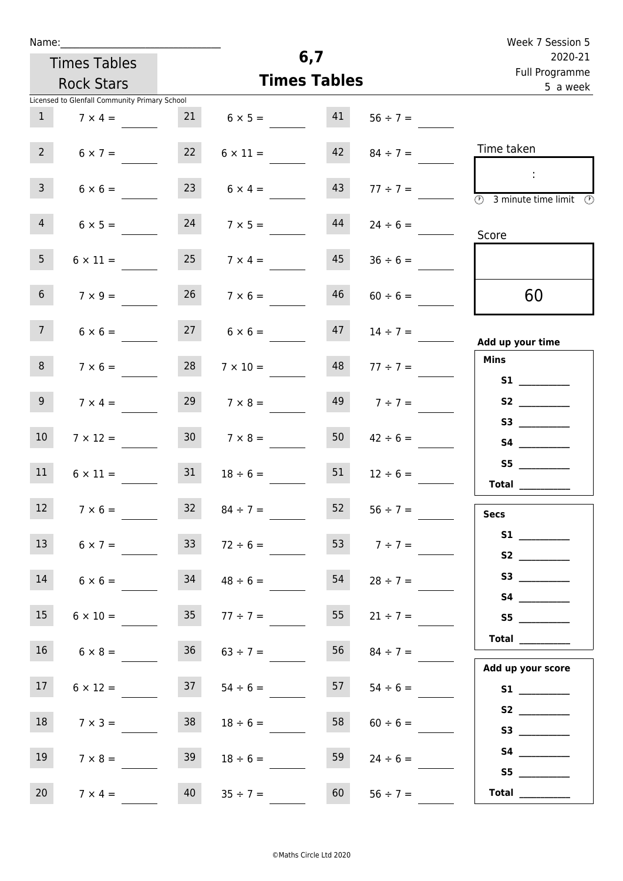|  | Name |  |
|--|------|--|
|  |      |  |
|  |      |  |

|                     |                                               |                 |                      |                |               | Week 7 Session 5                            |
|---------------------|-----------------------------------------------|-----------------|----------------------|----------------|---------------|---------------------------------------------|
|                     |                                               |                 |                      | 6,7            |               | 2020-21                                     |
| <b>Times Tables</b> |                                               |                 | <b>Times Tables</b>  | Full Programme |               |                                             |
|                     | <b>Rock Stars</b>                             |                 |                      | 5 a week       |               |                                             |
| 1                   | Licensed to Glenfall Community Primary School | 21              | $6 \times 5 =$       | 41             | $56 \div 7 =$ |                                             |
|                     | $7 \times 4 =$                                |                 |                      |                |               |                                             |
| $2 \overline{ }$    | $6 \times 7 =$                                | 22              | $6 \times 11 =$      | 42             | $84 \div 7 =$ | Time taken                                  |
| 3 <sup>7</sup>      | $6 \times 6 =$                                |                 | 23 $6 \times 4 =$    | 43             | $77 \div 7 =$ | <b>3</b> minute time limit<br>$\mathcal{O}$ |
| 4                   | $6 \times 5 =$                                | 24              | $7 \times 5 =$       | 44             | $24 \div 6 =$ | Score                                       |
| 5 <sub>1</sub>      | $6 \times 11 =$                               | 25              | $7 \times 4 =$       | 45             | $36 \div 6 =$ |                                             |
| 6 <sup>1</sup>      | $7 \times 9 =$                                | 26              | $7 \times 6 =$       | 46             | $60 \div 6 =$ | 60                                          |
| 7 <sup>7</sup>      | $6 \times 6 =$                                |                 | $27 \t 6 \times 6 =$ | 47             | $14 \div 7 =$ | Add up your time                            |
| 8                   | $7 \times 6 =$                                | 28              | $7 \times 10 =$      | 48             | $77 \div 7 =$ | <b>Mins</b><br><b>S1 S1</b>                 |
| 9 <sub>o</sub>      | $7 \times 4 =$                                | 29              | $7 \times 8 =$       | 49             | $7 ÷ 7 =$     | S2                                          |
| 10 <sup>°</sup>     | $7 \times 12 =$                               | 30 <sup>°</sup> | $7 \times 8 =$       | 50             | $42 \div 6 =$ | S4                                          |
| 11                  | $6 \times 11 =$                               | 31              | $18 \div 6 =$        | 51             | $12 \div 6 =$ | S5<br><b>Total</b>                          |

| <b>Secs</b>        |                                                                                                                                                                                                                                                                                                                                                                                              |  |  |  |
|--------------------|----------------------------------------------------------------------------------------------------------------------------------------------------------------------------------------------------------------------------------------------------------------------------------------------------------------------------------------------------------------------------------------------|--|--|--|
| S1                 | $\overline{\phantom{a}}$                                                                                                                                                                                                                                                                                                                                                                     |  |  |  |
| S2                 | $\overline{\phantom{a}}$                                                                                                                                                                                                                                                                                                                                                                     |  |  |  |
| S3                 |                                                                                                                                                                                                                                                                                                                                                                                              |  |  |  |
| S4                 |                                                                                                                                                                                                                                                                                                                                                                                              |  |  |  |
| S5                 |                                                                                                                                                                                                                                                                                                                                                                                              |  |  |  |
| Total              | $\frac{1}{2} \left( \frac{1}{2} \frac{1}{2} \frac{1}{2} \frac{1}{2} \frac{1}{2} \frac{1}{2} \frac{1}{2} \frac{1}{2} \frac{1}{2} \frac{1}{2} \frac{1}{2} \frac{1}{2} \frac{1}{2} \frac{1}{2} \frac{1}{2} \frac{1}{2} \frac{1}{2} \frac{1}{2} \frac{1}{2} \frac{1}{2} \frac{1}{2} \frac{1}{2} \frac{1}{2} \frac{1}{2} \frac{1}{2} \frac{1}{2} \frac{1}{2} \frac{1}{2} \frac{1}{2} \frac{1}{2}$ |  |  |  |
|                    |                                                                                                                                                                                                                                                                                                                                                                                              |  |  |  |
| عسممت سيتمن سيباطر |                                                                                                                                                                                                                                                                                                                                                                                              |  |  |  |

| Add up your score |                                                                     |  |  |  |  |
|-------------------|---------------------------------------------------------------------|--|--|--|--|
| <b>S1</b>         | $\overline{\phantom{a}}$                                            |  |  |  |  |
| S <sub>2</sub>    |                                                                     |  |  |  |  |
| S3                | $\overline{\phantom{a}}$ . The contract of $\overline{\phantom{a}}$ |  |  |  |  |
| S4                |                                                                     |  |  |  |  |
| S5                |                                                                     |  |  |  |  |
| Total             | $\sim$ 100 $\pm$                                                    |  |  |  |  |

12  $7 \times 6 =$  32  $84 \div 7 =$  52  $56 \div 7 =$ 

13  $6 \times 7 =$  33  $72 \div 6 =$  53  $7 \div 7 =$ 

14  $6 \times 6 =$  34  $48 \div 6 =$  54  $28 \div 7 =$ 

15  $6 \times 10 =$  35  $77 \div 7 =$  55  $21 \div 7 =$ 

16  $6 \times 8 =$  36  $63 \div 7 =$  56  $84 \div 7 =$ 

17  $6 \times 12 =$  37  $54 \div 6 =$  57  $54 \div 6 =$ 

18  $7 \times 3 =$  38  $18 \div 6 =$  58  $60 \div 6 =$ 

19  $7 \times 8 =$  39  $18 \div 6 =$  59  $24 \div 6 =$ 

20  $7 \times 4 =$  40  $35 \div 7 =$  60  $56 \div 7 =$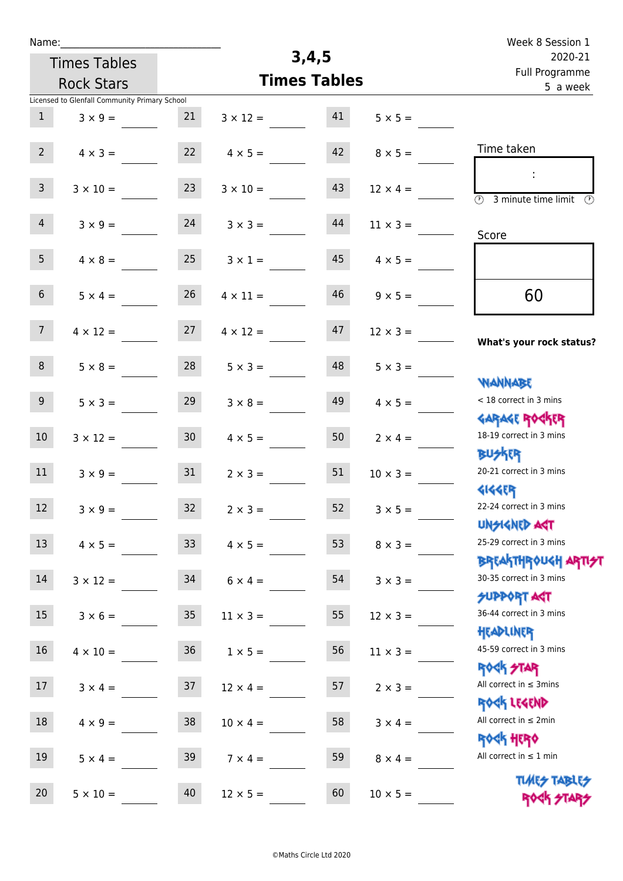| Name:               |                                               |                 |                     |                            |                 | Week 8 Session 1                                           |
|---------------------|-----------------------------------------------|-----------------|---------------------|----------------------------|-----------------|------------------------------------------------------------|
| <b>Times Tables</b> |                                               |                 | 3,4,5               |                            |                 | 2020-21                                                    |
| <b>Rock Stars</b>   |                                               |                 | <b>Times Tables</b> | Full Programme<br>5 a week |                 |                                                            |
|                     | Licensed to Glenfall Community Primary School |                 |                     |                            |                 |                                                            |
| $\mathbf{1}$        | $3 \times 9 =$                                | 21              | $3 \times 12 =$     | 41                         | $5 \times 5 =$  |                                                            |
|                     |                                               |                 |                     |                            |                 |                                                            |
| $2^{\circ}$         | $4 \times 3 =$                                | 22              | $4 \times 5 =$      | 42                         | $8 \times 5 =$  | Time taken                                                 |
|                     |                                               |                 |                     |                            |                 | ÷                                                          |
| $\mathsf{3}$        | $3 \times 10 =$                               | 23              | $3 \times 10 =$     | 43                         | $12 \times 4 =$ | $\overline{\odot}$<br>3 minute time limit<br>$\mathcal{O}$ |
| $\overline{4}$      | $3 \times 9 =$                                | 24              | $3 \times 3 =$      | 44                         | $11 \times 3 =$ |                                                            |
|                     |                                               |                 |                     |                            |                 | Score                                                      |
| 5 <sup>1</sup>      | $4 \times 8 =$                                | 25              | $3 \times 1 =$      | 45                         | $4 \times 5 =$  |                                                            |
|                     |                                               |                 |                     |                            |                 |                                                            |
| 6 <sup>1</sup>      | $5 \times 4 =$                                | 26              | $4 \times 11 =$     | 46                         | $9 \times 5 =$  | 60                                                         |
|                     |                                               |                 |                     |                            |                 |                                                            |
| 7 <sup>7</sup>      | $4 \times 12 =$                               | 27              | $4 \times 12 =$     | 47                         | $12 \times 3 =$ | What's your rock status?                                   |
| 8                   | $5 \times 8 =$                                | 28              | $5 \times 3 =$      | 48                         | $5 \times 3 =$  |                                                            |
|                     |                                               |                 |                     |                            |                 | <b>YIANNABE</b>                                            |
| 9                   | $5 \times 3 =$                                | 29              | $3 \times 8 =$      | 49                         | $4 \times 5 =$  | < 18 correct in 3 mins                                     |
|                     |                                               |                 |                     |                            |                 | <b>GARAGE ROGKER</b>                                       |
| 10 <sup>°</sup>     | $3 \times 12 =$                               | 30 <sub>o</sub> | $4 \times 5 =$      | 50                         | $2 \times 4 =$  | 18-19 correct in 3 mins                                    |
|                     |                                               |                 |                     |                            |                 | <b>BUSKER</b>                                              |
| 11                  | $3 \times 9 =$                                | 31              | $2 \times 3 =$      | 51                         | $10 \times 3 =$ | 20-21 correct in 3 mins                                    |
| 12 <sub>2</sub>     |                                               | 32              |                     | 52                         |                 | <b>4144EP</b><br>22-24 correct in 3 mins                   |
|                     | $3 \times 9 =$                                |                 | $2 \times 3 =$      |                            | $3 \times 5 =$  | <b>UNSIGNED AST</b>                                        |
| 13                  | $4 \times 5 =$                                | 33 <sup>°</sup> | $4 \times 5 =$      | 53                         | $8 \times 3 =$  | 25-29 correct in 3 mins                                    |
|                     |                                               |                 |                     |                            |                 | ΒΡΓΑΚΤΗΡΟUGH ΑΡΤΙ <del>2</del> Τ                           |
| 14                  | $3 \times 12 =$                               | 34              | $6 \times 4 =$      | 54                         | $3 \times 3 =$  | 30-35 correct in 3 mins                                    |
|                     |                                               |                 |                     |                            |                 | <b>SUPPORT AGT</b>                                         |
| 15                  | $3 \times 6 =$                                | 35 <sub>o</sub> | $11 \times 3 =$     | 55                         | $12 \times 3 =$ | 36-44 correct in 3 mins                                    |
|                     |                                               |                 |                     |                            |                 | HEADLINER<br>45-59 correct in 3 mins                       |
| 16                  | $4 \times 10 =$                               | 36              | $1 \times 5 =$      | 56                         | $11 \times 3 =$ | <b>ROCK STAR</b>                                           |
| 17                  | $3 \times 4 =$                                | 37              | $12 \times 4 =$     | 57                         | $2 \times 3 =$  | All correct in $\leq$ 3mins                                |
|                     |                                               |                 |                     |                            |                 | ROCK LEGEND                                                |
| 18                  | $4 \times 9 =$                                | 38              | $10 \times 4 =$     | 58                         | $3 \times 4 =$  | All correct in $\leq 2$ min                                |
|                     |                                               |                 |                     |                            |                 | <b>ROGH HERO</b>                                           |
| 19                  | $5 \times 4 =$                                | 39              | $7 \times 4 =$      | 59                         | $8 \times 4 =$  | All correct in $\leq 1$ min                                |
|                     |                                               |                 |                     |                            |                 | <b>TUARS TABLES</b>                                        |
| 20 <sub>2</sub>     | $5 \times 10 =$                               | 40              | $12 \times 5 =$     | 60                         | $10 \times 5 =$ | ROCK STARS                                                 |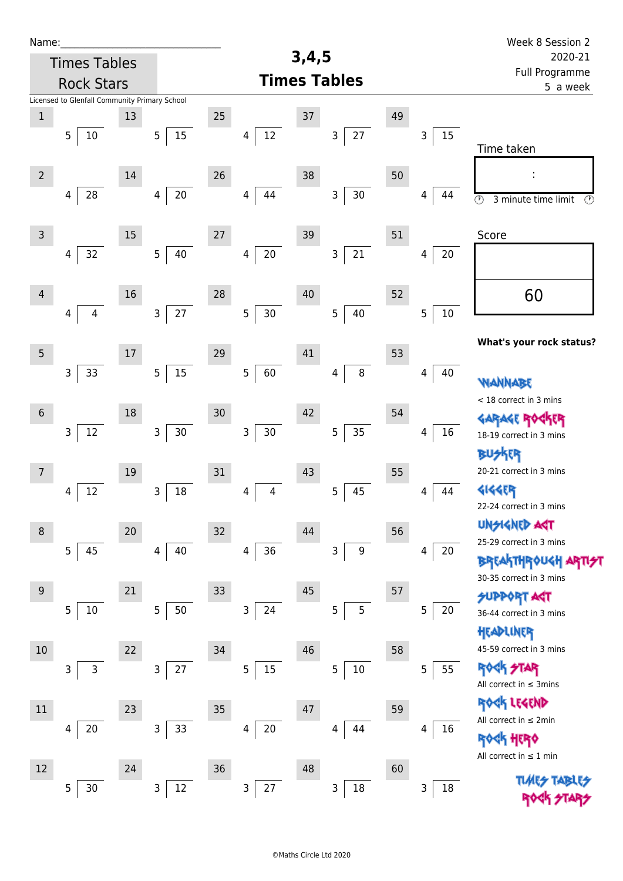| Name:           |                                               |        |                          |    |                              |       |                       |    |             | Week 8 Session 2                                                          |
|-----------------|-----------------------------------------------|--------|--------------------------|----|------------------------------|-------|-----------------------|----|-------------|---------------------------------------------------------------------------|
|                 | <b>Times Tables</b>                           |        |                          |    |                              | 3,4,5 |                       |    |             | 2020-21<br>Full Programme                                                 |
|                 | <b>Rock Stars</b>                             |        |                          |    |                              |       | <b>Times Tables</b>   |    |             | 5 a week                                                                  |
|                 | Licensed to Glenfall Community Primary School |        |                          |    |                              |       |                       |    |             |                                                                           |
| $\mathbf 1$     |                                               | 13     |                          | 25 |                              | 37    |                       | 49 |             |                                                                           |
|                 | 5<br>10                                       |        | 15<br>5 <sub>5</sub>     |    | $12\,$<br>$\overline{4}$     |       | $27\,$<br>3           |    | 15<br>3     | Time taken                                                                |
|                 |                                               |        |                          |    |                              |       |                       |    |             |                                                                           |
| $2^{\circ}$     |                                               | 14     |                          | 26 |                              | 38    |                       | 50 |             |                                                                           |
|                 | 28<br>4                                       |        | $20\,$<br>$\overline{4}$ |    | 44<br>4                      |       | $30\,$<br>3           |    | 44<br>4     | $\overline{\circ}$<br>3 minute time limit<br>$\circled{r}$                |
|                 |                                               |        |                          |    |                              |       |                       |    |             |                                                                           |
| $\mathsf{3}$    |                                               | 15     |                          | 27 |                              | 39    |                       | 51 |             | Score                                                                     |
|                 | 32<br>4                                       |        | 40<br>5                  |    | $20\,$<br>4                  |       | 21<br>3               |    | 20<br>4     |                                                                           |
|                 |                                               |        |                          |    |                              |       |                       |    |             |                                                                           |
| $\overline{4}$  |                                               | 16     |                          | 28 |                              | 40    |                       | 52 |             | 60                                                                        |
|                 | $\overline{4}$<br>$\overline{4}$              |        | 27<br>$\mathsf{3}$       |    | 5<br>30                      |       | 5<br>40               |    | 5<br>$10\,$ |                                                                           |
|                 |                                               |        |                          |    |                              |       |                       |    |             | What's your rock status?                                                  |
| $5\phantom{.0}$ |                                               | $17\,$ |                          | 29 |                              | 41    |                       | 53 |             |                                                                           |
|                 | 33<br>3                                       |        | 15<br>5                  |    | 5<br>60                      |       | $\, 8$<br>4           |    | 40<br>4     | <b>WANNABE</b>                                                            |
|                 |                                               |        |                          |    |                              |       |                       |    |             | < 18 correct in 3 mins                                                    |
| $6\,$           |                                               | 18     |                          | 30 |                              | 42    |                       | 54 |             | <b>GARAGE ROC</b><br>KER                                                  |
|                 | 3<br>$12\,$                                   |        | $\mathsf{3}$<br>$30\,$   |    | $\mathsf 3$<br>$30\,$        |       | 35<br>$\overline{5}$  |    | 16<br>4     | 18-19 correct in 3 mins                                                   |
|                 |                                               |        |                          |    |                              |       |                       |    |             | <b>BUSKER</b>                                                             |
| 7               |                                               | 19     |                          | 31 |                              | 43    |                       | 55 |             | 20-21 correct in 3 mins                                                   |
|                 | 12<br>4                                       |        | 18<br>$\overline{3}$     |    | $\overline{\mathbf{4}}$<br>4 |       | 45<br>5               |    | 44<br>4     | 4144EP                                                                    |
|                 |                                               |        |                          |    |                              |       |                       |    |             | 22-24 correct in 3 mins                                                   |
| $\,8\,$         |                                               | 20     |                          | 32 |                              | 44    |                       | 56 |             | <b>UNSIGNED AGT</b>                                                       |
|                 | 5<br>45                                       |        | 40<br>4                  |    | $36\,$<br>$\overline{4}$     |       | $\boldsymbol{9}$<br>3 |    | 20<br>4     | 25-29 correct in 3 mins                                                   |
|                 |                                               |        |                          |    |                              |       |                       |    |             | <b>BREAKTHROUGH</b><br>30-35 correct in 3 mins                            |
| $9\,$           |                                               | 21     |                          | 33 |                              | 45    |                       | 57 |             | <b>SUPPORT AGT</b>                                                        |
|                 | 5<br>10                                       |        | 5<br>50                  |    | $\mathsf 3$<br>24            |       | 5<br>5                |    | 5<br>20     | 36-44 correct in 3 mins                                                   |
|                 |                                               |        |                          |    |                              |       |                       |    |             | HEADLINER                                                                 |
| 10              |                                               | 22     |                          | 34 |                              | 46    |                       | 58 |             | 45-59 correct in 3 mins                                                   |
|                 | 3<br>3                                        |        | $27\,$<br>3              |    | 15<br>$\overline{5}$         |       | $10\,$<br>5           |    | 55<br>5     | <b>ROCK STAR</b>                                                          |
|                 |                                               |        |                          |    |                              |       |                       |    |             | All correct in $\leq$ 3mins                                               |
| 11              |                                               | 23     |                          | 35 |                              | 47    |                       | 59 |             | ROCK LEGEND                                                               |
|                 | $20\,$<br>4                                   |        | 3<br>33                  |    | $20\,$<br>4                  |       | 44<br>4               |    | 16<br>4     | All correct in $\leq 2$ min                                               |
|                 |                                               |        |                          |    |                              |       |                       |    |             | <b><htp: <="" b=""><br/>All correct in <math>\leq 1</math> min</htp:></b> |
| 12              |                                               | 24     |                          | 36 |                              | 48    |                       | 60 |             |                                                                           |
|                 | 30<br>5                                       |        | $12\,$<br>3              |    | 3<br>27                      |       | $18\,$<br>3           |    | 3<br>18     |                                                                           |
|                 |                                               |        |                          |    |                              |       |                       |    |             |                                                                           |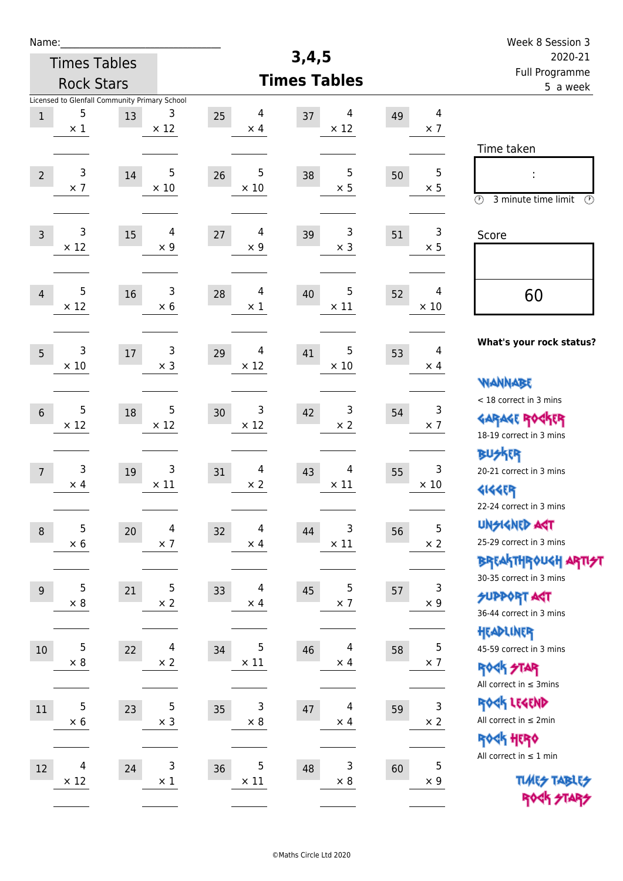| Name:          |                                         |                                                     |                                    |                        |                        |    |                              | Week 8 Session 3                                                                        |
|----------------|-----------------------------------------|-----------------------------------------------------|------------------------------------|------------------------|------------------------|----|------------------------------|-----------------------------------------------------------------------------------------|
|                | <b>Times Tables</b>                     |                                                     |                                    |                        | 3,4,5                  |    |                              | 2020-21                                                                                 |
|                | <b>Rock Stars</b>                       |                                                     |                                    |                        | <b>Times Tables</b>    |    |                              | Full Programme<br>5 a week                                                              |
| $\,1$          | 5<br>$\times$ 1                         | Licensed to Glenfall Community Primary School<br>13 | 3<br>25<br>$\times$ 12             | 4<br>$\times$ 4        | 4<br>37<br>$\times$ 12 | 49 | $\overline{4}$<br>$\times$ 7 |                                                                                         |
| $\overline{2}$ | 3<br>$\times$ 7                         | 14                                                  | 5<br>26<br>$\times$ 10             | 5<br>$\times 10$       | 5<br>38<br>$\times$ 5  | 50 | 5<br>$\times$ 5              | Time taken<br>İ,<br>$\circled{r}$<br>3 minute time limit<br>⊕                           |
| $\mathsf{3}$   | 3<br>$\times$ 12                        | 15                                                  | 4<br>27<br>$\times$ 9              | 4<br>$\times$ 9        | 3<br>39<br>$\times$ 3  | 51 | 3<br>$\times$ 5              | Score                                                                                   |
| $\overline{4}$ | 5<br>$\times$ 12                        | 16                                                  | 3<br>28<br>$\times$ 6              | 4<br>40<br>$\times$ 1  | 5<br>$\times$ 11       | 52 | 4<br>$\times$ 10             | 60                                                                                      |
| 5              | $\mathsf{3}$<br>$\times$ 10             | $17\,$                                              | 3<br>29<br>$\times$ 3              | 4<br>$\times$ 12       | 5<br>41<br>$\times$ 10 | 53 | 4<br>$\times$ 4              | What's your rock status?<br><b>WANNABE</b>                                              |
| $6\,$          | 5<br>$\times$ 12                        | 18                                                  | 5<br>30<br>$\times$ 12             | 3<br>$\times$ 12       | 3<br>42<br>$\times$ 2  | 54 | 3<br>$\times$ 7              | < 18 correct in 3 mins<br><b>GARAGE ROCKER</b><br>18-19 correct in 3 mins               |
| $\overline{7}$ | 3<br>$\times$ 4                         | 19                                                  | 3<br>31<br>$\times$ 11             | 4<br>43<br>$\times 2$  | 4<br>$\times$ 11       | 55 | 3<br>$\times$ 10             | <b>BUSKRR</b><br>20-21 correct in 3 mins<br><b>4144EP</b><br>22-24 correct in 3 mins    |
| $\, 8$         | 5<br>$\times$ 6                         | 20                                                  | 4<br>32<br>$\times$ 7              | 4<br>$\times$ 4        | 3<br>44<br>$\times$ 11 | 56 | 5<br>$\times 2$              | <b>UNGIGNED AGT</b><br>25-29 correct in 3 mins<br><b>BREAKTHROUGH ARTI<del>S</del>T</b> |
| $9\,$          | 5<br>$\times$ 8                         | 21                                                  | 5<br>33<br>$\times 2$              | 4<br>45<br>$\times$ 4  | 5<br>$\times$ 7        | 57 | 3<br>$\times$ 9              | 30-35 correct in 3 mins<br><b>SUPPORT ART</b><br>36-44 correct in 3 mins                |
| $10\,$         | 5<br>$\times$ 8                         | 22                                                  | 4<br>34<br>$\times 2$              | 5<br>46<br>$\times$ 11 | 4<br>$\times$ 4        | 58 | $\sqrt{5}$<br>$\times$ 7     | HEADLINER<br>45-59 correct in 3 mins<br><b>ROCK STAR</b><br>All correct in $\leq$ 3mins |
| $11\,$         | 5<br>$\times$ 6                         | 23                                                  | $\overline{5}$<br>35<br>$\times$ 3 | 3<br>$\times$ 8        | 4<br>47<br>$\times$ 4  | 59 | $\mathsf{3}$<br>$\times$ 2   | ROCK LEGEND<br>All correct in $\leq 2$ min<br>ROCK HERO                                 |
| $12\,$         | $\overline{\mathcal{A}}$<br>$\times$ 12 | 24                                                  | 3<br>36<br>$\times 1$              | 5<br>$\times$ 11       | 3<br>48<br>$\times$ 8  | 60 | $\sqrt{5}$<br>$\times$ 9     | All correct in $\leq 1$ min<br><b>TUARS TABLES</b><br>ROCK STARS                        |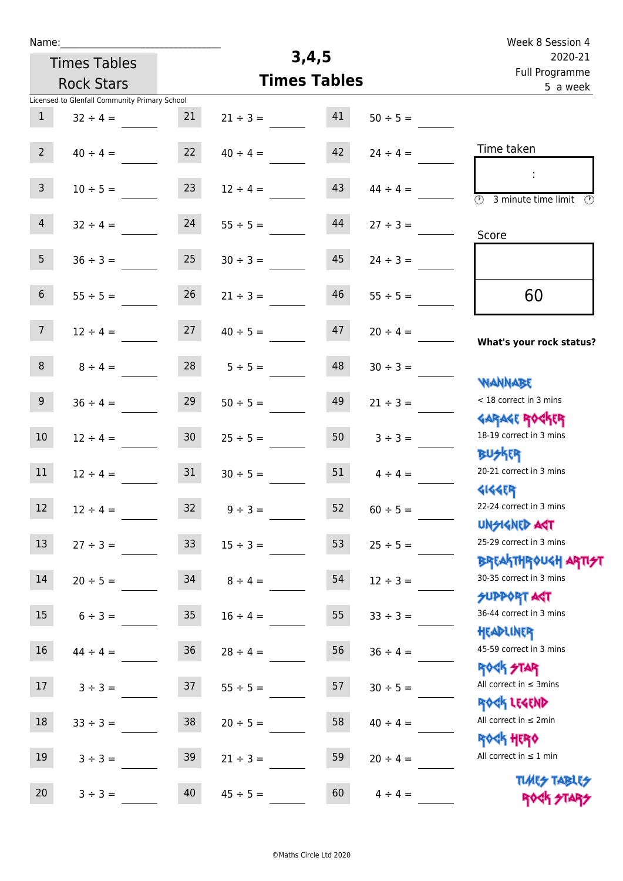| Name:             |                                               |                 |               |                     |               | Week 8 Session 4                                            |
|-------------------|-----------------------------------------------|-----------------|---------------|---------------------|---------------|-------------------------------------------------------------|
|                   | <b>Times Tables</b>                           |                 |               | 3,4,5               |               | 2020-21                                                     |
|                   | <b>Rock Stars</b>                             |                 |               | <b>Times Tables</b> |               | Full Programme<br>5 a week                                  |
|                   | Licensed to Glenfall Community Primary School |                 |               |                     |               |                                                             |
| $\mathbf{1}$      | $32 \div 4 =$                                 | 21              | $21 \div 3 =$ | 41                  | $50 \div 5 =$ |                                                             |
|                   |                                               |                 |               |                     |               |                                                             |
| $2^{\circ}$       | $40 \div 4 =$                                 | 22              | $40 \div 4 =$ | 42                  | $24 \div 4 =$ | Time taken                                                  |
|                   |                                               |                 |               |                     |               |                                                             |
| $\mathsf{3}$      | $10 \div 5 =$                                 | 23              | $12 \div 4 =$ | 43                  | $44 \div 4 =$ |                                                             |
|                   |                                               |                 |               |                     |               | $\circled{r}$<br>3 minute time limit<br>$\mathcal{O}$       |
| $\overline{4}$    | $32 \div 4 =$                                 | 24              | $55 \div 5 =$ | 44                  | $27 \div 3 =$ |                                                             |
|                   |                                               |                 |               |                     |               | Score                                                       |
| 5                 | $36 \div 3 =$                                 | 25              | $30 \div 3 =$ | 45                  | $24 \div 3 =$ |                                                             |
|                   |                                               |                 |               |                     |               |                                                             |
| $\sqrt{6}$        | $55 \div 5 =$                                 | 26              | $21 \div 3 =$ | 46                  | $55 \div 5 =$ | 60                                                          |
|                   |                                               |                 |               |                     |               |                                                             |
| 7 <sup>7</sup>    | $12 \div 4 =$                                 | 27              | $40 \div 5 =$ | 47                  | $20 \div 4 =$ |                                                             |
|                   |                                               |                 |               |                     |               | What's your rock status?                                    |
| 8                 | $8 \div 4 =$                                  | 28              | $5 ÷ 5 =$     | 48                  | $30 \div 3 =$ |                                                             |
|                   |                                               |                 |               |                     |               | <b>JARNARY</b>                                              |
| $\overline{9}$    | $36 \div 4 =$                                 | 29              | $50 \div 5 =$ | 49                  | $21 \div 3 =$ | < 18 correct in 3 mins                                      |
|                   |                                               |                 |               |                     |               | <b>GARAGE ROGKER</b>                                        |
| 10                | $12 \div 4 =$                                 | 30 <sub>o</sub> | $25 \div 5 =$ | 50                  | $3 ÷ 3 =$     | 18-19 correct in 3 mins                                     |
|                   |                                               |                 |               |                     |               | <b>BUSKER</b>                                               |
| 11                | $12 \div 4 =$                                 | 31              | $30 \div 5 =$ | 51                  | $4 \div 4 =$  | 20-21 correct in 3 mins                                     |
|                   |                                               |                 |               |                     |               | <b>4144EP</b>                                               |
| $12 \overline{ }$ | $12 \div 4 =$                                 | 32              | $9 \div 3 =$  | 52                  | $60 \div 5 =$ | 22-24 correct in 3 mins                                     |
|                   |                                               |                 |               |                     |               | <b>UNSIGNED AST</b><br>25-29 correct in 3 mins              |
| 13                | $27 ÷ 3 =$                                    | 33              | $15 \div 3 =$ | 53                  | $25 \div 5 =$ |                                                             |
| $14\,$            |                                               | 34              |               | 54                  |               | ΒΡΓΑΚΤΗΡΟUGH ΑΡΤΙ <del>2</del> Τ<br>30-35 correct in 3 mins |
|                   | $20 \div 5 =$                                 |                 | $8 \div 4 =$  |                     | $12 \div 3 =$ | <b>SUPPORT AST</b>                                          |
| 15                | $6 ÷ 3 =$                                     | 35 <sub>5</sub> | $16 \div 4 =$ | 55                  | $33 \div 3 =$ | 36-44 correct in 3 mins                                     |
|                   |                                               |                 |               |                     |               | HEADLINER                                                   |
| $16\,$            | $44 \div 4 =$                                 | 36              | $28 \div 4 =$ | 56                  | $36 \div 4 =$ | 45-59 correct in 3 mins                                     |
|                   |                                               |                 |               |                     |               | <b>ROCK STAR</b>                                            |
| $17\,$            | $3 ÷ 3 =$                                     | 37              | $55 \div 5 =$ | 57                  | $30 \div 5 =$ | All correct in $\leq$ 3mins                                 |
|                   |                                               |                 |               |                     |               | ROCK LEGEND                                                 |
| 18                | $33 \div 3 =$                                 | 38              | $20 \div 5 =$ | 58                  | $40 \div 4 =$ | All correct in $\leq 2$ min                                 |
|                   |                                               |                 |               |                     |               | <b>ROCK HERO</b>                                            |
| 19                | $3 ÷ 3 =$                                     | 39              | $21 \div 3 =$ | 59                  | $20 \div 4 =$ | All correct in $\leq 1$ min                                 |
|                   |                                               |                 |               |                     |               | <b>TUARS TABLES</b>                                         |
| 20                | $3 ÷ 3 =$                                     | 40              | $45 \div 5 =$ | 60                  | $4 \div 4 =$  | ROCK STARS                                                  |
|                   |                                               |                 |               |                     |               |                                                             |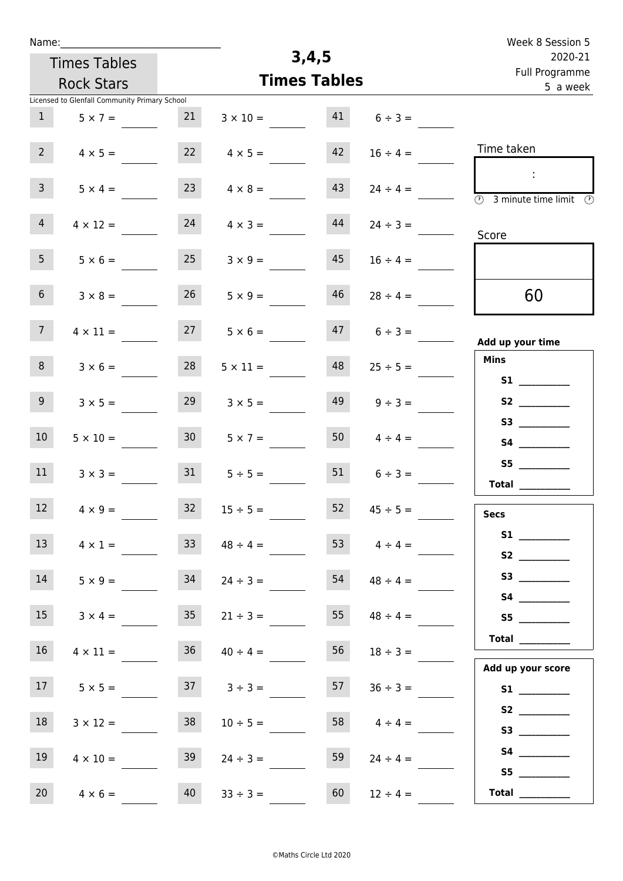| Name:                                         |                     |                       |                     | Week 8 Session 5                                            |
|-----------------------------------------------|---------------------|-----------------------|---------------------|-------------------------------------------------------------|
| <b>Times Tables</b>                           |                     | 3,4,5                 |                     | 2020-21                                                     |
| <b>Rock Stars</b>                             |                     | <b>Times Tables</b>   |                     | Full Programme<br>5 a week                                  |
| Licensed to Glenfall Community Primary School |                     |                       |                     |                                                             |
| 1<br>$5 \times 7 =$                           | 21                  | 41<br>$3 \times 10 =$ | $6 \div 3 =$        |                                                             |
| $2^{\circ}$<br>$4 \times 5 =$                 | 22                  | 42<br>$4 \times 5 =$  | $16 \div 4 =$       | Time taken                                                  |
| 3 <sup>7</sup><br>$5 \times 4 =$              | 23                  | 43<br>$4 \times 8 =$  | $24 \div 4 =$       | $\ddot{\phantom{a}}$<br><b>3</b> minute time limit <b>3</b> |
| $\overline{4}$<br>$4 \times 12 =$             | 24                  | 44<br>$4 \times 3 =$  | $24 \div 3 =$       | Score                                                       |
| 5 <sup>1</sup><br>$5 \times 6 =$              | 25                  | 45<br>$3 \times 9 =$  | $16 \div 4 =$       |                                                             |
| 6 <sup>1</sup><br>$3 \times 8 =$              | 26                  | 46<br>$5 \times 9 =$  | $28 \div 4 =$       | 60                                                          |
| 7 <sup>7</sup><br>$4 \times 11 =$             | 27                  | 47<br>$5 \times 6 =$  | $6 \div 3 =$        | Add up your time                                            |
| 8<br>$3 \times 6 =$                           | 28                  | 48<br>$5 \times 11 =$ | $25 \div 5 =$       | <b>Mins</b><br>S1                                           |
| 9<br>$3 \times 5 =$                           | 29                  | 49<br>$3 \times 5 =$  | $9 \div 3 =$        |                                                             |
| 10 <sup>°</sup><br>$5 \times 10 =$            | 30 <sup>°</sup>     | 50<br>$5 \times 7 =$  | $4 \div 4 =$        |                                                             |
| 11<br>$3 \times 3 =$                          | 31                  | 51<br>$5 \div 5 =$    | $6 \div 3 =$        | S5<br>Total $\qquad$                                        |
| 12<br>$4 \times 9 =$                          | 32<br>$15 \div 5 =$ | 52                    | $45 \div 5 =$       | <b>Secs</b>                                                 |
| 13<br>$4 \times 1 =$                          | 33                  | $48 \div 4 =$         | 53 $4 \div 4 =$     | S1<br>S2                                                    |
| 14<br>$5 \times 9 =$                          | 34                  | $24 \div 3 =$         | $54 \t 48 \div 4 =$ |                                                             |
| 15<br>$3 \times 4 =$                          | 35                  | $21 \div 3 =$         | 55 $48 \div 4 =$    | S5                                                          |
| 16 <sup>1</sup><br>$4 \times 11 =$            | 36                  | 56<br>$40 \div 4 =$   | $18 \div 3 =$       | <b>Total</b> __________                                     |
| 17<br>$5 \times 5 =$                          | $37 \t3 \div 3 =$   | 57                    | $36 \div 3 =$       | Add up your score                                           |
| 18<br>$3 \times 12 =$                         | 38                  | 58<br>$10 \div 5 =$   | $4 \div 4 =$        |                                                             |
| 19<br>$4 \times 10 =$                         | 39                  | 59<br>$24 \div 3 =$   | $24 \div 4 =$       |                                                             |
| 20<br>$4 \times 6 =$                          | 40<br>$33 \div 3 =$ | 60                    | $12 \div 4 =$       | $\begin{tabular}{c} Total \end{tabular}$                    |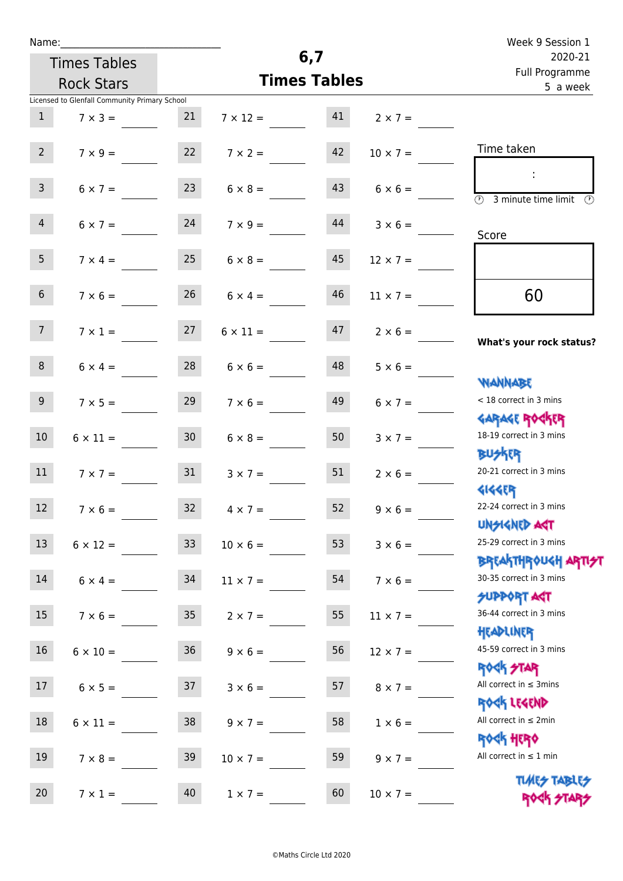| Name:                                         |                                  |                 |                 |                                     |                                   | Week 9 Session 1                                                              |
|-----------------------------------------------|----------------------------------|-----------------|-----------------|-------------------------------------|-----------------------------------|-------------------------------------------------------------------------------|
| <b>Times Tables</b>                           |                                  |                 |                 | 6,7                                 |                                   | 2020-21<br>Full Programme                                                     |
| <b>Rock Stars</b>                             |                                  |                 |                 | <b>Times Tables</b>                 |                                   | 5 a week                                                                      |
| Licensed to Glenfall Community Primary School |                                  |                 |                 |                                     |                                   |                                                                               |
| $\mathbf{1}$                                  | $7 \times 3 =$                   | 21              |                 |                                     | $7 \times 12 = 41$ $2 \times 7 =$ |                                                                               |
| 2                                             |                                  |                 |                 | $7 \times 9 = 22$ $7 \times 2 = 42$ | $10 \times 7 =$                   | Time taken                                                                    |
| 3 <sup>7</sup>                                | $6 \times 7 =$                   | 23              | $6 \times 8 =$  |                                     | $43 \t 6 \times 6 =$              | $\overline{\textcircled{1}}$ 3 minute time limit $\overline{\textcircled{1}}$ |
| $\overline{4}$                                | $6 \times 7 =$                   | 24              | $7 \times 9 =$  | 44                                  | $3 \times 6 =$                    | Score                                                                         |
| 5 <sub>1</sub>                                | $7 \times 4 = 25$                |                 | $6 \times 8 =$  | 45                                  | $12 \times 7 =$                   |                                                                               |
| 6 <sup>1</sup>                                | $7 \times 6 =$                   | 26              | $6 \times 4 =$  | 46                                  | $11 \times 7 =$                   | 60                                                                            |
| 7 <sup>7</sup>                                | $7 \times 1 = 27$                |                 | $6 \times 11 =$ | 47                                  | $2 \times 6 =$                    | What's your rock status?                                                      |
| 8                                             | $6 \times 4 = 28$ $6 \times 6 =$ |                 |                 |                                     | $48$ $5 \times 6 =$               | <b>WANNABE</b>                                                                |
| 9                                             | $7 \times 5 =$                   | 29              | $7 \times 6 =$  | 49                                  | $6 \times 7 =$                    | < 18 correct in 3 mins<br><b>GARAGE ROCKER</b>                                |
| 10 <sup>°</sup>                               | $6 \times 11 =$                  | 30              | $6 \times 8 =$  | 50                                  | $3 \times 7 =$                    | 18-19 correct in 3 mins<br><b>BUSKER</b>                                      |
| 11                                            | $7 \times 7 = 31$                |                 | $3 \times 7 =$  | 51                                  | $2 \times 6 =$                    | 20-21 correct in 3 mins<br><b>4144EP</b>                                      |
| 12                                            | $7 \times 6 =$                   | 32              | $4 \times 7 =$  | 52                                  | $9 \times 6 =$                    | 22-24 correct in 3 mins<br><b>UNSIGNED AGT</b>                                |
| 13                                            | $6 \times 12 =$                  | 33 <sup>°</sup> | $10 \times 6 =$ | 53                                  | $3 \times 6 =$                    | 25-29 correct in 3 mins<br><b>BREAKTHROUGH ARTH</b>                           |
| 14                                            | $6 \times 4 =$                   | 34              | $11 \times 7 =$ | 54                                  | $7 \times 6 =$                    | 30-35 correct in 3 mins<br><b>SUPPORT ART</b>                                 |
| 15 <sub>1</sub>                               | $7 \times 6 =$                   | 35 <sub>o</sub> | $2 \times 7 =$  | 55                                  | $11 \times 7 =$                   | 36-44 correct in 3 mins<br>HEADLINER                                          |
| 16                                            | $6 \times 10 =$                  | 36              | $9 \times 6 =$  | 56                                  | $12 \times 7 =$                   | 45-59 correct in 3 mins<br><b>ROCK STAR</b>                                   |
| 17                                            | $6 \times 5 =$                   | 37              | $3 \times 6 =$  | 57                                  | $8 \times 7 =$                    | All correct in $\leq$ 3mins<br>ROCK LEGEND                                    |
| 18                                            | $6 \times 11 =$                  | 38              | $9 \times 7 =$  | 58                                  | $1 \times 6 =$                    | All correct in $\leq 2$ min<br>ROCK HERO                                      |
| 19                                            | $7 \times 8 =$                   | 39              | $10 \times 7 =$ | 59                                  | $9 \times 7 =$                    | All correct in $\leq 1$ min<br><b>TUARS TABLES</b>                            |
| 20                                            | $7 \times 1 =$                   | 40              | $1 \times 7 =$  | 60                                  | $10 \times 7 =$                   | ROCK STARS                                                                    |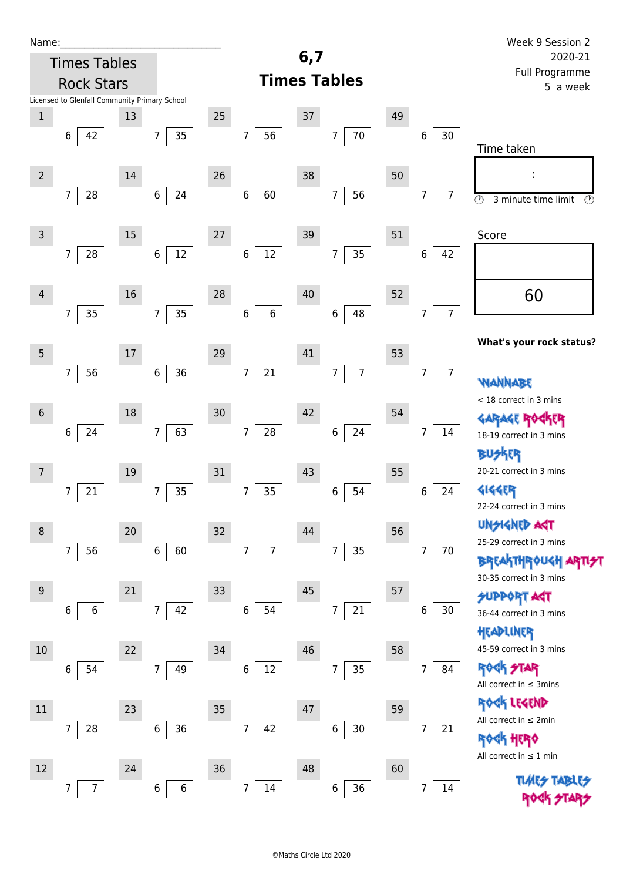| Name:          |                                               |        |                      |        |                                  |     |                       |    |                                  | Week 9 Session 2                                            |
|----------------|-----------------------------------------------|--------|----------------------|--------|----------------------------------|-----|-----------------------|----|----------------------------------|-------------------------------------------------------------|
|                | <b>Times Tables</b>                           |        |                      |        |                                  | 6,7 |                       |    |                                  | 2020-21                                                     |
|                | <b>Rock Stars</b>                             |        |                      |        |                                  |     | <b>Times Tables</b>   |    |                                  | Full Programme<br>5 a week                                  |
|                | Licensed to Glenfall Community Primary School |        |                      |        |                                  |     |                       |    |                                  |                                                             |
| $\mathbf 1$    |                                               | 13     |                      | 25     |                                  | 37  |                       | 49 |                                  |                                                             |
|                | 6<br>42                                       |        | 35<br>$\overline{7}$ |        | 56<br>$\boldsymbol{7}$           |     | $70\,$<br>7           |    | 30<br>6                          | Time taken                                                  |
| $\overline{2}$ |                                               | $14\,$ |                      | 26     |                                  | 38  |                       | 50 |                                  |                                                             |
|                | $28\,$<br>$\overline{7}$                      |        | 24<br>$\,6\,$        |        | 60<br>$\,$ 6 $\,$                |     | 56<br>$\overline{7}$  |    | $\overline{7}$<br>7              | $\overline{\odot}$<br>$\odot$<br>3 minute time limit        |
| $\mathsf{3}$   |                                               | $15\,$ |                      | 27     |                                  | 39  |                       | 51 |                                  | Score                                                       |
|                | 28<br>7                                       |        | $12\,$<br>$\,6\,$    |        | $12\,$<br>$\,6$                  |     | 35<br>7               |    | 42<br>6                          |                                                             |
| $\overline{4}$ | 35<br>$\overline{7}$                          | 16     | 35<br>$\overline{7}$ | 28     | $\sqrt{6}$<br>$\boldsymbol{6}$   | 40  | 48<br>$\,$ 6 $\,$     | 52 | $\overline{7}$<br>$\overline{7}$ | 60                                                          |
|                |                                               |        |                      |        |                                  |     |                       |    |                                  | What's your rock status?                                    |
| $\mathsf S$    |                                               | $17\,$ |                      | 29     |                                  | 41  |                       | 53 |                                  |                                                             |
|                | 56<br>$\overline{7}$                          |        | 36<br>$\,6\,$        |        | 21<br>$\boldsymbol{7}$           |     | $\overline{7}$<br>7   |    | 7 <sup>1</sup><br>7              | WANNABE                                                     |
| $6\phantom{.}$ |                                               | 18     |                      | 30     |                                  | 42  |                       | 54 |                                  | < 18 correct in 3 mins<br><b>GARAGE RO</b>                  |
|                | 24<br>6                                       |        | 63<br>$\overline{7}$ |        | $\overline{7}$<br>${\bf 28}$     |     | 24<br>$\,6\,$         |    | 7<br>14                          | 18-19 correct in 3 mins                                     |
| 7              |                                               | 19     |                      | 31     |                                  | 43  |                       | 55 |                                  | <b>BUSKER</b><br>20-21 correct in 3 mins                    |
|                | 21<br>7                                       |        | 35<br>$\overline{7}$ |        | 35<br>$\overline{7}$             |     | $\,$ 6 $\,$<br>54     |    | 24<br>6                          | <b>4144EP</b><br>22-24 correct in 3 mins                    |
| $\, 8$         |                                               | 20     |                      | 32     |                                  | 44  |                       | 56 |                                  | <b>UNGIGNED AST</b>                                         |
|                | 56<br>$\overline{7}$                          |        | 60<br>$\,6\,$        |        | $\overline{7}$<br>$\overline{7}$ |     | 35<br>7               |    | 70<br>7                          | 25-29 correct in 3 mins<br><b>BREAKTHROUGH</b>              |
| $9\,$          |                                               | 21     |                      | 33     |                                  | 45  |                       | 57 |                                  | 30-35 correct in 3 mins                                     |
|                | 6<br>6                                        |        | 42<br>$\overline{7}$ |        | $\boldsymbol{6}$<br>54           |     | 21<br>$\overline{7}$  |    | 6<br>30                          | <b>SUPPORT AGT</b><br>36-44 correct in 3 mins               |
| 10             |                                               | 22     |                      | 34     |                                  | 46  |                       | 58 |                                  | HEADLINER<br>45-59 correct in 3 mins                        |
|                | 54<br>6                                       |        | 49<br>$\overline{7}$ |        | 12<br>$\boldsymbol{6}$           |     | 35<br>7               |    | 84<br>7                          | <b>ROCK STAR</b><br>All correct in $\leq$ 3mins             |
| $11\,$         |                                               | 23     |                      | 35     |                                  | 47  |                       | 59 |                                  | ROCK LEGEND                                                 |
|                | $\overline{7}$<br>28                          |        | 6<br>36              |        | $\boldsymbol{7}$<br>42           |     | $\,$ 6 $\,$<br>$30\,$ |    | $\overline{7}$<br>21             | All correct in $\leq 2$ min<br><b><k b="" her0<=""></k></b> |
| 12             |                                               | 24     |                      | $36\,$ |                                  | 48  |                       | 60 |                                  | All correct in $\leq 1$ min                                 |
|                | 7<br>7                                        |        | 6<br>6               |        | $\overline{7}$<br>14             |     | 36<br>6               |    | 7<br>14                          | <b>TLMES</b>                                                |
|                |                                               |        |                      |        |                                  |     |                       |    |                                  |                                                             |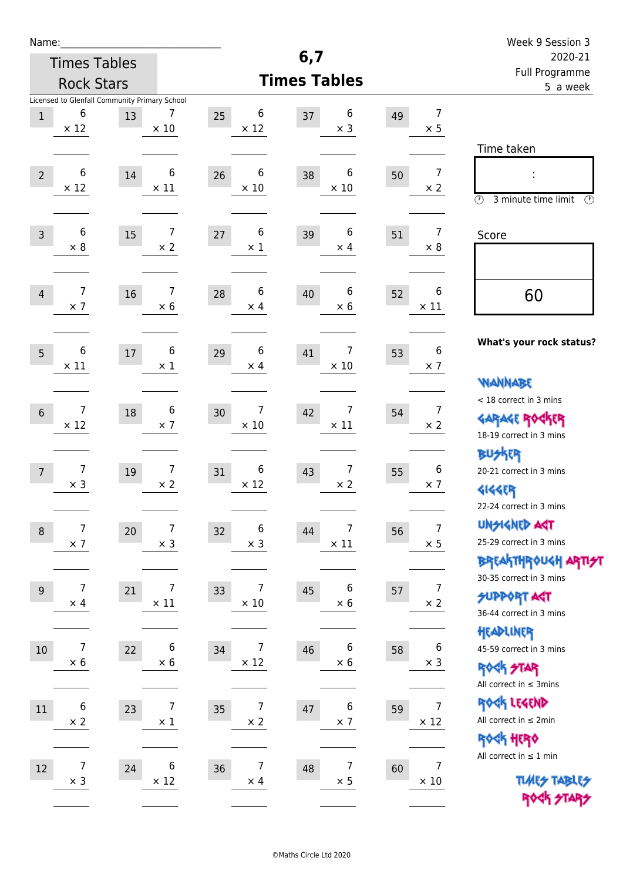| Name:                                                                      |                                     |                                    |                                     |                   | Week 9 Session 3                                                                                            |
|----------------------------------------------------------------------------|-------------------------------------|------------------------------------|-------------------------------------|-------------------|-------------------------------------------------------------------------------------------------------------|
| <b>Times Tables</b>                                                        |                                     |                                    | 6,7                                 |                   | 2020-21                                                                                                     |
| <b>Rock Stars</b>                                                          |                                     |                                    | <b>Times Tables</b>                 |                   | Full Programme<br>5 a week                                                                                  |
| Licensed to Glenfall Community Primary School<br>6<br>$\,1$<br>$\times$ 12 | 7<br>13<br>$\times$ 10              | 6<br>25<br>$\times$ 12             | 6<br>37<br>$\times$ 3               | 49<br>$\times$ 5  | $\overline{7}$                                                                                              |
| 6<br>$\overline{2}$<br>$\times$ 12                                         | 6<br>14<br>$\times$ 11              | 6<br>26<br>$\times$ 10             | 6<br>38<br>$\times$ 10              | 50<br>$\times 2$  | Time taken<br>$\overline{7}$<br>İ,<br>$\circled{r}$<br>3 minute time limit<br>⊕                             |
| $\,6$<br>$\mathsf{3}$<br>$\times$ 8                                        | 7<br>15<br>$\times$ 2               | 6<br>27<br>$\times$ 1              | 6<br>39<br>$\times$ 4               | 51<br>$\times 8$  | $\overline{7}$<br>Score                                                                                     |
| 7<br>$\overline{4}$<br>$\times$ 7                                          | 7<br>16<br>$\times$ 6               | 6<br>28<br>$\times$ 4              | 6<br>40<br>$\times 6$               | 52<br>$\times$ 11 | 6<br>60                                                                                                     |
| 6<br>5<br>$\times$ 11                                                      | 6<br>$17\,$<br>$\times 1$           | 6<br>29<br>$\times$ 4              | $\overline{7}$<br>41<br>$\times$ 10 | 53<br>$\times$ 7  | What's your rock status?<br>6<br><b>WANNABE</b>                                                             |
| 7<br>$6\,$<br>$\times$ 12                                                  | 6<br>18<br>$\times$ 7               | 7<br>30<br>$\times$ 10             | 7<br>42<br>$\times$ 11              | 54<br>$\times 2$  | < 18 correct in 3 mins<br>$\overline{7}$<br><b>GARAGE ROGKER</b><br>18-19 correct in 3 mins                 |
| 7<br>$\overline{7}$<br>$\times$ 3                                          | $\overline{7}$<br>19<br>$\times 2$  | 6<br>31<br>$\times$ 12             | 7<br>43<br>$\times$ 2               | 55<br>$\times$ 7  | <b>BUSKRR</b><br>6<br>20-21 correct in 3 mins<br><b>4144EP</b><br>22-24 correct in 3 mins                   |
| $\overline{7}$<br>$\, 8$<br>$\times$ 7                                     | $\overline{7}$<br>20<br>$\times$ 3  | 6<br>32<br>$\times$ 3              | 7<br>44<br>$\times$ 11              | 56<br>$\times$ 5  | <b>UNGIGNED AGT</b><br>$\overline{7}$<br>25-29 correct in 3 mins<br><b>BREAKTHROUGH ARTI<del>S</del>T</b>   |
| 7<br>9<br>$\times$ 4                                                       | $\overline{7}$<br>21<br>$\times$ 11 | 7<br>33<br>$\times$ 10             | 6<br>45<br>$\times$ 6               | 57<br>$\times 2$  | 30-35 correct in 3 mins<br>$\overline{7}$<br><b>SUPPORT ART</b><br>36-44 correct in 3 mins                  |
| 7<br>$10\,$<br>$\times$ 6                                                  | 6<br>22<br>$\times$ 6               | 7<br>34<br>$\times$ 12             | 6<br>46<br>$\times$ 6               | 58<br>$\times$ 3  | HEADLINER<br>$\boldsymbol{6}$<br>45-59 correct in 3 mins<br><b>ROCK STAR</b><br>All correct in $\leq$ 3mins |
| 6<br>11<br>$\times$ 2                                                      | $\overline{7}$<br>23<br>$\times$ 1  | 7<br>35<br>$\times$ 2              | 6<br>47<br>$\times$ 7               | 59<br>$\times$ 12 | ROCK LEGEND<br>$\overline{7}$<br>All correct in $\leq 2$ min<br>ROCK HERO                                   |
| $\boldsymbol{7}$<br>$12\,$<br>$\times$ 3                                   | 6<br>24<br>$\times$ 12              | $\overline{7}$<br>36<br>$\times$ 4 | $\overline{7}$<br>48<br>$\times$ 5  | 60<br>$\times$ 10 | All correct in $\leq 1$ min<br>$\overline{7}$<br><b>TUARS TABLES</b><br>ROCK STARS                          |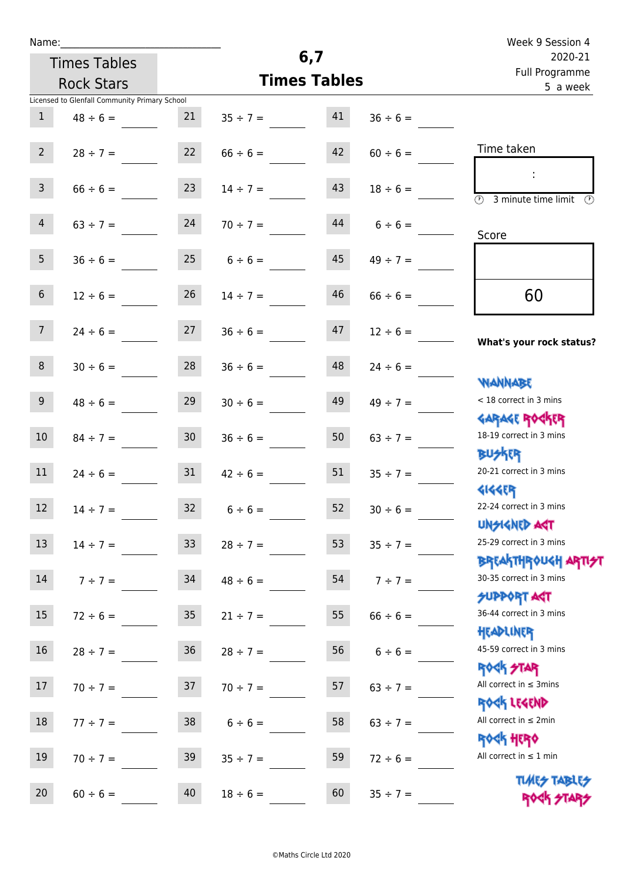| Name:           |                                               |                 |                                |                     |               | Week 9 Session 4                                                 |
|-----------------|-----------------------------------------------|-----------------|--------------------------------|---------------------|---------------|------------------------------------------------------------------|
|                 | <b>Times Tables</b>                           |                 |                                | 6,7                 |               | 2020-21<br>Full Programme                                        |
|                 | <b>Rock Stars</b>                             |                 |                                | <b>Times Tables</b> |               | 5 a week                                                         |
|                 | Licensed to Glenfall Community Primary School |                 |                                |                     |               |                                                                  |
| $\mathbf{1}$    | $48 \div 6 =$                                 | 21              | $35 \div 7 = 41$               |                     | $36 \div 6 =$ |                                                                  |
| $2^{\circ}$     | $28 \div 7 = 22$                              |                 | $66 \div 6 =$                  | 42                  | $60 \div 6 =$ | Time taken                                                       |
| 3 <sup>7</sup>  | $66 \div 6 =$                                 | 23              | $14 \div 7 =$                  | 43                  | $18 \div 6 =$ | (1)<br>3 minute time limit<br>O)                                 |
| 4               | $63 \div 7 =$                                 | 24              | $70 \div 7 =$                  | 44                  | $6 \div 6 =$  | Score                                                            |
| 5 <sub>1</sub>  | $36 \div 6 =$                                 |                 | $25 \t 6 \div 6 =$             | 45                  | $49 \div 7 =$ |                                                                  |
| 6 <sup>1</sup>  | $12 \div 6 =$                                 | 26              | $14 \div 7 =$                  | 46                  | $66 \div 6 =$ | 60                                                               |
| 7 <sup>7</sup>  |                                               |                 | $24 \div 6 =$ 27 $36 \div 6 =$ | 47                  | $12 \div 6 =$ | What's your rock status?                                         |
| 8               | $30 \div 6 =$                                 |                 | $28$ $36 \div 6 =$             | 48                  | $24 \div 6 =$ | <b>NANNABE</b>                                                   |
| 9               | $48 \div 6 =$                                 | 29              | $30 \div 6 =$                  | 49                  | $49 \div 7 =$ | < 18 correct in 3 mins<br><b>GARAGE ROCKER</b>                   |
| 10 <sup>°</sup> | $84 \div 7 =$                                 | 30 <sub>o</sub> | $36 \div 6 =$                  | 50                  | $63 \div 7 =$ | 18-19 correct in 3 mins<br><b>BUSKR</b>                          |
| 11              | $24 \div 6 = 31$                              |                 | $42 \div 6 =$                  | 51                  | $35 \div 7 =$ | 20-21 correct in 3 mins<br><b>4144ER</b>                         |
| 12              | $14 \div 7 =$                                 | 32              | $6 \div 6 =$                   | 52                  | $30 \div 6 =$ | 22-24 correct in 3 mins<br><b>UNSIGNED AGT</b>                   |
| 13              | $14 \div 7 =$                                 | 33 <sup>°</sup> | $28 \div 7 =$                  | 53                  | $35 \div 7 =$ | 25-29 correct in 3 mins<br><b>BREAKTHROUGH ARTI<del>S</del>T</b> |
| 14              | $7 ÷ 7 =$                                     | 34              | $48 \div 6 =$                  | 54                  | $7 ÷ 7 =$     | 30-35 correct in 3 mins<br><b>SUPPORT ART</b>                    |
| 15              | $72 \div 6 =$                                 | 35              | $21 \div 7 =$                  | 55                  | $66 \div 6 =$ | 36-44 correct in 3 mins<br>HEADLINER                             |
| 16              | $28 \div 7 =$                                 | 36              | $28 \div 7 =$                  | 56                  | $6 \div 6 =$  | 45-59 correct in 3 mins<br><b>ROCK STAR</b>                      |
| 17              | $70 \div 7 =$                                 | 37              | $70 \div 7 =$                  | 57                  | $63 \div 7 =$ | All correct in $\leq$ 3mins<br>ROCK LEGEND                       |
| 18              | $77 \div 7 =$                                 | 38              | $6 \div 6 =$                   | 58                  | $63 \div 7 =$ | All correct in $\leq 2$ min<br><b>ROCK HERO</b>                  |
| 19              | $70 \div 7 =$                                 | 39              | $35 \div 7 =$                  | 59                  | $72 \div 6 =$ | All correct in $\leq 1$ min                                      |
| 20              | $60 \div 6 =$                                 | 40              | $18 \div 6 =$                  | 60                  | $35 \div 7 =$ | <b>TUARS TABLES</b><br>ROCK STARS                                |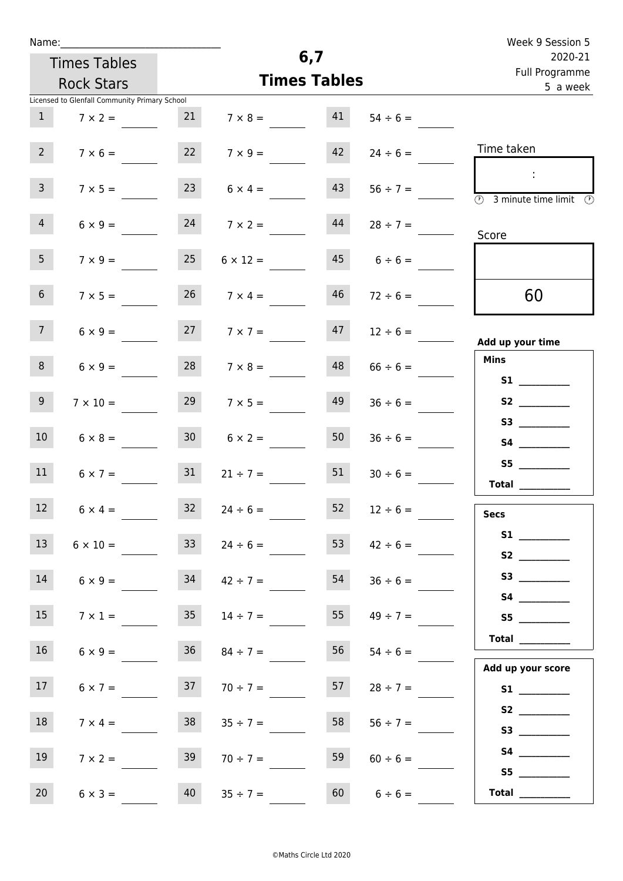| Name |  |  |  |
|------|--|--|--|
|      |  |  |  |

| Name:                                         |    |                |                     |                           | Week 9 Session 5 |
|-----------------------------------------------|----|----------------|---------------------|---------------------------|------------------|
| <b>Times Tables</b>                           |    |                | 6,7                 | 2020-21<br>Full Programme |                  |
|                                               |    |                |                     |                           |                  |
| <b>Rock Stars</b>                             |    |                | <b>Times Tables</b> | 5 a week                  |                  |
| Licensed to Glenfall Community Primary School |    |                |                     |                           |                  |
| $7 \times 2 =$                                | 21 | $7 \times 8 =$ | 41                  | $54 \div 6 =$             |                  |
|                                               |    |                |                     |                           |                  |

| Time taken                                                                                                                                                                                                                              | $24 \div 6 =$ | 42 | $7 \times 9 =$       | 22              | $7 \times 6 =$  | 2 <sup>2</sup>  |
|-----------------------------------------------------------------------------------------------------------------------------------------------------------------------------------------------------------------------------------------|---------------|----|----------------------|-----------------|-----------------|-----------------|
|                                                                                                                                                                                                                                         | $56 \div 7 =$ | 43 | $6 \times 4 =$       |                 | $7 \times 5 =$  | 3 <sup>7</sup>  |
| $\overline{\textcircled{3}}$ 3 minute time limit<br>- O                                                                                                                                                                                 | $28 \div 7 =$ | 44 | $7 \times 2 =$       | 24              | $6 \times 9 =$  | $4\overline{ }$ |
| Score                                                                                                                                                                                                                                   | $6 \div 6 =$  | 45 | $6 \times 12 =$      | 25              | $7 \times 9 =$  | 5 <sub>1</sub>  |
| 60                                                                                                                                                                                                                                      | $72 \div 6 =$ | 46 | $7 \times 4 =$       | 26              | $7 \times 5 =$  | 6 <sup>1</sup>  |
| Add up your time                                                                                                                                                                                                                        | $12 \div 6 =$ | 47 | $7 \times 7 =$       | 27              | $6 \times 9 =$  | 7 <sup>7</sup>  |
| Mins                                                                                                                                                                                                                                    | $66 \div 6 =$ | 48 | $7 \times 8 =$       | 28              | $6 \times 9 =$  | 8 <sub>1</sub>  |
| S <sub>2</sub> and the set of the set of the set of the set of the set of the set of the set of the set of the set of the set of the set of the set of the set of the set of the set of the set of the set of the set of the set of the | $36 \div 6 =$ | 49 | $29$ $7 \times 5 =$  |                 | $7 \times 10 =$ | 9 <sub>o</sub>  |
|                                                                                                                                                                                                                                         | $36 \div 6 =$ | 50 | $30 \t 6 \times 2 =$ |                 | $6 \times 8 =$  | 10 <sub>1</sub> |
| S5<br>Total                                                                                                                                                                                                                             | $30 \div 6 =$ | 51 | $21 \div 7 =$        | 31              | $6 \times 7 =$  | 11              |
| <b>Secs</b>                                                                                                                                                                                                                             | $12 \div 6 =$ | 52 | $24 \div 6 =$        | 32              | $6 \times 4 =$  | 12              |
| S1                                                                                                                                                                                                                                      | $42 \div 6 =$ | 53 | $24 \div 6 =$        | 33              | $6 \times 10 =$ | 13              |
|                                                                                                                                                                                                                                         | $36 \div 6 =$ | 54 | $34 \t 42 \div 7 =$  |                 | $6 \times 9 =$  | 14              |
| S <sub>5</sub>                                                                                                                                                                                                                          | $49 \div 7 =$ | 55 | $14 \div 7 =$        | 35              | $7 \times 1 =$  | 15              |
| Total $\qquad$<br>Add up your score                                                                                                                                                                                                     | $54 \div 6 =$ | 56 | $84 \div 7 =$        | 36 <sup>°</sup> | $6 \times 9 =$  | 16              |
| S2                                                                                                                                                                                                                                      | $28 \div 7 =$ | 57 | $70 \div 7 =$        | 37              | $6 \times 7 =$  | 17              |
|                                                                                                                                                                                                                                         | $56 \div 7 =$ | 58 | $35 \div 7 =$        | 38              | $7 \times 4 =$  | 18              |
| S5                                                                                                                                                                                                                                      | $60 \div 6 =$ | 59 | $70 \div 7 =$        | 39              | $7 \times 2 =$  | 19              |
| Total $\qquad$                                                                                                                                                                                                                          | $6 \div 6 =$  | 60 | $35 \div 7 =$        | 40              | $6 \times 3 =$  | 20              |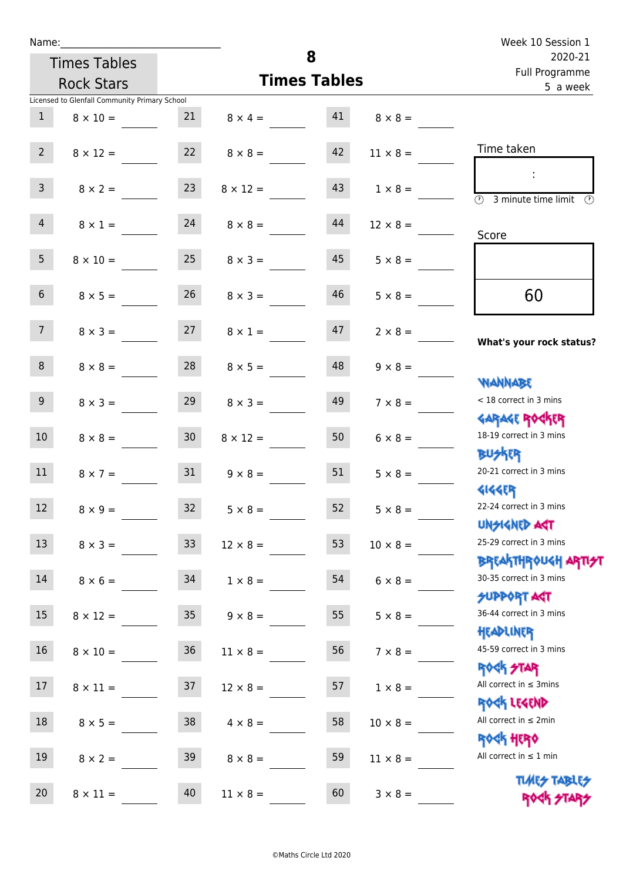| Name:           |                                               |                 |                                  |                     |                                     | Week 10 Session 1                                                |
|-----------------|-----------------------------------------------|-----------------|----------------------------------|---------------------|-------------------------------------|------------------------------------------------------------------|
|                 | <b>Times Tables</b>                           |                 |                                  | 8                   |                                     | 2020-21<br>Full Programme                                        |
|                 | <b>Rock Stars</b>                             |                 |                                  | <b>Times Tables</b> |                                     | 5 a week                                                         |
|                 | Licensed to Glenfall Community Primary School |                 |                                  |                     |                                     |                                                                  |
| 1               | $8 \times 10 =$                               |                 |                                  |                     | 21 $8 \times 4 =$ 41 $8 \times 8 =$ |                                                                  |
| $2^{\circ}$     | $8 \times 12 =$                               |                 | 22 $8 \times 8 =$                | 42                  | $11 \times 8 =$                     | Time taken                                                       |
| $\mathbf{3}$    | $8 \times 2 =$                                | 23              | $8 \times 12 =$                  | 43                  | $1 \times 8 =$                      | $\sim$<br>$\overline{(\mathcal{V})}$<br>3 minute time limit      |
| $\overline{4}$  | $8 \times 1 = 24$                             |                 | $8 \times 8 =$                   | 44                  | $12 \times 8 =$                     | Score                                                            |
| 5 <sub>1</sub>  | $8 \times 10 =$                               | 25              | $8 \times 3 =$                   | 45                  | $5 \times 8 =$                      |                                                                  |
| 6 <sup>1</sup>  | $8 \times 5 =$                                |                 | $26 \t 8 \times 3 =$             | 46                  | $5 \times 8 =$                      | 60                                                               |
| 7 <sup>7</sup>  |                                               |                 | $8 \times 3 = 27$ $8 \times 1 =$ | 47                  | $2 \times 8 =$                      | What's your rock status?                                         |
| 8               | $8 \times 8 =$                                | 28              | $8 \times 5 =$                   | 48                  | $9 \times 8 =$                      | <b>NANNABE</b>                                                   |
| 9 <sup>°</sup>  | $8 \times 3 =$                                | 29              | $8 \times 3 =$                   | 49                  | $7 \times 8 =$                      | < 18 correct in 3 mins<br><b>GARAGE ROCKER</b>                   |
| 10 <sup>°</sup> | $8 \times 8 = 30$                             |                 | $8 \times 12 =$                  | 50                  | $6 \times 8 =$                      | 18-19 correct in 3 mins<br><b>BUSKER</b>                         |
| 11              | $8 \times 7 =$                                | 31              | $9 \times 8 =$                   | 51                  | $5 \times 8 =$                      | 20-21 correct in 3 mins<br><b>4144EP</b>                         |
| 12              | $8 \times 9 =$                                | 32              | $5 \times 8 =$                   | 52 <sup>°</sup>     | $5 \times 8 =$                      | 22-24 correct in 3 mins<br><b>UNSIGNED AGT</b>                   |
| 13              | $8 \times 3 =$                                | 33              | $12 \times 8 =$                  | 53                  | $10 \times 8 =$                     | 25-29 correct in 3 mins<br><b>BREAKTHROUGH ARTI<del>S</del>T</b> |
| 14              | $8 \times 6 =$                                | 34              | $1 \times 8 =$                   | 54                  | $6 \times 8 =$                      | 30-35 correct in 3 mins<br><b>SUPPORT AGT</b>                    |
| 15              | $8 \times 12 =$                               | 35 <sub>1</sub> | $9 \times 8 =$                   | 55                  | $5 \times 8 =$                      | 36-44 correct in 3 mins<br>HEADLINER                             |
| 16 <sup>1</sup> | $8 \times 10 =$                               | 36              | $11 \times 8 =$                  | 56                  | $7 \times 8 =$                      | 45-59 correct in 3 mins<br>ROCK STAR                             |
| 17              | $8 \times 11 =$                               | 37              | $12 \times 8 =$                  | 57                  | $1 \times 8 =$                      | All correct in $\leq$ 3mins<br>ROCK LEGEND                       |
| 18              | $8 \times 5 =$                                | 38              | $4 \times 8 =$                   | 58                  | $10 \times 8 =$                     | All correct in $\leq 2$ min<br><b>ROCK HERO</b>                  |
| 19              | $8 \times 2 =$                                | 39              | $8 \times 8 =$                   | 59                  | $11 \times 8 =$                     | All correct in $\leq 1$ min                                      |
| 20              | $8 \times 11 =$                               | 40              | $11 \times 8 =$                  | 60                  | $3 \times 8 =$                      | <b>TUARS TABLES</b><br>ROCK STARS                                |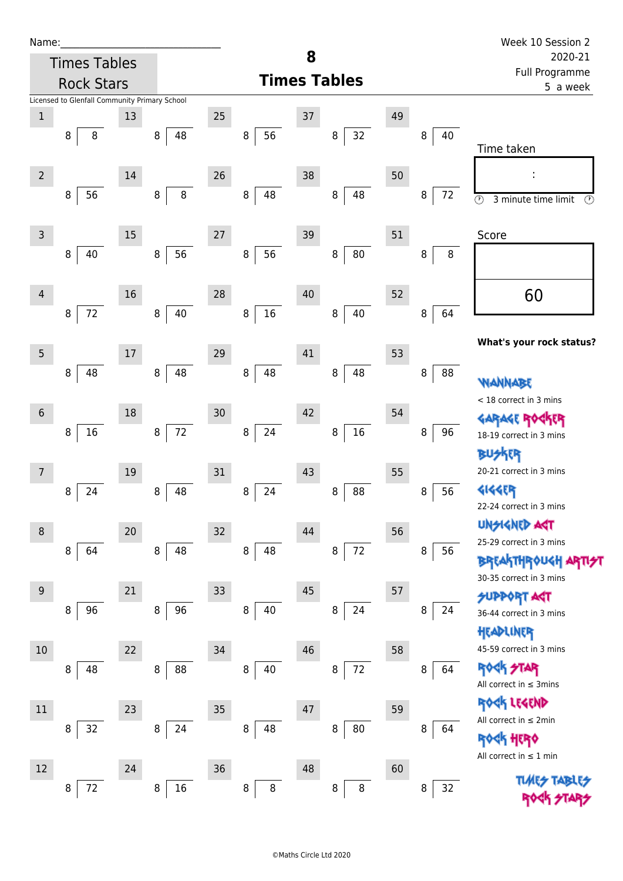| Name:           |                                               |    |              |    |                   |    |                     |    |         | Week 10 Session 2                                      |
|-----------------|-----------------------------------------------|----|--------------|----|-------------------|----|---------------------|----|---------|--------------------------------------------------------|
|                 | <b>Times Tables</b>                           |    |              |    |                   | 8  |                     |    |         | 2020-21<br>Full Programme                              |
|                 | <b>Rock Stars</b>                             |    |              |    |                   |    | <b>Times Tables</b> |    |         | 5 a week                                               |
| $\,1$           | Licensed to Glenfall Community Primary School | 13 |              | 25 |                   | 37 |                     | 49 |         |                                                        |
|                 | 8<br>8                                        |    | 48<br>8      |    | 56<br>8           |    | 32<br>8             |    | 40<br>8 |                                                        |
|                 |                                               |    |              |    |                   |    |                     |    |         | Time taken                                             |
| $\overline{2}$  |                                               | 14 |              | 26 |                   | 38 |                     | 50 |         |                                                        |
|                 | 56<br>8                                       |    | $\,8\,$<br>8 |    | 48<br>8           |    | 48<br>8             |    | 8<br>72 | $\circledcirc$<br>3 minute time limit<br>$\circled{r}$ |
|                 |                                               |    |              |    |                   |    |                     |    |         |                                                        |
| 3               |                                               | 15 |              | 27 |                   | 39 |                     | 51 |         | Score                                                  |
|                 | 8<br>40                                       |    | 56<br>8      |    | 56<br>$\bf 8$     |    | $80\,$<br>8         |    | 8<br>8  |                                                        |
|                 |                                               |    |              |    |                   |    |                     |    |         |                                                        |
| 4               |                                               | 16 |              | 28 |                   | 40 |                     | 52 |         | 60                                                     |
|                 | $72\,$<br>8                                   |    | 40<br>8      |    | 16<br>$\bf 8$     |    | 40<br>8             |    | 64<br>8 |                                                        |
| 5               |                                               | 17 |              | 29 |                   | 41 |                     | 53 |         | What's your rock status?                               |
|                 | 48<br>8                                       |    | 48<br>8      |    | 48<br>$\bf 8$     |    | 48<br>8             |    | 8<br>88 |                                                        |
|                 |                                               |    |              |    |                   |    |                     |    |         | WANNABE                                                |
| $6\phantom{1}6$ |                                               | 18 |              | 30 |                   | 42 |                     | 54 |         | < 18 correct in 3 mins<br><b>GARAGE RO</b>             |
|                 | $16\,$<br>8                                   |    | $72\,$<br>8  |    | 24<br>$\,8\,$     |    | $16\,$<br>8         |    | 96<br>8 | 18-19 correct in 3 mins                                |
|                 |                                               |    |              |    |                   |    |                     |    |         | <b>BUSKER</b>                                          |
| 7               |                                               | 19 |              | 31 |                   | 43 |                     | 55 |         | 20-21 correct in 3 mins                                |
|                 | 8<br>24                                       |    | 48<br>8      |    | 24<br>8           |    | 88<br>8             |    | 56<br>8 | 4144EP<br>22-24 correct in 3 mins                      |
|                 |                                               |    |              |    |                   |    |                     |    |         | <b>UNSIGNED AGT</b>                                    |
| $\,8\,$         | 64<br>8                                       | 20 | 48<br>8      | 32 | $\bf 8$<br>48     | 44 | $72\,$<br>8         | 56 | 56<br>8 | 25-29 correct in 3 mins                                |
|                 |                                               |    |              |    |                   |    |                     |    |         | <b>BREAKTHROUGH</b>                                    |
| 9               |                                               | 21 |              | 33 |                   | 45 |                     | 57 |         | 30-35 correct in 3 mins                                |
|                 | 96<br>8                                       |    | 96<br>8      |    | $\,8\,$<br>40     |    | 24<br>8             |    | 24<br>8 | <b>SUPPORT AGT</b><br>36-44 correct in 3 mins          |
|                 |                                               |    |              |    |                   |    |                     |    |         | HEADLINER                                              |
| 10              |                                               | 22 |              | 34 |                   | 46 |                     | 58 |         | 45-59 correct in 3 mins                                |
|                 | 48<br>8                                       |    | 88<br>8      |    | 8<br>40           |    | $72\,$<br>8         |    | 64<br>8 | <b>ROCK STAR</b>                                       |
|                 |                                               |    |              |    |                   |    |                     |    |         | All correct in $\leq$ 3mins<br>ROCK LEGEND             |
| $11\,$          |                                               | 23 |              | 35 |                   | 47 |                     | 59 |         | All correct in ≤ 2min                                  |
|                 | 32<br>8                                       |    | 24<br>8      |    | 48<br>8           |    | 80<br>8             |    | 8<br>64 | <b><k b="" her0<=""></k></b>                           |
| 12              |                                               | 24 |              | 36 |                   | 48 |                     | 60 |         | All correct in $\leq 1$ min                            |
|                 | $72\,$<br>8                                   |    | $16\,$<br>8  |    | $\,8\,$<br>$\, 8$ |    | $\bf 8$<br>8        |    | 32<br>8 | <b>TLMES</b>                                           |
|                 |                                               |    |              |    |                   |    |                     |    |         |                                                        |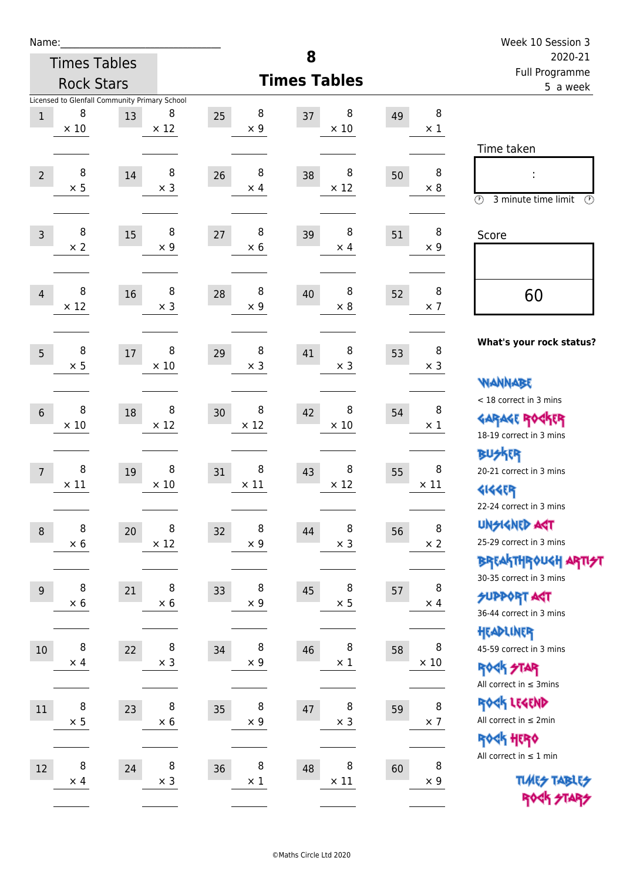| Name:            |                 |                                               |                 |    |                 |                     |                  |    |                  | Week 10 Session 3                                                        |
|------------------|-----------------|-----------------------------------------------|-----------------|----|-----------------|---------------------|------------------|----|------------------|--------------------------------------------------------------------------|
|                  |                 | <b>Times Tables</b>                           |                 |    |                 | 8                   |                  |    |                  | 2020-21<br>Full Programme                                                |
|                  |                 | <b>Rock Stars</b>                             |                 |    |                 | <b>Times Tables</b> |                  |    |                  | 5 a week                                                                 |
|                  | 8               | Licensed to Glenfall Community Primary School | 8               |    | 8               |                     | 8                |    | 8                |                                                                          |
| $\mathbf{1}$     | $\times$ 10     | 13                                            | $\times$ 12     | 25 | $\times$ 9      | 37                  | $\times$ 10      | 49 | $\times$ 1       |                                                                          |
|                  |                 |                                               |                 |    |                 |                     |                  |    |                  | Time taken                                                               |
| $\overline{2}$   | 8               | 14                                            | 8               | 26 | 8               | 38                  | 8                | 50 | 8                |                                                                          |
|                  | $\times$ 5      |                                               | $\times$ 3      |    | $\times$ 4      |                     | $\times$ 12      |    | $\times 8$       |                                                                          |
|                  |                 |                                               |                 |    |                 |                     |                  |    |                  | $\circledcirc$<br>3 minute time limit<br>$\mathcal{O}$                   |
| $\overline{3}$   | 8               | 15                                            | 8               | 27 | 8               | 39                  | 8                | 51 | 8                | Score                                                                    |
|                  | $\times 2$      |                                               | $\times$ 9      |    | $\times$ 6      |                     | $\times$ 4       |    | $\times$ 9       |                                                                          |
|                  |                 |                                               |                 |    |                 |                     |                  |    |                  |                                                                          |
| $\overline{4}$   | 8               | 16                                            | 8               | 28 | 8               | 40                  | 8                | 52 | 8                | 60                                                                       |
|                  | $\times$ 12     |                                               | $\times$ 3      |    | $\times 9$      |                     | $\times$ 8       |    | $\times$ 7       |                                                                          |
|                  |                 |                                               |                 |    |                 |                     |                  |    |                  |                                                                          |
| 5                | 8               | 17                                            | 8               | 29 | 8               | 41                  | 8                | 53 | $\, 8$           | What's your rock status?                                                 |
|                  | $\times$ 5      |                                               | $\times$ 10     |    | $\times$ 3      |                     | $\times$ 3       |    | $\times$ 3       |                                                                          |
|                  |                 |                                               |                 |    |                 |                     |                  |    |                  | <b>VIANNABE</b><br>< 18 correct in 3 mins                                |
| $6\phantom{1}$   | 8               | 18                                            | 8               | 30 | 8               | 42                  | 8                | 54 | 8                | <b>GARAGE ROCKER</b>                                                     |
|                  | $\times$ 10     |                                               | $\times$ 12     |    | $\times$ 12     |                     | $\times$ 10      |    | $\times 1$       | 18-19 correct in 3 mins                                                  |
|                  |                 |                                               |                 |    |                 |                     |                  |    |                  | <b>BUSKER</b>                                                            |
| $\overline{7}$   | 8               | 19                                            | 8               | 31 | 8               | 43                  | 8                | 55 | 8                | 20-21 correct in 3 mins                                                  |
|                  | $\times$ 11     |                                               | $\times$ 10     |    | $\times$ 11     |                     | $\times$ 12      |    | $\times$ 11      | <b>4144EP</b>                                                            |
|                  |                 |                                               |                 |    |                 |                     |                  |    |                  | 22-24 correct in 3 mins                                                  |
| $\boldsymbol{8}$ | 8               | 20                                            | 8               | 32 | 8               | 44                  | 8                | 56 | 8                | <b>UNGIGNED AST</b>                                                      |
|                  | $\times$ 6      |                                               | $\times$ 12     |    | $\times$ 9      |                     | $\times$ 3       |    | $\times$ 2       | 25-29 correct in 3 mins                                                  |
|                  |                 |                                               |                 |    |                 |                     |                  |    |                  | ΒΡΓΑ <sup>Κ</sup> ΤΗΡΟυΚΗ ΑΡΤΙ <del>2</del> Τ<br>30-35 correct in 3 mins |
| $9\,$            | 8               | 21                                            | 8               | 33 | 8               | 45                  | 8                | 57 | 8                | <b>SUPPORT AGT</b>                                                       |
|                  | $\times$ 6      |                                               | $\times$ 6      |    | $\times$ 9      |                     | $\times$ 5       |    | $\times$ 4       | 36-44 correct in 3 mins                                                  |
|                  |                 |                                               |                 |    |                 |                     |                  |    |                  | HEADLINER                                                                |
| $10\,$           | 8               | 22                                            | 8               | 34 | 8               | 46                  | 8<br>$\times$ 1  | 58 | 8<br>$\times$ 10 | 45-59 correct in 3 mins                                                  |
|                  | $\times$ 4      |                                               | $\times$ 3      |    | $\times$ 9      |                     |                  |    |                  | ROCK STAR                                                                |
|                  |                 |                                               |                 |    |                 |                     |                  |    |                  | All correct in $\leq$ 3mins                                              |
| $11\,$           | 8<br>$\times$ 5 | 23                                            | 8<br>$\times$ 6 | 35 | 8<br>$\times$ 9 | 47                  | 8<br>$\times$ 3  | 59 | 8<br>$\times$ 7  | ROCK LEGEND<br>All correct in $\leq 2$ min                               |
|                  |                 |                                               |                 |    |                 |                     |                  |    |                  | ROCK HERO                                                                |
|                  |                 |                                               |                 |    |                 |                     |                  |    |                  | All correct in $\leq 1$ min                                              |
| 12               | 8<br>$\times$ 4 | 24                                            | 8<br>$\times$ 3 | 36 | 8<br>$\times$ 1 | 48                  | 8<br>$\times$ 11 | 60 | 8<br>$\times$ 9  | <b>TUARS TABLES</b>                                                      |
|                  |                 |                                               |                 |    |                 |                     |                  |    |                  | ROCK STARS                                                               |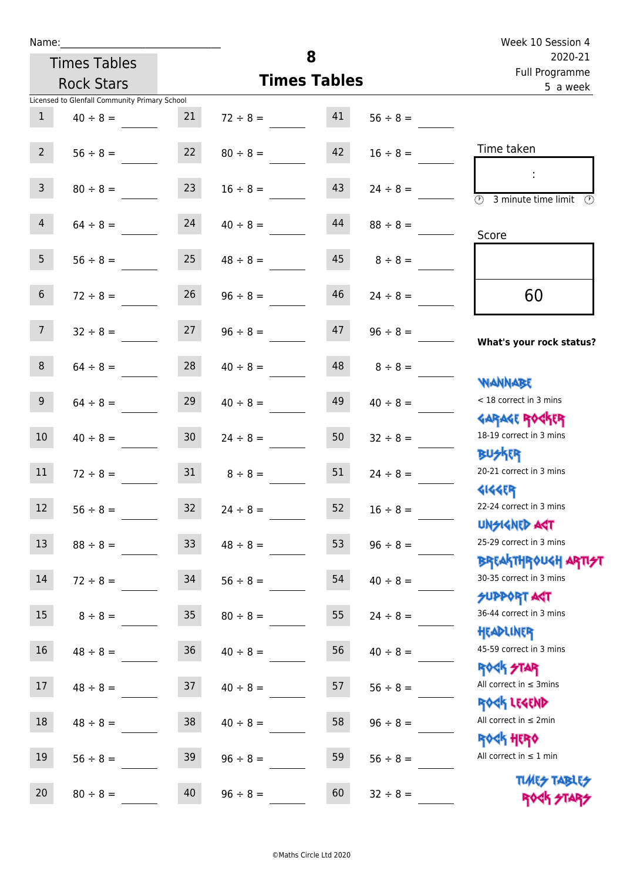| Name:           |                                               |                 |                     |    |               | Week 10 Session 4                                                |
|-----------------|-----------------------------------------------|-----------------|---------------------|----|---------------|------------------------------------------------------------------|
|                 | <b>Times Tables</b>                           |                 |                     | 8  |               | 2020-21<br>Full Programme                                        |
|                 | <b>Rock Stars</b>                             |                 | <b>Times Tables</b> |    |               | 5 a week                                                         |
|                 | Licensed to Glenfall Community Primary School |                 |                     |    |               |                                                                  |
| 1               | $40 \div 8 =$                                 | 21              | $72 \div 8 =$       | 41 | $56 \div 8 =$ |                                                                  |
| $2^{\circ}$     | $56 \div 8 =$                                 | 22              | $80 \div 8 =$       | 42 | $16 \div 8 =$ | Time taken                                                       |
| 3 <sup>7</sup>  | $80 \div 8 =$                                 | 23              | $16 \div 8 =$       | 43 | $24 \div 8 =$ | $\overline{(\mathcal{V})}$<br>3 minute time limit<br>O)          |
| 4               | $64 \div 8 =$                                 | 24              | $40 \div 8 =$       | 44 | $88 \div 8 =$ | Score                                                            |
| 5 <sub>1</sub>  | $56 \div 8 =$                                 | 25              | $48 \div 8 =$       | 45 | $8 \div 8 =$  |                                                                  |
| 6 <sup>1</sup>  | $72 \div 8 =$                                 | 26              | $96 \div 8 =$       | 46 | $24 \div 8 =$ | 60                                                               |
| 7 <sup>7</sup>  | $32 \div 8 =$                                 | 27              | $96 \div 8 =$       | 47 | $96 \div 8 =$ | What's your rock status?                                         |
| 8               | $64 \div 8 =$                                 | 28              | $40 \div 8 =$       | 48 | $8 \div 8 =$  | <b>NANNABE</b>                                                   |
| 9 <sub>o</sub>  | $64 \div 8 =$                                 | 29              | $40 \div 8 =$       | 49 | $40 \div 8 =$ | < 18 correct in 3 mins<br><b>GARAGE ROCKER</b>                   |
| 10 <sup>°</sup> | $40 \div 8 =$                                 | 30 <sup>7</sup> | $24 \div 8 =$       | 50 | $32 \div 8 =$ | 18-19 correct in 3 mins<br><b>BUSKER</b>                         |
| 11              | $72 \div 8 =$                                 | 31              | $8 \div 8 =$        | 51 | $24 \div 8 =$ | 20-21 correct in 3 mins<br><b>4144ER</b>                         |
| 12              | $56 \div 8 =$                                 | 32              | $24 \div 8 =$       | 52 | $16 \div 8 =$ | 22-24 correct in 3 mins<br><b>UNSIGNED AST</b>                   |
| 13              | $88 \div 8 =$                                 | 33 <sup>°</sup> | $48 \div 8 =$       | 53 | $96 \div 8 =$ | 25-29 correct in 3 mins<br><b>BREAKTHROUGH ARTI<del>S</del>T</b> |
| 14              | $72 \div 8 =$                                 | 34              | $56 \div 8 =$       | 54 | $40 \div 8 =$ | 30-35 correct in 3 mins<br><b>SUPPORT AGT</b>                    |
| 15              | $8 \div 8 =$                                  | 35 <sub>o</sub> | $80 \div 8 =$       | 55 | $24 \div 8 =$ | 36-44 correct in 3 mins<br>HEADLINER                             |
| 16              | $48 \div 8 =$                                 | $36\phantom{a}$ | $40 \div 8 =$       | 56 | $40 \div 8 =$ | 45-59 correct in 3 mins<br><b>ROCK STAR</b>                      |
| 17              | $48 \div 8 =$                                 | 37              | $40 \div 8 =$       | 57 | $56 \div 8 =$ | All correct in $\leq$ 3mins<br>ROCK LEGEND                       |
| 18              | $48 \div 8 =$                                 | 38              | $40 \div 8 =$       | 58 | $96 \div 8 =$ | All correct in $\leq 2$ min<br><b>ROCK HERO</b>                  |
| 19              | $56 \div 8 =$                                 | 39              | $96 \div 8 =$       | 59 | $56 \div 8 =$ | All correct in $\leq 1$ min<br><b>TUARS TABLES</b>               |
| 20              | $80 \div 8 =$                                 | 40              | $96 \div 8 =$       | 60 | $32 \div 8 =$ | ROCK STARS                                                       |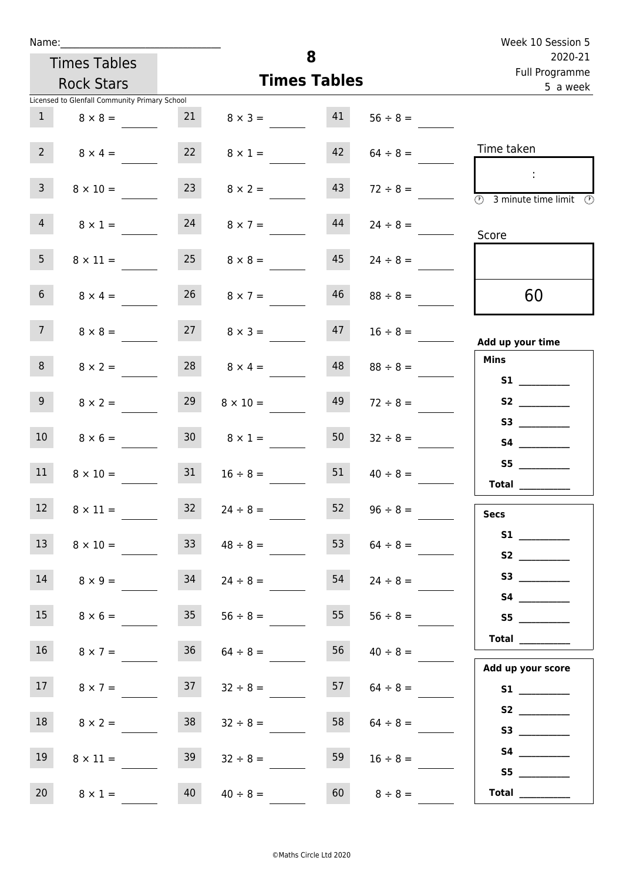| Name:           |                                               |                 |                      |                     |               | Week 10 Session 5                                                                 |
|-----------------|-----------------------------------------------|-----------------|----------------------|---------------------|---------------|-----------------------------------------------------------------------------------|
|                 | <b>Times Tables</b>                           |                 |                      | 8                   |               | 2020-21<br>Full Programme                                                         |
|                 | <b>Rock Stars</b>                             |                 |                      | <b>Times Tables</b> |               | 5 a week                                                                          |
|                 | Licensed to Glenfall Community Primary School |                 |                      |                     |               |                                                                                   |
| $\mathbf{1}$    | $8 \times 8 =$                                | 21              | $8 \times 3 =$       | 41                  | $56 \div 8 =$ |                                                                                   |
| $2^{\circ}$     | $8 \times 4 =$                                | 22              | $8 \times 1 =$       | 42                  | $64 \div 8 =$ | Time taken                                                                        |
| 3 <sup>7</sup>  | $8 \times 10 =$                               | 23              | $8 \times 2 =$       | 43                  | $72 \div 8 =$ | $\mathcal{L}^{\mathcal{A}}$<br>$\circled{r}$<br>3 minute time limit $\circled{0}$ |
| $\overline{4}$  | $8 \times 1 =$                                | 24              | $8 \times 7 =$       | 44                  | $24 \div 8 =$ | Score                                                                             |
| 5 <sub>1</sub>  | $8 \times 11 =$                               | 25              | $8 \times 8 =$       | 45                  | $24 \div 8 =$ |                                                                                   |
| 6 <sup>1</sup>  | $8 \times 4 =$                                |                 | $26 \t 8 \times 7 =$ | 46                  | $88 \div 8 =$ | 60                                                                                |
| 7 <sup>7</sup>  | $8 \times 8 =$                                |                 | $27 \t 8 \times 3 =$ | 47                  | $16 \div 8 =$ | Add up your time                                                                  |
| 8               | $8 \times 2 =$                                | 28              | $8 \times 4 =$       | 48                  | $88 \div 8 =$ | <b>Mins</b><br>S1                                                                 |
| 9 <sup>°</sup>  | $8 \times 2 =$                                | 29              | $8 \times 10 =$      | 49                  | $72 \div 8 =$ |                                                                                   |
| 10 <sup>°</sup> | $8 \times 6 =$                                | 30 <sub>o</sub> | $8 \times 1 =$       | 50                  | $32 \div 8 =$ |                                                                                   |
| 11              | $8 \times 10 =$                               | 31              | $16 \div 8 =$        | 51                  | $40 \div 8 =$ | S5<br>Total $\qquad$                                                              |
| 12              | $8 \times 11 =$                               | 32              | $24 \div 8 =$        | 52                  | $96 \div 8 =$ | <b>Secs</b>                                                                       |
| 13 <sup>°</sup> | $8 \times 10 =$                               | 33 <sup>2</sup> | $48 \div 8 =$        | 53                  | $64 \div 8 =$ | S2                                                                                |
| 14              | $8 \times 9 =$                                | 34              | $24 \div 8 =$        | 54                  | $24 \div 8 =$ |                                                                                   |
| 15              | $8 \times 6 =$                                | 35              | $56 \div 8 =$        | 55                  | $56 \div 8 =$ | S5<br>Total $\_\_$                                                                |
| 16              | $8 \times 7 =$                                | 36              | $64 \div 8 =$        | 56                  | $40 \div 8 =$ | Add up your score                                                                 |
| 17 <sub>1</sub> | $8 \times 7 =$                                | 37              | $32 \div 8 =$        | 57                  | $64 \div 8 =$ | S1<br>S2                                                                          |
| 18              | $8 \times 2 =$                                | 38              | $32 \div 8 =$        | 58                  | $64 \div 8 =$ |                                                                                   |
| 19              | $8 \times 11 =$                               | 39              | $32 \div 8 =$        | 59                  | $16 \div 8 =$ | S5                                                                                |
| 20              | $8 \times 1 =$                                | 40              | $40 \div 8 =$        | 60                  | $8 \div 8 =$  | Total $\frac{1}{1}$                                                               |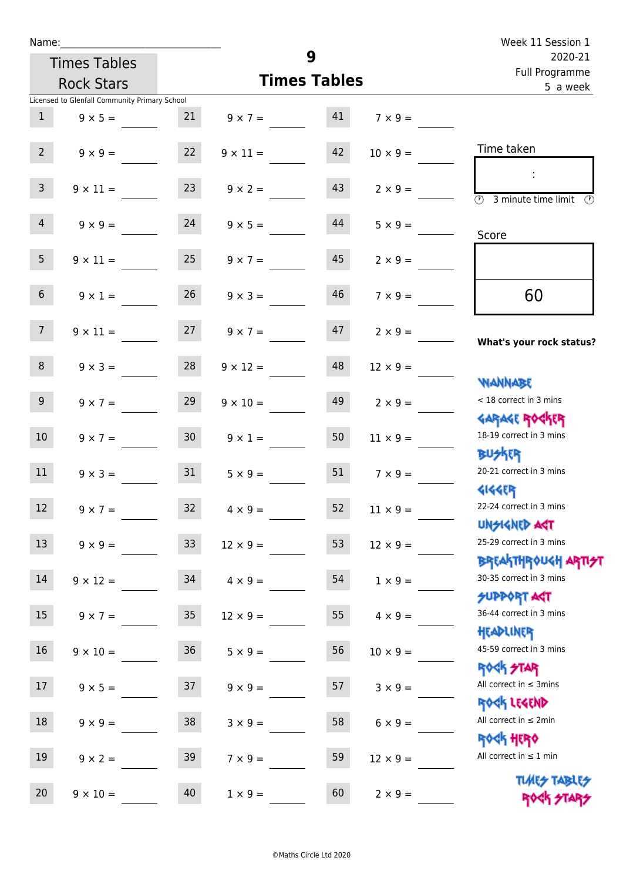| Name:            |                                               |                  |                   |                     |                 | Week 11 Session 1                                                             |
|------------------|-----------------------------------------------|------------------|-------------------|---------------------|-----------------|-------------------------------------------------------------------------------|
|                  | <b>Times Tables</b>                           |                  |                   | 9                   |                 | 2020-21<br>Full Programme<br>5 a week                                         |
|                  | <b>Rock Stars</b>                             |                  |                   | <b>Times Tables</b> |                 |                                                                               |
|                  | Licensed to Glenfall Community Primary School |                  |                   |                     |                 |                                                                               |
| 1                | $9 \times 5 =$                                | 21               | $9 \times 7 = 41$ |                     | $7 \times 9 =$  |                                                                               |
| $2^{\circ}$      | $9 \times 9 =$                                | 22               | $9 \times 11 =$   | 42                  | $10 \times 9 =$ | Time taken                                                                    |
| $\mathsf{3}$     | $9 \times 11 =$                               | 23               | $9 \times 2 =$    | 43                  | $2 \times 9 =$  | $\sim$<br>$\overline{(\mathfrak{h})}$<br>3 minute time limit<br>$\mathcal{O}$ |
| $\overline{4}$   | $9 \times 9 = 24$                             |                  | $9 \times 5 =$    | 44                  | $5 \times 9 =$  | Score                                                                         |
| 5 <sup>5</sup>   | $9 \times 11 =$                               | 25               | $9 \times 7 =$    | 45                  | $2 \times 9 =$  |                                                                               |
| 6 <sup>1</sup>   | $9 \times 1 =$                                | 26               | $9 \times 3 =$    | 46                  | $7 \times 9 =$  | 60                                                                            |
| 7 <sup>7</sup>   | $9 \times 11 = 27$                            |                  | $9 \times 7 =$    | 47                  | $2 \times 9 =$  | What's your rock status?                                                      |
| 8                | $9 \times 3 =$                                | 28               | $9 \times 12 =$   | 48                  | $12 \times 9 =$ | <b>NANNABE</b>                                                                |
| 9 <sub>o</sub>   | $9 \times 7 =$                                | 29               | $9 \times 10 =$   | 49                  | $2 \times 9 =$  | < 18 correct in 3 mins<br><b>GARAGE ROCKER</b>                                |
| 10 <sup>°</sup>  | $9 \times 7 = 30$                             |                  | $9 \times 1 =$    | 50                  | $11 \times 9 =$ | 18-19 correct in 3 mins<br><b>BUSKER</b>                                      |
| 11               | $9 \times 3 =$                                | 31               | $5 \times 9 =$    | 51                  | $7 \times 9 =$  | 20-21 correct in 3 mins<br><b>4144ER</b>                                      |
| 12               | $9 \times 7 =$                                | 32               | $4 \times 9 =$    | 52                  | $11 \times 9 =$ | 22-24 correct in 3 mins<br><b>UNSIGNED AGT</b>                                |
| 13               | $9 \times 9 =$                                | 33 <sup>°</sup>  | $12 \times 9 =$   | 53                  | $12 \times 9 =$ | 25-29 correct in 3 mins<br>BREAKTHROUGH ARTI <del>S</del> T                   |
| 14               | $9 \times 12 =$                               | 34               | $4 \times 9 =$    | 54                  | $1 \times 9 =$  | 30-35 correct in 3 mins<br><b>SUPPORT AGT</b>                                 |
| $15\phantom{.0}$ | $9 \times 7 =$                                | $35\phantom{.0}$ | $12 \times 9 =$   | 55                  | $4 \times 9 =$  | 36-44 correct in 3 mins<br>HEADLINER                                          |
| 16               | $9 \times 10 =$                               | 36               | $5 \times 9 =$    | 56                  | $10 \times 9 =$ | 45-59 correct in 3 mins<br><b>ROCK STAR</b>                                   |
| 17               | $9 \times 5 =$                                | 37               | $9 \times 9 =$    | 57                  | $3 \times 9 =$  | All correct in $\leq$ 3mins<br>ROCK LEGEND                                    |
| 18               | $9 \times 9 =$                                | 38               | $3 \times 9 =$    | 58                  | $6 \times 9 =$  | All correct in $\leq 2$ min<br><b>ROCK HERO</b>                               |
| 19               | $9 \times 2 =$                                | 39               | $7 \times 9 =$    | 59                  | $12 \times 9 =$ | All correct in $\leq 1$ min                                                   |
| 20               | $9 \times 10 =$                               | 40               | $1 \times 9 =$    | 60                  | $2 \times 9 =$  | <b>TUARS TABLES</b><br>ROCK STARS                                             |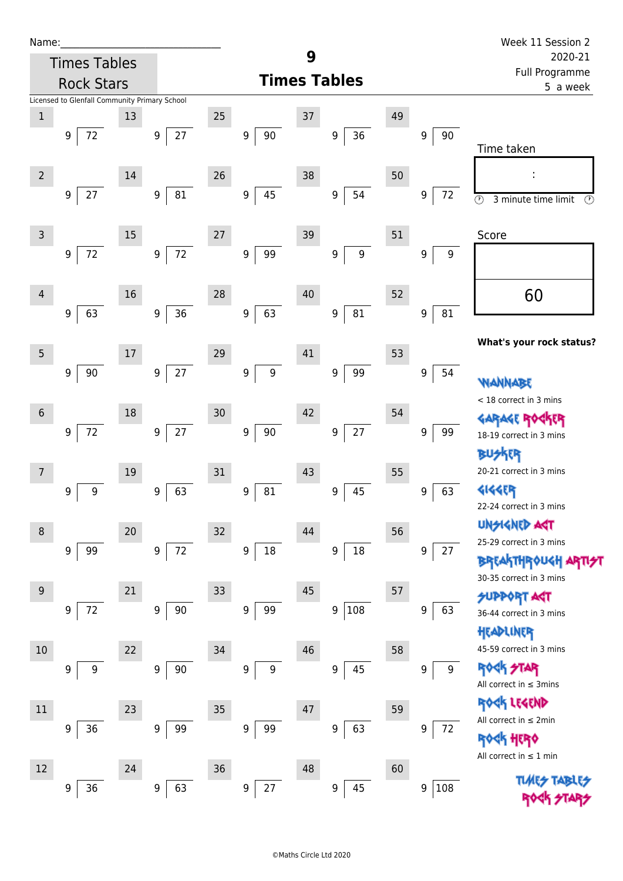| Name:          |                                               |    |                            |        |                                      |        |                        |    |                            | Week 11 Session 2                                          |  |
|----------------|-----------------------------------------------|----|----------------------------|--------|--------------------------------------|--------|------------------------|----|----------------------------|------------------------------------------------------------|--|
|                | <b>Times Tables</b>                           |    |                            |        |                                      | 9      |                        |    |                            | 2020-21                                                    |  |
|                | <b>Rock Stars</b>                             |    |                            |        |                                      |        | <b>Times Tables</b>    |    | Full Programme<br>5 a week |                                                            |  |
|                | Licensed to Glenfall Community Primary School |    |                            |        |                                      |        |                        |    |                            |                                                            |  |
| $\mathbf{1}$   |                                               | 13 |                            | 25     |                                      | 37     |                        | 49 |                            |                                                            |  |
|                | $72\,$<br>$\boldsymbol{9}$                    |    | $27\,$<br>$\boldsymbol{9}$ |        | $90\,$<br>$\boldsymbol{9}$           |        | 36<br>$\boldsymbol{9}$ |    | 9<br>90                    |                                                            |  |
|                |                                               |    |                            |        |                                      |        |                        |    |                            | Time taken                                                 |  |
| $\overline{2}$ |                                               | 14 |                            | 26     |                                      | 38     |                        | 50 |                            | ÷                                                          |  |
|                | $27$<br>9                                     |    | ${\bf 81}$<br>9            |        | 45<br>9                              |        | 54<br>9                |    | 9<br>72                    | $\overline{\circ}$<br>3 minute time limit<br>$\circled{r}$ |  |
|                |                                               |    |                            |        |                                      |        |                        |    |                            |                                                            |  |
| 3              |                                               | 15 |                            | 27     |                                      | 39     |                        | 51 |                            | Score                                                      |  |
|                | $72\,$<br>9                                   |    | $72\,$<br>$\boldsymbol{9}$ |        | $\boldsymbol{9}$<br>99               |        | $\boldsymbol{9}$<br>9  |    | $\boldsymbol{9}$<br>9      |                                                            |  |
|                |                                               |    |                            |        |                                      |        |                        |    |                            |                                                            |  |
|                |                                               |    |                            |        |                                      |        |                        |    |                            |                                                            |  |
| 4              |                                               | 16 |                            | 28     |                                      | 40     |                        | 52 |                            | 60                                                         |  |
|                | 63<br>$\boldsymbol{9}$                        |    | 36<br>9                    |        | 63<br>9                              |        | 81<br>9                |    | 81<br>9                    |                                                            |  |
|                |                                               |    |                            |        |                                      |        |                        |    |                            | What's your rock status?                                   |  |
| 5              |                                               | 17 |                            | 29     |                                      | 41     |                        | 53 |                            |                                                            |  |
|                | $90\,$<br>9                                   |    | $27\,$<br>9                |        | $\boldsymbol{9}$<br>9                |        | 99<br>9                |    | $\boldsymbol{9}$<br>54     |                                                            |  |
|                |                                               |    |                            |        |                                      |        |                        |    |                            | WANNABE<br>< 18 correct in 3 mins                          |  |
| $\sqrt{6}$     |                                               | 18 |                            | $30\,$ |                                      | 42     |                        | 54 |                            |                                                            |  |
|                | $72\,$<br>9                                   |    | $27\,$<br>$\boldsymbol{9}$ |        | $90\,$<br>9                          |        | $27\,$<br>9            |    | 99<br>9                    | <b>GARAGE ROGKER</b><br>18-19 correct in 3 mins            |  |
|                |                                               |    |                            |        |                                      |        |                        |    |                            | <b>IER</b>                                                 |  |
| 7              |                                               | 19 |                            | 31     |                                      | 43     |                        | 55 |                            | 20-21 correct in 3 mins                                    |  |
|                | $\boldsymbol{9}$<br>9                         |    | 63<br>9                    |        | ${\bf 81}$<br>9                      |        | 45<br>9                |    | 63<br>$\boldsymbol{9}$     | <b>4144EP</b>                                              |  |
|                |                                               |    |                            |        |                                      |        |                        |    |                            | 22-24 correct in 3 mins                                    |  |
|                |                                               |    |                            |        |                                      |        |                        |    |                            | <b>UNSIGNED AGT</b>                                        |  |
| 8              |                                               | 20 |                            | 32     |                                      | 44     |                        | 56 |                            | 25-29 correct in 3 mins                                    |  |
|                | 99<br>9                                       |    | $72\,$<br>9                |        | $18\,$<br>9                          |        | $18\,$<br>9            |    | 27<br>9                    | <b>BREAKTHROUGH ARTI<del>S</del>T</b>                      |  |
|                |                                               |    |                            |        |                                      |        |                        |    |                            | 30-35 correct in 3 mins                                    |  |
| 9              |                                               | 21 |                            | 33     |                                      | 45     |                        | 57 |                            | <b>SUPPORT AGT</b>                                         |  |
|                | 72<br>9                                       |    | 90<br>9                    |        | 99<br>9                              |        | 9 108                  |    | 63<br>9                    | 36-44 correct in 3 mins                                    |  |
|                |                                               |    |                            |        |                                      |        |                        |    |                            | HEADLINER                                                  |  |
| 10             |                                               | 22 |                            | 34     |                                      | 46     |                        | 58 |                            | 45-59 correct in 3 mins                                    |  |
|                | 9<br>9                                        |    | 90<br>$\boldsymbol{9}$     |        | $\boldsymbol{9}$<br>$\boldsymbol{9}$ |        | 45<br>9                |    | 9<br>9                     | <b>ROCK STAR</b>                                           |  |
|                |                                               |    |                            |        |                                      |        |                        |    |                            | All correct in $\leq$ 3mins                                |  |
| 11             |                                               | 23 |                            | $35\,$ |                                      | $47\,$ |                        | 59 |                            | ROCK LEGEND                                                |  |
|                | 36<br>9                                       |    | 99<br>9                    |        | 99<br>$\boldsymbol{9}$               |        | 63<br>9                |    | 72<br>9                    | All correct in $\leq 2$ min                                |  |
|                |                                               |    |                            |        |                                      |        |                        |    |                            | <b>ROGH HERO</b>                                           |  |
|                |                                               |    |                            |        |                                      |        |                        |    |                            | All correct in $\leq 1$ min                                |  |
| 12             |                                               | 24 |                            | 36     |                                      | 48     |                        | 60 |                            |                                                            |  |
|                | 36<br>9                                       |    | 63<br>$\boldsymbol{9}$     |        | 27<br>$\boldsymbol{9}$               |        | 45<br>9                |    | 108<br>$\mathsf 9$         |                                                            |  |
|                |                                               |    |                            |        |                                      |        |                        |    |                            |                                                            |  |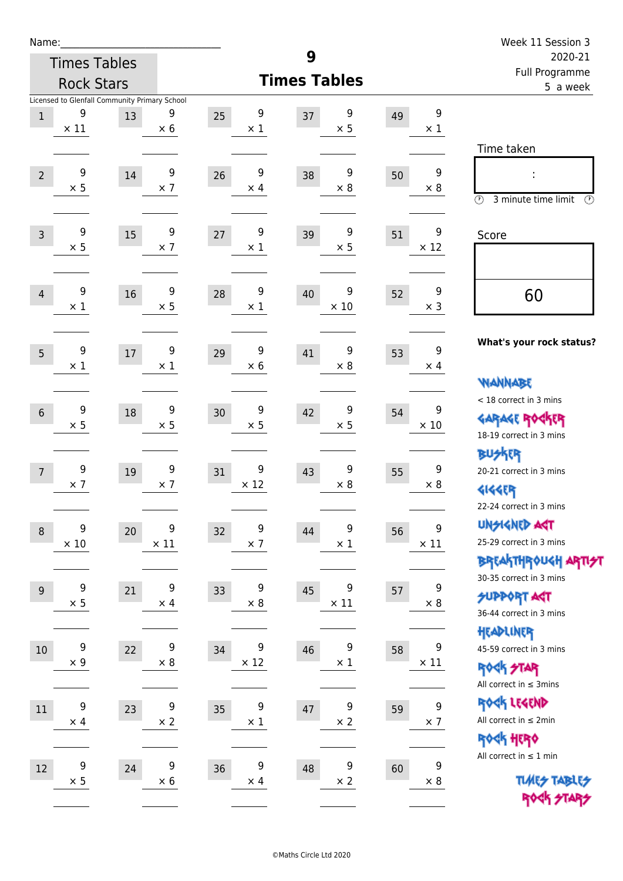| Name:            |                  |                                               |                  |                  |                     |    |                  | Week 11 Session 3                                       |
|------------------|------------------|-----------------------------------------------|------------------|------------------|---------------------|----|------------------|---------------------------------------------------------|
|                  |                  | <b>Times Tables</b>                           |                  |                  | 9                   |    |                  | 2020-21                                                 |
|                  |                  | <b>Rock Stars</b>                             |                  |                  | <b>Times Tables</b> |    |                  | Full Programme<br>5 a week                              |
|                  | 9                | Licensed to Glenfall Community Primary School | 9                | 9                | 9                   |    | 9                |                                                         |
| $\,1$            | $\times$ 11      | 13                                            | $\times$ 6       | 25<br>$\times$ 1 | 37<br>$\times$ 5    | 49 | $\times$ 1       |                                                         |
|                  |                  |                                               |                  |                  |                     |    |                  | Time taken                                              |
| $\overline{2}$   | 9                | 14                                            | 9                | 9<br>26          | 9<br>38             | 50 | $\boldsymbol{9}$ |                                                         |
|                  | $\times$ 5       |                                               | $\times$ 7       | $\times$ 4       | $\times$ 8          |    | $\times 8$       |                                                         |
|                  |                  |                                               |                  |                  |                     |    |                  | $\circled{r}$<br>3 minute time limit<br>$(\mathcal{F})$ |
| $\overline{3}$   | 9                | 15                                            | 9                | 9<br>27          | 9<br>39             | 51 | 9                | Score                                                   |
|                  | $\times$ 5       |                                               | $\times$ 7       | $\times$ 1       | $\times$ 5          |    | $\times$ 12      |                                                         |
|                  |                  |                                               |                  |                  |                     |    |                  |                                                         |
| $\overline{4}$   | 9                | 16                                            | 9                | 9<br>28          | 9<br>40             | 52 | 9                | 60                                                      |
|                  | $\times$ 1       |                                               | $\times$ 5       | $\times$ 1       | $\times$ 10         |    | $\times$ 3       |                                                         |
|                  |                  |                                               |                  |                  |                     |    |                  |                                                         |
| 5                | 9                | 17                                            | 9                | 9<br>29          | 9<br>41             | 53 | 9                | What's your rock status?                                |
|                  | $\times$ 1       |                                               | $\times$ 1       | $\times 6$       | $\times$ 8          |    | $\times$ 4       |                                                         |
|                  |                  |                                               |                  |                  |                     |    |                  | <b>VIANNABE</b>                                         |
| $6\phantom{1}$   | 9                | 18                                            | 9                | 9<br>30          | 9<br>42             | 54 | 9                | < 18 correct in 3 mins                                  |
|                  | $\times$ 5       |                                               | $\times$ 5       | $\times$ 5       | $\times$ 5          |    | $\times$ 10      | <b>GARAGE ROCKER</b><br>18-19 correct in 3 mins         |
|                  |                  |                                               |                  |                  |                     |    |                  | <b>BUSKER</b>                                           |
| $\overline{7}$   | 9                | 19                                            | 9                | 9<br>31          | 9<br>43             | 55 | 9                | 20-21 correct in 3 mins                                 |
|                  | $\times$ 7       |                                               | $\times$ 7       | $\times$ 12      | $\times 8$          |    | $\times 8$       | <b>4144EP</b>                                           |
|                  |                  |                                               |                  |                  |                     |    |                  | 22-24 correct in 3 mins                                 |
| $\boldsymbol{8}$ | $\boldsymbol{9}$ | $20\,$                                        | 9                | 9<br>32          | 9<br>44             | 56 | 9                | <b>UNGIGNED AST</b>                                     |
|                  | $\times$ 10      |                                               | $\times$ 11      | $\times$ 7       | $\times$ 1          |    | $\times$ 11      | 25-29 correct in 3 mins                                 |
|                  |                  |                                               |                  |                  |                     |    |                  | <b>BREAKTHR0UGH ARTI<del>S</del>T</b>                   |
| $9\,$            | 9                | 21                                            | $\boldsymbol{9}$ | 9<br>33          | 9<br>45             | 57 | $\boldsymbol{9}$ | 30-35 correct in 3 mins                                 |
|                  | $\times$ 5       |                                               | $\times$ 4       | $\times$ 8       | $\times$ 11         |    | $\times$ 8       | <b>SUPPORT ART</b><br>36-44 correct in 3 mins           |
|                  |                  |                                               |                  |                  |                     |    |                  | HEADLINER                                               |
| 10               | 9                | 22                                            | 9                | 9<br>34          | 9<br>46             | 58 | 9                | 45-59 correct in 3 mins                                 |
|                  | $\times$ 9       |                                               | $\times 8$       | $\times$ 12      | $\times$ 1          |    | $\times$ 11      | <b>ROCK STAR</b>                                        |
|                  |                  |                                               |                  |                  |                     |    |                  | All correct in $\leq$ 3mins                             |
| 11               | $\boldsymbol{9}$ | 23                                            | $\boldsymbol{9}$ | 9<br>35          | 9<br>47             | 59 | $\boldsymbol{9}$ | ROCK LEGEND                                             |
|                  | $\times$ 4       |                                               | $\times$ 2       | $\times$ 1       | $\times$ 2          |    | $\times$ 7       | All correct in $\leq 2$ min                             |
|                  |                  |                                               |                  |                  |                     |    |                  | ROCK HERO                                               |
| 12               | 9                | 24                                            | 9                | 9<br>36          | 9<br>48             | 60 | 9                | All correct in $\leq 1$ min                             |
|                  | $\times$ 5       |                                               | $\times$ 6       | $\times$ 4       | $\times$ 2          |    | $\times$ 8       | <b>TUARS TABLES</b>                                     |
|                  |                  |                                               |                  |                  |                     |    |                  | ROCK STARS                                              |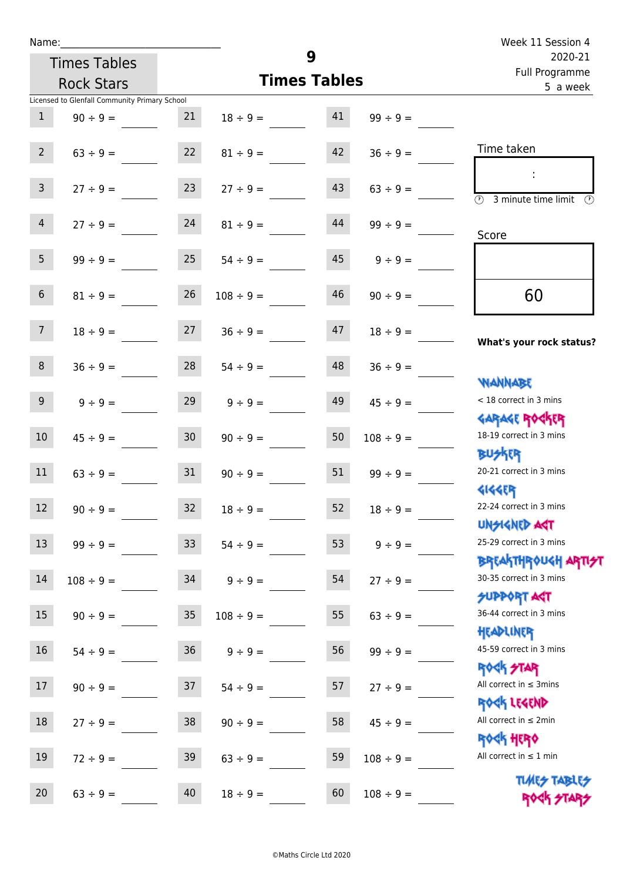| Name:                   |                                               |                 |                |                     |                | Week 11 Session 4                                           |
|-------------------------|-----------------------------------------------|-----------------|----------------|---------------------|----------------|-------------------------------------------------------------|
|                         | <b>Times Tables</b>                           |                 |                | 9                   |                | 2020-21                                                     |
|                         | <b>Rock Stars</b>                             |                 |                | <b>Times Tables</b> |                | Full Programme<br>5 a week                                  |
|                         | Licensed to Glenfall Community Primary School |                 |                |                     |                |                                                             |
| $\mathbf{1}$            | $90 \div 9 =$                                 | 21              | $18 \div 9 =$  | 41                  | $99 \div 9 =$  |                                                             |
| 2 <sup>7</sup>          | $63 \div 9 =$                                 | 22              | $81 \div 9 =$  | 42                  | $36 \div 9 =$  | Time taken                                                  |
| 3 <sup>7</sup>          | $27 \div 9 =$                                 | 23              | $27 \div 9 =$  | 43                  | $63 ÷ 9 =$     | $\overline{\odot}$<br>3 minute time limit<br>$\mathcal{O}$  |
| $\overline{4}$          | $27 \div 9 =$                                 | 24              | $81 \div 9 =$  | 44                  | $99 \div 9 =$  | Score                                                       |
| 5 <sup>1</sup>          | $99 \div 9 =$                                 | 25              | $54 \div 9 =$  | 45                  | $9 \div 9 =$   |                                                             |
| 6                       | $81 \div 9 =$                                 | 26              | $108 \div 9 =$ | 46                  | $90 \div 9 =$  | 60                                                          |
| $7^{\circ}$             | $18 \div 9 =$                                 | 27              | $36 \div 9 =$  | 47                  | $18 \div 9 =$  | What's your rock status?                                    |
| 8                       | $36 \div 9 =$                                 | 28              | $54 \div 9 =$  | 48                  | $36 \div 9 =$  | <b>NANNABE</b>                                              |
| 9 <sup>1</sup>          | $9 \div 9 =$                                  | 29              | $9 \div 9 =$   | 49                  | $45 \div 9 =$  | < 18 correct in 3 mins<br><b>GARAGE ROCKER</b>              |
| 10                      | $45 \div 9 =$                                 | 30 <sup>°</sup> | $90 \div 9 =$  | 50                  | $108 \div 9 =$ | 18-19 correct in 3 mins<br><b>BUSKER</b>                    |
| 11                      | $63 \div 9 =$                                 | 31              | $90 \div 9 =$  | 51                  | $99 \div 9 =$  | 20-21 correct in 3 mins<br><b>4144EP</b>                    |
| <b>STATISTICS</b><br>12 | $90 \div 9 =$                                 | 32              | $18 \div 9 =$  | 52 <sup>7</sup>     | $18 \div 9 =$  | 22-24 correct in 3 mins<br><b>UNSIGNED AGT</b>              |
| 13                      | $99 ÷ 9 =$                                    | 33              | $54 \div 9 =$  | 53                  | $9 ÷ 9 =$      | 25-29 correct in 3 mins<br>ΒΡΓΑΚΤΗΡΟUGH ΑΡΤΙ <del>2</del> Τ |
| 14                      | $108 \div 9 =$                                | 34              | $9 ÷ 9 =$      | 54                  | $27 ÷ 9 =$     | 30-35 correct in 3 mins<br><b>SUPPORT ART</b>               |
| 15                      | $90 \div 9 =$                                 | $35\,$          | $108 \div 9 =$ | 55                  | $63 ÷ 9 =$     | 36-44 correct in 3 mins<br>HEADLINER                        |
| $16\,$                  | $54 \div 9 =$                                 | $36\,$          | $9 ÷ 9 =$      | 56                  | $99 ÷ 9 =$     | 45-59 correct in 3 mins<br><b>ROCK STAR</b>                 |
| 17                      | $90 \div 9 =$                                 | 37              | $54 \div 9 =$  | 57                  | $27 ÷ 9 =$     | All correct in $\leq$ 3mins<br>ROCK LEGEND                  |
| $18\,$                  | $27 ÷ 9 =$                                    | 38              | $90 \div 9 =$  | 58                  | $45 \div 9 =$  | All correct in $\leq 2$ min<br><b>ROCK HERO</b>             |
| 19                      | $72 \div 9 =$                                 | 39              | $63 ÷ 9 =$     | 59                  | $108 \div 9 =$ | All correct in $\leq 1$ min<br><b>TUARS TABLES</b>          |
| 20                      | $63 ÷ 9 =$                                    | 40              | $18 \div 9 =$  | 60                  | $108 \div 9 =$ | ROCK STARS                                                  |

Rock STARS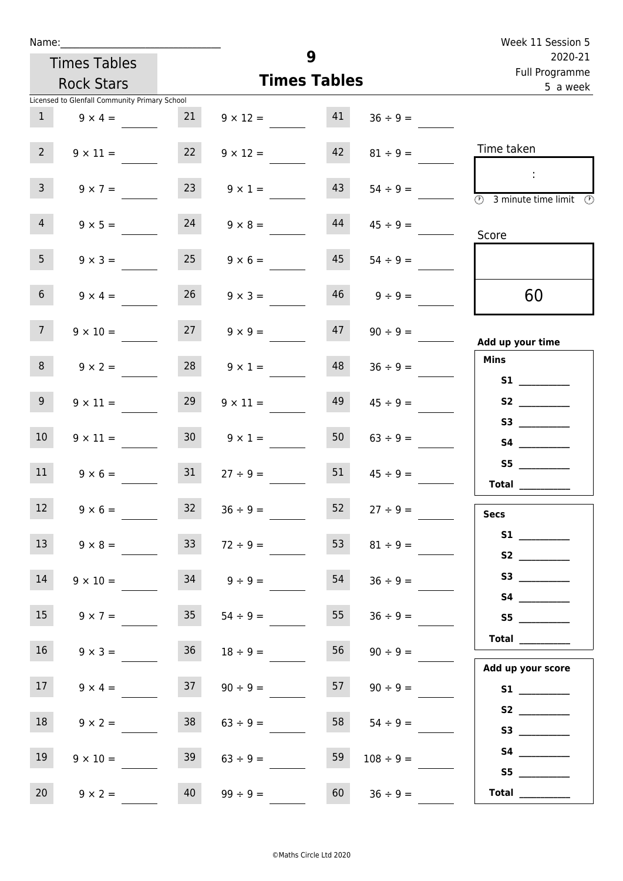| Week 11 Session 5                                                                              |                |    |                     |                 |                                               | Name:           |
|------------------------------------------------------------------------------------------------|----------------|----|---------------------|-----------------|-----------------------------------------------|-----------------|
| 2020-21<br>Full Programme                                                                      |                | 9  |                     |                 | <b>Times Tables</b>                           |                 |
| 5 a week                                                                                       |                |    | <b>Times Tables</b> |                 | <b>Rock Stars</b>                             |                 |
|                                                                                                |                |    |                     |                 | Licensed to Glenfall Community Primary School |                 |
|                                                                                                | $36 \div 9 =$  | 41 | $9 \times 12 =$     | 21              | $9 \times 4 =$                                | 1               |
| Time taken                                                                                     | $81 \div 9 =$  | 42 | $9 \times 12 =$     | 22              | $9 \times 11 =$                               | $2^{\circ}$     |
| $\mathcal{L}$<br>$\overline{\textcircled{1}}$ 3 minute time limit $\overline{\textcircled{1}}$ | $54 \div 9 =$  | 43 | $9 \times 1 =$      | 23              | $9 \times 7 =$                                | $\overline{3}$  |
| Score                                                                                          | $45 \div 9 =$  | 44 | $9 \times 8 =$      | 24              | $9 \times 5 =$                                | $\overline{4}$  |
|                                                                                                | $54 \div 9 =$  | 45 | $9 \times 6 =$      | 25              | $9 \times 3 =$                                | 5 <sub>1</sub>  |
| 60                                                                                             | $9 \div 9 =$   | 46 | $9 \times 3 =$      | 26              | $9 \times 4 =$                                | 6 <sup>1</sup>  |
| Add up your time                                                                               | $90 \div 9 =$  | 47 | $9 \times 9 =$      | 27              | $9 \times 10 =$                               | 7 <sup>7</sup>  |
| <b>Mins</b><br><b>S1 S1</b>                                                                    | $36 \div 9 =$  | 48 | $9 \times 1 =$      | 28              | $9 \times 2 =$                                | 8               |
|                                                                                                | $45 \div 9 =$  | 49 | $9 \times 11 =$     | 29              | $9 \times 11 =$                               | 9 <sub>o</sub>  |
| S3                                                                                             | $63 \div 9 =$  | 50 | $9 \times 1 =$      | 30 <sup>1</sup> | $9 \times 11 =$                               | 10 <sup>°</sup> |
| <b>Total</b>                                                                                   | $45 \div 9 =$  | 51 | $27 \div 9 =$       | 31              | $9 \times 6 =$                                | 11              |
| <b>Secs</b>                                                                                    | $27 \div 9 =$  | 52 | $36 \div 9 =$       | 32              | $9 \times 6 =$                                | 12              |
|                                                                                                | $81 \div 9 =$  | 53 | $72 \div 9 =$       | 33 <sup>°</sup> | $9 \times 8 =$                                | 13              |
| S3                                                                                             | $36 ÷ 9 =$     | 54 | $9 \div 9 =$        | 34              | $9 \times 10 =$                               | 14              |
| S5                                                                                             | $36 \div 9 =$  | 55 | $54 \div 9 =$       | 35              | $9 \times 7 =$                                | 15              |
| <b>Total</b> __________                                                                        | $90 \div 9 =$  | 56 | $18 \div 9 =$       | 36              | $9 \times 3 =$                                | 16              |
| Add up your score                                                                              | $90 \div 9 =$  | 57 | $90 \div 9 =$       | 37              | $9 \times 4 =$                                | 17 <sup>7</sup> |
| S2                                                                                             | $54 \div 9 =$  | 58 | $63 \div 9 =$       | 38              | $9 \times 2 =$                                | 18              |
|                                                                                                | $108 \div 9 =$ | 59 | $63 \div 9 =$       | 39              | $9 \times 10 =$                               | 19              |
| $\begin{array}{c}\n\text{Total} \quad \text{---} \\ \hline\n\end{array}$                       | $36 \div 9 =$  | 60 | $99 \div 9 =$       | 40              | $9 \times 2 =$                                | 20 <sub>2</sub> |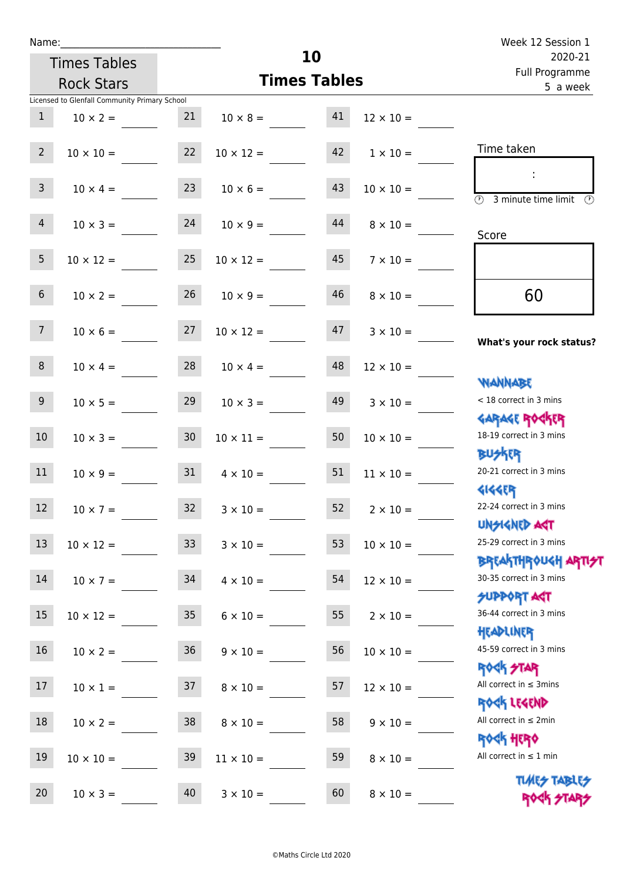|                 | Name: Name                                    |                 |                       | 10                  |                  | Week 12 Session 1                                                                      |
|-----------------|-----------------------------------------------|-----------------|-----------------------|---------------------|------------------|----------------------------------------------------------------------------------------|
|                 | <b>Times Tables</b>                           |                 |                       | 2020-21             |                  |                                                                                        |
|                 | <b>Rock Stars</b>                             |                 |                       | <b>Times Tables</b> |                  | Full Programme<br>5 a week                                                             |
|                 | Licensed to Glenfall Community Primary School |                 |                       |                     |                  |                                                                                        |
| 1               | $10 \times 2 =$                               | 21              | $10 \times 8 = 41$    |                     | $12 \times 10 =$ |                                                                                        |
| $2^{\circ}$     | $10 \times 10 =$                              | 22              | $10 \times 12 =$      | 42                  | $1 \times 10 =$  | Time taken                                                                             |
| 3 <sup>7</sup>  | $10 \times 4 =$                               | 23              | $10 \times 6 =$       | 43                  | $10 \times 10 =$ | $\overline{\textcircled{2}}$ 3 minute time limit<br>$\mathcal{O}$                      |
| 4               | $10 \times 3 = 24$                            |                 | $10 \times 9 =$       | 44                  | $8 \times 10 =$  | Score                                                                                  |
| 5 <sup>5</sup>  | $10 \times 12 =$                              | 25              | $10 \times 12 =$      | 45                  | $7 \times 10 =$  |                                                                                        |
| 6 <sup>1</sup>  | $10 \times 2 =$                               | 26              | $10 \times 9 =$       | 46                  | $8 \times 10 =$  | 60                                                                                     |
| 7 <sup>7</sup>  | $10 \times 6 = 27$                            |                 | $10 \times 12 =$      | 47                  | $3 \times 10 =$  | What's your rock status?                                                               |
| 8               | $10 \times 4 =$                               |                 | $28 \t 10 \times 4 =$ | 48                  | $12 \times 10 =$ |                                                                                        |
| 9 <sub>o</sub>  | $10 \times 5 =$                               | 29              | $10 \times 3 =$       | 49                  | $3 \times 10 =$  | <b>NANNABE</b><br>< 18 correct in 3 mins<br><b>GARAGE ROGKER</b>                       |
| 10 <sup>°</sup> | $10 \times 3 = 30$                            |                 | $10 \times 11 =$      | 50                  | $10 \times 10 =$ | 18-19 correct in 3 mins<br><b>BUSKER</b>                                               |
| 11              | $10 \times 9 =$                               | 31              | $4 \times 10 =$       | 51                  | $11 \times 10 =$ | 20-21 correct in 3 mins<br><b>4144ER</b>                                               |
| 12              | $10 \times 7 =$                               | 32              | $3 \times 10 =$       | 52                  | $2 \times 10 =$  | 22-24 correct in 3 mins                                                                |
| 13              | $10 \times 12 =$                              | 33              | $3 \times 10 =$       | 53                  | $10 \times 10 =$ | <b>UNSIGNED AST</b><br>25-29 correct in 3 mins                                         |
| 14              | $10 \times 7 =$                               | 34              | $4 \times 10 =$       | 54                  | $12 \times 10 =$ | <b>BREAKTHROUGH ARTI<del>S</del>T</b><br>30-35 correct in 3 mins<br><b>SUPPORT ART</b> |
| 15              | $10 \times 12 =$                              | 35 <sub>2</sub> | $6 \times 10 =$       | 55                  | $2 \times 10 =$  | 36-44 correct in 3 mins<br>HEADLINER                                                   |
| 16              | $10 \times 2 =$                               | 36              | $9 \times 10 =$       | 56                  | $10 \times 10 =$ | 45-59 correct in 3 mins<br>ROGK STAR                                                   |
| 17              | $10 \times 1 =$                               | 37              | $8 \times 10 =$       | 57                  | $12 \times 10 =$ | All correct in $\leq$ 3mins<br>ROCK LEGEND                                             |
| 18              | $10 \times 2 =$                               | 38              | $8 \times 10 =$       | 58                  | $9 \times 10 =$  | All correct in $\leq 2$ min<br><b>ROCK HERO</b>                                        |
| 19              | $10 \times 10 =$                              | 39              | $11 \times 10 =$      | 59                  | $8 \times 10 =$  | All correct in $\leq 1$ min                                                            |
| 20              | $10 \times 3 =$                               | 40              | $3 \times 10 =$       | 60                  | $8 \times 10 =$  | <b>TUARS TABLES</b><br>ROCK STARS                                                      |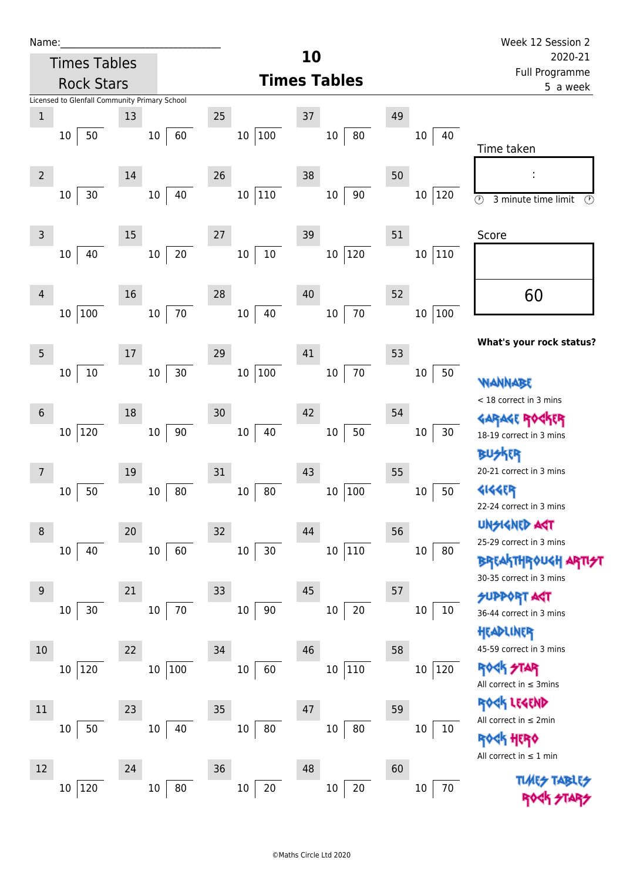| Name:<br><b>Times Tables</b>                                       | 10                                                   | Week 12 Session 2<br>2020-21                                                                   |
|--------------------------------------------------------------------|------------------------------------------------------|------------------------------------------------------------------------------------------------|
|                                                                    | <b>Times Tables</b>                                  | Full Programme                                                                                 |
| <b>Rock Stars</b><br>Licensed to Glenfall Community Primary School |                                                      | 5 a week                                                                                       |
| $\,1$<br>13                                                        | 37<br>49<br>25                                       |                                                                                                |
| 50<br>10 <sup>1</sup><br>10                                        | $100\,$<br>80<br>60<br>10 <sup>°</sup><br>10         | 40<br>10<br>Time taken                                                                         |
| $\overline{2}$<br>14                                               | 38<br>50<br>26                                       |                                                                                                |
| 30<br>$10\,$<br>10                                                 | 10 110<br>40<br>$10\,$<br>90                         | $10\,$<br> 120<br>$\overline{\circlearrowright}$<br>3 minute time limit<br>$\circled{r}$       |
| $\mathsf 3$<br>15                                                  | 51<br>39<br>27                                       | Score                                                                                          |
| 40<br>10<br>10                                                     | $20\,$<br>$10\,$<br>120<br>$10\,$<br>$10\,$          | $10\,$<br> 110                                                                                 |
| 16<br>4                                                            | 52<br>28<br>40                                       | 60                                                                                             |
| 100<br>10<br>10 <sup>1</sup>                                       | $70\,$<br>40<br>70<br>10 <sup>°</sup><br>$10\,$      | 100<br>$10\,$                                                                                  |
| $\sqrt{5}$<br>17                                                   | 41<br>53<br>29                                       | What's your rock status?                                                                       |
| $10\,$<br>10 <sup>°</sup><br>10                                    | 100<br>70<br>$30$<br>10 <sup>°</sup><br>$10\,$       | $10\,$<br>50<br><b><i>NANNABE</i></b>                                                          |
| $\,$ 6 $\,$<br>18                                                  | 42<br>54<br>30                                       | < 18 correct in 3 mins                                                                         |
| 120<br>10<br>10                                                    | $90\,$<br>50<br>10 <sup>°</sup><br>40<br>$10\,$      | <b>GARAGE RO</b><br>$30\,$<br>10<br>18-19 correct in 3 mins                                    |
|                                                                    |                                                      | <b>BUSKER</b>                                                                                  |
| 19<br>7                                                            | 43<br>55<br>31                                       | 20-21 correct in 3 mins                                                                        |
| 50<br>$10\,$<br>$10\,$                                             | $100\,$<br>80<br>80<br>$10\,$<br>10                  | <b>4144EP</b><br>50<br>10<br>22-24 correct in 3 mins                                           |
| 20<br>8                                                            | 56<br>32<br>44                                       | <b>UNSIGNED AGT</b>                                                                            |
| 40<br>10 <sub>1</sub><br>$10\,$                                    | $110\,$<br>60<br>10 <sup>°</sup><br>$30\,$<br>$10\,$ | 25-29 correct in 3 mins<br>$10\,$<br>80<br><b>BREAKTHROUGH</b>                                 |
|                                                                    |                                                      | 30-35 correct in 3 mins                                                                        |
| 21<br>$\boldsymbol{9}$<br>30<br>70<br>$10\,$<br>10                 | 57<br>45<br>33<br>$90\,$<br>20<br>10<br>$10\,$       | <b>SUPPORT AGT</b><br>$10\,$<br>10                                                             |
|                                                                    |                                                      | 36-44 correct in 3 mins<br>HEADLINER                                                           |
| 10<br>22                                                           | 58<br>46<br>34                                       | 45-59 correct in 3 mins                                                                        |
| 10 100<br>10 120                                                   | 110<br>60<br>10<br>10                                | ROCK STAR<br>$ 120\rangle$<br>10<br>All correct in $\leq$ 3mins                                |
| 11<br>23                                                           | 59<br>47<br>35                                       | ROCK LEGEND                                                                                    |
| $50\,$<br>$10\,$<br>$10\,$                                         | ${\bf 80}$<br>40<br>80<br>$10\,$<br>$10\,$           | All correct in $\leq 2$ min<br>$10\,$<br>10<br><b>ROCK HERO</b><br>All correct in $\leq 1$ min |
| 24<br>12                                                           | 60<br>36<br>48                                       |                                                                                                |
| 120<br>10 <sup>°</sup><br>10                                       | $20\,$<br>${\bf 80}$<br>$20\,$<br>$10\,$<br>$10\,$   | 70<br>$10\,$                                                                                   |

ROCK STARS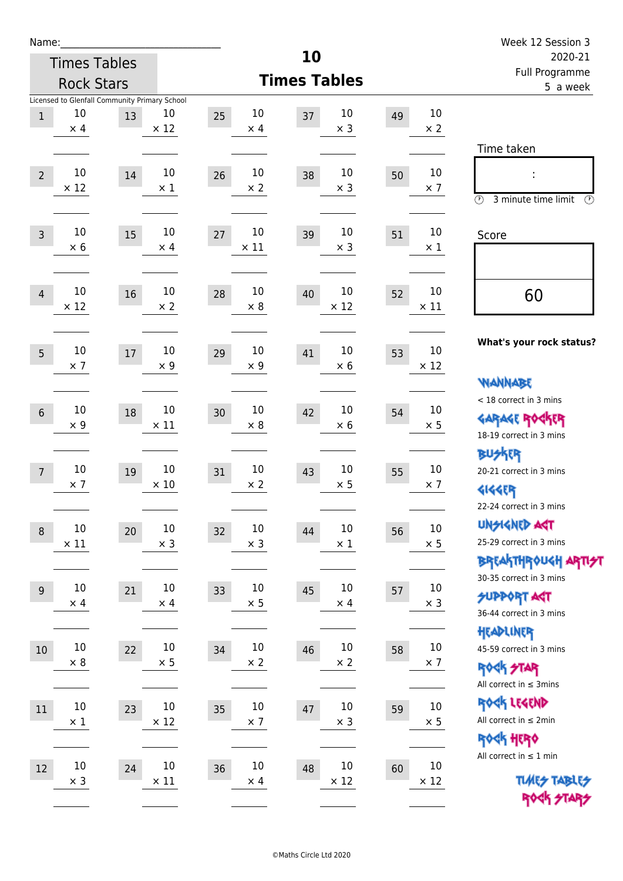| Name:                                                                                                        |                                                                                      | Week 12 Session 3                                                                                                         |
|--------------------------------------------------------------------------------------------------------------|--------------------------------------------------------------------------------------|---------------------------------------------------------------------------------------------------------------------------|
| <b>Times Tables</b>                                                                                          | 10                                                                                   | 2020-21                                                                                                                   |
| <b>Rock Stars</b>                                                                                            | <b>Times Tables</b>                                                                  | Full Programme<br>5 a week                                                                                                |
| Licensed to Glenfall Community Primary School<br>10<br>10<br>$\mathbf{1}$<br>13<br>$\times$ 12<br>$\times$ 4 | $10\,$<br>10<br>10<br>25<br>49<br>37<br>$\times$ 3<br>$\times 2$<br>$\times$ 4       |                                                                                                                           |
| 10<br>10<br>$\overline{2}$<br>14<br>$\times$ 12<br>$\times$ 1                                                | 10<br>10<br>10<br>26<br>38<br>50<br>$\times$ 3<br>$\times$ 7<br>$\times 2$           | Time taken<br>t,                                                                                                          |
|                                                                                                              |                                                                                      | $\circled{r}$<br>3 minute time limit<br>⊕                                                                                 |
| 10<br>10<br>15<br>$\overline{3}$<br>$\times 6$<br>$\times$ 4                                                 | 10<br>10<br>10<br>27<br>39<br>51<br>$\times$ 11<br>$\times$ 3<br>$\times 1$          | Score                                                                                                                     |
| 10<br>10<br>16<br>$\overline{4}$<br>$\times$ 12<br>$\times 2$                                                | 10<br>10<br>10<br>28<br>40<br>52<br>$\times$ 12<br>$\times$ 11<br>$\times 8$         | 60                                                                                                                        |
| 10<br>10<br>5<br>17<br>$\times$ 7<br>$\times$ 9                                                              | 10<br>10<br>10<br>41<br>29<br>53<br>$\times$ 12<br>$\times$ 9<br>$\times$ 6          | What's your rock status?                                                                                                  |
| 10<br>10<br>18<br>$6\phantom{a}$<br>$\times$ 9<br>$\times$ 11                                                | 10<br>10<br>10<br>30<br>42<br>54<br>$\times 8$<br>$\times 6$<br>$\times$ 5           | <b>WANNABE</b><br>< 18 correct in 3 mins<br><b>GARAGE ROGKER</b>                                                          |
| 10<br>10<br>$\overline{7}$<br>19<br>$\times$ 10<br>$\times$ 7                                                | 10<br>10<br>10<br>31<br>43<br>55<br>$\times$ 2<br>$\times$ 5<br>$\times$ 7           | 18-19 correct in 3 mins<br><b>BU外界</b><br>20-21 correct in 3 mins<br><b>4144EP</b>                                        |
| $10\,$<br>$10\,$<br>20<br>$\boldsymbol{8}$<br>$\times$ 11<br>$\times$ 3                                      | $10\,$<br>$10\,$<br>10<br>32<br>56<br>44<br>$\times$ 5<br>$\times$ 3<br>$\times$ 1   | 22-24 correct in 3 mins<br><b>UNGIGNED AGT</b><br>25-29 correct in 3 mins                                                 |
| 10<br>10<br>21<br>$\overline{9}$<br>$\times$ 4<br>$\times$ 4                                                 | 10<br>$10\,$<br>10<br>33<br>45<br>57<br>$\times$ 5<br>$\times$ 3<br>$\times$ 4       | ΒΡΓΑ <sup>Κ</sup> ΤΗΡΟυΚΗ ΑΡΤΙ <del>2</del> Τ<br>30-35 correct in 3 mins<br><b>SUPPORT AGT</b><br>36-44 correct in 3 mins |
| $10\,$<br>$10\,$<br>22<br>10<br>$\times 8$<br>$\times$ 5                                                     | $10\,$<br>$10\,$<br>10<br>34<br>46<br>58<br>$\times$ 2<br>$\times$ 2<br>$\times$ 7   | HEADLINER<br>45-59 correct in 3 mins<br><b>ROCK STAR</b>                                                                  |
| $10\,$<br>10<br>11<br>23<br>$\times$ 12<br>$\times$ 1                                                        | 10<br>$10\,$<br>10<br>35<br>47<br>59<br>$\times$ 3<br>$\times$ 5<br>$\times$ 7       | All correct in $\leq$ 3mins<br>ROCK LEGEND<br>All correct in $\leq 2$ min                                                 |
| $10\,$<br>10<br>24<br>12<br>$\times$ 11<br>$\times$ 3                                                        | $10\,$<br>10<br>$10\,$<br>36<br>48<br>60<br>$\times$ 12<br>$\times$ 12<br>$\times$ 4 | ROCK HERO<br>All correct in $\leq 1$ min<br><b>TUARS TABLES</b><br>ROCK STARS                                             |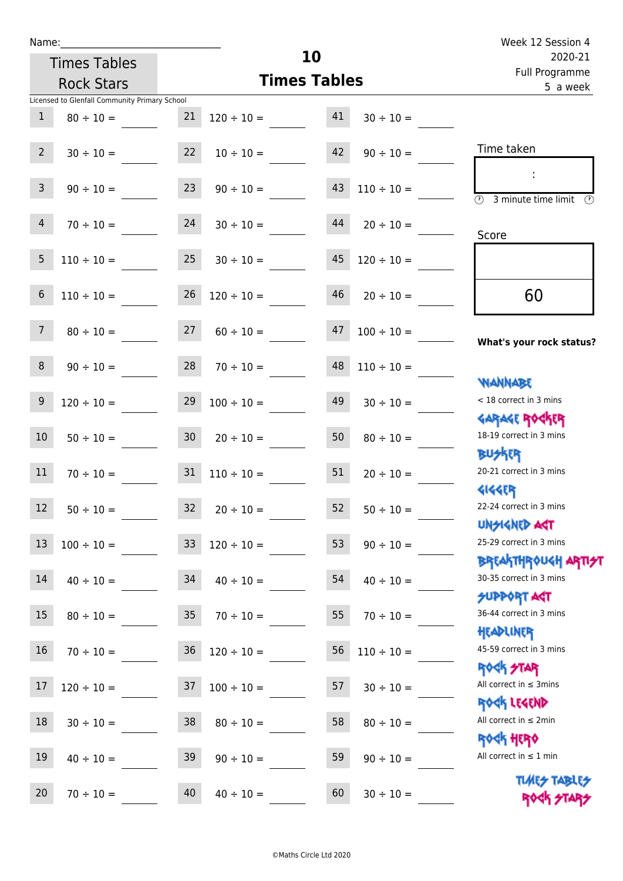| Name:           |                                               |    |                                   | Week 12 Session 4         |                 |                                                          |
|-----------------|-----------------------------------------------|----|-----------------------------------|---------------------------|-----------------|----------------------------------------------------------|
|                 | <b>Times Tables</b>                           |    | 10                                | 2020-21<br>Full Programme |                 |                                                          |
|                 | <b>Rock Stars</b>                             |    | <b>Times Tables</b>               | 5 a week                  |                 |                                                          |
|                 | Licensed to Glenfall Community Primary School |    |                                   |                           |                 |                                                          |
| $\mathbf{1}$    | $80 \div 10 =$                                | 21 | $120 \div 10 =$                   | 41                        | $30 \div 10 =$  |                                                          |
| $2^{\circ}$     | $30 \div 10 =$                                |    | $22 \t 10 \div 10 =$              | 42                        | $90 \div 10 =$  | Time taken                                               |
| 3 <sup>7</sup>  | $90 \div 10 =$                                | 23 | $90 \div 10 =$                    | 43                        | $110 \div 10 =$ |                                                          |
| 4               | $70 \div 10 =$                                | 24 | $30 \div 10 =$                    | 44                        | $20 \div 10 =$  | $\circled{1}$ 3 minute time limit $\circled{1}$<br>Score |
| 5               |                                               |    | $110 \div 10 = 25$ $30 \div 10 =$ | 45                        | $120 \div 10 =$ |                                                          |
| 6               | $110 \div 10 =$                               | 26 | $120 \div 10 =$                   | 46                        | $20 \div 10 =$  | 60                                                       |
| $7^{\circ}$     | $80 \div 10 =$                                | 27 | $60 \div 10 =$                    | 47                        | $100 \div 10 =$ | What's your rock status?                                 |
| 8               | $90 \div 10 =$                                |    | $28$ $70 \div 10 =$               | 48                        | $110 \div 10 =$ |                                                          |
| $9\phantom{.0}$ | $120 \div 10 =$                               |    | $29 \t100 \div 10 =$              | 49                        | $30 \div 10 =$  | <b>NANNABE</b><br>< 18 correct in 3 mins                 |
| 10 <sup>°</sup> | $50 \div 10 =$                                |    | $30 \t 20 \div 10 =$              | 50                        | $80 \div 10 =$  | <b>GARAGE ROCKER</b><br>18-19 correct in 3 mins          |
| 11              | $70 \div 10 =$                                |    | $31 \quad 110 \div 10 =$          | 51                        | $20 \div 10 =$  | <b>BUSKER</b><br>20-21 correct in 3 mins                 |
| 12              | $50 \div 10 =$                                | 32 | $20 \div 10 =$                    | 52                        | $50 \div 10 =$  | <b>4144ER</b><br>22-24 correct in 3 mins                 |
| 13              | $100 \div 10 =$                               | 33 | $120 \div 10 =$                   | 53                        | $90 \div 10 =$  | <b>UNSIGNED AST</b><br>25-29 correct in 3 mins           |
| 14              | $40 \div 10 =$                                | 34 | $40 \div 10 =$                    | 54                        | $40 \div 10 =$  | <b>BREAKTHROUGH ARTH</b><br>30-35 correct in 3 mins      |
| 15              | $80 \div 10 =$                                | 35 | $70 \div 10 =$                    | 55                        | $70 \div 10 =$  | <b>SUPPORT AGT</b><br>36-44 correct in 3 mins            |
| 16              | $70 \div 10 =$                                | 36 | $120 \div 10 =$                   | 56                        | $110 \div 10 =$ | HEADLINER<br>45-59 correct in 3 mins                     |
| 17              | $120 \div 10 =$                               | 37 | $100 \div 10 =$                   | 57                        | $30 \div 10 =$  | <b>ROCK STAR</b><br>All correct in $\leq$ 3mins          |
| 18              | $30 \div 10 =$                                | 38 | $80 \div 10 =$                    | 58                        | $80 \div 10 =$  | ROCK LEGEND<br>All correct in $\leq 2$ min               |
| 19              | $40 \div 10 =$                                | 39 | $90 \div 10 =$                    | 59                        | $90 \div 10 =$  | <b>ROCK HERO</b><br>All correct in $\leq 1$ min          |

**TIMES TABLES** ROCK STARS

20  $70 \div 10 =$  40  $40 \div 10 =$  60  $30 \div 10 =$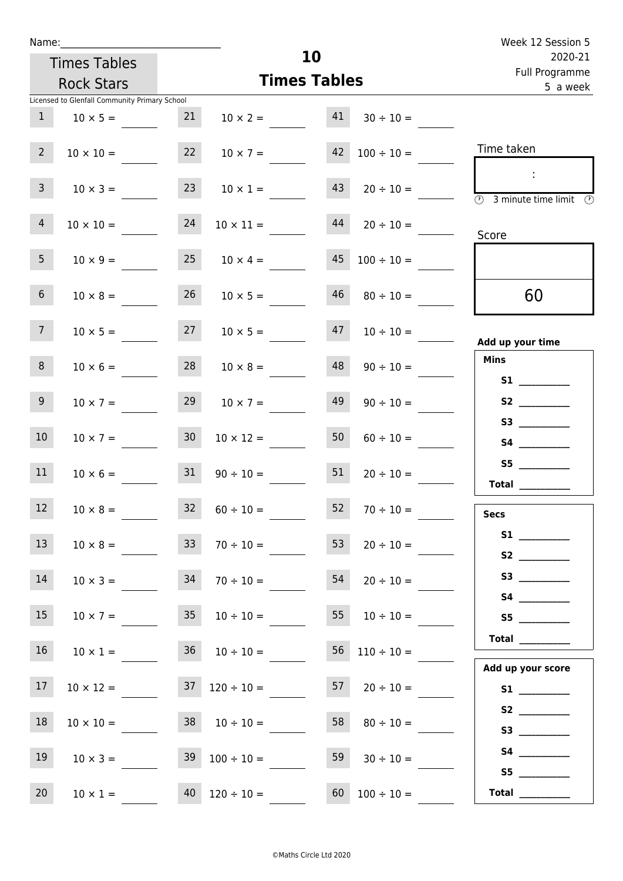| Week 12 Session 5                                                                               |                          |    | 10                  |                          |                   |                                               | Name:           |
|-------------------------------------------------------------------------------------------------|--------------------------|----|---------------------|--------------------------|-------------------|-----------------------------------------------|-----------------|
| 2020-21<br>Full Programme                                                                       |                          |    |                     | <b>Times Tables</b>      |                   |                                               |                 |
| 5 a week                                                                                        |                          |    | <b>Times Tables</b> |                          | <b>Rock Stars</b> |                                               |                 |
|                                                                                                 |                          |    |                     |                          |                   | Licensed to Glenfall Community Primary School |                 |
|                                                                                                 | $30 \div 10 =$           | 41 | $10 \times 2 =$     |                          | 21                | $10 \times 5 =$                               | $\mathbf{1}$    |
| Time taken                                                                                      | $42 \quad 100 \div 10 =$ |    |                     | $10 \times 7 =$          | 22                | $10 \times 10 =$                              | $2^{\circ}$     |
| $\sim$ 10 $\,$<br>$\overline{\textcircled{2}}$ 3 minute time limit $\overline{\textcircled{2}}$ | $20 \div 10 =$           | 43 |                     | $10 \times 1 =$          | 23                | $10 \times 3 =$                               | $\mathsf{3}$    |
| Score                                                                                           | $20 \div 10 =$           | 44 |                     | $10 \times 11 =$         | 24                | $10 \times 10 =$                              | $\overline{4}$  |
|                                                                                                 | $100 \div 10 =$          | 45 |                     | $10 \times 4 =$          | 25                | $10 \times 9 =$                               | 5 <sub>1</sub>  |
| 60                                                                                              | $80 \div 10 =$           | 46 |                     | $10 \times 5 =$          | 26                | $10 \times 8 =$                               | 6 <sup>1</sup>  |
| Add up your time                                                                                | $47 \t10 \div 10 =$      |    |                     | $27 \t 10 \times 5 =$    |                   | $10 \times 5 =$                               | 7 <sup>7</sup>  |
| <b>Mins</b><br><b>S1 S1</b>                                                                     | $90 \div 10 =$           | 48 |                     | $10 \times 8 =$          | 28                | $10 \times 6 =$                               | 8               |
| S3                                                                                              | $90 \div 10 =$           | 49 |                     | $10 \times 7 =$          | 29                | $10 \times 7 =$                               | 9 <sub>o</sub>  |
|                                                                                                 | $60 \div 10 =$           | 50 |                     | $10 \times 12 =$         | 30 <sup>°</sup>   | $10 \times 7 =$                               | 10 <sup>°</sup> |
| S5<br>Total                                                                                     | $20 \div 10 =$           | 51 |                     | $90 \div 10 =$           | 31                | $10 \times 6 =$                               | 11              |
| <b>Secs</b>                                                                                     | $70 \div 10 =$           | 52 |                     | $60 \div 10 =$           | 32                | $10 \times 8 =$                               | 12              |
| S2                                                                                              | $20 \div 10 =$           | 53 |                     | $70 \div 10 =$           | 33 <sup>°</sup>   | $10 \times 8 =$                               | 13              |
|                                                                                                 | $20 \div 10 =$           | 54 |                     | $70 \div 10 =$           | 34                | $10 \times 3 =$                               | 14              |
| S5<br>Total                                                                                     | $10 \div 10 =$           | 55 |                     | $35 \t 10 \div 10 =$     |                   | $10 \times 7 =$                               | 15              |
| Add up your score                                                                               | $56 \quad 110 \div 10 =$ |    |                     | $36 \t 10 \div 10 =$     |                   | $10 \times 1 =$                               | 16 <sup>1</sup> |
|                                                                                                 | $57 \t20 \div 10 =$      |    |                     | $37 \quad 120 \div 10 =$ |                   | $10 \times 12 =$                              | 17              |
|                                                                                                 | $80 \div 10 =$           | 58 |                     | $38 \t 10 \div 10 =$     |                   | $10 \times 10 =$                              | 18              |
| S5                                                                                              | $30 \div 10 =$           | 59 |                     | $39 \quad 100 \div 10 =$ |                   | $10 \times 3 =$                               | 19              |
| Total $\_\_$                                                                                    | $60 \quad 100 \div 10 =$ |    |                     | $40 \quad 120 \div 10 =$ |                   | $10 \times 1 =$                               | 20 <sub>2</sub> |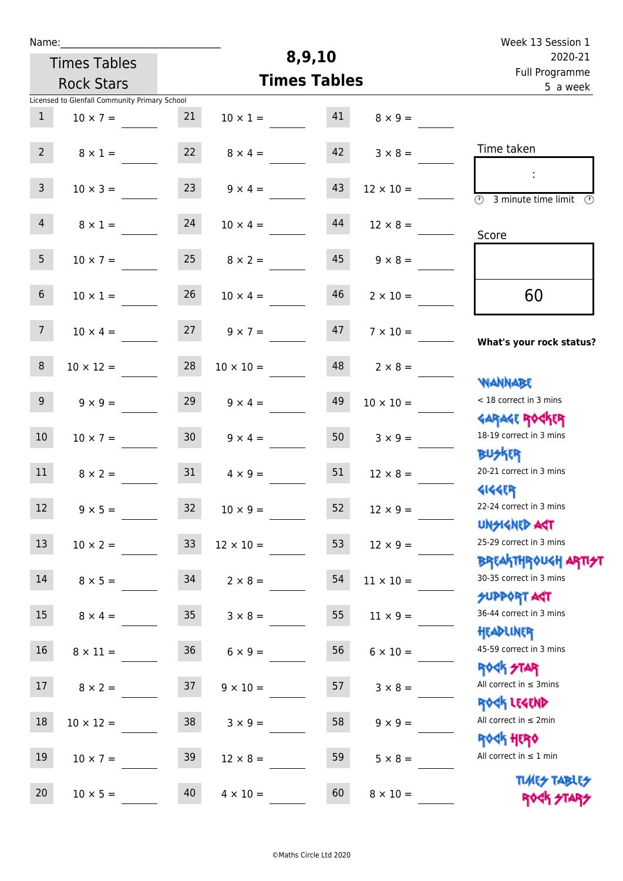| Week 13 Session 1                                                  |                  |                     |                  |                     | Name:                                         |                 |  |  |  |  |  |  |
|--------------------------------------------------------------------|------------------|---------------------|------------------|---------------------|-----------------------------------------------|-----------------|--|--|--|--|--|--|
| 2020-21                                                            |                  | 8,9,10              |                  | <b>Times Tables</b> |                                               |                 |  |  |  |  |  |  |
| Full Programme<br>5 a week                                         |                  | <b>Times Tables</b> |                  | <b>Rock Stars</b>   |                                               |                 |  |  |  |  |  |  |
|                                                                    |                  |                     |                  |                     | Licensed to Glenfall Community Primary School |                 |  |  |  |  |  |  |
|                                                                    | $8 \times 9 =$   | 41                  | $10 \times 1 =$  | 21                  | $10 \times 7 =$                               | 1               |  |  |  |  |  |  |
| Time taken                                                         | $3 \times 8 =$   | 42                  | $8 \times 4 =$   | 22                  | $8 \times 1 =$                                | 2 <sup>7</sup>  |  |  |  |  |  |  |
| $\overline{(\mathcal{V})}$<br>3 minute time limit<br>$\mathcal{O}$ | $12 \times 10 =$ | 43                  | $9 \times 4 =$   | 23                  | $10 \times 3 =$                               | $\mathbf{3}$    |  |  |  |  |  |  |
| Score                                                              | $12 \times 8 =$  | 44                  | $10 \times 4 =$  | 24                  | $8 \times 1 =$                                | $\overline{4}$  |  |  |  |  |  |  |
|                                                                    | $9 \times 8 =$   | 45                  | $8 \times 2 =$   | 25                  | $10 \times 7 =$                               | 5 <sub>1</sub>  |  |  |  |  |  |  |
| 60                                                                 | $2 \times 10 =$  | 46                  | $10 \times 4 =$  | 26                  | $10 \times 1 =$                               | 6 <sup>1</sup>  |  |  |  |  |  |  |
| What's your rock status?                                           | $7 \times 10 =$  | 47                  | $9 \times 7 =$   | 27                  | $10 \times 4 =$                               | 7 <sup>7</sup>  |  |  |  |  |  |  |
| <b>NANNABE</b>                                                     | $2 \times 8 =$   | 48                  | $10 \times 10 =$ | 28                  | $10 \times 12 =$                              | 8               |  |  |  |  |  |  |
| < 18 correct in 3 mins<br><b>GARAGE ROGKER</b>                     | $10 \times 10 =$ | 49                  | $9 \times 4 =$   | 29                  | $9 \times 9 =$                                | 9 <sub>o</sub>  |  |  |  |  |  |  |
| 18-19 correct in 3 mins<br><b>BUSKER</b>                           | $3 \times 9 =$   | 50                  | $9 \times 4 =$   | 30 <sub>o</sub>     | $10 \times 7 =$                               | 10 <sup>°</sup> |  |  |  |  |  |  |
| 20-21 correct in 3 mins<br><b>4144EP</b>                           | $12 \times 8 =$  | 51                  | $4 \times 9 =$   | 31                  | $8 \times 2 =$                                | 11              |  |  |  |  |  |  |
| 22-24 correct in 3 mins<br><b>UNSIGNED AST</b>                     | $12 \times 9 =$  | 52                  | $10 \times 9 =$  | 32                  | $9 \times 5 =$                                | 12              |  |  |  |  |  |  |
| 25-29 correct in 3 mins<br><b>BREAKTHROUGH ARTI<del>S</del>T</b>   | $12 \times 9 =$  | 53                  | $12 \times 10 =$ | 33 <sup>°</sup>     | $10 \times 2 =$                               | 13              |  |  |  |  |  |  |
| 30-35 correct in 3 mins<br><b>SUPPORT AGT</b>                      | $11 \times 10 =$ | 54                  | $2 \times 8 =$   | 34                  | $8 \times 5 =$                                | 14              |  |  |  |  |  |  |
| 36-44 correct in 3 mins<br>HEADLINER                               | $11 \times 9 =$  | 55                  | $3 \times 8 =$   | 35                  | $8 \times 4 =$                                | 15              |  |  |  |  |  |  |
| 45-59 correct in 3 mins<br><b>ROCK STAR</b>                        | $6 \times 10 =$  | 56                  | $6 \times 9 =$   | 36                  | $8 \times 11 =$                               | 16              |  |  |  |  |  |  |
| All correct in $\leq$ 3mins<br>ROCK LEGEND                         | $3 \times 8 =$   | 57                  | $9 \times 10 =$  | 37                  | $8 \times 2 =$                                | 17              |  |  |  |  |  |  |
| All correct in $\leq 2$ min<br><b>ROCK HERO</b>                    | $9 \times 9 =$   | 58                  | $3 \times 9 =$   | 38                  | $10 \times 12 =$                              | 18              |  |  |  |  |  |  |
| All correct in $\leq 1$ min<br><b>TUARS TABLES</b>                 | $5 \times 8 =$   | 59                  | $12 \times 8 =$  | 39                  | $10 \times 7 =$                               | 19              |  |  |  |  |  |  |
| ROCK STARS                                                         | $8 \times 10 =$  | 60                  | $4 \times 10 =$  | 40                  | $10 \times 5 =$                               | 20              |  |  |  |  |  |  |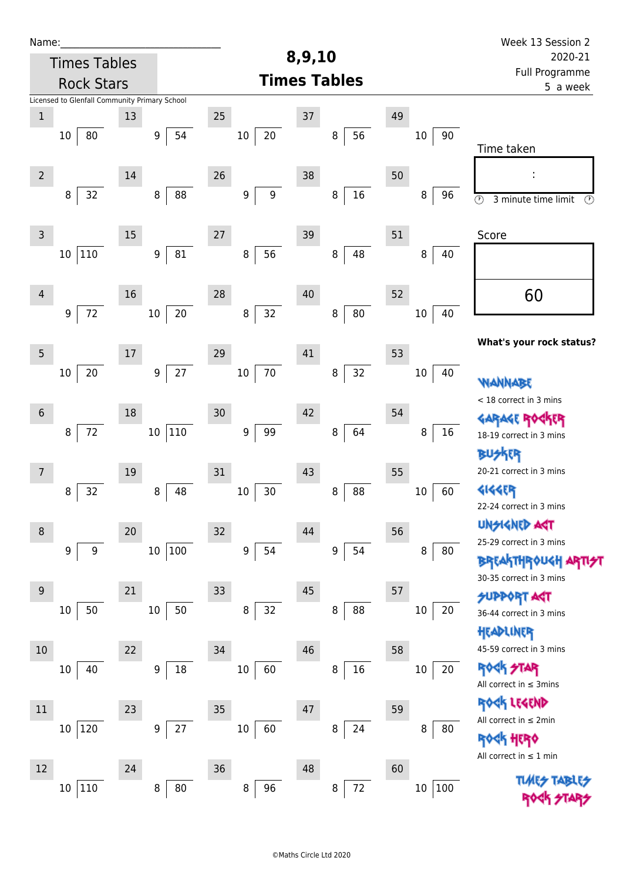| Name:          |                                               |        |                        |                        |                      |                | Week 13 Session 2                                                       |
|----------------|-----------------------------------------------|--------|------------------------|------------------------|----------------------|----------------|-------------------------------------------------------------------------|
|                | <b>Times Tables</b>                           |        |                        |                        | 8,9,10               |                | 2020-21                                                                 |
|                | <b>Rock Stars</b>                             |        |                        |                        | <b>Times Tables</b>  |                | <b>Full Programme</b><br>5 a week                                       |
|                | Licensed to Glenfall Community Primary School |        |                        |                        |                      |                |                                                                         |
| $\mathbf 1$    |                                               | 13     |                        | 25                     | $37\,$               | 49             |                                                                         |
|                | 10<br>80                                      |        | 54<br>9                | $20\,$<br>$10\,$       | 56<br>8              | $10\,$<br>90   |                                                                         |
|                |                                               |        |                        |                        |                      |                | Time taken                                                              |
| $\overline{2}$ |                                               | 14     |                        | 26                     | 38                   | 50             |                                                                         |
|                | 32<br>8                                       |        | 88<br>8                | 9<br>$\boldsymbol{9}$  | $16\,$<br>8          | 8<br>96        | $\circledcirc$<br>3 minute time limit<br>$\circled{r}$                  |
|                |                                               |        |                        |                        |                      |                |                                                                         |
| $\mathsf 3$    |                                               | $15\,$ |                        | 27                     | 39                   | 51             | Score                                                                   |
|                | $110\,$<br>$10\,$                             |        | 81<br>$\boldsymbol{9}$ | 56<br>8                | 48<br>8              | 8<br>40        |                                                                         |
|                |                                               |        |                        |                        |                      |                |                                                                         |
| $\overline{4}$ |                                               | 16     |                        | 28                     | 40                   | 52             | 60                                                                      |
|                | 72<br>9                                       |        | $20\,$<br>$10\,$       | 32<br>$\, 8$           | ${\bf 80}$<br>8      | $10\,$<br>40   |                                                                         |
|                |                                               |        |                        |                        |                      |                |                                                                         |
| 5              |                                               | 17     |                        | 29                     | 41                   | 53             | What's your rock status?                                                |
|                | 20<br>10                                      |        | 27<br>$\boldsymbol{9}$ | 70<br>$10\,$           | 32<br>8              | $10\,$<br>40   |                                                                         |
|                |                                               |        |                        |                        |                      |                | WANNABE                                                                 |
| $6\phantom{1}$ |                                               | 18     |                        | 30                     | 42                   | 54             | < 18 correct in 3 mins                                                  |
|                |                                               |        |                        |                        |                      |                | GARAGE ROG                                                              |
|                | 72<br>8                                       |        | 110<br>$10\,$          | 99<br>$\boldsymbol{9}$ | 64<br>8              | 16<br>8        | 18-19 correct in 3 mins                                                 |
|                |                                               |        |                        |                        |                      |                | BUSKER                                                                  |
| $\overline{7}$ |                                               | 19     |                        | 31                     | 43                   | 55             | 20-21 correct in 3 mins                                                 |
|                | 32<br>8                                       |        | 48<br>8                | 30<br>$10\,$           | 88<br>8              | 60<br>$10\,$   | <b>4144EP</b><br>22-24 correct in 3 mins                                |
|                |                                               |        |                        |                        |                      |                | <b>UNGIGNED ART</b>                                                     |
| 8              |                                               | $20\,$ |                        | 32                     | 44                   | 56             | 25-29 correct in 3 mins                                                 |
|                | 9<br>9                                        |        | 100<br>$10\,$          | $\boldsymbol{9}$<br>54 | 54<br>9 <sup>1</sup> | 8<br>80        | <b>BREAKTHROUGH</b>                                                     |
|                |                                               |        |                        |                        |                      |                | 30-35 correct in 3 mins                                                 |
| 9              |                                               | 21     |                        | 33                     | 45                   | 57             | <b>SUPPORT AGT</b>                                                      |
|                | 50<br>$10\,$                                  |        | 50<br>10               | 32<br>8                | 88<br>8              | $10\,$<br>20   | 36-44 correct in 3 mins                                                 |
|                |                                               |        |                        |                        |                      |                | HEADLINER                                                               |
| 10             |                                               | 22     |                        | 34                     | 46                   | 58             | 45-59 correct in 3 mins                                                 |
|                | 40<br>10                                      |        | 18<br>9                | 10<br>60               | 16<br>8              | $10\,$<br>20   | <b>ROCK STAR</b>                                                        |
|                |                                               |        |                        |                        |                      |                | All correct in $\leq$ 3mins                                             |
| 11             |                                               | 23     |                        | 35                     | 47                   | 59             | ROGK LEGEND                                                             |
|                | 120<br>10                                     |        | 27<br>9                | 60<br>$10\,$           | 24<br>8              | 8<br>80        | All correct in $\leq 2$ min                                             |
|                |                                               |        |                        |                        |                      |                | <b><h b="" her0<=""><br/>All correct in <math>\leq 1</math> min</h></b> |
| 12             |                                               | 24     |                        | 36                     | 48                   | 60             |                                                                         |
|                | 110<br>$10\,$                                 |        | 80<br>8                | 96<br>8                | $72\,$<br>8          | $10\,$<br> 100 | <b>TLARS</b>                                                            |
|                |                                               |        |                        |                        |                      |                |                                                                         |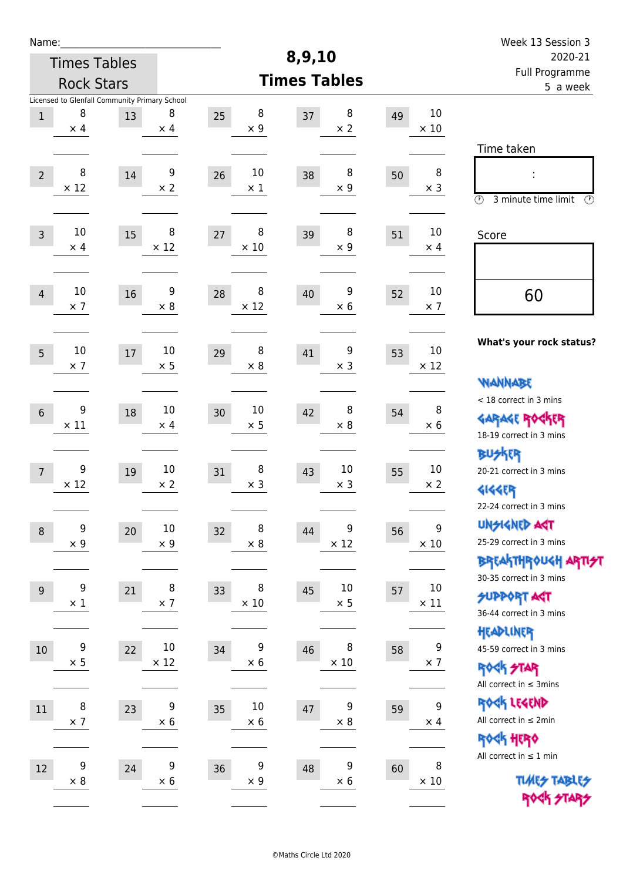| Week 13 Session 3                                                                       |                                |    |                            |                        |                                |                                                     |                  | Name:          |  |  |  |
|-----------------------------------------------------------------------------------------|--------------------------------|----|----------------------------|------------------------|--------------------------------|-----------------------------------------------------|------------------|----------------|--|--|--|
| 2020-21                                                                                 |                                |    | 8,9,10                     |                        |                                | <b>Times Tables</b>                                 |                  |                |  |  |  |
| Full Programme<br>5 a week                                                              |                                |    | <b>Times Tables</b>        |                        |                                | <b>Rock Stars</b>                                   |                  |                |  |  |  |
|                                                                                         | 10<br>$\times$ 10              | 49 | 8<br>37<br>$\times 2$      | 8<br>25<br>$\times$ 9  | 8<br>$\times$ 4                | Licensed to Glenfall Community Primary School<br>13 | 8<br>$\times$ 4  | $\,1$          |  |  |  |
| Time taken<br>İ,<br>$\circled{r}$<br>3 minute time limit<br>⊕                           | 8<br>$\times$ 3                | 50 | 8<br>38<br>$\times$ 9      | 10<br>26<br>$\times$ 1 | 9<br>$\times 2$                | $14\,$                                              | 8<br>$\times$ 12 | $\overline{2}$ |  |  |  |
| Score                                                                                   | 10<br>$\times$ 4               | 51 | 8<br>39<br>$\times$ 9      | 8<br>27<br>$\times$ 10 | 8<br>$\times$ 12               | 15                                                  | 10<br>$\times$ 4 | $\overline{3}$ |  |  |  |
| 60                                                                                      | 10<br>$\times$ 7               | 52 | 9<br>40<br>$\times 6$      | 8<br>28<br>$\times$ 12 | 9<br>$\times 8$                | 16                                                  | 10<br>$\times$ 7 | $\overline{4}$ |  |  |  |
| What's your rock status?<br><b>WANNABE</b>                                              | 10<br>$\times$ 12              | 53 | 9<br>41<br>$\times$ 3      | 8<br>29<br>$\times 8$  | 10<br>$\times$ 5               | 17                                                  | 10<br>$\times$ 7 | 5              |  |  |  |
| < 18 correct in 3 mins<br><b>GARAGE ROCKER</b><br>18-19 correct in 3 mins               | 8<br>$\times 6$                | 54 | 8<br>42<br>$\times 8$      | 10<br>30<br>$\times$ 5 | 10<br>$\times$ 4               | 18                                                  | 9<br>$\times$ 11 | $6\,$          |  |  |  |
| <b>BUSKRR</b><br>20-21 correct in 3 mins<br><b>4144EP</b><br>22-24 correct in 3 mins    | 10<br>$\times$ 2               | 55 | 10<br>43<br>$\times$ 3     | 8<br>31<br>$\times$ 3  | $10\,$<br>$\times 2$           | 19                                                  | 9<br>$\times$ 12 | $\overline{7}$ |  |  |  |
| <b>UNSIGNED AGT</b><br>25-29 correct in 3 mins<br><b>BREAKTHROUGH ARTI<del>S</del>T</b> | $\overline{9}$<br>$\times$ 10  | 56 | 9<br>44<br>$\times$ 12     | 8<br>32<br>$\times$ 8  | $10\,$<br>$\times$ 9           | 20                                                  | 9<br>$\times$ 9  | $\, 8$         |  |  |  |
| 30-35 correct in 3 mins<br><b>SUPPORT ART</b><br>36-44 correct in 3 mins                | 10<br>$\times$ 11              | 57 | $10\,$<br>45<br>$\times$ 5 | 8<br>33<br>$\times$ 10 | 8<br>$\times$ 7                | 21                                                  | 9<br>$\times$ 1  | 9              |  |  |  |
| HEADLINER<br>45-59 correct in 3 mins<br><b>ROCK STAR</b><br>All correct in $\leq$ 3mins | $\boldsymbol{9}$<br>$\times$ 7 | 58 | 8<br>46<br>$\times$ 10     | 9<br>34<br>$\times 6$  | $10\,$<br>$\times$ 12          | 22                                                  | 9<br>$\times$ 5  | $10\,$         |  |  |  |
| ROCK LEGEND<br>All correct in $\leq 2$ min<br>ROCK HERO                                 | $\boldsymbol{9}$<br>$\times$ 4 | 59 | 9<br>47<br>$\times$ 8      | 10<br>35<br>$\times$ 6 | $\boldsymbol{9}$<br>$\times$ 6 | 23                                                  | 8<br>$\times$ 7  | $11\,$         |  |  |  |
| All correct in $\leq 1$ min<br><b>TUARS TABLES</b><br>ROCK STARS                        | 8<br>$\times$ 10               | 60 | 9<br>48<br>$\times$ 6      | 9<br>36<br>$\times$ 9  | $\boldsymbol{9}$<br>$\times$ 6 | 24                                                  | 9<br>$\times$ 8  | $12\,$         |  |  |  |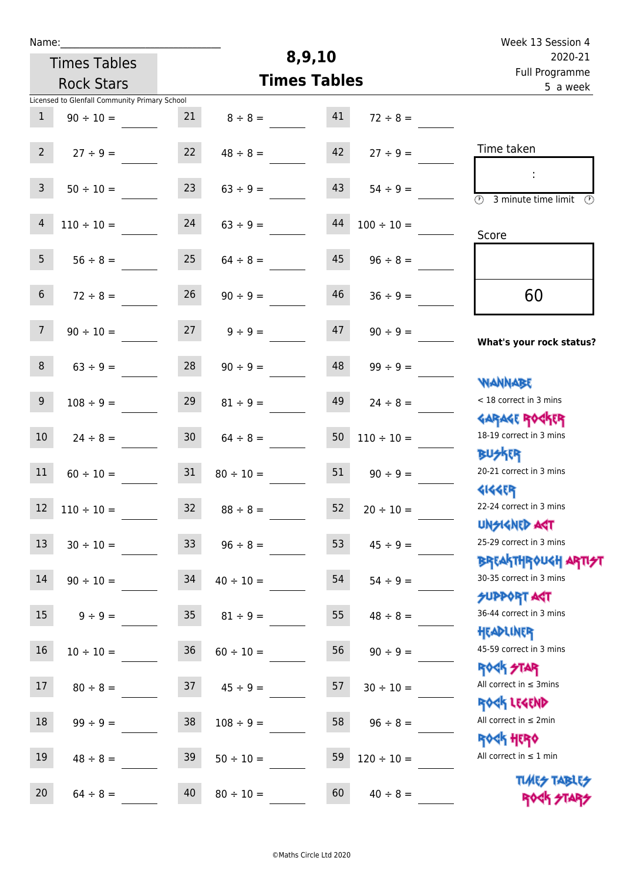| Week 13 Session 4                                                |                      |                     |                     |                 |                                               | Name:          |  |  |  |  |
|------------------------------------------------------------------|----------------------|---------------------|---------------------|-----------------|-----------------------------------------------|----------------|--|--|--|--|
| 2020-21                                                          |                      | 8,9,10              |                     |                 | <b>Times Tables</b>                           |                |  |  |  |  |
| Full Programme<br>5 a week                                       |                      | <b>Times Tables</b> |                     |                 | <b>Rock Stars</b>                             |                |  |  |  |  |
|                                                                  |                      |                     |                     |                 | Licensed to Glenfall Community Primary School |                |  |  |  |  |
|                                                                  | $72 \div 8 =$        | 41                  | $8 \div 8 =$        | 21              | $90 \div 10 =$                                | $\mathbf{1}$   |  |  |  |  |
| Time taken                                                       | $27 \div 9 =$        | 42                  | $48 \div 8 =$       | 22              | $27 \div 9 =$                                 | $2^{\circ}$    |  |  |  |  |
| $\overline{\mathcal{O}}$<br>3 minute time limit<br>$\odot$       | $54 \div 9 =$        | 43                  | $63 \div 9 =$       | 23              | $50 \div 10 =$                                | $\mathsf{3}$   |  |  |  |  |
| Score                                                            | $100 \div 10 =$      | 44                  | $63 ÷ 9 =$          | 24              | $110 \div 10 =$                               | $\overline{4}$ |  |  |  |  |
|                                                                  | $96 \div 8 =$        | 45                  | $64 \div 8 =$       | 25              | $56 \div 8 =$                                 | 5 <sub>1</sub> |  |  |  |  |
| 60                                                               | $36 \div 9 =$        | 46                  | $90 \div 9 =$       | 26              | $72 \div 8 =$                                 | 6 <sup>1</sup> |  |  |  |  |
| What's your rock status?                                         | $90 \div 9 =$        | 47                  | $9 \div 9 =$        | 27              | $90 \div 10 =$                                | 7 <sup>1</sup> |  |  |  |  |
|                                                                  | $99 \div 9 =$        | 48                  | $90 \div 9 =$       | 28              | $63 \div 9 =$                                 | 8              |  |  |  |  |
| WANNABE<br>< 18 correct in 3 mins                                | $24 \div 8 =$        | 49                  | $81 \div 9 =$       | 29              | $108 \div 9 =$                                | 9              |  |  |  |  |
| <b>GARAGE ROCKER</b><br>18-19 correct in 3 mins                  | $110 \div 10 =$      | 50                  | $64 \div 8 =$       | 30 <sub>o</sub> | $24 \div 8 =$                                 | 10             |  |  |  |  |
| <b>BUSKRR</b><br>20-21 correct in 3 mins                         | $90 \div 9 =$        | 51                  | $80 \div 10 =$      | 31              | $60 \div 10 =$                                | 11             |  |  |  |  |
| <b>4144EP</b><br>22-24 correct in 3 mins<br><b>UNSIGNED AST</b>  | $52 \t 20 \div 10 =$ |                     | $32 \t 88 \div 8 =$ |                 | $12 \quad 110 \div 10 =$                      |                |  |  |  |  |
| 25-29 correct in 3 mins<br><b>BREAKTHROUGH ARTI<del>S</del>T</b> | $45 \div 9 =$        | 53                  | $96 \div 8 =$       | 33 <sup>°</sup> | $30 \div 10 =$                                | 13             |  |  |  |  |
| 30-35 correct in 3 mins<br><b>SUPPORT ANT</b>                    | $54 \div 9 =$        | 54                  | $40 \div 10 =$      | 34              | $90 \div 10 =$                                | 14             |  |  |  |  |
| 36-44 correct in 3 mins<br>HEADLINER                             | $48 \div 8 =$        | 55                  | $81 \div 9 =$       | 35              | $9 \div 9 =$                                  | 15             |  |  |  |  |
| 45-59 correct in 3 mins                                          | $90 \div 9 =$        | 56                  | $60 \div 10 =$      | 36              | $10 \div 10 =$                                | 16             |  |  |  |  |
| <b>ROCK STAR</b><br>All correct in $\leq$ 3mins                  | $30 \div 10 =$       | 57                  | $45 \div 9 =$       | 37              | $80 \div 8 =$                                 | 17             |  |  |  |  |
| ROCK LEGEND<br>All correct in $\leq 2$ min                       | $96 \div 8 =$        | 58                  | $108 \div 9 =$      | 38              | $99 \div 9 =$                                 | 18             |  |  |  |  |
| <b>ROCK HERO</b><br>All correct in $\leq 1$ min                  | $120 \div 10 =$      | 59                  | $50 \div 10 =$      | 39              | $48 \div 8 =$                                 | 19             |  |  |  |  |
| <b>TUARS TABLES</b><br>ROCK STARS                                | $40 \div 8 =$        | 60                  | $80 \div 10 =$      | 40              | $64 \div 8 =$                                 | 20             |  |  |  |  |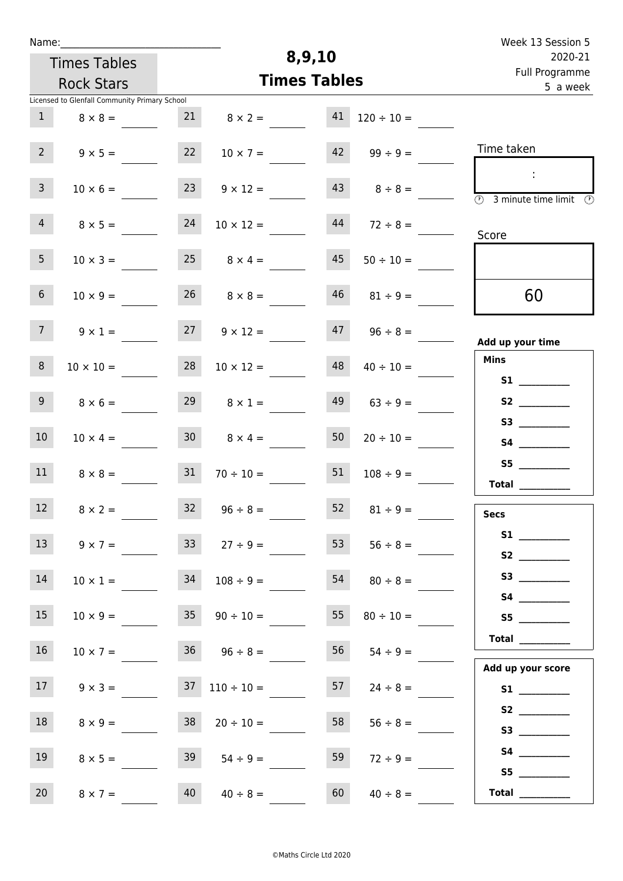| Week 13 Session 5                                                                          |                 | 8,9,10 |                      |                 |                                               |                  |  |  |  |
|--------------------------------------------------------------------------------------------|-----------------|--------|----------------------|-----------------|-----------------------------------------------|------------------|--|--|--|
| 2020-21<br>Full Programme                                                                  |                 |        |                      |                 | <b>Times Tables</b>                           |                  |  |  |  |
| 5 a week                                                                                   |                 |        | <b>Times Tables</b>  |                 | <b>Rock Stars</b>                             |                  |  |  |  |
|                                                                                            |                 |        |                      |                 | Licensed to Glenfall Community Primary School |                  |  |  |  |
|                                                                                            | $120 \div 10 =$ | 41     | $8 \times 2 =$       | 21              | $8 \times 8 =$                                | 1                |  |  |  |
| Time taken                                                                                 | $99 \div 9 =$   | 42     | $10 \times 7 =$      | 22              | $9 \times 5 =$                                | $2^{\circ}$      |  |  |  |
| $\ddot{\phantom{a}}$<br>$\overline{\textcircled{1}}$ 3 minute time limit $\textcircled{1}$ | $8 \div 8 =$    |        | $9 \times 12 =$      | 23              | $10 \times 6 =$                               | $\mathbf{3}$     |  |  |  |
| Score                                                                                      | $72 \div 8 =$   | 44     | $10 \times 12 =$     | 24              | $8 \times 5 =$                                | $\overline{4}$   |  |  |  |
|                                                                                            | $50 \div 10 =$  | 45     | $8 \times 4 =$       | 25              | $10 \times 3 =$                               | 5 <sub>1</sub>   |  |  |  |
| 60                                                                                         | $81 \div 9 =$   | 46     | $26 \t 8 \times 8 =$ |                 | $10 \times 9 =$                               | 6 <sup>1</sup>   |  |  |  |
| Add up your time                                                                           | $96 \div 8 =$   | 47     | $9 \times 12 =$      | 27              | $9 \times 1 =$                                | 7 <sup>7</sup>   |  |  |  |
| <b>Mins</b><br>S1                                                                          | $40 \div 10 =$  | 48     | $10 \times 12 =$     | 28              | $10 \times 10 =$                              | 8                |  |  |  |
|                                                                                            | $63 ÷ 9 =$      | 49     | $8 \times 1 =$       | 29              | $8 \times 6 =$                                | 9 <sup>1</sup>   |  |  |  |
|                                                                                            | $20 \div 10 =$  | 50     | $8 \times 4 =$       | 30 <sup>1</sup> | $10 \times 4 =$                               | 10 <sup>°</sup>  |  |  |  |
| S5<br><b>Total</b>                                                                         | $108 \div 9 =$  | 51     | $70 \div 10 =$       | 31              | $8 \times 8 =$                                | 11               |  |  |  |
| <b>Secs</b>                                                                                | $81 \div 9 =$   | 52     | $96 \div 8 =$        | $32$            | $8 \times 2 =$                                | 12               |  |  |  |
|                                                                                            | $56 \div 8 =$   | 53     | $27 \div 9 =$        | 33 <sup>°</sup> | $9 \times 7 =$                                | 13               |  |  |  |
| S3                                                                                         | $80 \div 8 =$   | 54     | $108 \div 9 =$       | 34              | $10 \times 1 =$                               | 14               |  |  |  |
| Total __________                                                                           | $80 \div 10 =$  | 55     | $90 \div 10 =$       | 35              | $10 \times 9 =$                               | 15               |  |  |  |
| Add up your score                                                                          | $54 \div 9 =$   | 56     | $36 \t 96 \div 8 =$  |                 | $10 \times 7 =$                               | 16 <sup>1</sup>  |  |  |  |
|                                                                                            | $24 \div 8 =$   | 57     | $110 \div 10 =$      | 37              | $9 \times 3 =$                                | 17 <sup>17</sup> |  |  |  |
|                                                                                            | $56 \div 8 =$   | 58     | $20 \div 10 =$       | 38              | $8 \times 9 =$                                | 18               |  |  |  |
|                                                                                            | $72 \div 9 =$   | 59     | $54 \div 9 =$        | 39              | $8 \times 5 =$                                | 19               |  |  |  |
| Total                                                                                      | $40 \div 8 =$   | 60     | $40 \div 8 =$        | 40              | $8 \times 7 =$                                | 20               |  |  |  |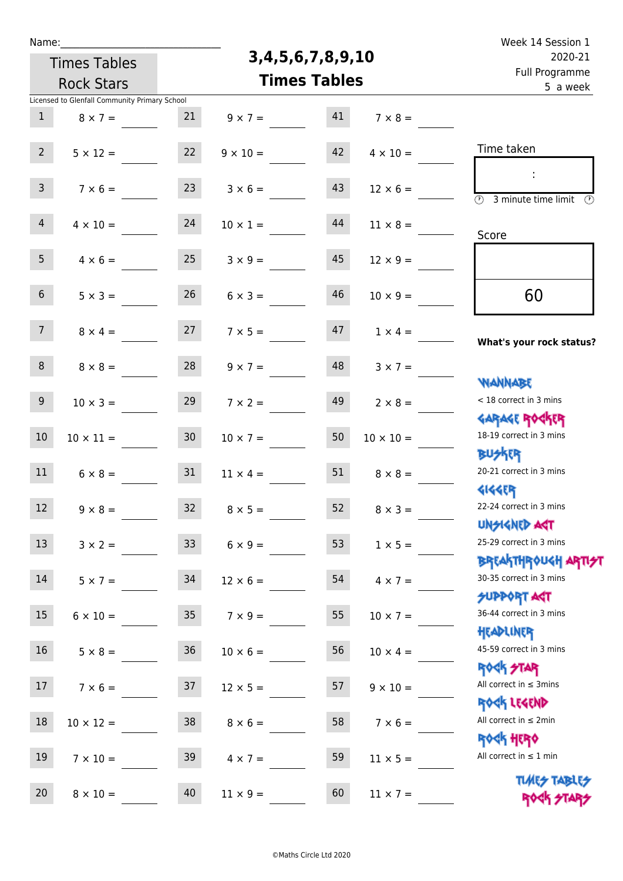| Name |  |  |  |
|------|--|--|--|
|      |  |  |  |

## **3,4,5,6,7,8,9,10**

Week 14 Session 1 Full Programme 2020-21

| 2020-21<br>Full Programme                                        | 3, 4, 5, 6, 7, 8, 9, 10 |                     | <b>Times Tables</b> |                 |                 |                                               |                 |
|------------------------------------------------------------------|-------------------------|---------------------|---------------------|-----------------|-----------------|-----------------------------------------------|-----------------|
| 5 a week                                                         |                         | <b>Times Tables</b> |                     |                 |                 | <b>Rock Stars</b>                             |                 |
|                                                                  |                         |                     |                     |                 |                 | Licensed to Glenfall Community Primary School |                 |
|                                                                  | $7 \times 8 =$          | 41                  | $9 \times 7 =$      |                 | 21              | $8 \times 7 =$                                | 1               |
| Time taken                                                       | $4 \times 10 =$         | 42                  |                     | $9 \times 10 =$ | 22              | $5 \times 12 =$                               | 2 <sup>7</sup>  |
| $\overline{(\mathcal{V})}$<br>3 minute time limit                | $12 \times 6 =$         | 43                  | $3 \times 6 =$      |                 | 23              | $7 \times 6 =$                                | 3 <sup>7</sup>  |
| Score                                                            | $11 \times 8 =$         | 44                  |                     | $10 \times 1 =$ | 24              | $4 \times 10 =$                               | 4               |
|                                                                  | $12 \times 9 =$         | 45                  | $3 \times 9 =$      |                 | 25              | $4 \times 6 =$                                | 5 <sub>1</sub>  |
| 60                                                               | $10 \times 9 =$         | 46                  | $6 \times 3 =$      |                 | 26              | $5 \times 3 =$                                | 6 <sup>1</sup>  |
| What's your rock status?                                         | $1 \times 4 =$          | 47                  | $7 \times 5 =$      |                 | 27              | $8 \times 4 =$                                | 7 <sup>7</sup>  |
| <b>NANNABE</b>                                                   | $3 \times 7 =$          | 48                  | $9 \times 7 =$      |                 | 28              | $8 \times 8 =$                                | 8               |
| < 18 correct in 3 mins<br><b>GARAGE ROCKER</b>                   | $2 \times 8 =$          | 49                  |                     | $7 \times 2 =$  | 29              | $10 \times 3 =$                               | 9 <sub>o</sub>  |
| 18-19 correct in 3 mins<br><b>BUSKER</b>                         | $10 \times 10 =$        | 50                  |                     | $10 \times 7 =$ | 30 <sub>2</sub> | $10 \times 11 =$                              | 10              |
| 20-21 correct in 3 mins<br><b>4144ER</b>                         | $8 \times 8 =$          | 51                  |                     | $11 \times 4 =$ | 31              | $6 \times 8 =$                                | 11              |
| 22-24 correct in 3 mins<br>UNSIGNED AGT                          | $8 \times 3 =$          | 52                  | $8 \times 5 =$      |                 | 32 <sup>2</sup> | $9 \times 8 =$                                | 12 <sup>°</sup> |
| 25-29 correct in 3 mins<br><b>BREAKTHROUGH ARTI<del>S</del>T</b> | $1 \times 5 =$          | 53                  |                     | $6 \times 9 =$  | 33 <sup>°</sup> | $3 \times 2 =$                                | 13              |
| 30-35 correct in 3 mins<br>SUPPORT ART                           | $4 \times 7 =$          | 54                  |                     | $12 \times 6 =$ | 34              | $5 \times 7 =$                                | 14              |
| 36-44 correct in 3 mins<br>HEADLINER                             | $10 \times 7 =$         | 55                  |                     | $7 \times 9 =$  | 35 <sub>1</sub> | $6 \times 10 =$                               | 15 <sub>1</sub> |
| 45-59 correct in 3 mins<br><b>ROCK STAR</b>                      | $10 \times 4 =$         | 56                  |                     | $10 \times 6 =$ | 36              | $5 \times 8 =$                                | 16 <sup>1</sup> |
| All correct in $\leq$ 3mins<br>ROCK LEGEND                       | $9 \times 10 =$         | 57                  |                     | $12 \times 5 =$ | 37              | $7 \times 6 =$                                | 17 <sup>2</sup> |
| All correct in $\leq 2$ min<br><b>ROCK HERO</b>                  | $7 \times 6 =$          | 58                  | $8 \times 6 =$      |                 | 38              | $10 \times 12 =$                              | 18              |
| All correct in $\leq 1$ min<br><b>TUARS TABLES</b>               | $11 \times 5 =$         | 59                  | $4 \times 7 =$      |                 | 39              | $7 \times 10 =$                               | 19              |
| ROCK STA                                                         | $11 \times 7 =$         | 60                  |                     | $11 \times 9 =$ | 40              | $8 \times 10 =$                               | 20              |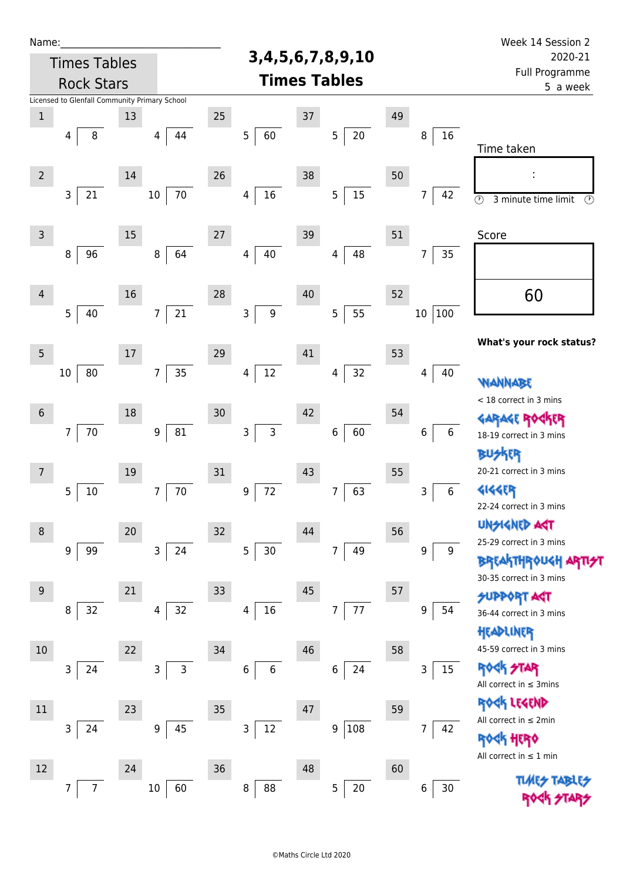| Name:          |                                               |        |                              |    |                                   |        |                          |    |                      | Week 14 Session 2                                                |
|----------------|-----------------------------------------------|--------|------------------------------|----|-----------------------------------|--------|--------------------------|----|----------------------|------------------------------------------------------------------|
|                | <b>Times Tables</b>                           |        |                              |    |                                   |        | 3, 4, 5, 6, 7, 8, 9, 10  |    |                      | 2020-21                                                          |
|                | <b>Rock Stars</b>                             |        |                              |    |                                   |        | <b>Times Tables</b>      |    |                      | Full Programme<br>5 a week                                       |
|                | Licensed to Glenfall Community Primary School |        |                              |    |                                   |        |                          |    |                      |                                                                  |
| $\,1$          | 8<br>4                                        | 13     | 44<br>4                      | 25 | 5<br>60                           | $37\,$ | $20\,$<br>$\overline{5}$ | 49 | 16<br>8              |                                                                  |
|                |                                               |        |                              |    |                                   |        |                          |    |                      | Time taken                                                       |
| $\overline{2}$ |                                               | 14     |                              | 26 |                                   | 38     |                          | 50 |                      | ÷                                                                |
|                | $\mathsf{3}$<br>21                            |        | 70<br>$10\,$                 |    | $16\,$<br>4                       |        | $15\,$<br>5              |    | 42<br>$\overline{7}$ |                                                                  |
|                |                                               |        |                              |    |                                   |        |                          |    |                      | $\overline{\circ}$<br>3 minute time limit<br>$\odot$             |
| $\mathsf{3}$   |                                               | 15     |                              | 27 |                                   | 39     |                          | 51 |                      | Score                                                            |
|                | 8<br>96                                       |        | 64<br>$\, 8$                 |    | 40<br>$\overline{4}$              |        | 48<br>4                  |    | 35<br>$\overline{7}$ |                                                                  |
|                |                                               |        |                              |    |                                   |        |                          |    |                      |                                                                  |
| $\overline{4}$ |                                               | 16     |                              | 28 |                                   | 40     |                          | 52 |                      | 60                                                               |
|                | 5<br>40                                       |        | 21<br>$\overline{7}$         |    | 9<br>3                            |        | 55<br>5                  |    | 100<br>10            |                                                                  |
|                |                                               |        |                              |    |                                   |        |                          |    |                      | What's your rock status?                                         |
| $\overline{5}$ |                                               | 17     |                              | 29 |                                   | 41     |                          | 53 |                      |                                                                  |
|                | 80<br>10                                      |        | 35<br>$\overline{7}$         |    | 12<br>$\overline{\mathbf{4}}$     |        | 32<br>4                  |    | 40<br>4              | <b>WANNABE</b>                                                   |
|                |                                               |        |                              |    |                                   |        |                          |    |                      | < 18 correct in 3 mins                                           |
| $\sqrt{6}$     |                                               | 18     |                              | 30 |                                   | 42     |                          | 54 |                      | <b>GARAGE ROGKER</b>                                             |
|                | 7<br>70                                       |        | 81<br>$\boldsymbol{9}$       |    | $\mathsf{3}$<br>3                 |        | 60<br>6                  |    | 6<br>6               | 18-19 correct in 3 mins                                          |
|                |                                               |        |                              |    |                                   |        |                          |    |                      | <b>BUSKER</b><br>20-21 correct in 3 mins                         |
| 7              | 5<br>$10\,$                                   | 19     | $70\,$<br>7                  | 31 | 72<br>$\boldsymbol{9}$            | 43     | 63<br>$\overline{7}$     | 55 | 3<br>6               | 4144ER                                                           |
|                |                                               |        |                              |    |                                   |        |                          |    |                      | 22-24 correct in 3 mins                                          |
| 8              |                                               | $20\,$ |                              | 32 |                                   | 44     |                          | 56 |                      | <b>UNSIGNED AST</b>                                              |
|                | 99<br>9                                       |        | $\mathsf{3}$<br>24           |    | 5<br>$30$                         |        | $\overline{7}$<br>49     |    | 9<br>9               | 25-29 correct in 3 mins                                          |
|                |                                               |        |                              |    |                                   |        |                          |    |                      | <b>BREAKTHROUGH ARTI<del>S</del>T</b><br>30-35 correct in 3 mins |
| $9\,$          |                                               | 21     |                              | 33 |                                   | 45     |                          | 57 |                      | <b>SUPPORT ART</b>                                               |
|                | 32<br>8                                       |        | 32<br>4                      |    | $16\,$<br>$\overline{\mathbf{4}}$ |        | $77\,$<br>7              |    | 9<br>54              | 36-44 correct in 3 mins                                          |
|                |                                               |        |                              |    |                                   |        |                          |    |                      | HEADLINER                                                        |
| $10\,$         |                                               | 22     |                              | 34 |                                   | 46     |                          | 58 |                      | 45-59 correct in 3 mins                                          |
|                | 3<br>24                                       |        | $\mathsf{3}$<br>$\mathsf{3}$ |    | 6<br>$\,$ 6 $\,$                  |        | 24<br>6                  |    | 15<br>3              | <b>ROCK STAR</b>                                                 |
|                |                                               |        |                              |    |                                   |        |                          |    |                      | All correct in $\leq$ 3mins<br>ROCK LEGEND                       |
| 11             |                                               | 23     |                              | 35 |                                   | 47     |                          | 59 |                      | All correct in $\leq 2$ min                                      |
|                | 3<br>24                                       |        | $\boldsymbol{9}$<br>45       |    | 3<br>12                           |        | 108<br>9                 |    | 42<br>7              | <b>ROGK HERO</b>                                                 |
|                |                                               |        |                              |    |                                   |        |                          |    |                      | All correct in $\leq 1$ min                                      |
| 12             | $\overline{7}$<br>7                           | 24     | $10\,$<br>60                 | 36 | $\bf 8$<br>88                     | 48     | 5<br>20                  | 60 | 30<br>6              | <b>TLMES</b>                                                     |
|                |                                               |        |                              |    |                                   |        |                          |    |                      |                                                                  |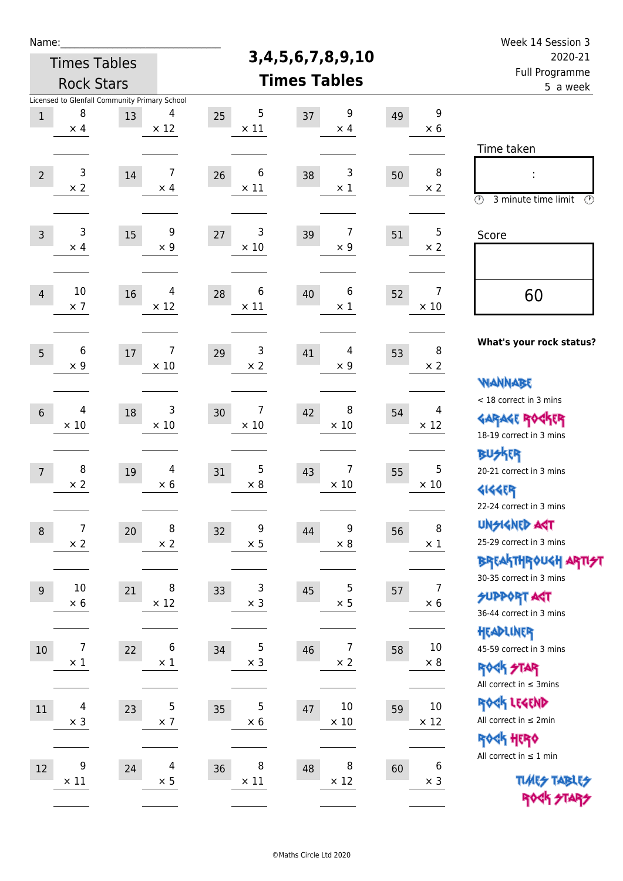| Name:           |                                 |                                               |                  |                                 |                                    |    |                               | Week 14 Session 3                                                                       |
|-----------------|---------------------------------|-----------------------------------------------|------------------|---------------------------------|------------------------------------|----|-------------------------------|-----------------------------------------------------------------------------------------|
|                 |                                 | <b>Times Tables</b>                           |                  |                                 | 3, 4, 5, 6, 7, 8, 9, 10            |    |                               | 2020-21                                                                                 |
|                 |                                 | <b>Rock Stars</b>                             |                  |                                 | <b>Times Tables</b>                |    |                               | Full Programme<br>5 a week                                                              |
|                 |                                 | Licensed to Glenfall Community Primary School |                  |                                 |                                    |    |                               |                                                                                         |
| $1\,$           | 8<br>$\times$ 4                 | 13                                            | 4<br>$\times$ 12 | $\sqrt{5}$<br>25<br>$\times$ 11 | 9<br>37<br>$\times$ 4              | 49 | 9<br>$\times 6$               |                                                                                         |
|                 |                                 |                                               |                  |                                 |                                    |    |                               | Time taken                                                                              |
| $\overline{2}$  | 3<br>$\times 2$                 | 14                                            | 7<br>$\times$ 4  | 6<br>26<br>$\times$ 11          | 3<br>38<br>$\times$ 1              | 50 | 8<br>$\times 2$               | $\circled{r}$<br>3 minute time limit<br>$\circled{r}$                                   |
| $\overline{3}$  | 3<br>$\times$ 4                 | 15                                            | 9<br>$\times$ 9  | 3<br>27<br>$\times 10$          | 7<br>39<br>$\times$ 9              | 51 | 5<br>$\times 2$               | Score                                                                                   |
| $\overline{4}$  | 10<br>$\times$ 7                | 16                                            | 4<br>$\times$ 12 | 6<br>28<br>$\times$ 11          | 6<br>40<br>$\times$ 1              | 52 | $\overline{7}$<br>$\times$ 10 | 60                                                                                      |
| 5               | 6<br>$\times$ 9                 | 17                                            | 7<br>$\times$ 10 | 3<br>29<br>$\times$ 2           | 4<br>41<br>$\times$ 9              | 53 | 8<br>$\times 2$               | What's your rock status?<br><b>WANNABE</b>                                              |
| $6\phantom{1}6$ | 4<br>$\times$ 10                | 18                                            | 3<br>$\times$ 10 | 7<br>30<br>$\times$ 10          | 8<br>42<br>$\times$ 10             | 54 | 4<br>$\times$ 12              | < 18 correct in 3 mins<br><b>GARAGE ROCKER</b><br>18-19 correct in 3 mins               |
| $\overline{7}$  | 8<br>$\times 2$                 | 19                                            | 4<br>$\times$ 6  | 5<br>31<br>$\times$ 8           | 7<br>43<br>$\times$ 10             | 55 | 5<br>$\times$ 10              | <b>BUSKER</b><br>20-21 correct in 3 mins<br><b>4144EP</b><br>22-24 correct in 3 mins    |
| $\,8\,$         | $\boldsymbol{7}$<br>$\times 2$  | 20                                            | 8<br>$\times$ 2  | 9<br>32<br>$\times$ 5           | 9<br>44<br>$\times$ 8              | 56 | 8<br>$\times$ 1               | <b>UNSIGNED AGT</b><br>25-29 correct in 3 mins<br>BREAKTHRÓUGH ARTI <del>2</del> 1      |
| $9\,$           | $10\,$<br>$\times 6$            | 21                                            | 8<br>$\times$ 12 | 3<br>33<br>$\times$ 3           | 5<br>45<br>$\times$ 5              | 57 | $\overline{7}$<br>$\times$ 6  | 30-35 correct in 3 mins<br><b>SUPPORT ART</b><br>36-44 correct in 3 mins                |
| 10              | $\boldsymbol{7}$<br>$\times$ 1  | 22                                            | 6<br>$\times$ 1  | 5<br>34<br>$\times$ 3           | $\overline{7}$<br>46<br>$\times$ 2 | 58 | $10\,$<br>$\times 8$          | HEADLINER<br>45-59 correct in 3 mins<br><b>ROCK STAR</b><br>All correct in $\leq$ 3mins |
| $11\,$          | $\overline{4}$<br>$\times$ 3    | 23                                            | 5<br>$\times$ 7  | 5<br>35<br>$\times 6$           | $10\,$<br>47<br>$\times$ 10        | 59 | $10\,$<br>$\times$ 12         | ROCK LEGEND<br>All correct in $\leq 2$ min<br>ROCK HERO                                 |
| 12              | $\boldsymbol{9}$<br>$\times$ 11 | 24                                            | 4<br>$\times$ 5  | 8<br>36<br>$\times$ 11          | 8<br>48<br>$\times$ 12             | 60 | 6<br>$\times$ 3               | All correct in $\leq 1$ min<br><b>TUARS TABLES</b><br>ROGK STARS                        |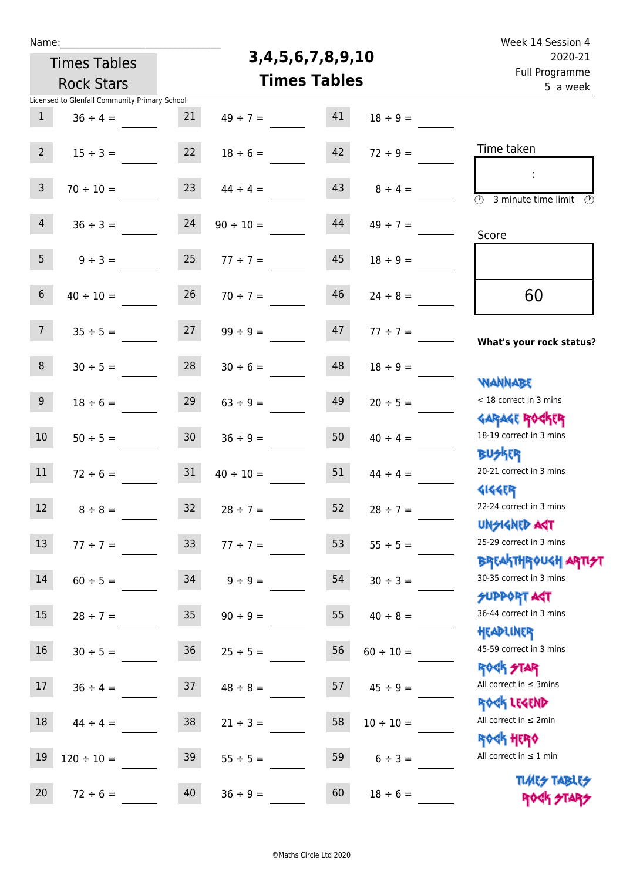Times Tables

## **3,4,5,6,7,8,9,10**

Name: Week 14 Session 4 Full Programme 2020-21

|                         | <b>Rock Stars</b>                             |                 | <b>Times Tables</b> | Full Programme<br>5 a week |                |                                                                    |
|-------------------------|-----------------------------------------------|-----------------|---------------------|----------------------------|----------------|--------------------------------------------------------------------|
|                         | Licensed to Glenfall Community Primary School |                 |                     |                            |                |                                                                    |
| $\mathbf{1}$            | $36 \div 4 =$                                 | 21              | $49 \div 7 =$       | 41                         | $18 \div 9 =$  |                                                                    |
| 2 <sup>7</sup>          | $15 \div 3 =$                                 | 22              | $18 \div 6 =$       | 42                         | $72 \div 9 =$  | Time taken                                                         |
|                         |                                               |                 |                     |                            |                | ÷                                                                  |
| $\overline{\mathbf{3}}$ | $70 \div 10 =$                                | 23              | $44 \div 4 =$       | 43                         | $8 \div 4 =$   | $\overline{(\mathcal{V})}$<br>3 minute time limit<br>$\mathcal{O}$ |
| 4                       | $36 \div 3 =$                                 | 24              | $90 \div 10 =$      | 44                         | $49 \div 7 =$  |                                                                    |
|                         |                                               |                 |                     |                            |                | Score                                                              |
| 5 <sub>1</sub>          | $9 \div 3 =$                                  | 25              | $77 \div 7 =$       | 45                         | $18 \div 9 =$  |                                                                    |
| 6 <sup>1</sup>          | $40 \div 10 =$                                | 26              | $70 \div 7 =$       | 46                         | $24 \div 8 =$  | 60                                                                 |
|                         |                                               |                 |                     |                            |                |                                                                    |
| 7 <sup>7</sup>          | $35 \div 5 =$                                 | 27              | $99 \div 9 =$       | 47                         | $77 \div 7 =$  |                                                                    |
|                         |                                               |                 |                     |                            |                | What's your rock status?                                           |
| 8 <sub>1</sub>          | $30 \div 5 =$                                 | 28              | $30 \div 6 =$       | 48                         | $18 \div 9 =$  |                                                                    |
|                         |                                               |                 |                     |                            |                | <b>NANNABE</b>                                                     |
| 9 <sub>o</sub>          | $18 \div 6 =$                                 | 29              | $63 \div 9 =$       | 49                         | $20 \div 5 =$  | < 18 correct in 3 mins                                             |
| 10 <sup>°</sup>         |                                               |                 |                     |                            |                | <b>GARAGE ROCKER</b><br>18-19 correct in 3 mins                    |
|                         | $50 \div 5 =$                                 | 30 <sup>°</sup> | $36 \div 9 =$       | 50                         | $40 \div 4 =$  | <b>BUSKRY</b>                                                      |
| 11                      | $72 \div 6 =$                                 | 31              | $40 \div 10 =$      | 51                         | $44 \div 4 =$  | 20-21 correct in 3 mins                                            |
|                         |                                               |                 |                     |                            |                | <b>4144EP</b>                                                      |
| 12                      | $8 \div 8 =$                                  | 32              | $28 \div 7 =$       | 52                         | $28 \div 7 =$  | 22-24 correct in 3 mins                                            |
|                         |                                               |                 |                     |                            |                | <b>UNSIGNED AGT</b>                                                |
| 13                      | $77 ÷ 7 =$                                    |                 | $33 \t 77 \div 7 =$ | 53                         | $55 \div 5 =$  | 25-29 correct in 3 mins                                            |
|                         |                                               |                 |                     |                            |                | <b>BREAKTHROUGH ARTI<del>S</del>T</b>                              |
| 14                      | $60 \div 5 =$                                 | 34              | $9 ÷ 9 =$           | 54                         | $30 \div 3 =$  | 30-35 correct in 3 mins                                            |
| $15\,$                  |                                               | 35 <sub>o</sub> |                     | 55                         |                | <b>SUPPORT AGT</b><br>36-44 correct in 3 mins                      |
|                         | $28 \div 7 =$                                 |                 | $90 \div 9 =$       |                            | $40 \div 8 =$  | HEADLINER                                                          |
| 16                      | $30 \div 5 =$                                 | 36              | $25 \div 5 =$       | 56                         | $60 \div 10 =$ | 45-59 correct in 3 mins                                            |
|                         |                                               |                 |                     |                            |                | <b>ROGK STAR</b>                                                   |
| 17                      | $36 \div 4 =$                                 | 37              | $48 \div 8 =$       | 57                         | $45 \div 9 =$  | All correct in $\leq$ 3mins                                        |
|                         |                                               |                 |                     |                            |                | ROCK LEGEND                                                        |
| 18                      | $44 \div 4 =$                                 | 38              | $21 \div 3 =$       | 58                         | $10 \div 10 =$ | All correct in $\leq 2$ min                                        |
|                         |                                               |                 |                     |                            |                | <b>ROCK HERO</b>                                                   |
| 19                      | $120 \div 10 =$                               | 39              | $55 \div 5 =$       | 59                         | $6 \div 3 =$   | All correct in $\leq 1$ min                                        |
| 20                      | $72 \div 6 =$                                 | $40\,$          | $36 \div 9 =$       | 60                         | $18 \div 6 =$  | <b>TUARS TABLES</b>                                                |
|                         |                                               |                 |                     |                            |                | ROCK STARS                                                         |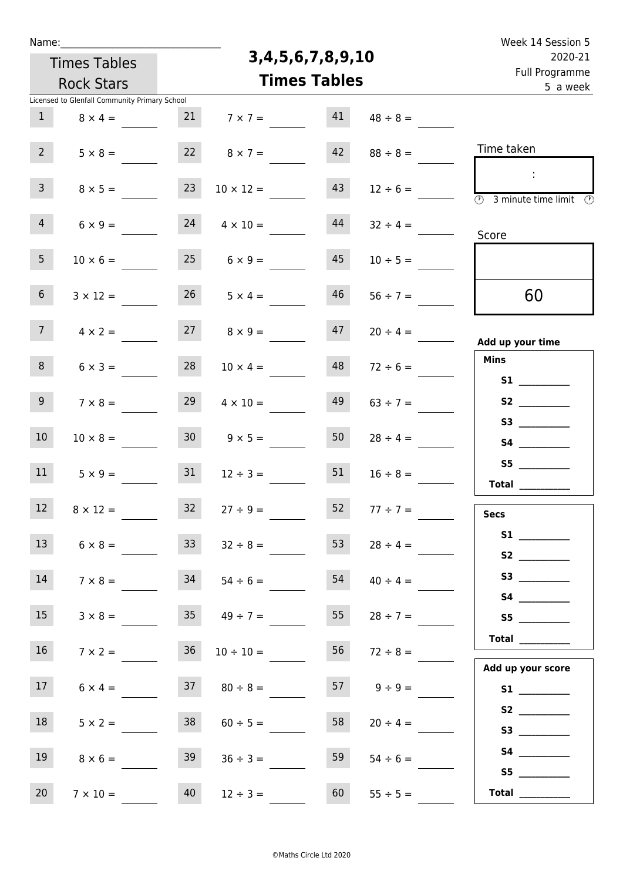| Name:           |                                               |                 |                         |                            |               | Week 14 Session 5                                            |
|-----------------|-----------------------------------------------|-----------------|-------------------------|----------------------------|---------------|--------------------------------------------------------------|
|                 | <b>Times Tables</b>                           |                 | 3, 4, 5, 6, 7, 8, 9, 10 | 2020-21                    |               |                                                              |
|                 | <b>Rock Stars</b>                             |                 | <b>Times Tables</b>     | Full Programme<br>5 a week |               |                                                              |
|                 | Licensed to Glenfall Community Primary School |                 |                         |                            |               |                                                              |
| $\mathbf{1}$    | $8 \times 4 =$                                | 21              | $7 \times 7 =$          | 41                         | $48 \div 8 =$ |                                                              |
| 2 <sup>7</sup>  | $5 \times 8 =$                                | 22              | $8 \times 7 =$          | 42                         | $88 \div 8 =$ | Time taken                                                   |
| $\overline{3}$  | $8 \times 5 =$                                | 23              | $10 \times 12 =$        | 43                         | $12 \div 6 =$ | $\overline{\circledcirc}$ 3 minute time limit $\circledcirc$ |
| $\overline{4}$  | $6 \times 9 =$                                | 24              | $4 \times 10 =$         | 44                         | $32 \div 4 =$ | Score                                                        |
| 5 <sub>1</sub>  | $10 \times 6 =$                               | 25              | $6 \times 9 =$          | 45                         | $10 \div 5 =$ |                                                              |
| 6 <sup>1</sup>  | $3 \times 12 =$                               | 26              | $5 \times 4 =$          | 46                         | $56 \div 7 =$ | 60                                                           |
| 7 <sup>7</sup>  | $4 \times 2 =$                                | 27              | $8 \times 9 =$          | 47                         | $20 \div 4 =$ | Add up your time                                             |
| 8               | $6 \times 3 =$                                | 28              | $10 \times 4 =$         | 48                         | $72 \div 6 =$ | <b>Mins</b>                                                  |
| 9 <sub>o</sub>  | $7 \times 8 =$                                | 29              | $4 \times 10 =$         | 49                         | $63 \div 7 =$ |                                                              |
| 10              | $10 \times 8 =$                               | 30 <sub>o</sub> | $9 \times 5 =$          | 50                         | $28 \div 4 =$ |                                                              |
| 11              | $5 \times 9 =$                                | 31              | $12 \div 3 =$           | 51                         | $16 \div 8 =$ | S5<br>$\begin{tabular}{c} Total \end{tabular}$               |
| 12              | $8 \times 12 =$                               | 32              | $27 \div 9 =$           | 52                         | $77 \div 7 =$ | <b>Secs</b>                                                  |
| 13              | $6 \times 8 =$                                | 33              | $32 \div 8 =$           | 53                         | $28 \div 4 =$ | S1<br>S2                                                     |
| 14              | $7 \times 8 =$                                |                 | $34$ $54 \div 6 =$      | 54                         | $40 \div 4 =$ |                                                              |
| 15              | $3 \times 8 =$                                | 35              | $49 \div 7 =$           | 55                         | $28 \div 7 =$ | S5                                                           |
| 16 <sup>1</sup> | $7 \times 2 =$                                | 36 <sup>°</sup> | $10 \div 10 =$          | 56                         | $72 \div 8 =$ | Add up your score                                            |
| 17 <sup>7</sup> | $6 \times 4 =$                                | 37              | $80 \div 8 =$           | 57                         | $9 \div 9 =$  |                                                              |
| 18              | $5 \times 2 =$                                | 38              | $60 \div 5 =$           | 58                         | $20 \div 4 =$ |                                                              |
| 19              | $8 \times 6 =$                                | 39              | $36 \div 3 =$           | 59                         | $54 \div 6 =$ | S5                                                           |
| 20 <sub>2</sub> | $7 \times 10 =$                               | 40              | $12 \div 3 =$           | 60                         | $55 \div 5 =$ | <b>Total</b> _________                                       |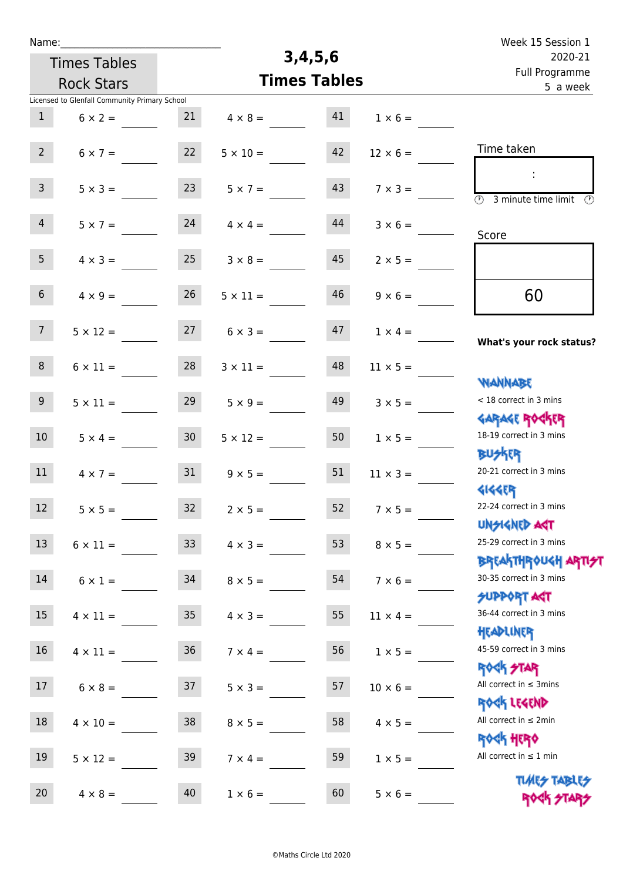| Name:           |                                               |                 |                     |                                       |                 | Week 15 Session 1                                                  |
|-----------------|-----------------------------------------------|-----------------|---------------------|---------------------------------------|-----------------|--------------------------------------------------------------------|
|                 | <b>Times Tables</b>                           |                 | 3,4,5,6             | 2020-21<br>Full Programme<br>5 a week |                 |                                                                    |
|                 | <b>Rock Stars</b>                             |                 | <b>Times Tables</b> |                                       |                 |                                                                    |
|                 | Licensed to Glenfall Community Primary School |                 |                     |                                       |                 |                                                                    |
| 1               | $6 \times 2 =$                                | 21              | $4 \times 8 =$      | 41                                    | $1 \times 6 =$  |                                                                    |
| $2^{\circ}$     | $6 \times 7 =$                                | 22              | $5 \times 10 =$     | 42                                    | $12 \times 6 =$ | Time taken                                                         |
| 3 <sup>7</sup>  | $5 \times 3 =$                                | 23              | $5 \times 7 =$      | 43                                    | $7 \times 3 =$  | $\overline{(\mathcal{V})}$<br>3 minute time limit<br>$\mathcal{O}$ |
| $\overline{4}$  | $5 \times 7 =$                                | 24              | $4 \times 4 =$      | 44                                    | $3 \times 6 =$  | Score                                                              |
| 5 <sub>1</sub>  | $4 \times 3 =$                                | 25              | $3 \times 8 =$      | 45                                    | $2 \times 5 =$  |                                                                    |
| 6 <sup>1</sup>  | $4 \times 9 =$                                | 26              | $5 \times 11 =$     | 46                                    | $9 \times 6 =$  | 60                                                                 |
| 7 <sup>7</sup>  | $5 \times 12 =$                               | 27              | $6 \times 3 =$      | 47                                    | $1 \times 4 =$  | What's your rock status?                                           |
| 8 <sub>1</sub>  | $6 \times 11 =$                               | 28              | $3 \times 11 =$     | 48                                    | $11 \times 5 =$ | <b>NANNABE</b>                                                     |
| 9 <sub>o</sub>  | $5 \times 11 =$                               | 29              | $5 \times 9 =$      | 49                                    | $3 \times 5 =$  | < 18 correct in 3 mins<br><b>GARAGE ROGKER</b>                     |
| 10 <sup>°</sup> | $5 \times 4 =$                                | 30 <sup>1</sup> | $5 \times 12 =$     | 50                                    | $1 \times 5 =$  | 18-19 correct in 3 mins<br><b>BUSKER</b>                           |
| 11              | $4 \times 7 =$                                | 31              | $9 \times 5 =$      | 51                                    | $11 \times 3 =$ | 20-21 correct in 3 mins<br><b>4144EP</b>                           |
| 12              | $5 \times 5 =$                                | 32              | $2 \times 5 =$      | 52                                    | $7 \times 5 =$  | 22-24 correct in 3 mins<br><b>UNSIGNED AGT</b>                     |
| 13              | $6 \times 11 =$                               | 33              | $4 \times 3 =$      | 53                                    | $8 \times 5 =$  | 25-29 correct in 3 mins<br><b>BREAKTHROUGH ARTI<del>S</del>T</b>   |
| 14              | $6 \times 1 =$                                | 34              | $8 \times 5 =$      | 54                                    | $7 \times 6 =$  | 30-35 correct in 3 mins<br>SUPPORT ART                             |
| 15              | $4 \times 11 =$                               | 35 <sub>1</sub> | $4 \times 3 =$      | 55                                    | $11 \times 4 =$ | 36-44 correct in 3 mins<br>HEADLINER                               |
| 16              | $4 \times 11 =$                               | 36              | $7 \times 4 =$      | 56                                    | $1 \times 5 =$  | 45-59 correct in 3 mins<br><b>ROCK STAR</b>                        |
| 17              | $6 \times 8 =$                                | 37              | $5 \times 3 =$      | 57                                    | $10 \times 6 =$ | All correct in $\leq$ 3mins<br>ROCK LEGEND                         |
| 18              | $4 \times 10 =$                               | 38              | $8 \times 5 =$      | 58                                    | $4 \times 5 =$  | All correct in $\leq 2$ min<br><b>ROCK HERO</b>                    |
| 19              | $5 \times 12 =$                               | 39              | $7 \times 4 =$      | 59                                    | $1 \times 5 =$  | All correct in $\leq 1$ min<br><b>TUARS TABLES</b>                 |
| 20              | $4 \times 8 =$                                | 40              | $1 \times 6 =$      | 60                                    | $5 \times 6 =$  | ROCK STARS                                                         |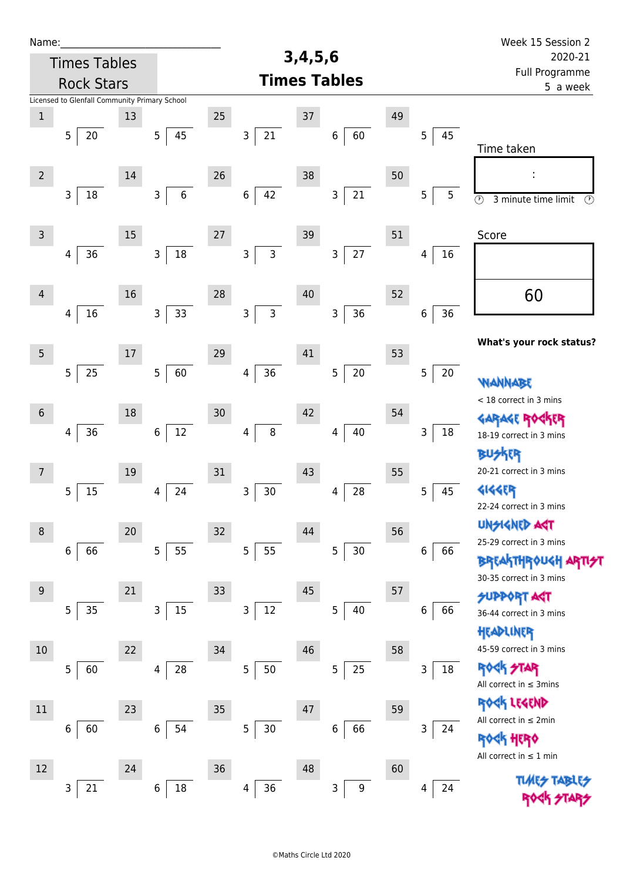| Name:                                    |                                               |    |                                |    |                                |    |                       |                            |         | Week 15 Session 2                                          |
|------------------------------------------|-----------------------------------------------|----|--------------------------------|----|--------------------------------|----|-----------------------|----------------------------|---------|------------------------------------------------------------|
| <b>Times Tables</b><br><b>Rock Stars</b> |                                               |    | 3,4,5,6<br><b>Times Tables</b> |    |                                |    | 2020-21               |                            |         |                                                            |
|                                          |                                               |    |                                |    |                                |    |                       | Full Programme<br>5 a week |         |                                                            |
|                                          | Licensed to Glenfall Community Primary School |    |                                |    |                                |    |                       |                            |         |                                                            |
| $\mathbf 1$                              |                                               | 13 |                                | 25 |                                | 37 |                       | 49                         |         |                                                            |
|                                          | 5<br>20                                       |    | 5<br>45                        |    | 21<br>$\mathsf 3$              |    | 60<br>6               |                            | 45<br>5 |                                                            |
|                                          |                                               |    |                                |    |                                |    |                       |                            |         | Time taken                                                 |
| $2^{\circ}$                              |                                               | 14 |                                | 26 |                                | 38 |                       | 50                         |         | ÷                                                          |
|                                          | 3<br>18                                       |    | 3<br>$\,6\,$                   |    | 42<br>$\boldsymbol{6}$         |    | $21\,$<br>3           |                            | 5<br>5  | $\overline{\circ}$<br>$\circled{r}$<br>3 minute time limit |
|                                          |                                               |    |                                |    |                                |    |                       |                            |         |                                                            |
| $\mathsf{3}$                             |                                               | 15 |                                | 27 |                                | 39 |                       | 51                         |         | Score                                                      |
|                                          | 36<br>4                                       |    | $18\,$<br>3                    |    | 3<br>$\mathsf{3}$              |    | 27<br>3               |                            | 16<br>4 |                                                            |
|                                          |                                               |    |                                |    |                                |    |                       |                            |         |                                                            |
| $\overline{4}$                           |                                               | 16 |                                | 28 |                                | 40 |                       | 52                         |         | 60                                                         |
|                                          | 16<br>4                                       |    | 33<br>$\mathsf{3}$             |    | $\overline{3}$<br>$\mathsf{3}$ |    | 36<br>3               |                            | 36<br>6 |                                                            |
|                                          |                                               |    |                                |    |                                |    |                       |                            |         |                                                            |
| 5                                        |                                               | 17 |                                | 29 |                                | 41 |                       | 53                         |         | What's your rock status?                                   |
|                                          | 5<br>25                                       |    | 5<br>60                        |    | 36<br>4                        |    | 5<br>$20\,$           |                            | 5<br>20 |                                                            |
|                                          |                                               |    |                                |    |                                |    |                       |                            |         | WANNABE                                                    |
| $\sqrt{6}$                               |                                               | 18 |                                | 30 |                                | 42 |                       | 54                         |         | < 18 correct in 3 mins                                     |
|                                          | 36<br>4                                       |    | 12<br>6                        |    | $\bf 8$<br>4                   |    | $40\,$<br>4           |                            | 3<br>18 | GARAGE ROGKER<br>18-19 correct in 3 mins                   |
|                                          |                                               |    |                                |    |                                |    |                       |                            |         | <b>BUSKER</b>                                              |
| 7                                        |                                               | 19 |                                | 31 |                                | 43 |                       | 55                         |         | 20-21 correct in 3 mins                                    |
|                                          | 15<br>5                                       |    | 24<br>4                        |    | $30\,$<br>$\mathsf 3$          |    | 28<br>4               |                            | 45<br>5 | 4144ER                                                     |
|                                          |                                               |    |                                |    |                                |    |                       |                            |         | 22-24 correct in 3 mins                                    |
| 8                                        |                                               | 20 |                                | 32 |                                | 44 |                       | 56                         |         | <b>UNSIGNED AGT</b>                                        |
|                                          | 66<br>6                                       |    | 55<br>5                        |    | 5<br>55                        |    | 5<br>30               |                            | 6<br>66 | 25-29 correct in 3 mins                                    |
|                                          |                                               |    |                                |    |                                |    |                       |                            |         | <b>BREAKTHROUGH ARTIST</b>                                 |
| $9\,$                                    |                                               | 21 |                                | 33 |                                | 45 |                       | 57                         |         | 30-35 correct in 3 mins                                    |
|                                          | 5<br>$35\,$                                   |    | 15<br>3                        |    | $12\,$<br>$\mathsf 3$          |    | 5<br>40               |                            | 6<br>66 | <b>SUPPORT AGT</b>                                         |
|                                          |                                               |    |                                |    |                                |    |                       |                            |         | 36-44 correct in 3 mins                                    |
|                                          |                                               |    |                                |    |                                | 46 |                       |                            |         | HEADLINER<br>45-59 correct in 3 mins                       |
| 10                                       |                                               | 22 |                                | 34 |                                |    |                       | 58                         | 18      | <b>ROCK STAR</b>                                           |
|                                          | 5<br>60                                       |    | 28<br>4                        |    | $\mathsf S$<br>$50\,$          |    | 25<br>5               |                            | 3       | All correct in $\leq$ 3mins                                |
|                                          |                                               |    |                                |    |                                |    |                       |                            |         | ROCK LEGEND                                                |
| 11                                       |                                               | 23 |                                | 35 |                                | 47 |                       | 59                         |         | All correct in $\leq 2$ min                                |
|                                          | 60<br>6                                       |    | $\,$ 6 $\,$<br>54              |    | 5<br>$30\,$                    |    | 66<br>6               |                            | 3<br>24 | <b>ROGK HERO</b>                                           |
|                                          |                                               |    |                                |    |                                |    |                       |                            |         | All correct in $\leq 1$ min                                |
| 12                                       |                                               | 24 |                                | 36 |                                | 48 |                       | 60                         |         | <b>TLARS</b>                                               |
|                                          | 21<br>3                                       |    | 18<br>6                        |    | 36<br>4                        |    | 3<br>$\boldsymbol{9}$ |                            | 24<br>4 |                                                            |
|                                          |                                               |    |                                |    |                                |    |                       |                            |         |                                                            |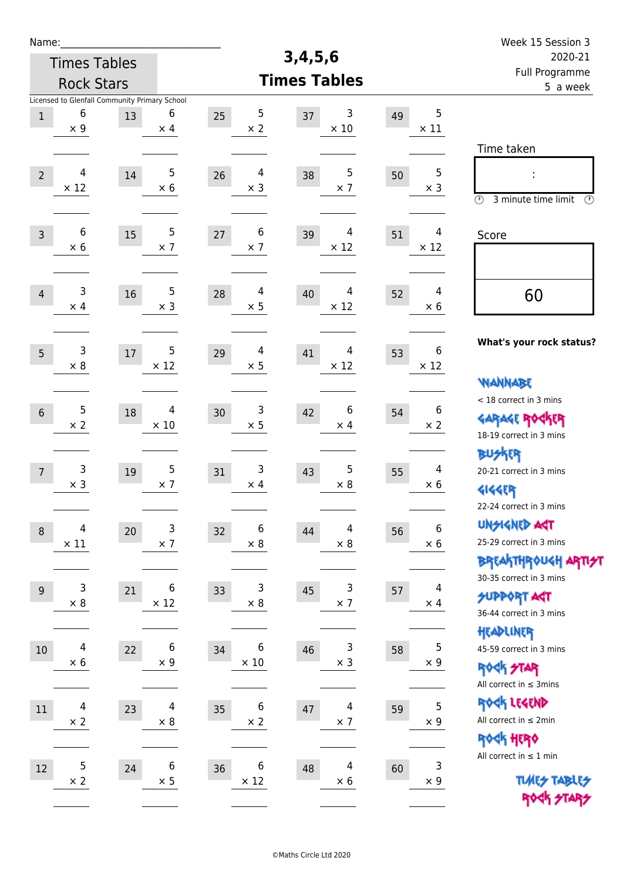| Name:                                    |                                                                  |        |                              |                                    | 3,4,5,6                                     |    |                              | Week 15 Session 3                                                                       |
|------------------------------------------|------------------------------------------------------------------|--------|------------------------------|------------------------------------|---------------------------------------------|----|------------------------------|-----------------------------------------------------------------------------------------|
| <b>Times Tables</b><br><b>Rock Stars</b> |                                                                  |        |                              |                                    | 2020-21                                     |    |                              |                                                                                         |
|                                          |                                                                  |        |                              |                                    | <b>Times Tables</b>                         |    |                              | Full Programme<br>5 a week                                                              |
| $\,1$                                    | Licensed to Glenfall Community Primary School<br>6<br>$\times$ 9 | 13     | 6<br>$\times$ 4              | $\sqrt{5}$<br>25<br>$\times 2$     | 3<br>37<br>$\times$ 10                      | 49 | 5<br>$\times$ 11             |                                                                                         |
| $\overline{2}$                           | 4<br>$\times$ 12                                                 | 14     | $\mathsf S$<br>$\times$ 6    | 4<br>26<br>$\times$ 3              | 5<br>38<br>$\times$ 7                       | 50 | $\mathbf 5$<br>$\times$ 3    | Time taken<br>İ,<br>$\circled{r}$<br>3 minute time limit<br>⊕                           |
| $\overline{3}$                           | 6<br>$\times$ 6                                                  | 15     | $\mathbf 5$<br>$\times$ 7    | 6<br>27<br>$\times$ 7              | 39<br>4<br>$\times$ 12                      | 51 | 4<br>$\times$ 12             | Score                                                                                   |
| $\overline{4}$                           | 3<br>$\times$ 4                                                  | 16     | $\mathbf 5$<br>$\times$ 3    | $\overline{4}$<br>28<br>$\times$ 5 | 4<br>40<br>$\times$ 12                      | 52 | 4<br>$\times 6$              | 60                                                                                      |
| 5                                        | 3<br>$\times 8$                                                  | $17\,$ | 5<br>$\times$ 12             | $\overline{4}$<br>29<br>$\times$ 5 | 4<br>41<br>$\times$ 12                      | 53 | 6<br>$\times$ 12             | What's your rock status?<br><b>WANNABE</b>                                              |
| $6\,$                                    | 5<br>$\times 2$                                                  | 18     | 4<br>$\times$ 10             | 3<br>30<br>$\times$ 5              | 6<br>42<br>$\times$ 4                       | 54 | 6<br>$\times 2$              | < 18 correct in 3 mins<br><b>GARAGE ROCKER</b><br>18-19 correct in 3 mins               |
| $\overline{7}$                           | 3<br>$\times$ 3                                                  | 19     | $\mathsf 5$<br>$\times$ 7    | 3<br>31<br>$\times$ 4              | 5<br>43<br>$\times$ 8                       | 55 | $\overline{4}$<br>$\times 6$ | BUSKER<br>20-21 correct in 3 mins<br><b>4144EP</b><br>22-24 correct in 3 mins           |
| $\,8\,$                                  | 4<br>$\times$ 11                                                 | 20     | 3<br>$\times$ 7              | 6<br>32<br>$\times$ 8              | $\overline{\mathbf{4}}$<br>44<br>$\times$ 8 | 56 | $\,6\,$<br>$\times$ 6        | <b>UNGIGNED AGT</b><br>25-29 correct in 3 mins<br><b>BREAKTHROUGH ARTI<del>S</del>T</b> |
| $\overline{9}$                           | 3<br>$\times$ 8                                                  | 21     | 6<br>$\times$ 12             | 3<br>33<br>$\times$ 8              | 3<br>45<br>$\times$ 7                       | 57 | 4<br>$\times$ 4              | 30-35 correct in 3 mins<br><b>SUPPORT AGT</b><br>36-44 correct in 3 mins                |
| 10                                       | 4<br>$\times$ 6                                                  | 22     | $\,6\,$<br>$\times$ 9        | 6<br>34<br>$\times$ 10             | 3<br>46<br>$\times$ 3                       | 58 | $\mathbf 5$<br>$\times$ 9    | HEADLINER<br>45-59 correct in 3 mins<br><b>ROCK STAR</b><br>All correct in $\leq$ 3mins |
| 11                                       | 4<br>$\times$ 2                                                  | 23     | $\overline{4}$<br>$\times$ 8 | 6<br>35<br>$\times$ 2              | 4<br>47<br>$\times$ 7                       | 59 | 5<br>$\times$ 9              | ROCK LEGEND<br>All correct in $\leq 2$ min<br>ROCK HERO                                 |
| $12\,$                                   | 5<br>$\times$ 2                                                  | 24     | $\,6\,$<br>$\times$ 5        | 6<br>36<br>$\times$ 12             | $\overline{4}$<br>48<br>$\times$ 6          | 60 | $\mathsf 3$<br>$\times$ 9    | All correct in $\leq 1$ min<br><b>TUARS TABLES</b><br>ROCK STARS                        |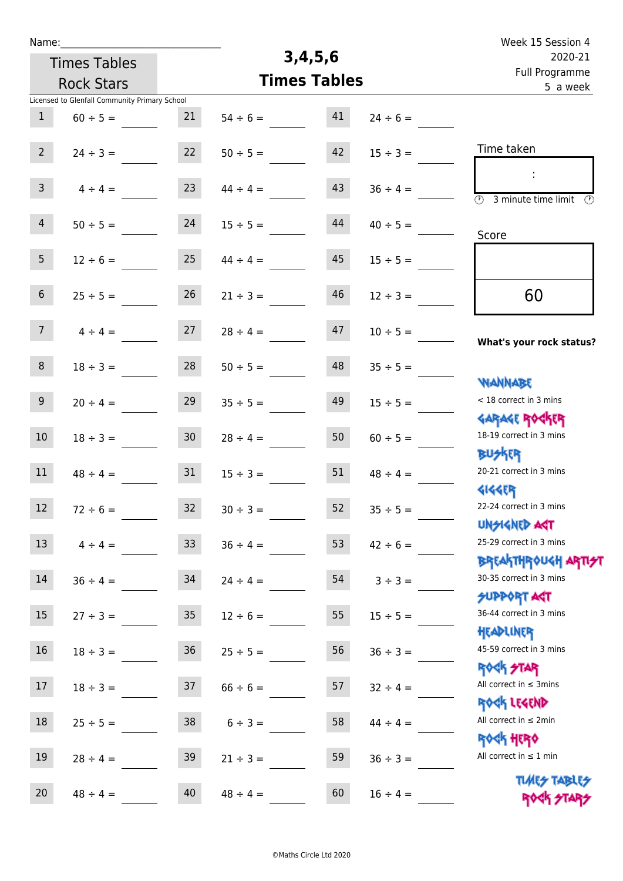| Week 15 Session 4                                                |               |                     |               |                 |                                               | Name:           |
|------------------------------------------------------------------|---------------|---------------------|---------------|-----------------|-----------------------------------------------|-----------------|
| 2020-21                                                          |               | 3,4,5,6             |               |                 | <b>Times Tables</b>                           |                 |
| Full Programme<br>5 a week                                       |               | <b>Times Tables</b> |               |                 | <b>Rock Stars</b>                             |                 |
|                                                                  |               |                     |               |                 | Licensed to Glenfall Community Primary School |                 |
|                                                                  | $24 \div 6 =$ | 41                  | $54 \div 6 =$ | 21              | $60 \div 5 =$                                 | $\mathbf{1}$    |
| Time taken                                                       | $15 \div 3 =$ | 42                  | $50 \div 5 =$ | 22              | $24 \div 3 =$                                 | $2^{\circ}$     |
| $\overline{\odot}$<br>3 minute time limit<br>$\odot$             | $36 \div 4 =$ | 43                  | $44 \div 4 =$ | 23              | $4 \div 4 =$                                  | $\mathbf{3}$    |
| Score                                                            | $40 \div 5 =$ | 44                  | $15 \div 5 =$ | 24              | $50 \div 5 =$                                 | $\overline{4}$  |
|                                                                  | $15 \div 5 =$ | 45                  | $44 \div 4 =$ | 25              | $12 \div 6 =$                                 | 5 <sub>1</sub>  |
| 60                                                               | $12 \div 3 =$ | 46                  | $21 \div 3 =$ | 26              | $25 \div 5 =$                                 | $6\overline{6}$ |
| What's your rock status?                                         | $10 \div 5 =$ | 47                  | $28 \div 4 =$ | 27              | $4 \div 4 =$                                  | 7 <sup>7</sup>  |
| <b>NANNABE</b>                                                   | $35 \div 5 =$ | 48                  | $50 \div 5 =$ | 28              | $18 \div 3 =$                                 | 8               |
| < 18 correct in 3 mins<br><b>GARAGE ROCKER</b>                   | $15 \div 5 =$ | 49                  | $35 \div 5 =$ | 29              | $20 \div 4 =$                                 | 9               |
| 18-19 correct in 3 mins<br><b>BUSKRR</b>                         | $60 \div 5 =$ | 50                  | $28 \div 4 =$ | 30 <sub>2</sub> | $18 \div 3 =$                                 | 10              |
| 20-21 correct in 3 mins<br><b>4144EP</b>                         | $48 \div 4 =$ | 51                  | $15 \div 3 =$ | 31              | $48 \div 4 =$                                 | 11              |
| 22-24 correct in 3 mins<br><b>UNSIGNED AGT</b>                   | $35 \div 5 =$ | 52                  | $30 \div 3 =$ | 32              | $72 \div 6 =$                                 | 12              |
| 25-29 correct in 3 mins<br><b>BREAKTHROUGH ARTI<del>S</del>T</b> | $42 \div 6 =$ | 53                  | $36 \div 4 =$ | 33 <sup>°</sup> | $4 \div 4 =$                                  | 13              |
| 30-35 correct in 3 mins<br><b>SUPPORT AGT</b>                    | $3 \div 3 =$  | 54                  | $24 \div 4 =$ | 34              | $36 \div 4 =$                                 | 14              |
| 36-44 correct in 3 mins<br>HEADLINER                             | $15 \div 5 =$ | 55                  | $12 \div 6 =$ | 35 <sub>1</sub> | $27 \div 3 =$                                 | 15              |
| 45-59 correct in 3 mins<br><b>ROCK STAR</b>                      | $36 \div 3 =$ | 56                  | $25 \div 5 =$ | 36              | $18 \div 3 =$                                 | 16              |
| All correct in $\leq$ 3mins<br>ROCK LEGEND                       | $32 \div 4 =$ | 57                  | $66 \div 6 =$ | 37              | $18 \div 3 =$                                 | 17              |
| All correct in $\leq 2$ min<br><b>ROCK HERO</b>                  | $44 \div 4 =$ | 58                  | $6 \div 3 =$  | 38              | $25 \div 5 =$                                 | 18              |
| All correct in $\leq 1$ min                                      | $36 \div 3 =$ | 59                  | $21 \div 3 =$ | 39              | $28 \div 4 =$                                 | 19              |
| <b>TUARS TABLES</b><br>ROCK STARS                                | $16 \div 4 =$ | 60                  | $48 \div 4 =$ | 40              | $48 \div 4 =$                                 | 20              |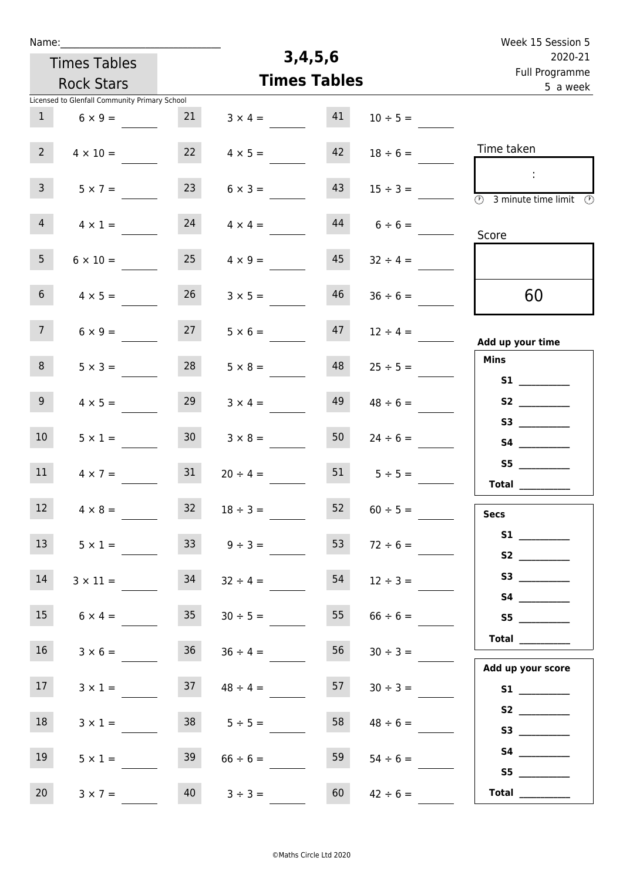| Name:                                         |                     | 3,4,5,6                   |               | Week 15 Session 5                                                                          |
|-----------------------------------------------|---------------------|---------------------------|---------------|--------------------------------------------------------------------------------------------|
| <b>Times Tables</b>                           |                     | 2020-21<br>Full Programme |               |                                                                                            |
| <b>Rock Stars</b>                             |                     | <b>Times Tables</b>       |               | 5 a week                                                                                   |
| Licensed to Glenfall Community Primary School |                     |                           |               |                                                                                            |
| 1<br>$6 \times 9 =$                           | 21                  | 41<br>$3 \times 4 =$      | $10 \div 5 =$ |                                                                                            |
| $2^{\circ}$<br>$4 \times 10 =$                | 22                  | 42<br>$4 \times 5 =$      | $18 \div 6 =$ | Time taken                                                                                 |
| 3 <sup>7</sup><br>$5 \times 7 =$              | 23                  | 43<br>$6 \times 3 =$      | $15 \div 3 =$ | $\sim 10$<br>$\overline{\textcircled{1}}$ 3 minute time limit $\overline{\textcircled{1}}$ |
| $\overline{4}$<br>$4 \times 1 =$              | 24                  | 44<br>$4 \times 4 =$      | $6 \div 6 =$  | Score                                                                                      |
| 5 <sub>1</sub><br>$6 \times 10 =$             | 25                  | 45<br>$4 \times 9 =$      | $32 \div 4 =$ |                                                                                            |
| 6 <sup>1</sup><br>$4 \times 5 =$              | 26                  | 46<br>$3 \times 5 =$      | $36 \div 6 =$ | 60                                                                                         |
| 7 <sup>7</sup><br>$6 \times 9 =$              | 27                  | $5 \times 6 =$<br>47      | $12 \div 4 =$ | Add up your time                                                                           |
| 8<br>$5 \times 3 =$                           | 28                  | 48<br>$5 \times 8 =$      | $25 \div 5 =$ | <b>Mins</b><br><b>S1 S1</b>                                                                |
| 9 <sub>o</sub><br>$4 \times 5 =$              | 29                  | 49<br>$3 \times 4 =$      | $48 \div 6 =$ | S2                                                                                         |
| 10 <sup>°</sup><br>$5 \times 1 =$             | 30 <sup>°</sup>     | 50<br>$3 \times 8 =$      | $24 \div 6 =$ | S3                                                                                         |
| 11<br>$4 \times 7 =$                          | 31                  | 51<br>$20 \div 4 =$       | $5 \div 5 =$  | Total $\qquad$                                                                             |
| 12<br>$4 \times 8 =$                          | 32<br>$18 \div 3 =$ | 52                        | $60 \div 5 =$ | <b>Secs</b>                                                                                |
| 13<br>$5 \times 1 =$                          | 33 <sup>7</sup>     | 53<br>$9 \div 3 =$        | $72 \div 6 =$ |                                                                                            |
| 14<br>$3 \times 11 =$                         | 34                  | 54<br>$32 \div 4 =$       | $12 \div 3 =$ |                                                                                            |
| 15<br>$6 \times 4 =$                          | 35                  | 55<br>$30 \div 5 =$       | $66 \div 6 =$ | S5                                                                                         |
| 16<br>$3 \times 6 =$                          | 36                  | 56<br>$36 \div 4 =$       | $30 \div 3 =$ | $\begin{tabular}{c} Total \end{tabular}$                                                   |
| 17 <sup>7</sup><br>$3 \times 1 =$             | 37                  | 57<br>$48 \div 4 =$       | $30 \div 3 =$ | Add up your score                                                                          |
| 18<br>$3 \times 1 =$                          | 38<br>$5 \div 5 =$  | 58                        | $48 \div 6 =$ | S2                                                                                         |
| 19<br>$5 \times 1 =$                          | 39                  | 59<br>$66 \div 6 =$       | $54 \div 6 =$ | S4<br>S5                                                                                   |
| 20<br>$3 \times 7 =$                          | 40<br>$3 ÷ 3 =$     | 60                        | $42 \div 6 =$ | Total $\qquad$                                                                             |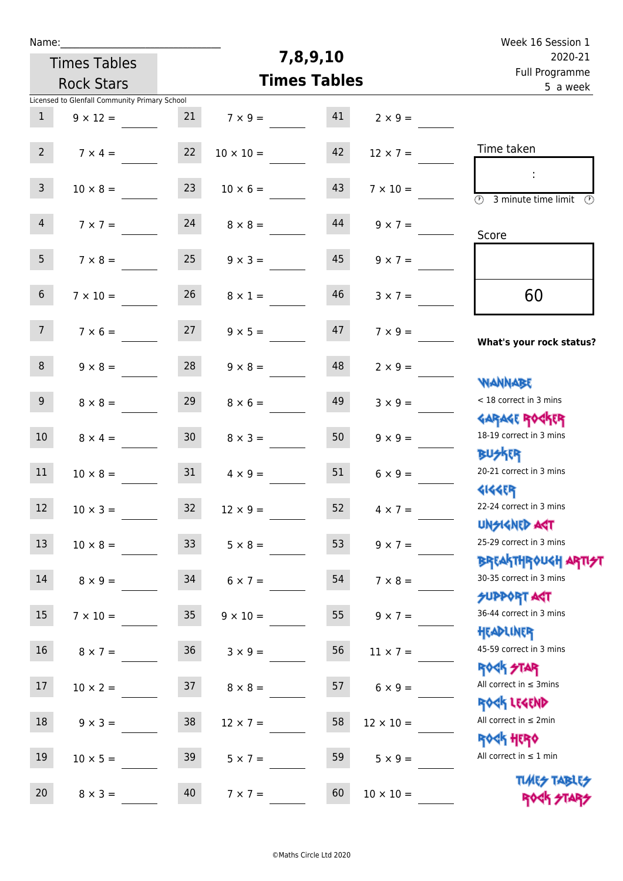| Name:           |                                               |                 |                  |                     |                  | Week 16 Session 1                                                       |
|-----------------|-----------------------------------------------|-----------------|------------------|---------------------|------------------|-------------------------------------------------------------------------|
|                 | <b>Times Tables</b>                           |                 |                  | 7,8,9,10            |                  | 2020-21                                                                 |
|                 | <b>Rock Stars</b>                             |                 |                  | <b>Times Tables</b> |                  | Full Programme<br>5 a week                                              |
|                 | Licensed to Glenfall Community Primary School |                 |                  |                     |                  |                                                                         |
| $\mathbf{1}$    | $9 \times 12 =$                               | 21              | $7 \times 9 =$   | 41                  | $2 \times 9 =$   |                                                                         |
| $2^{\circ}$     | $7 \times 4 =$                                | 22              | $10 \times 10 =$ | 42                  | $12 \times 7 =$  | Time taken                                                              |
| 3 <sup>7</sup>  | $10 \times 8 =$                               | 23              | $10 \times 6 =$  | 43                  | $7 \times 10 =$  | ÷<br>$\overline{\mathcal{O}}$<br>3 minute time limit $\circled{0}$      |
| $\overline{4}$  | $7 \times 7 =$                                | 24              | $8 \times 8 =$   | 44                  | $9 \times 7 =$   | Score                                                                   |
| 5 <sub>1</sub>  | $7 \times 8 =$                                | 25              | $9 \times 3 =$   | 45                  | $9 \times 7 =$   |                                                                         |
| 6 <sup>1</sup>  | $7 \times 10 =$                               | 26              | $8 \times 1 =$   | 46                  | $3 \times 7 =$   | 60                                                                      |
| 7 <sup>7</sup>  | $7 \times 6 =$                                | 27              | $9 \times 5 =$   | 47                  | $7 \times 9 =$   | What's your rock status?                                                |
| 8               | $9 \times 8 =$                                | 28              | $9 \times 8 =$   | 48                  | $2 \times 9 =$   | <b>NANNABE</b>                                                          |
| 9 <sub>o</sub>  | $8 \times 8 =$                                | 29              | $8 \times 6 =$   | 49                  | $3 \times 9 =$   | < 18 correct in 3 mins<br><b>GARAGE ROCKER</b>                          |
| 10 <sup>°</sup> | $8 \times 4 =$                                | 30 <sub>2</sub> | $8 \times 3 =$   | 50                  | $9 \times 9 =$   | 18-19 correct in 3 mins<br><b>BUSKRR</b>                                |
| 11              | $10 \times 8 =$                               | 31              | $4 \times 9 =$   | 51                  | $6 \times 9 =$   | 20-21 correct in 3 mins<br><b>4144EP</b>                                |
| 12              | $10 \times 3 =$                               | 32 <sub>2</sub> | $12 \times 9 =$  | 52                  | $4 \times 7 =$   | 22-24 correct in 3 mins<br><b>UNSIGNED AST</b>                          |
| 13              | $10 \times 8 =$                               | 33 <sup>°</sup> | $5 \times 8 =$   | 53                  | $9 \times 7 =$   | 25-29 correct in 3 mins<br>ΒΡ[Α THP0U <h αρ<mark="">ΤΙ<del>ク</del>]</h> |
| 14              | $8 \times 9 =$                                | 34              | $6 \times 7 =$   | 54                  | $7 \times 8 =$   | 30-35 correct in 3 mins<br><b>SUPPORT AGT</b>                           |
| 15              | $7 \times 10 =$                               | 35 <sub>1</sub> | $9 \times 10 =$  | 55                  | $9 \times 7 =$   | 36-44 correct in 3 mins<br>HEADLINER                                    |
| 16              | $8 \times 7 =$                                | 36              | $3 \times 9 =$   | 56                  | $11 \times 7 =$  | 45-59 correct in 3 mins                                                 |
| 17              | $10 \times 2 =$                               | 37              | $8 \times 8 =$   | 57                  | $6 \times 9 =$   | <b>ROCK STAR</b><br>All correct in $\leq$ 3mins                         |
| 18              | $9 \times 3 =$                                | 38              | $12 \times 7 =$  | 58                  | $12 \times 10 =$ | ROCK LEGEND<br>All correct in $\leq 2$ min                              |
| 19              | $10 \times 5 =$                               | 39              | $5 \times 7 =$   | 59                  | $5 \times 9 =$   | <b>ROCK HERO</b><br>All correct in $\leq 1$ min                         |
| 20              | $8 \times 3 =$                                | 40              | $7 \times 7 =$   | 60                  | $10 \times 10 =$ | <b>TUARS TABLES</b><br>ROCK STAP                                        |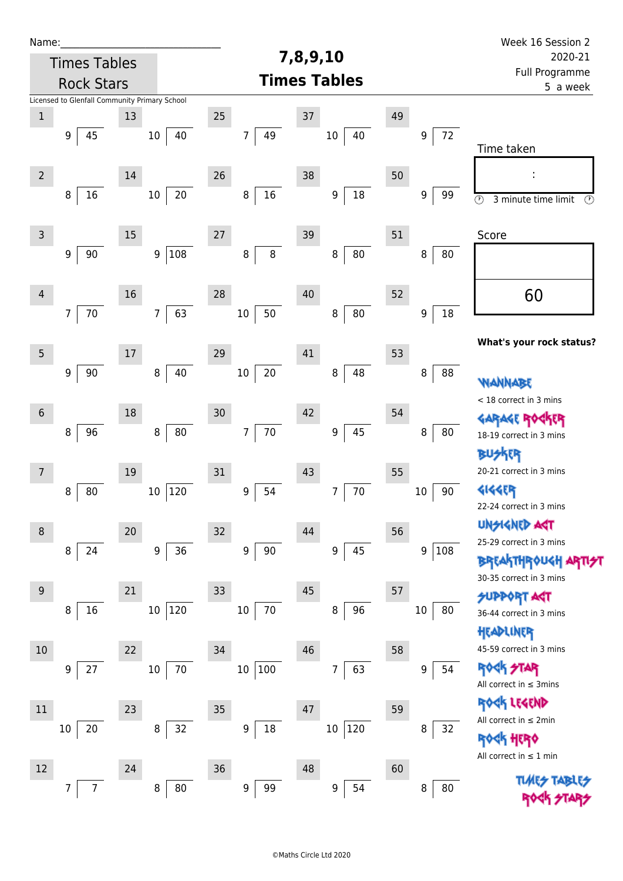| Name:           |                                               |    |                        |                        | 7,8,9,10                 |        |             | Week 16 Session 2                                                       |
|-----------------|-----------------------------------------------|----|------------------------|------------------------|--------------------------|--------|-------------|-------------------------------------------------------------------------|
|                 | <b>Times Tables</b><br><b>Rock Stars</b>      |    |                        |                        | 2020-21                  |        |             |                                                                         |
|                 |                                               |    |                        |                        | <b>Times Tables</b>      |        |             | Full Programme<br>5 a week                                              |
|                 | Licensed to Glenfall Community Primary School |    |                        |                        |                          |        |             |                                                                         |
| $\mathbf 1$     |                                               | 13 |                        | 25                     | $37\,$                   | 49     |             |                                                                         |
|                 | 45<br>9                                       |    | 40<br>$10\,$           | 49<br>7                | $10\,$<br>40             |        | 72<br>9     |                                                                         |
|                 |                                               |    |                        |                        |                          |        |             | Time taken                                                              |
| $\overline{2}$  |                                               | 14 |                        | 26                     | 38                       | 50     |             |                                                                         |
|                 | 8<br>16                                       |    | $20\,$<br>$10\,$       | $16\,$<br>$\, 8$       | $18\,$<br>9              |        | 9<br>99     | $\circledcirc$<br>3 minute time limit<br>$\circled{r}$                  |
|                 |                                               |    |                        |                        |                          |        |             |                                                                         |
| $\mathsf{3}$    |                                               | 15 |                        | 27                     | 39                       | 51     |             | Score                                                                   |
|                 | 90<br>$\boldsymbol{9}$                        |    | 108<br>9               | $\bf 8$<br>$\, 8$      | 80<br>8                  |        | 8<br>80     |                                                                         |
|                 |                                               |    |                        |                        |                          |        |             |                                                                         |
| $\overline{4}$  |                                               | 16 |                        | 28                     | 40                       | 52     |             | 60                                                                      |
|                 | 70<br>$\overline{7}$                          |    | 63<br>7                | 50<br>$10\,$           | ${\bf 80}$<br>8          |        | $18\,$<br>9 |                                                                         |
|                 |                                               |    |                        |                        |                          |        |             |                                                                         |
| $5\phantom{.0}$ |                                               | 17 |                        | 29                     | 41                       | 53     |             | What's your rock status?                                                |
|                 | $\boldsymbol{9}$<br>90                        |    | 40<br>8                | $20\,$<br>$10\,$       | 48<br>8                  |        | 8<br>88     |                                                                         |
|                 |                                               |    |                        |                        |                          |        |             | WANNABE                                                                 |
|                 |                                               |    |                        |                        |                          |        |             | < 18 correct in 3 mins                                                  |
| $6\phantom{1}$  |                                               | 18 |                        | 30                     | 42                       | 54     |             | <b>GARAGE ROG</b><br>ίR                                                 |
|                 | 96<br>8                                       |    | 80<br>8                | $70\,$<br>7            | 45<br>9                  |        | 80<br>8     | 18-19 correct in 3 mins                                                 |
|                 |                                               |    |                        |                        |                          |        |             | BUSKER                                                                  |
| $\overline{7}$  |                                               | 19 |                        | 31                     | 43                       | 55     |             | 20-21 correct in 3 mins                                                 |
|                 | 80<br>8                                       |    | 120<br>$10\,$          | 54<br>$\boldsymbol{9}$ | $70\,$<br>$\overline{7}$ | $10\,$ | 90          | <b>4144EP</b><br>22-24 correct in 3 mins                                |
|                 |                                               |    |                        |                        |                          |        |             | <b>UNGIGNED AST</b>                                                     |
| 8               |                                               | 20 |                        | 32                     | 44                       | 56     |             | 25-29 correct in 3 mins                                                 |
|                 | 24<br>8                                       |    | 36<br>$\boldsymbol{9}$ | $\boldsymbol{9}$<br>90 | 45<br>9                  |        | 9<br> 108   | <b>BREAKTHROUGH</b>                                                     |
|                 |                                               |    |                        |                        |                          |        |             | 30-35 correct in 3 mins                                                 |
| 9               |                                               | 21 |                        | 33                     | 45                       | 57     |             | <b>SUPPORT AST</b>                                                      |
|                 | 16<br>8                                       |    | 120<br>$10\,$          | 70<br>$10\,$           | 96<br>8                  | 10     | 80          | 36-44 correct in 3 mins                                                 |
|                 |                                               |    |                        |                        |                          |        |             | HEADLINER                                                               |
| 10              |                                               | 22 |                        | 34                     | 46                       | 58     |             | 45-59 correct in 3 mins                                                 |
|                 | 27<br>9                                       |    | 70<br>10               | 10<br>100              | 63<br>7                  |        | 54<br>9     | <b>ROCK STAR</b>                                                        |
|                 |                                               |    |                        |                        |                          |        |             | All correct in $\leq$ 3mins                                             |
| $11\,$          |                                               | 23 |                        | 35                     | 47                       | 59     |             | ROCK LEGEND                                                             |
|                 | $20\,$<br>10                                  |    | 32<br>8                | $18\,$<br>9            | 120<br>10                |        | 8<br>32     | All correct in $\leq 2$ min                                             |
|                 |                                               |    |                        |                        |                          |        |             | <b><h b="" her0<=""><br/>All correct in <math>\leq 1</math> min</h></b> |
| 12              |                                               | 24 |                        | 36                     | 48                       | 60     |             |                                                                         |
|                 | $\overline{7}$<br>7                           |    | 80<br>8                | $\boldsymbol{9}$<br>99 | 54<br>9                  |        | 80<br>8     | <b>TLME<del>S</del></b>                                                 |
|                 |                                               |    |                        |                        |                          |        |             |                                                                         |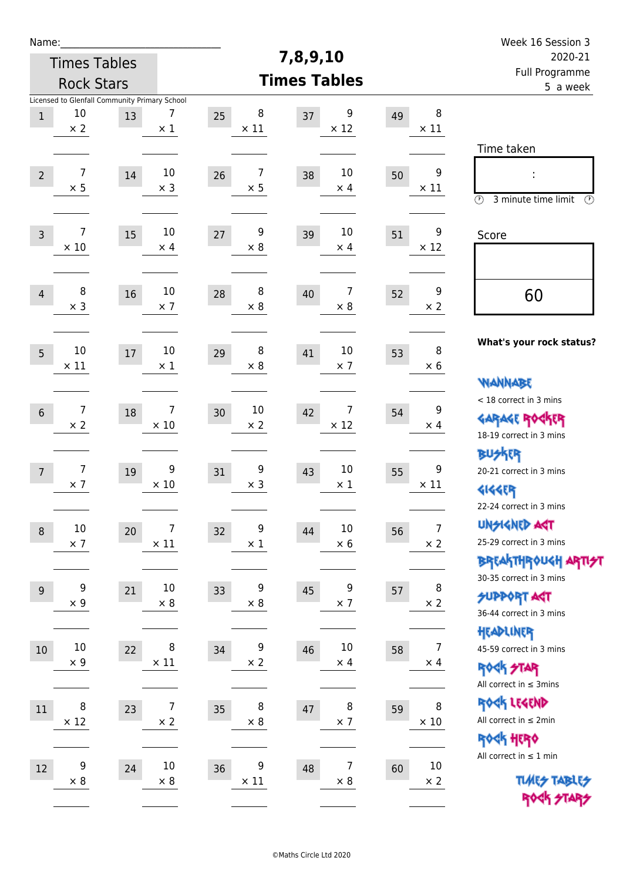| Week 16 Session 3                                                                           |                              |    |                                    |                        |                              |                                                     |                              | Name:          |
|---------------------------------------------------------------------------------------------|------------------------------|----|------------------------------------|------------------------|------------------------------|-----------------------------------------------------|------------------------------|----------------|
| 2020-21                                                                                     |                              |    | 7,8,9,10                           |                        |                              |                                                     | <b>Times Tables</b>          |                |
| Full Programme<br>5 a week                                                                  |                              |    | <b>Times Tables</b>                |                        |                              | <b>Rock Stars</b>                                   |                              |                |
|                                                                                             | 8<br>$\times$ 11             | 49 | 9<br>37<br>$\times$ 12             | 8<br>25<br>$\times$ 11 | 7<br>$\times$ 1              | Licensed to Glenfall Community Primary School<br>13 | 10<br>$\times 2$             | $\,1$          |
| Time taken<br>İ,<br>$\circled{r}$<br>3 minute time limit<br>⊕                               | 9<br>$\times$ 11             | 50 | 10<br>38<br>$\times$ 4             | 7<br>26<br>$\times$ 5  | 10<br>$\times$ 3             | 14                                                  | $\overline{7}$<br>$\times$ 5 | $\overline{2}$ |
| Score                                                                                       | 9<br>$\times$ 12             | 51 | 10<br>39<br>$\times$ 4             | 9<br>27<br>$\times 8$  | 10<br>$\times$ 4             | 15                                                  | 7<br>$\times$ 10             | $\overline{3}$ |
| 60                                                                                          | 9<br>$\times 2$              | 52 | 7<br>40<br>$\times 8$              | 8<br>28<br>$\times 8$  | 10<br>$\times$ 7             | 16                                                  | 8<br>$\times$ 3              | $\overline{4}$ |
| What's your rock status?                                                                    | 8<br>$\times 6$              | 53 | 10<br>41<br>$\times$ 7             | 8<br>29<br>$\times 8$  | 10<br>$\times$ 1             | 17                                                  | 10<br>$\times$ 11            | 5              |
| <b>WANNABE</b><br>< 18 correct in 3 mins<br><b>GARAGE ROCKER</b><br>18-19 correct in 3 mins | 9<br>$\times$ 4              | 54 | 7<br>42<br>$\times$ 12             | 10<br>30<br>$\times$ 2 | 7<br>$\times$ 10             | 18                                                  | $\overline{7}$<br>$\times 2$ | $\sqrt{6}$     |
| BUSKER<br>20-21 correct in 3 mins<br><b>4144EP</b><br>22-24 correct in 3 mins               | 9<br>$\times$ 11             | 55 | 10<br>43<br>$\times$ 1             | 9<br>31<br>$\times$ 3  | 9<br>$\times$ 10             | 19                                                  | 7<br>$\times$ 7              | $\overline{7}$ |
| <b>UNSIGNED AGT</b><br>25-29 correct in 3 mins<br><b>BREAKTHROUGH ARTI<del>S</del>T</b>     | $\overline{7}$<br>$\times$ 2 | 56 | $10\,$<br>44<br>$\times$ 6         | 9<br>32<br>$\times$ 1  | 7<br>$\times$ 11             | 20                                                  | $10\,$<br>$\times$ 7         | $\, 8$         |
| 30-35 correct in 3 mins<br><b>SUPPORT ART</b><br>36-44 correct in 3 mins                    | 8<br>$\times 2$              | 57 | 9<br>45<br>$\times$ 7              | 9<br>33<br>$\times$ 8  | 10<br>$\times$ 8             | 21                                                  | 9<br>$\times$ 9              | 9              |
| HEADLINER<br>45-59 correct in 3 mins<br><b>ROCK STAR</b><br>All correct in $\leq$ 3mins     | $\overline{7}$<br>$\times$ 4 | 58 | $10\,$<br>46<br>$\times$ 4         | 9<br>34<br>$\times$ 2  | $\, 8$<br>$\times$ 11        | 22                                                  | $10\,$<br>$\times$ 9         | $10\,$         |
| ROCK LEGEND<br>All correct in $\leq 2$ min<br><b>ROCK HERO</b>                              | 8<br>$\times$ 10             | 59 | 8<br>47<br>$\times$ 7              | 8<br>35<br>$\times$ 8  | $\overline{7}$<br>$\times$ 2 | 23                                                  | 8<br>$\times$ 12             | $11\,$         |
| All correct in $\leq 1$ min<br><b>TUARS TABLES</b><br>ROCK STARS                            | $10\,$<br>$\times$ 2         | 60 | $\overline{7}$<br>48<br>$\times$ 8 | 9<br>36<br>$\times$ 11 | $10\,$<br>$\times$ 8         | 24                                                  | 9<br>$\times$ 8              | 12             |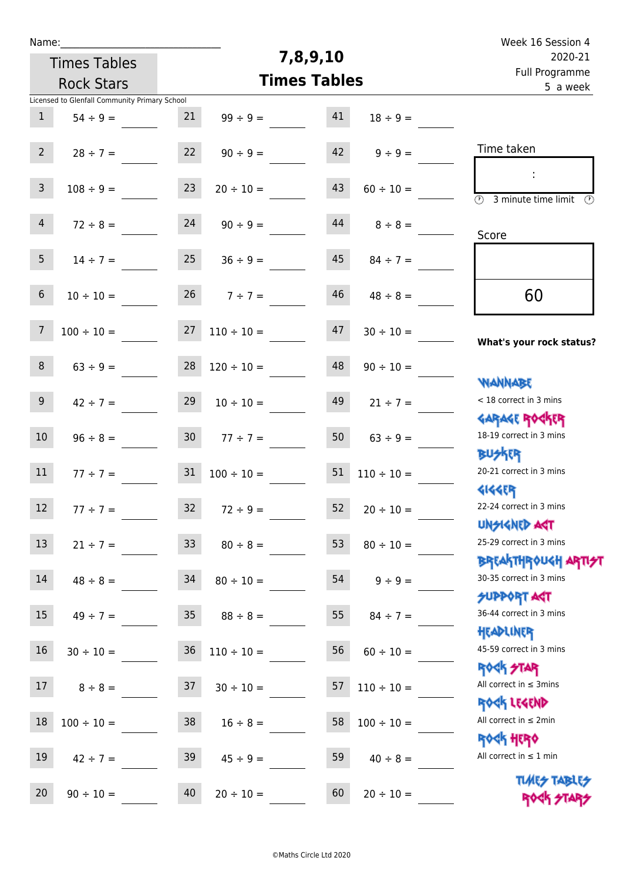| Week 16 Session 4                                                |                 |                     |                     |                     |                                               | Name:             |  |  |
|------------------------------------------------------------------|-----------------|---------------------|---------------------|---------------------|-----------------------------------------------|-------------------|--|--|
| 2020-21                                                          |                 | 7,8,9,10            |                     | <b>Times Tables</b> |                                               |                   |  |  |
| Full Programme<br>5 a week                                       |                 | <b>Times Tables</b> |                     |                     | <b>Rock Stars</b>                             |                   |  |  |
|                                                                  |                 |                     |                     |                     | Licensed to Glenfall Community Primary School |                   |  |  |
|                                                                  | $18 \div 9 =$   | 41                  | $99 \div 9 =$       | 21                  | $54 \div 9 =$                                 | $\mathbf{1}$      |  |  |
| Time taken                                                       | $9 \div 9 =$    | 42                  | $90 \div 9 =$       | 22                  | $28 \div 7 =$                                 | $2^{\circ}$       |  |  |
| $\overline{\mathcal{O}}$<br>3 minute time limit<br>$\mathcal{O}$ | $60 \div 10 =$  | 43                  | $20 \div 10 =$      | 23                  | $108 \div 9 =$                                | $\mathsf{3}$      |  |  |
| Score                                                            | $8 \div 8 =$    | 44                  | $90 \div 9 =$       | 24                  | $72 \div 8 =$                                 | $\overline{4}$    |  |  |
|                                                                  | $84 \div 7 =$   | 45                  | $36 \div 9 =$       | 25                  | $14 \div 7 =$                                 | 5                 |  |  |
| 60                                                               | $48 \div 8 =$   | 46                  | $7 ÷ 7 =$           | 26                  | $10 \div 10 =$                                | $\,6\,$           |  |  |
| What's your rock status?                                         | $30 \div 10 =$  | 47                  | $110 \div 10 =$     | 27                  | $100 \div 10 =$                               | $\overline{7}$    |  |  |
|                                                                  | $90 \div 10 =$  | 48                  | $120 \div 10 =$     | 28                  | $63 ÷ 9 =$                                    | $\,8\,$           |  |  |
| <b>JARNARY</b><br>< 18 correct in 3 mins                         | $21 \div 7 =$   | 49                  | $10 \div 10 =$      | 29                  | $42 \div 7 =$                                 | 9 <sup>°</sup>    |  |  |
| <b>GARAGE ROGKER</b><br>18-19 correct in 3 mins                  | $63 \div 9 =$   | 50                  | $77 \div 7 =$       | 30 <sub>o</sub>     | $96 \div 8 =$                                 | 10 <sup>°</sup>   |  |  |
| <b>BUSKER</b><br>20-21 correct in 3 mins                         | $110 \div 10 =$ | 51                  | $100 \div 10 =$     | 31                  | $77 \div 7 =$                                 | 11                |  |  |
| <b>4144EP</b><br>22-24 correct in 3 mins                         | $20 \div 10 =$  | 52                  | $32 \t 72 \div 9 =$ |                     | $77 \div 7 =$                                 | $12 \overline{ }$ |  |  |
| <b>UNSIGNED AST</b><br>25-29 correct in 3 mins                   | $80 \div 10 =$  | 53                  | $80 \div 8 =$       | 33 <sup>°</sup>     | $21 \div 7 =$                                 | 13                |  |  |
| ΒΡΓΑΚΤΗΡΟUGH ΑΡΤΙ <del>2</del> Τ<br>30-35 correct in 3 mins      | $9 \div 9 =$    | 54                  | $80 \div 10 =$      | 34                  | $48 \div 8 =$                                 | 14                |  |  |
| <b>SUPPORT AGT</b><br>36-44 correct in 3 mins                    | $84 \div 7 =$   | 55                  | $88 \div 8 =$       | 35 <sub>o</sub>     | $49 \div 7 =$                                 | 15                |  |  |
| HEADLINER<br>45-59 correct in 3 mins                             | $60 \div 10 =$  | 56                  | $110 \div 10 =$     | 36                  | $30 \div 10 =$                                | 16                |  |  |
| <b>ROCK STAR</b><br>All correct in $\leq$ 3mins                  | $110 \div 10 =$ | 57                  | $30 \div 10 =$      | 37                  | $8 \div 8 =$                                  | 17                |  |  |
| ROCK LEGEND<br>All correct in $\leq 2$ min                       | $100 \div 10 =$ | 58                  | $16 \div 8 =$       | 38                  | $100 \div 10 =$                               | 18                |  |  |
| <b>ROCK HERO</b><br>All correct in $\leq 1$ min                  | $40 \div 8 =$   | 59                  | $45 \div 9 =$       | 39                  | $42 \div 7 =$                                 | 19                |  |  |
| <b>TUARS TABLES</b><br>ROCK STARS                                | $20 \div 10 =$  | 60                  | $20 \div 10 =$      | 40                  | $90 \div 10 =$                                | 20                |  |  |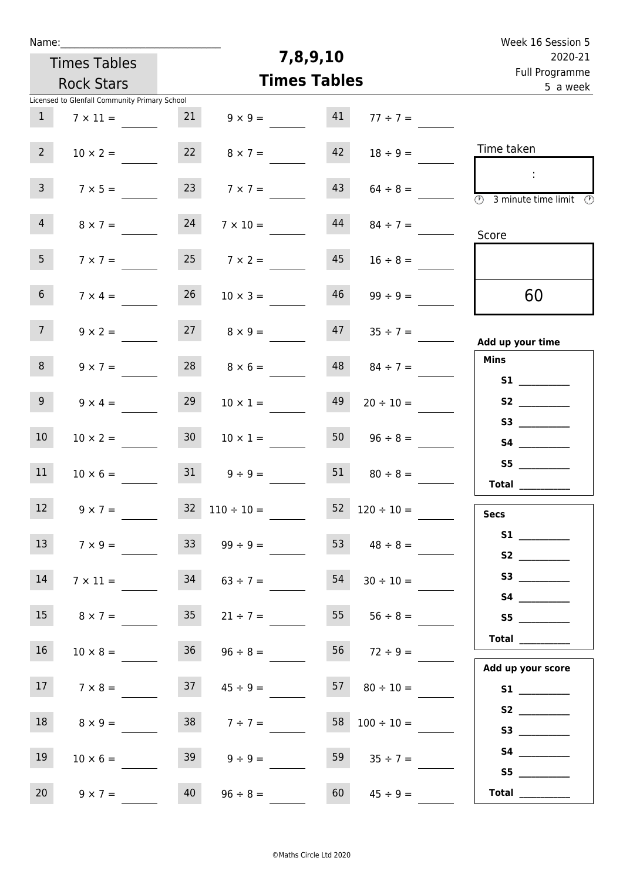| Week 16 Session 5                                                               |                      |          |                      |                 |                                               | Name:           |  |  |
|---------------------------------------------------------------------------------|----------------------|----------|----------------------|-----------------|-----------------------------------------------|-----------------|--|--|
| 2020-21                                                                         |                      | 7,8,9,10 |                      |                 | <b>Times Tables</b>                           |                 |  |  |
| Full Programme<br>5 a week                                                      |                      |          | <b>Times Tables</b>  |                 | <b>Rock Stars</b>                             |                 |  |  |
|                                                                                 |                      |          |                      |                 | Licensed to Glenfall Community Primary School |                 |  |  |
|                                                                                 | $77 \div 7 =$        | 41       | $9 \times 9 =$       | 21              | $7 \times 11 =$                               | $\mathbf{1}$    |  |  |
| Time taken                                                                      | $18 \div 9 =$        | 42       | $8 \times 7 =$       | 22              | $10 \times 2 =$                               | 2 <sup>7</sup>  |  |  |
| $\sim$ 10<br>$\overline{\textcircled{1}}$ 3 minute time limit $\textcircled{1}$ | $64 \div 8 =$        | 43       | $7 \times 7 =$       | 23              | $7 \times 5 =$                                | 3 <sup>7</sup>  |  |  |
| Score                                                                           | $84 \div 7 =$        | 44       | $7 \times 10 =$      | 24              | $8 \times 7 =$                                | $\overline{4}$  |  |  |
|                                                                                 | $16 \div 8 =$        | 45       | $7 \times 2 =$       | 25              | $7 \times 7 =$                                | 5 <sub>1</sub>  |  |  |
| 60                                                                              | $99 \div 9 =$        | 46       | $10 \times 3 =$      | 26              | $7 \times 4 =$                                | 6 <sup>1</sup>  |  |  |
| Add up your time                                                                | $47 \t35 \div 7 =$   |          | $27 \t 8 \times 9 =$ |                 | $9 \times 2 =$                                | 7 <sup>7</sup>  |  |  |
| <b>Mins</b><br><b>S1</b>                                                        | $84 \div 7 =$        | 48       | $8 \times 6 =$       | 28              | $9 \times 7 =$                                | 8               |  |  |
| S2                                                                              | $20 \div 10 =$       | 49       | $10 \times 1 =$      | 29              | $9 \times 4 =$                                | 9 <sub>o</sub>  |  |  |
|                                                                                 | $96 \div 8 =$        | 50       | $10 \times 1 =$      | 30 <sup>°</sup> | $10 \times 2 =$                               | 10 <sup>°</sup> |  |  |
| Total $\qquad$                                                                  | $80 \div 8 =$        | 51       | $9 \div 9 =$         | 31              | $10 \times 6 =$                               | 11              |  |  |
| <b>Secs</b>                                                                     | $52 \t120 \div 10 =$ |          | $32 \t110 \div 10 =$ |                 | $9 \times 7 =$                                | 12              |  |  |
|                                                                                 | 53 $48 \div 8 =$     |          | $99 \div 9 =$        | 33              | $7 \times 9 =$                                | 13 <sup>7</sup> |  |  |
| S3                                                                              | $30 \div 10 =$       | 54       | $63 \div 7 =$        | 34              | $7 \times 11 =$                               | 14              |  |  |
| S5                                                                              | $55 \t 56 \div 8 =$  |          | $21 \div 7 =$        | 35              | $8 \times 7 =$                                | 15 <sub>1</sub> |  |  |
| <b>Total</b> __________<br>Add up your score                                    | $56$ $72 \div 9 =$   |          | $96 \div 8 =$        | 36              | $10 \times 8 =$                               | 16              |  |  |
|                                                                                 | $57 \t 80 \div 10 =$ |          | $45 \div 9 =$        | 37              | $7 \times 8 =$                                | 17              |  |  |
|                                                                                 | $100 \div 10 =$      | 58       | $7 ÷ 7 =$            | 38              | $8 \times 9 =$                                | 18              |  |  |
|                                                                                 | $35 \div 7 =$        | 59       | $9 \div 9 =$         | 39              | $10 \times 6 =$                               | 19              |  |  |
| Total $\qquad$                                                                  | $45 \div 9 =$        | 60       | $96 \div 8 =$        | 40              | $9 \times 7 =$                                | 20              |  |  |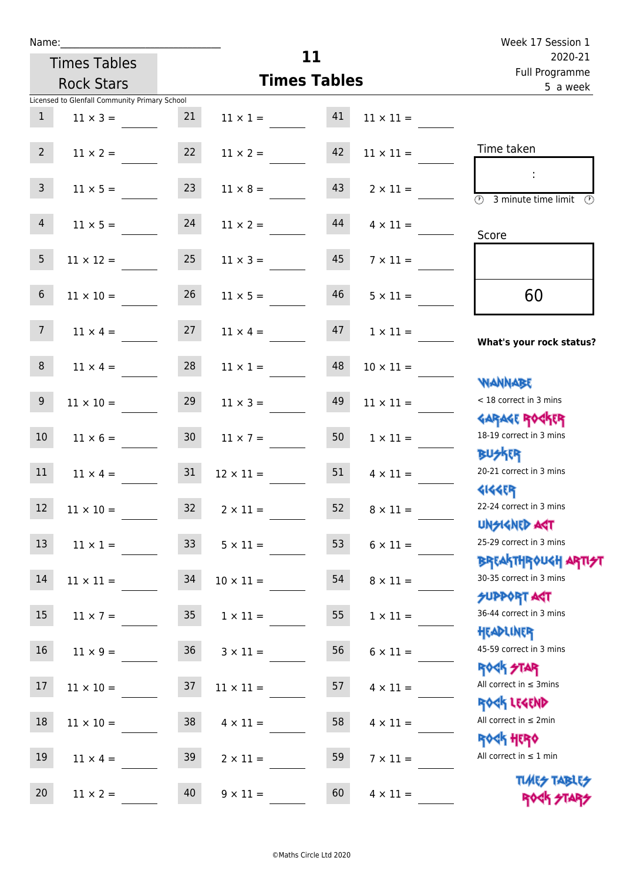| Name |  |  |
|------|--|--|
|      |  |  |
|      |  |  |

|                 | Name: ____________                            |                 |                     |    |                  | Week 17 Session 1                                                             |  |
|-----------------|-----------------------------------------------|-----------------|---------------------|----|------------------|-------------------------------------------------------------------------------|--|
|                 | <b>Times Tables</b>                           |                 |                     | 11 |                  | 2020-21                                                                       |  |
|                 | <b>Rock Stars</b>                             |                 | <b>Times Tables</b> |    |                  | Full Programme<br>5 a week                                                    |  |
|                 | Licensed to Glenfall Community Primary School |                 |                     |    |                  |                                                                               |  |
| 1               | $11 \times 3 =$                               | 21              | $11 \times 1 = 41$  |    | $11 \times 11 =$ |                                                                               |  |
| 2 <sup>7</sup>  |                                               | 22              |                     | 42 |                  | Time taken                                                                    |  |
|                 | $11 \times 2 =$                               |                 | $11 \times 2 =$     |    | $11 \times 11 =$ |                                                                               |  |
| $\mathbf{3}$    | $11 \times 5 =$                               | 23              | $11 \times 8 =$     | 43 | $2 \times 11 =$  |                                                                               |  |
|                 |                                               |                 |                     |    |                  | $\overline{\textcircled{1}}$ 3 minute time limit $\overline{\textcircled{1}}$ |  |
| $\overline{4}$  | $11 \times 5 = 24$                            |                 | $11 \times 2 =$     | 44 | $4 \times 11 =$  |                                                                               |  |
|                 |                                               |                 |                     |    |                  | Score                                                                         |  |
| 5 <sub>5</sub>  | $11 \times 12 =$                              | 25              | $11 \times 3 =$     | 45 | $7 \times 11 =$  |                                                                               |  |
|                 |                                               |                 |                     |    |                  |                                                                               |  |
| $6\phantom{.}6$ | $11 \times 10 =$                              | 26              | $11 \times 5 =$     | 46 | $5 \times 11 =$  | 60                                                                            |  |
| 7 <sup>7</sup>  | $11 \times 4 =$                               | 27              | $11 \times 4 =$     | 47 | $1 \times 11 =$  |                                                                               |  |
|                 |                                               |                 |                     |    |                  | What's your rock status?                                                      |  |
| 8               | $11 \times 4 =$                               | 28              | $11 \times 1 =$     | 48 | $10 \times 11 =$ |                                                                               |  |
|                 |                                               |                 |                     |    |                  | <b>NANNABE</b>                                                                |  |
| 9               | $11 \times 10 =$                              | 29              | $11 \times 3 =$     | 49 | $11 \times 11 =$ | < 18 correct in 3 mins                                                        |  |
|                 |                                               |                 |                     |    |                  | <b>GARAGE ROGKER</b>                                                          |  |
| 10 <sup>°</sup> | $11 \times 6 = 30$                            |                 | $11 \times 7 =$     | 50 | $1 \times 11 =$  | 18-19 correct in 3 mins                                                       |  |
|                 |                                               |                 |                     |    |                  | <b>BUSKR</b><br>20-21 correct in 3 mins                                       |  |
| 11              | $11 \times 4 =$                               | 31              | $12 \times 11 =$    | 51 | $4 \times 11 =$  | <b>4144EP</b>                                                                 |  |
| $\boxed{12}$    | $11 \times 10 =$                              | 32              | $2 \times 11 =$     | 52 | $8 \times 11 =$  | 22-24 correct in 3 mins                                                       |  |
|                 |                                               |                 |                     |    |                  | <b>UNSIGNED AGT</b>                                                           |  |
| 13              | $11 \times 1 =$                               | 33 <sup>°</sup> | $5 \times 11 =$     | 53 | $6 \times 11 =$  | 25-29 correct in 3 mins                                                       |  |
|                 |                                               |                 |                     |    |                  | <b>BREAKTHROUGH ARTI<del>S</del>T</b>                                         |  |
| 14              | $11 \times 11 =$                              | 34              | $10 \times 11 =$    | 54 | $8 \times 11 =$  | 30-35 correct in 3 mins                                                       |  |
|                 |                                               |                 |                     |    |                  | <b>SUPPORT AGT</b>                                                            |  |
| 15              | $11 \times 7 =$                               | 35              | $1 \times 11 =$     | 55 | $1 \times 11 =$  | 36-44 correct in 3 mins                                                       |  |
|                 |                                               |                 |                     |    |                  | HEADLINER<br>45-59 correct in 3 mins                                          |  |
| 16              | $11 \times 9 =$                               | 36              | $3 \times 11 =$     | 56 | $6 \times 11 =$  | <b>ROCK STAR</b>                                                              |  |
| 17              | $11 \times 10 =$                              | 37              | $11 \times 11 =$    | 57 | $4 \times 11 =$  | All correct in $\leq$ 3mins                                                   |  |
|                 |                                               |                 |                     |    |                  | ROCK LEGEND                                                                   |  |
| 18              | $11 \times 10 =$                              | 38              | $4 \times 11 =$     | 58 | $4 \times 11 =$  | All correct in $\leq 2$ min                                                   |  |
|                 |                                               |                 |                     |    |                  | <b>ROCK HERO</b>                                                              |  |
| 19              | $11 \times 4 =$                               | 39              | $2 \times 11 =$     | 59 | $7 \times 11 =$  | All correct in $\leq 1$ min                                                   |  |

**TIMES TABLES** ROCK STARS

20  $11 \times 2 =$  40  $9 \times 11 =$  60  $4 \times 11 =$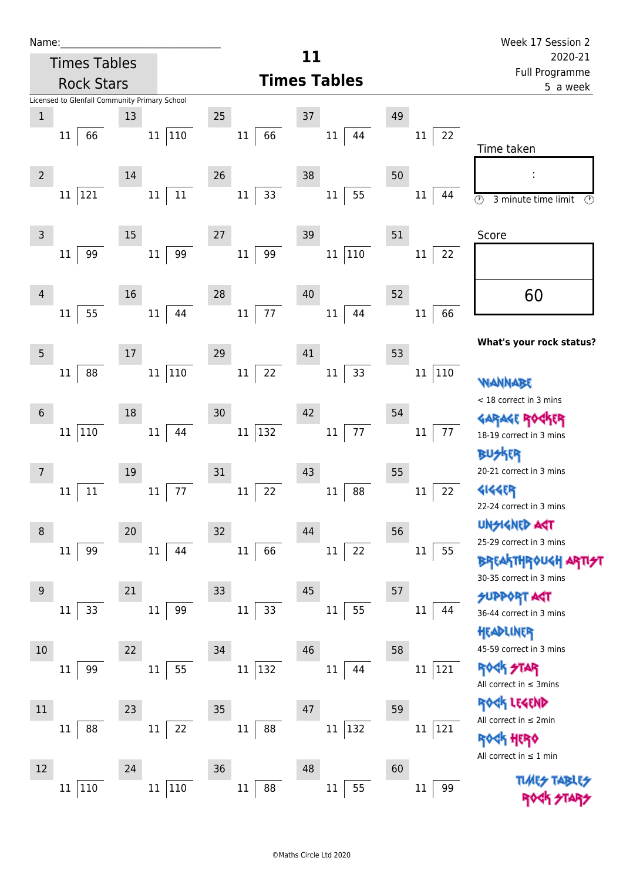| Name:                                         |                                          | Week 17 Session 2                                    |  |
|-----------------------------------------------|------------------------------------------|------------------------------------------------------|--|
| <b>Times Tables</b>                           | 11                                       | 2020-21                                              |  |
| <b>Rock Stars</b>                             | <b>Times Tables</b>                      | Full Programme<br>5 a week                           |  |
| Licensed to Glenfall Community Primary School |                                          |                                                      |  |
| $\mathbf{1}$<br>13<br>110<br>66<br>11<br>11   | 25<br>37<br>66<br>$11\,$<br>$11\,$<br>44 | 49<br>22<br>11                                       |  |
|                                               |                                          | Time taken                                           |  |
| 14<br>$\overline{2}$                          | 26<br>38                                 | 50                                                   |  |
| 11<br>121<br>11<br>11                         | 33<br>55<br>$11\,$<br>$11\,$             | 44<br>11                                             |  |
|                                               |                                          | $\odot$<br>3 minute time limit<br>$\odot$            |  |
| 15<br>3                                       | 27<br>39                                 | 51<br>Score                                          |  |
| 99<br>99<br>11<br>11                          | 11 110<br>99<br>$11\,$                   | 22<br>11                                             |  |
|                                               |                                          |                                                      |  |
| 16<br>4                                       | 28<br>40                                 | 60<br>52                                             |  |
| 55<br>44<br>$11\,$<br>11                      | 77<br>11<br>44<br>$11\,$                 | 66<br>11                                             |  |
|                                               |                                          | What's your rock status?                             |  |
| 5<br>17                                       | 29<br>41                                 | 53                                                   |  |
| 88<br>110<br>11<br>11                         | 22<br>33<br>$11\,$<br>11                 | 110<br>11<br><b>WANNABE</b>                          |  |
|                                               |                                          | < 18 correct in 3 mins                               |  |
| 18<br>$6\phantom{1}6$                         | 30<br>42                                 | 54<br>GARAGE ROGKER                                  |  |
| 110<br>11<br>44<br>11                         | 132<br>$77 \,$<br>$11\,$<br>$11\,$       | 77<br>11<br>18-19 correct in 3 mins                  |  |
|                                               |                                          | 诉                                                    |  |
| 19<br>$\overline{7}$                          | 31<br>43                                 | 20-21 correct in 3 mins<br>55                        |  |
| 77<br>11<br>11<br>$11\,$                      | 88<br>22<br>11<br>$11\,$                 | <b>4144EP</b><br>22<br>11<br>22-24 correct in 3 mins |  |
|                                               |                                          | <b>UNSIGNED ART</b>                                  |  |
| 20<br>8                                       | 32<br>44                                 | 56<br>25-29 correct in 3 mins                        |  |
| 99<br>11<br>44<br>11                          | 22<br>66<br>$11\,$<br>$11\,$             | 55<br>11<br><b>BREAKTHROUGH ARTI</b>                 |  |
| 21<br>$9\,$                                   | 33<br>45                                 | 30-35 correct in 3 mins<br>57                        |  |
| 33<br>99<br>$11\,$<br>11                      | 33<br>55<br>11<br>11                     | <b>SUPPORT AST</b><br>11<br>44                       |  |
|                                               |                                          | 36-44 correct in 3 mins<br>HEADLINER                 |  |
| 22<br>10                                      | 34<br>46                                 | 45-59 correct in 3 mins<br>58                        |  |
| 55<br>99<br>$11\,$<br>11                      | 132<br>$11\,$<br>44<br>$11\,$            | <b>ROCK STAR</b><br>121<br>$11\,$                    |  |
|                                               |                                          | All correct in $\leq$ 3mins                          |  |
| 23<br>11                                      | 35<br>47                                 | ROCK LEGEND<br>59                                    |  |
| 88<br>22<br>11<br>11                          | 11 132<br>88<br>$11\,$                   | All correct in $\leq 2$ min<br>11<br>121             |  |
|                                               |                                          | <b>ROGK HERO</b><br>All correct in $\leq 1$ min      |  |
| 12<br>24                                      | 36<br>48                                 | 60                                                   |  |
| 110<br>110<br>$11\,$<br>11                    | 55<br>88<br>$11\,$<br>11                 | <b>TLAR?</b><br>99<br>11                             |  |
|                                               |                                          |                                                      |  |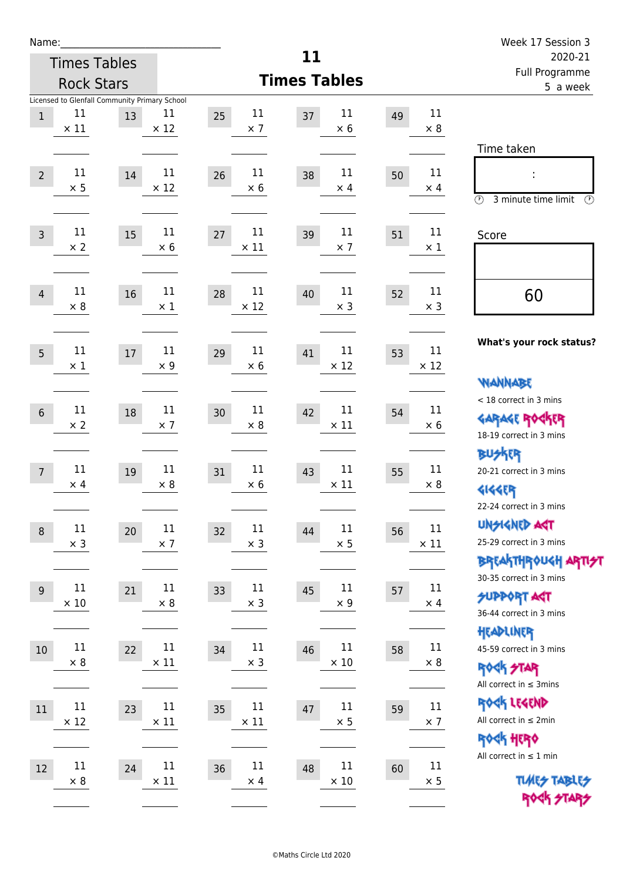| Name:           |                                                                    |        |                      |                             |                             |    |                       | Week 17 Session 3                                                                               |  |
|-----------------|--------------------------------------------------------------------|--------|----------------------|-----------------------------|-----------------------------|----|-----------------------|-------------------------------------------------------------------------------------------------|--|
|                 | <b>Times Tables</b>                                                |        |                      |                             | 11                          |    |                       | 2020-21                                                                                         |  |
|                 | <b>Rock Stars</b>                                                  |        |                      |                             | <b>Times Tables</b>         |    |                       | Full Programme<br>5 a week                                                                      |  |
| $\mathbf{1}$    | Licensed to Glenfall Community Primary School<br>11<br>$\times$ 11 | 13     | 11<br>$\times$ 12    | 11<br>25<br>$\times$ 7      | 11<br>37<br>$\times$ 6      | 49 | 11<br>$\times 8$      |                                                                                                 |  |
| $\overline{2}$  | 11<br>$\times$ 5                                                   | 14     | 11<br>$\times$ 12    | 11<br>26<br>$\times$ 6      | 11<br>38<br>$\times$ 4      | 50 | 11<br>$\times$ 4      | Time taken<br>t,<br>$\circled{r}$<br>3 minute time limit<br>⊕                                   |  |
| $\overline{3}$  | 11<br>$\times$ 2                                                   | 15     | 11<br>$\times 6$     | 11<br>27<br>$\times$ 11     | 11<br>39<br>$\times$ 7      | 51 | 11<br>$\times 1$      | Score                                                                                           |  |
| $\overline{4}$  | 11<br>$\times 8$                                                   | 16     | 11<br>$\times 1$     | 11<br>28<br>$\times$ 12     | 11<br>40<br>$\times$ 3      | 52 | 11<br>$\times$ 3      | 60                                                                                              |  |
| 5               | 11<br>$\times$ 1                                                   | 17     | 11<br>$\times$ 9     | 11<br>29<br>$\times 6$      | 11<br>41<br>$\times$ 12     | 53 | 11<br>$\times$ 12     | What's your rock status?<br><b>WANNABE</b>                                                      |  |
| $6\phantom{1}6$ | 11<br>$\times$ 2                                                   | $18\,$ | 11<br>$\times$ 7     | 11<br>30<br>$\times 8$      | 11<br>42<br>$\times$ 11     | 54 | 11<br>$\times 6$      | < 18 correct in 3 mins<br><b>GARAGE ROGKER</b><br>18-19 correct in 3 mins                       |  |
| $7\overline{ }$ | 11<br>$\times$ 4                                                   | 19     | 11<br>$\times 8$     | 11<br>31<br>$\times$ 6      | $11\,$<br>43<br>$\times$ 11 | 55 | 11<br>$\times 8$      | <b>BU外界</b><br>20-21 correct in 3 mins<br><b>4144EP</b><br>22-24 correct in 3 mins              |  |
| $\,8\,$         | $11\,$<br>$\times$ 3                                               | 20     | $11\,$<br>$\times$ 7 | $11\,$<br>32<br>$\times$ 3  | $11\,$<br>44<br>$\times$ 5  | 56 | $11\,$<br>$\times$ 11 | <b>UNGIGNED AGT</b><br>25-29 correct in 3 mins<br>ΒΡΓΑ <sup>Κ</sup> ΤΗΡΟυΚΗ ΑΡΤΙ <del>2</del> Τ |  |
| $9\,$           | 11<br>$\times$ 10                                                  | 21     | 11<br>$\times$ 8     | 11<br>33<br>$\times$ 3      | $11\,$<br>45<br>$\times$ 9  | 57 | 11<br>$\times$ 4      | 30-35 correct in 3 mins<br><b>SUPPORT AST</b><br>36-44 correct in 3 mins                        |  |
| 10              | $11\,$<br>$\times$ 8                                               | 22     | 11<br>$\times$ 11    | 11<br>34<br>$\times$ 3      | 11<br>46<br>$\times$ 10     | 58 | 11<br>$\times 8$      | HEADLINER<br>45-59 correct in 3 mins<br><b>ROCK STAR</b><br>All correct in $\leq$ 3mins         |  |
| 11              | $11\,$<br>$\times$ 12                                              | 23     | 11<br>$\times$ 11    | $11\,$<br>35<br>$\times$ 11 | 11<br>47<br>$\times$ 5      | 59 | 11<br>$\times$ 7      | ROCK LEGEND<br>All correct in $\leq 2$ min<br>ROCK HERO                                         |  |
| 12              | $11\,$<br>$\times$ 8                                               | 24     | 11<br>$\times$ 11    | 11<br>36<br>$\times$ 4      | $11\,$<br>48<br>$\times$ 10 | 60 | 11<br>$\times$ 5      | All correct in $\leq 1$ min<br><b>TUARS TABLES</b><br>ROCK STARS                                |  |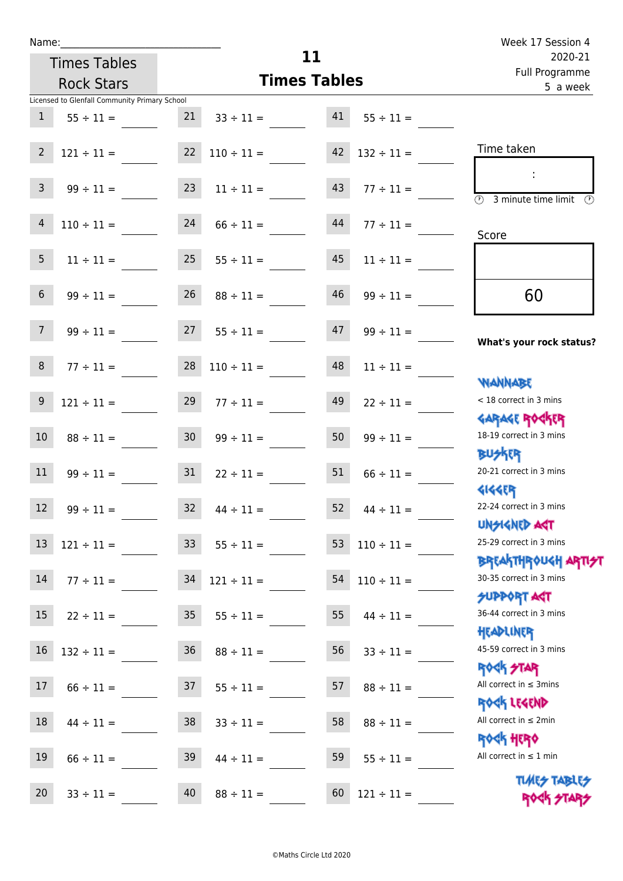| Name:                                         |                                                | Week 17 Session 4                           |
|-----------------------------------------------|------------------------------------------------|---------------------------------------------|
| <b>Times Tables</b>                           | 11                                             | 2020-21                                     |
| <b>Rock Stars</b>                             | <b>Times Tables</b>                            | Full Programme                              |
| Licensed to Glenfall Community Primary School |                                                | 5 a week                                    |
| 1<br>$55 \div 11 =$                           | 21<br>41<br>$33 \div 11 =$                     | $55 \div 11 =$                              |
| $\overline{2}$<br>$121 \div 11 =$             | 22<br>$110 \div 11 =$<br>42<br>$132 \div 11 =$ | Time taken                                  |
| 3<br>$99 \div 11 =$                           | 23<br>43<br>$11 \div 11 =$                     | $77 \div 11 =$<br>O)<br>3 minute time limit |
| 4<br>$110 \div 11 =$                          | 24<br>44<br>$66 \div 11 =$                     | $77 \div 11 =$<br>Score                     |
| 5<br>$11 \div 11 =$                           | 25<br>45<br>$55 \div 11 =$                     | $11 \div 11 =$                              |
| 6<br>$99 \div 11 =$                           | 26<br>46<br>$88 \div 11 =$                     | 60<br>$99 \div 11 =$                        |
| $99 \div 11 =$                                | 27<br>$55 \div 11 =$<br>47                     | $99 \div 11 =$<br>What's your rock status?  |
| 8<br>$77 \div 11 =$                           | 28<br>48<br>$110 \div 11 =$                    | $11 \div 11 =$<br>WANNABE                   |

Garage Rocker

18-19 correct in 3 mins

20-21 correct in 3 mins

22-24 correct in 3 mins

25-29 correct in 3 mins

30-35 correct in 3 mins

36-44 correct in 3 mins

45-59 correct in 3 mins

< 18 correct in 3 mins

UNSIGNED ACT

SUPPORT ACT

Headliner

ROCK STAR

Rock Legend

All correct in ≤ 2min

All correct in  $\leq 1$  min

All correct in ≤ 3mins

Rock Hero

**TIMES TABLES** ROCK STARS

Breakthrough artist

**BUSKER** 

**GIGGER** 

| @Maths Circle Ltd 2020 |  |
|------------------------|--|

9  $121 \div 11 =$  29  $77 \div 11 =$  49  $22 \div 11 =$ 

10  $88 \div 11 = 30$   $99 \div 11 = 50$   $99 \div 11 =$ 

11  $99 \div 11 =$  31  $22 \div 11 =$  51  $66 \div 11 =$ 

12  $99 \div 11 =$  32  $44 \div 11 =$  52  $44 \div 11 =$ 

13  $121 \div 11 =$  33  $55 \div 11 =$  53  $110 \div 11 =$ 

 $14 \quad 77 \div 11 =$   $34 \quad 121 \div 11 =$   $54 \quad 110 \div 11 =$ 

15  $22 \div 11 =$  35  $55 \div 11 =$  55  $44 \div 11 =$ 

 $16$   $132 \div 11 =$   $36$   $88 \div 11 =$   $56$   $33 \div 11 =$ 

17  $66 \div 11 =$  37  $55 \div 11 =$  57  $88 \div 11 =$ 

18  $44 \div 11 =$  38  $33 \div 11 =$  58  $88 \div 11 =$ 

19  $66 \div 11 =$  39  $44 \div 11 =$  59  $55 \div 11 =$ 

20  $33 \div 11 =$  40  $88 \div 11 =$  60  $121 \div 11 =$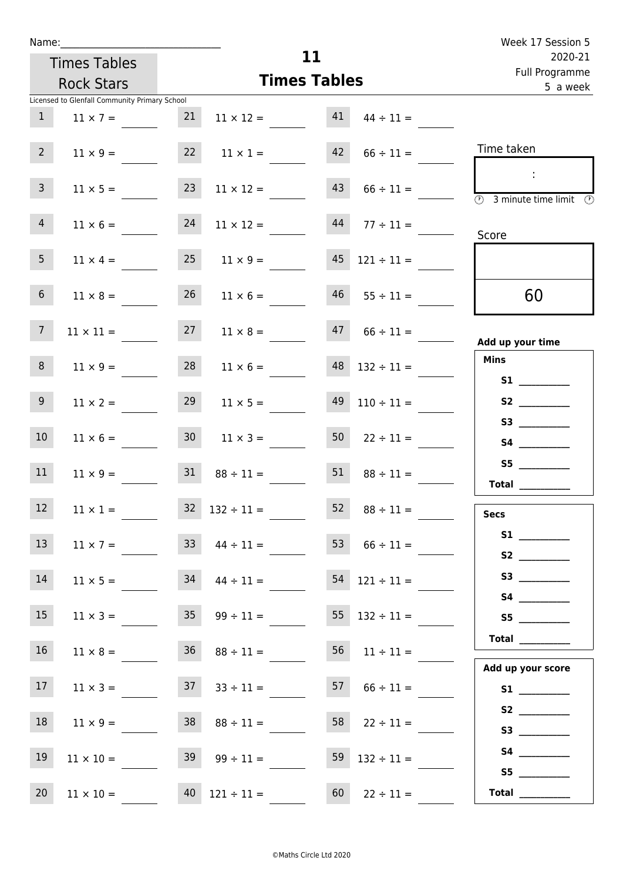| Name:           |                                               |                 |                          |                     |                          | Week 17 Session 5                                                                       |
|-----------------|-----------------------------------------------|-----------------|--------------------------|---------------------|--------------------------|-----------------------------------------------------------------------------------------|
|                 | <b>Times Tables</b>                           |                 |                          | 11                  |                          | 2020-21<br>Full Programme                                                               |
|                 | <b>Rock Stars</b>                             |                 |                          | <b>Times Tables</b> |                          | 5 a week                                                                                |
|                 | Licensed to Glenfall Community Primary School |                 |                          |                     |                          |                                                                                         |
| 1               | $11 \times 7 =$                               | 21              | $11 \times 12 =$         | 41                  | $44 \div 11 =$           |                                                                                         |
| $2^{\circ}$     | $11 \times 9 =$                               | 22              | $11 \times 1 =$          | 42                  | $66 \div 11 =$           | Time taken                                                                              |
| 3 <sup>7</sup>  | $11 \times 5 =$                               | 23              | $11 \times 12 =$         | 43                  | $66 \div 11 =$           | $\sim$<br>$\overline{\textcircled{2}}$ 3 minute time limit $\overline{\textcircled{2}}$ |
| $\overline{4}$  | $11 \times 6 =$                               | 24              | $11 \times 12 =$         | 44                  | $77 \div 11 =$           | Score                                                                                   |
| 5 <sub>1</sub>  | $11 \times 4 =$                               | 25              | $11 \times 9 =$          | 45                  | $121 \div 11 =$          |                                                                                         |
| 6 <sup>1</sup>  | $11 \times 8 =$                               | 26              | $11 \times 6 =$          | 46                  | $55 \div 11 =$           | 60                                                                                      |
| 7 <sup>7</sup>  | $11 \times 11 =$                              | 27              | $11 \times 8 =$          | 47                  | $66 \div 11 =$           | Add up your time                                                                        |
| 8               | $11 \times 9 =$                               | 28              | $11 \times 6 =$          | 48                  | $132 \div 11 =$          | <b>Mins</b><br><b>S1 S1</b>                                                             |
| 9 <sup>°</sup>  | $11 \times 2 =$                               | 29              | $11 \times 5 =$          | 49                  | $110 \div 11 =$          | S2<br>S3                                                                                |
| 10 <sup>°</sup> | $11 \times 6 =$                               | 30 <sup>°</sup> | $11 \times 3 =$          | 50                  | $22 \div 11 =$           |                                                                                         |
| 11              | $11 \times 9 =$                               | 31              | $88 \div 11 =$           | 51                  | $88 \div 11 =$           | Total $\qquad$                                                                          |
| 12              | $11 \times 1 =$                               |                 | $32 \quad 132 \div 11 =$ | 52                  | $88 \div 11 =$           | <b>Secs</b>                                                                             |
| 13              | $11 \times 7 =$                               |                 | $33 \t 44 \div 11 =$     |                     | 53 $66 \div 11 =$        |                                                                                         |
| 14              | $11 \times 5 =$                               | 34              | $44 \div 11 =$           |                     | $54$ 121 ÷ 11 =          |                                                                                         |
| 15              | $11 \times 3 =$                               | 35              | $99 \div 11 =$           |                     | $55 \quad 132 \div 11 =$ | S5<br>Total                                                                             |
| 16 <sup>1</sup> | $11 \times 8 = 36$ $88 \div 11 =$             |                 |                          |                     | $56 \t 11 \div 11 =$     | Add up your score                                                                       |
| 17              | $11 \times 3 =$                               |                 | $37$ $33 \div 11 =$      |                     | $57 \t 66 \div 11 =$     |                                                                                         |
| 18              | $11 \times 9 =$                               | 38              | $88 \div 11 =$           | 58                  | $22 \div 11 =$           |                                                                                         |
| 19              | $11 \times 10 =$                              |                 | $39 \t 99 \div 11 =$     |                     | 59 $132 \div 11 =$       | S5                                                                                      |
| 20              | $11 \times 10 =$                              |                 | $40 \quad 121 \div 11 =$ | 60                  | $22 \div 11 =$           | Total $\_\_$                                                                            |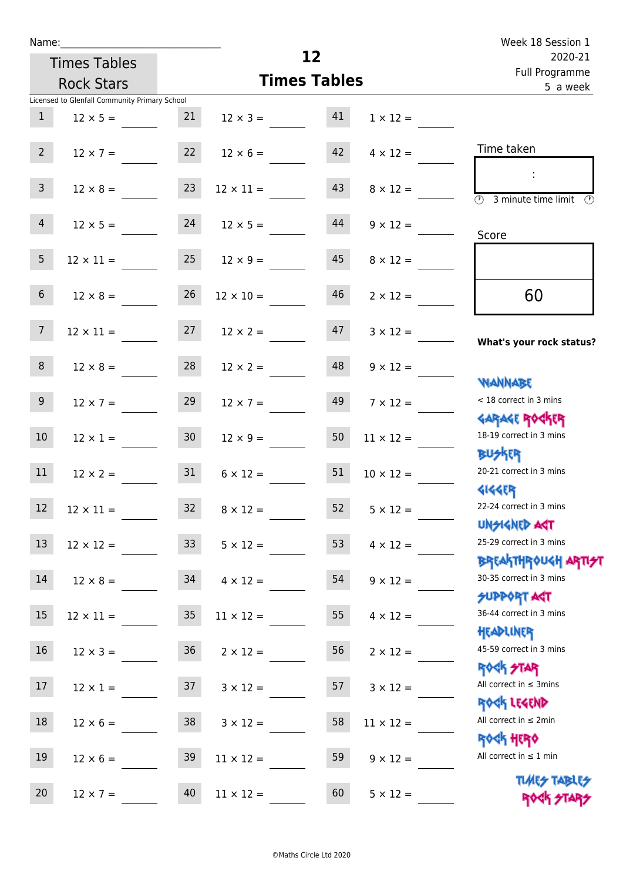| Name:                   |                                               |    |                           | 12                  |                  | Week 18 Session 1                                                |
|-------------------------|-----------------------------------------------|----|---------------------------|---------------------|------------------|------------------------------------------------------------------|
|                         | <b>Times Tables</b>                           |    | 2020-21<br>Full Programme |                     |                  |                                                                  |
|                         | <b>Rock Stars</b>                             |    |                           | <b>Times Tables</b> |                  | 5 a week                                                         |
|                         | Licensed to Glenfall Community Primary School |    |                           |                     |                  |                                                                  |
| $\mathbf{1}$            | $12 \times 5 =$                               | 21 | $12 \times 3 = 41$        |                     | $1 \times 12 =$  |                                                                  |
| $2^{\circ}$             | $12 \times 7 =$                               |    | $22 \t 12 \times 6 =$     | 42                  | $4 \times 12 =$  | Time taken                                                       |
| $\overline{\mathbf{3}}$ | $12 \times 8 =$                               | 23 | $12 \times 11 =$          | 43                  | $8 \times 12 =$  | <b>3</b> minute time limit                                       |
| 4                       | $12 \times 5 = 24$                            |    | $12 \times 5 =$           | 44                  | $9 \times 12 =$  | Score                                                            |
| 5 <sub>1</sub>          | $12 \times 11 =$                              | 25 | $12 \times 9 =$           | 45                  | $8 \times 12 =$  |                                                                  |
| 6 <sup>1</sup>          | $12 \times 8 =$                               | 26 | $12 \times 10 =$          | 46                  | $2 \times 12 =$  | 60                                                               |
| $7\overline{ }$         | $12 \times 11 =$ $27$ $12 \times 2 =$         |    |                           | 47                  | $3 \times 12 =$  | What's your rock status?                                         |
| 8                       | $12 \times 8 =$                               | 28 | $12 \times 2 =$           | 48                  | $9 \times 12 =$  | <b>NANNABE</b>                                                   |
| 9 <sub>o</sub>          | $12 \times 7 =$                               | 29 | $12 \times 7 =$           | 49                  | $7 \times 12 =$  | < 18 correct in 3 mins<br><b>GARAGE ROCKER</b>                   |
| 10 <sup>°</sup>         | $12 \times 1 = 30$                            |    | $12 \times 9 =$           | 50                  | $11 \times 12 =$ | 18-19 correct in 3 mins<br><b>BUSKR</b>                          |
| 11                      | $12 \times 2 =$                               | 31 | $6 \times 12 =$           | 51                  | $10 \times 12 =$ | 20-21 correct in 3 mins<br><b>4144EP</b>                         |
| 12                      | $12 \times 11 =$                              | 32 | $8 \times 12 =$           | 52                  | $5 \times 12 =$  | 22-24 correct in 3 mins<br><b>UNSIGNED AGT</b>                   |
| 13                      | $12 \times 12 =$                              | 33 | $5 \times 12 =$           | 53                  | $4 \times 12 =$  | 25-29 correct in 3 mins<br><b>BREAKTHROUGH ARTI<del>S</del>T</b> |
| 14                      | $12 \times 8 =$                               | 34 | $4 \times 12 =$           | 54                  | $9 \times 12 =$  | 30-35 correct in 3 mins<br><b>SUPPORT AGT</b>                    |
| 15                      | $12 \times 11 =$                              | 35 | $11 \times 12 =$          | 55                  | $4 \times 12 =$  | 36-44 correct in 3 mins<br>HEADLINER                             |
| 16                      | $12 \times 3 =$                               | 36 | $2 \times 12 =$           | 56                  | $2 \times 12 =$  | 45-59 correct in 3 mins<br>ROCK STAR                             |
| 17                      | $12 \times 1 =$                               | 37 | $3 \times 12 =$           | 57                  | $3 \times 12 =$  | All correct in $\leq$ 3mins<br>ROCK LEGEND                       |
| 18                      | $12 \times 6 =$                               | 38 | $3 \times 12 =$           | 58                  | $11 \times 12 =$ | All correct in $\leq 2$ min<br><b>ROCK HERO</b>                  |
| 19                      | $12 \times 6 =$                               | 39 | $11 \times 12 =$          | 59                  | $9 \times 12 =$  | All correct in $\leq 1$ min<br><b>TUARS TABLES</b>               |
| 20                      | $12 \times 7 =$                               | 40 | $11 \times 12 =$          | 60                  | $5 \times 12 =$  | ROCK STARS                                                       |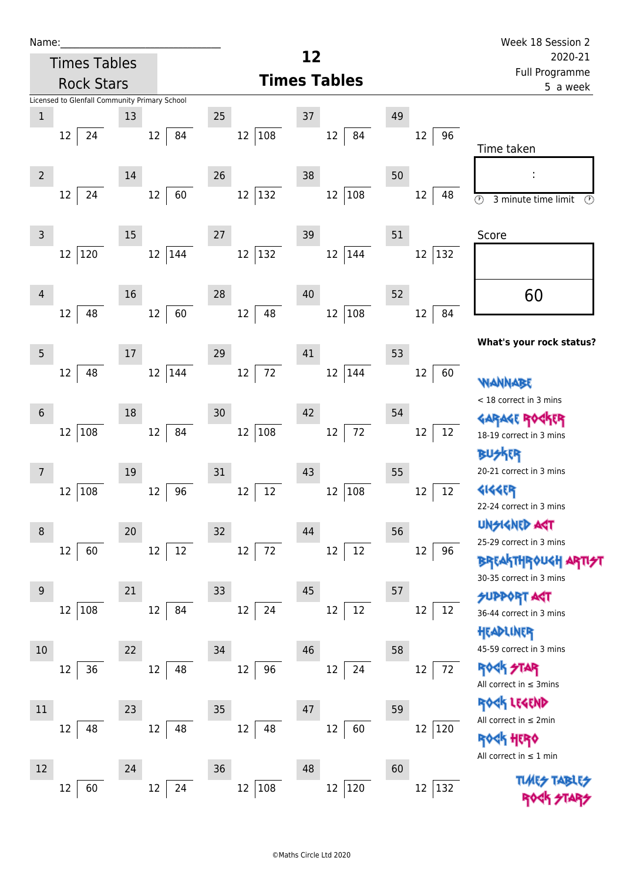| Name:_                                        |                            |                          |           | Week 18 Session 2                                   |  |  |
|-----------------------------------------------|----------------------------|--------------------------|-----------|-----------------------------------------------------|--|--|
| <b>Times Tables</b>                           |                            | 12                       |           | 2020-21                                             |  |  |
| <b>Rock Stars</b>                             |                            | <b>Times Tables</b>      |           | Full Programme<br>5 a week                          |  |  |
| Licensed to Glenfall Community Primary School |                            |                          |           |                                                     |  |  |
| $\mathbf{1}$<br>13                            | 25<br>37                   | 49                       |           |                                                     |  |  |
| 12<br>24<br>12                                | 12 108<br>84               | 12<br>84                 | 96<br>12  | Time taken                                          |  |  |
|                                               |                            |                          |           |                                                     |  |  |
| $\overline{2}$<br>14                          | 26<br>38                   | 50                       |           |                                                     |  |  |
| 12<br>24<br>12                                | 12 132<br>60               | 12 108                   | 12<br>48  | $\circledcirc$<br>3 minute time limit<br>$(\Omega)$ |  |  |
|                                               |                            |                          |           |                                                     |  |  |
| 15<br>3                                       | 27<br>39                   | 51                       |           | Score                                               |  |  |
| 120<br>$12 \overline{ }$<br>$12 \overline{ }$ | $ 132\rangle$<br>12<br>144 | 12 144                   | 132<br>12 |                                                     |  |  |
|                                               |                            |                          |           |                                                     |  |  |
| 16<br>4                                       | 28<br>40                   | 52                       |           | 60                                                  |  |  |
| 48<br>12<br>12                                | 60<br>48<br>12             | 108<br>$12 \overline{ }$ | 84<br>12  |                                                     |  |  |
|                                               |                            |                          |           | What's your rock status?                            |  |  |
| 5<br>17                                       | 29<br>41                   | 53                       |           |                                                     |  |  |
| 48<br>12 144<br>12                            | 72<br>12                   | 12 144                   | 12<br>60  | <b>WANNABE</b>                                      |  |  |
|                                               |                            |                          |           | < 18 correct in 3 mins                              |  |  |
| 18<br>$6\phantom{1}6$                         | 30<br>42                   | 54                       |           | <b>GARAGE ROGKER</b>                                |  |  |
| 12<br>108<br>12                               | $108\,$<br>12<br>84        | $72\,$<br>$12\,$         | 12<br>12  | 18-19 correct in 3 mins                             |  |  |
|                                               |                            |                          |           | <b>FR</b>                                           |  |  |
| 19<br>$\overline{7}$                          | 31<br>43                   | 55                       |           | 20-21 correct in 3 mins                             |  |  |
| 108<br>12<br>12                               | 12<br>96<br>12             | 12 108                   | 12<br>12  | <b>4144EP</b>                                       |  |  |
|                                               |                            |                          |           | 22-24 correct in 3 mins                             |  |  |
| 20<br>8                                       | 32<br>44                   | 56                       |           | <b>UNSIGNED AGT</b>                                 |  |  |
| 12<br>12<br>60                                | 72<br>12<br>$12\,$         | $12\,$<br>12             | 12<br>96  | 25-29 correct in 3 mins                             |  |  |
|                                               |                            |                          |           | <b>BREAKTHROUGH AR</b><br>30-35 correct in 3 mins   |  |  |
| 21<br>9                                       | 33<br>45                   | 57                       |           | SUPPORT AGT                                         |  |  |
| 108<br>12<br>12                               | 84<br>24<br>12             | $12\,$<br>$12\,$         | 12<br>12  | 36-44 correct in 3 mins                             |  |  |
|                                               |                            |                          |           | HEADLINER                                           |  |  |
| 10<br>22                                      | 34<br>46                   | 58                       |           | 45-59 correct in 3 mins                             |  |  |
| 12<br>36<br>12                                | 48<br>12<br>96             | 12<br>24                 | 72<br>12  | <b>ROCK STAR</b>                                    |  |  |
|                                               |                            |                          |           | All correct in $\leq$ 3mins                         |  |  |
| 23<br>11                                      | 35<br>47                   | 59                       |           | ROCK LEGEND                                         |  |  |
| 48<br>12<br>12                                | 48<br>12<br>48             | 12<br>60                 | 12<br>120 | All correct in $\leq 2$ min                         |  |  |
|                                               |                            |                          |           | 45 HER0                                             |  |  |
| 12<br>24                                      | 36<br>48                   | 60                       |           | All correct in $\leq 1$ min                         |  |  |
| 60<br>12<br>12                                | 108<br>24<br>12            | 12 120                   | 132<br>12 | <b>TUARS TABLES</b>                                 |  |  |
|                                               |                            |                          |           |                                                     |  |  |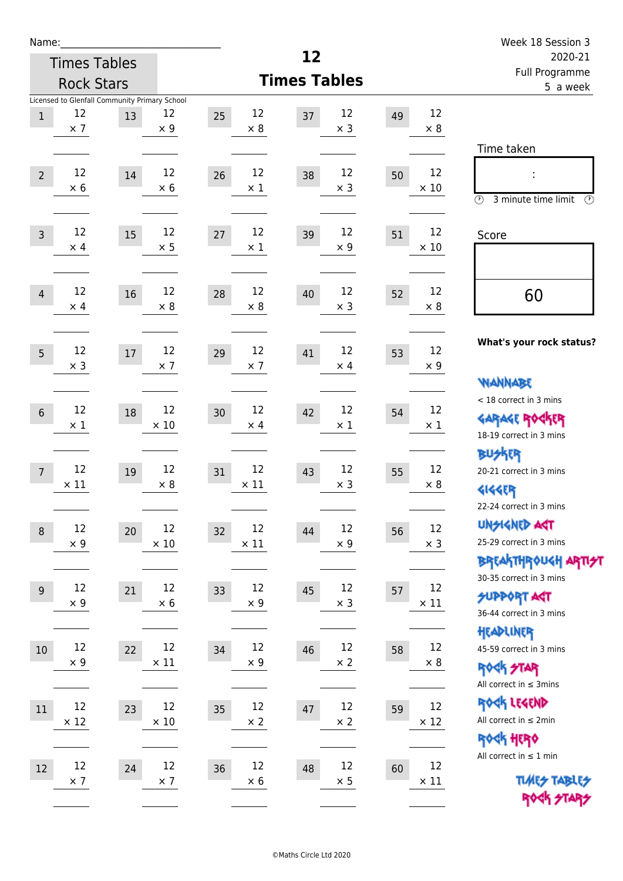| Name:                                                                      |                         |                         |                        |                         | Week 18 Session 3                                                                                                          |
|----------------------------------------------------------------------------|-------------------------|-------------------------|------------------------|-------------------------|----------------------------------------------------------------------------------------------------------------------------|
| <b>Times Tables</b>                                                        |                         |                         | 12                     |                         | 2020-21                                                                                                                    |
| <b>Rock Stars</b>                                                          |                         |                         | <b>Times Tables</b>    |                         | Full Programme<br>5 a week                                                                                                 |
| Licensed to Glenfall Community Primary School<br>12<br>$\,1$<br>$\times$ 7 | 12<br>13<br>$\times$ 9  | 12<br>25<br>$\times 8$  | 12<br>37<br>$\times$ 3 | 12<br>49<br>$\times 8$  |                                                                                                                            |
| 12<br>$\overline{2}$<br>$\times$ 6                                         | 12<br>14<br>$\times$ 6  | 12<br>26<br>$\times$ 1  | 12<br>38<br>$\times$ 3 | 12<br>50<br>$\times$ 10 | Time taken<br>t,<br>$\circled{r}$<br>3 minute time limit<br>⊕                                                              |
| 12<br>$\overline{3}$<br>$\times$ 4                                         | 12<br>15<br>$\times$ 5  | 12<br>27<br>$\times$ 1  | 12<br>39<br>$\times$ 9 | 12<br>51<br>$\times$ 10 | Score                                                                                                                      |
| 12<br>$\overline{4}$<br>$\times$ 4                                         | 12<br>16<br>$\times 8$  | 12<br>28<br>$\times 8$  | 12<br>40<br>$\times$ 3 | 12<br>52<br>$\times 8$  | 60                                                                                                                         |
| 12<br>5<br>$\times$ 3                                                      | 12<br>17<br>$\times$ 7  | 12<br>29<br>$\times$ 7  | 12<br>41<br>$\times$ 4 | 12<br>53<br>$\times$ 9  | What's your rock status?                                                                                                   |
| 12<br>$6\phantom{1}6$<br>$\times$ 1                                        | 12<br>18<br>$\times$ 10 | 12<br>30<br>$\times$ 4  | 12<br>42<br>$\times$ 1 | 12<br>54<br>$\times$ 1  | <b>WANNABE</b><br>< 18 correct in 3 mins<br><b>GARAGE ROGKER</b><br>18-19 correct in 3 mins                                |
| 12<br>$\overline{7}$<br>$\times$ 11                                        | 12<br>19<br>$\times 8$  | 12<br>31<br>$\times$ 11 | 12<br>43<br>$\times$ 3 | 12<br>55<br>$\times 8$  | <b>BUSKER</b><br>20-21 correct in 3 mins<br><b>4144EP</b>                                                                  |
| 12<br>$\,8\,$<br>$\times$ 9                                                | 12<br>20<br>$\times$ 10 | 12<br>32<br>$\times$ 11 | 12<br>44<br>$\times$ 9 | 12<br>56<br>$\times$ 3  | 22-24 correct in 3 mins<br><b>UNGIGNED AGT</b><br>25-29 correct in 3 mins<br>ΒΡΓΑ <sup>Κ</sup> ΤΗΡΟυΚΗ ΑΡΤΙ <del>2</del> Τ |
| 12<br>$9\,$<br>$\times$ 9                                                  | 12<br>21<br>$\times 6$  | 12<br>33<br>$\times$ 9  | 12<br>45<br>$\times$ 3 | 12<br>57<br>$\times$ 11 | 30-35 correct in 3 mins<br><b>SUPPORT AST</b><br>36-44 correct in 3 mins                                                   |
| 12<br>10<br>$\times$ 9                                                     | 12<br>22<br>$\times$ 11 | 12<br>34<br>$\times$ 9  | 12<br>46<br>$\times 2$ | 12<br>58<br>$\times 8$  | HEADLINER<br>45-59 correct in 3 mins<br><b>ROCK STAR</b><br>All correct in $\leq$ 3mins                                    |
| 12<br>11<br>$\times$ 12                                                    | 12<br>23<br>$\times$ 10 | 12<br>35<br>$\times$ 2  | 12<br>47<br>$\times$ 2 | 12<br>59<br>$\times$ 12 | ROCK LEGEND<br>All correct in $\leq 2$ min<br>ROCK HERO                                                                    |
| 12<br>12<br>$\times$ 7                                                     | 12<br>24<br>$\times$ 7  | 12<br>36<br>$\times 6$  | 12<br>48<br>$\times$ 5 | 12<br>60<br>$\times$ 11 | All correct in $\leq 1$ min<br><b>TUARS TABLES</b><br>ROCK STARS                                                           |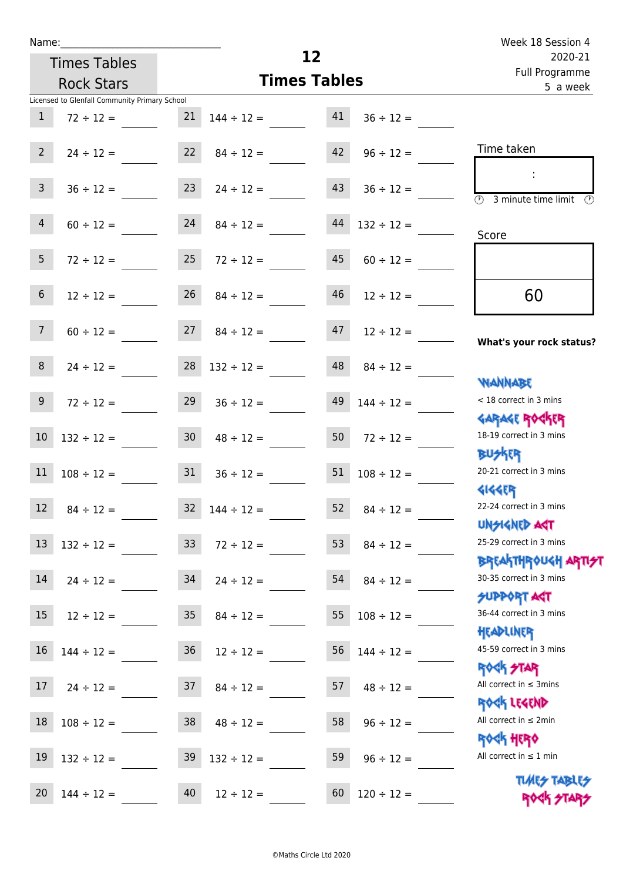| Name:                          |                                               |                 |                                  |                 |                      | Week 18 Session 4                                                |
|--------------------------------|-----------------------------------------------|-----------------|----------------------------------|-----------------|----------------------|------------------------------------------------------------------|
|                                | <b>Times Tables</b>                           |                 |                                  | 12              |                      | 2020-21<br>Full Programme                                        |
|                                | <b>Rock Stars</b>                             |                 | <b>Times Tables</b>              | 5 a week        |                      |                                                                  |
|                                | Licensed to Glenfall Community Primary School |                 |                                  |                 |                      |                                                                  |
| $\mathbf{1}$                   | $72 \div 12 =$                                | 21              | $144 \div 12 = 41$               |                 | $36 \div 12 =$       |                                                                  |
| $2^{\circ}$                    | $24 \div 12 =$                                |                 | $22 \t 84 \div 12 =$             | 42              | $96 \div 12 =$       | Time taken                                                       |
| 3 <sup>7</sup>                 | $36 \div 12 =$                                | 23              | $24 \div 12 =$                   | 43              | $36 \div 12 =$       | $\overline{\textcircled{2}}$ 3 minute time limit<br>O)           |
| 4                              | $60 \div 12 = 24$                             |                 | $84 \div 12 =$                   | 44              | $132 \div 12 =$      | Score                                                            |
| 5 <sub>1</sub>                 | $72 \div 12 =$                                | 25              | $72 \div 12 =$                   | 45              | $60 \div 12 =$       |                                                                  |
| 6 <sup>1</sup>                 | $12 \div 12 =$                                | 26              | $84 \div 12 =$                   | 46              | $12 \div 12 =$       | 60                                                               |
| $7\overline{ }$                |                                               |                 | $60 \div 12 = 27$ $84 \div 12 =$ | 47              | $12 \div 12 =$       | What's your rock status?                                         |
| 8                              | $24 \div 12 =$                                |                 | $28 \quad 132 \div 12 =$         | 48              | $84 \div 12 =$       | <b>NANNABE</b>                                                   |
| 9 <sub>o</sub>                 | $72 \div 12 =$                                | 29              | $36 \div 12 =$                   | 49              | $144 \div 12 =$      | < 18 correct in 3 mins<br><b>GARAGE ROCKER</b>                   |
| 10 <sup>°</sup>                | $132 \div 12 =$                               | 30              | $48 \div 12 =$                   | 50 <sub>1</sub> | $72 \div 12 =$       | 18-19 correct in 3 mins<br><b>BUSKER</b>                         |
| 11                             | $108 \div 12 =$                               |                 | $31 \t 36 \div 12 =$             |                 | $51 \t108 \div 12 =$ | 20-21 correct in 3 mins<br><b>4144EP</b>                         |
| <b>Contract Contract</b><br>12 | $84 \div 12 =$                                | 32              | $144 \div 12 =$                  | 52              | $84 \div 12 =$       | 22-24 correct in 3 mins<br><b>UNSIGNED AGT</b>                   |
| 13                             | $132 \div 12 =$                               | 33 <sup>°</sup> | $72 \div 12 =$                   | 53              | $84 \div 12 =$       | 25-29 correct in 3 mins                                          |
| 14                             | $24 \div 12 =$                                | 34              | $24 \div 12 =$                   | 54              | $84 \div 12 =$       | <b>BREAKTHROUGH ARTI<del>S</del>T</b><br>30-35 correct in 3 mins |
| 15                             | $12 \div 12 =$                                | 35              | $84 \div 12 =$                   | 55              | $108 \div 12 =$      | <b>SUPPORT AGT</b><br>36-44 correct in 3 mins<br>HEADLINER       |
| 16                             | $144 \div 12 =$                               | 36              | $12 \div 12 =$                   | 56              | $144 \div 12 =$      | 45-59 correct in 3 mins<br><b>ROCK STAR</b>                      |
| 17                             | $24 \div 12 =$                                | 37              | $84 \div 12 =$                   | 57              | $48 \div 12 =$       | All correct in $\leq$ 3mins<br>ROCK LEGEND                       |
| 18                             | $108 \div 12 =$                               | 38              | $48 \div 12 =$                   | 58              | $96 \div 12 =$       | All correct in $\leq 2$ min                                      |
| 19                             | $132 \div 12 =$                               | 39              | $132 \div 12 =$                  | 59              | $96 \div 12 =$       | <b>ROCK HERO</b><br>All correct in $\leq 1$ min                  |
| 20                             | $144 \div 12 =$                               | 40              | $12 \div 12 =$                   | 60              | $120 \div 12 =$      | <b>TUARS TABLES</b><br><b>ROCK STARS</b>                         |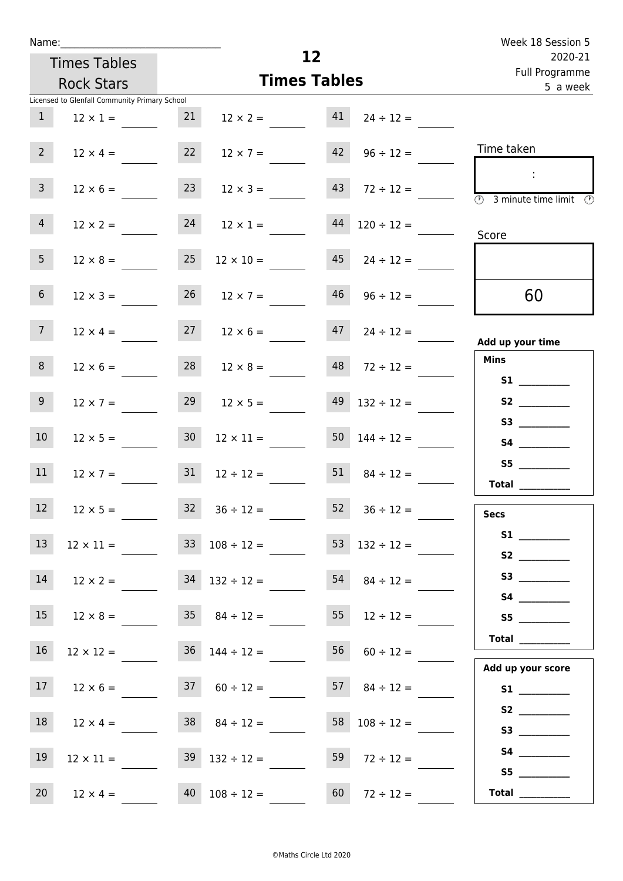| Week 18 Session 5                                                                       |                          |                           |                  |                          |                 |                                               | Name:           |
|-----------------------------------------------------------------------------------------|--------------------------|---------------------------|------------------|--------------------------|-----------------|-----------------------------------------------|-----------------|
| 2020-21                                                                                 |                          | 12<br><b>Times Tables</b> |                  |                          |                 |                                               |                 |
| Full Programme<br>5 a week                                                              |                          | <b>Times Tables</b>       |                  |                          |                 |                                               |                 |
|                                                                                         |                          |                           |                  |                          |                 | Licensed to Glenfall Community Primary School |                 |
|                                                                                         | $24 \div 12 =$           | 41                        | $12 \times 2 =$  |                          | 21              | $12 \times 1 =$                               | $\mathbf{1}$    |
| Time taken                                                                              | $96 \div 12 =$           | 42                        | $12 \times 7 =$  |                          | 22              | $12 \times 4 =$                               | $2^{\circ}$     |
| $\sim$<br>$\overline{\textcircled{2}}$ 3 minute time limit $\overline{\textcircled{2}}$ | $72 \div 12 =$           | 43                        | $12 \times 3 =$  |                          | 23              | $12 \times 6 =$                               | 3 <sup>7</sup>  |
| Score                                                                                   | $120 \div 12 =$          | 44                        | $12 \times 1 =$  |                          | 24              | $12 \times 2 =$                               | $\overline{4}$  |
|                                                                                         | $24 \div 12 =$           | 45                        |                  | $12 \times 10 =$         | 25              | $12 \times 8 =$                               | 5 <sub>1</sub>  |
| 60                                                                                      | $96 \div 12 =$           | 46                        | $12 \times 7 =$  |                          | 26              | $12 \times 3 =$                               | 6 <sup>1</sup>  |
| Add up your time                                                                        | $47 \t24 \div 12 =$      |                           |                  | $27 \t 12 \times 6 =$    |                 | $12 \times 4 =$                               | 7 <sup>7</sup>  |
| <b>Mins</b>                                                                             | $48$ $72 \div 12 =$      |                           | $12 \times 8 =$  |                          | 28              | $12 \times 6 =$                               | 8 <sup>1</sup>  |
| S2                                                                                      | $132 \div 12 =$          | 49                        | $12 \times 5 =$  |                          | 29              | $12 \times 7 =$                               | 9 <sub>o</sub>  |
|                                                                                         | $50 \quad 144 \div 12 =$ |                           | $12 \times 11 =$ |                          | 30 <sup>°</sup> | $12 \times 5 =$                               | 10 <sup>°</sup> |
| Total                                                                                   | $84 \div 12 =$           | 51                        |                  | $12 \div 12 =$           | 31              | $12 \times 7 =$                               | 11              |
| <b>Secs</b>                                                                             | $36 \div 12 =$           | 52                        |                  | $32 \t36 \div 12 =$      |                 | $12 \times 5 =$                               | 12              |
|                                                                                         | 53 $132 \div 12 =$       |                           |                  | $33 \t108 \div 12 =$     |                 | $12 \times 11 =$                              | 13              |
|                                                                                         | $54 \t 84 \div 12 =$     |                           |                  | $34$ $132 \div 12 =$     |                 | $12 \times 2 =$                               | 14              |
| S5                                                                                      | $12 \div 12 =$           | 55                        |                  | $35 \t 84 \div 12 =$     |                 | $12 \times 8 =$                               | 15              |
| Total<br>Add up your score                                                              | $56 \t 60 \div 12 =$     |                           |                  | $36 \quad 144 \div 12 =$ |                 | $12 \times 12 =$                              | 16 <sup>1</sup> |
|                                                                                         | $57 \t 84 \div 12 =$     |                           |                  | $37 \t 60 \div 12 =$     |                 | $12 \times 6 =$                               | 17 <sub>1</sub> |
|                                                                                         | $58 \quad 108 \div 12 =$ |                           |                  | $38 \t 84 \div 12 =$     |                 | $12 \times 4 =$                               | 18              |
| S5                                                                                      | $72 \div 12 =$           | 59                        |                  | $39 \quad 132 \div 12 =$ |                 | $12 \times 11 =$                              | 19              |
| Total $\_\_$                                                                            | $72 \div 12 =$           | 60                        |                  | $40$ $108 \div 12 =$     |                 | $12 \times 4 =$                               | 20              |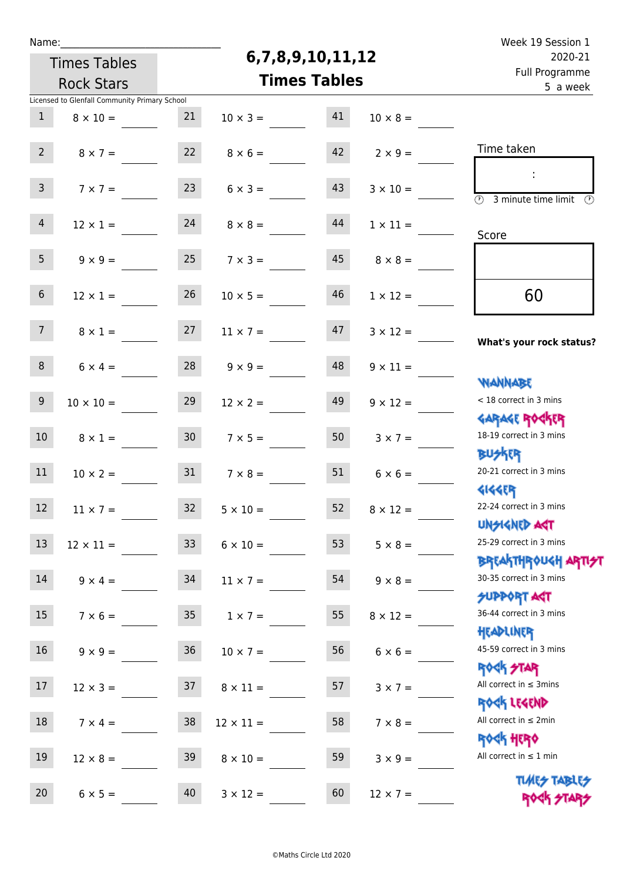| г<br>. . |  | ۰. |
|----------|--|----|
|          |  |    |

## **6,7,8,9,10,11,12**

| 2020-21                                                          |                 | 6,7,8,9,10,11,12<br><b>Times Tables</b>  |                  |                 |                                               |                 |  |  |
|------------------------------------------------------------------|-----------------|------------------------------------------|------------------|-----------------|-----------------------------------------------|-----------------|--|--|
| Full Programme<br>5 a week                                       |                 | <b>Times Tables</b><br><b>Rock Stars</b> |                  |                 |                                               |                 |  |  |
|                                                                  |                 |                                          |                  |                 | Licensed to Glenfall Community Primary School |                 |  |  |
|                                                                  | $10 \times 8 =$ | 41                                       | $10 \times 3 =$  | 21              | $8 \times 10 =$                               | $\mathbf{1}$    |  |  |
| Time taken                                                       | $2 \times 9 =$  | 42                                       | $8 \times 6 =$   | 22              | $8 \times 7 =$                                | 2 <sup>7</sup>  |  |  |
| $\overline{\mathcal{D}}$<br>3 minute time limit                  | $3 \times 10 =$ | 43                                       | $6 \times 3 =$   | 23              | $7 \times 7 =$                                | 3 <sup>7</sup>  |  |  |
| Score                                                            | $1 \times 11 =$ | 44                                       | $8 \times 8 =$   | 24              | $12 \times 1 =$                               | $\overline{4}$  |  |  |
|                                                                  | $8 \times 8 =$  | 45                                       | $7 \times 3 =$   | 25              | $9 \times 9 =$                                | 5 <sub>1</sub>  |  |  |
| 60                                                               | $1 \times 12 =$ | 46                                       | $10 \times 5 =$  | 26              | $12 \times 1 =$                               | $6\overline{6}$ |  |  |
| What's your rock status?                                         | $3 \times 12 =$ | 47                                       | $11 \times 7 =$  | 27              | $8 \times 1 =$                                | 7 <sup>7</sup>  |  |  |
| <b>NANNABE</b>                                                   | $9 \times 11 =$ | 48                                       | $9 \times 9 =$   | 28              | $6 \times 4 =$                                | 8               |  |  |
| < 18 correct in 3 mins<br><b>GARAGE ROCKER</b>                   | $9 \times 12 =$ | 49                                       | $12 \times 2 =$  | 29              | $10 \times 10 =$                              | 9 <sub>o</sub>  |  |  |
| 18-19 correct in 3 mins<br><b>BUSKER</b>                         | $3 \times 7 =$  | 50                                       | $7 \times 5 =$   | 30 <sub>o</sub> | $8 \times 1 =$                                | 10 <sup>°</sup> |  |  |
| 20-21 correct in 3 mins<br><b>4144ER</b>                         | $6 \times 6 =$  | 51                                       | $7 \times 8 =$   | 31              | $10 \times 2 =$                               | 11              |  |  |
| 22-24 correct in 3 mins<br><b>UNSIGNED AGT</b>                   | $8 \times 12 =$ | 52                                       | $5 \times 10 =$  | 32 <sup>2</sup> | $11 \times 7 =$                               | 12              |  |  |
| 25-29 correct in 3 mins<br><b>BREAKTHROUGH ARTI<del>S</del>T</b> | $5 \times 8 =$  | 53                                       | $6 \times 10 =$  | 33 <sup>°</sup> | $12 \times 11 =$                              | 13              |  |  |
| 30-35 correct in 3 mins<br><b>SUPPORT ART</b>                    | $9 \times 8 =$  | 54                                       | $11 \times 7 =$  | 34              | $9 \times 4 =$                                | 14              |  |  |
| 36-44 correct in 3 mins<br>HEADLINER                             | $8 \times 12 =$ | 55                                       | $1 \times 7 =$   | 35 <sub>1</sub> | $7 \times 6 =$                                | 15 <sub>1</sub> |  |  |
| 45-59 correct in 3 mins<br><b>ROCK STAR</b>                      | $6 \times 6 =$  | 56                                       | $10 \times 7 =$  | 36              | $9 \times 9 =$                                | 16 <sup>1</sup> |  |  |
| All correct in $\leq$ 3mins<br>ROCK LEGEND                       | $3 \times 7 =$  | 57                                       | $8 \times 11 =$  | 37              | $12 \times 3 =$                               | 17              |  |  |
| All correct in $\leq 2$ min<br><b>ROCK HERO</b>                  | $7 \times 8 =$  | 58                                       | $12 \times 11 =$ | 38              | $7 \times 4 =$                                | 18              |  |  |
| All correct in $\leq 1$ min                                      | $3 \times 9 =$  | 59                                       | $8 \times 10 =$  | 39              | $12 \times 8 =$                               | 19              |  |  |
| <b>TUARS TABLES</b><br>ROCK STARS                                | $12 \times 7 =$ | 60                                       | $3 \times 12 =$  | 40              | $6 \times 5 =$                                | 20              |  |  |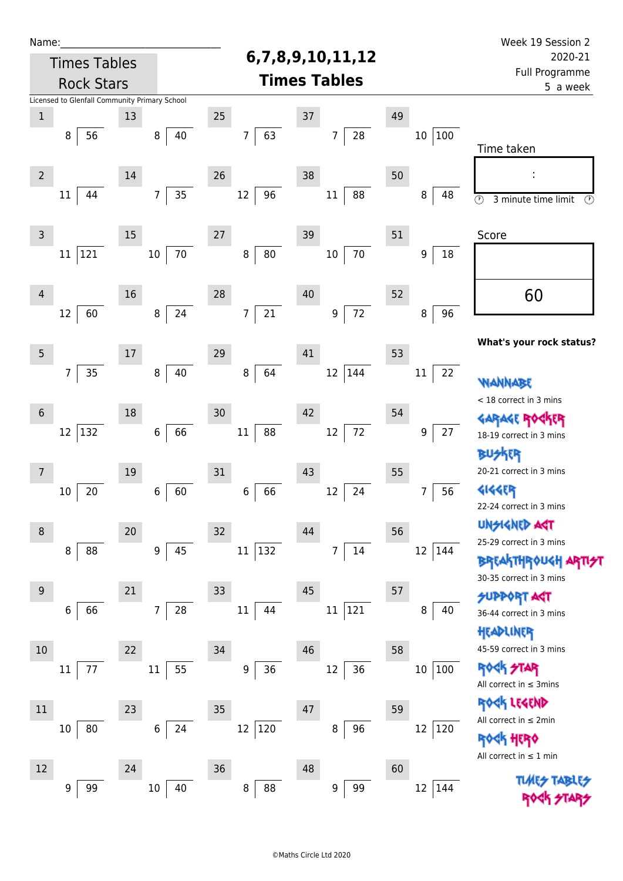| Name:                                    |                                               |    |                      |                      |                      |    |                            | Week 19 Session 2                                |
|------------------------------------------|-----------------------------------------------|----|----------------------|----------------------|----------------------|----|----------------------------|--------------------------------------------------|
| <b>Times Tables</b><br><b>Rock Stars</b> |                                               |    |                      | 6,7,8,9,10,11,12     | 2020-21              |    |                            |                                                  |
|                                          |                                               |    |                      |                      | <b>Times Tables</b>  |    | Full Programme<br>5 a week |                                                  |
|                                          | Licensed to Glenfall Community Primary School |    |                      |                      |                      |    |                            |                                                  |
| $\mathbf 1$                              |                                               | 13 |                      | 25                   | 37                   | 49 |                            |                                                  |
|                                          | 8<br>56                                       |    | 40<br>8              | 63<br>$\overline{7}$ | 28<br>7              |    | 10 100                     |                                                  |
|                                          |                                               |    |                      |                      |                      |    |                            | Time taken                                       |
| $\overline{2}$                           |                                               | 14 |                      | 26                   | 38                   | 50 |                            | $\blacksquare$                                   |
|                                          | 44<br>11                                      |    | 35<br>7              | 96<br>12             | 88<br>$11\,$         |    | 48<br>8                    | $\circledcirc$<br>$\odot$<br>3 minute time limit |
|                                          |                                               |    |                      |                      |                      |    |                            |                                                  |
| $\mathsf 3$                              |                                               | 15 |                      | 27                   | 39                   | 51 |                            | Score                                            |
|                                          | 121<br>11                                     |    | 70<br>10             | 80<br>8              | 70<br>$10\,$         |    | 18<br>9                    |                                                  |
|                                          |                                               |    |                      |                      |                      |    |                            |                                                  |
| $\overline{4}$                           |                                               | 16 |                      | 28                   | 40                   | 52 |                            | 60                                               |
|                                          | 12<br>60                                      |    | 24<br>8              | 21<br>$\overline{7}$ | $72\,$<br>9          |    | 96<br>8                    |                                                  |
|                                          |                                               |    |                      |                      |                      |    |                            | What's your rock status?                         |
| $\overline{5}$                           |                                               | 17 |                      | 29                   | 41                   | 53 |                            |                                                  |
|                                          | 35<br>7                                       |    | $\,8\,$<br>40        | 64<br>8              | 144<br>12            |    | 22<br>11                   |                                                  |
|                                          |                                               |    |                      |                      |                      |    |                            | WANNABE<br>< 18 correct in 3 mins                |
| $6\,$                                    |                                               | 18 |                      | 30                   | 42                   | 54 |                            | <b>GARAGE ROGKER</b>                             |
|                                          | 12<br>132                                     |    | 66<br>6              | 88<br>11             | $72\,$<br>12         |    | 27<br>9                    | 18-19 correct in 3 mins                          |
|                                          |                                               |    |                      |                      |                      |    |                            | kER                                              |
| 7                                        |                                               | 19 |                      | 31                   | 43                   | 55 |                            | 20-21 correct in 3 mins                          |
|                                          | 20<br>10                                      |    | 60<br>6              | 66<br>$\,$ 6 $\,$    | 24<br>12             |    | 56<br>7                    | <b>4144EP</b>                                    |
|                                          |                                               |    |                      |                      |                      |    |                            | 22-24 correct in 3 mins                          |
| 8                                        |                                               | 20 |                      | 32                   | 44                   | 56 |                            | <b>UNSIGNED AGT</b>                              |
|                                          | 88<br>8                                       |    | 45<br>$9\,$          | 132<br>11            | 14<br>$\overline{7}$ |    | $12\,$<br> 144             | 25-29 correct in 3 mins                          |
|                                          |                                               |    |                      |                      |                      |    |                            | <b>BREAKTHROUGH ART</b>                          |
| $9\,$                                    |                                               | 21 |                      | 33                   | 45                   | 57 |                            | 30-35 correct in 3 mins<br><b>SUPPORT ART</b>    |
|                                          | 66<br>6                                       |    | 28<br>$\overline{7}$ | 11<br>44             | 121<br>$11\,$        |    | 8<br>40                    | 36-44 correct in 3 mins                          |
|                                          |                                               |    |                      |                      |                      |    |                            | HEADLINER                                        |
| 10                                       |                                               | 22 |                      | 34                   | 46                   | 58 |                            | 45-59 correct in 3 mins                          |
|                                          | 77<br>11                                      |    | 55<br>$11\,$         | 36<br>9              | 36<br>12             |    | 100<br>$10\,$              | <b>ROCK STAR</b>                                 |
|                                          |                                               |    |                      |                      |                      |    |                            | All correct in $\leq$ 3mins                      |
| 11                                       |                                               | 23 |                      | 35                   | 47                   | 59 |                            | ROCK LEGEND                                      |
|                                          | 80<br>10                                      |    | 24<br>6              | 12 120               | 96<br>8              |    | $12\,$<br> 120             | All correct in $\leq 2$ min                      |
|                                          |                                               |    |                      |                      |                      |    |                            | <b>ROGK HERO</b>                                 |
| 12                                       |                                               | 24 |                      | 36                   | 48                   | 60 |                            | All correct in $\leq 1$ min                      |
|                                          | 99<br>9                                       |    | $10\,$<br>40         | 88<br>8              | 99<br>9              |    | 12 144                     |                                                  |
|                                          |                                               |    |                      |                      |                      |    |                            |                                                  |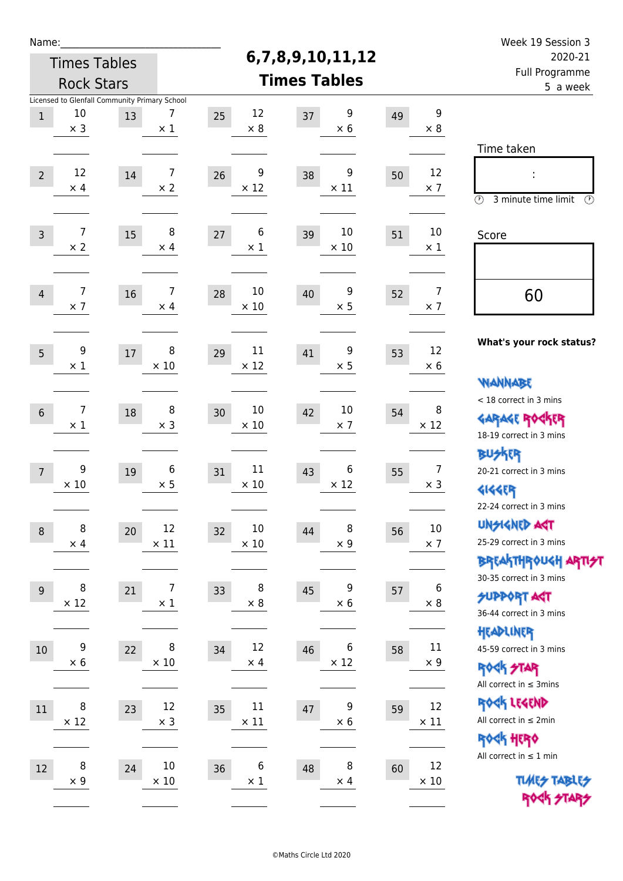| Name:          |                                                                   |        |                              |    |                       |                     |                                       |    |                              | Week 19 Session 3                                                                       |
|----------------|-------------------------------------------------------------------|--------|------------------------------|----|-----------------------|---------------------|---------------------------------------|----|------------------------------|-----------------------------------------------------------------------------------------|
|                | <b>Times Tables</b>                                               |        |                              |    |                       | 6,7,8,9,10,11,12    | 2020-21<br>Full Programme<br>5 a week |    |                              |                                                                                         |
|                | <b>Rock Stars</b>                                                 |        |                              |    |                       | <b>Times Tables</b> |                                       |    |                              |                                                                                         |
| $\,1$          | Licensed to Glenfall Community Primary School<br>10<br>$\times$ 3 | 13     | 7<br>$\times$ 1              | 25 | 12<br>$\times$ 8      | 37                  | 9<br>$\times 6$                       | 49 | 9<br>$\times$ 8              |                                                                                         |
| $\overline{2}$ | 12<br>$\times$ 4                                                  | 14     | $\overline{7}$<br>$\times 2$ | 26 | 9<br>$\times$ 12      | 38                  | 9<br>$\times$ 11                      | 50 | 12<br>$\times$ 7             | Time taken<br>İ,<br>$\circled{r}$<br>3 minute time limit<br>⊕                           |
| $\mathsf{3}$   | 7<br>$\times$ 2                                                   | 15     | 8<br>$\times$ 4              | 27 | 6<br>$\times$ 1       | 39                  | 10<br>$\times$ 10                     | 51 | 10<br>$\times$ 1             | Score                                                                                   |
| $\overline{4}$ | 7<br>$\times$ 7                                                   | 16     | 7<br>$\times$ 4              | 28 | 10<br>$\times$ 10     | 40                  | 9<br>$\times$ 5                       | 52 | $\overline{7}$<br>$\times$ 7 | 60                                                                                      |
| 5              | 9<br>$\times 1$                                                   | $17\,$ | 8<br>$\times$ 10             | 29 | 11<br>$\times$ 12     | 41                  | 9<br>$\times$ 5                       | 53 | 12<br>$\times 6$             | What's your rock status?<br><b>WANNABE</b>                                              |
| $6\,$          | 7<br>$\times$ 1                                                   | 18     | 8<br>$\times$ 3              | 30 | 10<br>$\times$ 10     | 42                  | 10<br>$\times$ 7                      | 54 | 8<br>$\times$ 12             | < 18 correct in 3 mins<br><b>GARAGE ROCKER</b><br>18-19 correct in 3 mins               |
| $\overline{7}$ | 9<br>$\times 10$                                                  | 19     | 6<br>$\times$ 5              | 31 | 11<br>$\times 10$     | 43                  | 6<br>$\times$ 12                      | 55 | $\overline{7}$<br>$\times$ 3 | BUSKER<br>20-21 correct in 3 mins<br><b>4144EP</b><br>22-24 correct in 3 mins           |
| $\,8\,$        | 8<br>$\times$ 4                                                   | 20     | 12<br>$\times$ 11            | 32 | $10\,$<br>$\times$ 10 | 44                  | 8<br>$\times$ 9                       | 56 | $10\,$<br>$\times$ 7         | <b>UNGIGNED AGT</b><br>25-29 correct in 3 mins<br><b>BREAKTHROUGH ARTI<del>S</del>T</b> |
| 9              | 8<br>$\times$ 12                                                  | 21     | 7<br>$\times$ 1              | 33 | 8<br>$\times$ 8       | 45                  | 9<br>$\times$ 6                       | 57 | 6<br>$\times$ 8              | 30-35 correct in 3 mins<br><b>SUPPORT AGT</b><br>36-44 correct in 3 mins                |
| $10$           | 9<br>$\times 6$                                                   | 22     | 8<br>$\times$ 10             | 34 | 12<br>$\times$ 4      | 46                  | 6<br>$\times$ 12                      | 58 | 11<br>$\times$ 9             | HEADLINER<br>45-59 correct in 3 mins<br><b>ROCK STAR</b><br>All correct in $\leq$ 3mins |
| $11\,$         | 8<br>$\times$ 12                                                  | 23     | 12<br>$\times$ 3             | 35 | 11<br>$\times$ 11     | 47                  | 9<br>$\times$ 6                       | 59 | 12<br>$\times$ 11            | ROCK LEGEND<br>All correct in $\leq 2$ min<br>ROCK HERO                                 |
| $12\,$         | 8<br>$\times$ 9                                                   | 24     | $10\,$<br>$\times$ 10        | 36 | 6<br>$\times$ 1       | 48                  | 8<br>$\times$ 4                       | 60 | 12<br>$\times$ 10            | All correct in $\leq 1$ min<br><b>TUARS TABLES</b><br>ROCK STARS                        |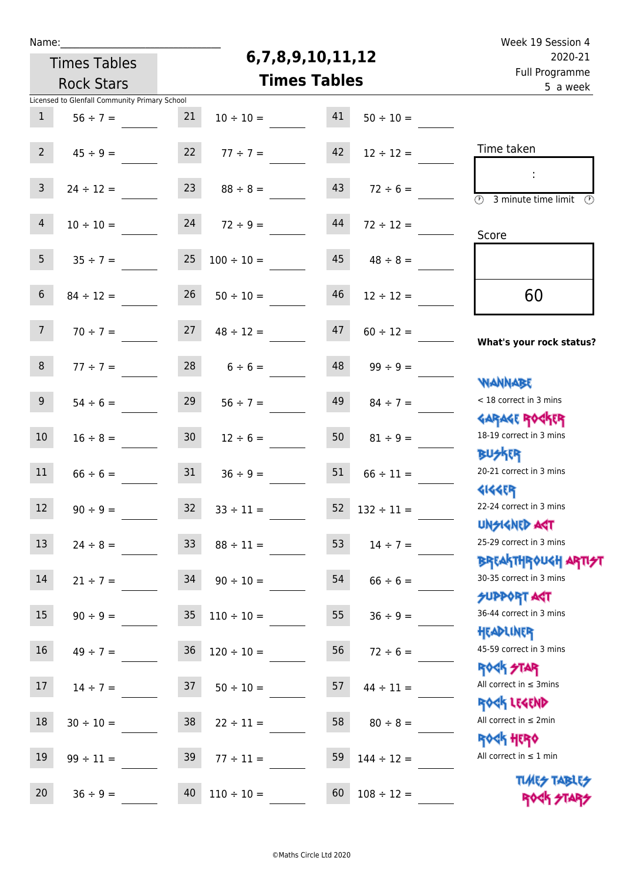|  | Name |  |
|--|------|--|
|  |      |  |
|  |      |  |

## **6,7,8,9,10,11,12**

| 2020-21<br>Full Programme                                          | 6,7,8,9,10,11,12 |    |                     | <b>Times Tables</b> |                                               |                  |
|--------------------------------------------------------------------|------------------|----|---------------------|---------------------|-----------------------------------------------|------------------|
| 5 a week                                                           |                  |    | <b>Times Tables</b> |                     | <b>Rock Stars</b>                             |                  |
|                                                                    |                  |    |                     |                     | Licensed to Glenfall Community Primary School |                  |
|                                                                    | $50 \div 10 =$   | 41 | $10 \div 10 =$      | 21                  | $56 \div 7 =$                                 | 1                |
|                                                                    |                  |    |                     |                     |                                               |                  |
| Time taken                                                         | $12 \div 12 =$   | 42 | $77 \div 7 =$       | 22                  | $45 \div 9 =$                                 | 2 <sup>7</sup>   |
|                                                                    | $72 \div 6 =$    | 43 | $88 \div 8 =$       | 23                  | $24 \div 12 =$                                | $\mathbf{3}$     |
| $\overline{(\mathcal{V})}$<br>3 minute time limit<br>$\mathcal{O}$ |                  |    |                     |                     |                                               |                  |
|                                                                    | $72 \div 12 =$   | 44 | $24 \t 72 \div 9 =$ |                     | $10 \div 10 =$                                | $\overline{4}$   |
| Score                                                              |                  |    |                     |                     |                                               |                  |
|                                                                    | $48 \div 8 =$    | 45 | $100 \div 10 =$     | 25                  | $35 \div 7 =$                                 | 5 <sub>1</sub>   |
|                                                                    |                  |    |                     |                     |                                               | $6\overline{6}$  |
| 60                                                                 | $12 \div 12 =$   | 46 | $50 \div 10 =$      | 26                  | $84 \div 12 =$                                |                  |
|                                                                    | $60 \div 12 =$   | 47 | $48 \div 12 =$      | 27                  | $70 \div 7 =$                                 | 7 <sup>7</sup>   |
| What's your rock status?                                           |                  |    |                     |                     |                                               |                  |
|                                                                    | $99 \div 9 =$    | 48 | $6 \div 6 =$        | 28                  | $77 \div 7 =$                                 | 8 <sup>1</sup>   |
| <b>NANNABE</b>                                                     |                  |    |                     |                     |                                               |                  |
| < 18 correct in 3 mins                                             | $84 \div 7 =$    | 49 | $56 \div 7 =$       | 29                  | $54 \div 6 =$                                 | 9 <sub>o</sub>   |
| <b>GARAGE ROGKER</b><br>18-19 correct in 3 mins                    | $81 \div 9 =$    | 50 | $12 \div 6 =$       | 30 <sub>o</sub>     | $16 \div 8 =$                                 | 10 <sup>°</sup>  |
| <b>BUSKER</b>                                                      |                  |    |                     |                     |                                               |                  |
| 20-21 correct in 3 mins                                            | $66 \div 11 =$   | 51 | $36 \div 9 =$       | 31                  | $66 \div 6 =$                                 | 11               |
| <b>4144ER</b>                                                      |                  |    |                     |                     |                                               |                  |
| 22-24 correct in 3 mins                                            | $132 \div 11 =$  | 52 | $33 \div 11 =$      | 32 <sup>2</sup>     | $90 \div 9 =$                                 | 12               |
| UNSIGNED AGT                                                       |                  |    |                     |                     |                                               |                  |
| 25-29 correct in 3 mins                                            | $14 \div 7 =$    | 53 | $88 \div 11 =$      | 33 <sup>°</sup>     | $24 \div 8 =$                                 | 13               |
| <b>BREAKTHROUGH ARTI<del>S</del>T</b><br>30-35 correct in 3 mins   |                  | 54 |                     | 34                  |                                               | 14               |
| <b>SUPPORT AGT</b>                                                 | $66 \div 6 =$    |    | $90 \div 10 =$      |                     | $21 \div 7 =$                                 |                  |
| 36-44 correct in 3 mins                                            | $36 \div 9 =$    | 55 | $110 \div 10 =$     | 35 <sub>1</sub>     | $90 \div 9 =$                                 | 15 <sub>1</sub>  |
| HEADLINER                                                          |                  |    |                     |                     |                                               |                  |
| 45-59 correct in 3 mins                                            | $72 \div 6 =$    | 56 | $120 \div 10 =$     | 36                  | $49 \div 7 =$                                 | 16 <sup>1</sup>  |
| <b>ROCK STAR</b>                                                   |                  |    |                     |                     |                                               |                  |
| All correct in $\leq$ 3mins                                        | $44 \div 11 =$   | 57 | $50 \div 10 =$      | 37                  | $14 \div 7 =$                                 | 17 <sup>17</sup> |
| ROCK LEGEND<br>All correct in $\leq 2$ min                         |                  |    |                     |                     |                                               | 18               |
| <b>ROCK HERO</b>                                                   | $80 \div 8 =$    | 58 | $22 \div 11 =$      | 38                  | $30 \div 10 =$                                |                  |
| All correct in $\leq 1$ min                                        | $144 \div 12 =$  | 59 | $77 \div 11 =$      | 39                  | $99 \div 11 =$                                | 19               |
| <b>TUARS TABLES</b>                                                |                  |    |                     |                     |                                               |                  |
| ROCK STARS                                                         | $108 \div 12 =$  | 60 | $110 \div 10 =$     | 40                  | $36 \div 9 =$                                 | 20               |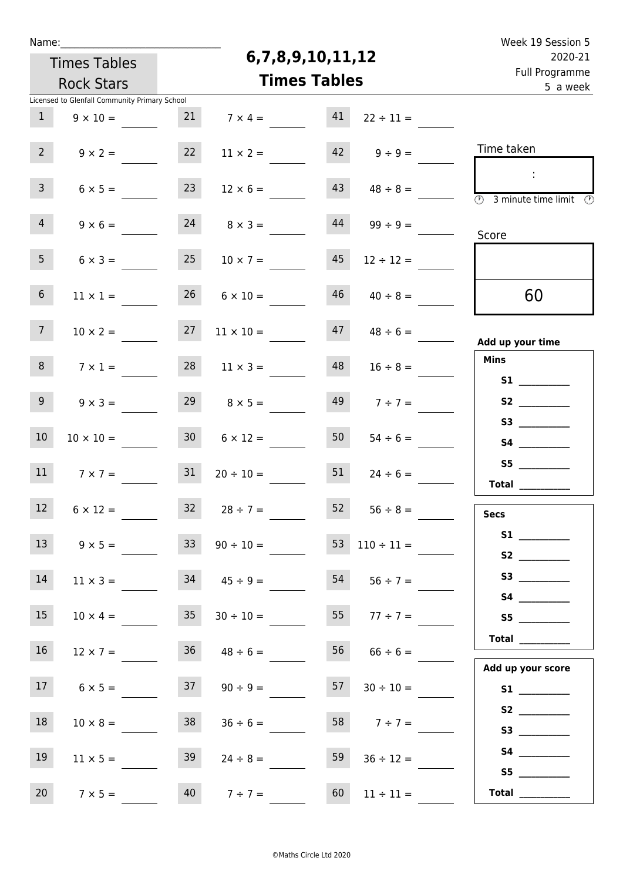| Week 19 Session 5                                            |                          |                  |                     |                     |                                               | Name:          |  |
|--------------------------------------------------------------|--------------------------|------------------|---------------------|---------------------|-----------------------------------------------|----------------|--|
| 2020-21                                                      |                          | 6,7,8,9,10,11,12 |                     | <b>Times Tables</b> |                                               |                |  |
| Full Programme<br>5 a week                                   |                          |                  | <b>Times Tables</b> |                     | <b>Rock Stars</b>                             |                |  |
|                                                              |                          |                  |                     |                     | Licensed to Glenfall Community Primary School |                |  |
|                                                              | $22 \div 11 =$           | 41               | $7 \times 4 =$      | 21                  | $9 \times 10 =$                               | $\mathbf{1}$   |  |
| Time taken                                                   | $9 \div 9 =$             | 42               | $11 \times 2 =$     | 22                  | $9 \times 2 =$                                | $2^{\circ}$    |  |
| $\overline{\circledcirc}$ 3 minute time limit $\circledcirc$ | $48 \div 8 =$            | 43               | $12 \times 6 =$     | 23                  | $6 \times 5 =$                                | $\mathbf{3}$   |  |
| Score                                                        | $99 \div 9 =$            | 44               | $8 \times 3 =$      | 24                  | $9 \times 6 =$                                | $\overline{4}$ |  |
|                                                              | $12 \div 12 =$           | 45               | $10 \times 7 =$     | 25                  | $6 \times 3 =$                                | 5 <sub>1</sub> |  |
| 60                                                           | $40 \div 8 =$            | 46               | $6 \times 10 =$     | 26                  | $11 \times 1 =$                               | 6              |  |
| Add up your time                                             | $48 \div 6 =$            | 47               | $11 \times 10 =$    | 27                  | $10 \times 2 =$                               | 7 <sup>7</sup> |  |
| <b>Mins</b>                                                  | $16 \div 8 =$            | 48               | $11 \times 3 =$     | 28                  | $7 \times 1 =$                                | 8              |  |
|                                                              | $7 ÷ 7 =$                | 49               | $8 \times 5 =$      | 29                  | $9 \times 3 =$                                | 9              |  |
|                                                              | $54 \div 6 =$            | 50               | $6 \times 12 =$     | 30 <sub>2</sub>     | $10 \times 10 =$                              | $10\,$         |  |
| 55 (1995)<br>$\begin{tabular}{c} Total \end{tabular}$        | $24 \div 6 =$            | 51               | $20 \div 10 =$      | 31                  | $7 \times 7 =$                                | 11             |  |
| <b>Secs</b>                                                  | $52 \t 56 \div 8 =$      |                  | $32 \t 28 \div 7 =$ |                     | $6 \times 12 =$                               | 12             |  |
| S1                                                           | $53 \quad 110 \div 11 =$ |                  | $90 \div 10 =$      | 33                  | $9 \times 5 =$                                | 13             |  |
|                                                              | $54$ $56 \div 7 =$       |                  | $34 \t 45 \div 9 =$ |                     | $11 \times 3 =$                               | 14             |  |
| S5                                                           | 55 $77 \div 7 =$         |                  | $30 \div 10 =$      | 35                  | $10 \times 4 =$                               | 15             |  |
| Total                                                        | $66 \div 6 =$            | 56               | $36 \t 48 \div 6 =$ |                     | $12 \times 7 =$                               | 16             |  |
| Add up your score                                            | $30 \div 10 =$           | 57               | $90 \div 9 =$       | 37                  | $6 \times 5 =$                                | 17             |  |
|                                                              | 58 $7 \div 7 =$          |                  | $36 \div 6 =$       | 38                  | $10 \times 8 =$                               | 18             |  |
|                                                              | $36 \div 12 =$           | 59               | $24 \div 8 =$       | 39                  | $11 \times 5 =$                               | 19             |  |
| S5<br>Total $\qquad$                                         | $11 \div 11 =$           | 60               | $40 \t 7 \div 7 =$  |                     | $7 \times 5 =$                                | 20             |  |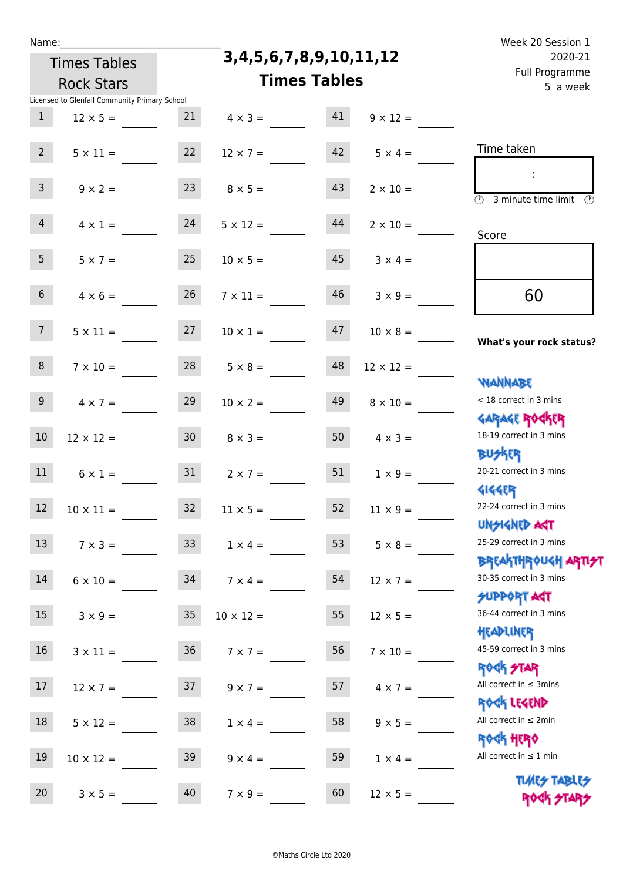| г   |    |  |
|-----|----|--|
| e e | ۰. |  |
|     |    |  |

**3,4,5,6,7,8,9,10,11,12**

| 2020-21                                                          |                  | 3, 4, 5, 6, 7, 8, 9, 10, 11, 12 |  |                       |                 | <b>Times Tables</b>                           |                |
|------------------------------------------------------------------|------------------|---------------------------------|--|-----------------------|-----------------|-----------------------------------------------|----------------|
| Full Programme<br>5 a week                                       |                  | <b>Times Tables</b>             |  |                       |                 | <b>Rock Stars</b>                             |                |
|                                                                  |                  |                                 |  |                       |                 | Licensed to Glenfall Community Primary School |                |
|                                                                  | $9 \times 12 =$  | 41                              |  | $4 \times 3 =$        | 21              | $12 \times 5 =$                               | 1              |
| Time taken                                                       | $5 \times 4 =$   | 42                              |  | $12 \times 7 =$       | 22              | $5 \times 11 =$                               | 2 <sup>7</sup> |
| $\overline{(\mathcal{V})}$<br>3 minute time limit<br>$\odot$     | $2 \times 10 =$  | 43                              |  | $8 \times 5 =$        | 23              | $9 \times 2 =$                                | $\mathbf{3}$   |
| Score                                                            | $2 \times 10 =$  | 44                              |  | $24 \t 5 \times 12 =$ |                 | $4 \times 1 =$                                | 4              |
|                                                                  | $3 \times 4 =$   | 45                              |  | $10 \times 5 =$       | 25              | $5 \times 7 =$                                | 5 <sub>1</sub> |
| 60                                                               | $3 \times 9 =$   | 46                              |  | $7 \times 11 =$       | 26              | $4 \times 6 =$                                | 6 <sup>1</sup> |
| What's your rock status?                                         | $10 \times 8 =$  | 47                              |  | $10 \times 1 =$       | 27              | $5 \times 11 =$                               | 7 <sup>7</sup> |
| <b>NANNABE</b>                                                   | $12 \times 12 =$ | 48                              |  | $5 \times 8 =$        | 28              | $7 \times 10 =$                               | 8 <sup>1</sup> |
| < 18 correct in 3 mins<br><b>GARAGE ROGKER</b>                   | $8 \times 10 =$  | 49                              |  | $10 \times 2 =$       | 29              | $4 \times 7 =$                                | 9 <sub>o</sub> |
| 18-19 correct in 3 mins<br><b>BUSKER</b>                         | $4 \times 3 =$   | 50                              |  | $8 \times 3 =$        | 30 <sub>o</sub> | $12 \times 12 =$                              | 10             |
| 20-21 correct in 3 mins<br><b>4144ER</b>                         | $1 \times 9 =$   | 51                              |  | $2 \times 7 =$        | 31              | $6 \times 1 =$                                | 11             |
| 22-24 correct in 3 mins<br>UNSIGNED AGT                          | $11 \times 9 =$  | 52                              |  | $11 \times 5 =$       | 32 <sup>2</sup> | $10 \times 11 =$                              | 12             |
| 25-29 correct in 3 mins<br><b>BREAKTHROUGH ARTI<del>S</del>T</b> | $5 \times 8 =$   | 53                              |  | $1 \times 4 =$        | 33 <sup>°</sup> | $7 \times 3 =$                                | 13             |
| 30-35 correct in 3 mins<br><b>SUPPORT AGT</b>                    | $12 \times 7 =$  | 54                              |  | $7 \times 4 =$        | 34              | $6 \times 10 =$                               | 14             |
| 36-44 correct in 3 mins<br>HEADLINER                             | $12 \times 5 =$  | 55                              |  | $10 \times 12 =$      | 35 <sub>2</sub> | $3 \times 9 =$                                | 15             |
| 45-59 correct in 3 mins<br><b>ROCK STAR</b>                      | $7 \times 10 =$  | 56                              |  | $7 \times 7 =$        | 36 <sup>°</sup> | $3 \times 11 =$                               | 16             |
| All correct in $\leq$ 3mins<br>ROCK LEGEND                       | $4 \times 7 =$   | 57                              |  | $9 \times 7 =$        | 37              | $12 \times 7 =$                               | 17             |
| All correct in $\leq 2$ min<br><b>ROCK HERO</b>                  | $9 \times 5 =$   | 58                              |  | $1 \times 4 =$        | 38              | $5 \times 12 =$                               | 18             |
| All correct in $\leq 1$ min<br><b>TUARS TABLES</b>               | $1 \times 4 =$   | 59                              |  | $9 \times 4 =$        | 39              | $10 \times 12 =$                              | 19             |
| ROCK STA                                                         | $12 \times 5 =$  | 60                              |  | $7 \times 9 =$        | 40              | $3 \times 5 =$                                | 20             |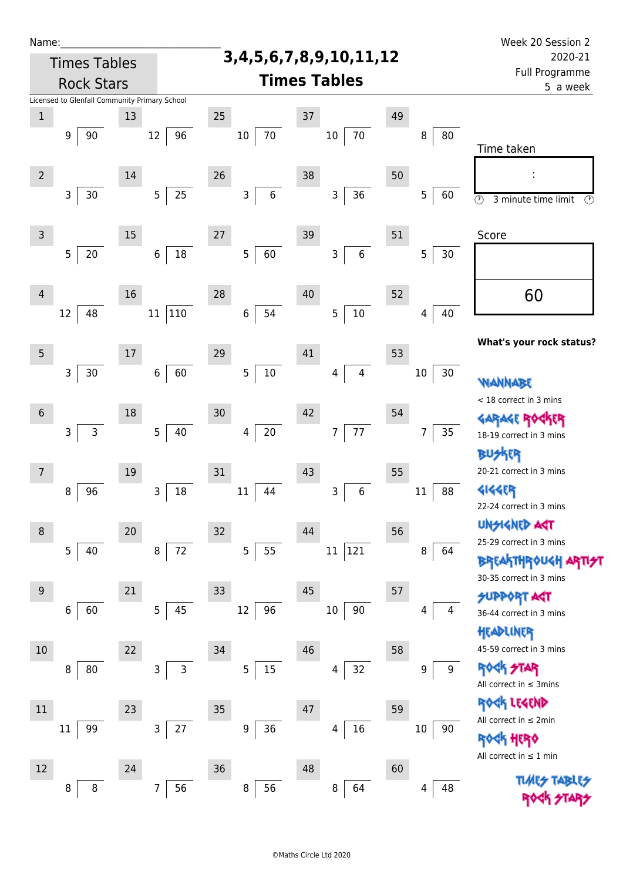| Name:           |                                               |        |                          |                                 |                              |    |              | Week 20 Session 2                                                       |
|-----------------|-----------------------------------------------|--------|--------------------------|---------------------------------|------------------------------|----|--------------|-------------------------------------------------------------------------|
|                 | <b>Times Tables</b>                           |        |                          | 3, 4, 5, 6, 7, 8, 9, 10, 11, 12 | 2020-21                      |    |              |                                                                         |
|                 | <b>Rock Stars</b>                             |        |                          |                                 | <b>Times Tables</b>          |    |              | Full Programme<br>5 a week                                              |
|                 | Licensed to Glenfall Community Primary School |        |                          |                                 |                              |    |              |                                                                         |
| $\,1$           |                                               | 13     |                          | 25                              | 37                           | 49 |              |                                                                         |
|                 | 9<br>90                                       |        | 12<br>96                 | 70<br>$10\,$                    | $70\,$<br>$10\,$             |    | 8<br>80      | Time taken                                                              |
| $\overline{2}$  |                                               | 14     |                          | 26                              | 38                           | 50 |              |                                                                         |
|                 | 3<br>$30$                                     |        | 25<br>$5\phantom{.0}$    | $6\,$<br>3                      | 36<br>3                      |    | 5<br>60      | $\overline{\circ}$<br>3 minute time limit<br>$\bigcirc$                 |
| $\mathsf{3}$    |                                               | 15     |                          | $27\,$                          | $39\,$                       | 51 |              | Score                                                                   |
|                 | 5<br>20                                       |        | 18<br>6                  | 5<br>60                         | $\,6$<br>3                   |    | 5<br>30      |                                                                         |
| 4               |                                               | 16     |                          | 28                              | 40                           | 52 |              | 60                                                                      |
|                 | 48<br>12                                      |        | 110<br>11                | 54<br>$\boldsymbol{6}$          | $10\,$<br>5                  |    | 40<br>4      |                                                                         |
| $\overline{5}$  |                                               | $17\,$ |                          | 29                              | 41                           | 53 |              | What's your rock status?                                                |
|                 | 3<br>30                                       |        | 60<br>6                  | $10\,$<br>5                     | $\overline{\mathbf{4}}$<br>4 |    | 30<br>$10\,$ | WANNABE                                                                 |
| $6\phantom{1}6$ |                                               | 18     |                          | 30                              | 42                           | 54 |              | < 18 correct in 3 mins                                                  |
|                 | $\mathsf{3}$<br>$\mathsf{3}$                  |        | $\overline{5}$<br>$40\,$ | $20\,$<br>4                     | $77\,$<br>$\overline{7}$     |    | 35<br>7      | <b>GARAGE RO</b><br><b>TR</b><br>18-19 correct in 3 mins                |
|                 |                                               |        |                          |                                 |                              |    |              | <b>BUSKER</b><br>20-21 correct in 3 mins                                |
| 7               |                                               | 19     | 3                        | 31<br>44                        | 43<br>$\,$ 6 $\,$            | 55 | 88           | <b>4144EB</b>                                                           |
|                 | 8<br>96                                       |        | 18                       | 11                              | 3                            |    | 11           | 22-24 correct in 3 mins                                                 |
| $\,8\,$         |                                               | 20     |                          | 32                              | 44                           | 56 |              | <b>UNSIGNED AST</b>                                                     |
|                 | 5<br>40                                       |        | 72<br>$\,8\,$            | 5<br>55                         | 121<br>11                    |    | 8<br>64      | 25-29 correct in 3 mins<br><b>BREAKTHROUGH</b>                          |
| $9\,$           |                                               | 21     |                          | 33                              | 45                           | 57 |              | 30-35 correct in 3 mins                                                 |
|                 | 60<br>6                                       |        | 45<br>5                  | 12<br>96                        | $10\,$<br>90                 |    | 4<br>4       | <b>SUPPORT AGT</b><br>36-44 correct in 3 mins                           |
|                 |                                               |        |                          |                                 |                              |    |              | HEADLINER                                                               |
| $10\,$          |                                               | 22     |                          | 34                              | 46                           | 58 |              | 45-59 correct in 3 mins                                                 |
|                 | 80<br>8                                       |        | 3<br>3                   | 5<br>15                         | 32<br>4                      |    | $9\,$<br>9   | ROCK STAR<br>All correct in $\leq$ 3mins                                |
| 11              |                                               | 23     |                          | 35                              | 47                           | 59 |              | ROCK LEGEND                                                             |
|                 | 99<br>$11\,$                                  |        | $27$<br>3                | 9<br>36                         | 16<br>4                      |    | 10<br>90     | All correct in $\leq 2$ min                                             |
|                 |                                               |        |                          |                                 |                              |    |              | <b><k b="" her0<=""><br/>All correct in <math>\leq 1</math> min</k></b> |
| 12              |                                               | 24     |                          | 36                              | 48                           | 60 |              |                                                                         |
|                 | 8<br>8                                        |        | 56<br>7                  | 56<br>8                         | 64<br>8                      |    | 48<br>4      |                                                                         |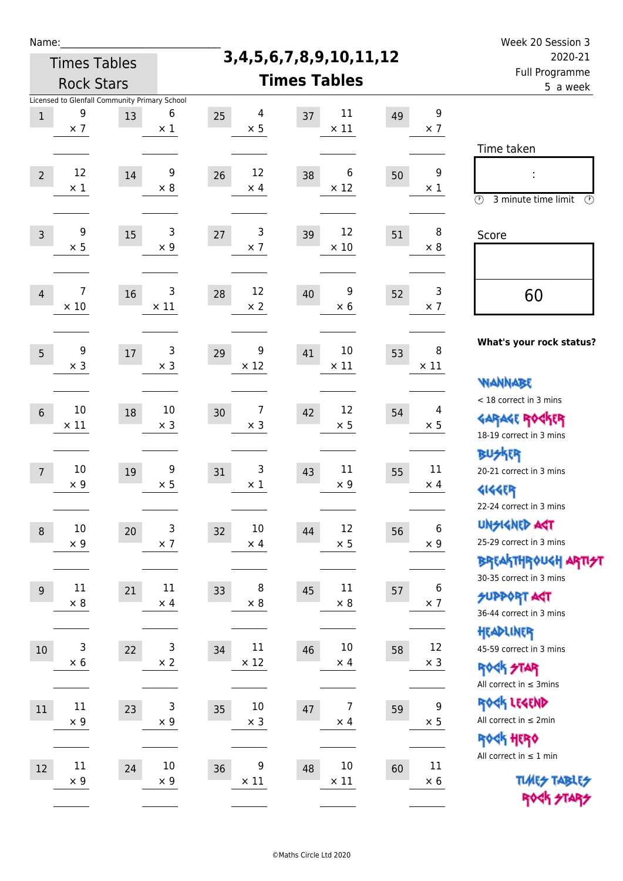| Name:          |                                                                  |        |                      |                         |                                    |         |                                | Week 20 Session 3                                                                        |
|----------------|------------------------------------------------------------------|--------|----------------------|-------------------------|------------------------------------|---------|--------------------------------|------------------------------------------------------------------------------------------|
|                | <b>Times Tables</b>                                              |        |                      |                         | 3, 4, 5, 6, 7, 8, 9, 10, 11, 12    | 2020-21 |                                |                                                                                          |
|                | <b>Rock Stars</b>                                                |        |                      |                         | <b>Times Tables</b>                |         |                                | Full Programme<br>5 a week                                                               |
| $1\,$          | Licensed to Glenfall Community Primary School<br>9<br>$\times$ 7 | 13     | 6<br>$\times$ 1      | 4<br>25<br>$\times$ 5   | 11<br>37<br>$\times$ 11            | 49      | 9<br>$\times$ 7                |                                                                                          |
| $\overline{2}$ | 12<br>$\times$ 1                                                 | $14\,$ | 9<br>$\times 8$      | 12<br>26<br>$\times$ 4  | 6<br>38<br>$\times$ 12             | 50      | 9<br>$\times$ 1                | Time taken<br>Ì,<br>$\circledcirc$<br>3 minute time limit<br>$\mathcal{O}$               |
| $\overline{3}$ | 9<br>$\times$ 5                                                  | 15     | 3<br>$\times$ 9      | 3<br>27<br>$\times$ 7   | 12<br>39<br>$\times$ 10            | 51      | 8<br>$\times 8$                | Score                                                                                    |
| $\overline{4}$ | 7<br>$\times$ 10                                                 | 16     | 3<br>$\times$ 11     | 12<br>28<br>$\times 2$  | 9<br>40<br>$\times$ 6              | 52      | 3<br>$\times$ 7                | 60                                                                                       |
| 5              | 9<br>$\times$ 3                                                  | 17     | 3<br>$\times$ 3      | 9<br>29<br>$\times$ 12  | 10<br>41<br>$\times$ 11            | 53      | 8<br>$\times$ 11               | What's your rock status?<br><b>WANNABE</b>                                               |
| $6\phantom{1}$ | 10<br>$\times$ 11                                                | 18     | 10<br>$\times$ 3     | 7<br>30<br>$\times$ 3   | 12<br>42<br>$\times$ 5             | 54      | 4<br>$\times$ 5                | < 18 correct in 3 mins<br><b>GARAGE ROGKER</b><br>18-19 correct in 3 mins                |
| $\overline{7}$ | 10<br>$\times$ 9                                                 | 19     | 9<br>$\times$ 5      | 3<br>31<br>$\times$ 1   | 11<br>43<br>$\times 9$             | 55      | 11<br>$\times$ 4               | <b>BUSKER</b><br>20-21 correct in 3 mins<br><b>4144EP</b><br>22-24 correct in 3 mins     |
| $\,8\,$        | $10\,$<br>$\times$ 9                                             | 20     | 3<br>$\times$ 7      | 10<br>32<br>$\times$ 4  | 12<br>44<br>$\times$ 5             | 56      | $\boldsymbol{6}$<br>$\times$ 9 | UNSIGNED AGT<br>25-29 correct in 3 mins<br>ΒΡΓΑ <sup>Κ</sup> ΤΗΡΟυΚΗ ΑΡΤΙ <del>2</del> Τ |
| $\overline{9}$ | 11<br>$\times 8$                                                 | 21     | 11<br>$\times$ 4     | 8<br>33<br>$\times$ 8   | $11\,$<br>45<br>$\times$ 8         | 57      | 6<br>$\times$ 7                | 30-35 correct in 3 mins<br><b>SUPPORT AGT</b><br>36-44 correct in 3 mins                 |
| 10             | 3<br>$\times$ 6                                                  | 22     | 3<br>$\times 2$      | 11<br>34<br>$\times$ 12 | $10\,$<br>46<br>$\times$ 4         | 58      | 12<br>$\times$ 3               | HEADLINER<br>45-59 correct in 3 mins<br><b>ROCK STAR</b><br>All correct in $\leq$ 3mins  |
| 11             | $11\,$<br>$\times$ 9                                             | 23     | 3<br>$\times$ 9      | 10<br>35<br>$\times$ 3  | $\overline{7}$<br>47<br>$\times$ 4 | 59      | 9<br>$\times$ 5                | ROCK LEGEND<br>All correct in $\leq 2$ min<br>ROCK HERO                                  |
| 12             | $11\,$<br>$\times$ 9                                             | 24     | $10\,$<br>$\times 9$ | 9<br>36<br>$\times$ 11  | $10\,$<br>48<br>$\times$ 11        | 60      | 11<br>$\times$ 6               | All correct in $\leq 1$ min<br><b>TUARS TABLES</b><br>ROCK STARS                         |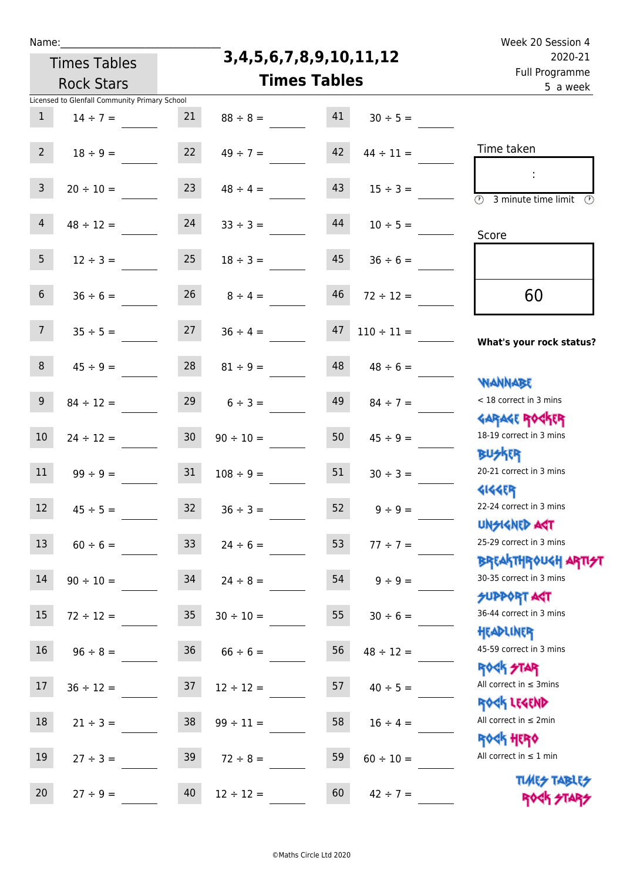**3,4,5,6,7,8,9,10,11,12**

| 2020-21                                                            | 3,4,5,6,7,8,9,10,11,12 |                   |                |                 | <b>Times Tables</b>                           |                |
|--------------------------------------------------------------------|------------------------|-------------------|----------------|-----------------|-----------------------------------------------|----------------|
| Full Programme<br>5 a week                                         | <b>Times Tables</b>    | <b>Rock Stars</b> |                |                 |                                               |                |
|                                                                    |                        |                   |                |                 | Licensed to Glenfall Community Primary School |                |
|                                                                    | $30 \div 5 =$          | 41                | $88 \div 8 =$  | 21              | $14 \div 7 =$                                 | $\mathbf{1}$   |
| Time taken                                                         | $44 \div 11 =$         | 42                | $49 \div 7 =$  | 22              | $18 \div 9 =$                                 | 2 <sup>7</sup> |
| $\overline{(\mathcal{V})}$<br>3 minute time limit<br>$\mathcal{O}$ | $15 \div 3 =$          | 43                | $48 \div 4 =$  | 23              | $20 \div 10 =$                                | $\overline{3}$ |
| Score                                                              | $10 \div 5 =$          | 44                | $33 \div 3 =$  | 24              | $48 \div 12 =$                                | $\overline{4}$ |
|                                                                    | $36 \div 6 =$          | 45                | $18 \div 3 =$  | 25              | $12 \div 3 =$                                 | 5 <sub>1</sub> |
| 60                                                                 | $72 \div 12 =$         | 46                | $8 \div 4 =$   | 26              | $36 \div 6 =$                                 | 6 <sup>1</sup> |
| What's your rock status?                                           | $110 \div 11 =$        | 47                | $36 \div 4 =$  | 27              | $35 \div 5 =$                                 | 7 <sup>7</sup> |
| <b>NANNABE</b>                                                     | $48 \div 6 =$          | 48                | $81 \div 9 =$  | 28              | $45 \div 9 =$                                 | 8              |
| < 18 correct in 3 mins<br><b>GARAGE ROGKER</b>                     | $84 \div 7 =$          | 49                | $6 \div 3 =$   | 29              | $84 \div 12 =$                                | 9 <sub>o</sub> |
| 18-19 correct in 3 mins<br><b>BUSKER</b>                           | $45 \div 9 =$          | 50                | $90 \div 10 =$ | 30 <sub>o</sub> | $24 \div 12 =$                                | $10\,$         |
| 20-21 correct in 3 mins<br><b>4144EP</b>                           | $30 \div 3 =$          | 51                | $108 \div 9 =$ | 31              | $99 ÷ 9 =$                                    | 11             |
| 22-24 correct in 3 mins<br>UNSIGNED AST                            | $9 ÷ 9 =$              | 52                | $36 \div 3 =$  | 32 <sub>2</sub> | $45 \div 5 =$                                 | 12             |
| 25-29 correct in 3 mins<br><b>BREAKTHROUGH ARTI<del>S</del>T</b>   | $77 ÷ 7 =$             | 53                | $24 \div 6 =$  | 33 <sup>°</sup> | $60 \div 6 =$                                 | 13             |
| 30-35 correct in 3 mins<br><b>SUPPORT AGT</b>                      | $9 \div 9 =$           | 54                | $24 \div 8 =$  | 34              | $90 \div 10 =$                                | 14             |
| 36-44 correct in 3 mins<br>HEADLINER                               | $30 \div 6 =$          | 55                | $30 \div 10 =$ | 35 <sub>2</sub> | $72 \div 12 =$                                | 15             |
| 45-59 correct in 3 mins<br><b>ROCK STAR</b>                        | $48 \div 12 =$         | 56                | $66 \div 6 =$  | 36              | $96 \div 8 =$                                 | 16             |
| All correct in $\leq$ 3mins<br>ROCK LEGEND                         | $40 \div 5 =$          | 57                | $12 \div 12 =$ | 37              | $36 \div 12 =$                                | 17             |
| All correct in $\leq 2$ min<br>ROCK HERO                           | $16 \div 4 =$          | 58                | $99 \div 11 =$ | 38              | $21 \div 3 =$                                 | 18             |
| All correct in $\leq 1$ min<br><b>TUARS TABLES</b>                 | $60 \div 10 =$         | 59                | $72 \div 8 =$  | 39              | $27 \div 3 =$                                 | 19             |
| ROCK STARS                                                         | $42 \div 7 =$          | 60                | $12 \div 12 =$ | 40              | $27 \div 9 =$                                 | 20             |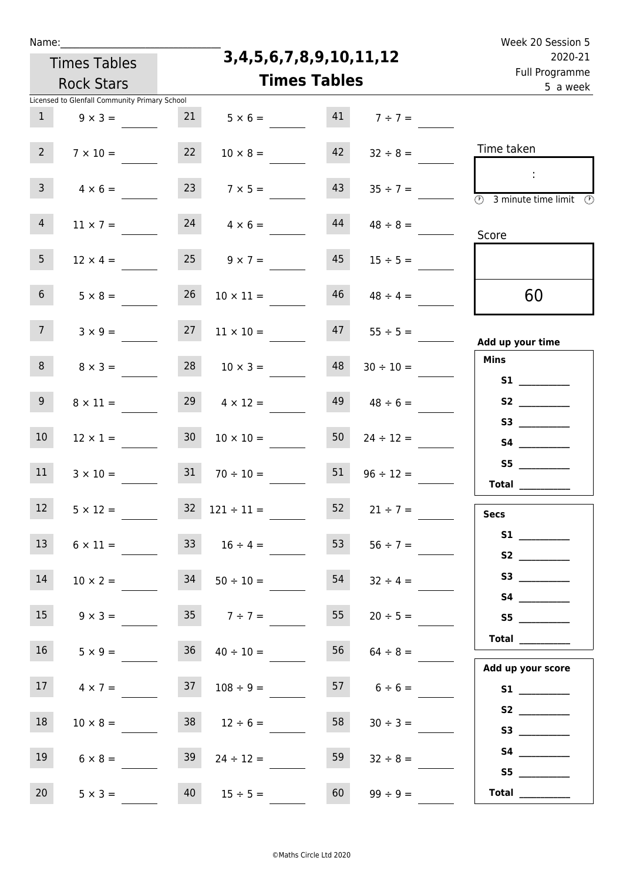| e e |  | ۰. |  |
|-----|--|----|--|
|     |  |    |  |

**3,4,5,6,7,8,9,10,11,12**

| 2020-21<br>Full Programme                                                     | 3,4,5,6,7,8,9,10,11,12 |                     |                       |                 | <b>Times Tables</b>                           |                 |
|-------------------------------------------------------------------------------|------------------------|---------------------|-----------------------|-----------------|-----------------------------------------------|-----------------|
| 5 a week                                                                      |                        | <b>Times Tables</b> |                       |                 | <b>Rock Stars</b>                             |                 |
|                                                                               |                        |                     |                       |                 | Licensed to Glenfall Community Primary School |                 |
|                                                                               | $41 \t 7 \div 7 =$     |                     | $5 \times 6 =$        | 21              | $9 \times 3 =$                                | $\mathbf{1}$    |
| Time taken                                                                    | $32 \div 8 =$          | 42                  | $10 \times 8 =$       | 22              | $7 \times 10 =$                               | 2 <sup>7</sup>  |
| $\overline{\textcircled{2}}$ 3 minute time limit $\overline{\textcircled{2}}$ | $35 \div 7 =$          | 43                  | $7 \times 5 =$        |                 | $4 \times 6 =$                                | 3 <sup>7</sup>  |
| Score                                                                         | $48 \div 8 =$          | 44                  | $24 \t 4 \times 6 =$  |                 | $11 \times 7 =$                               | $\overline{4}$  |
|                                                                               | $15 \div 5 =$          | 45                  | $25 \t 9 \times 7 =$  |                 | $12 \times 4 =$                               | 5 <sub>1</sub>  |
| 60                                                                            | $48 \div 4 =$          | 46                  | $10 \times 11 =$      | 26              | $5 \times 8 =$                                | 6 <sup>1</sup>  |
| Add up your time                                                              | $55 \div 5 =$          | 47                  | $11 \times 10 =$      | 27              | $3 \times 9 =$                                | 7 <sup>7</sup>  |
| <b>Mins</b>                                                                   | $30 \div 10 =$         | 48                  | $10 \times 3 =$       | 28              | $8 \times 3 =$                                | 8 <sup>1</sup>  |
| S3                                                                            | $48 \div 6 =$          | 49                  | $29 \t 4 \times 12 =$ |                 | $8 \times 11 =$                               | 9 <sub>o</sub>  |
|                                                                               | $24 \div 12 =$         | 50                  | $10 \times 10 =$      | 30 <sub>o</sub> | $12 \times 1 =$                               | 10 <sup>°</sup> |
| S5<br>Total $\_\_$                                                            | $96 \div 12 =$         | 51                  | $70 \div 10 =$        | 31              | $3 \times 10 =$                               | 11              |
| <b>Secs</b>                                                                   | $21 \div 7 =$          | 52                  | $32 \t121 \div 11 =$  |                 | $5 \times 12 =$                               | 12              |
| S1<br>S2                                                                      | $56 \div 7 =$          | 53                  | $16 \div 4 =$         |                 | $6 \times 11 =$                               | 13 <sup>7</sup> |
| S4                                                                            | $32 \div 4 =$          | 54                  | $50 \div 10 =$        | 34              | $10 \times 2 =$                               | 14              |
| 55                                                                            | $20 \div 5 =$          | 55                  | $7 \div 7 =$          |                 | $9 \times 3 =$                                | 15              |
| Total $\_\_$<br>Add up your score                                             | $64 \div 8 =$          | 56                  | $40 \div 10 =$        | 36              | $5 \times 9 =$                                | 16 <sup>1</sup> |
|                                                                               | $6 \div 6 =$           | 57                  | $108 \div 9 =$        | 37              | $4 \times 7 =$                                | 17              |
| S3                                                                            | $30 \div 3 =$          | 58                  | $12 \div 6 =$         | 38              | $10 \times 8 =$                               | 18              |
| S5                                                                            | $32 \div 8 =$          | 59                  | $24 \div 12 =$        | 39              | $6 \times 8 =$                                | 19              |
| Total                                                                         | $99 \div 9 =$          | 60                  | $15 \div 5 =$         | 40              | $5 \times 3 =$                                | 20              |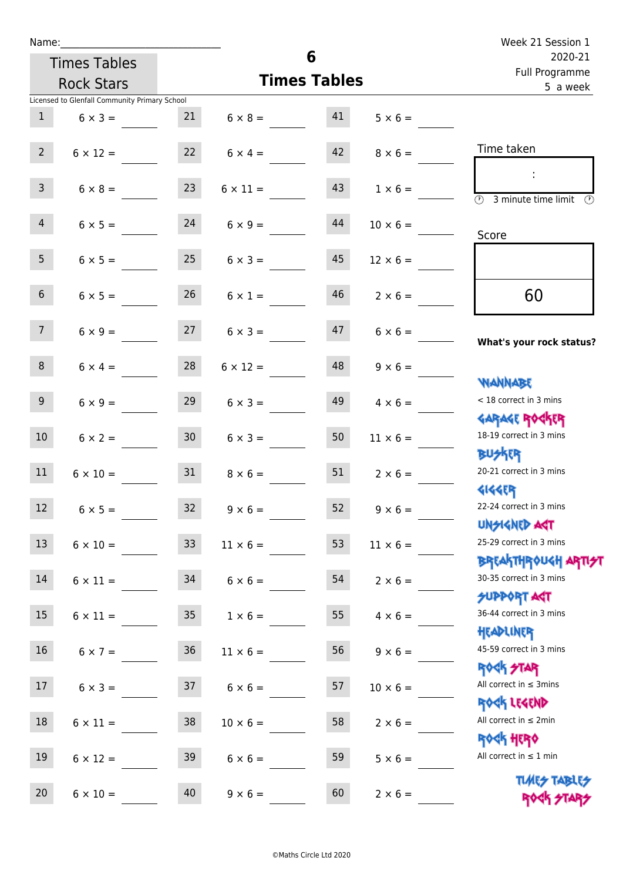|                 | Name:                                         |                 |                                  | 6                         |                      | Week 21 Session 1                                                                          |
|-----------------|-----------------------------------------------|-----------------|----------------------------------|---------------------------|----------------------|--------------------------------------------------------------------------------------------|
|                 | <b>Times Tables</b>                           |                 |                                  | 2020-21<br>Full Programme |                      |                                                                                            |
|                 | <b>Rock Stars</b>                             |                 |                                  | <b>Times Tables</b>       |                      | 5 a week                                                                                   |
|                 | Licensed to Glenfall Community Primary School |                 |                                  |                           |                      |                                                                                            |
|                 | $1 \t 6 \times 3 =$                           |                 | $21 \t 6 \times 8 = 41$          |                           | $5 \times 6 =$       |                                                                                            |
| $2^{\circ}$     | $6 \times 12 =$                               | 22              | $6 \times 4 =$                   |                           | $42 \t 8 \times 6 =$ | Time taken                                                                                 |
| 3 <sup>7</sup>  | $6 \times 8 =$                                | 23              | $6 \times 11 =$                  | 43                        | $1 \times 6 =$       | $\sim$ 1.<br>$\overline{\textcircled{2}}$ 3 minute time limit $\overline{\textcircled{2}}$ |
| 4               | $6 \times 5 = 24$                             |                 | $6 \times 9 =$                   | 44                        | $10 \times 6 =$      | Score                                                                                      |
| 5 <sub>1</sub>  | $6 \times 5 =$                                | 25              | $6 \times 3 =$                   | 45                        | $12 \times 6 =$      |                                                                                            |
| 6 <sup>1</sup>  | $6 \times 5 =$                                | 26              | $6 \times 1 =$                   | 46                        | $2 \times 6 =$       | 60                                                                                         |
| 7 <sup>7</sup>  |                                               |                 | $6 \times 9 = 27$ $6 \times 3 =$ |                           | $47$ $6 \times 6 =$  | What's your rock status?                                                                   |
| 8               | $6 \times 4 =$                                | 28              | $6 \times 12 =$                  |                           | $48$ $9 \times 6 =$  | <b>NANNABE</b>                                                                             |
| 9 <sub>o</sub>  | $6 \times 9 =$                                | 29              | $6 \times 3 =$                   | 49                        | $4 \times 6 =$       | < 18 correct in 3 mins<br><b>GARAGE ROGKER</b>                                             |
| 10 <sup>°</sup> | $6 \times 2 =$                                | 30              | $6 \times 3 =$                   | 50                        | $11 \times 6 =$      | 18-19 correct in 3 mins<br><b>BUSKER</b>                                                   |
| 11              | $6 \times 10 =$                               | 31              | $8 \times 6 =$                   | 51                        | $2 \times 6 =$       | 20-21 correct in 3 mins<br><b>4144ER</b>                                                   |
| 12              | $6 \times 5 =$                                | 32              | $9 \times 6 =$                   | 52                        | $9 \times 6 =$       | 22-24 correct in 3 mins<br><b>UNSIGNED AGT</b>                                             |
| 13              | $6 \times 10 =$                               | 33              | $11 \times 6 =$                  | 53                        | $11 \times 6 =$      | 25-29 correct in 3 mins<br><b>BREAKTHROUGH ARTI<del>S</del>T</b>                           |
| 14              | $6 \times 11 =$                               | 34              | $6 \times 6 =$                   | 54                        | $2 \times 6 =$       | 30-35 correct in 3 mins<br><b>SUPPORT AGT</b>                                              |
| 15              | $6 \times 11 =$                               | 35              | $1 \times 6 =$                   | 55                        | $4 \times 6 =$       | 36-44 correct in 3 mins<br>HEADLINER                                                       |
| 16 <sup>1</sup> | $6 \times 7 =$                                | 36 <sup>°</sup> | $11 \times 6 =$                  | 56                        | $9 \times 6 =$       | 45-59 correct in 3 mins<br><b>ROCK STAR</b>                                                |
| 17 <sup>7</sup> | $6 \times 3 =$                                | 37              | $6 \times 6 =$                   | 57                        | $10 \times 6 =$      | All correct in $\leq$ 3mins<br>ROCK LEGEND                                                 |
| 18              | $6 \times 11 =$                               | 38              | $10 \times 6 =$                  | 58                        | $2 \times 6 =$       | All correct in $\leq 2$ min<br><b>ROCK HERO</b>                                            |
| 19              | $6 \times 12 =$                               | 39              | $6 \times 6 =$                   | 59                        | $5 \times 6 =$       | All correct in $\leq 1$ min<br><b>TUARS TABLES</b>                                         |
| 20 <sub>2</sub> | $6 \times 10 =$                               | 40              | $9 \times 6 =$                   | 60                        | $2 \times 6 =$       | ROCK STARS                                                                                 |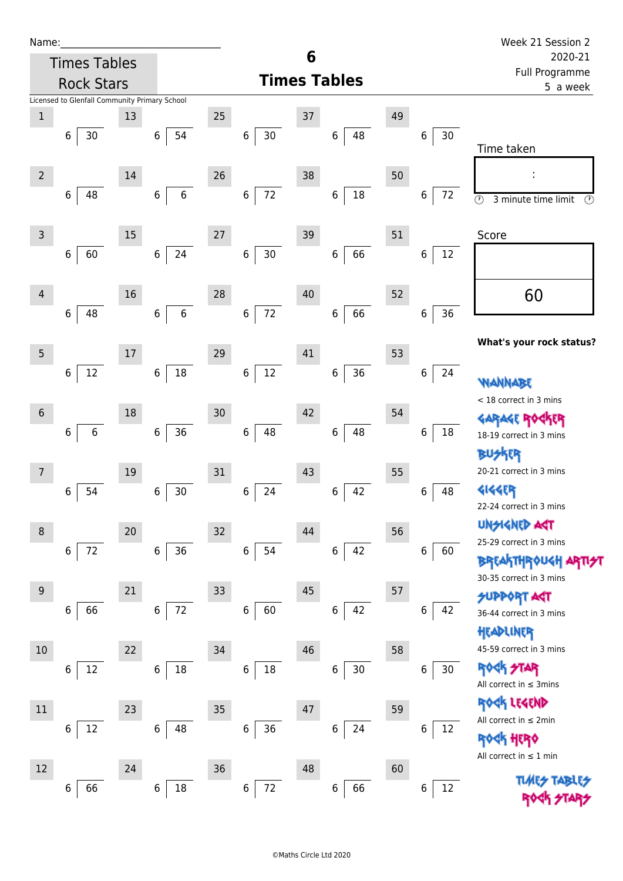| Ń | am |  | ı |  |
|---|----|--|---|--|
|   |    |  |   |  |
|   |    |  |   |  |

| Name:          |                                               |    |                      |                          |                              |    |                   |    |                        | Week 21 Session 2                                                |
|----------------|-----------------------------------------------|----|----------------------|--------------------------|------------------------------|----|-------------------|----|------------------------|------------------------------------------------------------------|
|                | <b>Times Tables</b>                           |    |                      | 6<br><b>Times Tables</b> |                              |    |                   |    |                        | 2020-21                                                          |
|                | <b>Rock Stars</b>                             |    |                      |                          |                              |    |                   |    |                        | Full Programme<br>5 a week                                       |
|                | Licensed to Glenfall Community Primary School |    |                      |                          |                              |    |                   |    |                        |                                                                  |
| $1\,$          |                                               | 13 |                      | 25                       |                              | 37 |                   | 49 |                        |                                                                  |
|                | 30<br>6                                       |    | 54<br>6              |                          | $\,6\,$<br>30 <sub>o</sub>   |    | 48<br>6           |    | $30\,$<br>6            |                                                                  |
|                |                                               |    |                      |                          |                              |    |                   |    |                        | Time taken                                                       |
| $\overline{2}$ |                                               | 14 |                      | 26                       |                              | 38 |                   | 50 |                        |                                                                  |
|                | 48<br>6                                       |    | $\,$ 6 $\,$<br>6     |                          | 72<br>$\,$ 6 $\,$            |    | $18\,$<br>6       |    | 72<br>6                | $\odot$<br>3 minute time limit<br>O)                             |
|                |                                               |    |                      |                          |                              |    |                   |    |                        |                                                                  |
| 3              |                                               | 15 |                      | 27                       |                              | 39 |                   | 51 |                        | Score                                                            |
|                | 60<br>6                                       |    | 24<br>$\,$ 6 $\,$    |                          | $\,$ 6 $\,$<br>$30\,$        |    | 66<br>6           |    | 12<br>6                |                                                                  |
|                |                                               |    |                      |                          |                              |    |                   |    |                        |                                                                  |
| 4              |                                               | 16 |                      | 28                       |                              | 40 |                   | 52 |                        | 60                                                               |
|                | 48<br>6                                       |    | $\,6\,$<br>6         |                          | 72<br>$\,6$                  |    | 66<br>6           |    | $\,$ 6 $\,$<br>36      |                                                                  |
|                |                                               |    |                      |                          |                              |    |                   |    |                        |                                                                  |
|                |                                               |    |                      | 29                       |                              | 41 |                   | 53 |                        | What's your rock status?                                         |
| 5              |                                               | 17 |                      |                          |                              |    |                   |    |                        |                                                                  |
|                | $12\,$<br>6                                   |    | 18<br>6              |                          | $12 \overline{ }$<br>$\,6\,$ |    | $36\,$<br>6       |    | $\boldsymbol{6}$<br>24 | <b>WANNABE</b>                                                   |
|                |                                               |    |                      |                          |                              |    |                   |    |                        | < 18 correct in 3 mins                                           |
| 6              |                                               | 18 |                      | 30                       |                              | 42 |                   | 54 |                        | GARAGE ROGKER                                                    |
|                | $\,$ 6 $\,$<br>6                              |    | 36<br>6              |                          | $\,$ 6 $\,$<br>48            |    | 48<br>6           |    | 18<br>6                | 18-19 correct in 3 mins                                          |
|                |                                               |    |                      |                          |                              |    |                   |    |                        | ĘR                                                               |
| 7              |                                               | 19 |                      | 31                       |                              | 43 |                   | 55 |                        | 20-21 correct in 3 mins                                          |
|                | 54<br>6                                       |    | $30\,$<br>6          |                          | 24<br>$\boldsymbol{6}$       |    | 42<br>6           |    | 48<br>6                | <b>4144EP</b>                                                    |
|                |                                               |    |                      |                          |                              |    |                   |    |                        | 22-24 correct in 3 mins                                          |
| 8              |                                               | 20 |                      | 32                       |                              | 44 |                   | 56 |                        | <b>UNSIGNED AGT</b>                                              |
|                | 72<br>6                                       |    | 36<br>6 <sup>1</sup> |                          | $6\,$<br>54                  |    | 42<br>$\,$ 6 $\,$ |    | 60<br>$\,$ 6 $\,$      | 25-29 correct in 3 mins                                          |
|                |                                               |    |                      |                          |                              |    |                   |    |                        | <b>BREAKTHROUGH ARTI<del>S</del>T</b><br>30-35 correct in 3 mins |
| $9\,$          |                                               | 21 |                      | 33                       |                              | 45 |                   | 57 |                        | <b>SUPPORT AGT</b>                                               |
|                | 66<br>6                                       |    | 72<br>6              |                          | 60<br>$\,6\,$                |    | 42<br>6           |    | 42<br>6                | 36-44 correct in 3 mins                                          |
|                |                                               |    |                      |                          |                              |    |                   |    |                        | HEADLINER                                                        |
| $10\,$         |                                               | 22 |                      | $34\,$                   |                              | 46 |                   | 58 |                        | 45-59 correct in 3 mins                                          |
|                | 12<br>6                                       |    | 18<br>$\,6\,$        |                          | $\,6\,$<br>$18\,$            |    | $30\,$<br>6       |    | 30<br>$\,$ 6 $\,$      | <b>ROCK STAR</b>                                                 |
|                |                                               |    |                      |                          |                              |    |                   |    |                        | All correct in $\leq$ 3mins                                      |
| 11             |                                               | 23 |                      | 35                       |                              | 47 |                   | 59 |                        | ROCK LEGEND                                                      |
|                | 12<br>6                                       |    | $\,6\,$<br>48        |                          | $\,$ 6 $\,$<br>36            |    | 24<br>6           |    | $\,6\,$<br>12          | All correct in $\leq 2$ min                                      |
|                |                                               |    |                      |                          |                              |    |                   |    |                        | <b>ROCK HERO</b>                                                 |
|                |                                               |    |                      |                          |                              |    |                   |    |                        | All correct in $\leq 1$ min                                      |
| 12             |                                               | 24 |                      | 36                       |                              | 48 |                   | 60 |                        | <b>TLARS</b>                                                     |
|                | 66<br>6                                       |    | 18<br>6              |                          | 72<br>$\boldsymbol{6}$       |    | 66<br>6           |    | 12<br>$\boldsymbol{6}$ |                                                                  |
|                |                                               |    |                      |                          |                              |    |                   |    |                        |                                                                  |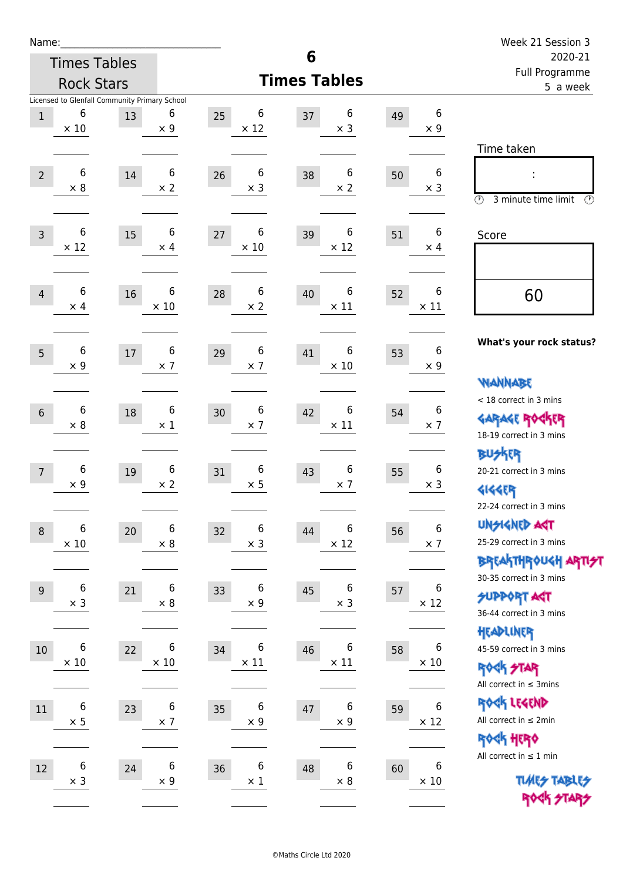| Name:            |                                |                                                     |                                |    |                  |    |                                |                            |                                | Week 21 Session 3                                                                     |
|------------------|--------------------------------|-----------------------------------------------------|--------------------------------|----|------------------|----|--------------------------------|----------------------------|--------------------------------|---------------------------------------------------------------------------------------|
|                  |                                | <b>Times Tables</b>                                 |                                |    |                  | 6  | 2020-21                        |                            |                                |                                                                                       |
|                  |                                | <b>Rock Stars</b>                                   |                                |    |                  |    | <b>Times Tables</b>            | Full Programme<br>5 a week |                                |                                                                                       |
| $1\,$            | 6<br>$\times$ 10               | Licensed to Glenfall Community Primary School<br>13 | 6<br>$\times$ 9                | 25 | 6<br>$\times$ 12 | 37 | 6<br>$\times$ 3                | 49                         | 6<br>$\times$ 9                | Time taken                                                                            |
| $\overline{2}$   | $\,6$<br>$\times 8$            | 14                                                  | 6<br>$\times 2$                | 26 | 6<br>$\times$ 3  | 38 | 6<br>$\times 2$                | 50                         | 6<br>$\times$ 3                | $\circled{r}$<br>3 minute time limit<br>$\circled{r}$                                 |
| $\overline{3}$   | $\,6$<br>$\times$ 12           | 15                                                  | 6<br>$\times$ 4                | 27 | 6<br>$\times$ 10 | 39 | 6<br>$\times$ 12               | 51                         | 6<br>$\times$ 4                | Score                                                                                 |
| $\overline{4}$   | 6<br>$\times$ 4                | 16                                                  | 6<br>$\times$ 10               | 28 | 6<br>$\times$ 2  | 40 | 6<br>$\times$ 11               | 52                         | 6<br>$\times$ 11               | 60                                                                                    |
| 5                | 6<br>$\times$ 9                | 17                                                  | 6<br>$\times$ 7                | 29 | 6<br>$\times$ 7  | 41 | 6<br>$\times$ 10               | 53                         | $\boldsymbol{6}$<br>$\times$ 9 | What's your rock status?<br><b>NANNABE</b>                                            |
| $6\phantom{1}$   | 6<br>$\times 8$                | 18                                                  | 6<br>$\times$ 1                | 30 | 6<br>$\times$ 7  | 42 | 6<br>$\times$ 11               | 54                         | 6<br>$\times$ 7                | < 18 correct in 3 mins<br><b>GARAGE ROCKER</b><br>18-19 correct in 3 mins             |
| $\overline{7}$   | 6<br>$\times$ 9                | 19                                                  | 6<br>$\times 2$                | 31 | 6<br>$\times$ 5  | 43 | 6<br>$\times$ 7                | 55                         | 6<br>$\times$ 3                | <b>BUSKER</b><br>20-21 correct in 3 mins<br><b>4144EP</b><br>22-24 correct in 3 mins  |
| $\boldsymbol{8}$ | 6<br>$\times$ 10               | 20                                                  | 6<br>$\times$ 8                | 32 | 6<br>$\times$ 3  | 44 | 6<br>$\times$ 12               | 56                         | 6<br>$\times$ 7                | <b>UNSIGNED AGT</b><br>25-29 correct in 3 mins<br>BREAKTHRÓUGH ARTI <del>2</del> 1    |
| $9\,$            | $\boldsymbol{6}$<br>$\times$ 3 | 21                                                  | 6<br>$\times$ 8                | 33 | 6<br>$\times$ 9  | 45 | 6<br>$\times$ 3                | 57                         | 6<br>$\times$ 12               | 30-35 correct in 3 mins<br><b>SUPPORT ART</b><br>36-44 correct in 3 mins<br>HEADLINER |
| $10\,$           | 6<br>$\times$ 10               | 22                                                  | 6<br>$\times$ 10               | 34 | 6<br>$\times$ 11 | 46 | 6<br>$\times$ 11               | 58                         | 6<br>$\times$ 10               | 45-59 correct in 3 mins<br>ROCK STAR<br>All correct in $\leq$ 3mins                   |
| $11\,$           | $\boldsymbol{6}$<br>$\times$ 5 | 23                                                  | $\boldsymbol{6}$<br>$\times$ 7 | 35 | 6<br>$\times$ 9  | 47 | $\boldsymbol{6}$<br>$\times$ 9 | 59                         | 6<br>$\times$ 12               | ROCK LEGEND<br>All correct in $\leq 2$ min<br>ROCK HERO                               |
| 12               | $\boldsymbol{6}$<br>$\times$ 3 | 24                                                  | 6<br>$\times$ 9                | 36 | 6<br>$\times$ 1  | 48 | 6<br>$\times$ 8                | 60                         | 6<br>$\times$ 10               | All correct in $\leq 1$ min<br><b>TUARS TABLES</b><br>ROCK STARS                      |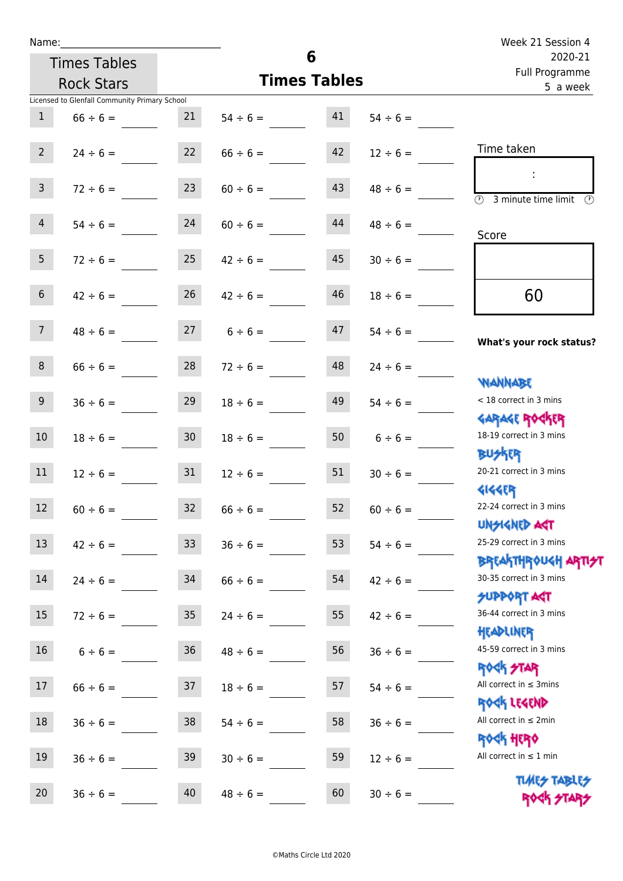| Name:           |                                               |                 |                     | 6                          | Week 21 Session 4  |                                                                  |  |
|-----------------|-----------------------------------------------|-----------------|---------------------|----------------------------|--------------------|------------------------------------------------------------------|--|
|                 | <b>Times Tables</b>                           |                 |                     | 2020-21                    |                    |                                                                  |  |
|                 | <b>Rock Stars</b>                             |                 | <b>Times Tables</b> | Full Programme<br>5 a week |                    |                                                                  |  |
|                 | Licensed to Glenfall Community Primary School |                 |                     |                            |                    |                                                                  |  |
| $\mathbf{1}$    | $66 \div 6 =$                                 | 21              | $54 \div 6 = 41$    |                            | $54 \div 6 =$      |                                                                  |  |
| $2^{\circ}$     | $24 \div 6 =$                                 | 22              | $66 \div 6 =$       | 42                         | $12 \div 6 =$      | Time taken                                                       |  |
| 3 <sup>7</sup>  | $72 \div 6 =$                                 | 23              | $60 \div 6 =$       | 43                         | $48 \div 6 =$      | $\overline{(\mathcal{V})}$<br>3 minute time limit<br>O)          |  |
| 4               | $54 \div 6 =$                                 | 24              | $60 \div 6 =$       | 44                         | $48 \div 6 =$      | Score                                                            |  |
| 5 <sub>1</sub>  | $72 \div 6 =$                                 | 25              | $42 \div 6 =$       | 45                         | $30 \div 6 =$      |                                                                  |  |
| 6 <sup>1</sup>  | $42 \div 6 =$                                 | 26              | $42 \div 6 =$       | 46                         | $18 \div 6 =$      | 60                                                               |  |
| 7               | $48 \div 6 = 27$ $6 \div 6 =$                 |                 |                     | 47                         | $54 \div 6 =$      | What's your rock status?                                         |  |
| 8 <sup>1</sup>  | $66 \div 6 =$                                 |                 | $28$ $72 \div 6 =$  | 48                         | $24 \div 6 =$      | <b>NANNABE</b>                                                   |  |
| 9 <sub>o</sub>  | $36 \div 6 =$                                 | 29              | $18 \div 6 =$       | 49                         | $54 \div 6 =$      | < 18 correct in 3 mins<br><b>GARAGE ROCKER</b>                   |  |
| 10 <sup>°</sup> | $18 \div 6 =$                                 | 30 <sub>1</sub> | $18 \div 6 =$       |                            | $50 \t 6 \div 6 =$ | 18-19 correct in 3 mins<br><b>BUSKRY</b>                         |  |
| 11              | $12 \div 6 =$                                 | 31              | $12 \div 6 =$       | 51                         | $30 \div 6 =$      | 20-21 correct in 3 mins<br><b>4144ER</b>                         |  |
| 12              | $60 \div 6 =$                                 | 32              | $66 \div 6 =$       | 52                         | $60 \div 6 =$      | 22-24 correct in 3 mins<br><b>UNSIGNED AGT</b>                   |  |
| 13              | $42 \div 6 =$                                 | 33              | $36 \div 6 =$       | 53                         | $54 \div 6 =$      | 25-29 correct in 3 mins<br><b>BREAKTHROUGH ARTI<del>S</del>T</b> |  |
| 14              | $24 \div 6 =$                                 | 34              | $66 \div 6 =$       | 54                         | $42 \div 6 =$      | 30-35 correct in 3 mins<br><b>SUPPORT AGT</b>                    |  |
| 15              | $72 \div 6 =$                                 | 35              | $24 \div 6 =$       | 55                         | $42 \div 6 =$      | 36-44 correct in 3 mins<br>HEADLINER                             |  |
| 16 <sup>1</sup> | $6 \div 6 =$                                  | 36 <sub>2</sub> | $48 \div 6 =$       | 56                         | $36 \div 6 =$      | 45-59 correct in 3 mins<br><b>ROCK STAR</b>                      |  |
| 17              | $66 \div 6 =$                                 | 37              | $18 \div 6 =$       | 57                         | $54 \div 6 =$      | All correct in $\leq$ 3mins<br>ROCK LEGEND                       |  |
| 18              | $36 \div 6 =$                                 | 38              | $54 \div 6 =$       | 58                         | $36 \div 6 =$      | All correct in $\leq 2$ min<br>ROCK HERO                         |  |
| 19              | $36 \div 6 =$                                 | 39              | $30 \div 6 =$       | 59                         | $12 \div 6 =$      | All correct in $\leq 1$ min<br><b>TUARS TABLES</b>               |  |
| 20              | $36 \div 6 =$                                 | 40              | $48 \div 6 =$       | 60                         | $30 \div 6 =$      | ROCK STARS                                                       |  |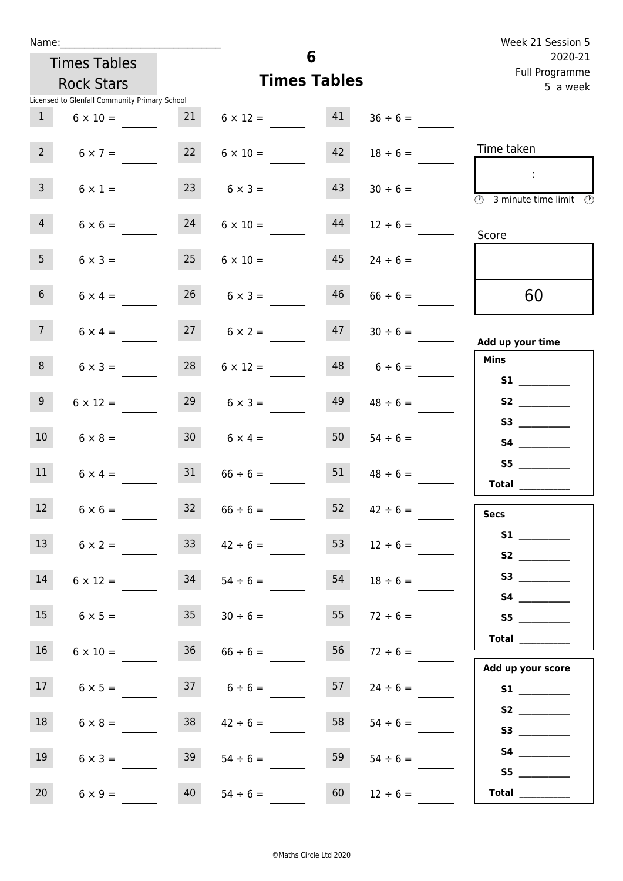| Week 21 Session 5                                                                               |               |                     |                      |                 |                                               | Name:           |  |  |
|-------------------------------------------------------------------------------------------------|---------------|---------------------|----------------------|-----------------|-----------------------------------------------|-----------------|--|--|
| 2020-21<br>Full Programme                                                                       |               | 6                   | <b>Times Tables</b>  |                 |                                               |                 |  |  |
| 5 a week                                                                                        |               | <b>Times Tables</b> | <b>Rock Stars</b>    |                 |                                               |                 |  |  |
|                                                                                                 |               |                     |                      |                 | Licensed to Glenfall Community Primary School |                 |  |  |
|                                                                                                 | $36 \div 6 =$ | 41                  | $6 \times 12 =$      | 21              | $6 \times 10 =$                               | $\mathbf{1}$    |  |  |
| Time taken                                                                                      | $18 \div 6 =$ | 42                  | $6 \times 10 =$      | 22              | $6 \times 7 =$                                | 2 <sup>7</sup>  |  |  |
| $\mathbb{C}^2$<br>$\overline{\textcircled{2}}$ 3 minute time limit $\overline{\textcircled{2}}$ | $30 \div 6 =$ | 43                  | $6 \times 3 =$       | 23              | $6 \times 1 =$                                | $\mathbf{3}$    |  |  |
| Score                                                                                           | $12 \div 6 =$ | 44                  | $6 \times 10 =$      | 24              | $6 \times 6 =$                                | $\overline{4}$  |  |  |
|                                                                                                 | $24 \div 6 =$ | 45                  | $6 \times 10 =$      | 25              | $6 \times 3 =$                                | 5 <sub>1</sub>  |  |  |
| 60                                                                                              | $66 \div 6 =$ | 46                  | $26 \t 6 \times 3 =$ |                 | $6 \times 4 =$                                | 6 <sup>1</sup>  |  |  |
| Add up your time                                                                                | $30 \div 6 =$ | 47                  | $27 \t 6 \times 2 =$ |                 | $6 \times 4 =$                                | 7 <sup>7</sup>  |  |  |
| <b>Mins</b>                                                                                     | $6 \div 6 =$  | 48                  | $6 \times 12 =$      | 28              | $6 \times 3 =$                                | 8               |  |  |
|                                                                                                 | $48 \div 6 =$ | 49                  | $6 \times 3 =$       | 29              | $6 \times 12 =$                               | 9               |  |  |
| <b>S4 S4</b>                                                                                    | $54 \div 6 =$ | 50                  | $6 \times 4 =$       | 30 <sup>1</sup> | $6 \times 8 =$                                | 10 <sup>°</sup> |  |  |
| S5<br><b>Total</b>                                                                              | $48 \div 6 =$ | 51                  | $66 \div 6 =$        | 31              | $6 \times 4 =$                                | 11              |  |  |
| <b>Secs</b>                                                                                     | $42 \div 6 =$ | 52                  | $66 \div 6 =$        | 32              | $6 \times 6 =$                                | 12              |  |  |
|                                                                                                 | $12 \div 6 =$ | 53                  | $42 \div 6 =$        | 33              | $6 \times 2 =$                                | 13              |  |  |
| S3                                                                                              | $18 \div 6 =$ | 54                  | $54 \div 6 =$        | 34              | $6 \times 12 =$                               | 14              |  |  |
| S5                                                                                              | $72 \div 6 =$ | 55                  | $30 \div 6 =$        | 35              | $6 \times 5 =$                                | 15              |  |  |
| <b>Total</b><br>Add up your score                                                               | $72 \div 6 =$ | 56                  | $66 \div 6 =$        | 36              | $6 \times 10 =$                               | 16              |  |  |
|                                                                                                 | $24 \div 6 =$ | 57                  | $37 \t 6 \div 6 =$   |                 | $6 \times 5 =$                                | 17 <sup>7</sup> |  |  |
| S2                                                                                              | $54 \div 6 =$ | 58                  | $42 \div 6 =$        | 38              | $6 \times 8 =$                                | 18              |  |  |
| S5                                                                                              | $54 \div 6 =$ | 59                  | $54 \div 6 =$        | 39              | $6 \times 3 =$                                | 19              |  |  |
| Total $\qquad$                                                                                  | $12 \div 6 =$ | 60                  | $54 \div 6 =$        | 40              | $6 \times 9 =$                                | 20              |  |  |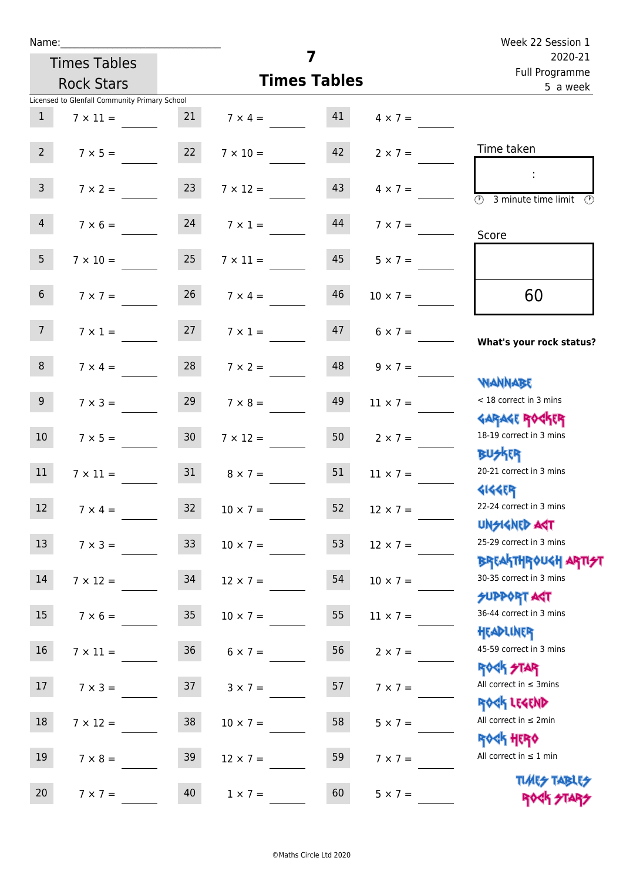| Name:           |                                               |                 |                                      | $\overline{\mathbf{z}}$   | Week 22 Session 1    |                                                          |
|-----------------|-----------------------------------------------|-----------------|--------------------------------------|---------------------------|----------------------|----------------------------------------------------------|
|                 | <b>Times Tables</b>                           |                 |                                      | 2020-21<br>Full Programme |                      |                                                          |
|                 | <b>Rock Stars</b>                             |                 | <b>Times Tables</b>                  | 5 a week                  |                      |                                                          |
|                 | Licensed to Glenfall Community Primary School |                 |                                      |                           |                      |                                                          |
| $\mathbf{1}$    |                                               |                 | $7 \times 11 =$ 21 $7 \times 4 =$ 41 |                           | $4 \times 7 =$       |                                                          |
| $2^{\circ}$     | $7 \times 5 = 22$                             |                 | $7 \times 10 = 42$                   |                           | $2 \times 7 =$       | Time taken                                               |
| 3 <sup>7</sup>  | $7 \times 2 =$                                | 23              | $7 \times 12 =$                      | 43                        | $4 \times 7 =$       | $\overline{\textcircled{1}}$ 3 minute time limit<br>O)   |
| $\overline{4}$  |                                               |                 | $7 \times 6 = 24$ $7 \times 1 =$     | 44                        | $7 \times 7 =$       | Score                                                    |
| 5 <sub>1</sub>  | $7 \times 10 =$                               | 25              | $7 \times 11 =$                      | 45                        | $5 \times 7 =$       |                                                          |
| 6 <sup>1</sup>  | $7 \times 7 =$                                | 26              | $7 \times 4 =$                       | 46                        | $10 \times 7 =$      | 60                                                       |
| 7 <sup>7</sup>  |                                               |                 | $7 \times 1 = 27$ $7 \times 1 =$     |                           | $47 \t 6 \times 7 =$ | What's your rock status?                                 |
| 8               | $7 \times 4 =$                                | 28              | $7 \times 2 =$                       | 48                        | $9 \times 7 =$       | <b>WANNABE</b>                                           |
| 9 <sub>o</sub>  | $7 \times 3 =$                                | 29              | $7 \times 8 =$                       | 49                        | $11 \times 7 =$      | < 18 correct in 3 mins<br><b>GARAGE ROCKER</b>           |
| 10 <sup>°</sup> | $7 \times 5 = 30$                             |                 | $7 \times 12 =$                      | 50                        | $2 \times 7 =$       | 18-19 correct in 3 mins<br><b>BU外界</b>                   |
| 11              | $7 \times 11 = 31$                            |                 | $8 \times 7 =$                       | 51                        | $11 \times 7 =$      | 20-21 correct in 3 mins<br><b>4144ER</b>                 |
| 12              | $7 \times 4 =$                                | 32              | $10 \times 7 =$                      | 52                        | $12 \times 7 =$      | 22-24 correct in 3 mins<br><b>UNSIGNED AGT</b>           |
| 13              | $7 \times 3 =$                                | 33 <sup>°</sup> | $10 \times 7 =$                      | 53                        | $12 \times 7 =$      | 25-29 correct in 3 mins<br><b>BREAKTHROUGH ARTIS</b>     |
| 14              | $7 \times 12 =$                               | 34              | $12 \times 7 =$                      | 54                        | $10 \times 7 =$      | 30-35 correct in 3 mins                                  |
| 15              | $7 \times 6 =$                                | 35              | $10 \times 7 =$                      | 55                        | $11 \times 7 =$      | <b>SUPPORT AGT</b><br>36-44 correct in 3 mins            |
| 16              | $7 \times 11 =$                               | 36 <sup>°</sup> | $6 \times 7 =$                       | 56                        | $2 \times 7 =$       | HEADLINER<br>45-59 correct in 3 mins<br><b>ROCK STAR</b> |
| 17              | $7 \times 3 =$                                | 37              | $3 \times 7 =$                       | 57                        | $7 \times 7 =$       | All correct in $\leq$ 3mins<br>ROCK LEGEND               |
| 18              | $7 \times 12 =$                               | 38              | $10 \times 7 =$                      | 58                        | $5 \times 7 =$       | All correct in $\leq 2$ min                              |
| 19              | $7 \times 8 =$                                | 39              | $12 \times 7 =$                      | 59                        | $7 \times 7 =$       | <b>ROCK HERO</b><br>All correct in $\leq 1$ min          |
| 20              | $7 \times 7 =$                                | 40              | $1 \times 7 =$                       | 60                        | $5 \times 7 =$       | <b>TUARS TABLES</b><br>ROCK STARS                        |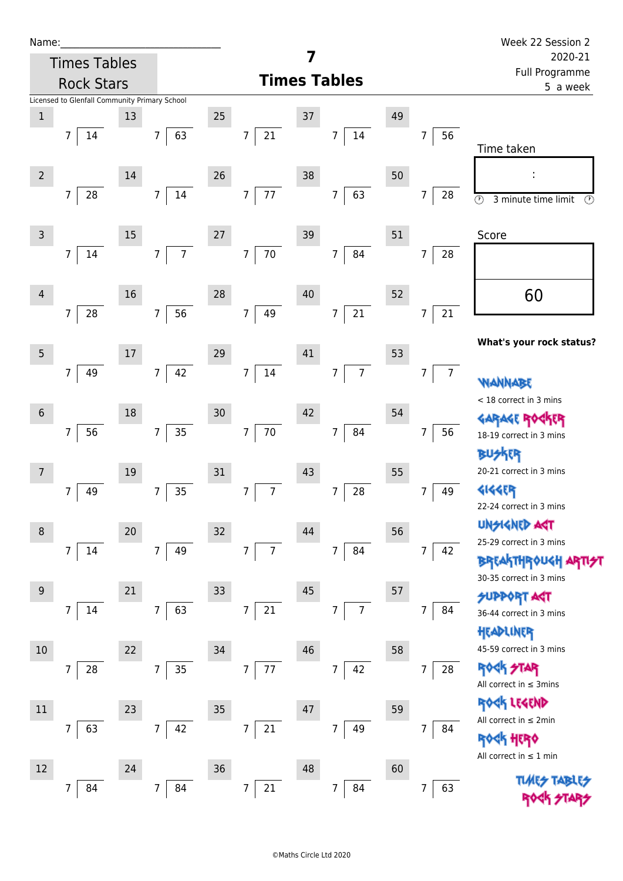| Name:               |                                                                       |    |                                  |    |                                   |    |                          |                           |                     | Week 22 Session 2                                                                                       |
|---------------------|-----------------------------------------------------------------------|----|----------------------------------|----|-----------------------------------|----|--------------------------|---------------------------|---------------------|---------------------------------------------------------------------------------------------------------|
| <b>Times Tables</b> |                                                                       |    |                                  |    |                                   | 7  |                          | 2020-21<br>Full Programme |                     |                                                                                                         |
|                     | <b>Rock Stars</b>                                                     |    |                                  |    |                                   |    | <b>Times Tables</b>      |                           |                     | 5 a week                                                                                                |
| $\,1$               | Licensed to Glenfall Community Primary School<br>$\overline{7}$<br>14 | 13 | 63<br>$\overline{7}$             | 25 | $\overline{7}$<br>21              | 37 | 14<br>$\overline{7}$     | 49                        | 56<br>7             | Time taken                                                                                              |
| $\overline{2}$      | 28<br>$\overline{7}$                                                  | 14 | 14<br>7 <sup>1</sup>             | 26 | 77<br>$\overline{7}$              | 38 | 63<br>$\overline{7}$     | 50                        | 28<br>7             | $\odot$<br>$\mathcal{C}$<br>3 minute time limit                                                         |
| $\mathsf{3}$        | 7<br>14                                                               | 15 | $\overline{7}$<br>$\overline{7}$ | 27 | $70\,$<br>$\overline{7}$          | 39 | 84<br>$\overline{7}$     | 51                        | 7<br>28             | Score                                                                                                   |
| $\overline{4}$      | 28<br>7                                                               | 16 | 56<br>7 <sup>7</sup>             | 28 | $\overline{7}$<br>49              | 40 | $21\,$<br>$\overline{7}$ | 52                        | $21\,$<br>7         | 60                                                                                                      |
| $\sqrt{5}$          | 7<br>49                                                               | 17 | 42<br>$\overline{7}$             | 29 | $\overline{7}$<br>$14\,$          | 41 | $\overline{7}$<br>7      | 53                        | $\overline{7}$<br>7 | What's your rock status?<br>WANNABE                                                                     |
| $\,$ 6 $\,$         | 56<br>7                                                               | 18 | 35<br>$\overline{7}$             | 30 | $70\,$<br>$\overline{7}$          | 42 | 84<br>$7\overline{ }$    | 54                        | 7<br>56             | < 18 correct in 3 mins<br>18-19 correct in 3 mins<br><b>BUSKER</b>                                      |
| $\overline{7}$      | 7<br>49                                                               | 19 | 35<br>7                          | 31 | $7\overline{ }$<br>$\overline{7}$ | 43 | 28<br>7                  | 55                        | 49<br>7             | 20-21 correct in 3 mins<br><b>4144EP</b><br>22-24 correct in 3 mins                                     |
| $\,8\,$             | $\overline{7}$<br>14                                                  | 20 | 49<br>$\overline{7}$             | 32 | $\overline{7}$<br>$\overline{7}$  | 44 | 84<br>$\overline{7}$     | 56                        | 7<br>42             | <b>UNGIGNED ART</b><br>25-29 correct in 3 mins<br><b>BREAKTHROUGH ARTIST</b><br>30-35 correct in 3 mins |
| $9\,$               | $\overline{7}$<br>14                                                  | 21 | 63<br>7 <sup>1</sup>             | 33 | 21<br>$\overline{7}$              | 45 | $\overline{7}$<br>7      | 57                        | 7<br>84             | <b>SUPPORT AST</b><br>36-44 correct in 3 mins<br>HEADLINER                                              |
| $10\,$              | 7<br>28                                                               | 22 | 35<br>$\overline{7}$             | 34 | $\overline{7}$<br>$77\,$          | 46 | 42<br>7                  | 58                        | 7<br>28             | 45-59 correct in 3 mins<br><b>ROCK STAR</b><br>All correct in $\leq$ 3mins<br>LESEND                    |
| $11\,$              | 63<br>$\overline{7}$                                                  | 23 | 42<br>$\overline{7}$             | 35 | 21<br>$\overline{7}$              | 47 | 49<br>$7\overline{ }$    | 59                        | 7<br>84             | All correct in $\leq 2$ min<br><b>ROCK HERO</b><br>All correct in $\leq 1$ min                          |
| 12                  | 84<br>7                                                               | 24 | 84<br>$\overline{7}$             | 36 | 21<br>7                           | 48 | 84<br>$\overline{7}$     | 60                        | 7<br>63             | <b>TLARS</b>                                                                                            |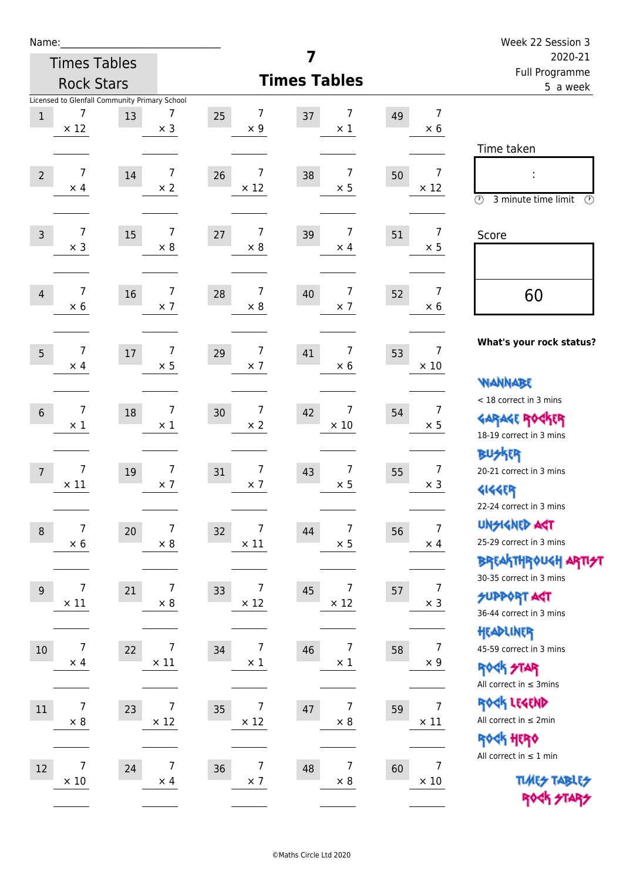| Name:            |                                               |        |                              |    |                              |                                    |                           |                                 | Week 22 Session 3                                                                           |
|------------------|-----------------------------------------------|--------|------------------------------|----|------------------------------|------------------------------------|---------------------------|---------------------------------|---------------------------------------------------------------------------------------------|
|                  | <b>Times Tables</b>                           |        |                              |    |                              | 7                                  | 2020-21<br>Full Programme |                                 |                                                                                             |
|                  | <b>Rock Stars</b>                             |        |                              |    |                              | <b>Times Tables</b>                |                           |                                 | 5 a week                                                                                    |
|                  | Licensed to Glenfall Community Primary School |        |                              |    |                              |                                    |                           |                                 |                                                                                             |
| $1\,$            | $\overline{7}$<br>$\times$ 12                 | 13     | 7<br>$\times$ 3              | 25 | 7<br>$\times$ 9              | 7<br>37<br>$\times$ 1              | 49                        | $\overline{7}$<br>$\times$ 6    |                                                                                             |
|                  |                                               |        |                              |    |                              |                                    |                           |                                 | Time taken                                                                                  |
| $\overline{2}$   | 7<br>$\times$ 4                               | $14\,$ | 7<br>$\times$ 2              | 26 | 7<br>$\times$ 12             | $\overline{7}$<br>38<br>$\times$ 5 | 50                        | $\overline{7}$<br>$\times$ 12   | ÷<br>$\circled{r}$<br>3 minute time limit<br>$(\mathcal{P})$                                |
| $\overline{3}$   | $\overline{7}$<br>$\times$ 3                  | 15     | $\overline{7}$<br>$\times 8$ | 27 | $\overline{7}$<br>$\times 8$ | $\overline{7}$<br>39<br>$\times$ 4 | 51                        | $\overline{7}$<br>$\times$ 5    | Score                                                                                       |
| 4                | $\overline{7}$<br>$\times$ 6                  | 16     | $\overline{7}$<br>$\times$ 7 | 28 | 7<br>$\times$ 8              | $\overline{7}$<br>40<br>$\times$ 7 | 52                        | $\overline{7}$<br>$\times 6$    | 60                                                                                          |
| 5                | $\overline{7}$<br>$\times$ 4                  | $17\,$ | $\overline{7}$<br>$\times$ 5 | 29 | $\overline{7}$<br>$\times$ 7 | $\overline{7}$<br>41<br>$\times 6$ | 53                        | $\overline{7}$<br>$\times$ 10   | What's your rock status?                                                                    |
| $6\phantom{1}$   | 7<br>$\times$ 1                               | 18     | $\overline{7}$<br>$\times$ 1 | 30 | 7<br>$\times$ 2              | 7<br>42<br>$\times$ 10             | 54                        | 7<br>$\times$ 5                 | <b>WANNABE</b><br>< 18 correct in 3 mins<br><b>GARAGE ROCKER</b><br>18-19 correct in 3 mins |
| $\overline{7}$   | $\overline{7}$<br>$\times$ 11                 | 19     | $\overline{7}$<br>$\times$ 7 | 31 | 7<br>$\times$ 7              | $\overline{7}$<br>43<br>$\times$ 5 | 55                        | $\overline{7}$<br>$\times$ 3    | <b>BUSKER</b><br>20-21 correct in 3 mins<br>41445<br>22-24 correct in 3 mins                |
| $\boldsymbol{8}$ | 7<br>$\times$ 6                               | 20     | $\overline{7}$<br>$\times$ 8 | 32 | 7<br>$\times$ 11             | 7<br>44<br>$\times$ 5              | 56                        | $\overline{7}$<br>$\times$ 4    | <b>UNSIGNED AGT</b><br>25-29 correct in 3 mins<br><b>BREAKTHROUGH ARTI<del>S</del>T</b>     |
| $\boldsymbol{9}$ | $\overline{7}$<br>$\times$ 11                 | 21     | 7<br>$\times 8$              | 33 | 7<br>$\times$ 12             | 7<br>45<br>$\times$ 12             | 57                        | 7<br>$\times$ 3                 | 30-35 correct in 3 mins<br><b>SUPPORT AST</b><br>36-44 correct in 3 mins                    |
| $10$             | 7<br>$\times$ 4                               | 22     | 7<br>$\times$ 11             | 34 | 7<br>$\times$ 1              | 7<br>46<br>$\times$ 1              | 58                        | 7<br>$\times$ 9                 | HEADLINER<br>45-59 correct in 3 mins<br><b>ROGH STAR</b><br>All correct in $\leq$ 3mins     |
| $11\,$           | 7<br>$\times$ 8                               | 23     | 7<br>$\times$ 12             | 35 | 7<br>$\times$ 12             | 7<br>47<br>$\times$ 8              | 59                        | $\boldsymbol{7}$<br>$\times$ 11 | ROCK LEGEND<br>All correct in $\leq 2$ min<br>ROCK HERO                                     |
| 12               | 7<br>$\times$ 10                              | 24     | $\overline{7}$<br>$\times$ 4 | 36 | $\overline{7}$<br>$\times$ 7 | $\overline{7}$<br>48<br>$\times$ 8 | 60                        | $\overline{7}$<br>$\times$ 10   | All correct in $\leq 1$ min<br><b>TUARS TABLES</b><br>ROCK STARS                            |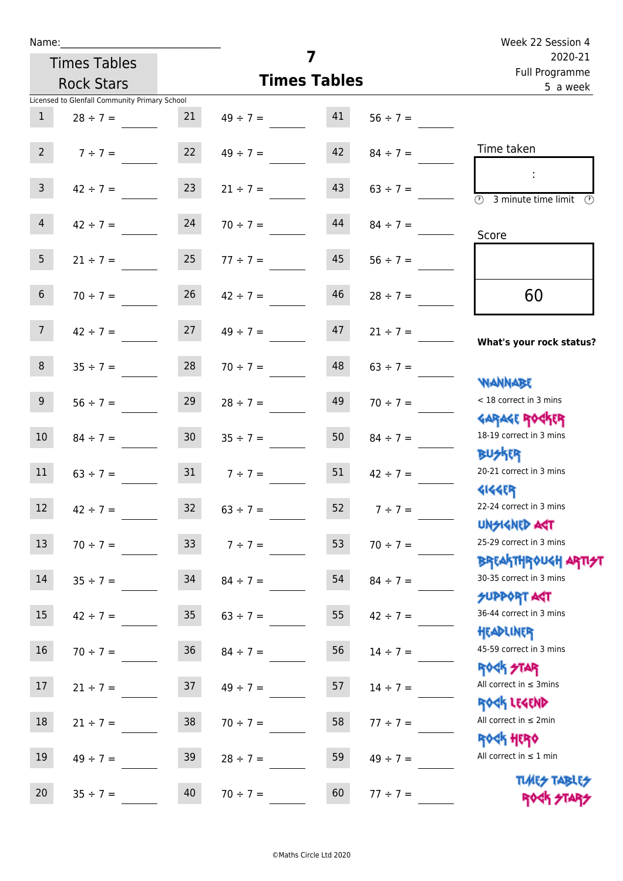| Name:            |                                               |                 |                                | Week 22 Session 4         |               |                                                                  |
|------------------|-----------------------------------------------|-----------------|--------------------------------|---------------------------|---------------|------------------------------------------------------------------|
|                  | <b>Times Tables</b>                           |                 | 7                              | 2020-21<br>Full Programme |               |                                                                  |
|                  | <b>Rock Stars</b>                             |                 | <b>Times Tables</b>            | 5 a week                  |               |                                                                  |
|                  | Licensed to Glenfall Community Primary School |                 |                                |                           |               |                                                                  |
| $\mathbf{1}$     | $28 \div 7 =$                                 | 21              | $49 \div 7 = 41$               |                           | $56 \div 7 =$ |                                                                  |
|                  | 2 $7 \div 7 =$ 22 $49 \div 7 =$               |                 |                                | 42                        | $84 \div 7 =$ | Time taken                                                       |
| 3 <sup>7</sup>   | $42 \div 7 =$                                 | 23              | $21 \div 7 =$                  | 43                        | $63 \div 7 =$ | $\overline{(\mathcal{V})}$<br>3 minute time limit                |
| 4                | $42 \div 7 =$                                 | 24              | $70 \div 7 =$                  | 44                        |               | Score                                                            |
| 5 <sub>1</sub>   |                                               |                 | $21 \div 7 = 25$ $77 \div 7 =$ | 45                        | $56 \div 7 =$ |                                                                  |
| 6 <sup>1</sup>   | $70 \div 7 =$                                 | 26              | $42 \div 7 =$                  | 46                        | $28 \div 7 =$ | 60                                                               |
| 7 <sup>7</sup>   |                                               |                 | $42 \div 7 = 27$ $49 \div 7 =$ | 47                        | $21 \div 7 =$ | What's your rock status?                                         |
| 8 <sup>1</sup>   |                                               |                 | $35 \div 7 = 28$ $70 \div 7 =$ | 48                        | $63 \div 7 =$ |                                                                  |
| 9                | $56 \div 7 =$                                 | 29              | $28 \div 7 =$                  | 49                        | $70 \div 7 =$ | <b>NANNABE</b><br>< 18 correct in 3 mins<br><b>GARAGE ROCKER</b> |
| 10 <sup>°</sup>  | $84 \div 7 =$                                 | 30              | $35 \div 7 =$                  | 50                        | $84 \div 7 =$ | 18-19 correct in 3 mins<br><b>BUSKR</b>                          |
| 11               |                                               |                 | $63 \div 7 =$ 31 $7 \div 7 =$  | 51                        | $42 \div 7 =$ | 20-21 correct in 3 mins<br><b>4144EP</b>                         |
| 12               | $42 \div 7 =$                                 | 32              | $63 \div 7 =$                  | 52                        | $7 ÷ 7 =$     | 22-24 correct in 3 mins<br><b>UNSIGNED AGT</b>                   |
| 13               | $70 \div 7 =$                                 | 33 <sup>°</sup> | $7 ÷ 7 =$                      | 53                        | $70 \div 7 =$ | 25-29 correct in 3 mins                                          |
| 14               | $35 ÷ 7 =$                                    | 34              | $84 \div 7 =$                  | 54                        | $84 \div 7 =$ | <b>BREAKTHROUGH ARTH</b><br>30-35 correct in 3 mins              |
| 15 <sub>15</sub> | $42 \div 7 =$                                 | 35              | $63 \div 7 =$                  | 55                        | $42 \div 7 =$ | <b>SUPPORT AGT</b><br>36-44 correct in 3 mins<br>HEADLINER       |
| 16               | $70 \div 7 =$                                 | 36              | $84 \div 7 =$                  | 56                        | $14 \div 7 =$ | 45-59 correct in 3 mins<br><b>ROCK STAR</b>                      |
| 17               | $21 \div 7 =$                                 | 37              | $49 \div 7 =$                  | 57                        | $14 \div 7 =$ | All correct in $\leq$ 3mins<br>ROCK LEGEND                       |
| 18               | $21 \div 7 =$                                 | 38              | $70 \div 7 =$                  | 58                        | $77 \div 7 =$ | All correct in $\leq 2$ min<br><b>ROCK HERO</b>                  |
| 19               | $49 \div 7 =$                                 | 39              | $28 \div 7 =$                  | 59                        | $49 \div 7 =$ | All correct in $\leq 1$ min                                      |
| 20               | $35 ÷ 7 =$                                    | 40              | $70 \div 7 =$                  | 60                        | $77 ÷ 7 =$    | <b>TUARS TABLES</b><br>ROCK STARS                                |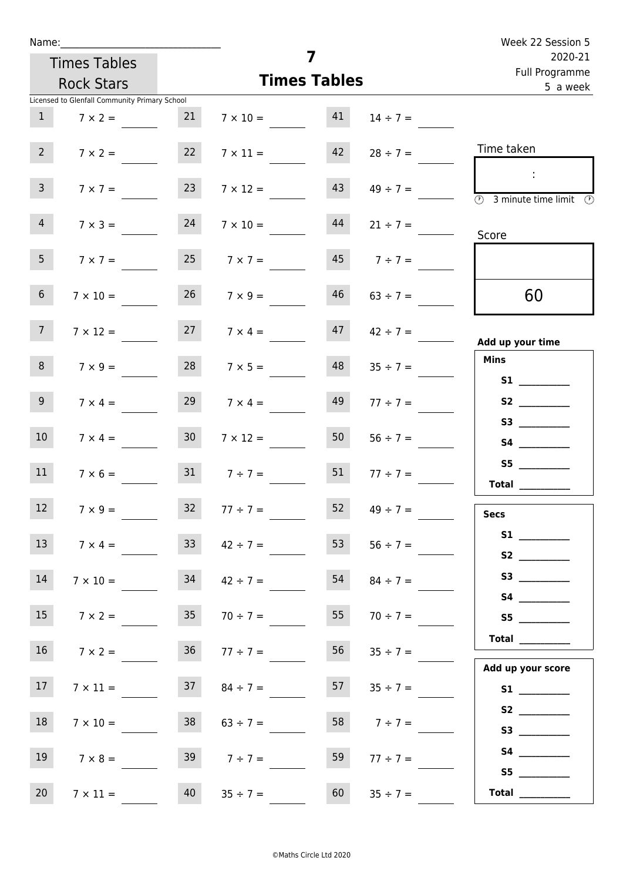| Name:                                         |                      |                          |                     | Week 22 Session 5<br>2020-21                                                               |  |  |  |  |  |
|-----------------------------------------------|----------------------|--------------------------|---------------------|--------------------------------------------------------------------------------------------|--|--|--|--|--|
| <b>Times Tables</b>                           |                      | 7<br><b>Times Tables</b> |                     |                                                                                            |  |  |  |  |  |
| <b>Rock Stars</b>                             |                      |                          |                     |                                                                                            |  |  |  |  |  |
| Licensed to Glenfall Community Primary School |                      |                          |                     | 5 a week                                                                                   |  |  |  |  |  |
| $\mathbf{1}$<br>$7 \times 2 =$                | 21                   | 41<br>$7 \times 10 =$    | $14 \div 7 =$       |                                                                                            |  |  |  |  |  |
| $2^{\circ}$<br>$7 \times 2 =$                 | 22                   | 42<br>$7 \times 11 =$    | $28 \div 7 =$       | Time taken                                                                                 |  |  |  |  |  |
| $\overline{3}$<br>$7 \times 7 =$              | 23                   | 43<br>$7 \times 12 =$    | $49 \div 7 =$       | $\sim 10$<br>$\overline{\textcircled{1}}$ 3 minute time limit $\overline{\textcircled{1}}$ |  |  |  |  |  |
| $\overline{4}$<br>$7 \times 3 =$              | 24                   | 44<br>$7 \times 10 =$    | $21 \div 7 =$       | Score                                                                                      |  |  |  |  |  |
| 5 <sub>1</sub><br>$7 \times 7 =$              | 25                   | 45<br>$7 \times 7 =$     | $7 ÷ 7 =$           |                                                                                            |  |  |  |  |  |
| 6 <sup>1</sup><br>$7 \times 10 =$             | 26                   | 46<br>$7 \times 9 =$     | $63 \div 7 =$       | 60                                                                                         |  |  |  |  |  |
| 7 <sup>7</sup><br>$7 \times 12 =$             | $27 \t 7 \times 4 =$ |                          | $47 \t 42 \div 7 =$ | Add up your time                                                                           |  |  |  |  |  |
| 8<br>$7 \times 9 =$                           | 28                   | 48<br>$7 \times 5 =$     | $35 \div 7 =$       | <b>Mins</b><br><b>S1 S1</b>                                                                |  |  |  |  |  |
| 9 <sub>o</sub><br>$7 \times 4 =$              | 29                   | 49<br>$7 \times 4 =$     | $77 \div 7 =$       |                                                                                            |  |  |  |  |  |
| 10 <sup>°</sup><br>$7 \times 4 =$             | 30 <sup>1</sup>      | 50<br>$7 \times 12 =$    | $56 \div 7 =$       | S3<br><b>S4 S4</b>                                                                         |  |  |  |  |  |
| 11<br>$7 \times 6 =$                          | $31 \t 7 \div 7 =$   | 51                       | $77 \div 7 =$       | <b>Total</b> _________                                                                     |  |  |  |  |  |
| 12<br>$7 \times 9 =$                          | $\frac{32}{2}$       | 52<br>$77 ÷ 7 =$         | $49 \div 7 =$       | <b>Secs</b>                                                                                |  |  |  |  |  |
| 13<br>$7 \times 4 =$                          | 33                   | 53<br>$42 \div 7 =$      | $56 \div 7 =$       | S2                                                                                         |  |  |  |  |  |
| 14<br>$7 \times 10 =$                         | 34                   | 54<br>$42 \div 7 =$      | $84 \div 7 =$       |                                                                                            |  |  |  |  |  |
| 15 <sub>1</sub><br>$7 \times 2 =$             | 35                   | 55<br>$70 \div 7 =$      | $70 \div 7 =$       | S5                                                                                         |  |  |  |  |  |
| 16<br>$7 \times 2 =$                          | $36 \t 77 \div 7 =$  | 56                       | $35 \div 7 =$       | Total                                                                                      |  |  |  |  |  |
| 17<br>$7 \times 11 =$                         | 37                   | 57<br>$84 \div 7 =$      | $35 \div 7 =$       | Add up your score<br><b>S1 S1</b>                                                          |  |  |  |  |  |
| 18<br>$7 \times 10 =$                         | 38                   | 58<br>$63 \div 7 =$      | $7 ÷ 7 =$           |                                                                                            |  |  |  |  |  |
| 19<br>$7 \times 8 =$                          | 39                   | 59<br>$7 ÷ 7 =$          | $77 \div 7 =$       | S5                                                                                         |  |  |  |  |  |
| 20<br>$7 \times 11 =$                         | 40<br>$35 ÷ 7 =$     | 60                       | $35 ÷ 7 =$          | Total $\qquad$                                                                             |  |  |  |  |  |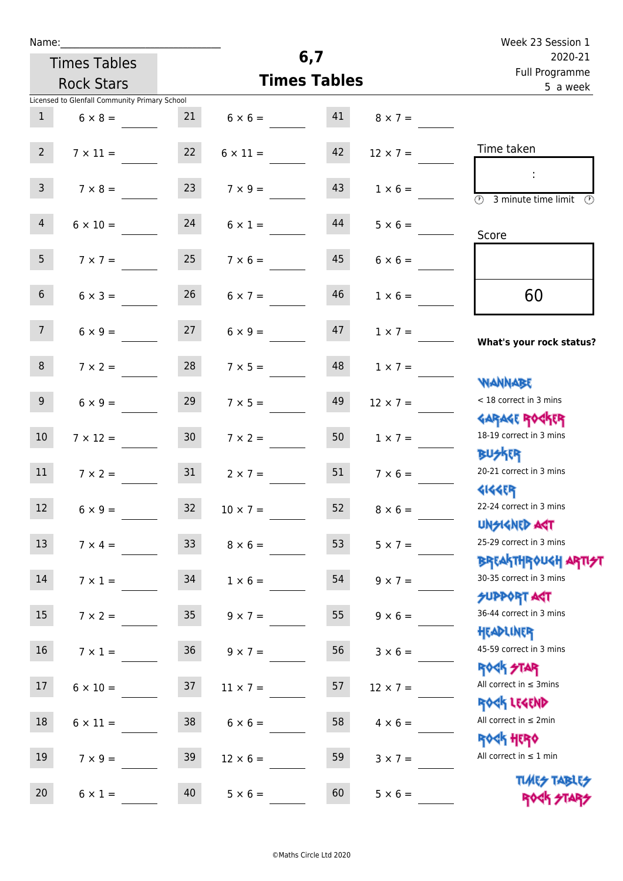| Name:           |                                               |                 |                      | 6,7                       |                 | Week 23 Session 1                                                |
|-----------------|-----------------------------------------------|-----------------|----------------------|---------------------------|-----------------|------------------------------------------------------------------|
|                 | <b>Times Tables</b>                           |                 |                      | 2020-21<br>Full Programme |                 |                                                                  |
|                 | <b>Rock Stars</b>                             |                 | <b>Times Tables</b>  | 5 a week                  |                 |                                                                  |
|                 | Licensed to Glenfall Community Primary School |                 |                      |                           |                 |                                                                  |
| $\mathbf{1}$    | $6 \times 8 =$                                |                 | 21 $6 \times 6 =$ 41 |                           | $8 \times 7 =$  |                                                                  |
| $2^{\circ}$     | $7 \times 11 =$                               | 22              | $6 \times 11 =$      | 42                        | $12 \times 7 =$ | Time taken                                                       |
| 3 <sup>7</sup>  | $7 \times 8 =$                                | 23              | $7 \times 9 =$       | 43                        | $1 \times 6 =$  | $\overline{(\mathcal{V})}$<br>3 minute time limit<br>(V)         |
| $\overline{4}$  | $6 \times 10 = 24$                            |                 | $6 \times 1 =$       | 44                        | $5 \times 6 =$  | Score                                                            |
| 5 <sup>5</sup>  | $7 \times 7 =$                                | 25              | $7 \times 6 =$       | 45                        | $6 \times 6 =$  |                                                                  |
| 6 <sup>1</sup>  | $6 \times 3 =$                                | 26              | $6 \times 7 =$       | 46                        | $1 \times 6 =$  | 60                                                               |
| 7 <sup>7</sup>  | $6 \times 9 = 27$                             |                 | $6 \times 9 =$       | 47                        | $1 \times 7 =$  | What's your rock status?                                         |
| 8               | $7 \times 2 =$                                | 28              | $7 \times 5 =$       | 48                        | $1 \times 7 =$  | <b>NANNABE</b>                                                   |
| 9 <sub>o</sub>  | $6 \times 9 =$                                | 29              | $7 \times 5 =$       | 49                        | $12 \times 7 =$ | < 18 correct in 3 mins<br><b>GARAGE ROCKER</b>                   |
| 10 <sup>°</sup> | $7 \times 12 =$                               | 30 <sub>1</sub> | $7 \times 2 =$       | 50                        | $1 \times 7 =$  | 18-19 correct in 3 mins<br><b>BUSKRA</b>                         |
| 11              | $7 \times 2 =$                                | 31              | $2 \times 7 =$       | 51                        | $7 \times 6 =$  | 20-21 correct in 3 mins<br><b>4144ER</b>                         |
| 12              | $6 \times 9 =$                                | 32              | $10 \times 7 =$      | 52                        | $8 \times 6 =$  | 22-24 correct in 3 mins<br><b>UNSIGNED AGT</b>                   |
| 13              | $7 \times 4 =$                                | 33 <sup>°</sup> | $8 \times 6 =$       | 53                        | $5 \times 7 =$  | 25-29 correct in 3 mins<br><b>BREAKTHROUGH ARTI<del>S</del>T</b> |
| 14              | $7 \times 1 =$                                | 34              | $1 \times 6 =$       | 54                        | $9 \times 7 =$  | 30-35 correct in 3 mins<br><b>SUPPORT ART</b>                    |
| 15              | $7 \times 2 =$                                | 35              | $9 \times 7 =$       | 55                        | $9 \times 6 =$  | 36-44 correct in 3 mins<br>HEADLINER                             |
| 16              | $7 \times 1 =$                                | 36              | $9 \times 7 =$       | 56                        | $3 \times 6 =$  | 45-59 correct in 3 mins<br><b>ROCK STAR</b>                      |
| 17              | $6 \times 10 =$                               | 37              | $11 \times 7 =$      | 57                        | $12 \times 7 =$ | All correct in $\leq$ 3mins<br>ROCK LEGEND                       |
| 18              | $6 \times 11 =$                               | 38              | $6 \times 6 =$       | 58                        | $4 \times 6 =$  | All correct in $\leq 2$ min<br><b>ROCK HERO</b>                  |
| 19              | $7 \times 9 =$                                | 39              | $12 \times 6 =$      | 59                        | $3 \times 7 =$  | All correct in $\leq 1$ min                                      |
| 20              | $6 \times 1 =$                                | 40              | $5 \times 6 =$       | 60                        | $5 \times 6 =$  | <b>TUARS TABLES</b><br>ROCK STARS                                |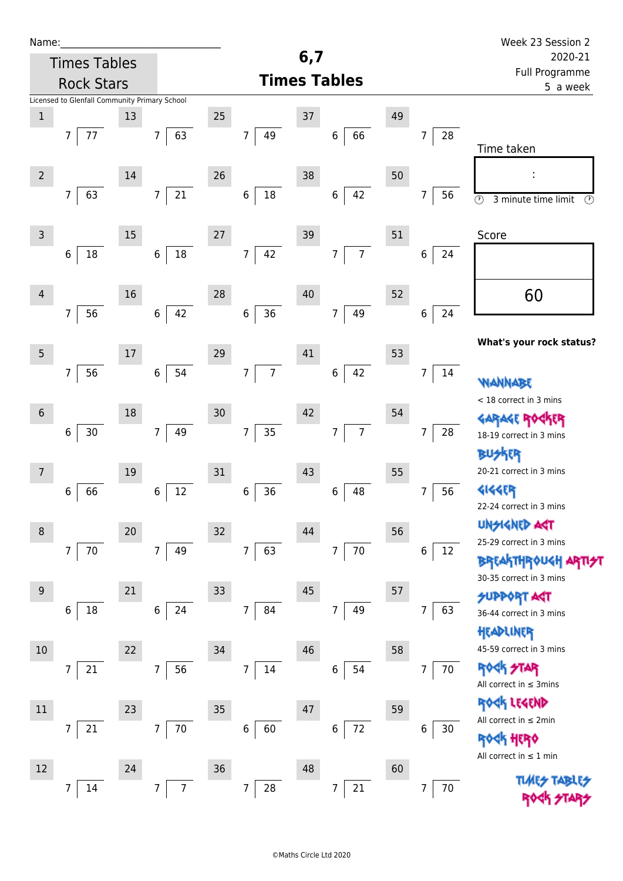| Name:          |                                               |        |                      |    |                                    |        |                          |    |                      | Week 23 Session 2                                                      |  |
|----------------|-----------------------------------------------|--------|----------------------|----|------------------------------------|--------|--------------------------|----|----------------------|------------------------------------------------------------------------|--|
|                | <b>Times Tables</b>                           |        |                      |    |                                    | 6,7    |                          |    |                      | 2020-21                                                                |  |
|                | <b>Rock Stars</b>                             |        |                      |    |                                    |        | <b>Times Tables</b>      |    |                      | Full Programme<br>5 a week                                             |  |
|                | Licensed to Glenfall Community Primary School |        |                      |    |                                    |        |                          |    |                      |                                                                        |  |
| $\mathbf 1$    |                                               | 13     |                      | 25 |                                    | 37     |                          | 49 |                      |                                                                        |  |
|                | 77<br>$\overline{7}$                          |        | 63<br>$\overline{7}$ |    | 49<br>$\overline{7}$               |        | 66<br>$\,$ 6 $\,$        |    | 28<br>7              | Time taken                                                             |  |
| $\overline{2}$ |                                               | $14\,$ |                      | 26 |                                    | 38     |                          | 50 |                      |                                                                        |  |
|                | $\overline{7}$<br>63                          |        | 21<br>$\overline{7}$ |    | $18\,$<br>$\,6$                    |        | 42<br>$\,$ 6 $\,$        |    | 7<br>56              | $\overline{\circlearrowright}$<br>$\circled{r}$<br>3 minute time limit |  |
| $\mathsf{3}$   |                                               | 15     |                      | 27 |                                    | 39     |                          | 51 |                      | Score                                                                  |  |
|                | 18<br>6                                       |        | 18<br>$\,6\,$        |    | $\overline{7}$<br>42               |        | $\overline{7}$<br>7      |    | 6<br>24              |                                                                        |  |
| $\overline{4}$ |                                               | 16     |                      | 28 |                                    | 40     |                          | 52 |                      | 60                                                                     |  |
|                | 56<br>$7\overline{ }$                         |        | 42<br>$\,6\,$        |    | 36<br>$\boldsymbol{6}$             |        | 49<br>$\overline{7}$     |    | 6<br>24              | What's your rock status?                                               |  |
| $\overline{5}$ |                                               | 17     |                      | 29 |                                    | 41     |                          | 53 |                      |                                                                        |  |
|                | $\overline{7}$<br>56                          |        | 54<br>$\,6\,$        |    | $\overline{7}$<br>$\boldsymbol{7}$ |        | 42<br>$\,6\,$            |    | $\overline{7}$<br>14 | WANNABE                                                                |  |
| $6\,$          |                                               | 18     |                      | 30 |                                    | 42     |                          | 54 |                      | < 18 correct in 3 mins                                                 |  |
|                | 30<br>$6\phantom{.}$                          |        | 49<br>$\overline{7}$ |    | 35<br>$\boldsymbol{7}$             |        | $\overline{7}$<br>7      |    | 28<br>7              | <b>GARAGE RO</b><br>18-19 correct in 3 mins                            |  |
| 7              |                                               | 19     |                      | 31 |                                    | 43     |                          | 55 |                      | <b>BUSKER</b><br>20-21 correct in 3 mins                               |  |
|                | 66<br>6                                       |        | 12<br>6              |    | 36<br>6                            |        | 48<br>6                  |    | 56<br>7              | <b>4144EP</b><br>22-24 correct in 3 mins                               |  |
| $\,8\,$        |                                               | $20\,$ |                      | 32 |                                    | 44     |                          | 56 |                      | <b>UNSIGNED AST</b>                                                    |  |
|                | $\overline{7}$<br>70                          |        | $\overline{7}$<br>49 |    | $\overline{7}$<br>63               |        | $70\,$<br>$\overline{7}$ |    | 12<br>6              | 25-29 correct in 3 mins                                                |  |
|                |                                               |        |                      |    |                                    |        |                          |    |                      | <b>BREAKTHROUGH ARTI<del>S</del>T</b><br>30-35 correct in 3 mins       |  |
| $9$            |                                               | 21     |                      | 33 |                                    | $45\,$ |                          | 57 |                      | <b>SUPPORT AGT</b>                                                     |  |
|                | $18\,$<br>6                                   |        | 24<br>$\,6\,$        |    | $\overline{7}$<br>84               |        | 49<br>$\overline{7}$     |    | 63<br>7              | 36-44 correct in 3 mins<br>HEADLINER                                   |  |
| 10             |                                               | 22     |                      | 34 |                                    | 46     |                          | 58 |                      | 45-59 correct in 3 mins                                                |  |
|                | 7<br>21                                       |        | 56<br>$\overline{7}$ |    | $\overline{7}$<br>14               |        | 6<br>54                  |    | 70<br>$\overline{7}$ | <b>ROCK STAR</b><br>All correct in $\leq$ 3mins                        |  |
| 11             |                                               | 23     |                      | 35 |                                    | 47     |                          | 59 |                      | ROCK LEGEND                                                            |  |
|                | 21<br>$\overline{7}$                          |        | $\overline{7}$<br>70 |    | $\,6$<br>60                        |        | 72<br>6                  |    | 6<br>30              | All correct in $\leq 2$ min                                            |  |
| 12             |                                               | 24     |                      | 36 |                                    | 48     |                          | 60 |                      | <b>ROGK HERO</b><br>All correct in $\leq 1$ min                        |  |
|                | 14<br>7                                       |        | $\overline{7}$<br>7  |    | $\overline{7}$<br>28               |        | 7                        |    | 70                   |                                                                        |  |
|                |                                               |        |                      |    |                                    |        | $21\,$                   |    | 7                    |                                                                        |  |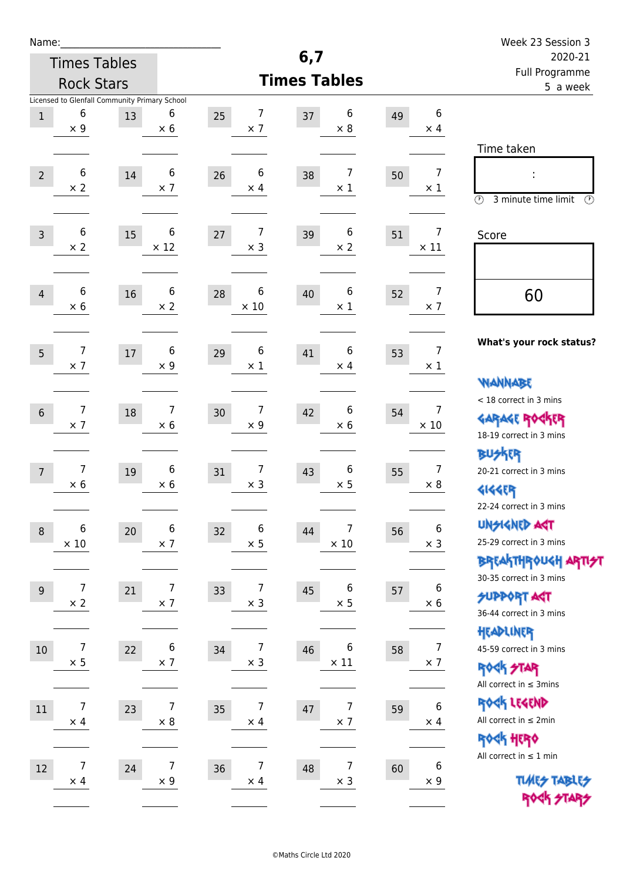| Name:          |                                                                  |    |                  |                        |                                    |    |                               | Week 23 Session 3                                                                               |  |
|----------------|------------------------------------------------------------------|----|------------------|------------------------|------------------------------------|----|-------------------------------|-------------------------------------------------------------------------------------------------|--|
|                | <b>Times Tables</b>                                              |    |                  |                        | 6,7                                |    |                               | 2020-21                                                                                         |  |
|                | <b>Rock Stars</b>                                                |    |                  |                        | <b>Times Tables</b>                |    |                               | Full Programme<br>5 a week                                                                      |  |
| $1\,$          | Licensed to Glenfall Community Primary School<br>6<br>$\times$ 9 | 13 | 6<br>$\times 6$  | 7<br>25<br>$\times$ 7  | 6<br>37<br>$\times$ 8              | 49 | 6<br>$\times$ 4               | Time taken                                                                                      |  |
| $\overline{2}$ | 6<br>$\times 2$                                                  | 14 | 6<br>$\times$ 7  | 6<br>26<br>$\times$ 4  | 7<br>38<br>$\times$ 1              | 50 | 7<br>$\times 1$               | t,<br>$\circledcirc$<br>3 minute time limit<br>$\mathcal{O}$                                    |  |
| $\overline{3}$ | 6<br>$\times$ 2                                                  | 15 | 6<br>$\times$ 12 | 7<br>27<br>$\times$ 3  | 6<br>39<br>$\times 2$              | 51 | 7<br>$\times$ 11              | Score                                                                                           |  |
| $\overline{4}$ | 6<br>$\times$ 6                                                  | 16 | 6<br>$\times 2$  | 6<br>28<br>$\times$ 10 | 6<br>40<br>$\times$ 1              | 52 | 7<br>$\times$ 7               | 60                                                                                              |  |
| 5              | $\overline{7}$<br>$\times$ 7                                     | 17 | 6<br>$\times$ 9  | 6<br>29<br>$\times$ 1  | 6<br>41<br>$\times$ 4              | 53 | $\overline{7}$<br>$\times$ 1  | What's your rock status?<br><b>WANNABE</b>                                                      |  |
| $6\,$          | $\overline{7}$<br>$\times$ 7                                     | 18 | 7<br>$\times$ 6  | 7<br>30<br>$\times$ 9  | 6<br>42<br>$\times$ 6              | 54 | $\overline{7}$<br>$\times$ 10 | < 18 correct in 3 mins<br><b>GARAGE ROGKER</b><br>18-19 correct in 3 mins                       |  |
| $\overline{7}$ | $\overline{7}$<br>$\times$ 6                                     | 19 | 6<br>$\times 6$  | 7<br>31<br>$\times$ 3  | 6<br>43<br>$\times$ 5              | 55 | $\overline{7}$<br>$\times 8$  | <b>BUSKER</b><br>20-21 correct in 3 mins<br><b>4144EP</b><br>22-24 correct in 3 mins            |  |
| $\,8\,$        | 6<br>$\times$ 10                                                 | 20 | 6<br>$\times$ 7  | 6<br>32<br>$\times$ 5  | 7<br>44<br>$\times$ 10             | 56 | 6<br>$\times$ 3               | <b>UNSIGNED AGT</b><br>25-29 correct in 3 mins<br>ΒΡΓΑ <sup>Κ</sup> ΤΗΡΟυΚΗ ΑΡΤΙ <del>2</del> Τ |  |
| $9\,$          | $\overline{7}$<br>$\times$ 2                                     | 21 | 7<br>$\times$ 7  | 7<br>33<br>$\times$ 3  | 6<br>45<br>$\times$ 5              | 57 | 6<br>$\times$ 6               | 30-35 correct in 3 mins<br><b>SUPPORT AST</b><br>36-44 correct in 3 mins                        |  |
| 10             | $\overline{7}$<br>$\times$ 5                                     | 22 | 6<br>$\times$ 7  | 7<br>34<br>$\times$ 3  | 6<br>46<br>$\times$ 11             | 58 | 7<br>$\times$ 7               | HEADLINER<br>45-59 correct in 3 mins<br><b>ROCK STAR</b><br>All correct in $\leq$ 3mins         |  |
| 11             | $\overline{7}$<br>$\times$ 4                                     | 23 | 7<br>$\times$ 8  | 7<br>35<br>$\times$ 4  | $\overline{7}$<br>47<br>$\times$ 7 | 59 | 6<br>$\times$ 4               | ROCK LEGEND<br>All correct in $\leq 2$ min<br><b>ROCK HERO</b>                                  |  |
| 12             | $\overline{7}$<br>$\times$ 4                                     | 24 | 7<br>$\times$ 9  | 7<br>36<br>$\times$ 4  | $\overline{7}$<br>48<br>$\times$ 3 | 60 | 6<br>$\times$ 9               | All correct in $\leq 1$ min<br><b>TUARS TABLES</b><br>ROCK STARS                                |  |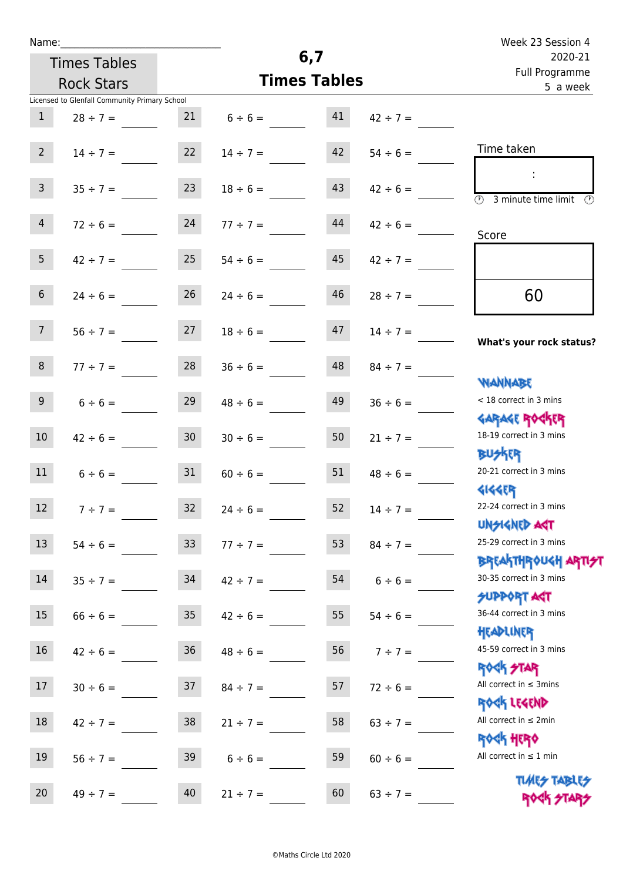| Name:           |                                               |                 |                                     |          |                     | Week 23 Session 4                                                                 |
|-----------------|-----------------------------------------------|-----------------|-------------------------------------|----------|---------------------|-----------------------------------------------------------------------------------|
|                 | <b>Times Tables</b>                           |                 |                                     | 6,7      |                     | 2020-21<br>Full Programme                                                         |
|                 | <b>Rock Stars</b>                             |                 | <b>Times Tables</b>                 | 5 a week |                     |                                                                                   |
|                 | Licensed to Glenfall Community Primary School |                 |                                     |          |                     |                                                                                   |
| $\mathbf{1}$    | $28 \div 7 =$                                 | 21              | $6 \div 6 = 41$                     |          | $42 \div 7 =$       |                                                                                   |
| $2 \quad$       |                                               |                 | $14 \div 7 = 22 \qquad 14 \div 7 =$ |          | $42 \t 54 \div 6 =$ | Time taken                                                                        |
| 3 <sup>7</sup>  | $35 \div 7 =$                                 | 23              | $18 \div 6 =$                       | 43       | $42 \div 6 =$       | $\overline{(\mathcal{V})}$<br>3 minute time limit                                 |
| 4               | $72 \div 6 =$                                 | 24              | $77 \div 7 =$                       | 44       | $42 \div 6 =$       | Score                                                                             |
| 5 <sup>5</sup>  | $42 \div 7 = 25$                              |                 | $54 \div 6 =$                       | 45       | $42 \div 7 =$       |                                                                                   |
| 6 <sup>1</sup>  | $24 \div 6 =$                                 | 26              | $24 \div 6 =$                       | 46       | $28 \div 7 =$       | 60                                                                                |
| 7 <sup>7</sup>  | $56 \div 7 = 27$                              |                 | $18 \div 6 =$                       | 47       | $14 \div 7 =$       | What's your rock status?                                                          |
| 8 <sup>1</sup>  | $77 \div 7 =$                                 |                 | $28$ $36 \div 6 =$                  | 48       | $84 \div 7 =$       |                                                                                   |
| 9 <sub>o</sub>  | $6 \div 6 =$                                  | 29              | $48 \div 6 =$                       | 49       | $36 \div 6 =$       | <b>NANNABE</b><br>< 18 correct in 3 mins<br><b>GARAGE ROCKER</b>                  |
| 10 <sup>°</sup> | $42 \div 6 =$                                 | 30              | $30 \div 6 =$                       | 50       | $21 \div 7 =$       | 18-19 correct in 3 mins<br><b>BUSKRY</b>                                          |
| 11              | $6 \div 6 = 31$                               |                 | $60 \div 6 =$                       | 51       | $48 \div 6 =$       | 20-21 correct in 3 mins<br><b>4144EP</b>                                          |
| 12              | $7 ÷ 7 =$                                     | 32              | $24 \div 6 =$                       | 52       | $14 \div 7 =$       | 22-24 correct in 3 mins<br><b>UNSIGNED AST</b>                                    |
| 13              | $54 \div 6 =$                                 | 33 <sup>°</sup> | $77 \div 7 =$                       | 53       | $84 \div 7 =$       | 25-29 correct in 3 mins                                                           |
| 14              | $35 ÷ 7 =$                                    | 34              | $42 \div 7 =$                       | 54       | $6 \div 6 =$        | ΒΡΓΑΚΤΗΡΟUGH ΑΡΤΙ <del>2</del> Τ<br>30-35 correct in 3 mins<br><b>SUPPORT AGT</b> |
| 15              | $66 \div 6 =$                                 | 35              | $42 \div 6 =$                       | 55       | $54 \div 6 =$       | 36-44 correct in 3 mins<br>HEADLINER                                              |
| 16              | $42 \div 6 =$                                 | 36              | $48 \div 6 =$                       | 56       | $7 ÷ 7 =$           | 45-59 correct in 3 mins<br><b>ROCK STAR</b>                                       |
| 17              | $30 \div 6 =$                                 | 37              | $84 \div 7 =$                       | 57       | $72 \div 6 =$       | All correct in $\leq$ 3mins<br>ROCK LEGEND                                        |
| 18              | $42 \div 7 =$                                 | 38              | $21 \div 7 =$                       | 58       | $63 \div 7 =$       | All correct in $\leq 2$ min<br><b>ROCK HERO</b>                                   |
| 19              | $56 \div 7 =$                                 | 39              | $6 \div 6 =$                        | 59       | $60 \div 6 =$       | All correct in $\leq 1$ min                                                       |
| 20              | $49 \div 7 =$                                 | 40              | $21 \div 7 =$                       | 60       | $63 \div 7 =$       | <b>TUARS TABLES</b><br>ROCK STARS                                                 |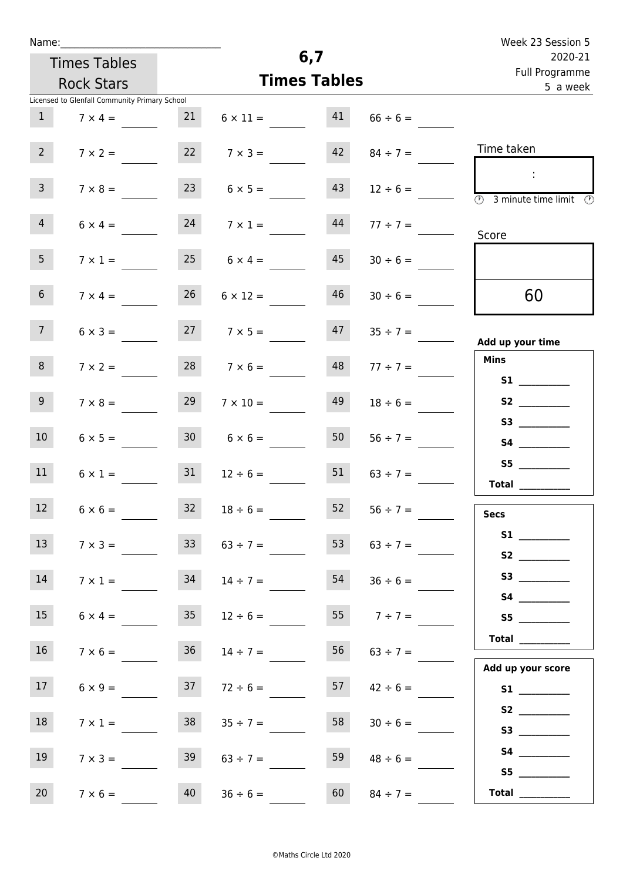| Name |  |  |  |
|------|--|--|--|
|      |  |  |  |

| Week 23 Session 5                          |                    |                     |                      |                     |                                               |                         |  |  |
|--------------------------------------------|--------------------|---------------------|----------------------|---------------------|-----------------------------------------------|-------------------------|--|--|
| 2020-21<br>Full Programme                  |                    | 6,7                 |                      | <b>Times Tables</b> |                                               |                         |  |  |
| 5 a week                                   |                    | <b>Times Tables</b> |                      | <b>Rock Stars</b>   |                                               |                         |  |  |
|                                            |                    |                     |                      |                     | Licensed to Glenfall Community Primary School |                         |  |  |
|                                            | $66 \div 6 =$      |                     | $6 \times 11 = 41$   | 21                  | $7 \times 4 =$                                | $\mathbf{1}$            |  |  |
| Time taken                                 | $84 \div 7 =$      | 42                  | $7 \times 3 =$       | 22                  | $7 \times 2 =$                                | 2 <sup>7</sup>          |  |  |
| $\overline{O}$<br>3 minute time limit<br>⊕ | $12 \div 6 =$      | 43                  | $6 \times 5 =$       | 23                  | $7 \times 8 =$                                | $\overline{\mathbf{3}}$ |  |  |
| Score                                      | $77 \div 7 =$      | 44                  | $7 \times 1 =$       | 24                  | $6 \times 4 =$                                | $\overline{4}$          |  |  |
|                                            | $30 \div 6 =$      | 45                  | $6 \times 4 =$       | 25                  | $7 \times 1 =$                                | 5                       |  |  |
| 60                                         | $30 \div 6 =$      | 46                  | $6 \times 12 =$      | 26                  | $7 \times 4 =$                                | 6 <sup>1</sup>          |  |  |
| Add up your time                           | $47 \t35 \div 7 =$ |                     | $27 \t 7 \times 5 =$ |                     | $6 \times 3 =$                                | 7 <sup>7</sup>          |  |  |
| <b>Mins</b><br><b>S1 S1</b>                | $77 \div 7 =$      | 48                  | $7 \times 6 =$       | 28                  | $7 \times 2 =$                                | 8                       |  |  |
|                                            | $18 \div 6 =$      | 49                  | $7 \times 10 =$      | 29                  | $7 \times 8 =$                                | 9                       |  |  |
| S4                                         | $56 \div 7 =$      | 50                  | $30 \t 6 \times 6 =$ |                     | $6 \times 5 =$                                | 10 <sup>°</sup>         |  |  |
| S5<br><b>Total</b>                         | $63 \div 7 =$      | 51                  | $12 \div 6 =$        | 31                  | $6 \times 1 =$                                | 11                      |  |  |
| <b>Secs</b>                                | $56 \div 7 =$      | 52                  | $18 \div 6 =$        | 32                  | $6 \times 6 =$                                | 12                      |  |  |
| S2                                         | $63 \div 7 =$      | 53                  | $63 \div 7 =$        | 33                  | $7 \times 3 =$                                | 13                      |  |  |
|                                            | $36 \div 6 =$      | 54                  | $14 \div 7 =$        | 34                  | $7 \times 1 =$                                | 14                      |  |  |
|                                            | $7 ÷ 7 =$          | 55                  | $12 \div 6 =$        | 35                  | $6 \times 4 =$                                | 15                      |  |  |
| Total                                      |                    |                     |                      | <b>Contract</b>     |                                               |                         |  |  |

16  $7 \times 6 =$  36  $14 \div 7 =$  56  $63 \div 7 =$ 

17  $6 \times 9 =$  37  $72 \div 6 =$  57  $42 \div 6 =$ 

18  $7 \times 1 =$  38  $35 \div 7 =$  58  $30 \div 6 =$ 

19  $7 \times 3 =$  39  $63 \div 7 =$  59  $48 \div 6 =$ 

20  $7 \times 6 =$  40  $36 \div 6 =$  60  $84 \div 7 =$ 

 **Add up your score S1 \_\_\_\_\_\_\_\_\_\_\_\_**

 **S2 \_\_\_\_\_\_\_\_\_\_\_\_**

 **S3 \_\_\_\_\_\_\_\_\_\_\_\_ S4 \_\_\_\_\_\_\_\_\_\_\_\_ S5 \_\_\_\_\_\_\_\_\_\_\_\_**

 **Total \_\_\_\_\_\_\_\_\_\_\_\_**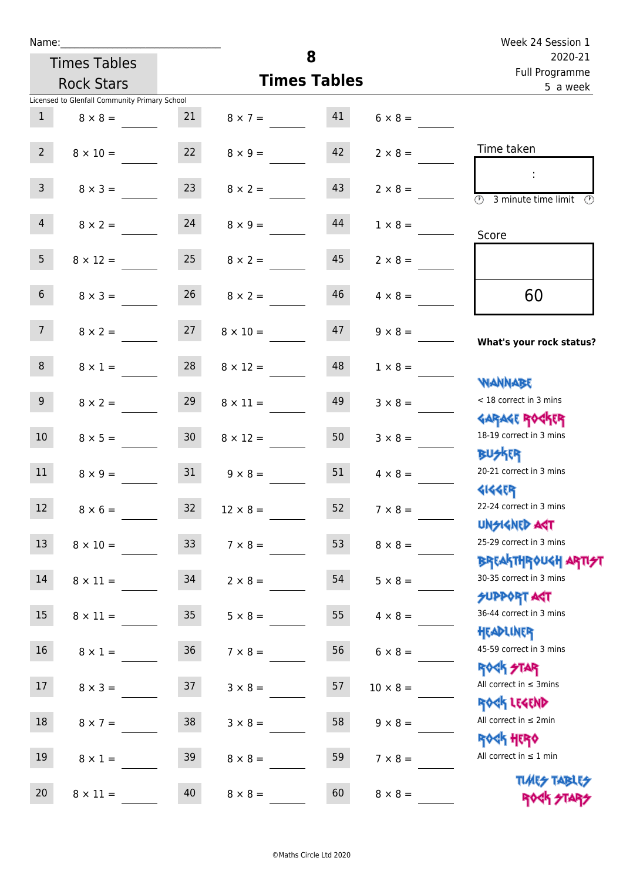| Name:           |                                               |                 |                     | Week 24 Session 1 |                 |                                                                  |
|-----------------|-----------------------------------------------|-----------------|---------------------|-------------------|-----------------|------------------------------------------------------------------|
|                 | <b>Times Tables</b>                           |                 |                     | 8                 |                 | 2020-21<br>Full Programme                                        |
|                 | <b>Rock Stars</b>                             |                 | <b>Times Tables</b> | 5 a week          |                 |                                                                  |
|                 | Licensed to Glenfall Community Primary School |                 |                     |                   |                 |                                                                  |
| $\mathbf{1}$    | $8 \times 8 =$                                | 21              | $8 \times 7 =$      | 41                | $6 \times 8 =$  |                                                                  |
| $2^{\circ}$     | $8 \times 10 =$                               | 22              | $8 \times 9 =$      | 42                | $2 \times 8 =$  | Time taken                                                       |
| 3 <sup>1</sup>  | $8 \times 3 =$                                | 23              | $8 \times 2 =$      | 43                | $2 \times 8 =$  | $\overline{(\mathcal{V})}$<br>3 minute time limit                |
| $\overline{4}$  | $8 \times 2 =$                                | 24              | $8 \times 9 =$      | 44                | $1 \times 8 =$  | Score                                                            |
| 5 <sub>1</sub>  | $8 \times 12 =$                               | 25              | $8 \times 2 =$      | 45                | $2 \times 8 =$  |                                                                  |
| 6 <sup>1</sup>  | $8 \times 3 =$                                | 26              | $8 \times 2 =$      | 46                | $4 \times 8 =$  | 60                                                               |
| 7 <sup>7</sup>  | $8 \times 2 =$                                | 27              | $8 \times 10 =$     | 47                | $9 \times 8 =$  | What's your rock status?                                         |
| 8               | $8 \times 1 =$                                | 28              | $8 \times 12 =$     | 48                | $1 \times 8 =$  | <b>NANNABE</b>                                                   |
| 9               | $8 \times 2 =$                                | 29              | $8 \times 11 =$     | 49                | $3 \times 8 =$  | < 18 correct in 3 mins<br><b>GARAGE ROGKER</b>                   |
| 10 <sup>°</sup> | $8 \times 5 =$                                | 30 <sup>°</sup> | $8 \times 12 =$     | 50                | $3 \times 8 =$  | 18-19 correct in 3 mins<br><b>BUSKER</b>                         |
| 11              | $8 \times 9 =$                                | 31              | $9 \times 8 =$      | 51                | $4 \times 8 =$  | 20-21 correct in 3 mins<br><b>4144EP</b>                         |
| 12 <sup>7</sup> | $8 \times 6 =$                                | $32$            | $12 \times 8 =$     | 52                | $7 \times 8 =$  | 22-24 correct in 3 mins<br><b>UNGIGNED AGT</b>                   |
| 13 <sup>°</sup> | $8 \times 10 =$                               | 33              | $7 \times 8 =$      | 53                | $8 \times 8 =$  | 25-29 correct in 3 mins<br><b>BREAKTHROUGH ARTI<del>S</del>T</b> |
| 14              | $8 \times 11 =$                               | 34              | $2 \times 8 =$      | 54                | $5 \times 8 =$  | 30-35 correct in 3 mins<br><b>SUPPORT ART</b>                    |
| 15 <sub>1</sub> | $8 \times 11 =$                               | 35              | $5 \times 8 =$      | 55                | $4 \times 8 =$  | 36-44 correct in 3 mins<br>HEADLINER                             |
| 16 <sup>1</sup> | $8 \times 1 =$                                | 36              | $7 \times 8 =$      | 56                | $6 \times 8 =$  | 45-59 correct in 3 mins<br><b>ROCK STAR</b>                      |
| 17              | $8 \times 3 =$                                | 37              | $3 \times 8 =$      | 57                | $10 \times 8 =$ | All correct in $\leq$ 3mins<br>ROCK LEGEND                       |
| 18              | $8 \times 7 =$                                | 38              | $3 \times 8 =$      | 58                | $9 \times 8 =$  | All correct in $\leq 2$ min<br><b>ROCK HERO</b>                  |
| 19              | $8 \times 1 =$                                | 39              | $8 \times 8 =$      | 59                | $7 \times 8 =$  | All correct in $\leq 1$ min                                      |
| 20              | $8 \times 11 =$                               | 40              | $8 \times 8 =$      | 60                | $8 \times 8 =$  | <b>TUARS TABLES</b><br>ROCK STARS                                |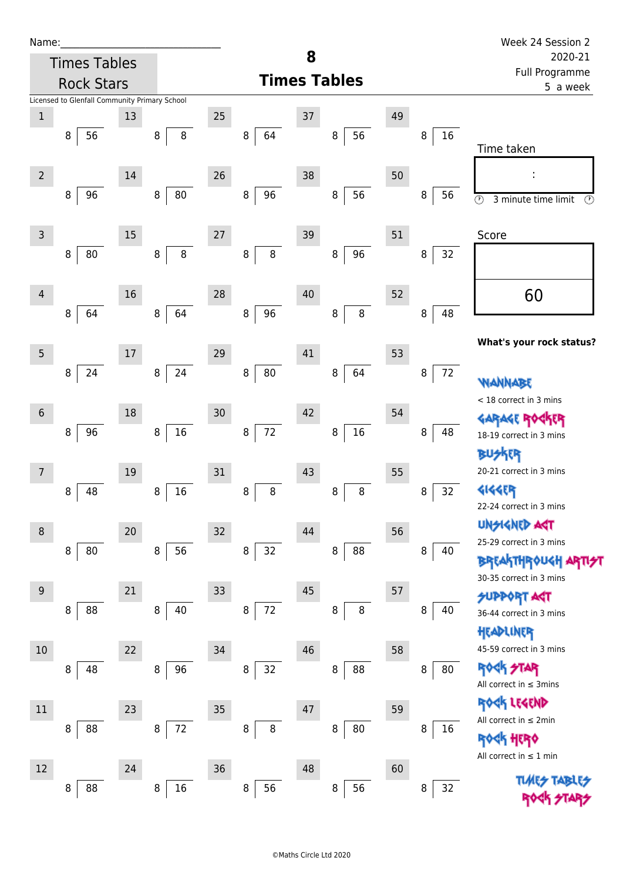| Name:           |                                               |    |              |        |                     |    |              |    |         | Week 24 Session 2                                           |  |  |
|-----------------|-----------------------------------------------|----|--------------|--------|---------------------|----|--------------|----|---------|-------------------------------------------------------------|--|--|
|                 | <b>Times Tables</b>                           |    |              |        |                     | 8  |              |    |         | 2020-21                                                     |  |  |
|                 | <b>Rock Stars</b>                             |    |              |        | <b>Times Tables</b> |    |              |    |         | Full Programme<br>5 a week                                  |  |  |
|                 | Licensed to Glenfall Community Primary School |    |              |        |                     |    |              |    |         |                                                             |  |  |
| $\mathbf 1$     |                                               | 13 |              | 25     |                     | 37 |              | 49 |         |                                                             |  |  |
|                 | 8<br>56                                       |    | 8<br>8       |        | 64<br>8             |    | 56<br>8      |    | 16<br>8 |                                                             |  |  |
|                 |                                               |    |              |        |                     |    |              |    |         | Time taken                                                  |  |  |
| $\overline{2}$  |                                               | 14 |              | 26     |                     | 38 |              | 50 |         |                                                             |  |  |
|                 | 96<br>8                                       |    | 80<br>8      |        | 96<br>8             |    | 56<br>8      |    | 8<br>56 | $\overline{\circ}$<br>$\circledcirc$<br>3 minute time limit |  |  |
|                 |                                               |    |              |        |                     |    |              |    |         |                                                             |  |  |
| 3               |                                               | 15 |              | $27\,$ |                     | 39 |              | 51 |         | Score                                                       |  |  |
|                 | 80<br>8                                       |    | $\bf 8$<br>8 |        | $\,8\,$<br>$\bf 8$  |    | 96<br>8      |    | 32<br>8 |                                                             |  |  |
|                 |                                               |    |              |        |                     |    |              |    |         |                                                             |  |  |
| 4               |                                               | 16 |              | 28     |                     | 40 |              | 52 |         | 60                                                          |  |  |
|                 | 64<br>8                                       |    | 64<br>8      |        | 96<br>$\bf 8$       |    | 8<br>$\bf 8$ |    | 8<br>48 |                                                             |  |  |
|                 |                                               |    |              |        |                     |    |              |    |         |                                                             |  |  |
| 5               |                                               | 17 |              | 29     |                     | 41 |              | 53 |         | What's your rock status?                                    |  |  |
|                 | 24<br>8                                       |    | 24<br>8      |        | 80<br>8             |    | 64<br>8      |    | 72<br>8 |                                                             |  |  |
|                 |                                               |    |              |        |                     |    |              |    |         | WANNABE                                                     |  |  |
| $6\phantom{1}6$ |                                               | 18 |              | 30     |                     | 42 |              | 54 |         | < 18 correct in 3 mins                                      |  |  |
|                 | 96<br>8                                       |    | $16\,$<br>8  |        | $72\,$<br>8         |    | $16\,$<br>8  |    | 8<br>48 | KER<br><b>GARAGE ROG</b><br>18-19 correct in 3 mins         |  |  |
|                 |                                               |    |              |        |                     |    |              |    |         | <b>BUSKER</b>                                               |  |  |
|                 |                                               | 19 |              | 31     |                     | 43 |              | 55 |         | 20-21 correct in 3 mins                                     |  |  |
|                 | 48<br>8                                       |    | 16<br>8      |        | $\bf 8$<br>8        |    | 8<br>8       |    | 32<br>8 | <b>4144EP</b>                                               |  |  |
|                 |                                               |    |              |        |                     |    |              |    |         | 22-24 correct in 3 mins                                     |  |  |
| 8               |                                               | 20 |              | $32\,$ |                     | 44 |              | 56 |         | <b>UNSIGNED AGT</b>                                         |  |  |
|                 | 80<br>8                                       |    | 56<br>8      |        | 32<br>8             |    | 88<br>8      |    | 8<br>40 | 25-29 correct in 3 mins                                     |  |  |
|                 |                                               |    |              |        |                     |    |              |    |         | <b>BREAKTHROUGH ARTI<del>S</del>T</b>                       |  |  |
|                 |                                               |    |              |        |                     |    |              |    |         | 30-35 correct in 3 mins                                     |  |  |
| 9               | 88                                            | 21 | 40           | 33     | $72\,$<br>$\bf 8$   | 45 | $\, 8$<br>8  | 57 | 40      | <b>SUPPORT AGT</b>                                          |  |  |
|                 | 8                                             |    | 8            |        |                     |    |              |    | 8       | 36-44 correct in 3 mins                                     |  |  |
|                 |                                               |    |              |        |                     |    |              |    |         | HEADLINER                                                   |  |  |
| $10\,$          |                                               | 22 |              | 34     |                     | 46 |              | 58 |         | 45-59 correct in 3 mins<br>ROCK STAR                        |  |  |
|                 | 48<br>8                                       |    | 96<br>8      |        | 32<br>8             |    | 88<br>8      |    | 80<br>8 | All correct in $\leq$ 3mins                                 |  |  |
|                 |                                               |    |              |        |                     |    |              |    |         | ROCK LEGEND                                                 |  |  |
| 11              |                                               | 23 |              | 35     |                     | 47 |              | 59 |         | All correct in $\leq 2$ min                                 |  |  |
|                 | 88<br>8                                       |    | 72<br>8      |        | 8<br>8              |    | 8<br>80      |    | 8<br>16 | <b><h b="" her0<=""></h></b>                                |  |  |
|                 |                                               |    |              |        |                     |    |              |    |         | All correct in $\leq 1$ min                                 |  |  |
| 12              |                                               | 24 |              | 36     |                     | 48 |              | 60 |         | <b>TLARS</b>                                                |  |  |
|                 | 88<br>8                                       |    | $16\,$<br>8  |        | 56<br>8             |    | 56<br>8      |    | 32<br>8 |                                                             |  |  |
|                 |                                               |    |              |        |                     |    |              |    |         |                                                             |  |  |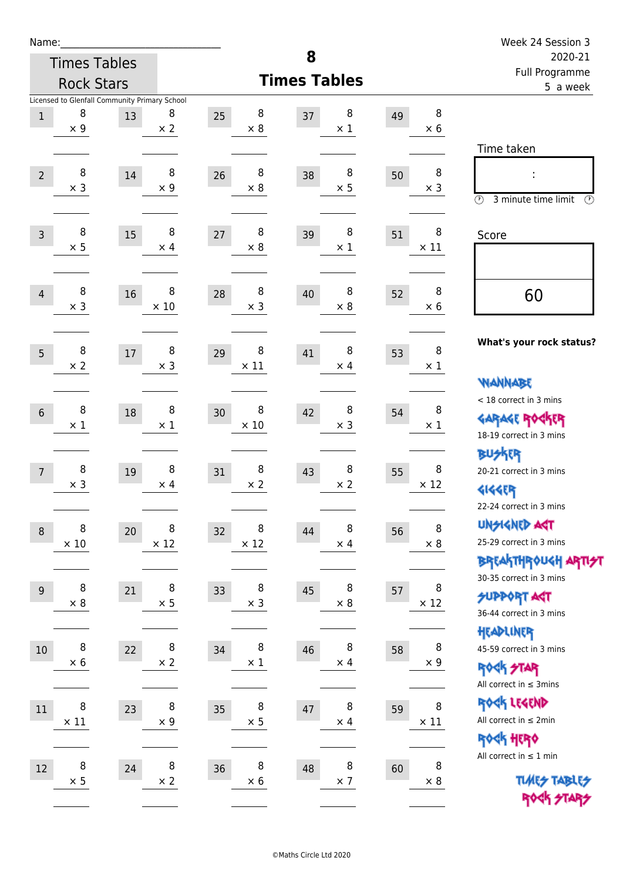| Name:            |                  |                                               |                 |                       |                           |         |                  | Week 24 Session 3                                           |
|------------------|------------------|-----------------------------------------------|-----------------|-----------------------|---------------------------|---------|------------------|-------------------------------------------------------------|
|                  |                  | <b>Times Tables</b>                           |                 |                       | 8                         | 2020-21 |                  |                                                             |
|                  |                  | <b>Rock Stars</b>                             |                 |                       | <b>Times Tables</b>       |         |                  | Full Programme<br>5 a week                                  |
|                  |                  | Licensed to Glenfall Community Primary School |                 |                       |                           |         |                  |                                                             |
| $\,1$            | 8<br>$\times$ 9  | 13                                            | 8<br>$\times$ 2 | 8<br>25<br>$\times 8$ | 8<br>37<br>$\times$ 1     | 49      | 8<br>$\times$ 6  |                                                             |
|                  |                  |                                               |                 |                       |                           |         |                  | Time taken                                                  |
|                  | 8                |                                               | 8               | 8                     | 8                         |         | 8                |                                                             |
| $\overline{2}$   | $\times$ 3       | 14                                            | $\times$ 9      | 26<br>$\times 8$      | 38<br>$\times$ 5          | 50      | $\times$ 3       |                                                             |
|                  |                  |                                               |                 |                       |                           |         |                  | $\circled{r}$<br>3 minute time limit<br>$\mathcal{O}$       |
| $\overline{3}$   | 8                | 15                                            | 8               | 8<br>27               | 8<br>39                   | 51      | 8                | Score                                                       |
|                  | $\times$ 5       |                                               | $\times$ 4      | $\times 8$            | $\times$ 1                |         | $\times$ 11      |                                                             |
|                  |                  |                                               |                 |                       |                           |         |                  |                                                             |
| $\overline{4}$   | 8                | 16                                            | 8               | 8<br>28               | 8<br>40                   | 52      | 8                | 60                                                          |
|                  | $\times$ 3       |                                               | $\times$ 10     | $\times$ 3            | $\times$ 8                |         | $\times 6$       |                                                             |
|                  |                  |                                               |                 |                       |                           |         |                  |                                                             |
| 5                | 8                | 17                                            | 8               | 8<br>29               | 8<br>41                   | 53      | $\, 8$           | What's your rock status?                                    |
|                  | $\times 2$       |                                               | $\times$ 3      | $\times$ 11           | $\times$ 4                |         | $\times$ 1       |                                                             |
|                  |                  |                                               |                 |                       |                           |         |                  | <b>NANNABE</b>                                              |
| $6\phantom{1}$   | 8                | 18                                            | 8               | 8<br>30               | 8<br>42                   | 54      | 8                | < 18 correct in 3 mins                                      |
|                  | $\times 1$       |                                               | $\times$ 1      | $\times$ 10           | $\times$ 3                |         | $\times$ 1       | <b>GARAGE ROCKER</b><br>18-19 correct in 3 mins             |
|                  |                  |                                               |                 |                       |                           |         |                  | <b>BUSKER</b>                                               |
| $\overline{7}$   | 8                | 19                                            | 8               | 8<br>31               | 8<br>43                   | 55      | 8                | 20-21 correct in 3 mins                                     |
|                  | $\times$ 3       |                                               | $\times$ 4      | $\times$ 2            | $\times 2$                |         | $\times$ 12      | <b>4144EP</b>                                               |
|                  |                  |                                               |                 |                       |                           |         |                  | 22-24 correct in 3 mins                                     |
| $\boldsymbol{8}$ | 8                | 20                                            | 8               | 8<br>32               | 8<br>44                   | 56      | 8                | <b>UNGIGNED AST</b>                                         |
|                  | $\times$ 10      |                                               | $\times$ 12     | $\times$ 12           | $\times$ 4                |         | $\times$ 8       | 25-29 correct in 3 mins                                     |
|                  |                  |                                               |                 |                       |                           |         |                  | BREAKTHROUGH ARTI <del>S</del> T<br>30-35 correct in 3 mins |
| 9                | 8                | 21                                            | 8               | 8<br>33               | 8<br>45                   | 57      | 8                | <b>SUPPORT AGT</b>                                          |
|                  | $\times$ 8       |                                               | $\times$ 5      | $\times$ 3            | $\times$ 8                |         | $\times$ 12      | 36-44 correct in 3 mins                                     |
|                  |                  |                                               |                 |                       |                           |         |                  | HEADLINER                                                   |
| $10\,$           | 8                | 22                                            | 8               | 8<br>34               | 8<br>46                   | 58      | 8                | 45-59 correct in 3 mins                                     |
|                  | $\times$ 6       |                                               | $\times$ 2      | $\times$ 1            | $\times$ 4                |         | $\times$ 9       | ROCK STAR                                                   |
|                  |                  |                                               |                 |                       |                           |         |                  | All correct in $\leq$ 3mins                                 |
| $11\,$           | 8<br>$\times$ 11 | 23                                            | 8<br>$\times$ 9 | 8<br>35<br>$\times$ 5 | 8<br>$47\,$<br>$\times$ 4 | 59      | 8<br>$\times$ 11 | ROCK LEGEND<br>All correct in $\leq 2$ min                  |
|                  |                  |                                               |                 |                       |                           |         |                  | ROCK HERO                                                   |
|                  |                  |                                               |                 |                       |                           |         |                  | All correct in $\leq 1$ min                                 |
| 12               | 8<br>$\times$ 5  | 24                                            | 8<br>$\times$ 2 | 8<br>36<br>$\times$ 6 | 8<br>48<br>$\times$ 7     | 60      | 8<br>$\times$ 8  | <b>TUARS TABLES</b>                                         |
|                  |                  |                                               |                 |                       |                           |         |                  | ROCK STARS                                                  |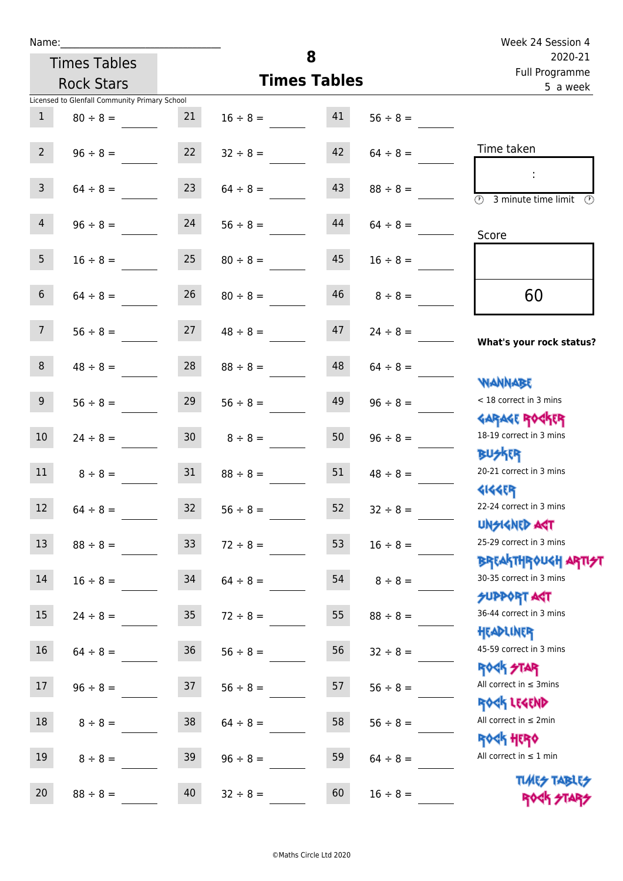| Name:           |                                               |                 |                     |          |               | Week 24 Session 4                                           |  |
|-----------------|-----------------------------------------------|-----------------|---------------------|----------|---------------|-------------------------------------------------------------|--|
|                 | <b>Times Tables</b>                           |                 |                     | 8        |               | 2020-21<br>Full Programme                                   |  |
|                 | <b>Rock Stars</b>                             |                 | <b>Times Tables</b> | 5 a week |               |                                                             |  |
|                 | Licensed to Glenfall Community Primary School |                 |                     |          |               |                                                             |  |
| $\mathbf{1}$    | $80 \div 8 =$                                 | 21              | $16 \div 8 =$       | 41       | $56 \div 8 =$ |                                                             |  |
| $2^{\circ}$     | $96 \div 8 =$                                 | 22              | $32 \div 8 =$       | 42       | $64 \div 8 =$ | Time taken                                                  |  |
|                 |                                               |                 |                     |          |               |                                                             |  |
| $\mathbf{3}$    | $64 \div 8 =$                                 | 23              | $64 \div 8 =$       | 43       | $88 \div 8 =$ | $\overline{(\mathcal{F})}$<br>3 minute time limit<br>O)     |  |
|                 |                                               |                 |                     |          |               |                                                             |  |
| $\overline{4}$  | $96 \div 8 =$                                 | 24              | $56 \div 8 =$       | 44       | $64 \div 8 =$ | Score                                                       |  |
| 5 <sub>1</sub>  | $16 \div 8 =$                                 | 25              | $80 \div 8 =$       | 45       | $16 \div 8 =$ |                                                             |  |
|                 |                                               |                 |                     |          |               |                                                             |  |
| $6\overline{6}$ | $64 \div 8 =$                                 | 26              | $80 \div 8 =$       | 46       | $8 \div 8 =$  | 60                                                          |  |
| 7 <sup>7</sup>  | $56 \div 8 =$                                 | 27              | $48 \div 8 =$       | 47       | $24 \div 8 =$ |                                                             |  |
|                 |                                               |                 |                     |          |               | What's your rock status?                                    |  |
| 8               | $48 \div 8 =$                                 | 28              | $88 \div 8 =$       | 48       | $64 \div 8 =$ |                                                             |  |
|                 |                                               |                 |                     |          |               | <b>NANNABE</b>                                              |  |
| 9 <sup>°</sup>  | $56 \div 8 =$                                 | 29              | $56 \div 8 =$       | 49       | $96 \div 8 =$ | < 18 correct in 3 mins                                      |  |
| 10 <sup>°</sup> | $24 \div 8 =$                                 | 30 <sup>7</sup> | $8 \div 8 =$        | 50       | $96 \div 8 =$ | <b>GARAGE ROCKER</b><br>18-19 correct in 3 mins             |  |
|                 |                                               |                 |                     |          |               | <b>BUSKER</b>                                               |  |
| 11              | $8 \div 8 =$                                  | 31              | $88 \div 8 =$       | 51       | $48 \div 8 =$ | 20-21 correct in 3 mins                                     |  |
|                 |                                               |                 |                     |          |               | <b>4144EP</b>                                               |  |
| 12              | $64 \div 8 =$                                 | 32              | $56 \div 8 =$       | 52       | $32 \div 8 =$ | 22-24 correct in 3 mins                                     |  |
|                 |                                               |                 |                     |          |               | <b>UNSIGNED AGT</b>                                         |  |
| 13              | $88 \div 8 =$                                 | 33              | $72 \div 8 =$       | 53       | $16 \div 8 =$ | 25-29 correct in 3 mins                                     |  |
| $14\,$          | $16 \div 8 =$                                 | 34              | $64 \div 8 =$       | 54       | $8 \div 8 =$  | ΒΡΓΑΚΤΗΡΟUGH ΑΡΤΙ <del>2</del> Τ<br>30-35 correct in 3 mins |  |
|                 |                                               |                 |                     |          |               | <b>SUPPORT AGT</b>                                          |  |
| 15              | $24 \div 8 =$                                 | 35 <sub>2</sub> | $72 \div 8 =$       | 55       | $88 \div 8 =$ | 36-44 correct in 3 mins                                     |  |
|                 |                                               |                 |                     |          |               | HEADLINER                                                   |  |
| 16              | $64 \div 8 =$                                 | 36              | $56 \div 8 =$       | 56       | $32 \div 8 =$ | 45-59 correct in 3 mins                                     |  |
|                 |                                               |                 |                     |          |               | <b>ROCK STAR</b>                                            |  |
| 17              | $96 \div 8 =$                                 | 37              | $56 \div 8 =$       | 57       | $56 \div 8 =$ | All correct in $\leq$ 3mins                                 |  |
| 18              | $8 \div 8 =$                                  | 38              | $64 \div 8 =$       | 58       | $56 \div 8 =$ | ROCK LEGEND<br>All correct in $\leq 2$ min                  |  |
|                 |                                               |                 |                     |          |               | <b>ROCK HERO</b>                                            |  |
| 19              | $8 \div 8 =$                                  | 39              | $96 \div 8 =$       | 59       | $64 \div 8 =$ | All correct in $\leq 1$ min                                 |  |
|                 |                                               |                 |                     |          |               |                                                             |  |

**TIMES TABLES** ROCK STARS

20  $88 \div 8 =$  40  $32 \div 8 =$  60  $16 \div 8 =$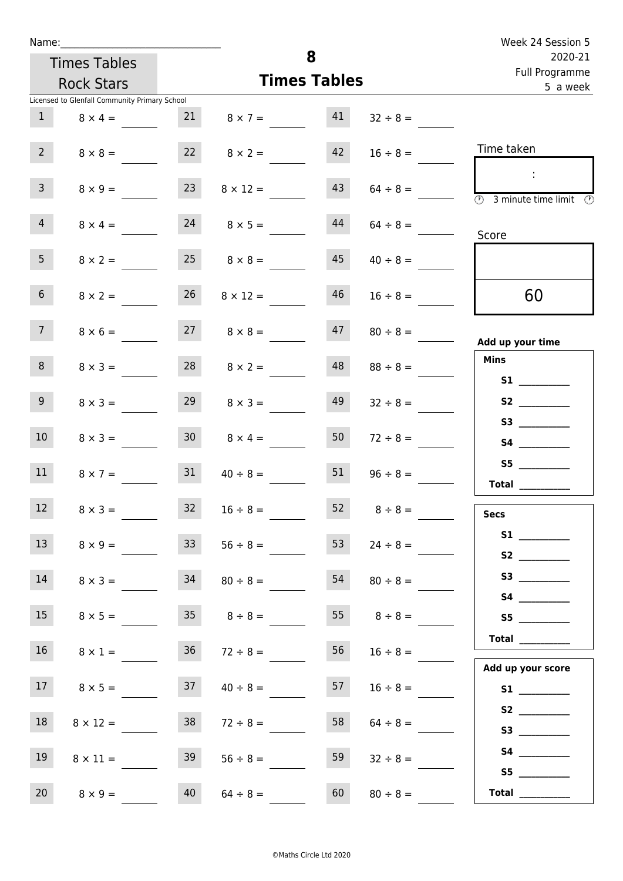| Name:           |                                               |                 |                     |          |                 | Week 24 Session 5                                                    |
|-----------------|-----------------------------------------------|-----------------|---------------------|----------|-----------------|----------------------------------------------------------------------|
|                 | <b>Times Tables</b>                           |                 |                     | 8        |                 | 2020-21<br>Full Programme                                            |
|                 | <b>Rock Stars</b>                             |                 | <b>Times Tables</b> | 5 a week |                 |                                                                      |
|                 | Licensed to Glenfall Community Primary School |                 |                     |          |                 |                                                                      |
| $\mathbf{1}$    | $8 \times 4 =$                                | 21              | $8 \times 7 =$      | 41       | $32 \div 8 =$   |                                                                      |
| $2^{\circ}$     | $8 \times 8 =$                                | 22              | $8 \times 2 =$      | 42       | $16 \div 8 =$   | Time taken                                                           |
| $\overline{3}$  | $8 \times 9 =$                                | 23              | $8 \times 12 =$     | 43       | $64 \div 8 =$   | $\mathcal{L}$<br>$\circled{r}$<br>3 minute time limit $\circledcirc$ |
| $\overline{4}$  | $8 \times 4 =$                                | 24              | $8 \times 5 =$      | 44       | $64 \div 8 =$   | Score                                                                |
| 5 <sub>1</sub>  | $8 \times 2 =$                                | 25              | $8 \times 8 =$      | 45       | $40 \div 8 =$   |                                                                      |
| 6 <sup>1</sup>  | $8 \times 2 =$                                | 26              | $8 \times 12 =$     | 46       | $16 \div 8 =$   | 60                                                                   |
| 7 <sup>7</sup>  | $8 \times 6 =$                                | 27              | $8 \times 8 =$      | 47       | $80 \div 8 =$   | Add up your time                                                     |
| 8               | $8 \times 3 =$                                | 28              | $8 \times 2 =$      | 48       | $88 \div 8 =$   | <b>Mins</b><br><b>S1</b>                                             |
| 9 <sup>°</sup>  | $8 \times 3 =$                                | 29              | $8 \times 3 =$      | 49       | $32 \div 8 =$   |                                                                      |
| 10 <sup>°</sup> | $8 \times 3 =$                                | 30 <sup>1</sup> | $8 \times 4 =$      | 50       | $72 \div 8 =$   |                                                                      |
| 11              | $8 \times 7 =$                                | 31              | $40 \div 8 =$       | 51       | $96 \div 8 =$   | S5<br>Total $\qquad$                                                 |
| 12              | $8 \times 3 =$                                | 32              | $16 \div 8 =$       | 52       | $8 \div 8 =$    | <b>Secs</b>                                                          |
| 13              | $8 \times 9 =$                                | 33 <sup>°</sup> | $56 \div 8 =$       | 53       | $24 \div 8 =$   |                                                                      |
| 14              | $8 \times 3 =$                                | 34              | $80 \div 8 =$       | 54       | $80 \div 8 =$   |                                                                      |
| 15              | $8 \times 5 =$                                |                 | $35 \t 8 \div 8 =$  |          | 55 $8 \div 8 =$ | S5                                                                   |
| 16              | $8 \times 1 =$                                | 36              | $72 \div 8 =$       | 56       | $16 \div 8 =$   | Total $\_\_$                                                         |
| 17              | $8 \times 5 =$                                | 37              | $40 \div 8 =$       | 57       | $16 \div 8 =$   | Add up your score                                                    |
| 18              | $8 \times 12 =$                               | 38              | $72 \div 8 =$       | 58       | $64 \div 8 =$   |                                                                      |
| 19              | $8 \times 11 =$                               | 39              | $56 \div 8 =$       | 59       | $32 \div 8 =$   |                                                                      |
| 20              | $8 \times 9 =$                                | 40              | $64 \div 8 =$       | 60       | $80 \div 8 =$   | S5<br>Total $\_\_$                                                   |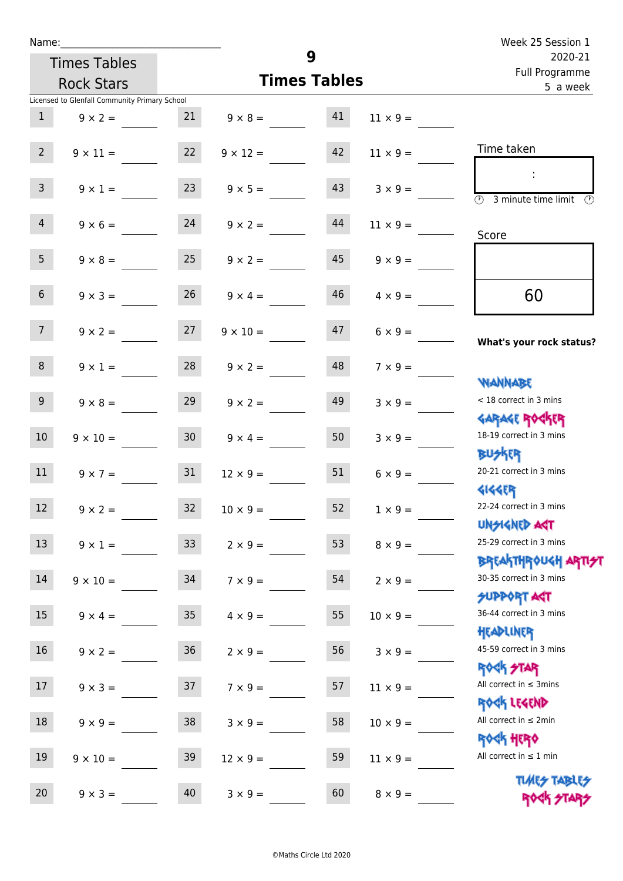| Name:            |                                               |                 |                                   |          |                 | Week 25 Session 1                                                  |
|------------------|-----------------------------------------------|-----------------|-----------------------------------|----------|-----------------|--------------------------------------------------------------------|
|                  | <b>Times Tables</b>                           |                 |                                   | 9        |                 | 2020-21<br>Full Programme                                          |
|                  | <b>Rock Stars</b>                             |                 | <b>Times Tables</b>               | 5 a week |                 |                                                                    |
|                  | Licensed to Glenfall Community Primary School |                 |                                   |          |                 |                                                                    |
| 1                | $9 \times 2 =$                                | 21              | $9 \times 8 = 41$                 |          | $11 \times 9 =$ |                                                                    |
| $2^{\circ}$      | $9 \times 11 =$                               | 22              | $9 \times 12 =$                   | 42       | $11 \times 9 =$ | Time taken                                                         |
| $\mathsf{3}$     | $9 \times 1 =$                                | 23              | $9 \times 5 =$                    | 43       | $3 \times 9 =$  | $\sim$<br>$\overline{(\mathfrak{h})}$<br>3 minute time limit<br>O) |
| $\overline{4}$   | $9 \times 6 = 24$                             |                 | $9 \times 2 =$                    | 44       | $11 \times 9 =$ | Score                                                              |
| 5 <sup>5</sup>   | $9 \times 8 =$                                | 25              | $9 \times 2 =$                    | 45       | $9 \times 9 =$  |                                                                    |
| 6 <sup>1</sup>   | $9 \times 3 =$                                | 26              | $9 \times 4 =$                    | 46       | $4 \times 9 =$  | 60                                                                 |
| 7 <sup>7</sup>   |                                               |                 | $9 \times 2 = 27$ $9 \times 10 =$ | 47       | $6 \times 9 =$  | What's your rock status?                                           |
| 8                | $9 \times 1 =$                                | 28              | $9 \times 2 =$                    | 48       | $7 \times 9 =$  | <b>NANNABE</b>                                                     |
| 9 <sub>o</sub>   | $9 \times 8 =$                                | 29              | $9 \times 2 =$                    | 49       | $3 \times 9 =$  | < 18 correct in 3 mins<br><b>GARAGE ROGKER</b>                     |
| 10 <sup>°</sup>  | $9 \times 10 =$                               | 30 <sup>°</sup> | $9 \times 4 =$                    | 50       | $3 \times 9 =$  | 18-19 correct in 3 mins<br><b>BU外四</b>                             |
| 11               | $9 \times 7 =$                                | 31              | $12 \times 9 =$                   | 51       | $6 \times 9 =$  | 20-21 correct in 3 mins<br><b>4144ER</b>                           |
| 12               | $9 \times 2 =$                                | 32              | $10 \times 9 =$                   | 52       | $1 \times 9 =$  | 22-24 correct in 3 mins<br><b>UNSIGNED AGT</b>                     |
| 13               | $9 \times 1 =$                                | 33 <sup>°</sup> | $2 \times 9 =$                    | 53       | $8 \times 9 =$  | 25-29 correct in 3 mins<br><b>BREAKTHROUGH ARTI<del>S</del>T</b>   |
| 14               | $9 \times 10 =$                               | 34              | $7 \times 9 =$                    | 54       | $2 \times 9 =$  | 30-35 correct in 3 mins<br><b>SUPPORT AGT</b>                      |
| $15\phantom{.0}$ | $9 \times 4 =$                                | 35 <sub>2</sub> | $4 \times 9 =$                    | 55       | $10 \times 9 =$ | 36-44 correct in 3 mins<br>HEADLINER                               |
| 16               | $9 \times 2 =$                                | $36\,$          | $2 \times 9 =$                    | 56       | $3 \times 9 =$  | 45-59 correct in 3 mins<br><b>ROCK STAR</b>                        |
| 17               | $9 \times 3 =$                                | 37              | $7 \times 9 =$                    | 57       | $11 \times 9 =$ | All correct in $\leq$ 3mins<br>ROCK LEGEND                         |
| 18               | $9 \times 9 =$                                | 38              | $3 \times 9 =$                    | 58       | $10 \times 9 =$ | All correct in $\leq 2$ min<br>ROCK HERO                           |
| 19               | $9 \times 10 =$                               | 39              | $12 \times 9 =$                   | 59       | $11 \times 9 =$ | All correct in $\leq 1$ min                                        |
| 20               | $9 \times 3 =$                                | 40              | $3 \times 9 =$                    | 60       | $8 \times 9 =$  | <b>TUARS TABLES</b><br>ROCK STARS                                  |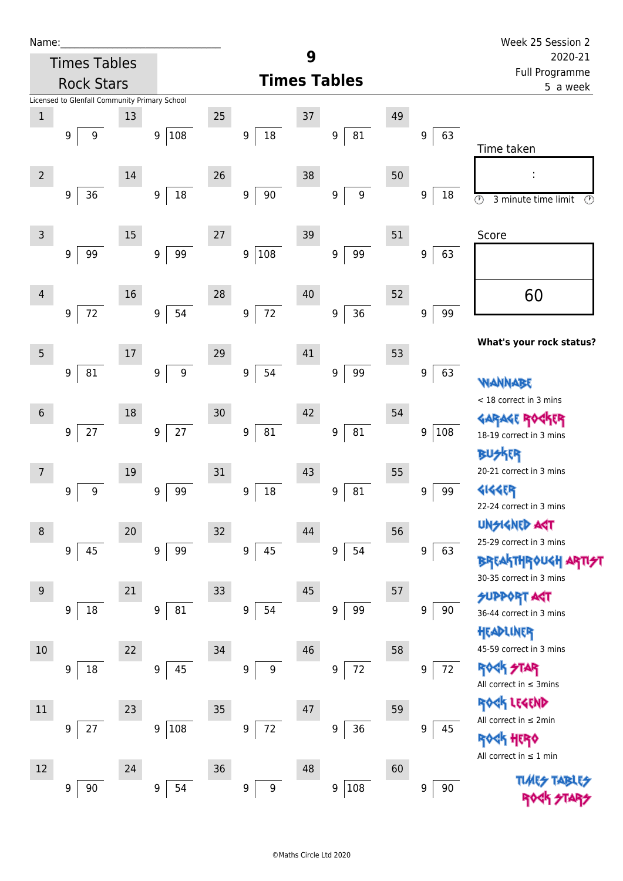| Name:           |                                               |    |                 |    |                            |    |                       |    |                        | Week 25 Session 2                                                      |  |
|-----------------|-----------------------------------------------|----|-----------------|----|----------------------------|----|-----------------------|----|------------------------|------------------------------------------------------------------------|--|
|                 | <b>Times Tables</b>                           |    |                 |    | 9                          |    |                       |    |                        | 2020-21<br>Full Programme                                              |  |
|                 | <b>Rock Stars</b>                             |    |                 |    |                            |    | <b>Times Tables</b>   |    | 5 a week               |                                                                        |  |
|                 | Licensed to Glenfall Community Primary School |    |                 |    |                            |    |                       |    |                        |                                                                        |  |
| $\,1$           |                                               | 13 |                 | 25 |                            | 37 |                       | 49 |                        |                                                                        |  |
|                 | 9<br>9                                        |    | 108<br>9        |    | $18\,$<br>9                |    | 81<br>9               |    | 63<br>9                | Time taken                                                             |  |
| $\overline{2}$  |                                               | 14 |                 | 26 |                            | 38 |                       | 50 |                        |                                                                        |  |
|                 | $36\,$<br>9                                   |    | $18\,$<br>9     |    | $90\,$<br>$\boldsymbol{9}$ |    | $\boldsymbol{9}$<br>9 |    | 9<br>18                |                                                                        |  |
|                 |                                               |    |                 |    |                            |    |                       |    |                        | $\overline{\circlearrowright}$<br>3 minute time limit<br>$\circled{r}$ |  |
| 3               |                                               | 15 |                 | 27 |                            | 39 |                       | 51 |                        | Score                                                                  |  |
|                 | 99<br>9                                       |    | 99<br>9         |    | 108<br>$9\phantom{.0}$     |    | 99<br>9               |    | 63<br>$\boldsymbol{9}$ |                                                                        |  |
|                 |                                               |    |                 |    |                            |    |                       |    |                        |                                                                        |  |
| 4               |                                               | 16 |                 | 28 |                            | 40 |                       | 52 |                        | 60                                                                     |  |
|                 | $72\,$<br>9                                   |    | 54<br>9         |    | $72\,$<br>$\boldsymbol{9}$ |    | 36<br>9               |    | 99<br>9                |                                                                        |  |
|                 |                                               |    |                 |    |                            |    |                       |    |                        | What's your rock status?                                               |  |
| 5               |                                               | 17 |                 | 29 |                            | 41 |                       | 53 |                        |                                                                        |  |
|                 | 81<br>9                                       |    | 9<br>9          |    | 54<br>$\boldsymbol{9}$     |    | 99<br>9               |    | 63<br>$\boldsymbol{9}$ |                                                                        |  |
|                 |                                               |    |                 |    |                            |    |                       |    |                        | <b>WANNABE</b><br>< 18 correct in 3 mins                               |  |
| $6\phantom{1}6$ |                                               | 18 |                 | 30 |                            | 42 |                       | 54 |                        | <b>GARAGE ROC</b>                                                      |  |
|                 | $27\,$<br>9                                   |    | $27\,$<br>9     |    | $81\,$<br>9                |    | ${\bf 81}$<br>9       |    | 108<br>9               | 18-19 correct in 3 mins                                                |  |
|                 |                                               |    |                 |    |                            |    |                       |    |                        | <b>BUSKER</b>                                                          |  |
|                 |                                               | 19 |                 | 31 |                            | 43 |                       | 55 |                        | 20-21 correct in 3 mins                                                |  |
|                 | $\boldsymbol{9}$<br>9                         |    | 99<br>9         |    | $\boldsymbol{9}$<br>18     |    | 81<br>9               |    | 99<br>9                | <b>4144EP</b>                                                          |  |
|                 |                                               |    |                 |    |                            |    |                       |    |                        | 22-24 correct in 3 mins                                                |  |
| 8               |                                               | 20 |                 | 32 |                            | 44 |                       | 56 |                        | <b>UNSIGNED AGT</b>                                                    |  |
|                 | 45<br>9                                       |    | 99<br>9         |    | 45<br>9                    |    | 54<br>9               |    | 9<br>63                | 25-29 correct in 3 mins                                                |  |
|                 |                                               |    |                 |    |                            |    |                       |    |                        | <b>BREAKTHROUGH</b>                                                    |  |
| 9               |                                               | 21 |                 | 33 |                            | 45 |                       | 57 |                        | 30-35 correct in 3 mins                                                |  |
|                 | 18<br>9                                       |    | ${\bf 81}$<br>9 |    | $9\,$<br>54                |    | 99<br>9               |    | 9<br>90                | <b>SUPPORT AGT</b><br>36-44 correct in 3 mins                          |  |
|                 |                                               |    |                 |    |                            |    |                       |    |                        | HEADLINER                                                              |  |
| 10              |                                               | 22 |                 | 34 |                            | 46 |                       | 58 |                        | 45-59 correct in 3 mins                                                |  |
|                 | 18<br>9                                       |    | 45<br>9         |    | 9<br>9                     |    | $72\,$<br>9           |    | 72<br>9                | <b>ROCK STAR</b>                                                       |  |
|                 |                                               |    |                 |    |                            |    |                       |    |                        | All correct in $\leq$ 3mins                                            |  |
| $11\,$          |                                               | 23 |                 | 35 |                            | 47 |                       | 59 |                        | ROCK LEGEND                                                            |  |
|                 | 27<br>9                                       |    | 108<br>9        |    | 72<br>9                    |    | 36<br>9               |    | 9<br>45                | All correct in ≤ 2min                                                  |  |
|                 |                                               |    |                 |    |                            |    |                       |    |                        | \$ 4090                                                                |  |
| 12              |                                               | 24 |                 | 36 |                            | 48 |                       | 60 |                        | All correct in $\leq 1$ min                                            |  |
|                 | 90<br>9                                       |    | 54<br>9         |    | $\boldsymbol{9}$<br>9      |    | 108<br>9              |    | $90\,$<br>9            |                                                                        |  |
|                 |                                               |    |                 |    |                            |    |                       |    |                        |                                                                        |  |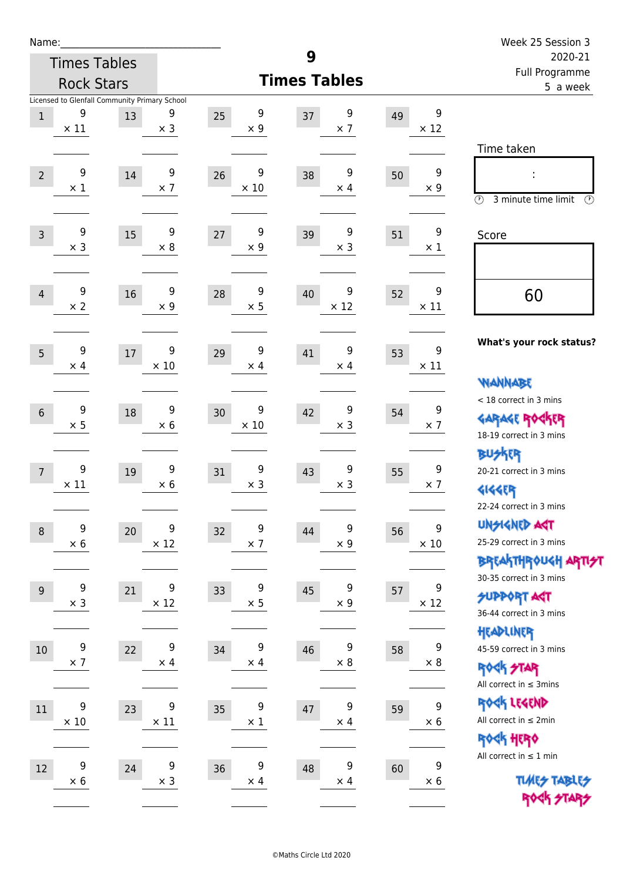| Name:            |                     |                                                     |                  |                        |                        |    |                                | Week 25 Session 3                                                                          |
|------------------|---------------------|-----------------------------------------------------|------------------|------------------------|------------------------|----|--------------------------------|--------------------------------------------------------------------------------------------|
|                  | <b>Times Tables</b> |                                                     |                  |                        | 9                      |    |                                | 2020-21                                                                                    |
|                  | <b>Rock Stars</b>   |                                                     |                  |                        | <b>Times Tables</b>    |    |                                | Full Programme<br>5 a week                                                                 |
| $\mathbf{1}$     | 9<br>$\times$ 11    | Licensed to Glenfall Community Primary School<br>13 | 9<br>$\times$ 3  | 9<br>25<br>$\times$ 9  | 9<br>37<br>$\times$ 7  | 49 | 9<br>$\times$ 12               | Time taken                                                                                 |
| $\overline{2}$   | 9<br>$\times$ 1     | 14                                                  | 9<br>$\times$ 7  | 9<br>26<br>$\times$ 10 | 9<br>38<br>$\times$ 4  | 50 | $\boldsymbol{9}$<br>$\times$ 9 | $\circled{r}$<br>3 minute time limit<br>$(\mathcal{F})$                                    |
| $\overline{3}$   | 9<br>$\times$ 3     | 15                                                  | 9<br>$\times$ 8  | 9<br>27<br>$\times$ 9  | 9<br>39<br>$\times$ 3  | 51 | 9<br>$\times$ 1                | Score                                                                                      |
| $\overline{4}$   | 9<br>$\times 2$     | 16                                                  | 9<br>$\times$ 9  | 9<br>28<br>$\times$ 5  | 9<br>40<br>$\times$ 12 | 52 | 9<br>$\times$ 11               | 60                                                                                         |
| 5                | 9<br>$\times$ 4     | 17                                                  | 9<br>$\times$ 10 | 9<br>29<br>$\times$ 4  | 9<br>41<br>$\times$ 4  | 53 | 9<br>$\times$ 11               | What's your rock status?<br><b>VIANNABE</b>                                                |
| $6\,$            | 9<br>$\times$ 5     | 18                                                  | 9<br>$\times$ 6  | 9<br>30<br>$\times$ 10 | 9<br>42<br>$\times$ 3  | 54 | 9<br>$\times$ 7                | < 18 correct in 3 mins<br><b>GARAGE ROCKER</b><br>18-19 correct in 3 mins<br><b>BUSKER</b> |
| $\overline{7}$   | 9<br>$\times$ 11    | 19                                                  | 9<br>$\times$ 6  | 9<br>31<br>$\times$ 3  | 9<br>43<br>$\times$ 3  | 55 | 9<br>$\times$ 7                | 20-21 correct in 3 mins<br><b>4144EP</b><br>22-24 correct in 3 mins                        |
| $\boldsymbol{8}$ | 9<br>$\times$ 6     | 20                                                  | 9<br>$\times$ 12 | 9<br>32<br>$\times$ 7  | 9<br>44<br>$\times$ 9  | 56 | 9<br>$\times$ 10               | <b>UNGIGNED AST</b><br>25-29 correct in 3 mins<br>BREAKTHRÓUGH ARTI <del>2</del> 1         |
| $9\,$            | 9<br>$\times$ 3     | 21                                                  | 9<br>$\times$ 12 | 9<br>33<br>$\times$ 5  | 9<br>45<br>$\times$ 9  | 57 | 9<br>$\times$ 12               | 30-35 correct in 3 mins<br><b>SUPPORT ART</b><br>36-44 correct in 3 mins<br>HEADLINER      |
| $10$             | 9<br>$\times$ 7     | 22                                                  | 9<br>$\times$ 4  | 9<br>34<br>$\times$ 4  | 9<br>46<br>$\times$ 8  | 58 | 9<br>$\times 8$                | 45-59 correct in 3 mins<br><b>ROCK STAR</b><br>All correct in $\leq$ 3mins                 |
| 11               | 9<br>$\times$ 10    | 23                                                  | 9<br>$\times$ 11 | 9<br>35<br>$\times$ 1  | 9<br>47<br>$\times$ 4  | 59 | 9<br>$\times 6$                | ROCK LEGEND<br>All correct in $\leq 2$ min<br>ROCK HERO                                    |
| $12\,$           | 9<br>$\times 6$     | 24                                                  | 9<br>$\times$ 3  | 9<br>36<br>$\times$ 4  | 9<br>48<br>$\times$ 4  | 60 | 9<br>$\times 6$                | All correct in $\leq 1$ min<br><b>TUARS TABLES</b><br>ROCK STARS                           |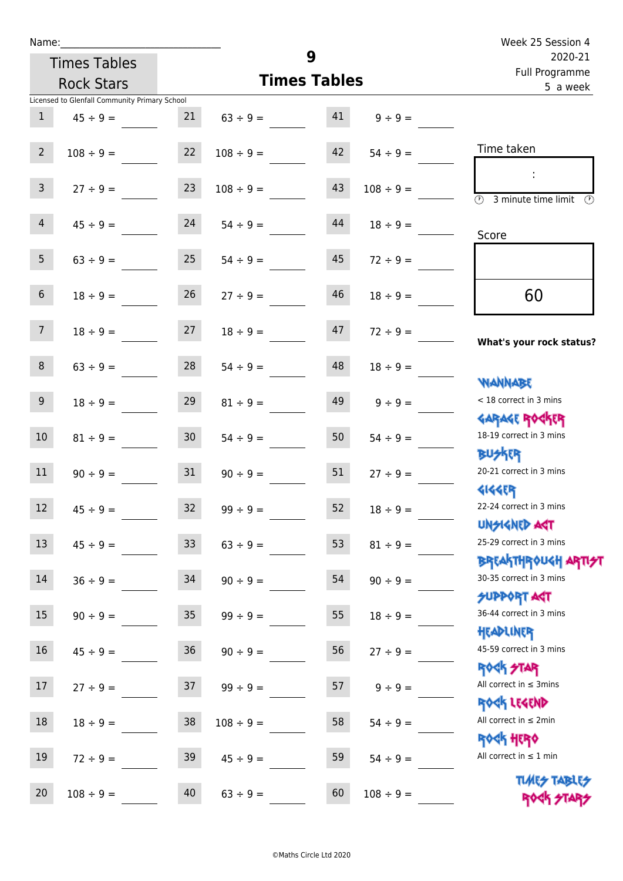| Name:           |                                               |                 |                |                     |                | Week 25 Session 4                                                |
|-----------------|-----------------------------------------------|-----------------|----------------|---------------------|----------------|------------------------------------------------------------------|
|                 | <b>Times Tables</b>                           |                 |                | 9                   |                | 2020-21<br>Full Programme                                        |
|                 | <b>Rock Stars</b>                             |                 |                | <b>Times Tables</b> |                | 5 a week                                                         |
|                 | Licensed to Glenfall Community Primary School |                 |                |                     |                |                                                                  |
| $\mathbf{1}$    | $45 \div 9 =$                                 | 21              | $63 \div 9 =$  | 41                  | $9 \div 9 =$   |                                                                  |
| $2^{\circ}$     | $108 \div 9 =$                                | 22              | $108 \div 9 =$ | 42                  | $54 \div 9 =$  | Time taken                                                       |
| 3 <sup>7</sup>  | $27 \div 9 =$                                 | 23              | $108 \div 9 =$ | 43                  | $108 \div 9 =$ | $\overline{(\mathcal{V})}$<br>3 minute time limit<br>$\odot$     |
| $\overline{4}$  | $45 \div 9 =$                                 | 24              | $54 \div 9 =$  | 44                  | $18 \div 9 =$  | Score                                                            |
| 5 <sub>1</sub>  | $63 \div 9 =$                                 | 25              | $54 \div 9 =$  | 45                  | $72 \div 9 =$  |                                                                  |
| 6 <sup>1</sup>  | $18 \div 9 =$                                 | 26              | $27 \div 9 =$  | 46                  | $18 \div 9 =$  | 60                                                               |
| 7 <sup>7</sup>  | $18 \div 9 =$                                 | 27              | $18 \div 9 =$  | 47                  | $72 \div 9 =$  | What's your rock status?                                         |
| 8               | $63 \div 9 =$                                 | 28              | $54 \div 9 =$  | 48                  | $18 \div 9 =$  | <b>NANNABE</b>                                                   |
| 9 <sub>o</sub>  | $18 \div 9 =$                                 | 29              | $81 \div 9 =$  | 49                  | $9 \div 9 =$   | < 18 correct in 3 mins                                           |
| 10 <sup>°</sup> | $81 \div 9 =$                                 | 30 <sup>7</sup> | $54 \div 9 =$  | 50                  | $54 \div 9 =$  | <b>GARAGE ROCKER</b><br>18-19 correct in 3 mins<br><b>BUSKER</b> |
| 11              | $90 \div 9 =$                                 | 31              | $90 \div 9 =$  | 51                  | $27 \div 9 =$  | 20-21 correct in 3 mins<br><b>4144EP</b>                         |
| 12              | $45 \div 9 =$                                 | 32              | $99 ÷ 9 =$     | 52                  | $18 \div 9 =$  | 22-24 correct in 3 mins<br><b>UNSIGNED AGT</b>                   |
| 13              | $45 \div 9 =$                                 | 33              | $63 ÷ 9 =$     | 53                  | $81 \div 9 =$  | 25-29 correct in 3 mins<br><b>BREAKTHROUGH ARTI<del>S</del>T</b> |
| $14\,$          | $36 ÷ 9 =$                                    | 34              | $90 \div 9 =$  | 54                  | $90 \div 9 =$  | 30-35 correct in 3 mins<br><b>SUPPORT ART</b>                    |
| 15              | $90 \div 9 =$                                 | $35\,$          | $99 ÷ 9 =$     | 55                  | $18 \div 9 =$  | 36-44 correct in 3 mins<br>HEADLINER                             |
| 16              | $45 \div 9 =$                                 | $36\,$          | $90 \div 9 =$  | 56                  | $27 ÷ 9 =$     | 45-59 correct in 3 mins<br><b>ROCK STAR</b>                      |
| 17              | $27 ÷ 9 =$                                    | 37              | $99 ÷ 9 =$     | 57                  | $9 ÷ 9 =$      | All correct in $\leq$ 3mins<br>ROCK LEGEND                       |
| 18              | $18 \div 9 =$                                 | $38\,$          | $108 \div 9 =$ | 58                  | $54 \div 9 =$  | All correct in $\leq 2$ min<br><b>ROCK HERO</b>                  |
| 19              | $72 \div 9 =$                                 | 39              | $45 \div 9 =$  | 59                  | $54 \div 9 =$  | All correct in $\leq 1$ min                                      |
| 20              | $108 \div 9 =$                                | 40              | $63 ÷ 9 =$     | 60                  | $108 \div 9 =$ | <b>TUARS TABLES</b><br>ROCK STARS                                |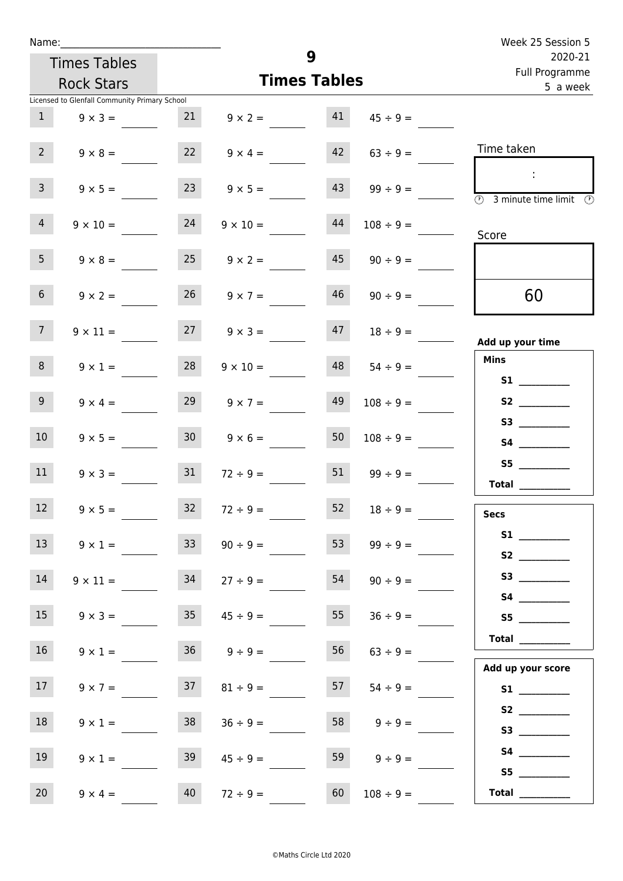| Name:           |                                               |                 |                      |          |                | Week 25 Session 5                                                                       |
|-----------------|-----------------------------------------------|-----------------|----------------------|----------|----------------|-----------------------------------------------------------------------------------------|
|                 | <b>Times Tables</b>                           |                 |                      | 9        |                | 2020-21<br>Full Programme                                                               |
|                 | <b>Rock Stars</b>                             |                 | <b>Times Tables</b>  | 5 a week |                |                                                                                         |
|                 | Licensed to Glenfall Community Primary School |                 |                      |          |                |                                                                                         |
| 1               | $9 \times 3 =$                                | 21              | $9 \times 2 =$       | 41       | $45 \div 9 =$  |                                                                                         |
| $2^{\circ}$     | $9 \times 8 =$                                | 22              | $9 \times 4 =$       | 42       | $63 \div 9 =$  | Time taken                                                                              |
| $\overline{3}$  | $9 \times 5 =$                                | 23              | $9 \times 5 =$       | 43       | $99 \div 9 =$  | $\sim$<br>$\overline{\textcircled{2}}$ 3 minute time limit $\overline{\textcircled{2}}$ |
| $\overline{4}$  | $9 \times 10 =$                               | 24              | $9 \times 10 =$      | 44       | $108 \div 9 =$ | Score                                                                                   |
| 5 <sub>1</sub>  | $9 \times 8 =$                                | 25              | $9 \times 2 =$       | 45       | $90 \div 9 =$  |                                                                                         |
| 6 <sup>1</sup>  | $9 \times 2 =$                                |                 | $26 \t 9 \times 7 =$ | 46       | $90 \div 9 =$  | 60                                                                                      |
| 7 <sup>7</sup>  | $9 \times 11 =$                               |                 | $27 \t 9 \times 3 =$ | 47       | $18 \div 9 =$  | Add up your time                                                                        |
| 8               | $9 \times 1 =$                                | 28              | $9 \times 10 =$      | 48       | $54 \div 9 =$  | <b>Mins</b><br><b>S1 S1</b>                                                             |
| 9 <sub>o</sub>  | $9 \times 4 =$                                | 29              | $9 \times 7 =$       | 49       | $108 \div 9 =$ | S2                                                                                      |
| 10 <sup>°</sup> | $9 \times 5 =$                                | 30 <sup>°</sup> | $9 \times 6 =$       | 50       | $108 \div 9 =$ | S3                                                                                      |
| 11              | $9 \times 3 =$                                | 31              | $72 \div 9 =$        | 51       | $99 \div 9 =$  | S5<br>Total                                                                             |
| 12              | $9 \times 5 =$                                | 32              | $72 \div 9 =$        | 52       | $18 \div 9 =$  | <b>Secs</b>                                                                             |
| 13              | $9 \times 1 =$                                | 33              | $90 \div 9 =$        | 53       | $99 \div 9 =$  |                                                                                         |
| 14              | $9 \times 11 =$                               | 34              | $27 \div 9 =$        | 54       | $90 \div 9 =$  |                                                                                         |
| 15              | $9 \times 3 =$                                | 35 <sub>1</sub> | $45 \div 9 =$        | 55       | $36 \div 9 =$  | S5                                                                                      |
| 16 <sup>1</sup> | $9 \times 1 =$                                |                 | $36 \t 9 \div 9 =$   | 56       | $63 \div 9 =$  | Total                                                                                   |
| 17 <sup>7</sup> | $9 \times 7 =$                                | 37              | $81 \div 9 =$        | 57       | $54 \div 9 =$  | Add up your score                                                                       |
| 18              | $9 \times 1 =$                                | 38              | $36 \div 9 =$        | 58       | $9 \div 9 =$   |                                                                                         |
| 19              | $9 \times 1 =$                                | 39              | $45 \div 9 =$        | 59       | $9 \div 9 =$   |                                                                                         |
|                 |                                               |                 |                      |          |                | S5                                                                                      |

20 9 × 4 = 40 72 ÷ 9 = 60 108 ÷ 9 = **Total** \_\_\_\_\_\_\_\_\_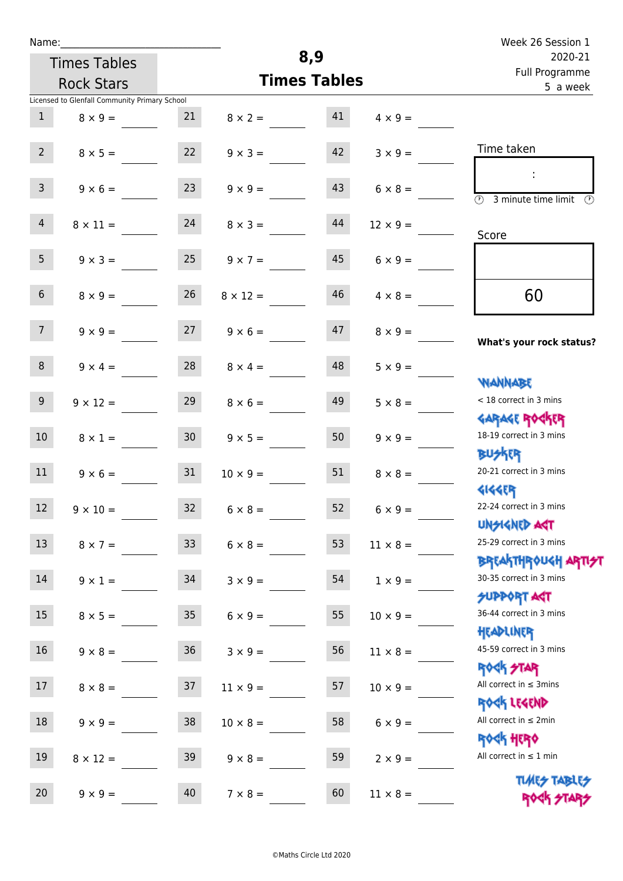| Name:            |                                               |                 |                 |                     |                 | Week 26 Session 1                                                  |
|------------------|-----------------------------------------------|-----------------|-----------------|---------------------|-----------------|--------------------------------------------------------------------|
|                  | <b>Times Tables</b>                           |                 |                 | 8,9                 |                 | 2020-21<br>Full Programme<br>5 a week                              |
|                  | <b>Rock Stars</b>                             |                 |                 | <b>Times Tables</b> |                 |                                                                    |
|                  | Licensed to Glenfall Community Primary School |                 |                 |                     |                 |                                                                    |
| 1                | $8 \times 9 =$                                | 21              | $8 \times 2 =$  | 41                  | $4 \times 9 =$  |                                                                    |
| $2^{\circ}$      | $8 \times 5 =$                                | 22              | $9 \times 3 =$  | 42                  | $3 \times 9 =$  | Time taken                                                         |
| 3 <sup>7</sup>   | $9 \times 6 =$                                | 23              | $9 \times 9 =$  | 43                  | $6 \times 8 =$  | $\overline{(\mathcal{V})}$<br>3 minute time limit<br>$\mathcal{O}$ |
| $\overline{4}$   | $8 \times 11 =$                               | 24              | $8 \times 3 =$  | 44                  | $12 \times 9 =$ | Score                                                              |
| 5 <sub>1</sub>   | $9 \times 3 =$                                | 25              | $9 \times 7 =$  | 45                  | $6 \times 9 =$  |                                                                    |
| 6 <sup>1</sup>   | $8 \times 9 =$                                | 26              | $8 \times 12 =$ | 46                  | $4 \times 8 =$  | 60                                                                 |
| 7 <sup>7</sup>   | $9 \times 9 =$                                | 27              | $9 \times 6 =$  | 47                  | $8 \times 9 =$  | What's your rock status?                                           |
| 8                | $9 \times 4 =$                                | 28              | $8 \times 4 =$  | 48                  | $5 \times 9 =$  | <b>NANNABE</b>                                                     |
| 9 <sub>o</sub>   | $9 \times 12 =$                               | 29              | $8 \times 6 =$  | 49                  | $5 \times 8 =$  | < 18 correct in 3 mins<br><b>GARAGE ROCKER</b>                     |
| 10 <sup>°</sup>  | $8 \times 1 =$                                | 30 <sup>°</sup> | $9 \times 5 =$  | 50                  | $9 \times 9 =$  | 18-19 correct in 3 mins<br><b>BUSKRR</b>                           |
| 11               | $9 \times 6 =$                                | 31              | $10 \times 9 =$ | 51                  | $8 \times 8 =$  | 20-21 correct in 3 mins<br><b>4144EP</b>                           |
| 12               | $9 \times 10 =$                               | 32              | $6 \times 8 =$  | 52                  | $6 \times 9 =$  | 22-24 correct in 3 mins<br><b>UNSIGNED AST</b>                     |
| 13               | $8 \times 7 =$                                | 33              | $6 \times 8 =$  | 53                  | $11 \times 8 =$ | 25-29 correct in 3 mins<br><b>BREAKTHROUGH ARTI<del>S</del>T</b>   |
| 14               | $9 \times 1 =$                                | 34              | $3 \times 9 =$  | 54                  | $1 \times 9 =$  | 30-35 correct in 3 mins<br><b>SUPPORT ART</b>                      |
| 15 <sub>15</sub> | $8 \times 5 =$                                | 35 <sub>1</sub> | $6 \times 9 =$  | 55                  | $10 \times 9 =$ | 36-44 correct in 3 mins<br>HEADLINER                               |
| 16 <sup>1</sup>  | $9 \times 8 =$                                | 36              | $3 \times 9 =$  | 56                  | $11 \times 8 =$ | 45-59 correct in 3 mins<br><b>ROCK STAR</b>                        |
| 17               | $8 \times 8 =$                                | 37              | $11 \times 9 =$ | 57                  | $10 \times 9 =$ | All correct in $\leq$ 3mins<br>ROCK LEGEND                         |
| 18               | $9 \times 9 =$                                | 38              | $10 \times 8 =$ | 58                  | $6 \times 9 =$  | All correct in $\leq 2$ min<br><b>ROCK HERO</b>                    |
| 19               | $8 \times 12 =$                               | 39              | $9 \times 8 =$  | 59                  | $2 \times 9 =$  | All correct in $\leq 1$ min                                        |
| 20               | $9 \times 9 =$                                | 40              | $7 \times 8 =$  | 60                  | $11 \times 8 =$ | <b>TUARS TABLES</b><br>ROCK STARS                                  |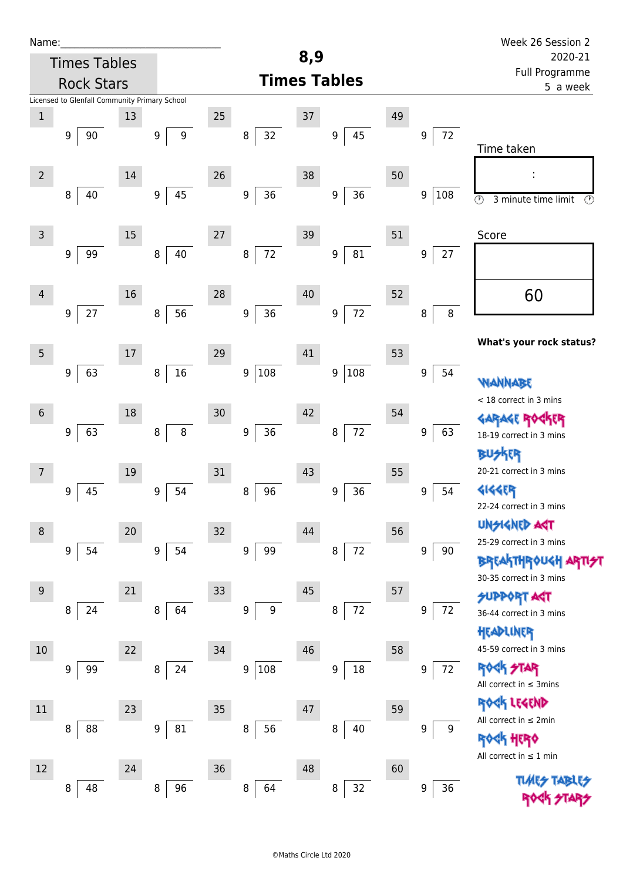| Name:          |                     |      |                                               |                  |                  |                        |     |                        |    |                   | Week 26 Session 2                                            |  |
|----------------|---------------------|------|-----------------------------------------------|------------------|------------------|------------------------|-----|------------------------|----|-------------------|--------------------------------------------------------------|--|
|                | <b>Times Tables</b> |      |                                               |                  |                  |                        | 8,9 |                        |    |                   | 2020-21<br>Full Programme                                    |  |
|                | <b>Rock Stars</b>   |      |                                               |                  |                  |                        |     | <b>Times Tables</b>    |    | 5 a week          |                                                              |  |
|                |                     |      | Licensed to Glenfall Community Primary School |                  |                  |                        |     |                        |    |                   |                                                              |  |
| $\,1$          |                     |      | 13                                            |                  | $25\,$           |                        | 37  |                        | 49 |                   |                                                              |  |
|                | 9                   | 90   |                                               | 9                | $\boldsymbol{9}$ | 32<br>8                |     | 45<br>9                |    | 72<br>9           | Time taken                                                   |  |
| $\overline{2}$ |                     |      | 14                                            |                  | 26               |                        | 38  |                        | 50 |                   |                                                              |  |
|                | 8                   | 40   |                                               | 9                | $45\,$           | $36\,$<br>9            |     | 36<br>9                |    | 9<br>108          | $\circledcirc$<br>$\circled{r}$<br>3 minute time limit       |  |
| 3              |                     |      | 15                                            |                  | $27\,$           |                        | 39  |                        | 51 |                   | Score                                                        |  |
|                | 9                   | 99   |                                               | 8                | $40\,$           | 72<br>$\bf 8$          |     | 81<br>9                |    | $27\,$<br>9       |                                                              |  |
| $\overline{4}$ |                     |      | 16                                            |                  | 28               |                        | 40  |                        | 52 |                   | 60                                                           |  |
|                | $\boldsymbol{9}$    | $27$ |                                               | 8                | 56               | 36<br>$\boldsymbol{9}$ |     | 72<br>9                |    | $\, 8$<br>$\bf 8$ |                                                              |  |
| 5              |                     |      | $17$                                          |                  | 29               |                        | 41  |                        | 53 |                   | What's your rock status?                                     |  |
|                | 9                   | 63   |                                               | 8                | $16\,$           | 9 108                  |     | 108<br>9               |    | 9<br>54           | NANNABE                                                      |  |
| $6\phantom{1}$ |                     |      | 18                                            |                  | 30               |                        | 42  |                        | 54 |                   | < 18 correct in 3 mins                                       |  |
|                | 9                   | 63   |                                               | 8                | $\,8\,$          | $36\,$<br>9            |     | $72$<br>8              |    | 63<br>9           | <b>GARAGE RO</b><br>18-19 correct in 3 mins<br><b>BUSKER</b> |  |
| 7              |                     |      | 19                                            |                  | 31               |                        | 43  |                        | 55 |                   | 20-21 correct in 3 mins                                      |  |
|                | 9                   | 45   |                                               | $\boldsymbol{9}$ | 54               | 96<br>8                |     | 36<br>$\boldsymbol{9}$ |    | 54<br>9           | <b>4144EP</b><br>22-24 correct in 3 mins                     |  |
| 8              |                     |      | 20                                            |                  | 32               |                        | 44  |                        | 56 |                   | <b>UNSIGNED ART</b>                                          |  |
|                | 9                   | 54   |                                               | 9                | 54               | 99<br>9                |     | $72\,$<br>8            |    | 9<br>90           | 25-29 correct in 3 mins<br><b>BREAKTHROUGH</b>               |  |
| 9              |                     |      | 21                                            |                  | 33               |                        | 45  |                        | 57 |                   | 30-35 correct in 3 mins                                      |  |
|                | 8                   | 24   |                                               | 8                | 64               | 9<br>9                 |     | 72<br>8                |    | 72<br>9           | <b>SUPPORT AGT</b><br>36-44 correct in 3 mins                |  |
| $10\,$         |                     |      | 22                                            |                  | 34               |                        | 46  |                        | 58 |                   | HEADLINER<br>45-59 correct in 3 mins                         |  |
|                | 9                   | 99   |                                               | 8                | 24               | 9 108                  |     | 18<br>9                |    | 72<br>9           | ROCK STAR<br>All correct in $\leq$ 3mins                     |  |
| $11\,$         |                     |      | 23                                            |                  | 35               |                        | 47  |                        | 59 |                   | ROCK LEGEND<br>All correct in $\leq 2$ min                   |  |
|                | 8                   | 88   |                                               | 9                | 81               | 56<br>8                |     | 8<br>40                |    | 9<br>9            | HERQ<br>All correct in $\leq 1$ min                          |  |
| 12             |                     |      | 24                                            |                  | 36               |                        | 48  |                        | 60 |                   |                                                              |  |
|                | 8                   | 48   |                                               | 8                | 96               | 8<br>64                |     | 32<br>8                |    | 36<br>9           | <b>TLME<del>S</del></b>                                      |  |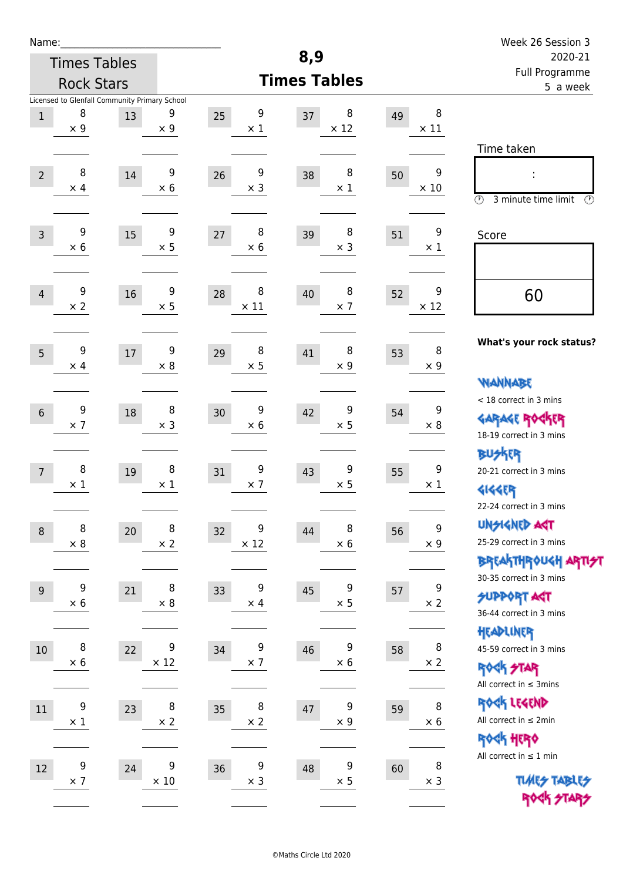| Name:            |                  |                                               |                 |                        |                        |    |                  | Week 26 Session 3                                           |
|------------------|------------------|-----------------------------------------------|-----------------|------------------------|------------------------|----|------------------|-------------------------------------------------------------|
|                  |                  | <b>Times Tables</b>                           |                 |                        | 8,9                    |    |                  | 2020-21                                                     |
|                  |                  | <b>Rock Stars</b>                             |                 |                        | <b>Times Tables</b>    |    |                  | Full Programme<br>5 a week                                  |
|                  |                  | Licensed to Glenfall Community Primary School |                 |                        |                        |    |                  |                                                             |
| $\,1$            | 8<br>$\times$ 9  | 13                                            | 9<br>$\times$ 9 | 9<br>25<br>$\times$ 1  | 8<br>37<br>$\times$ 12 | 49 | 8<br>$\times$ 11 |                                                             |
|                  |                  |                                               |                 |                        |                        |    |                  | Time taken                                                  |
|                  |                  |                                               |                 |                        |                        |    |                  |                                                             |
| $\overline{2}$   | 8<br>$\times$ 4  | 14                                            | 9<br>$\times$ 6 | 9<br>26<br>$\times$ 3  | 8<br>38<br>$\times$ 1  | 50 | 9<br>$\times$ 10 |                                                             |
|                  |                  |                                               |                 |                        |                        |    |                  | $\odot$<br>3 minute time limit<br>⊕                         |
|                  |                  |                                               |                 |                        |                        |    |                  |                                                             |
| $\overline{3}$   | 9<br>$\times 6$  | 15                                            | 9<br>$\times$ 5 | 8<br>27<br>$\times$ 6  | 8<br>39<br>$\times$ 3  | 51 | 9<br>$\times$ 1  | Score                                                       |
|                  |                  |                                               |                 |                        |                        |    |                  |                                                             |
|                  |                  |                                               |                 |                        |                        |    |                  |                                                             |
| $\overline{4}$   | 9<br>$\times 2$  | 16                                            | 9<br>$\times$ 5 | 8<br>28<br>$\times$ 11 | 8<br>40<br>$\times$ 7  | 52 | 9<br>$\times$ 12 | 60                                                          |
|                  |                  |                                               |                 |                        |                        |    |                  |                                                             |
|                  |                  |                                               |                 |                        |                        |    |                  | What's your rock status?                                    |
| 5                | 9<br>$\times$ 4  | 17                                            | 9<br>$\times$ 8 | 8<br>29<br>$\times$ 5  | 8<br>41<br>$\times$ 9  | 53 | 8<br>$\times 9$  |                                                             |
|                  |                  |                                               |                 |                        |                        |    |                  | <b>NANNABE</b>                                              |
|                  |                  |                                               |                 |                        |                        |    |                  | < 18 correct in 3 mins                                      |
| $6\phantom{1}$   | 9                | 18                                            | 8               | 9<br>30                | 9<br>42                | 54 | 9                | <b>GARAGE ROCKER</b>                                        |
|                  | $\times$ 7       |                                               | $\times$ 3      | $\times 6$             | $\times$ 5             |    | $\times 8$       | 18-19 correct in 3 mins                                     |
|                  |                  |                                               |                 |                        |                        |    |                  | <b>BUSKER</b>                                               |
| 7                | 8                | 19                                            | 8               | 9<br>31                | 9<br>43                | 55 | 9                | 20-21 correct in 3 mins                                     |
|                  | $\times$ 1       |                                               | $\times$ 1      | $\times$ 7             | $\times$ 5             |    | $\times$ 1       | <b>4144EP</b>                                               |
|                  |                  |                                               |                 |                        |                        |    |                  | 22-24 correct in 3 mins                                     |
| $\boldsymbol{8}$ | 8                | 20                                            | 8               | 9<br>32                | 8<br>44                | 56 | 9                | <b>UNGIGNED AST</b>                                         |
|                  | $\times$ 8       |                                               | $\times$ 2      | $\times$ 12            | $\times$ 6             |    | $\times$ 9       | 25-29 correct in 3 mins                                     |
|                  |                  |                                               |                 |                        |                        |    |                  | BREAKTHRÓUGH ARTI <del>2</del> 1<br>30-35 correct in 3 mins |
| $9\,$            | 9                | 21                                            | 8               | 9<br>33                | 9<br>45                | 57 | 9                | <b>SUPPORT AGT</b>                                          |
|                  | $\times$ 6       |                                               | $\times$ 8      | $\times$ 4             | $\times$ 5             |    | $\times$ 2       | 36-44 correct in 3 mins                                     |
|                  |                  |                                               |                 |                        |                        |    |                  | HEADLINER                                                   |
| $10\,$           | 8                | 22                                            | 9               | 9<br>34                | 9<br>46                | 58 | $\bf 8$          | 45-59 correct in 3 mins                                     |
|                  | $\times 6$       |                                               | $\times$ 12     | $\times$ 7             | $\times$ 6             |    | $\times$ 2       | ROCK STAR                                                   |
|                  |                  |                                               |                 |                        |                        |    |                  | All correct in $\leq$ 3mins                                 |
| $11\,$           | $\boldsymbol{9}$ | 23                                            | 8               | 8<br>35                | 9<br>47                | 59 | 8                | ROCK LEGEND                                                 |
|                  | $\times$ 1       |                                               | $\times$ 2      | $\times$ 2             | $\times$ 9             |    | $\times 6$       | All correct in $\leq 2$ min                                 |
|                  |                  |                                               |                 |                        |                        |    |                  | ROCK HERO                                                   |
| 12               | 9                | 24                                            | 9               | 9<br>36                | 9<br>48                | 60 | 8                | All correct in $\leq 1$ min                                 |
|                  | $\times$ 7       |                                               | $\times$ 10     | $\times$ 3             | $\times$ 5             |    | $\times$ 3       | <b>TUARS TABLES</b>                                         |
|                  |                  |                                               |                 |                        |                        |    |                  | ROCK STARS                                                  |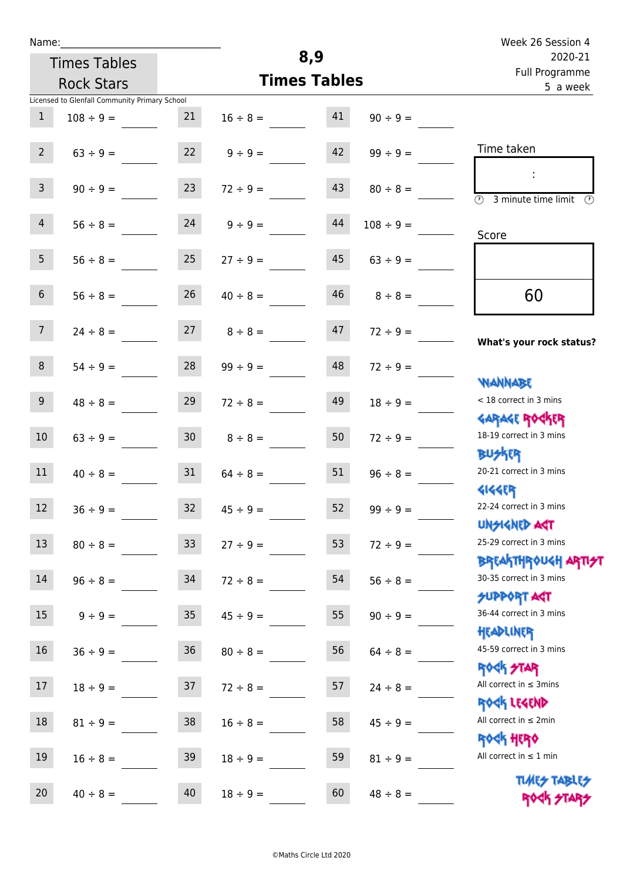| Name:           |                                               |                 |                     | 8,9                                   |                | Week 26 Session 4                                                |
|-----------------|-----------------------------------------------|-----------------|---------------------|---------------------------------------|----------------|------------------------------------------------------------------|
|                 | <b>Times Tables</b>                           |                 |                     | 2020-21<br>Full Programme<br>5 a week |                |                                                                  |
|                 | <b>Rock Stars</b>                             |                 | <b>Times Tables</b> |                                       |                |                                                                  |
|                 | Licensed to Glenfall Community Primary School |                 |                     |                                       |                |                                                                  |
| $\mathbf{1}$    | $108 \div 9 =$                                | 21              | $16 \div 8 =$       | 41                                    | $90 \div 9 =$  |                                                                  |
| $2^{\circ}$     | $63 ÷ 9 =$                                    | 22              | $9 \div 9 =$        | 42                                    | $99 \div 9 =$  | Time taken                                                       |
| 3 <sup>7</sup>  | $90 \div 9 =$                                 | 23              | $72 \div 9 =$       | 43                                    | $80 \div 8 =$  | $\overline{\mathcal{O}}$<br>3 minute time limit<br>$\circled{r}$ |
| $\overline{4}$  | $56 \div 8 =$                                 | 24              | $9 \div 9 =$        | 44                                    | $108 \div 9 =$ | Score                                                            |
| 5 <sub>1</sub>  | $56 \div 8 =$                                 | 25              | $27 \div 9 =$       | 45                                    | $63 \div 9 =$  |                                                                  |
| 6 <sup>1</sup>  | $56 \div 8 =$                                 | 26              | $40 \div 8 =$       | 46                                    | $8 \div 8 =$   | 60                                                               |
| 7 <sup>7</sup>  | $24 \div 8 =$                                 | 27              | $8 \div 8 =$        | 47                                    | $72 \div 9 =$  | What's your rock status?                                         |
| 8               | $54 \div 9 =$                                 | 28              | $99 \div 9 =$       | 48                                    | $72 \div 9 =$  | <b>NANNABE</b>                                                   |
| 9 <sub>o</sub>  | $48 \div 8 =$                                 | 29              | $72 \div 8 =$       | 49                                    | $18 \div 9 =$  | < 18 correct in 3 mins<br><b>GARAGE ROCKER</b>                   |
| $10\,$          | $63 \div 9 =$                                 | 30 <sub>2</sub> | $8 \div 8 =$        | 50                                    | $72 \div 9 =$  | 18-19 correct in 3 mins<br><b>BUSKER</b>                         |
| 11              | $40 \div 8 =$                                 | 31              | $64 \div 8 =$       | 51                                    | $96 \div 8 =$  | 20-21 correct in 3 mins<br><b>4144EP</b>                         |
| 12 <sup>7</sup> | $36 ÷ 9 =$                                    | 32              | $45 \div 9 =$       | 52                                    | $99 ÷ 9 =$     | 22-24 correct in 3 mins<br><b>UNSIGNED AST</b>                   |
| 13              | $80 \div 8 =$                                 | 33              | $27 ÷ 9 =$          | 53                                    | $72 \div 9 =$  | 25-29 correct in 3 mins<br><b>BREAKTHROUGH ARTI<del>S</del>T</b> |
| 14              | $96 \div 8 =$                                 | 34              | $72 \div 8 =$       | 54                                    | $56 \div 8 =$  | 30-35 correct in 3 mins<br><b>SUPPORT ART</b>                    |
| 15              | $9 ÷ 9 =$                                     | 35 <sub>2</sub> | $45 \div 9 =$       | 55                                    | $90 \div 9 =$  | 36-44 correct in 3 mins<br>HEADLINER                             |
| 16              | $36 ÷ 9 =$                                    | 36              | $80 \div 8 =$       | 56                                    | $64 \div 8 =$  | 45-59 correct in 3 mins<br>ROCK STAR                             |
| 17              | $18 \div 9 =$                                 | 37              | $72 \div 8 =$       | 57                                    | $24 \div 8 =$  | All correct in $\leq$ 3mins<br>ROCK LEGEND                       |
| 18              | $81 \div 9 =$                                 | 38              | $16 \div 8 =$       | 58                                    | $45 \div 9 =$  | All correct in $\leq 2$ min<br>ROCK HERO                         |
| 19              | $16 \div 8 =$                                 | 39              | $18 \div 9 =$       | 59                                    | $81 \div 9 =$  | All correct in $\leq 1$ min<br><b>TUARS TABLES</b>               |
| 20              | $40 \div 8 =$                                 | 40              | $18 \div 9 =$       | 60                                    | $48 \div 8 =$  | ROCK STARS                                                       |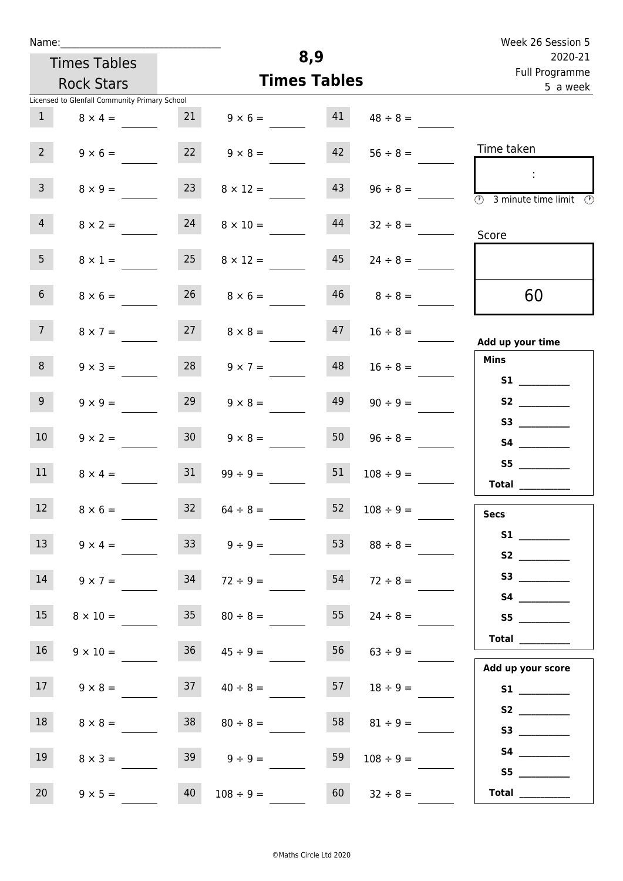| Name:           |                                               |                 |                      |     |                            | Week 26 Session 5                                                                                                                                                                                                                                                                                                                                                                                                                                                                                                                                                                                                   |
|-----------------|-----------------------------------------------|-----------------|----------------------|-----|----------------------------|---------------------------------------------------------------------------------------------------------------------------------------------------------------------------------------------------------------------------------------------------------------------------------------------------------------------------------------------------------------------------------------------------------------------------------------------------------------------------------------------------------------------------------------------------------------------------------------------------------------------|
|                 | <b>Times Tables</b>                           |                 |                      | 8,9 |                            | 2020-21                                                                                                                                                                                                                                                                                                                                                                                                                                                                                                                                                                                                             |
|                 | <b>Rock Stars</b>                             |                 | <b>Times Tables</b>  |     | Full Programme<br>5 a week |                                                                                                                                                                                                                                                                                                                                                                                                                                                                                                                                                                                                                     |
|                 | Licensed to Glenfall Community Primary School |                 |                      |     |                            |                                                                                                                                                                                                                                                                                                                                                                                                                                                                                                                                                                                                                     |
| 1               | $8 \times 4 =$                                | 21              | $9 \times 6 =$       | 41  | $48 \div 8 =$              |                                                                                                                                                                                                                                                                                                                                                                                                                                                                                                                                                                                                                     |
| 2 <sup>7</sup>  | $9 \times 6 =$                                | 22              | $9 \times 8 =$       | 42  | $56 \div 8 =$              | Time taken                                                                                                                                                                                                                                                                                                                                                                                                                                                                                                                                                                                                          |
| $\mathbf{3}$    | $8 \times 9 =$                                | 23              | $8 \times 12 =$      | 43  | $96 \div 8 =$              | ÷<br>$\overline{(\mathcal{V})}$<br>3 minute time limit<br>$\circledcirc$                                                                                                                                                                                                                                                                                                                                                                                                                                                                                                                                            |
| 4               | $8 \times 2 =$                                | 24              | $8 \times 10 =$      | 44  | $32 \div 8 =$              | Score                                                                                                                                                                                                                                                                                                                                                                                                                                                                                                                                                                                                               |
| 5 <sub>1</sub>  | $8 \times 1 =$                                | 25              | $8 \times 12 =$      | 45  | $24 \div 8 =$              |                                                                                                                                                                                                                                                                                                                                                                                                                                                                                                                                                                                                                     |
| 6 <sup>1</sup>  | $8 \times 6 =$                                |                 | $26 \t 8 \times 6 =$ |     | $46 \t 8 \div 8 =$         | 60                                                                                                                                                                                                                                                                                                                                                                                                                                                                                                                                                                                                                  |
| 7 <sup>7</sup>  | $8 \times 7 =$                                | 27              | $8 \times 8 =$       | 47  | $16 \div 8 =$              | Add up your time                                                                                                                                                                                                                                                                                                                                                                                                                                                                                                                                                                                                    |
| 8               | $9 \times 3 =$                                | 28              | $9 \times 7 =$       | 48  | $16 \div 8 =$              | <b>Mins</b>                                                                                                                                                                                                                                                                                                                                                                                                                                                                                                                                                                                                         |
| 9 <sub>o</sub>  | $9 \times 9 =$                                | 29              | $9 \times 8 =$       | 49  | $90 \div 9 =$              |                                                                                                                                                                                                                                                                                                                                                                                                                                                                                                                                                                                                                     |
| 10 <sup>°</sup> | $9 \times 2 =$                                | 30 <sup>1</sup> | $9 \times 8 =$       | 50  | $96 \div 8 =$              |                                                                                                                                                                                                                                                                                                                                                                                                                                                                                                                                                                                                                     |
| 11              | $8 \times 4 =$                                | 31              | $99 \div 9 =$        | 51  | $108 \div 9 =$             | S5<br>Total $\_\_$                                                                                                                                                                                                                                                                                                                                                                                                                                                                                                                                                                                                  |
| 12              | $8 \times 6 =$                                | 32              | $64 \div 8 =$        | 52  | $108 \div 9 =$             | <b>Secs</b>                                                                                                                                                                                                                                                                                                                                                                                                                                                                                                                                                                                                         |
| 13              | $9 \times 4 =$                                | 33              | $9 \div 9 =$         | 53  | $88 \div 8 =$              | S2                                                                                                                                                                                                                                                                                                                                                                                                                                                                                                                                                                                                                  |
| 14              | $9 \times 7 =$                                | 34              | $72 \div 9 =$        | 54  | $72 \div 8 =$              |                                                                                                                                                                                                                                                                                                                                                                                                                                                                                                                                                                                                                     |
| 15              | $8 \times 10 =$                               |                 | $35 \t 80 \div 8 =$  | 55  | $24 \div 8 =$              | S5                                                                                                                                                                                                                                                                                                                                                                                                                                                                                                                                                                                                                  |
| 16              | $9 \times 10 =$                               | 36              | $45 \div 9 =$        | 56  | $63 \div 9 =$              | Total __________<br>Add up your score                                                                                                                                                                                                                                                                                                                                                                                                                                                                                                                                                                               |
| 17              | $9 \times 8 =$                                | 37              | $40 \div 8 =$        | 57  | $18 \div 9 =$              |                                                                                                                                                                                                                                                                                                                                                                                                                                                                                                                                                                                                                     |
| 18              | $8 \times 8 =$                                | 38              | $80 \div 8 =$        | 58  | $81 \div 9 =$              | S2                                                                                                                                                                                                                                                                                                                                                                                                                                                                                                                                                                                                                  |
| 19              | $8 \times 3 =$                                |                 | $39 \t 9 \div 9 =$   | 59  | $108 \div 9 =$             | S5                                                                                                                                                                                                                                                                                                                                                                                                                                                                                                                                                                                                                  |
| 20 <sub>2</sub> | $9 \times 5 =$                                | 40              | $108 \div 9 =$       | 60  | $32 \div 8 =$              | $\begin{tabular}{c} Total & \underline{\hspace{1cm}} & \underline{\hspace{1cm}} & \underline{\hspace{1cm}} & \underline{\hspace{1cm}} & \underline{\hspace{1cm}} & \underline{\hspace{1cm}} & \underline{\hspace{1cm}} & \underline{\hspace{1cm}} & \underline{\hspace{1cm}} & \underline{\hspace{1cm}} & \underline{\hspace{1cm}} & \underline{\hspace{1cm}} & \underline{\hspace{1cm}} & \underline{\hspace{1cm}} & \underline{\hspace{1cm}} & \underline{\hspace{1cm}} & \underline{\hspace{1cm}} & \underline{\hspace{1cm}} & \underline{\hspace{1cm}} & \underline{\hspace{1cm}} & \underline{\hspace{1cm}} &$ |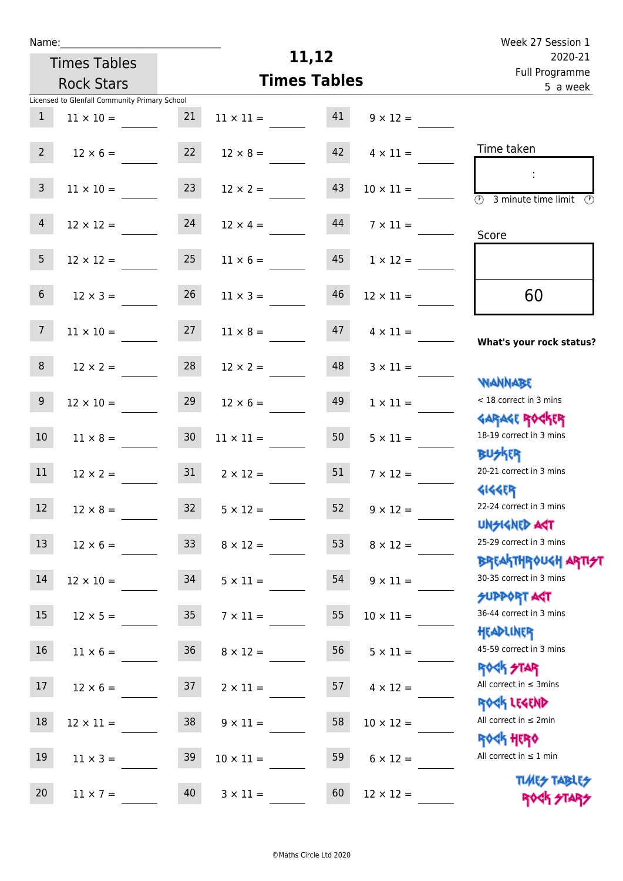| Name:           |                                               |                 |                       |                            |                  | Week 27 Session 1                                            |
|-----------------|-----------------------------------------------|-----------------|-----------------------|----------------------------|------------------|--------------------------------------------------------------|
|                 | <b>Times Tables</b>                           |                 |                       | 11,12                      |                  | 2020-21                                                      |
|                 | <b>Rock Stars</b>                             |                 | <b>Times Tables</b>   | Full Programme<br>5 a week |                  |                                                              |
|                 | Licensed to Glenfall Community Primary School |                 |                       |                            |                  |                                                              |
| $\mathbf{1}$    | $11 \times 10 =$                              | 21              | $11 \times 11 =$      | 41                         | $9 \times 12 =$  |                                                              |
| 2 <sup>7</sup>  | $12 \times 6 =$                               | 22              | $12 \times 8 =$       | 42                         | $4 \times 11 =$  | Time taken                                                   |
|                 |                                               |                 |                       |                            |                  |                                                              |
| $\mathsf{3}$    | $11 \times 10 =$                              | 23              | $12 \times 2 =$       | 43                         | $10 \times 11 =$ | $\overline{(\mathcal{V})}$<br>3 minute time limit<br>$\odot$ |
| $\overline{4}$  | $12 \times 12 =$                              | 24              | $12 \times 4 =$       | 44                         | $7 \times 11 =$  |                                                              |
|                 |                                               |                 |                       |                            |                  | Score                                                        |
| 5 <sub>1</sub>  | $12 \times 12 =$                              | 25              | $11 \times 6 =$       | 45                         | $1 \times 12 =$  |                                                              |
| 6 <sup>1</sup>  | $12 \times 3 =$                               | 26              | $11 \times 3 =$       | 46                         | $12 \times 11 =$ | 60                                                           |
| 7 <sup>7</sup>  | $11 \times 10 =$                              | 27              | $11 \times 8 =$       | 47                         | $4 \times 11 =$  | What's your rock status?                                     |
| 8               |                                               | 28              |                       | 48                         |                  |                                                              |
|                 | $12 \times 2 =$                               |                 | $12 \times 2 =$       |                            | $3 \times 11 =$  | <b>NANNABE</b>                                               |
| 9               | $12 \times 10 =$                              | 29              | $12 \times 6 =$       | 49                         | $1 \times 11 =$  | < 18 correct in 3 mins                                       |
|                 |                                               |                 |                       |                            |                  | <b>GARAGE ROCKER</b>                                         |
| 10 <sup>°</sup> | $11 \times 8 =$                               | 30 <sub>o</sub> | $11 \times 11 =$      | 50                         | $5 \times 11 =$  | 18-19 correct in 3 mins<br><b>BUSKER</b>                     |
| 11              | $12 \times 2 =$                               | 31              | $2 \times 12 =$       | 51                         | $7 \times 12 =$  | 20-21 correct in 3 mins                                      |
|                 |                                               |                 |                       |                            |                  | <b>4144ER</b>                                                |
| 12              | $12 \times 8 =$                               |                 | $32 \t 5 \times 12 =$ | 52                         | $9 \times 12 =$  | 22-24 correct in 3 mins                                      |
|                 |                                               |                 |                       |                            |                  | <b>UNSIGNED AGT</b>                                          |
| 13              | $12 \times 6 =$                               | 33 <sup>°</sup> | $8 \times 12 =$       | 53                         | $8 \times 12 =$  | 25-29 correct in 3 mins                                      |
|                 |                                               |                 |                       |                            |                  | <b>BREAKTHROUGH ARTI<del>S</del>T</b>                        |
| 14              | $12 \times 10 =$                              | 34              | $5 \times 11 =$       | 54                         | $9 \times 11 =$  | 30-35 correct in 3 mins                                      |
|                 |                                               |                 |                       |                            |                  | <b>SUPPORT AGT</b><br>36-44 correct in 3 mins                |
| 15              | $12 \times 5 =$                               | 35              | $7 \times 11 =$       | 55                         | $10 \times 11 =$ | HEADLINER                                                    |
| 16              | $11 \times 6 =$                               | 36              | $8 \times 12 =$       | 56                         | $5 \times 11 =$  | 45-59 correct in 3 mins                                      |
|                 |                                               |                 |                       |                            |                  | <b>ROCK STAR</b>                                             |
| 17              | $12 \times 6 =$                               | 37              | $2 \times 11 =$       | 57                         | $4 \times 12 =$  | All correct in $\leq$ 3mins                                  |
|                 |                                               |                 |                       |                            |                  | ROCK LEGEND                                                  |
| 18              | $12 \times 11 =$                              | 38              | $9 \times 11 =$       | 58                         | $10 \times 12 =$ | All correct in $\leq 2$ min                                  |
|                 |                                               |                 |                       |                            |                  | <b>ROCK HERO</b>                                             |
| 19              | $11 \times 3 =$                               | 39              | $10 \times 11 =$      | 59                         | $6 \times 12 =$  | All correct in $\leq 1$ min                                  |
|                 |                                               |                 |                       |                            |                  | <b>TUARS TABLES</b>                                          |
| 20              | $11 \times 7 =$                               | 40              | $3 \times 11 =$       | 60                         | $12 \times 12 =$ | ROCK STARS                                                   |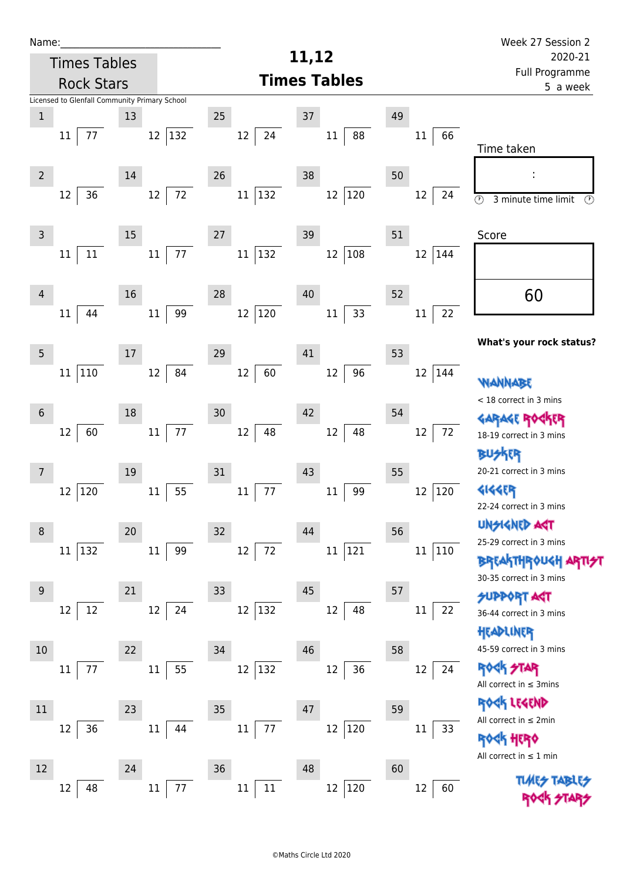| Name:          |                                               |        |                |    |                     | 11,12   |                     |    |                            | Week 27 Session 2                                                       |  |
|----------------|-----------------------------------------------|--------|----------------|----|---------------------|---------|---------------------|----|----------------------------|-------------------------------------------------------------------------|--|
|                | <b>Times Tables</b>                           |        |                |    |                     | 2020-21 |                     |    |                            |                                                                         |  |
|                | <b>Rock Stars</b>                             |        |                |    |                     |         | <b>Times Tables</b> |    | Full Programme<br>5 a week |                                                                         |  |
|                | Licensed to Glenfall Community Primary School |        |                |    |                     |         |                     |    |                            |                                                                         |  |
| $\mathbf 1$    |                                               | 13     |                | 25 |                     | 37      |                     | 49 |                            |                                                                         |  |
|                | 77<br>11                                      |        | 132<br>12      |    | 12<br>24            |         | 88<br>$11\,$        |    | 66<br>11                   | Time taken                                                              |  |
| $\overline{2}$ |                                               | $14\,$ |                | 26 |                     | 38      |                     | 50 |                            |                                                                         |  |
|                | 36<br>12                                      |        | $72\,$<br>12   |    | $ 132\rangle$<br>11 |         | $ 120\rangle$<br>12 |    | 12<br>24                   | $\circled{r}$<br>3 minute time limit<br>$\circled{r}$                   |  |
| $\mathsf{3}$   |                                               | 15     |                | 27 |                     | 39      |                     | 51 |                            | Score                                                                   |  |
|                | $11\,$<br>11                                  |        | 77<br>$11\,$   |    | 132<br>11           |         | $12\,$<br>108       |    | 12<br>144                  |                                                                         |  |
| 4              | 44                                            | 16     | 99             | 28 |                     | 40      |                     | 52 | 22                         | 60                                                                      |  |
|                | 11                                            |        | $11\,$         |    | 120<br>12           |         | 33<br>$11\,$        |    | 11                         |                                                                         |  |
| $\overline{5}$ |                                               | $17\,$ |                | 29 |                     | 41      |                     | 53 |                            | What's your rock status?                                                |  |
|                | 110<br>11                                     |        | 84<br>12       |    | 60<br>12            |         | 96<br>12            |    | 144<br>12                  | WANNABE                                                                 |  |
| $6\phantom{1}$ |                                               | 18     |                | 30 |                     | 42      |                     | 54 |                            | < 18 correct in 3 mins<br><b>GARAGE RO</b>                              |  |
|                | 12<br>60                                      |        | $77\,$<br>11   |    | 48<br>$12\,$        |         | 48<br>12            |    | 72<br>12                   | 18-19 correct in 3 mins                                                 |  |
| 7              |                                               | 19     |                | 31 |                     | 43      |                     | 55 |                            | BUSKER<br>20-21 correct in 3 mins                                       |  |
|                | 120<br>12                                     |        | 55<br>11       |    | 77<br>11            |         | 99<br>$11\,$        |    | 12<br>120                  | <b>4144EP</b><br>22-24 correct in 3 mins                                |  |
| 8              |                                               | 20     |                | 32 |                     | 44      |                     | 56 |                            | <b>UNGIGNED AST</b>                                                     |  |
|                | 11 132                                        |        | $11\,$<br>99   |    | 72<br>12            |         | 121<br>$11\,$       |    | $11\,$<br>110              | 25-29 correct in 3 mins                                                 |  |
|                |                                               |        |                |    |                     |         |                     |    |                            | <b>BREAKTHROUGH</b><br>30-35 correct in 3 mins                          |  |
| 9              |                                               | 21     |                | 33 |                     | 45      |                     | 57 |                            | <b>SUPPORT AGT</b>                                                      |  |
|                | 12<br>12                                      |        | 24<br>12       |    | 12<br>132           |         | 12<br>48            |    | 22<br>11                   | 36-44 correct in 3 mins<br>HEADLINER                                    |  |
| 10             |                                               | 22     |                | 34 |                     | 46      |                     | 58 |                            | 45-59 correct in 3 mins                                                 |  |
|                | 77<br>11                                      |        | 55<br>11       |    | 12<br>132           |         | 36<br>12            |    | 12<br>24                   | <b>ROCK STAR</b><br>All correct in $\leq$ 3mins                         |  |
| 11             |                                               | 23     |                | 35 |                     | 47      |                     | 59 |                            | ROCK LEGEND                                                             |  |
|                | 36<br>12                                      |        | 11<br>44       |    | 77<br>$11\,$        |         | 12<br> 120          |    | $11\,$<br>33               | All correct in $\leq 2$ min                                             |  |
|                |                                               |        |                |    |                     |         |                     |    |                            | <b><h b="" her0<=""><br/>All correct in <math>\leq 1</math> min</h></b> |  |
| 12             |                                               | 24     |                | 36 |                     | 48      |                     | 60 |                            |                                                                         |  |
|                | 48<br>12                                      |        | $11\,$<br>$77$ |    | $11\,$<br>11        |         | $12\,$<br> 120      |    | 12<br>60                   |                                                                         |  |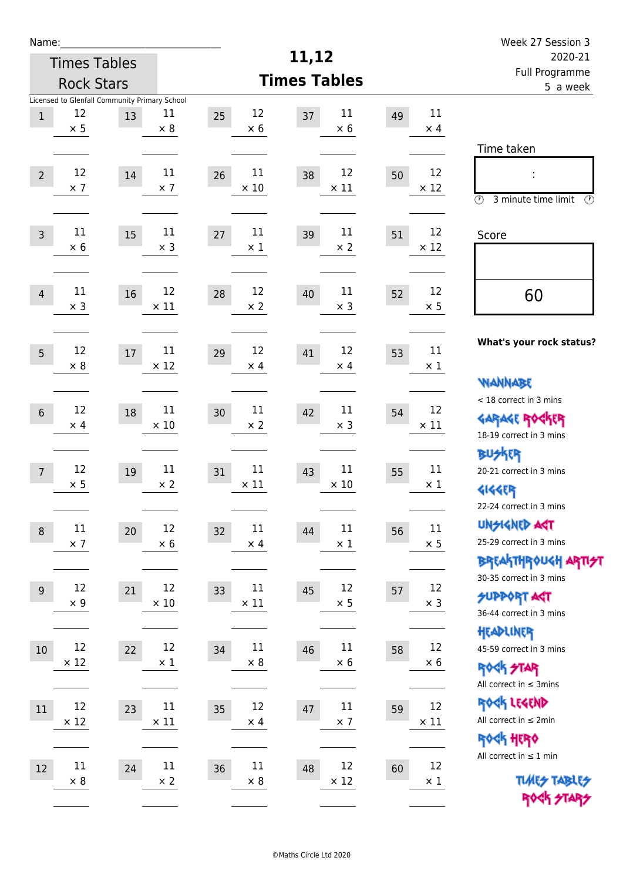| Week 27 Session 3                                                                                                  |                   |    |                             |                         |                                                                    |    |                      | Name:          |  |  |
|--------------------------------------------------------------------------------------------------------------------|-------------------|----|-----------------------------|-------------------------|--------------------------------------------------------------------|----|----------------------|----------------|--|--|
| 2020-21<br>Full Programme                                                                                          |                   |    | 11,12                       |                         | <b>Times Tables</b>                                                |    |                      |                |  |  |
| 5 a week                                                                                                           |                   |    | <b>Times Tables</b>         |                         | <b>Rock Stars</b><br>Licensed to Glenfall Community Primary School |    |                      |                |  |  |
|                                                                                                                    | 11<br>$\times$ 4  | 49 | 11<br>37<br>$\times 6$      | 12<br>25<br>$\times$ 6  | 11<br>$\times$ 8                                                   | 13 | 12<br>$\times$ 5     | $\,1$          |  |  |
| Time taken                                                                                                         |                   |    |                             |                         |                                                                    |    |                      |                |  |  |
| İ,<br>$\circled{r}$<br>3 minute time limit<br>⊕                                                                    | 12<br>$\times$ 12 | 50 | 12<br>38<br>$\times$ 11     | 11<br>26<br>$\times$ 10 | 11<br>$\times$ 7                                                   | 14 | 12<br>$\times$ 7     | $\overline{2}$ |  |  |
| Score                                                                                                              | 12<br>$\times$ 12 | 51 | 11<br>39<br>$\times$ 2      | 11<br>27<br>$\times$ 1  | $11\,$<br>$\times$ 3                                               | 15 | 11<br>$\times 6$     | $\overline{3}$ |  |  |
| 60                                                                                                                 | 12<br>$\times$ 5  | 52 | $11\,$<br>40<br>$\times$ 3  | 12<br>28<br>$\times$ 2  | 12<br>$\times$ 11                                                  | 16 | 11<br>$\times$ 3     | $\overline{4}$ |  |  |
| What's your rock status?                                                                                           | 11<br>$\times 1$  | 53 | 12<br>41<br>$\times$ 4      | 12<br>29<br>$\times$ 4  | 11<br>$\times$ 12                                                  | 17 | 12<br>$\times 8$     | 5              |  |  |
| <b>NANNABE</b><br>< 18 correct in 3 mins<br><b>GARAGE ROCKER</b><br>18-19 correct in 3 mins                        | 12<br>$\times$ 11 | 54 | 11<br>42<br>$\times$ 3      | 11<br>30<br>$\times 2$  | 11<br>$\times$ 10                                                  | 18 | 12<br>$\times$ 4     | $6\,$          |  |  |
| <b>BUSKRR</b><br>20-21 correct in 3 mins<br><b>4144EP</b>                                                          | 11<br>$\times$ 1  | 55 | $11\,$<br>43<br>$\times$ 10 | 11<br>31<br>$\times$ 11 | 11<br>$\times 2$                                                   | 19 | 12<br>$\times$ 5     | $\overline{7}$ |  |  |
| 22-24 correct in 3 mins<br><b>UNSIGNED AGT</b><br>25-29 correct in 3 mins<br><b>BREAKTHROUGH ARTI<del>S</del>T</b> | 11<br>$\times$ 5  | 56 | 11<br>44<br>$\times$ 1      | 11<br>32<br>$\times$ 4  | 12<br>$\times$ 6                                                   | 20 | 11<br>$\times$ 7     | $\, 8$         |  |  |
| 30-35 correct in 3 mins<br><b>SUPPORT AGT</b><br>36-44 correct in 3 mins                                           | 12<br>$\times$ 3  | 57 | 12<br>45<br>$\times$ 5      | 11<br>33<br>$\times$ 11 | 12<br>$\times$ 10                                                  | 21 | 12<br>$\times$ 9     | 9              |  |  |
| HEADLINER<br>45-59 correct in 3 mins<br><b>ROCK STAR</b><br>All correct in $\leq$ 3mins                            | 12<br>$\times 6$  | 58 | $11\,$<br>46<br>$\times 6$  | 11<br>34<br>$\times 8$  | 12<br>$\times$ 1                                                   | 22 | 12<br>$\times$ 12    | 10             |  |  |
| ROCK LEGEND<br>All correct in $\leq 2$ min<br><b>ROCK HERO</b>                                                     | 12<br>$\times$ 11 | 59 | $11\,$<br>47<br>$\times$ 7  | 12<br>35<br>$\times$ 4  | $11\,$<br>$\times$ 11                                              | 23 | 12<br>$\times$ 12    | 11             |  |  |
| All correct in $\leq 1$ min<br><b>TUARS TABLES</b><br>ROCK STARS                                                   | 12<br>$\times$ 1  | 60 | 12<br>48<br>$\times$ 12     | 11<br>36<br>$\times 8$  | $11\,$<br>$\times$ 2                                               | 24 | $11\,$<br>$\times$ 8 | 12             |  |  |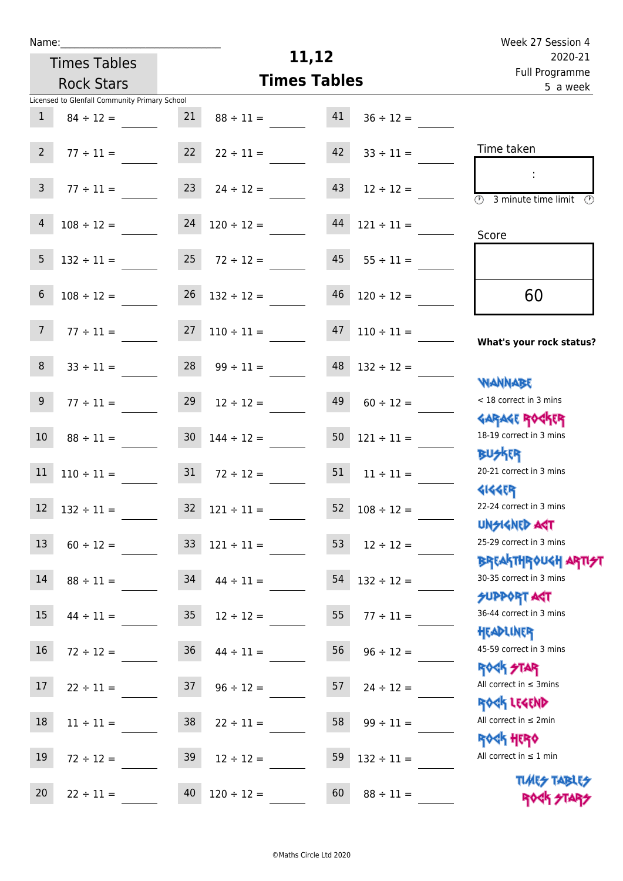|  | vam | L |  |
|--|-----|---|--|
|  |     |   |  |

Times Tables

## **11,12**

|                 | <b>Rock Stars</b>                             |                 | <b>Times Tables</b>      |        |                     | i uli rivyialillile<br>5 a week                        |
|-----------------|-----------------------------------------------|-----------------|--------------------------|--------|---------------------|--------------------------------------------------------|
|                 | Licensed to Glenfall Community Primary School |                 |                          |        |                     |                                                        |
| $\mathbf{1}$    | $84 \div 12 =$                                | 21              | $88 \div 11 =$           | 41     | $36 \div 12 =$      |                                                        |
| $2^{\circ}$     | $77 \div 11 =$                                | 22              | $22 \div 11 =$           | 42     | $33 \div 11 =$      | Time taken                                             |
|                 |                                               |                 |                          |        |                     |                                                        |
| 3 <sup>7</sup>  | $77 \div 11 =$                                | 23              | $24 \div 12 =$           | 43     | $12 \div 12 =$      |                                                        |
|                 |                                               |                 |                          |        |                     | $\overline{(\mathcal{V})}$<br>3 minute time limit<br>⊙ |
| 4               | $108 \div 12 =$                               | 24              | $120 \div 12 =$          | 44     | $121 \div 11 =$     | Score                                                  |
|                 |                                               |                 |                          |        |                     |                                                        |
| $5\phantom{.}$  | $132 \div 11 =$                               | 25              | $72 \div 12 =$           | 45     | $55 \div 11 =$      |                                                        |
| $6\phantom{.}$  | $108 \div 12 =$                               |                 | $26 \quad 132 \div 12 =$ | 46     | $120 \div 12 =$     | 60                                                     |
|                 |                                               |                 |                          |        |                     |                                                        |
| 7 <sup>7</sup>  | $77 \div 11 =$                                | 27              | $110 \div 11 =$          | 47     | $110 \div 11 =$     |                                                        |
|                 |                                               |                 |                          |        |                     | What's your rock status?                               |
| 8               | $33 \div 11 =$                                | 28              | $99 \div 11 =$           | 48     | $132 \div 12 =$     |                                                        |
|                 |                                               |                 |                          |        |                     | <b>NANNABE</b>                                         |
| 9 <sub>o</sub>  | $77 \div 11 =$                                | 29              | $12 \div 12 =$           | 49     | $60 \div 12 =$      | < 18 correct in 3 mins                                 |
|                 |                                               |                 |                          |        |                     | <b>GARAGE ROGKER</b><br>18-19 correct in 3 mins        |
| 10 <sub>1</sub> | $88 \div 11 =$                                | 30 <sub>o</sub> | $144 \div 12 =$          | $50\,$ | $121 \div 11 =$     | <b>BUSKR</b>                                           |
| 11              | $110 \div 11 =$                               | 31              | $72 \div 12 =$           | 51     | $11 \div 11 =$      | 20-21 correct in 3 mins                                |
|                 |                                               |                 |                          |        |                     | <b>4144ER</b>                                          |
| 12              | $132 \div 11 =$                               | 32              | $121 \div 11 =$          | 52     | $108 \div 12 =$     | 22-24 correct in 3 mins                                |
|                 |                                               |                 |                          |        |                     | <b>UNSIGNED AGT</b>                                    |
|                 | $13 \t 60 \div 12 =$                          |                 | $33 \quad 121 \div 11 =$ |        | $53$ $12 \div 12 =$ | 25-29 correct in 3 mins                                |
|                 |                                               |                 |                          |        |                     | <b>BREAKTHR0UGH ARTI<del>S</del>T</b>                  |
| 14              | $88 \div 11 =$                                | 34              | $44 \div 11 =$           | 54     | $132 \div 12 =$     | 30-35 correct in 3 mins                                |
| 15              | $44 \div 11 =$                                | 35              |                          | 55     | $77 \div 11 =$      | <b>SUPPORT AGT</b><br>36-44 correct in 3 mins          |
|                 |                                               |                 | $12 \div 12 =$           |        |                     | HEADLINER                                              |
| 16              | $72 \div 12 =$                                | 36              | $44 \div 11 =$           | 56     | $96 \div 12 =$      | 45-59 correct in 3 mins                                |
|                 |                                               |                 |                          |        |                     | <b>ROCK STAR</b>                                       |
| 17              | $22 \div 11 =$                                | 37              | $96 \div 12 =$           | 57     | $24 \div 12 =$      | All correct in $\leq$ 3mins                            |
|                 |                                               |                 |                          |        |                     | ROCK LEGEND                                            |
| 18              | $11 \div 11 =$                                | 38              | $22 \div 11 =$           | 58     | $99 \div 11 =$      | All correct in $\leq 2$ min                            |
|                 |                                               |                 |                          |        |                     | <b>ROCK HERO</b><br>All correct in $\leq 1$ min        |
| 19              | $72 \div 12 =$                                | 39              | $12 \div 12 =$           | 59     | $132 \div 11 =$     |                                                        |
| 20              | $22 \div 11 =$                                | 40              | $120 \div 12 =$          | 60     | $88 \div 11 =$      | <b>TUARS TABLES</b>                                    |
|                 |                                               |                 |                          |        |                     | ROCK STARS                                             |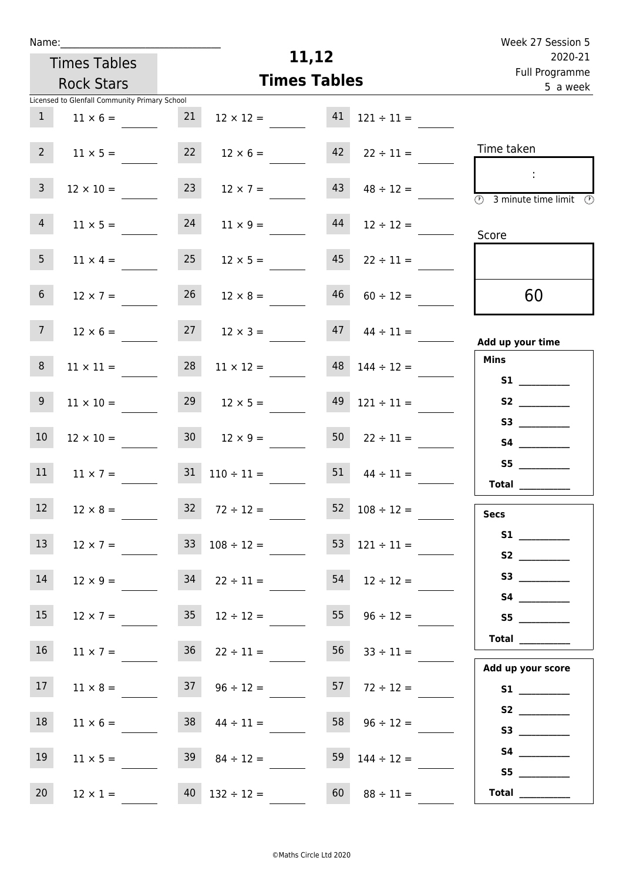| Week 27 Session 5                                                                  |                          |                     |                          |                   |                                               | Name:           |
|------------------------------------------------------------------------------------|--------------------------|---------------------|--------------------------|-------------------|-----------------------------------------------|-----------------|
| 2020-21                                                                            |                          | 11,12               |                          |                   | <b>Times Tables</b>                           |                 |
| Full Programme<br>5 a week                                                         |                          | <b>Times Tables</b> |                          | <b>Rock Stars</b> |                                               |                 |
|                                                                                    |                          |                     |                          |                   | Licensed to Glenfall Community Primary School |                 |
|                                                                                    | $121 \div 11 =$          | 41                  | $12 \times 12 =$         | 21                | $11 \times 6 =$                               | $\mathbf{1}$    |
| Time taken                                                                         | $22 \div 11 =$           | 42                  | $12 \times 6 =$          | 22                | $11 \times 5 =$                               | $2^{\circ}$     |
| ÷<br>$\overline{\textcircled{1}}$ 3 minute time limit $\overline{\textcircled{1}}$ | $48 \div 12 =$           | 43                  | $12 \times 7 =$          | 23                | $12 \times 10 =$                              | $\mathbf{3}$    |
| Score                                                                              | $12 \div 12 =$           | 44                  | $11 \times 9 =$          | 24                | $11 \times 5 =$                               | $\overline{4}$  |
|                                                                                    | $22 \div 11 =$           | 45                  | $12 \times 5 =$          | 25                | $11 \times 4 =$                               | 5 <sub>1</sub>  |
| 60                                                                                 | $60 \div 12 =$           | 46                  | $12 \times 8 =$          | 26                | $12 \times 7 =$                               | 6 <sup>1</sup>  |
| Add up your time                                                                   | $44 \div 11 =$           | 47                  | $12 \times 3 =$          | 27                | $12 \times 6 =$                               | 7 <sup>7</sup>  |
| <b>Mins</b>                                                                        | $148$ $144 \div 12 =$    |                     | $11 \times 12 =$         | 28                | $11 \times 11 =$                              | 8               |
| S1                                                                                 | $121 \div 11 =$          | 49                  | $12 \times 5 =$          | 29                | $11 \times 10 =$                              | 9 <sub>o</sub>  |
|                                                                                    | $22 \div 11 =$           | 50                  | $12 \times 9 =$          | 30 <sup>7</sup>   | $12 \times 10 =$                              | 10              |
| S5<br>Total $\frac{1}{2}$                                                          | $44 \div 11 =$           | 51                  | $31 \quad 110 \div 11 =$ |                   | $11 \times 7 =$                               | 11              |
| <b>Secs</b>                                                                        | $52 \t108 \div 12 =$     |                     | $32 \t 72 \div 12 =$     |                   | $12 \times 8 =$                               | 12              |
| S1<br>S2                                                                           | $53 \quad 121 \div 11 =$ |                     | $33 \t108 \div 12 =$     |                   | $12 \times 7 =$                               | 13 <sup>7</sup> |
| S3                                                                                 | $54$ $12 \div 12 =$      |                     |                          |                   | $12 \times 9 = 34$ $22 \div 11 =$             | 14              |
| S5                                                                                 | 55 $96 \div 12 =$        |                     | $35 \t 12 \div 12 =$     |                   | $12 \times 7 =$                               | 15              |
|                                                                                    | $56 \t 33 \div 11 =$     |                     | $36 \t 22 \div 11 =$     |                   | $11 \times 7 =$                               | 16              |
| Add up your score<br>S1                                                            | $57$ $72 \div 12 =$      |                     | $37 \t 96 \div 12 =$     |                   | $11 \times 8 =$                               | 17              |
| S2<br>S3                                                                           | $58 \t 96 \div 12 =$     |                     | $44 \div 11 =$           | 38                | $11 \times 6 =$                               | 18              |
|                                                                                    | $144 \div 12 =$          |                     | $39 \t 84 \div 12 =$     |                   | $11 \times 5 =$                               | 19              |
| S5<br>$\begin{tabular}{c} Total \end{tabular}$                                     | $88 \div 11 =$           | 60                  | $40$ $132 \div 12 =$     |                   | $12 \times 1 =$                               | 20              |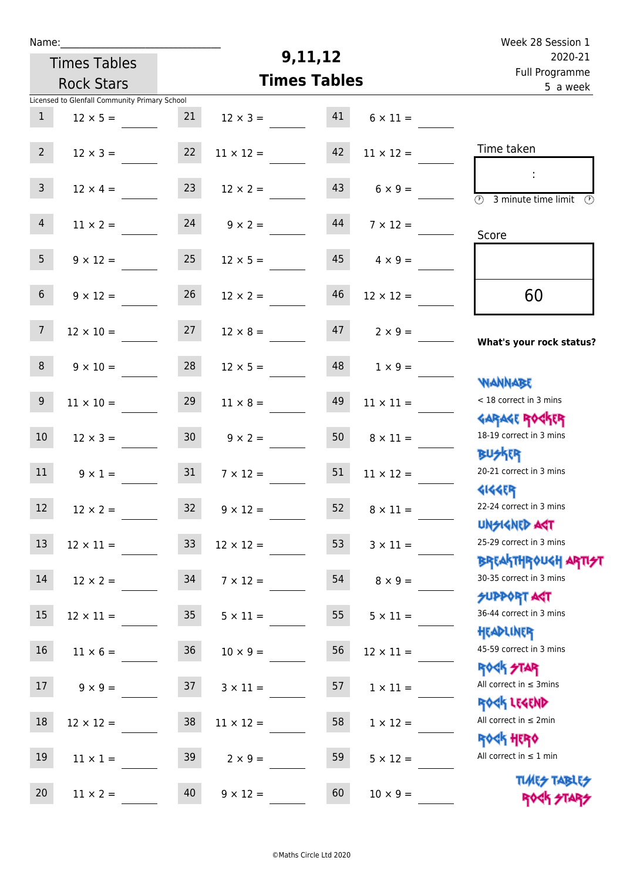| Week 28 Session 1                                                |                       |                     |                       |                   | Name:                                         |                 |  |  |  |  |
|------------------------------------------------------------------|-----------------------|---------------------|-----------------------|-------------------|-----------------------------------------------|-----------------|--|--|--|--|
| 2020-21                                                          |                       |                     | 9,11,12               |                   | <b>Times Tables</b>                           |                 |  |  |  |  |
| Full Programme<br>5 a week                                       |                       | <b>Times Tables</b> |                       | <b>Rock Stars</b> |                                               |                 |  |  |  |  |
|                                                                  |                       |                     |                       |                   | Licensed to Glenfall Community Primary School |                 |  |  |  |  |
|                                                                  | $6 \times 11 =$       | 41                  | $12 \times 3 =$       | 21                | $12 \times 5 =$                               | $\mathbf{1}$    |  |  |  |  |
| Time taken                                                       | $11 \times 12 =$      | 42                  | $11 \times 12 =$      | 22                | $12 \times 3 =$                               | 2 <sup>7</sup>  |  |  |  |  |
| $\overline{(\mathcal{V})}$<br>3 minute time limit $\circled{0}$  | $6 \times 9 =$        | 43                  | $12 \times 2 =$       | 23                | $12 \times 4 =$                               | $\mathbf{3}$    |  |  |  |  |
| Score                                                            | $7 \times 12 =$       | 44                  | $9 \times 2 =$        | 24                | $11 \times 2 =$                               | $\overline{4}$  |  |  |  |  |
|                                                                  | $4 \times 9 =$        | 45                  | $12 \times 5 =$       | 25                | $9 \times 12 =$                               | 5 <sup>1</sup>  |  |  |  |  |
| 60                                                               | $12 \times 12 =$      | 46                  | $12 \times 2 =$       | 26                | $9 \times 12 =$                               | 6 <sup>1</sup>  |  |  |  |  |
| What's your rock status?                                         | $2 \times 9 =$        | 47                  | $12 \times 8 =$       | 27                | $12 \times 10 =$                              | 7 <sup>7</sup>  |  |  |  |  |
|                                                                  | $1 \times 9 =$        | 48                  | $12 \times 5 =$       | 28                | $9 \times 10 =$                               | 8               |  |  |  |  |
| WANNABE<br>< 18 correct in 3 mins                                | $11 \times 11 =$      | 49                  | $11 \times 8 =$       | 29                | $11 \times 10 =$                              | 9               |  |  |  |  |
| <b>GARAGE ROCKER</b><br>18-19 correct in 3 mins                  | $8 \times 11 =$       | 50                  | $9 \times 2 =$        | 30 <sub>o</sub>   | $12 \times 3 =$                               | 10 <sup>°</sup> |  |  |  |  |
| <b>BUSKER</b><br>20-21 correct in 3 mins<br><b>4144EP</b>        | $11 \times 12 =$      | 51                  | $7 \times 12 =$       | 31                | $9 \times 1 =$                                | 11              |  |  |  |  |
| 22-24 correct in 3 mins<br><b>UNSIGNED AST</b>                   | $52 \t 8 \times 11 =$ |                     | $32 \t 9 \times 12 =$ |                   | $12 \times 2 =$                               | 12              |  |  |  |  |
| 25-29 correct in 3 mins<br><b>BREAKTHROUGH ARTI<del>S</del>T</b> | $3 \times 11 =$       | 53                  | $12 \times 12 =$      | 33 <sup>°</sup>   | $12 \times 11 =$                              | 13              |  |  |  |  |
| 30-35 correct in 3 mins<br><b>SUPPORT AGT</b>                    | $8 \times 9 =$        | 54                  | $7 \times 12 =$       |                   | $12 \times 2 = 34$                            | 14              |  |  |  |  |
| 36-44 correct in 3 mins<br>HEADLINER                             | $5 \times 11 =$       | 55                  | $5 \times 11 =$       | 35                | $12 \times 11 =$                              | 15              |  |  |  |  |
| 45-59 correct in 3 mins<br><b>ROCK STAR</b>                      | $12 \times 11 =$      | 56                  | $10 \times 9 =$       | 36                | $11 \times 6 =$                               | 16              |  |  |  |  |
| All correct in $\leq$ 3mins<br>ROCK LEGEND                       | $1 \times 11 =$       | 57                  | $3 \times 11 =$       |                   | $9 \times 9 = 37$                             | 17              |  |  |  |  |
| All correct in $\leq 2$ min<br><b>ROCK HERO</b>                  | $1 \times 12 =$       | 58                  | $11 \times 12 =$      | 38                | $12 \times 12 =$                              | 18              |  |  |  |  |
| All correct in $\leq 1$ min                                      | $5 \times 12 =$       | 59                  | $2 \times 9 =$        | 39                | $11 \times 1 =$                               | 19              |  |  |  |  |
| <b>TUARS TABLES</b><br>ROCK STARS                                | $10 \times 9 =$       | 60                  | $9 \times 12 =$       | 40                | $11 \times 2 =$                               | 20              |  |  |  |  |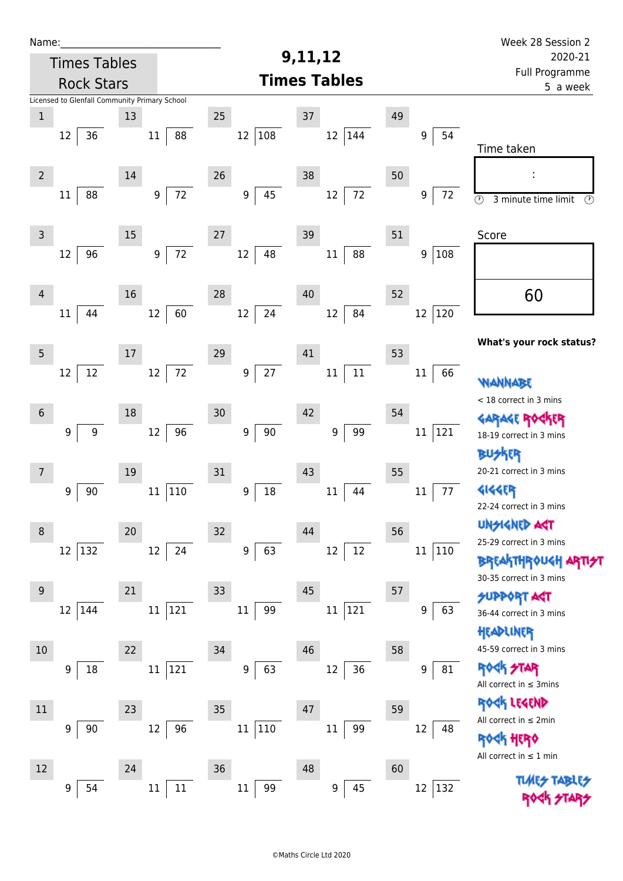| Name:          |                                               |    |                            |                  |        |    |                     |    |                            | Week 28 Session 2                                    |  |
|----------------|-----------------------------------------------|----|----------------------------|------------------|--------|----|---------------------|----|----------------------------|------------------------------------------------------|--|
|                | <b>Times Tables</b>                           |    |                            | 9,11,12          |        |    |                     |    |                            | 2020-21                                              |  |
|                | <b>Rock Stars</b>                             |    |                            |                  |        |    | <b>Times Tables</b> |    | Full Programme<br>5 a week |                                                      |  |
|                | Licensed to Glenfall Community Primary School |    |                            |                  |        |    |                     |    |                            |                                                      |  |
| $\mathbf 1$    |                                               | 13 |                            | 25               |        | 37 |                     | 49 |                            |                                                      |  |
|                | 36<br>12                                      |    | 88<br>$11\,$               | 12               | 108    |    | $12\,$<br>144       |    | 54<br>9                    |                                                      |  |
|                |                                               |    |                            |                  |        |    |                     |    |                            | Time taken                                           |  |
| $\overline{2}$ |                                               | 14 |                            | 26               |        | 38 |                     | 50 |                            |                                                      |  |
|                | 88<br>11                                      |    | 72<br>$9\,$                | $\boldsymbol{9}$ | 45     |    | 72<br>$12\,$        |    | 72<br>9                    | $\overline{\circ}$<br>3 minute time limit<br>$\odot$ |  |
|                |                                               |    |                            |                  |        |    |                     |    |                            |                                                      |  |
| $\mathsf 3$    |                                               | 15 |                            | 27               |        | 39 |                     | 51 |                            | Score                                                |  |
|                | 96<br>12                                      |    | $72\,$<br>$\boldsymbol{9}$ | 12               | 48     |    | 88<br>$11\,$        |    | 108<br>9                   |                                                      |  |
|                |                                               |    |                            |                  |        |    |                     |    |                            |                                                      |  |
| $\overline{4}$ |                                               | 16 |                            | 28               |        | 40 |                     | 52 |                            | 60                                                   |  |
|                | 44<br>11                                      |    | 60<br>12                   | 12               | 24     |    | 84<br>12            |    | 12<br>120                  |                                                      |  |
|                |                                               |    |                            |                  |        |    |                     |    |                            |                                                      |  |
| 5              |                                               | 17 |                            | 29               |        | 41 |                     | 53 |                            | What's your rock status?                             |  |
|                | 12<br>12                                      |    | $72\,$<br>12               | $\boldsymbol{9}$ | 27     |    | $11\,$<br>$11\,$    |    | 66<br>$11\,$               |                                                      |  |
|                |                                               |    |                            |                  |        |    |                     |    |                            | <b>WANNABE</b>                                       |  |
| $6\phantom{1}$ |                                               | 18 |                            | 30               |        | 42 |                     | 54 |                            | < 18 correct in 3 mins                               |  |
|                | $\boldsymbol{9}$<br>9                         |    | 96<br>12                   | $\boldsymbol{9}$ | $90\,$ |    | 99<br>9             |    | 121<br>$11\,$              | GARAGE ROGKER                                        |  |
|                |                                               |    |                            |                  |        |    |                     |    |                            | 18-19 correct in 3 mins                              |  |
|                |                                               |    |                            |                  |        |    |                     |    |                            | ktr<br>20-21 correct in 3 mins                       |  |
| 7              |                                               | 19 |                            | 31               |        | 43 |                     | 55 |                            |                                                      |  |
|                | 90<br>9                                       |    | 110<br>11                  | 9                | $18\,$ |    | $11\,$<br>44        |    | 77<br>$11\,$               | <b>4144EP</b><br>22-24 correct in 3 mins             |  |
|                |                                               |    |                            |                  |        |    |                     |    |                            | <b>UNSIGNED AST</b>                                  |  |
| 8              |                                               | 20 |                            | 32               |        | 44 |                     | 56 |                            | 25-29 correct in 3 mins                              |  |
|                | 12 132                                        |    | 12<br>24                   | $\boldsymbol{9}$ | 63     |    | 12<br>12            |    | $11\,$<br>110              | <b>BREAKTHROUGH ARTI<del>S</del>T</b>                |  |
|                |                                               |    |                            |                  |        |    |                     |    |                            | 30-35 correct in 3 mins                              |  |
| $9$            |                                               | 21 |                            | 33               |        | 45 |                     | 57 |                            | <b>SUPPORT AGT</b>                                   |  |
|                | 12 144                                        |    | 121<br>$11\,$              | 11               | 99     |    | 121<br>$11\,$       |    | 9<br>63                    | 36-44 correct in 3 mins                              |  |
|                |                                               |    |                            |                  |        |    |                     |    |                            | HEADLINER                                            |  |
| 10             |                                               | 22 |                            | 34               |        | 46 |                     | 58 |                            | 45-59 correct in 3 mins                              |  |
|                | 18<br>9                                       |    | 121<br>$11\,$              | 9                | 63     |    | 36<br>12            |    | 9<br>81                    | <b>ROCK STAR</b>                                     |  |
|                |                                               |    |                            |                  |        |    |                     |    |                            | All correct in $\leq$ 3mins                          |  |
| 11             |                                               | 23 |                            | 35               |        | 47 |                     | 59 |                            | ROCK LEGEND<br>All correct in $\leq 2$ min           |  |
|                | 9<br>90                                       |    | 12<br>96                   | $11\,$           | 110    |    | 99<br>$11\,$        |    | 12<br>48                   | <b>ROGK HERO</b>                                     |  |
|                |                                               |    |                            |                  |        |    |                     |    |                            | All correct in $\leq 1$ min                          |  |
| 12             |                                               | 24 |                            | 36               |        | 48 |                     | 60 |                            |                                                      |  |
|                | 54<br>9                                       |    | 11<br>11                   | 11               | 99     |    | 45<br>9             |    | 132<br>$12\,$              |                                                      |  |
|                |                                               |    |                            |                  |        |    |                     |    |                            |                                                      |  |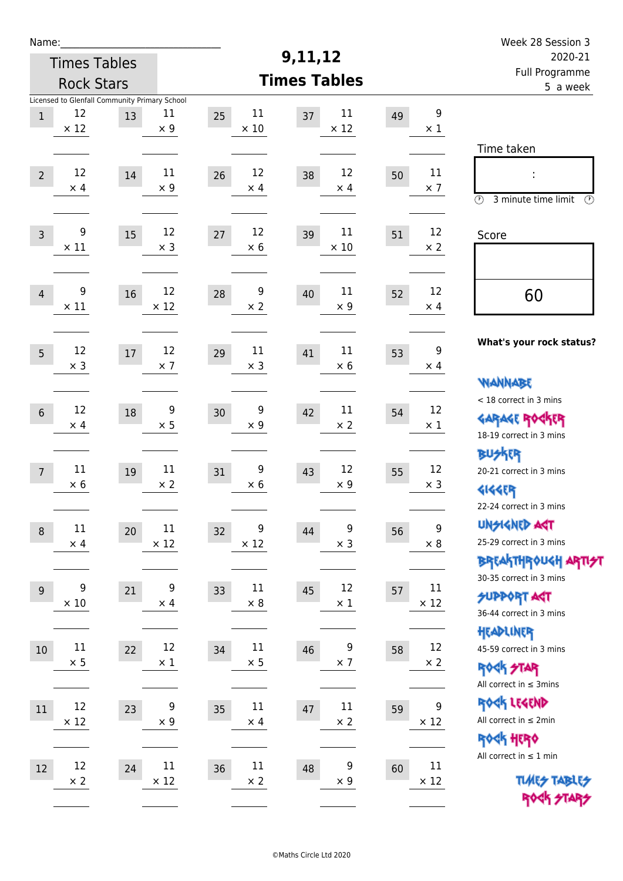| Week 28 Session 3                                                                               |                                |    |                             |                            |                                |                                                     |                      | Name:           |  |  |  |
|-------------------------------------------------------------------------------------------------|--------------------------------|----|-----------------------------|----------------------------|--------------------------------|-----------------------------------------------------|----------------------|-----------------|--|--|--|
| 2020-21                                                                                         |                                |    | 9,11,12                     |                            | <b>Times Tables</b>            |                                                     |                      |                 |  |  |  |
| Full Programme<br>5 a week                                                                      |                                |    | <b>Times Tables</b>         |                            | <b>Rock Stars</b>              |                                                     |                      |                 |  |  |  |
|                                                                                                 | $\boldsymbol{9}$<br>$\times 1$ | 49 | 11<br>37<br>$\times$ 12     | 11<br>25<br>$\times$ 10    | 11<br>$\times$ 9               | Licensed to Glenfall Community Primary School<br>13 | 12<br>$\times$ 12    | $\mathbf{1}$    |  |  |  |
| Time taken<br>İ,<br>$\circled{r}$<br>3 minute time limit<br>⊕                                   | 11<br>$\times$ 7               | 50 | 12<br>38<br>$\times$ 4      | 12<br>26<br>$\times$ 4     | $11\,$<br>$\times$ 9           | 14                                                  | 12<br>$\times$ 4     | $\overline{2}$  |  |  |  |
| Score                                                                                           | 12<br>$\times$ 2               | 51 | $11\,$<br>39<br>$\times$ 10 | 12<br>27<br>$\times 6$     | 12<br>$\times$ 3               | 15                                                  | 9<br>$\times$ 11     | $\mathsf{3}$    |  |  |  |
| 60                                                                                              | 12<br>$\times$ 4               | 52 | 11<br>40<br>$\times$ 9      | 9<br>28<br>$\times 2$      | 12<br>$\times$ 12              | 16                                                  | 9<br>$\times$ 11     | $\overline{4}$  |  |  |  |
| What's your rock status?<br><b>NANNABE</b>                                                      | 9<br>$\times$ 4                | 53 | 11<br>41<br>$\times 6$      | 11<br>29<br>$\times$ 3     | 12<br>$\times$ 7               | $17\,$                                              | 12<br>$\times$ 3     | 5               |  |  |  |
| < 18 correct in 3 mins<br><b>GARAGE ROCKER</b><br>18-19 correct in 3 mins                       | 12<br>$\times$ 1               | 54 | 11<br>42<br>$\times 2$      | 9<br>30<br>$\times$ 9      | $\boldsymbol{9}$<br>$\times$ 5 | 18                                                  | 12<br>$\times$ 4     | $\,$ 6 $\,$     |  |  |  |
| <b>BUSKRR</b><br>20-21 correct in 3 mins<br><b>4144EP</b><br>22-24 correct in 3 mins            | 12<br>$\times$ 3               | 55 | 12<br>43<br>$\times 9$      | 9<br>31<br>$\times$ 6      | $11\,$<br>$\times 2$           | 19                                                  | 11<br>$\times 6$     | $7\overline{ }$ |  |  |  |
| <b>UNSIGNED AGT</b><br>25-29 correct in 3 mins<br>ΒΡΓΑ <sup>Κ</sup> ΤΗΡΟυΚΗ ΑΡΤΙ <del>2</del> Τ | $\boldsymbol{9}$<br>$\times$ 8 | 56 | 9<br>44<br>$\times$ 3       | 9<br>32<br>$\times$ 12     | 11<br>$\times$ 12              | 20                                                  | 11<br>$\times$ 4     | $\, 8$          |  |  |  |
| 30-35 correct in 3 mins<br><b>SUPPORT ART</b><br>36-44 correct in 3 mins                        | 11<br>$\times$ 12              | 57 | 12<br>45<br>$\times$ 1      | 11<br>33<br>$\times 8$     | 9<br>$\times$ 4                | 21                                                  | 9<br>$\times$ 10     | 9               |  |  |  |
| HEADLINER<br>45-59 correct in 3 mins<br><b>ROCK STAR</b><br>All correct in $\leq$ 3mins         | 12<br>$\times$ 2               | 58 | 9<br>46<br>$\times$ 7       | $11\,$<br>34<br>$\times$ 5 | 12<br>$\times$ 1               | 22                                                  | $11\,$<br>$\times$ 5 | $10\,$          |  |  |  |
| ROCK LEGEND<br>All correct in $\leq 2$ min<br><b>ROCK HERO</b>                                  | 9<br>$\times$ 12               | 59 | $11\,$<br>47<br>$\times$ 2  | 11<br>35<br>$\times$ 4     | 9<br>$\times$ 9                | 23                                                  | 12<br>$\times$ 12    | 11              |  |  |  |
| All correct in $\leq 1$ min<br><b>TUARS TABLES</b><br>ROCK STARS                                | $11\,$<br>$\times$ 12          | 60 | 9<br>48<br>$\times$ 9       | $11\,$<br>36<br>$\times$ 2 | 11<br>$\times$ 12              | 24                                                  | 12<br>$\times 2$     | 12              |  |  |  |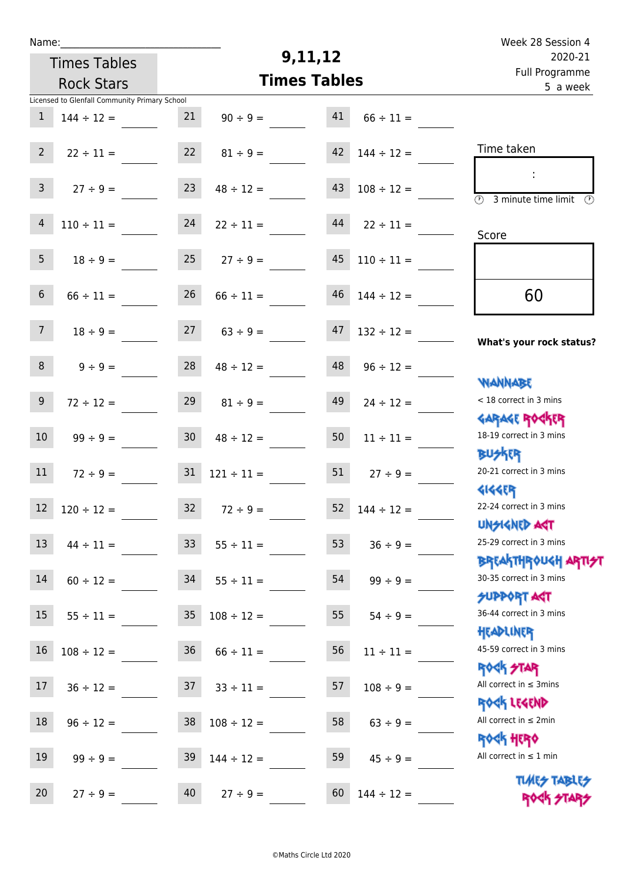| Week 28 Session 4                             |                      | 9,11,12           |                     |                 | Name:                                         |                  |  |  |  |  |
|-----------------------------------------------|----------------------|-------------------|---------------------|-----------------|-----------------------------------------------|------------------|--|--|--|--|
| 2020-21                                       |                      |                   | <b>Times Tables</b> |                 |                                               |                  |  |  |  |  |
| Full Programme<br>5 a week                    | <b>Times Tables</b>  | <b>Rock Stars</b> |                     |                 |                                               |                  |  |  |  |  |
|                                               |                      |                   |                     |                 | Licensed to Glenfall Community Primary School |                  |  |  |  |  |
|                                               | $66 \div 11 =$       | 41                | $90 \div 9 =$       | 21              | $144 \div 12 =$                               | $\mathbf{1}$     |  |  |  |  |
| Time taken                                    | $144 \div 12 =$      | 42                | $81 \div 9 =$       | 22              | $22 \div 11 =$                                | $\overline{2}$   |  |  |  |  |
|                                               |                      |                   |                     |                 |                                               |                  |  |  |  |  |
|                                               | $108 \div 12 =$      | 43                | $48 \div 12 =$      | 23              | $27 ÷ 9 =$                                    | $\mathsf{3}$     |  |  |  |  |
| (1)<br>3 minute time limit<br>$\mathcal{O}$   |                      |                   |                     |                 |                                               |                  |  |  |  |  |
|                                               | $22 \div 11 =$       | 44                | $22 \div 11 =$      | 24              | $110 \div 11 =$                               | $\overline{4}$   |  |  |  |  |
| Score                                         |                      |                   |                     |                 |                                               |                  |  |  |  |  |
|                                               | $110 \div 11 =$      | 45                | $27 \div 9 =$       | 25              | $18 \div 9 =$                                 | 5                |  |  |  |  |
|                                               |                      |                   |                     |                 |                                               |                  |  |  |  |  |
| 60                                            | $144 \div 12 =$      | 46                | $66 \div 11 =$      | 26              | $66 \div 11 =$                                | $\sqrt{6}$       |  |  |  |  |
|                                               |                      |                   |                     |                 |                                               |                  |  |  |  |  |
| What's your rock status?                      | $132 \div 12 =$      | 47                | $63 \div 9 =$       | 27              | $18 \div 9 =$                                 | 7 <sup>7</sup>   |  |  |  |  |
|                                               |                      | 48                |                     | 28              |                                               | 8                |  |  |  |  |
| <b>JARNARY</b>                                | $96 \div 12 =$       |                   | $48 \div 12 =$      |                 | $9 \div 9 =$                                  |                  |  |  |  |  |
| < 18 correct in 3 mins                        | $24 \div 12 =$       | 49                | $81 \div 9 =$       | 29              | $72 \div 12 =$                                | $\boldsymbol{9}$ |  |  |  |  |
| <b>GARAGE ROGKER</b>                          |                      |                   |                     |                 |                                               |                  |  |  |  |  |
| 18-19 correct in 3 mins                       | $11 \div 11 =$       | 50                | $48 \div 12 =$      | 30 <sub>o</sub> | $99 ÷ 9 =$                                    | 10               |  |  |  |  |
| <b>BUSKER</b>                                 |                      |                   |                     |                 |                                               |                  |  |  |  |  |
| 20-21 correct in 3 mins                       | $27 \div 9 =$        | 51                | $121 \div 11 =$     | 31              | $72 \div 9 =$                                 | 11               |  |  |  |  |
| <b>4144EP</b>                                 |                      |                   |                     |                 |                                               |                  |  |  |  |  |
| 22-24 correct in 3 mins                       | $52 \t144 \div 12 =$ |                   | $32 \t 72 \div 9 =$ |                 | $12 \t 120 \div 12 =$                         |                  |  |  |  |  |
| <b>UNSIGNED AGT</b>                           |                      |                   |                     |                 |                                               |                  |  |  |  |  |
| 25-29 correct in 3 mins                       | $36 ÷ 9 =$           | 53                | $55 \div 11 =$      | 33 <sup>°</sup> | $44 \div 11 =$                                | 13               |  |  |  |  |
| ΒΡΓΑΚΤΗΡΟUGH ΑΡΤΙ <del>2</del> Τ              |                      |                   |                     |                 |                                               |                  |  |  |  |  |
| 30-35 correct in 3 mins                       | $99 \div 9 =$        | 54                | $55 \div 11 =$      | 34              | $60 \div 12 =$                                | 14               |  |  |  |  |
| <b>JUPPORT ANT</b><br>36-44 correct in 3 mins |                      |                   |                     |                 |                                               |                  |  |  |  |  |
| HEADLINER                                     | $54 \div 9 =$        | 55                | $108 \div 12 =$     | 35              | $55 \div 11 =$                                | 15               |  |  |  |  |
| 45-59 correct in 3 mins                       | $11 \div 11 =$       | 56                | $66 \div 11 =$      | 36              | $108 \div 12 =$                               | 16               |  |  |  |  |
| <b>ROCK STAR</b>                              |                      |                   |                     |                 |                                               |                  |  |  |  |  |
| All correct in $\leq$ 3mins                   | $108 \div 9 =$       | 57                | $33 \div 11 =$      | 37              | $36 \div 12 =$                                | 17               |  |  |  |  |
| ROCK LEGEND                                   |                      |                   |                     |                 |                                               |                  |  |  |  |  |
| All correct in $\leq 2$ min                   | $63 ÷ 9 =$           | 58                | $108 \div 12 =$     | 38              | $96 \div 12 =$                                | 18               |  |  |  |  |
| <b>ROCK HERO</b>                              |                      |                   |                     |                 |                                               |                  |  |  |  |  |
| All correct in $\leq 1$ min                   | $45 \div 9 =$        | 59                | $144 \div 12 =$     | 39              | $99 \div 9 =$                                 | 19               |  |  |  |  |
| <b>TUARS TABLISS</b>                          |                      |                   |                     |                 |                                               |                  |  |  |  |  |
| ROCK STARS                                    | $144 \div 12 =$      | 60                | $27 \div 9 =$       | 40              | $27 \div 9 =$                                 | 20               |  |  |  |  |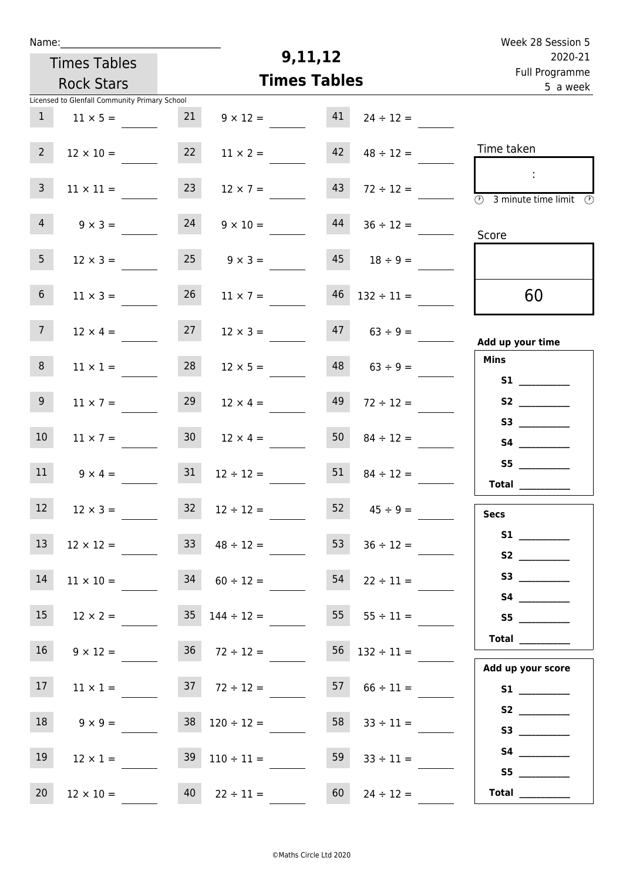| Week 28 Session 5                                                                       |                          |                   |                                          |                 |                                               | Name:           |  |  |  |  |  |
|-----------------------------------------------------------------------------------------|--------------------------|-------------------|------------------------------------------|-----------------|-----------------------------------------------|-----------------|--|--|--|--|--|
| 2020-21                                                                                 |                          | 9,11,12           |                                          |                 | <b>Times Tables</b>                           |                 |  |  |  |  |  |
| Full Programme<br>5 a week                                                              | <b>Times Tables</b>      | <b>Rock Stars</b> |                                          |                 |                                               |                 |  |  |  |  |  |
|                                                                                         |                          |                   |                                          |                 | Licensed to Glenfall Community Primary School |                 |  |  |  |  |  |
|                                                                                         | $24 \div 12 =$           | 41                | $9 \times 12 =$                          | 21              | $11 \times 5 =$                               | $\mathbf{1}$    |  |  |  |  |  |
| Time taken                                                                              | $48 \div 12 =$           | 42                | $11 \times 2 =$                          | 22              | $12 \times 10 =$                              | 2 <sup>7</sup>  |  |  |  |  |  |
| $\sim$<br>$\overline{\textcircled{1}}$ 3 minute time limit $\overline{\textcircled{1}}$ | $72 \div 12 =$           | 43                | $12 \times 7 =$                          | 23              | $11 \times 11 =$                              | 3 <sup>7</sup>  |  |  |  |  |  |
| Score                                                                                   | $36 \div 12 =$           | 44                | $9 \times 10 =$                          | 24              | $9 \times 3 =$                                | $\overline{4}$  |  |  |  |  |  |
|                                                                                         | $18 \div 9 =$            | 45                | $9 \times 3 =$                           | 25              | $12 \times 3 =$                               | 5 <sub>1</sub>  |  |  |  |  |  |
| 60                                                                                      | $46$ $132 \div 11 =$     |                   | $11 \times 7 =$                          | 26              | $11 \times 3 =$                               | 6 <sup>1</sup>  |  |  |  |  |  |
| Add up your time                                                                        | $47 \t 63 \div 9 =$      |                   | $12 \times 3 =$                          | 27              | $12 \times 4 =$                               | 7 <sup>7</sup>  |  |  |  |  |  |
| <b>Mins</b><br>S1                                                                       | $63 ÷ 9 =$               | 48                | $12 \times 5 =$                          | 28              | $11 \times 1 =$                               | 8 <sup>1</sup>  |  |  |  |  |  |
| S2                                                                                      | $72 \div 12 =$           | 49                | $12 \times 4 =$                          | 29              | $11 \times 7 =$                               | 9               |  |  |  |  |  |
| S3                                                                                      | $84 \div 12 =$           | 50                | $12 \times 4 =$                          | 30 <sup>°</sup> | $11 \times 7 =$                               | 10 <sup>°</sup> |  |  |  |  |  |
| Total                                                                                   | $84 \div 12 =$           | 51                | $12 \div 12 =$                           | 31              | $9 \times 4 =$                                | 11              |  |  |  |  |  |
| <b>Secs</b>                                                                             | $45 \div 9 =$            | 52                | $32 \t 12 \div 12 =$                     |                 | $12 \times 3 =$                               | 12              |  |  |  |  |  |
|                                                                                         | $36 \div 12 =$           | 53                | $48 \div 12 =$                           | 33 <sup>2</sup> | $12 \times 12 =$                              | 13              |  |  |  |  |  |
| S3                                                                                      | $22 \div 11 =$           | 54                | $34$ $60 \div 12 =$                      |                 | $11 \times 10 =$                              | 14              |  |  |  |  |  |
| S5                                                                                      | $55 \t 55 \div 11 =$     |                   | $12 \times 2 =$ $35 \quad 144 \div 12 =$ |                 |                                               | 15              |  |  |  |  |  |
| $\begin{tabular}{c} Total \end{tabular}$                                                | $56 \quad 132 \div 11 =$ |                   | $9 \times 12 = 36$ $72 \div 12 =$        |                 |                                               | 16              |  |  |  |  |  |
| Add up your score                                                                       | 57 66 ÷ 11 =             |                   | $37 \t 72 \div 12 =$                     |                 | $11 \times 1 =$                               | 17 <sub>1</sub> |  |  |  |  |  |
|                                                                                         | $58 \t 33 \div 11 =$     |                   | $38 \quad 120 \div 12 =$                 |                 | $9 \times 9 =$                                | 18              |  |  |  |  |  |
|                                                                                         | $33 \div 11 =$           | 59                | $39 \quad 110 \div 11 =$                 |                 | $12 \times 1 =$                               | 19              |  |  |  |  |  |
| S5<br>Total $\qquad$                                                                    | $24 \div 12 =$           | 60                | $40 \t 22 \div 11 =$                     |                 | $12 \times 10 =$                              | 20              |  |  |  |  |  |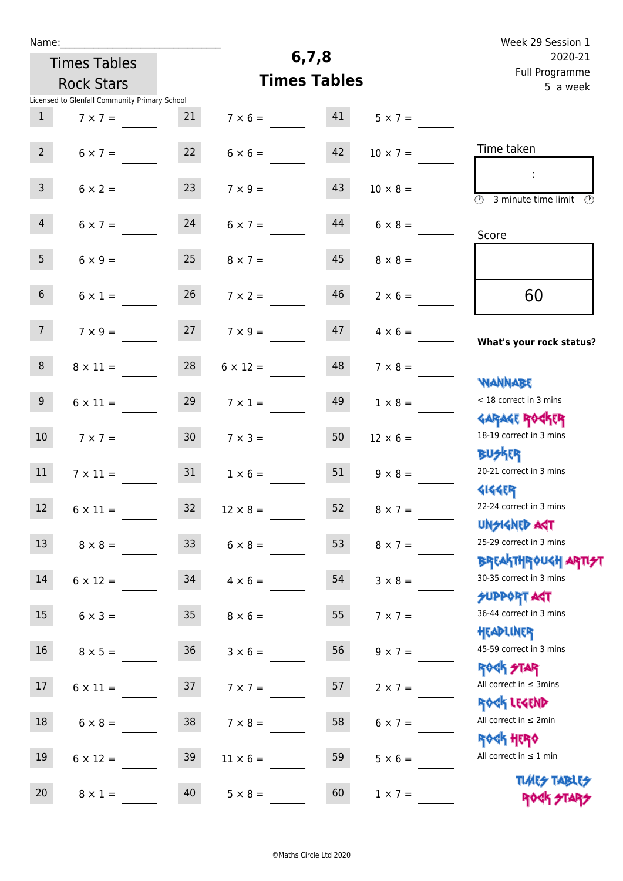| Name:           |                                               |                 |                       |                     |                            | Week 29 Session 1                                             |
|-----------------|-----------------------------------------------|-----------------|-----------------------|---------------------|----------------------------|---------------------------------------------------------------|
|                 | <b>Times Tables</b>                           |                 |                       | 6, 7, 8             |                            | 2020-21                                                       |
|                 | <b>Rock Stars</b>                             |                 |                       | <b>Times Tables</b> | Full Programme<br>5 a week |                                                               |
|                 | Licensed to Glenfall Community Primary School |                 |                       |                     |                            |                                                               |
| $\mathbf{1}$    | $7 \times 7 =$                                | 21              | $7 \times 6 = 41$     |                     | $5 \times 7 =$             |                                                               |
|                 |                                               |                 |                       |                     |                            | Time taken                                                    |
| $2^{\circ}$     | $6 \times 7 =$                                | 22              | $6 \times 6 =$        | 42                  | $10 \times 7 =$            |                                                               |
| $\mathbf{3}$    | $6 \times 2 =$                                | 23              | $7 \times 9 =$        | 43                  | $10 \times 8 =$            |                                                               |
|                 |                                               |                 |                       |                     |                            | $\overline{\mathcal{D}}$<br>3 minute time limit $\circled{b}$ |
| 4               | $6 \times 7 = 24$                             |                 | $6 \times 7 =$        | 44                  | $6 \times 8 =$             |                                                               |
|                 |                                               |                 |                       |                     |                            | Score                                                         |
| 5 <sub>5</sub>  | $6 \times 9 =$                                | 25              | $8 \times 7 =$        | 45                  | $8 \times 8 =$             |                                                               |
|                 |                                               |                 |                       |                     |                            |                                                               |
| 6 <sup>1</sup>  | $6 \times 1 =$                                | 26              | $7 \times 2 =$        | 46                  | $2 \times 6 =$             | 60                                                            |
| $7^{\circ}$     |                                               |                 |                       | 47                  |                            |                                                               |
|                 | $7 \times 9 = 27$                             |                 | $7 \times 9 =$        |                     | $4 \times 6 =$             | What's your rock status?                                      |
| 8               | $8 \times 11 =$                               | 28              | $6 \times 12 =$       | 48                  | $7 \times 8 =$             |                                                               |
|                 |                                               |                 |                       |                     |                            | <b>NANNABE</b>                                                |
| 9 <sub>o</sub>  | $6 \times 11 =$                               | 29              | $7 \times 1 =$        | 49                  | $1 \times 8 =$             | < 18 correct in 3 mins                                        |
|                 |                                               |                 |                       |                     |                            | <b>GARAGE ROCKER</b>                                          |
| 10 <sup>°</sup> | $7 \times 7 =$                                | 30 <sub>o</sub> | $7 \times 3 =$        | 50                  | $12 \times 6 =$            | 18-19 correct in 3 mins                                       |
|                 |                                               |                 |                       |                     |                            | <b>BUSKER</b>                                                 |
| 11              | $7 \times 11 =$                               | 31              | $1 \times 6 =$        | 51                  | $9 \times 8 =$             | 20-21 correct in 3 mins                                       |
| 12              | $6 \times 11 =$                               |                 | $32 \t 12 \times 8 =$ | 52                  | $8 \times 7 =$             | <b>4144ER</b><br>22-24 correct in 3 mins                      |
|                 |                                               |                 |                       |                     |                            | <b>UNSIGNED AGT</b>                                           |
| 13              | $8 \times 8 =$                                | 33              | $6 \times 8 =$        | 53                  | $8 \times 7 =$             | 25-29 correct in 3 mins                                       |
|                 |                                               |                 |                       |                     |                            | ΒΡ[AhTHP\0U <h apti<del="">*1</h>                             |
| 14              | $6 \times 12 = 34$                            |                 | $4 \times 6 =$        | 54                  | $3 \times 8 =$             | 30-35 correct in 3 mins                                       |
|                 |                                               |                 |                       |                     |                            | <b>SUPPORT AGT</b>                                            |
| 15              | $6 \times 3 =$                                | 35              | $8 \times 6 =$        | 55                  | $7 \times 7 =$             | 36-44 correct in 3 mins                                       |
| 16              |                                               |                 |                       |                     |                            | HEADLINER<br>45-59 correct in 3 mins                          |
|                 | $8 \times 5 =$                                | 36              | $3 \times 6 =$        | 56                  | $9 \times 7 =$             | <b>ROCK STAR</b>                                              |
| 17 <sub>2</sub> | $6 \times 11 =$                               | 37              | $7 \times 7 =$        | 57                  | $2 \times 7 =$             | All correct in $\leq$ 3mins                                   |
|                 |                                               |                 |                       |                     |                            | ROCK LEGEND                                                   |
| 18              | $6 \times 8 =$                                | 38              | $7 \times 8 =$        | 58                  | $6 \times 7 =$             | All correct in $\leq 2$ min                                   |
|                 |                                               |                 |                       |                     |                            | <b>ROCK HERO</b>                                              |
| 19              | $6 \times 12 =$                               | 39              | $11 \times 6 =$       | 59                  | $5 \times 6 =$             | All correct in $\leq 1$ min                                   |
|                 |                                               |                 |                       |                     |                            | <b>TUARS TABLES</b>                                           |
| 20              | $8 \times 1 =$                                | 40              | $5 \times 8 =$        | 60                  | $1 \times 7 =$             | ROCK STARS                                                    |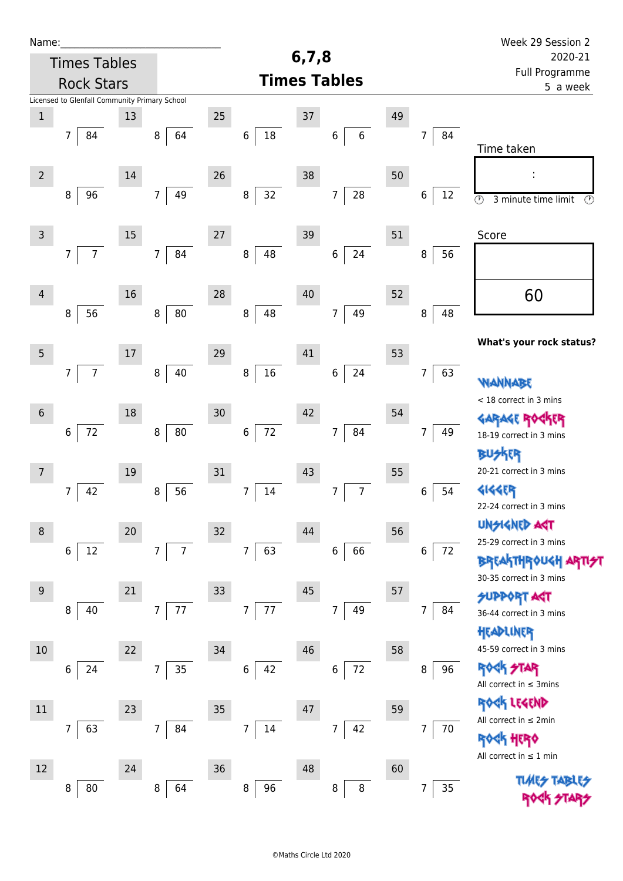| Name:            |                                               |        |                                  |    |                          |         |                                  |    |                          | Week 29 Session 2                                          |
|------------------|-----------------------------------------------|--------|----------------------------------|----|--------------------------|---------|----------------------------------|----|--------------------------|------------------------------------------------------------|
|                  | <b>Times Tables</b>                           |        |                                  |    |                          | 6, 7, 8 |                                  |    |                          | 2020-21                                                    |
|                  | <b>Rock Stars</b>                             |        |                                  |    |                          |         | <b>Times Tables</b>              |    |                          | Full Programme<br>5 a week                                 |
|                  | Licensed to Glenfall Community Primary School |        |                                  |    |                          |         |                                  |    |                          |                                                            |
| $\mathbf 1$      |                                               | 13     |                                  | 25 |                          | $37\,$  |                                  | 49 |                          |                                                            |
|                  | $\overline{7}$<br>84                          |        | 64<br>8                          |    | $18\,$<br>6              |         | $\,6\,$<br>6                     |    | 84<br>7                  |                                                            |
|                  |                                               |        |                                  |    |                          |         |                                  |    |                          | Time taken                                                 |
| $\overline{2}$   |                                               | 14     |                                  | 26 |                          | 38      |                                  | 50 |                          |                                                            |
|                  | 8<br>96                                       |        | 49<br>$\overline{7}$             |    | $32\,$<br>8              |         | ${\bf 28}$<br>$\overline{7}$     |    | $\,6$<br>$12\,$          | $\overline{\circ}$<br>3 minute time limit<br>$\circled{r}$ |
|                  |                                               |        |                                  |    |                          |         |                                  |    |                          |                                                            |
| $\mathsf{3}$     |                                               | 15     |                                  | 27 |                          | 39      |                                  | 51 |                          | Score                                                      |
|                  | $\overline{7}$<br>$\overline{7}$              |        | 84<br>$\overline{7}$             |    | 48<br>$\bf 8$            |         | 24<br>$\boldsymbol{6}$           |    | 56<br>8                  |                                                            |
|                  |                                               |        |                                  |    |                          |         |                                  |    |                          |                                                            |
| $\overline{4}$   |                                               | 16     |                                  | 28 |                          | 40      |                                  | 52 |                          | 60                                                         |
|                  | 56<br>$\,8\,$                                 |        | $80\,$<br>$\, 8$                 |    | 48<br>$\bf 8$            |         | 49<br>$\overline{7}$             |    | 48<br>8                  |                                                            |
|                  |                                               |        |                                  |    |                          |         |                                  |    |                          |                                                            |
| $\overline{5}$   |                                               | 17     |                                  | 29 |                          | 41      |                                  | 53 |                          | What's your rock status?                                   |
|                  | $\overline{7}$<br>$\overline{7}$              |        | 40<br>8                          |    | $16\,$<br>8              |         | 24<br>$\boldsymbol{6}$           |    | 63<br>7                  |                                                            |
|                  |                                               |        |                                  |    |                          |         |                                  |    |                          | WANNABE                                                    |
| $\boldsymbol{6}$ |                                               | 18     |                                  | 30 |                          | 42      |                                  | 54 |                          | < 18 correct in 3 mins                                     |
|                  | $72\,$<br>$\,6\,$                             |        | ${\bf 80}$<br>$\, 8$             |    | $72$<br>$\,$ 6 $\,$      |         | 84<br>7                          |    | 49<br>7                  | <b>GARAGE ROC</b><br>18-19 correct in 3 mins               |
|                  |                                               |        |                                  |    |                          |         |                                  |    |                          | <b>BUSKER</b>                                              |
| $7\overline{ }$  |                                               | 19     |                                  | 31 |                          | 43      |                                  | 55 |                          | 20-21 correct in 3 mins                                    |
|                  | 42<br>7                                       |        | 56<br>$\, 8$                     |    | $\overline{7}$<br>$14\,$ |         | $\overline{7}$<br>$\overline{7}$ |    | 54<br>6                  | <b>4144EP</b>                                              |
|                  |                                               |        |                                  |    |                          |         |                                  |    |                          | 22-24 correct in 3 mins                                    |
| $\, 8$           |                                               | $20\,$ |                                  | 32 |                          | 44      |                                  | 56 |                          | <b>UNSIGNED AGT</b>                                        |
|                  | 12<br>6                                       |        | $\overline{7}$<br>$\overline{7}$ |    | $\overline{7}$<br>63     |         | 66<br>$\,6\,$                    |    | 6<br>72                  | 25-29 correct in 3 mins                                    |
|                  |                                               |        |                                  |    |                          |         |                                  |    |                          | <b>BREAKTHROUGH ARTI<del>S</del>T</b>                      |
|                  |                                               |        |                                  |    |                          |         |                                  |    |                          | 30-35 correct in 3 mins                                    |
| $9\,$            |                                               | 21     | 77<br>$\overline{7}$             | 33 | 77<br>$\overline{7}$     | 45      | 49<br>$\overline{7}$             | 57 | 84<br>7                  | <b>SUPPORT AGT</b>                                         |
|                  | 8<br>40                                       |        |                                  |    |                          |         |                                  |    |                          | 36-44 correct in 3 mins                                    |
|                  |                                               |        |                                  |    |                          |         |                                  |    |                          | HEADLINER                                                  |
| 10               |                                               | 22     |                                  | 34 |                          | 46      |                                  | 58 |                          | 45-59 correct in 3 mins<br><b>ROCK STAR</b>                |
|                  | 24<br>6                                       |        | 35<br>$\overline{7}$             |    | $\boldsymbol{6}$<br>42   |         | $72\,$<br>6                      |    | 96<br>8                  | All correct in $\leq$ 3mins                                |
|                  |                                               |        |                                  |    |                          |         |                                  |    |                          | ROCK LEGEND                                                |
| 11               |                                               | 23     |                                  | 35 |                          | 47      |                                  | 59 |                          | All correct in $\leq 2$ min                                |
|                  | 7<br>63                                       |        | $\overline{7}$<br>84             |    | $\overline{7}$<br>14     |         | 42<br>$\overline{7}$             |    | $\overline{7}$<br>$70\,$ | <b>ROGK HERO</b>                                           |
|                  |                                               |        |                                  |    |                          |         |                                  |    |                          | All correct in $\leq 1$ min                                |
| 12               |                                               | 24     |                                  | 36 |                          | 48      |                                  | 60 |                          |                                                            |
|                  | 8<br>80                                       |        | 8<br>64                          |    | 8<br>96                  |         | 8<br>8                           |    | 35<br>7                  |                                                            |
|                  |                                               |        |                                  |    |                          |         |                                  |    |                          |                                                            |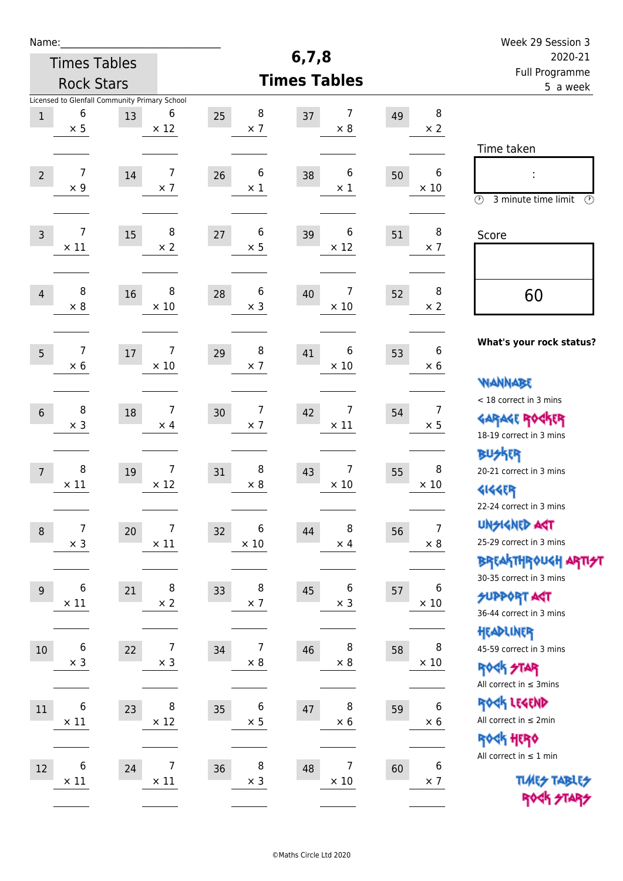| Week 29 Session 3                                                                                                                           |                                     |                                    |                                                                         | Name:                                          |  |  |
|---------------------------------------------------------------------------------------------------------------------------------------------|-------------------------------------|------------------------------------|-------------------------------------------------------------------------|------------------------------------------------|--|--|
| 2020-21                                                                                                                                     | 6, 7, 8                             | <b>Times Tables</b>                |                                                                         |                                                |  |  |
| Full Programme<br>5 a week                                                                                                                  | <b>Times Tables</b>                 |                                    |                                                                         | <b>Rock Stars</b>                              |  |  |
| 8<br>49<br>$\times 2$                                                                                                                       | 7<br>37<br>$\times 8$               | 8<br>25<br>$\times$ 7              | Licensed to Glenfall Community Primary School<br>6<br>13<br>$\times$ 12 | 6<br>$\,1$<br>$\times$ 5                       |  |  |
| Time taken<br>6<br>50<br>İ,<br>$\times$ 10                                                                                                  | 6<br>38<br>$\times 1$               | 6<br>26<br>$\times 1$              | 7<br>$14\,$<br>$\times$ 7                                               | $\overline{7}$<br>$\overline{2}$<br>$\times$ 9 |  |  |
| $\circled{r}$<br>3 minute time limit<br>⊕<br>8<br>51<br>Score<br>$\times$ 7                                                                 | 6<br>39<br>$\times$ 12              | 6<br>27<br>$\times$ 5              | 8<br>15<br>$\times$ 2                                                   | 7<br>$\mathsf{3}$<br>$\times$ 11               |  |  |
| 8<br>52<br>60<br>$\times 2$                                                                                                                 | 7<br>40<br>$\times$ 10              | 6<br>28<br>$\times$ 3              | 8<br>16<br>$\times$ 10                                                  | 8<br>$\overline{4}$<br>$\times 8$              |  |  |
| What's your rock status?<br>6<br>53<br>$\times 6$                                                                                           | 6<br>41<br>$\times$ 10              | 8<br>29<br>$\times$ 7              | 7<br>$17\,$<br>$\times$ 10                                              | 7<br>5<br>$\times 6$                           |  |  |
| <b>WANNABE</b><br>< 18 correct in 3 mins<br>$\overline{7}$<br>54<br><b>GARAGE ROGKER</b><br>$\times$ 5                                      | 7<br>42<br>$\times$ 11              | 7<br>30<br>$\times$ 7              | 7<br>18<br>$\times$ 4                                                   | 8<br>$\sqrt{6}$<br>$\times$ 3                  |  |  |
| 18-19 correct in 3 mins<br><b>BUSKRR</b><br>8<br>20-21 correct in 3 mins<br>55<br>$\times$ 10<br><b>4144EP</b>                              | 7<br>43<br>$\times$ 10              | 8<br>31<br>$\times 8$              | $\overline{7}$<br>19<br>$\times$ 12                                     | 8<br>$\overline{7}$<br>$\times$ 11             |  |  |
| 22-24 correct in 3 mins<br><b>UNGIGNED AGT</b><br>$\overline{7}$<br>56<br>25-29 correct in 3 mins<br>$\times 8$                             | 8<br>44<br>$\times$ 4               | 6<br>32<br>$\times$ 10             | 7<br>20<br>$\times$ 11                                                  | $\boldsymbol{7}$<br>$\, 8$<br>$\times$ 3       |  |  |
| <b>BREAKTHROUGH ARTI<del>S</del>T</b><br>30-35 correct in 3 mins<br>6<br>57<br><b>SUPPORT ART</b><br>$\times$ 10<br>36-44 correct in 3 mins | 6<br>45<br>$\times$ 3               | 8<br>33<br>$\times$ 7              | 8<br>21<br>$\times 2$                                                   | 6<br>9<br>$\times$ 11                          |  |  |
| HEADLINER<br>8<br>45-59 correct in 3 mins<br>58<br>$\times$ 10<br><b>ROCK STAR</b>                                                          | 8<br>46<br>$\times$ 8               | $\overline{7}$<br>34<br>$\times$ 8 | $\overline{7}$<br>22<br>$\times$ 3                                      | $\boldsymbol{6}$<br>$10\,$<br>$\times$ 3       |  |  |
| All correct in $\leq$ 3mins<br>ROCK LEGEND<br>$\boldsymbol{6}$<br>59<br>All correct in $\leq 2$ min<br>$\times$ 6<br>ROCK HERO              | 8<br>47<br>$\times$ 6               | 6<br>35<br>$\times$ 5              | 8<br>23<br>$\times$ 12                                                  | 6<br>$11\,$<br>$\times$ 11                     |  |  |
| All correct in $\leq 1$ min<br>$\boldsymbol{6}$<br>60<br><b>TUARS TABLES</b><br>$\times$ 7<br>ROCK STARS                                    | $\overline{7}$<br>48<br>$\times$ 10 | 8<br>36<br>$\times$ 3              | 7<br>24<br>$\times$ 11                                                  | 6<br>$12\,$<br>$\times$ 11                     |  |  |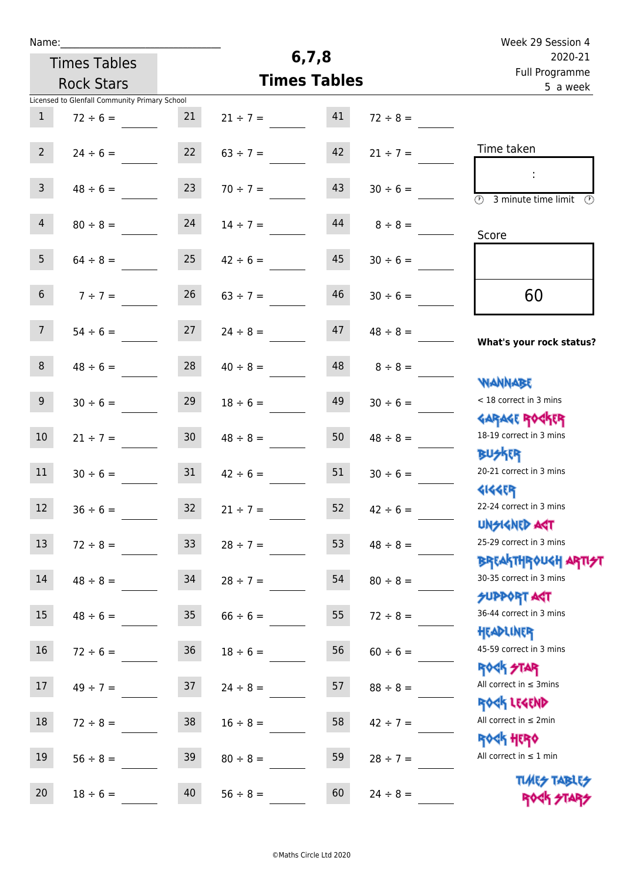| Week 29 Session 4                                            |                     |         |               |                     |                                               | Name:             |
|--------------------------------------------------------------|---------------------|---------|---------------|---------------------|-----------------------------------------------|-------------------|
| 2020-21                                                      |                     | 6, 7, 8 |               | <b>Times Tables</b> |                                               |                   |
| Full Programme                                               | <b>Times Tables</b> |         |               | <b>Rock Stars</b>   |                                               |                   |
| 5 a week                                                     |                     |         |               |                     | Licensed to Glenfall Community Primary School |                   |
|                                                              | $72 \div 8 =$       | 41      | $21 \div 7 =$ | 21                  | $72 \div 6 =$                                 | $\mathbf{1}$      |
|                                                              |                     |         |               |                     |                                               |                   |
| Time taken                                                   | $21 \div 7 =$       | 42      | $63 \div 7 =$ | 22                  | $24 \div 6 =$                                 | $2^{\circ}$       |
|                                                              |                     |         |               |                     |                                               |                   |
|                                                              | $30 \div 6 =$       | 43      | $70 \div 7 =$ | 23                  | $48 \div 6 =$                                 | 3 <sup>7</sup>    |
| $\overline{(\mathcal{V})}$<br>3 minute time limit<br>$\odot$ |                     |         |               |                     |                                               |                   |
|                                                              | $8 \div 8 =$        | 44      | $14 \div 7 =$ | 24                  | $80 \div 8 =$                                 | $\overline{4}$    |
| Score                                                        |                     |         |               |                     |                                               |                   |
|                                                              | $30 \div 6 =$       | 45      | $42 \div 6 =$ | 25                  | $64 \div 8 =$                                 | 5 <sub>5</sub>    |
|                                                              |                     |         |               |                     |                                               |                   |
| 60                                                           | $30 \div 6 =$       | 46      | $63 \div 7 =$ | 26                  | $7 ÷ 7 =$                                     | $6\phantom{.}$    |
|                                                              |                     |         |               |                     |                                               |                   |
| What's your rock status?                                     | $48 \div 8 =$       | 47      | $24 \div 8 =$ | 27                  | $54 \div 6 =$                                 | 7 <sup>7</sup>    |
|                                                              |                     |         |               |                     |                                               |                   |
|                                                              | $8 \div 8 =$        | 48      | $40 \div 8 =$ | 28                  | $48 \div 6 =$                                 | 8                 |
| <b>JARNARY</b>                                               |                     |         |               |                     |                                               |                   |
| < 18 correct in 3 mins                                       | $30 \div 6 =$       | 49      | $18 \div 6 =$ | 29                  | $30 \div 6 =$                                 | $9\,$             |
| <b>GARAGE ROGKER</b>                                         |                     |         |               |                     |                                               |                   |
| 18-19 correct in 3 mins                                      | $48 \div 8 =$       | 50      | $48 \div 8 =$ | 30 <sub>o</sub>     | $21 \div 7 =$                                 | 10                |
| <b>BUSKRR</b>                                                |                     |         |               |                     |                                               |                   |
| 20-21 correct in 3 mins                                      | $30 \div 6 =$       | 51      | $42 \div 6 =$ | 31                  | $30 \div 6 =$                                 | 11                |
| <b>4144EP</b><br>22-24 correct in 3 mins                     |                     |         |               |                     |                                               |                   |
| <b>UNSIGNED AST</b>                                          | $42 \div 6 =$       | 52      | $21 \div 7 =$ | 32                  | $36 \div 6 =$                                 | $12 \overline{ }$ |
| 25-29 correct in 3 mins                                      |                     |         |               |                     |                                               | 13                |
| ΒΡΓΑΚΤΗΡΟUGH ΑΡΤΙ <del>2</del> Τ                             | $48 \div 8 =$       | 53      | $28 \div 7 =$ | 33 <sup>°</sup>     | $72 \div 8 =$                                 |                   |
| 30-35 correct in 3 mins                                      | $80 \div 8 =$       | 54      | $28 \div 7 =$ | 34                  | $48 \div 8 =$                                 | 14                |
| <b>SUPPORT AGT</b>                                           |                     |         |               |                     |                                               |                   |
| 36-44 correct in 3 mins                                      | $72 \div 8 =$       | 55      | $66 \div 6 =$ | 35                  | $48 \div 6 =$                                 | 15                |
| HEADLINER                                                    |                     |         |               |                     |                                               |                   |
| 45-59 correct in 3 mins                                      | $60 \div 6 =$       | 56      | $18 \div 6 =$ | 36                  | $72 \div 6 =$                                 | 16                |
| <b>ROCK STAR</b>                                             |                     |         |               |                     |                                               |                   |
| All correct in $\leq$ 3mins                                  | $88 \div 8 =$       | 57      | $24 \div 8 =$ | 37                  | $49 \div 7 =$                                 | 17                |
| ROCK LEGEND                                                  |                     |         |               |                     |                                               |                   |
| All correct in $\leq 2$ min                                  | $42 \div 7 =$       | 58      | $16 \div 8 =$ | 38                  | $72 \div 8 =$                                 | 18                |
| <b>ROGH HERO</b>                                             |                     |         |               |                     |                                               |                   |
| All correct in $\leq 1$ min                                  | $28 \div 7 =$       | 59      | $80 \div 8 =$ | 39                  | $56 \div 8 =$                                 | 19                |
| <b>TUARS TABLES</b>                                          |                     |         |               |                     |                                               |                   |
| ROCK STARS                                                   | $24 \div 8 =$       | 60      | $56 \div 8 =$ | 40                  | $18 \div 6 =$                                 | 20                |
|                                                              |                     |         |               |                     |                                               |                   |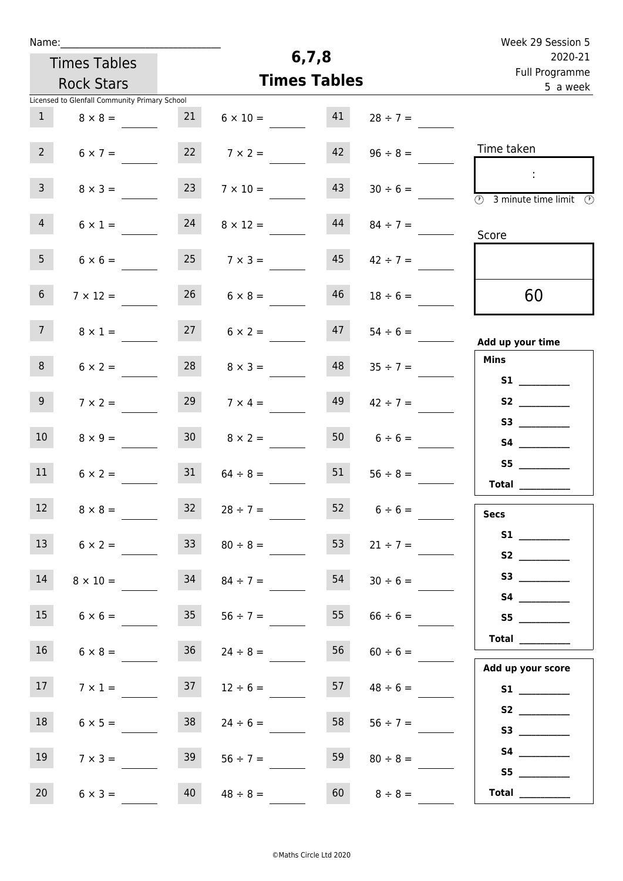| Name:                                         |                      |                       |                    | Week 29 Session 5                                                                  |  |  |  |
|-----------------------------------------------|----------------------|-----------------------|--------------------|------------------------------------------------------------------------------------|--|--|--|
| <b>Times Tables</b>                           |                      | 6, 7, 8               |                    | 2020-21<br>Full Programme<br>5 a week                                              |  |  |  |
| <b>Rock Stars</b>                             |                      | <b>Times Tables</b>   |                    |                                                                                    |  |  |  |
| Licensed to Glenfall Community Primary School |                      |                       |                    |                                                                                    |  |  |  |
| $\mathbf{1}$<br>$8 \times 8 =$                | 21                   | 41<br>$6 \times 10 =$ | $28 \div 7 =$      |                                                                                    |  |  |  |
| $2^{\circ}$<br>$6 \times 7 =$                 | 22                   | 42<br>$7 \times 2 =$  | $96 \div 8 =$      | Time taken                                                                         |  |  |  |
| 3 <sup>7</sup><br>$8 \times 3 =$              | 23                   | 43<br>$7 \times 10 =$ | $30 \div 6 =$      | ÷<br>$\overline{\textcircled{1}}$ 3 minute time limit $\overline{\textcircled{1}}$ |  |  |  |
| 4<br>$6 \times 1 =$                           | 24                   | 44<br>$8 \times 12 =$ | $84 \div 7 =$      | Score                                                                              |  |  |  |
| 5 <sub>1</sub><br>$6 \times 6 =$              | $25 \t 7 \times 3 =$ | 45                    | $42 \div 7 =$      |                                                                                    |  |  |  |
| 6 <sup>1</sup><br>$7 \times 12 =$             | 26                   | 46<br>$6 \times 8 =$  | $18 \div 6 =$      | 60                                                                                 |  |  |  |
| 7 <sup>7</sup><br>$8 \times 1 =$              | 27                   | 47<br>$6 \times 2 =$  | $54 \div 6 =$      | Add up your time                                                                   |  |  |  |
| 8<br>$6 \times 2 =$                           | 28                   | 48<br>$8 \times 3 =$  | $35 \div 7 =$      | <b>Mins</b>                                                                        |  |  |  |
| 9 <sub>o</sub><br>$7 \times 2 =$              | 29                   | 49<br>$7 \times 4 =$  | $42 \div 7 =$      |                                                                                    |  |  |  |
| 10 <sup>°</sup><br>$8 \times 9 =$             | 30 <sup>°</sup>      | 50<br>$8 \times 2 =$  | $6 \div 6 =$       | S3                                                                                 |  |  |  |
| 11<br>$6 \times 2 =$                          | 31                   | 51<br>$64 \div 8 =$   | $56 \div 8 =$      | Total $\qquad$                                                                     |  |  |  |
| 12<br>$8 \times 8 =$                          | $32 \t 28 \div 7 =$  |                       | $52 \t 6 \div 6 =$ | <b>Secs</b>                                                                        |  |  |  |
| 13<br>$6 \times 2 =$                          | 33 <sup>°</sup>      | 53<br>$80 \div 8 =$   | $21 \div 7 =$      | S1<br>S2                                                                           |  |  |  |
| 14<br>$8 \times 10 =$                         | 34                   | 54<br>$84 \div 7 =$   | $30 \div 6 =$      |                                                                                    |  |  |  |
| 15<br>$6 \times 6 =$                          | 35                   | 55<br>$56 \div 7 =$   | $66 \div 6 =$      | S5                                                                                 |  |  |  |
| 16<br>$6 \times 8 =$                          | 36                   | 56<br>$24 \div 8 =$   | $60 \div 6 =$      | Total                                                                              |  |  |  |
| 17 <sup>7</sup><br>$7 \times 1 =$             | 37                   | 57<br>$12 \div 6 =$   | $48 \div 6 =$      | Add up your score                                                                  |  |  |  |
| 18<br>$6 \times 5 =$                          | 38                   | 58<br>$24 \div 6 =$   | $56 \div 7 =$      | S3                                                                                 |  |  |  |
| 19<br>$7 \times 3 =$                          | 39                   | 59<br>$56 \div 7 =$   | $80 \div 8 =$      |                                                                                    |  |  |  |
| 20<br>$6 \times 3 =$                          | 40<br>$48 \div 8 =$  |                       | $60 \t 8 \div 8 =$ | S5<br>Total $\qquad$                                                               |  |  |  |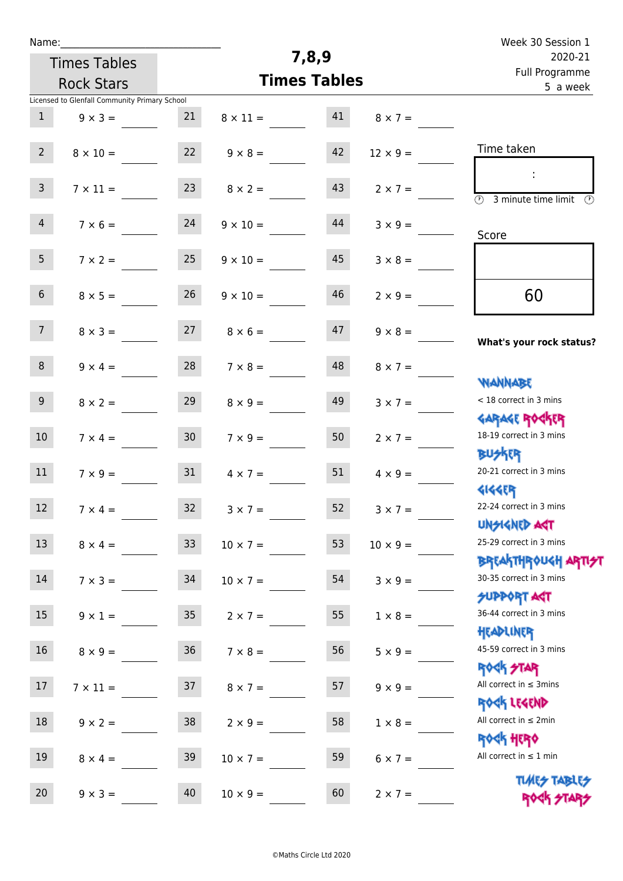| Name:           |                                               |                 |                     |                            |                 | Week 30 Session 1                                                |  |  |  |
|-----------------|-----------------------------------------------|-----------------|---------------------|----------------------------|-----------------|------------------------------------------------------------------|--|--|--|
|                 | <b>Times Tables</b>                           |                 |                     | 7,8,9                      |                 | 2020-21                                                          |  |  |  |
|                 | <b>Rock Stars</b>                             |                 | <b>Times Tables</b> | Full Programme<br>5 a week |                 |                                                                  |  |  |  |
|                 | Licensed to Glenfall Community Primary School |                 |                     |                            |                 |                                                                  |  |  |  |
| $\mathbf{1}$    | $9 \times 3 =$                                | 21              | $8 \times 11 =$     | 41                         | $8 \times 7 =$  |                                                                  |  |  |  |
|                 |                                               |                 |                     |                            |                 |                                                                  |  |  |  |
| $2^{\circ}$     | $8 \times 10 =$                               | 22              | $9 \times 8 =$      | 42                         | $12 \times 9 =$ | Time taken                                                       |  |  |  |
|                 |                                               |                 |                     | 43                         |                 | ÷                                                                |  |  |  |
| $\mathsf{3}$    | $7 \times 11 =$                               | 23              | $8 \times 2 =$      |                            | $2 \times 7 =$  | $\overline{\mathcal{D}}$<br>3 minute time limit<br>$\mathcal{O}$ |  |  |  |
| $\overline{4}$  | $7 \times 6 =$                                | 24              | $9 \times 10 =$     | 44                         | $3 \times 9 =$  |                                                                  |  |  |  |
|                 |                                               |                 |                     |                            |                 | Score                                                            |  |  |  |
| 5 <sub>1</sub>  | $7 \times 2 =$                                | 25              | $9 \times 10 =$     | 45                         | $3 \times 8 =$  |                                                                  |  |  |  |
|                 |                                               |                 |                     |                            |                 |                                                                  |  |  |  |
| 6 <sup>1</sup>  | $8 \times 5 =$                                | 26              | $9 \times 10 =$     | 46                         | $2 \times 9 =$  | 60                                                               |  |  |  |
|                 |                                               |                 |                     |                            |                 |                                                                  |  |  |  |
| 7 <sup>1</sup>  | $8 \times 3 =$                                | 27              | $8 \times 6 =$      | 47                         | $9 \times 8 =$  | What's your rock status?                                         |  |  |  |
| 8               |                                               | 28              |                     | 48                         |                 |                                                                  |  |  |  |
|                 | $9 \times 4 =$                                |                 | $7 \times 8 =$      |                            | $8 \times 7 =$  | <b>NANNABE</b>                                                   |  |  |  |
| 9 <sup>°</sup>  | $8 \times 2 =$                                | 29              | $8 \times 9 =$      | 49                         | $3 \times 7 =$  | < 18 correct in 3 mins                                           |  |  |  |
|                 |                                               |                 |                     |                            |                 | <b>GARAGE ROCKER</b>                                             |  |  |  |
| 10 <sup>°</sup> | $7 \times 4 =$                                | 30 <sub>o</sub> | $7 \times 9 =$      | 50                         | $2 \times 7 =$  | 18-19 correct in 3 mins                                          |  |  |  |
|                 |                                               |                 |                     |                            |                 | <b>BUSKER</b>                                                    |  |  |  |
| 11              | $7 \times 9 =$                                | 31              | $4 \times 7 =$      | 51                         | $4 \times 9 =$  | 20-21 correct in 3 mins                                          |  |  |  |
|                 |                                               |                 |                     |                            |                 | <b>4144EP</b>                                                    |  |  |  |
| 12 <sub>2</sub> | $7 \times 4 =$                                | 32              | $3 \times 7 =$      | 52                         | $3 \times 7 =$  | 22-24 correct in 3 mins                                          |  |  |  |
|                 |                                               |                 |                     |                            |                 | <b>UNSIGNED AST</b>                                              |  |  |  |
| 13              | $8 \times 4 =$                                | 33 <sup>°</sup> | $10 \times 7 =$     | 53                         | $10 \times 9 =$ | 25-29 correct in 3 mins                                          |  |  |  |
|                 |                                               |                 |                     |                            |                 | <b>BREAKTHROUGH ARTI<del>S</del>T</b>                            |  |  |  |
| 14              | $7 \times 3 =$                                | 34              | $10 \times 7 =$     | 54                         | $3 \times 9 =$  | 30-35 correct in 3 mins                                          |  |  |  |
| 15              |                                               |                 |                     |                            |                 | <b>SUPPORT AGT</b><br>36-44 correct in 3 mins                    |  |  |  |
|                 | $9 \times 1 =$                                | 35              | $2 \times 7 =$      | 55                         | $1 \times 8 =$  | HEADLINER                                                        |  |  |  |
| 16              | $8 \times 9 =$                                | 36 <sup>°</sup> | $7 \times 8 =$      | 56                         | $5 \times 9 =$  | 45-59 correct in 3 mins                                          |  |  |  |
|                 |                                               |                 |                     |                            |                 | <b>ROCK STAR</b>                                                 |  |  |  |
| 17              | $7 \times 11 =$                               | 37              | $8 \times 7 =$      | 57                         | $9 \times 9 =$  | All correct in $\leq$ 3mins                                      |  |  |  |
|                 |                                               |                 |                     |                            |                 | ROCK LEGEND                                                      |  |  |  |
| 18              | $9 \times 2 =$                                | 38              | $2 \times 9 =$      | 58                         | $1 \times 8 =$  | All correct in $\leq 2$ min                                      |  |  |  |
|                 |                                               |                 |                     |                            |                 | <b>ROCK HERO</b>                                                 |  |  |  |
| 19              | $8 \times 4 =$                                | 39              | $10 \times 7 =$     | 59                         | $6 \times 7 =$  | All correct in $\leq 1$ min                                      |  |  |  |
|                 |                                               |                 |                     |                            |                 | <b>TUARS TABLES</b>                                              |  |  |  |
| 20 <sub>2</sub> | $9 \times 3 =$                                | 40              | $10 \times 9 =$     | 60                         | $2 \times 7 =$  | ROCK STARS                                                       |  |  |  |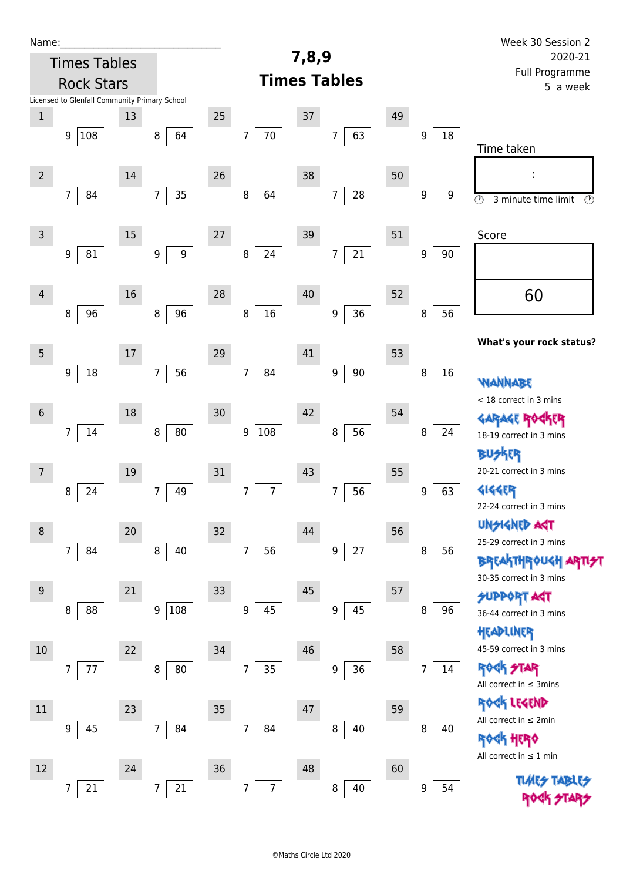| Name:          |                                               |        |                                      |    |                                  |        |                              |    |             | Week 30 Session 2                                          |  |  |  |
|----------------|-----------------------------------------------|--------|--------------------------------------|----|----------------------------------|--------|------------------------------|----|-------------|------------------------------------------------------------|--|--|--|
|                | <b>Times Tables</b>                           |        |                                      |    |                                  | 7,8,9  |                              |    |             | 2020-21                                                    |  |  |  |
|                | <b>Rock Stars</b>                             |        |                                      |    |                                  |        | <b>Times Tables</b>          |    |             | Full Programme<br>5 a week                                 |  |  |  |
|                | Licensed to Glenfall Community Primary School |        |                                      |    |                                  |        |                              |    |             |                                                            |  |  |  |
| $\,1$          |                                               | 13     |                                      | 25 |                                  | $37\,$ |                              | 49 |             |                                                            |  |  |  |
|                | 108<br>9                                      |        | 64<br>8                              |    | $70\,$<br>7                      |        | 63<br>$\overline{7}$         |    | 18<br>9     | Time taken                                                 |  |  |  |
| $\overline{2}$ |                                               | $14\,$ |                                      | 26 |                                  | 38     |                              | 50 |             |                                                            |  |  |  |
|                | $\overline{7}$<br>84                          |        | 35<br>$\overline{7}$                 |    | 64<br>8                          |        | ${\bf 28}$<br>$\overline{7}$ |    | 9<br>9      |                                                            |  |  |  |
|                |                                               |        |                                      |    |                                  |        |                              |    |             | $\overline{\circ}$<br>3 minute time limit<br>$\circled{r}$ |  |  |  |
| $\mathsf{3}$   |                                               | $15\,$ |                                      | 27 |                                  | 39     |                              | 51 |             | Score                                                      |  |  |  |
|                | 81<br>9                                       |        | $\boldsymbol{9}$<br>$\boldsymbol{9}$ |    | 24<br>$\bf 8$                    |        | 21<br>$\overline{7}$         |    | 9<br>$90\,$ |                                                            |  |  |  |
|                |                                               |        |                                      |    |                                  |        |                              |    |             |                                                            |  |  |  |
|                |                                               |        |                                      |    |                                  |        |                              |    |             |                                                            |  |  |  |
| $\overline{4}$ |                                               | 16     |                                      | 28 |                                  | 40     |                              | 52 |             | 60                                                         |  |  |  |
|                | 96<br>8                                       |        | 96<br>$\, 8$                         |    | $16\,$<br>$\bf 8$                |        | 36<br>$\boldsymbol{9}$       |    | 56<br>8     |                                                            |  |  |  |
|                |                                               |        |                                      |    |                                  |        |                              |    |             | What's your rock status?                                   |  |  |  |
| 5              |                                               | $17\,$ |                                      | 29 |                                  | 41     |                              | 53 |             |                                                            |  |  |  |
|                | 18<br>9                                       |        | 56<br>$\overline{7}$                 |    | 84<br>$\overline{7}$             |        | $90\,$<br>9                  |    | 16<br>8     | WANNABE                                                    |  |  |  |
|                |                                               |        |                                      |    |                                  |        |                              |    |             | < 18 correct in 3 mins                                     |  |  |  |
| $6\,$          |                                               | 18     |                                      | 30 |                                  | 42     |                              | 54 |             | <b>GARAGE ROC</b><br><b>FR</b>                             |  |  |  |
|                | $\overline{7}$<br>14                          |        | ${\bf 80}$<br>8                      |    | 108<br>9                         |        | 56<br>8                      |    | 8<br>24     | 18-19 correct in 3 mins                                    |  |  |  |
|                |                                               |        |                                      |    |                                  |        |                              |    |             | <b>BUSKER</b>                                              |  |  |  |
| 7              |                                               | 19     |                                      | 31 |                                  | 43     |                              | 55 |             | 20-21 correct in 3 mins                                    |  |  |  |
|                | 24<br>8                                       |        | 49<br>7                              |    | $\overline{7}$<br>7              |        | 56<br>$\overline{7}$         |    | 9<br>63     | <b>4144EP</b>                                              |  |  |  |
|                |                                               |        |                                      |    |                                  |        |                              |    |             | 22-24 correct in 3 mins                                    |  |  |  |
| 8              |                                               | 20     |                                      | 32 |                                  | 44     |                              | 56 |             | <b>UNSIGNED AGT</b>                                        |  |  |  |
|                | $\overline{7}$<br>84                          |        | $\, 8$<br>40                         |    | 56<br>$\overline{7}$             |        | $27\,$<br>9                  |    | 8<br>56     | 25-29 correct in 3 mins                                    |  |  |  |
|                |                                               |        |                                      |    |                                  |        |                              |    |             | <b>BREAKTHROUGH ARTI<del>S</del>T</b>                      |  |  |  |
| $9\,$          |                                               | 21     |                                      | 33 |                                  | 45     |                              | 57 |             | 30-35 correct in 3 mins                                    |  |  |  |
|                | 88                                            |        |                                      |    | 45                               |        | $\boldsymbol{9}$             |    |             | <b>SUPPORT AGT</b>                                         |  |  |  |
|                | 8                                             |        | 108<br>$\boldsymbol{9}$              |    | $\boldsymbol{9}$                 |        | 45                           |    | 8<br>96     | 36-44 correct in 3 mins                                    |  |  |  |
|                |                                               |        |                                      |    |                                  |        |                              |    |             | HEADLINER                                                  |  |  |  |
| 10             |                                               | 22     |                                      | 34 |                                  | 46     |                              | 58 |             | 45-59 correct in 3 mins                                    |  |  |  |
|                | 7<br>77                                       |        | 80<br>8                              |    | $\overline{7}$<br>35             |        | 36<br>9                      |    | 14<br>7     | <b>ROCK STAR</b><br>All correct in $\leq$ 3mins            |  |  |  |
|                |                                               |        |                                      |    |                                  |        |                              |    |             | ROCK LEGEND                                                |  |  |  |
| 11             |                                               | 23     |                                      | 35 |                                  | 47     |                              | 59 |             | All correct in $\leq 2$ min                                |  |  |  |
|                | 9<br>45                                       |        | $\overline{7}$<br>84                 |    | $\overline{7}$<br>84             |        | 40<br>8                      |    | 8<br>40     | <b>ROGH HERO</b>                                           |  |  |  |
|                |                                               |        |                                      |    |                                  |        |                              |    |             | All correct in $\leq 1$ min                                |  |  |  |
| 12             |                                               | 24     |                                      | 36 |                                  | 48     |                              | 60 |             |                                                            |  |  |  |
|                | 7<br>21                                       |        | $\overline{7}$<br>21                 |    | $\overline{7}$<br>$\overline{7}$ |        | 8<br>40                      |    | 9<br>54     | <b>TLMES</b>                                               |  |  |  |
|                |                                               |        |                                      |    |                                  |        |                              |    |             |                                                            |  |  |  |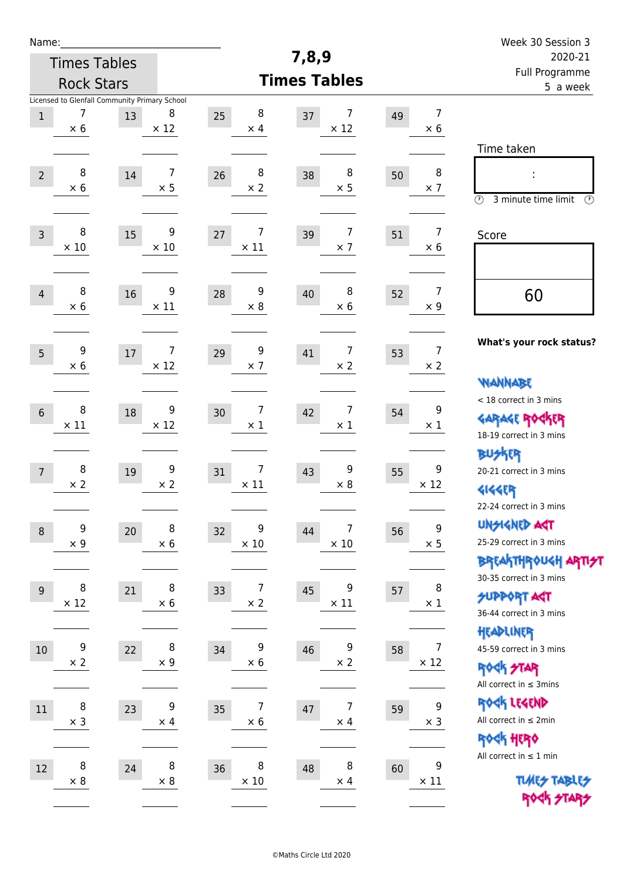| Week 30 Session 3                                                                           |                                 |    |                                    |                        |                               |                                                     |                   | Name:          |
|---------------------------------------------------------------------------------------------|---------------------------------|----|------------------------------------|------------------------|-------------------------------|-----------------------------------------------------|-------------------|----------------|
| 2020-21                                                                                     |                                 |    | 7,8,9                              |                        |                               | <b>Times Tables</b>                                 |                   |                |
| Full Programme<br>5 a week                                                                  |                                 |    | <b>Times Tables</b>                |                        |                               |                                                     | <b>Rock Stars</b> |                |
|                                                                                             | $\overline{7}$<br>$\times 6$    | 49 | 7<br>37<br>$\times$ 12             | 8<br>25<br>$\times$ 4  | 8<br>$\times$ 12              | Licensed to Glenfall Community Primary School<br>13 | 7<br>$\times$ 6   | $\,1$          |
| Time taken<br>İ,<br>$\circled{r}$<br>3 minute time limit<br>⊕                               | 8<br>$\times$ 7                 | 50 | 8<br>38<br>$\times$ 5              | 8<br>26<br>$\times$ 2  | 7<br>$\times$ 5               | $14\,$                                              | 8<br>$\times$ 6   | $\overline{2}$ |
| Score                                                                                       | $\overline{7}$<br>$\times 6$    | 51 | 7<br>39<br>$\times$ 7              | 7<br>27<br>$\times$ 11 | 9<br>$\times$ 10              | 15                                                  | 8<br>$\times$ 10  | $\overline{3}$ |
| 60                                                                                          | $\overline{7}$<br>$\times$ 9    | 52 | 8<br>40<br>$\times 6$              | 9<br>28<br>$\times 8$  | 9<br>$\times$ 11              | 16                                                  | 8<br>$\times$ 6   | $\overline{4}$ |
| What's your rock status?                                                                    | $\overline{7}$<br>$\times$ 2    | 53 | $\overline{7}$<br>41<br>$\times 2$ | 9<br>29<br>$\times$ 7  | $\overline{7}$<br>$\times$ 12 | $17\,$                                              | 9<br>$\times$ 6   | 5              |
| <b>WANNABE</b><br>< 18 correct in 3 mins<br><b>GARAGE ROCKER</b><br>18-19 correct in 3 mins | 9<br>$\times$ 1                 | 54 | 7<br>42<br>$\times$ 1              | 7<br>30<br>$\times$ 1  | 9<br>$\times$ 12              | 18                                                  | 8<br>$\times$ 11  | $6\,$          |
| <b>BU外界</b><br>20-21 correct in 3 mins<br><b>4144EP</b><br>22-24 correct in 3 mins          | 9<br>$\times$ 12                | 55 | 9<br>43<br>$\times 8$              | 7<br>31<br>$\times$ 11 | 9<br>$\times 2$               | 19                                                  | 8<br>$\times$ 2   | $\overline{7}$ |
| <b>UNGIGNED AGT</b><br>25-29 correct in 3 mins<br><b>BREAKTHROUGH ARTI<del>S</del>T</b>     | $\boldsymbol{9}$<br>$\times$ 5  | 56 | 7<br>44<br>$\times$ 10             | 9<br>32<br>$\times$ 10 | $\, 8$<br>$\times$ 6          | 20                                                  | 9<br>$\times$ 9   | $\, 8$         |
| 30-35 correct in 3 mins<br><b>SUPPORT ART</b><br>36-44 correct in 3 mins                    | 8<br>$\times$ 1                 | 57 | 9<br>45<br>$\times$ 11             | 7<br>33<br>$\times$ 2  | 8<br>$\times$ 6               | 21                                                  | 8<br>$\times$ 12  | $\overline{9}$ |
| HEADLINER<br>45-59 correct in 3 mins<br><b>ROCK STAR</b><br>All correct in $\leq$ 3mins     | $\overline{7}$<br>$\times$ 12   | 58 | 9<br>46<br>$\times$ 2              | 9<br>34<br>$\times 6$  | $\, 8$<br>$\times$ 9          | 22                                                  | 9<br>$\times 2$   | $10\,$         |
| ROCK LEGEND<br>All correct in $\leq 2$ min<br>ROCK HERO                                     | $\boldsymbol{9}$<br>$\times$ 3  | 59 | 7<br>47<br>$\times$ 4              | 7<br>35<br>$\times$ 6  | 9<br>$\times$ 4               | 23                                                  | 8<br>$\times$ 3   | $11\,$         |
| All correct in $\leq 1$ min<br><b>TUARS TABLES</b><br>ROCK STARS                            | $\boldsymbol{9}$<br>$\times$ 11 | 60 | 8<br>48<br>$\times$ 4              | 8<br>36<br>$\times 10$ | $\, 8$<br>$\times$ 8          | 24                                                  | 8<br>$\times$ 8   | 12             |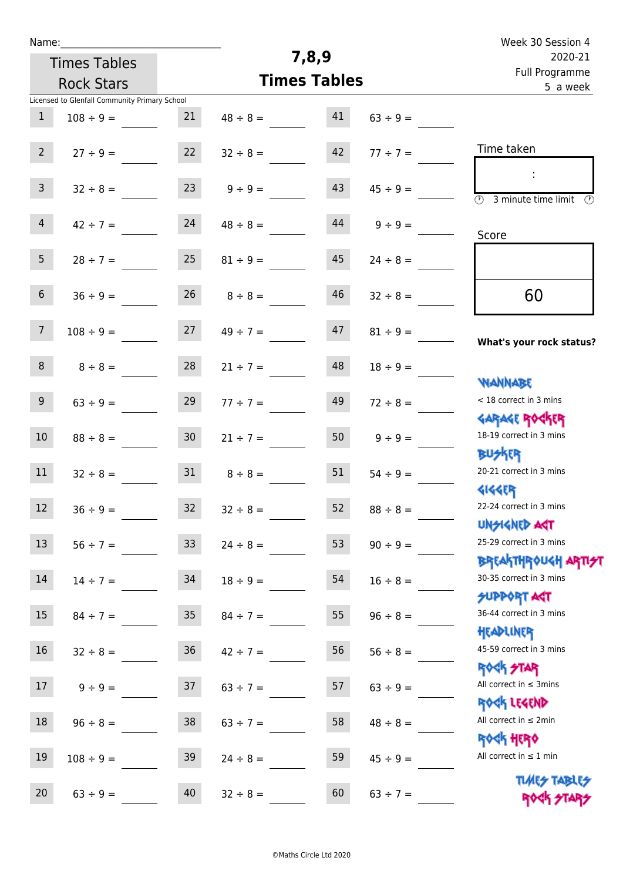| Name:            |                                               |                 |                     |                            |               | Week 30 Session 4                                                       |  |  |
|------------------|-----------------------------------------------|-----------------|---------------------|----------------------------|---------------|-------------------------------------------------------------------------|--|--|
|                  | <b>Times Tables</b>                           |                 | 7,8,9               |                            | 2020-21       |                                                                         |  |  |
|                  | <b>Rock Stars</b>                             |                 | <b>Times Tables</b> | Full Programme<br>5 a week |               |                                                                         |  |  |
|                  | Licensed to Glenfall Community Primary School |                 |                     |                            |               |                                                                         |  |  |
| $\mathbf{1}$     | $108 \div 9 =$                                | 21              | $48 \div 8 = 41$    |                            | $63 \div 9 =$ |                                                                         |  |  |
| $2^{\circ}$      | $27 \div 9 =$                                 | 22              | $32 \div 8 =$       | 42                         | $77 \div 7 =$ | Time taken                                                              |  |  |
| $\overline{3}$   | $32 \div 8 =$                                 | 23              | $9 \div 9 =$        | 43                         | $45 \div 9 =$ | ÷<br>$\overline{(\mathcal{V})}$<br>3 minute time limit<br>$\mathcal{O}$ |  |  |
| 4                | $42 \div 7 =$                                 | 24              | $48 \div 8 =$       | 44                         | $9 \div 9 =$  | Score                                                                   |  |  |
| 5 <sub>1</sub>   | $28 \div 7 =$                                 | 25              | $81 \div 9 =$       | 45                         | $24 \div 8 =$ |                                                                         |  |  |
| 6 <sup>1</sup>   | $36 \div 9 =$                                 | 26              | $8 \div 8 =$        | 46                         | $32 \div 8 =$ | 60                                                                      |  |  |
| $7\overline{ }$  | $108 \div 9 =$                                |                 | $27 \t 49 \div 7 =$ | 47                         | $81 \div 9 =$ | What's your rock status?                                                |  |  |
| 8                | $8 \div 8 =$                                  | 28              | $21 \div 7 =$       | 48                         | $18 \div 9 =$ | <b>NANNABE</b>                                                          |  |  |
| 9 <sup>°</sup>   | $63 \div 9 =$                                 | 29              | $77 \div 7 =$       | 49                         | $72 \div 8 =$ | < 18 correct in 3 mins<br><b>GARAGE ROCKER</b>                          |  |  |
| 10               | $88 \div 8 =$                                 | 30 <sup>°</sup> | $21 \div 7 =$       | 50                         | $9 \div 9 =$  | 18-19 correct in 3 mins<br><b>BUSKR</b>                                 |  |  |
| 11               | $32 \div 8 =$                                 | 31              | $8 \div 8 =$        | 51                         | $54 \div 9 =$ | 20-21 correct in 3 mins<br><b>4144EP</b>                                |  |  |
| 12 <sup>7</sup>  | $36 ÷ 9 =$                                    | 32              | $32 \div 8 =$       | 52                         | $88 \div 8 =$ | 22-24 correct in 3 mins<br><b>UNSIGNED AST</b>                          |  |  |
| 13               | $56 ÷ 7 =$                                    | 33 <sup>°</sup> | $24 \div 8 =$       | 53                         | $90 \div 9 =$ | 25-29 correct in 3 mins<br>BREAKTHROUGH <mark>ARTI<del>S</del>T</mark>  |  |  |
| 14               | $14 \div 7 =$                                 | 34              | $18 \div 9 =$       | 54                         | $16 \div 8 =$ | 30-35 correct in 3 mins<br><b>SUPPORT AGT</b>                           |  |  |
| $15\phantom{.0}$ | $84 \div 7 =$                                 | 35              | $84 \div 7 =$       | 55                         | $96 \div 8 =$ | 36-44 correct in 3 mins<br>HEADLINER                                    |  |  |
| 16               | $32 \div 8 =$                                 | 36              | $42 \div 7 =$       | 56                         | $56 \div 8 =$ | 45-59 correct in 3 mins<br><b>ROCK STAR</b>                             |  |  |
| 17               | $9 \div 9 =$                                  | 37              | $63 \div 7 =$       | 57                         | $63 ÷ 9 =$    | All correct in $\leq$ 3mins<br>ROCK LEGEND                              |  |  |
| 18               | $96 \div 8 =$                                 | 38              | $63 \div 7 =$       | 58                         | $48 \div 8 =$ | All correct in $\leq 2$ min<br><b>ROCK HERO</b>                         |  |  |
| 19               | $108 \div 9 =$                                | 39              | $24 \div 8 =$       | 59                         | $45 \div 9 =$ | All correct in $\leq 1$ min                                             |  |  |
| 20               | $63 ÷ 9 =$                                    | 40              | $32 \div 8 =$       | 60                         | $63 ÷ 7 =$    | <b>TUARS TABLES</b><br>ROCK STARS                                       |  |  |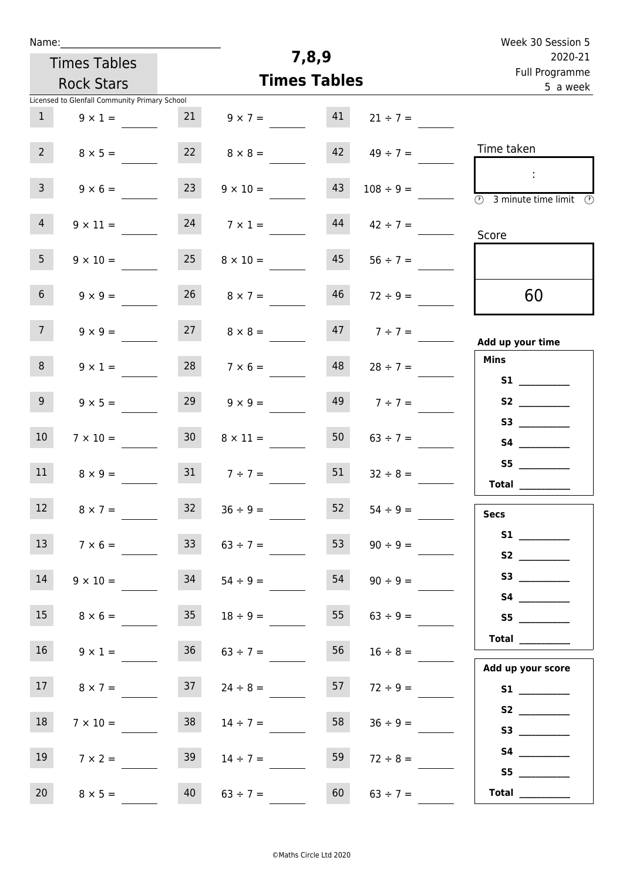| Name:           |                                               |                 |                     |                     |                     | Week 30 Session 5                                                                    |  |  |  |  |
|-----------------|-----------------------------------------------|-----------------|---------------------|---------------------|---------------------|--------------------------------------------------------------------------------------|--|--|--|--|
|                 | <b>Times Tables</b>                           |                 |                     | 7,8,9               |                     | 2020-21<br>Full Programme                                                            |  |  |  |  |
|                 | <b>Rock Stars</b>                             |                 |                     | <b>Times Tables</b> |                     | 5 a week                                                                             |  |  |  |  |
|                 | Licensed to Glenfall Community Primary School |                 |                     |                     |                     |                                                                                      |  |  |  |  |
| 1               | $9 \times 1 =$                                | 21              | $9 \times 7 =$      | 41                  | $21 \div 7 =$       |                                                                                      |  |  |  |  |
| $2^{\circ}$     | $8 \times 5 =$                                | 22              | $8 \times 8 =$      | 42                  | $49 \div 7 =$       | Time taken                                                                           |  |  |  |  |
| 3 <sup>7</sup>  | $9 \times 6 =$                                | 23              | $9 \times 10 =$     | 43                  | $108 \div 9 =$      | $\ddot{\phantom{a}}$<br>$\overline{\circledcirc}$ 3 minute time limit $\circledcirc$ |  |  |  |  |
| 4 <sup>1</sup>  | $9 \times 11 =$                               | 24              | $7 \times 1 =$      | 44                  | $42 \div 7 =$       | Score                                                                                |  |  |  |  |
| 5 <sub>1</sub>  | $9 \times 10 =$                               | 25              | $8 \times 10 =$     |                     | $45 \t 56 \div 7 =$ |                                                                                      |  |  |  |  |
| 6 <sup>1</sup>  | $9 \times 9 =$                                | 26              | $8 \times 7 =$      | 46                  | $72 \div 9 =$       | 60                                                                                   |  |  |  |  |
| 7 <sup>7</sup>  | $9 \times 9 =$                                | 27              | $8 \times 8 =$      | 47                  | $7 ÷ 7 =$           | Add up your time                                                                     |  |  |  |  |
| 8               | $9 \times 1 =$                                | 28              | $7 \times 6 =$      | 48                  | $28 \div 7 =$       | <b>Mins</b><br>S1                                                                    |  |  |  |  |
| 9 <sub>o</sub>  | $9 \times 5 =$                                | 29              | $9 \times 9 =$      | 49                  | $7 ÷ 7 =$           | S2                                                                                   |  |  |  |  |
| 10 <sup>°</sup> | $7 \times 10 =$                               | 30 <sup>°</sup> | $8 \times 11 =$     | 50                  | $63 \div 7 =$       |                                                                                      |  |  |  |  |
| 11              | $8 \times 9 =$                                |                 | 31 $7 \div 7 =$     | 51                  | $32 \div 8 =$       | S5<br>Total $\_\_$                                                                   |  |  |  |  |
| 12              | $8 \times 7 =$                                |                 | $32 \t 36 \div 9 =$ |                     | $52 \t 54 \div 9 =$ | <b>Secs</b>                                                                          |  |  |  |  |
| 13              | $7 \times 6 =$                                | 33 <sup>°</sup> | $63 \div 7 =$       | 53                  | $90 \div 9 =$       | S2                                                                                   |  |  |  |  |
| 14              | $9 \times 10 =$                               | 34              | $54 \div 9 =$       | 54                  | $90 \div 9 =$       |                                                                                      |  |  |  |  |
| 15              | $8 \times 6 =$                                | 35              | $18 \div 9 =$       | 55                  | $63 \div 9 =$       |                                                                                      |  |  |  |  |
| 16              | $9 \times 1 =$                                | 36              | $63 \div 7 =$       | 56                  | $16 \div 8 =$       | <b>Total</b>                                                                         |  |  |  |  |
| 17              | $8 \times 7 =$                                | 37              | $24 \div 8 =$       | 57                  | $72 \div 9 =$       | Add up your score<br>S1                                                              |  |  |  |  |
| 18              | $7 \times 10 =$                               | 38              | $14 \div 7 =$       | 58                  | $36 \div 9 =$       | S3                                                                                   |  |  |  |  |
| 19              | $7 \times 2 =$                                | 39              | $14 \div 7 =$       | 59                  | $72 \div 8 =$       |                                                                                      |  |  |  |  |
| 20              | $8 \times 5 =$                                | 40              | $63 \div 7 =$       | 60                  | $63 \div 7 =$       | S5<br>$\begin{tabular}{c} Total \end{tabular}$                                       |  |  |  |  |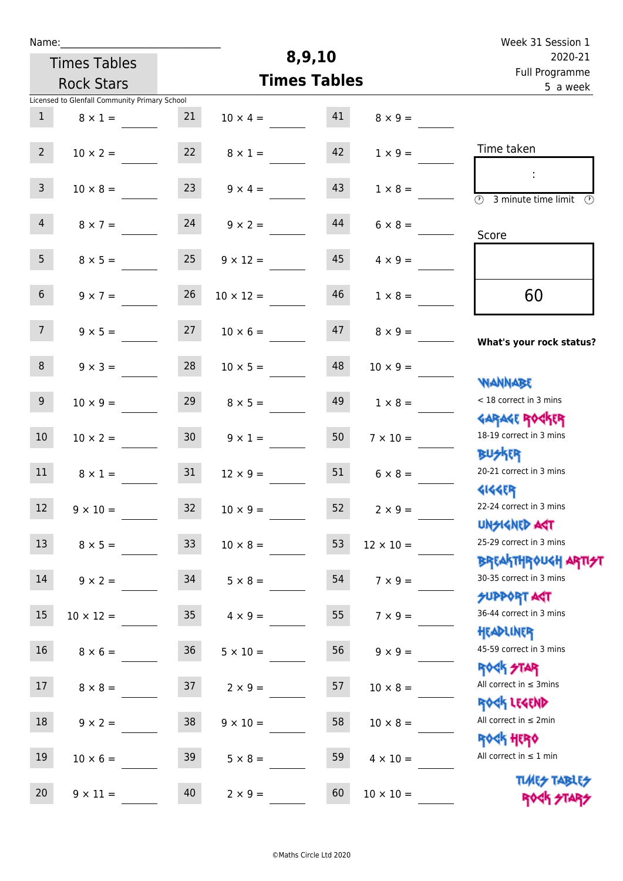| Week 31 Session 1                                                    |                  |                     |                  |                   |                                               | Name:           |
|----------------------------------------------------------------------|------------------|---------------------|------------------|-------------------|-----------------------------------------------|-----------------|
| 2020-21                                                              |                  | 8,9,10              |                  |                   | <b>Times Tables</b>                           |                 |
| Full Programme<br>5 a week                                           |                  | <b>Times Tables</b> |                  | <b>Rock Stars</b> |                                               |                 |
|                                                                      |                  |                     |                  |                   | Licensed to Glenfall Community Primary School |                 |
|                                                                      | $8 \times 9 =$   | 41                  | $10 \times 4 =$  | 21                | $8 \times 1 =$                                | $\mathbf{1}$    |
| Time taken                                                           | $1 \times 9 =$   | 42                  | $8 \times 1 =$   | 22                | $10 \times 2 =$                               | 2 <sup>7</sup>  |
| ÷<br>$\overline{(\mathcal{V})}$<br>3 minute time limit $\circled{0}$ | $1 \times 8 =$   | 43                  | $9 \times 4 =$   | 23                | $10 \times 8 =$                               | $\mathbf{3}$    |
| Score                                                                | $6 \times 8 =$   | 44                  | $9 \times 2 =$   | 24                | $8 \times 7 =$                                | $\overline{4}$  |
|                                                                      | $4 \times 9 =$   | 45                  | $9 \times 12 =$  | 25                | $8 \times 5 =$                                | 5 <sub>1</sub>  |
| 60                                                                   | $1 \times 8 =$   | 46                  | $10 \times 12 =$ | 26                | $9 \times 7 =$                                | 6 <sup>1</sup>  |
| What's your rock status?                                             | $8 \times 9 =$   | 47                  | $10 \times 6 =$  | 27                | $9 \times 5 =$                                | 7 <sup>7</sup>  |
| <b>NANNABE</b>                                                       | $10 \times 9 =$  | 48                  | $10 \times 5 =$  | 28                | $9 \times 3 =$                                | 8               |
| < 18 correct in 3 mins<br><b>GARAGE ROCKER</b>                       | $1 \times 8 =$   | 49                  | $8 \times 5 =$   | 29                | $10 \times 9 =$                               | 9 <sub>o</sub>  |
| 18-19 correct in 3 mins<br><b>BUSKRR</b>                             | $7 \times 10 =$  | 50                  | $9 \times 1 =$   | 30 <sub>1</sub>   | $10 \times 2 =$                               | 10 <sup>°</sup> |
| 20-21 correct in 3 mins<br><b>4144EP</b>                             | $6 \times 8 =$   | 51                  | $12 \times 9 =$  | 31                | $8 \times 1 =$                                | 11              |
| 22-24 correct in 3 mins<br><b>UNSIGNED AGT</b>                       | $2 \times 9 =$   | 52                  | $10 \times 9 =$  | 32 <sup>°</sup>   | $9 \times 10 =$                               | 12 <sup>7</sup> |
| 25-29 correct in 3 mins<br><b>BREAKTHROUGH ARTI<del>S</del>T</b>     | $12 \times 10 =$ | 53                  | $10 \times 8 =$  | 33 <sup>°</sup>   | $8 \times 5 =$                                | 13              |
| 30-35 correct in 3 mins<br><b>SUPPORT AGT</b>                        | $7 \times 9 =$   | 54                  | $5 \times 8 =$   | 34                | $9 \times 2 =$                                | 14              |
| 36-44 correct in 3 mins<br>HEADLINER                                 | $7 \times 9 =$   | 55                  | $4 \times 9 =$   | 35 <sub>1</sub>   | $10 \times 12 =$                              | 15              |
| 45-59 correct in 3 mins<br><b>ROCK STAR</b>                          | $9 \times 9 =$   | 56                  | $5 \times 10 =$  | 36 <sup>°</sup>   | $8 \times 6 =$                                | 16              |
| All correct in $\leq$ 3mins<br>ROCK LEGEND                           | $10 \times 8 =$  | 57                  | $2 \times 9 =$   | 37                | $8 \times 8 =$                                | 17              |
| All correct in $\leq 2$ min<br><b>ROCK HERO</b>                      | $10 \times 8 =$  | 58                  | $9 \times 10 =$  | 38                | $9 \times 2 =$                                | 18              |
| All correct in $\leq 1$ min<br><b>TUARS TABLES</b>                   | $4 \times 10 =$  | 59                  | $5 \times 8 =$   | 39                | $10 \times 6 =$                               | 19              |
| ROCK STARS                                                           | $10 \times 10 =$ | 60                  | $2 \times 9 =$   | 40                | $9 \times 11 =$                               | 20              |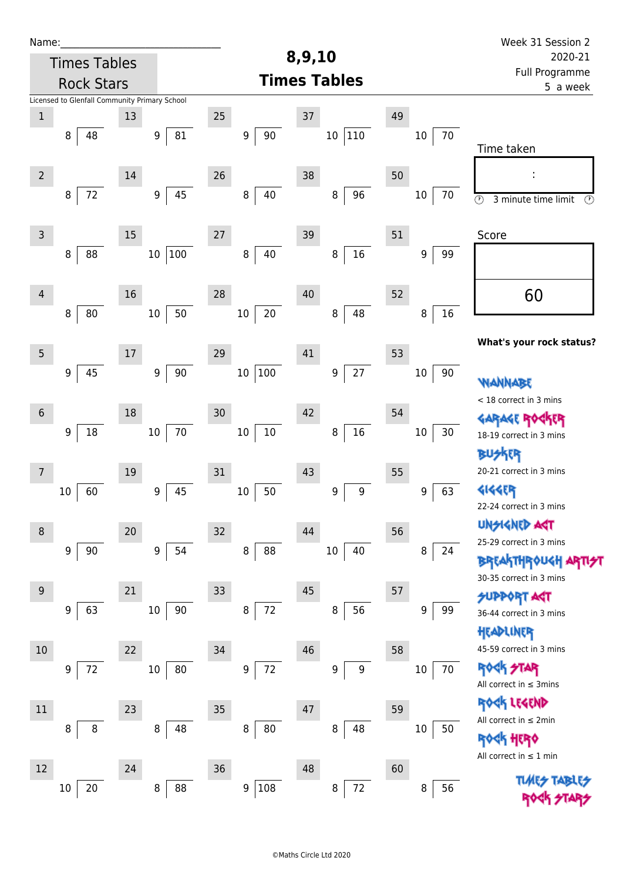| Name:           |                                               |        |                        |                  |                       |                  | Week 31 Session 2<br>2020-21                           |  |  |
|-----------------|-----------------------------------------------|--------|------------------------|------------------|-----------------------|------------------|--------------------------------------------------------|--|--|
|                 | <b>Times Tables</b>                           |        |                        |                  | 8,9,10                |                  |                                                        |  |  |
|                 | <b>Rock Stars</b>                             |        |                        |                  | <b>Times Tables</b>   |                  | Full Programme<br>5 a week                             |  |  |
|                 | Licensed to Glenfall Community Primary School |        |                        |                  |                       |                  |                                                        |  |  |
| $\mathbf 1$     |                                               | 13     |                        | 25               | $37\,$                | 49               |                                                        |  |  |
|                 | 8<br>48                                       |        | 81<br>9                | $90\,$<br>9      | 110<br>$10\,$         | 70<br>$10\,$     | Time taken                                             |  |  |
|                 |                                               |        |                        |                  |                       |                  |                                                        |  |  |
| $\overline{2}$  |                                               | 14     |                        | 26               | 38                    | 50               |                                                        |  |  |
|                 | $72\,$<br>8                                   |        | 45<br>$\boldsymbol{9}$ | $\, 8$<br>40     | 96<br>8               | $10\,$<br>70     | $\circledcirc$<br>3 minute time limit<br>$\circled{r}$ |  |  |
|                 |                                               |        |                        |                  |                       |                  |                                                        |  |  |
| $\mathsf{3}$    |                                               | 15     |                        | 27               | 39                    | 51               | Score                                                  |  |  |
|                 | 88<br>8                                       |        | 100<br>$10\,$          | 40<br>$\, 8$     | 16<br>8               | 9<br>99          |                                                        |  |  |
|                 |                                               |        |                        |                  |                       |                  |                                                        |  |  |
| $\overline{4}$  |                                               | 16     |                        | 28               | 40                    | 52               | 60                                                     |  |  |
|                 | 80<br>8                                       |        | 50<br>$10\,$           | $20\,$<br>$10\,$ | 48<br>8               | 16<br>8          |                                                        |  |  |
|                 |                                               |        |                        |                  |                       |                  | What's your rock status?                               |  |  |
| $5\phantom{.0}$ |                                               | 17     |                        | 29               | 41                    | 53               |                                                        |  |  |
|                 | 45<br>$\boldsymbol{9}$                        |        | 90<br>9                | 100<br>$10\,$    | $27$<br>9             | 90<br>$10\,$     | WANNABE                                                |  |  |
|                 |                                               |        |                        |                  |                       |                  | < 18 correct in 3 mins                                 |  |  |
| $6\,$           |                                               | 18     |                        | 30               | 42                    | 54               | GARAGE ROG                                             |  |  |
|                 | $18\,$<br>9                                   |        | 70<br>$10\,$           | $10\,$<br>$10\,$ | $16\,$<br>8           | $30\,$<br>$10\,$ | 18-19 correct in 3 mins                                |  |  |
|                 |                                               |        |                        |                  |                       |                  | BUSKER                                                 |  |  |
| 7               |                                               | 19     |                        | 31               | 43                    | 55               | 20-21 correct in 3 mins                                |  |  |
|                 | 60<br>10                                      |        | 45<br>9                | 50<br>$10\,$     | 9<br>9                | 63<br>9          | 4144EB<br>22-24 correct in 3 mins                      |  |  |
|                 |                                               |        |                        |                  |                       |                  | <b>UNSIGNED AGT</b>                                    |  |  |
| 8               |                                               | $20\,$ |                        | 32               | 44                    | 56               | 25-29 correct in 3 mins                                |  |  |
|                 | $90\,$<br>9                                   |        | 54<br>9                | $\, 8$<br>88     | 10 <sup>1</sup><br>40 | 8<br>24          | <b>BREAKTHROUGH</b>                                    |  |  |
|                 |                                               |        |                        |                  |                       |                  | 30-35 correct in 3 mins                                |  |  |
| 9               |                                               | 21     |                        | 33               | 45                    | 57               | <b>SUPPORT AGT</b>                                     |  |  |
|                 | 63<br>9                                       |        | 90<br>10               | $72\,$<br>8      | 56<br>8               | 9<br>99          | 36-44 correct in 3 mins                                |  |  |
|                 |                                               |        |                        |                  |                       |                  | HEADLINER<br>45-59 correct in 3 mins                   |  |  |
| 10              |                                               | 22     | 80                     | 34<br>$72\,$     | 46                    | 58               | <b>ROCK STAR</b>                                       |  |  |
|                 | 72<br>9                                       |        | 10                     | 9                | 9<br>9                | $10\,$<br>70     | All correct in $\leq$ 3mins                            |  |  |
| $11\,$          |                                               | 23     |                        | 35               | 47                    | 59               | ROGK LEGEND                                            |  |  |
|                 | 8<br>8                                        |        | 8<br>48                | 8<br>80          | 48<br>8               | $10\,$<br>50     | All correct in $\leq 2$ min                            |  |  |
|                 |                                               |        |                        |                  |                       |                  | <b><h b="" her0<=""></h></b>                           |  |  |
| 12              |                                               | 24     |                        | 36               | 48                    | 60               | All correct in $\leq 1$ min                            |  |  |
|                 | $20\,$<br>10                                  |        | 88<br>8                | 108<br>9         | 72<br>8               | 56<br>8          | <b>TLARS</b>                                           |  |  |
|                 |                                               |        |                        |                  |                       |                  |                                                        |  |  |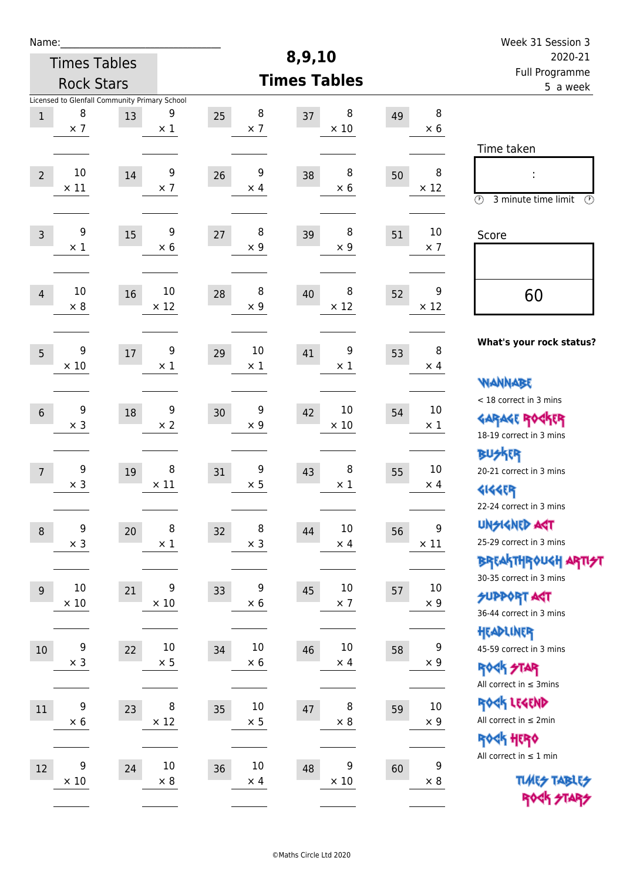| Week 31 Session 3                                                                           |                                |    |                            |                            |                       |                                                     |                       | Name:          |
|---------------------------------------------------------------------------------------------|--------------------------------|----|----------------------------|----------------------------|-----------------------|-----------------------------------------------------|-----------------------|----------------|
| 2020-21                                                                                     |                                |    | 8,9,10                     |                            |                       |                                                     | <b>Times Tables</b>   |                |
| Full Programme<br>5 a week                                                                  |                                |    | <b>Times Tables</b>        |                            |                       |                                                     | <b>Rock Stars</b>     |                |
|                                                                                             | 8<br>$\times 6$                | 49 | 8<br>37<br>$\times$ 10     | 8<br>25<br>$\times$ 7      | 9<br>$\times$ 1       | Licensed to Glenfall Community Primary School<br>13 | 8<br>$\times$ 7       | $\,1$          |
| Time taken<br>İ,<br>$\circled{r}$<br>3 minute time limit<br>⊕                               | 8<br>$\times$ 12               | 50 | 8<br>38<br>$\times 6$      | 9<br>26<br>$\times$ 4      | 9<br>$\times$ 7       | $14\,$                                              | $10\,$<br>$\times$ 11 | $\overline{2}$ |
| Score                                                                                       | 10<br>$\times$ 7               | 51 | 8<br>39<br>$\times$ 9      | 8<br>27<br>$\times$ 9      | 9<br>$\times 6$       | 15                                                  | 9<br>$\times$ 1       | $\overline{3}$ |
| 60                                                                                          | 9<br>$\times$ 12               | 52 | 8<br>40<br>$\times$ 12     | 8<br>28<br>$\times$ 9      | 10<br>$\times$ 12     | 16                                                  | 10<br>$\times 8$      | $\overline{4}$ |
| What's your rock status?                                                                    | 8<br>$\times$ 4                | 53 | 9<br>41<br>$\times 1$      | 10<br>29<br>$\times 1$     | 9<br>$\times$ 1       | $17\,$                                              | 9<br>$\times$ 10      | 5              |
| <b>WANNABE</b><br>< 18 correct in 3 mins<br><b>GARAGE ROCKER</b><br>18-19 correct in 3 mins | 10<br>$\times$ 1               | 54 | 10<br>42<br>$\times$ 10    | 9<br>30<br>$\times$ 9      | 9<br>$\times 2$       | 18                                                  | 9<br>$\times$ 3       | $\sqrt{6}$     |
| <b>BUSKRR</b><br>20-21 correct in 3 mins<br><b>4144EP</b><br>22-24 correct in 3 mins        | 10<br>$\times$ 4               | 55 | 8<br>43<br>$\times$ 1      | 9<br>31<br>$\times$ 5      | 8<br>$\times$ 11      | 19                                                  | 9<br>$\times$ 3       | $\overline{7}$ |
| <b>UNSIGNED AGT</b><br>25-29 correct in 3 mins<br><b>BREAKTHROUGH ARTI<del>S</del>T</b>     | 9<br>$\times$ 11               | 56 | $10\,$<br>44<br>$\times$ 4 | 8<br>32<br>$\times$ 3      | $\, 8$<br>$\times$ 1  | 20                                                  | 9<br>$\times$ 3       | $\, 8$         |
| 30-35 correct in 3 mins<br><b>SUPPORT AGT</b><br>36-44 correct in 3 mins                    | 10<br>$\times$ 9               | 57 | $10\,$<br>45<br>$\times$ 7 | 9<br>33<br>$\times 6$      | 9<br>$\times$ 10      | 21                                                  | 10<br>$\times$ 10     | 9              |
| HEADLINER<br>45-59 correct in 3 mins<br><b>ROCK STAR</b><br>All correct in $\leq$ 3mins     | $\boldsymbol{9}$<br>$\times$ 9 | 58 | $10\,$<br>46<br>$\times$ 4 | $10\,$<br>34<br>$\times 6$ | $10\,$<br>$\times$ 5  | 22                                                  | 9<br>$\times$ 3       | $10\,$         |
| ROCK LEGEND<br>All correct in $\leq 2$ min<br><b>ROCK HERO</b>                              | $10\,$<br>$\times$ 9           | 59 | 8<br>47<br>$\times$ 8      | 10<br>35<br>$\times$ 5     | $\, 8$<br>$\times$ 12 | 23                                                  | 9<br>$\times$ 6       | $11\,$         |
| All correct in $\leq 1$ min<br><b>TUARS TABLES</b><br>ROCK STARS                            | $\boldsymbol{9}$<br>$\times 8$ | 60 | 9<br>48<br>$\times$ 10     | $10\,$<br>36<br>$\times$ 4 | $10\,$<br>$\times$ 8  | 24                                                  | 9<br>$\times$ 10      | $12\,$         |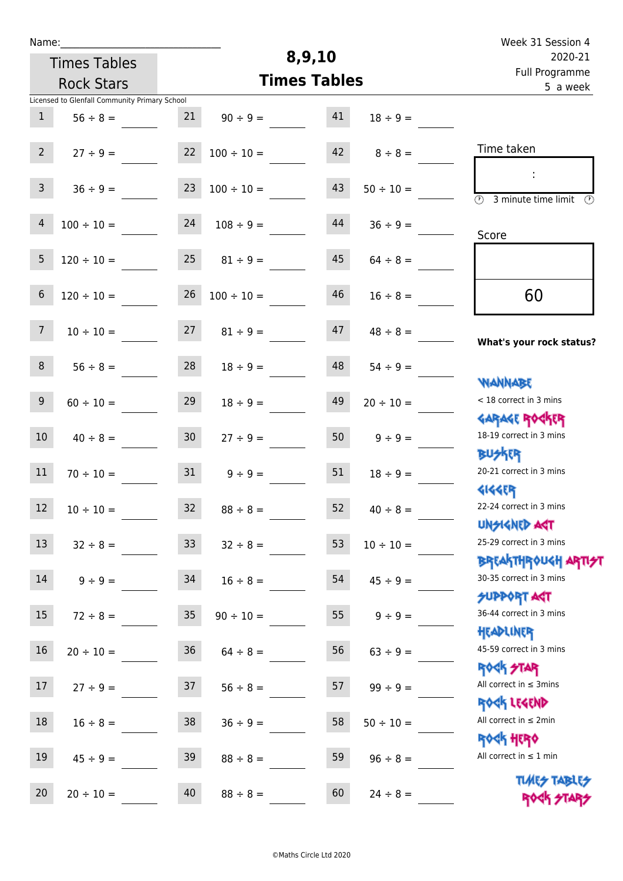| Week 31 Session 4                                                |                |    |                     |                 |                                               | Name:_         |
|------------------------------------------------------------------|----------------|----|---------------------|-----------------|-----------------------------------------------|----------------|
| 2020-21                                                          |                |    | 8,9,10              |                 | <b>Times Tables</b>                           |                |
| Full Programme<br>5 a week                                       |                |    | <b>Times Tables</b> |                 | <b>Rock Stars</b>                             |                |
|                                                                  |                |    |                     |                 | Licensed to Glenfall Community Primary School |                |
|                                                                  | $18 \div 9 =$  | 41 | $90 \div 9 =$       | 21              | $56 \div 8 =$                                 | $\mathbf{1}$   |
| Time taken                                                       | $8 \div 8 =$   | 42 | $100 \div 10 =$     | 22              | $27 \div 9 =$                                 | $2^{\circ}$    |
| $\circled{r}$<br>3 minute time limit<br>$\mathcal{O}$            | $50 \div 10 =$ | 43 | $100 \div 10 =$     | 23              | $36 \div 9 =$                                 | $\mathsf{3}$   |
| Score                                                            | $36 ÷ 9 =$     | 44 | $108 \div 9 =$      | 24              | $100 \div 10 =$                               | $\overline{4}$ |
|                                                                  | $64 \div 8 =$  | 45 | $81 \div 9 =$       | 25              | $120 \div 10 =$                               | 5              |
| 60                                                               | $16 \div 8 =$  | 46 | $100 \div 10 =$     | 26              | $120 \div 10 =$                               | $\sqrt{6}$     |
| What's your rock status?                                         | $48 \div 8 =$  | 47 | $81 \div 9 =$       | 27              | $10 \div 10 =$                                | 7 <sup>7</sup> |
| <b>JARNARY</b>                                                   | $54 \div 9 =$  | 48 | $18 \div 9 =$       | 28              | $56 \div 8 =$                                 | 8              |
| < 18 correct in 3 mins                                           | $20 \div 10 =$ | 49 | $18 \div 9 =$       | 29              | $60 \div 10 =$                                | $\overline{9}$ |
| <b>GARAGE ROGKER</b><br>18-19 correct in 3 mins                  | $9 ÷ 9 =$      | 50 | $27 \div 9 =$       | 30 <sub>o</sub> | $40 \div 8 =$                                 | 10             |
| <b>BUSKER</b><br>20-21 correct in 3 mins<br><b>4144EPT</b>       | $18 \div 9 =$  | 51 | $9 \div 9 =$        | 31              | $70 \div 10 =$                                | 11             |
| 22-24 correct in 3 mins<br><b>UNSIGNED AGT</b>                   | $40 \div 8 =$  | 52 | $88 \div 8 =$       | 32              | $10 \div 10 =$                                | 12             |
| 25-29 correct in 3 mins<br><b>BREAKTHROUGH ARTI<del>S</del>T</b> | $10 \div 10 =$ | 53 | $32 \div 8 =$       | 33 <sup>°</sup> | $32 \div 8 =$                                 | 13             |
| 30-35 correct in 3 mins<br><b>SUPPORT AGT</b>                    | $45 \div 9 =$  | 54 | $16 \div 8 =$       | 34              | $9 \div 9 =$                                  | 14             |
| 36-44 correct in 3 mins                                          | $9 \div 9 =$   | 55 | $90 \div 10 =$      | 35 <sub>o</sub> | $72 \div 8 =$                                 | 15             |
| HEADLINER<br>45-59 correct in 3 mins                             | $63 ÷ 9 =$     | 56 | $64 \div 8 =$       | 36              | $20 \div 10 =$                                | 16             |
| <b>ROCK STAR</b><br>All correct in $\leq$ 3mins                  | $99 \div 9 =$  | 57 | $56 \div 8 =$       | 37              | $27 \div 9 =$                                 | 17             |
| ROCK LEGEND<br>All correct in $\leq 2$ min                       | $50 \div 10 =$ | 58 | $36 ÷ 9 =$          | 38              | $16 \div 8 =$                                 | $18\,$         |
| <b>ROCK HERO</b><br>All correct in $\leq 1$ min                  | $96 \div 8 =$  | 59 | $88 \div 8 =$       | 39              | $45 \div 9 =$                                 | 19             |
| <b>TUARS TABLES</b><br>ROCK STARS                                | $24 \div 8 =$  | 60 | $88 \div 8 =$       | 40              | $20 \div 10 =$                                | 20             |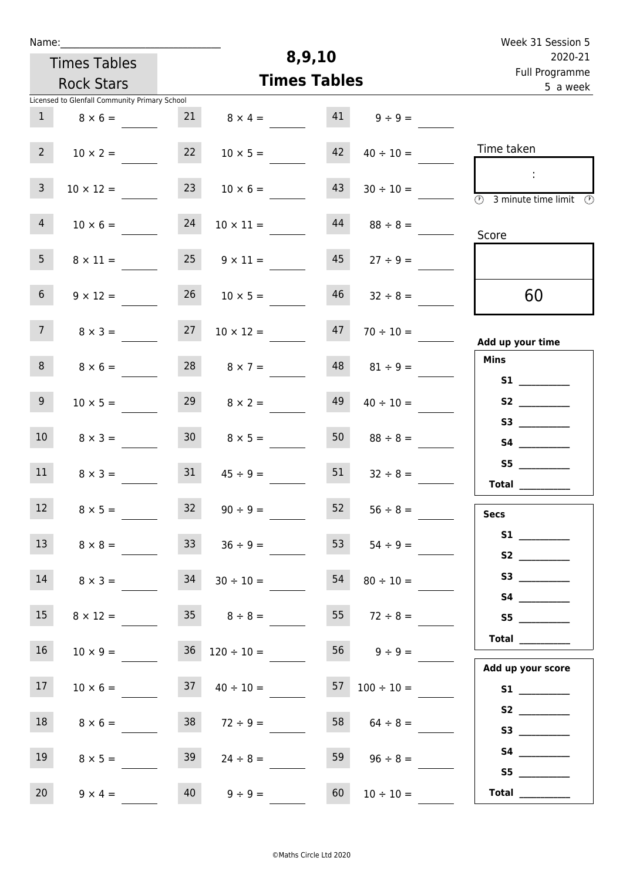| Week 31 Session 5                                                            |                          |                     |                          |                 |                                               | Name:            |  |  |  |
|------------------------------------------------------------------------------|--------------------------|---------------------|--------------------------|-----------------|-----------------------------------------------|------------------|--|--|--|
| 2020-21                                                                      |                          | 8,9,10              |                          |                 |                                               |                  |  |  |  |
| Full Programme<br>5 a week                                                   |                          | <b>Times Tables</b> |                          |                 | <b>Rock Stars</b>                             |                  |  |  |  |
|                                                                              |                          |                     |                          |                 | Licensed to Glenfall Community Primary School |                  |  |  |  |
|                                                                              | $41 \t 9 \div 9 =$       |                     | $8 \times 4 =$           | 21              | $8 \times 6 =$                                | 1                |  |  |  |
| Time taken                                                                   | $40 \div 10 =$           | 42                  | $10 \times 5 =$          | 22              | $10 \times 2 =$                               | 2 <sup>7</sup>   |  |  |  |
| $\sim$<br>$\overline{\textcircled{1}}$ 3 minute time limit $\textcircled{1}$ | $30 \div 10 =$           | 43                  | $10 \times 6 =$          | 23              | $10 \times 12 =$                              | $\mathbf{3}$     |  |  |  |
| Score                                                                        | $88 \div 8 =$            | 44                  | $10 \times 11 =$         | 24              | $10 \times 6 =$                               | $\overline{4}$   |  |  |  |
|                                                                              | $27 \div 9 =$            | 45                  | $9 \times 11 =$          | 25              | $8 \times 11 =$                               | 5 <sub>1</sub>   |  |  |  |
| 60                                                                           | $32 \div 8 =$            | 46                  | $10 \times 5 =$          | 26              | $9 \times 12 =$                               | 6 <sup>1</sup>   |  |  |  |
| Add up your time                                                             | $70 \div 10 =$           | 47                  | $10 \times 12 =$         | 27              | $8 \times 3 =$                                | 7 <sup>7</sup>   |  |  |  |
| <b>Mins</b><br><b>S1 S1</b>                                                  | $81 \div 9 =$            | 48                  | $8 \times 7 =$           | 28              | $8 \times 6 =$                                | 8                |  |  |  |
| S2                                                                           | $40 \div 10 =$           | 49                  | $8 \times 2 =$           | 29              | $10 \times 5 =$                               | 9 <sub>o</sub>   |  |  |  |
|                                                                              | $88 \div 8 =$            | 50                  | $8 \times 5 =$           | 30 <sup>1</sup> | $8 \times 3 =$                                | 10 <sup>°</sup>  |  |  |  |
| Total $\qquad$                                                               | $32 \div 8 =$            | 51                  | $45 \div 9 =$            | 31              | $8 \times 3 =$                                | 11               |  |  |  |
| <b>Secs</b>                                                                  | $56 \div 8 =$            | 52                  | $90 \div 9 =$            | 32              | $8 \times 5 =$                                | 12               |  |  |  |
|                                                                              | $54 \div 9 =$            | 53                  | $36 \div 9 =$            | 33 <sup>2</sup> | $8 \times 8 =$                                | 13 <sup>7</sup>  |  |  |  |
| S3                                                                           | $80 \div 10 =$           | 54                  | $30 \div 10 =$           | 34              | $8 \times 3 =$                                | 14               |  |  |  |
| S5                                                                           | $55 \t 72 \div 8 =$      |                     | $35 \t 8 \div 8 =$       |                 | $8 \times 12 =$                               | 15 <sub>15</sub> |  |  |  |
| <b>Total</b><br>Add up your score                                            | $56$ $9 \div 9 =$        |                     | $36 \quad 120 \div 10 =$ |                 | $10 \times 9 =$                               | 16               |  |  |  |
|                                                                              | $57 \quad 100 \div 10 =$ |                     | $37 \t 40 \div 10 =$     |                 | $10 \times 6 =$                               | 17 <sub>1</sub>  |  |  |  |
|                                                                              | 58 $64 \div 8 =$         |                     | $72 \div 9 =$            | 38              | $8 \times 6 =$                                | 18               |  |  |  |
| S5                                                                           | $96 \div 8 =$            | 59                  | $24 \div 8 =$            | 39              | $8 \times 5 =$                                | 19               |  |  |  |
| Total $\qquad$                                                               | $10 \div 10 =$           | 60                  | $9 \div 9 =$             | 40              | $9 \times 4 =$                                | 20               |  |  |  |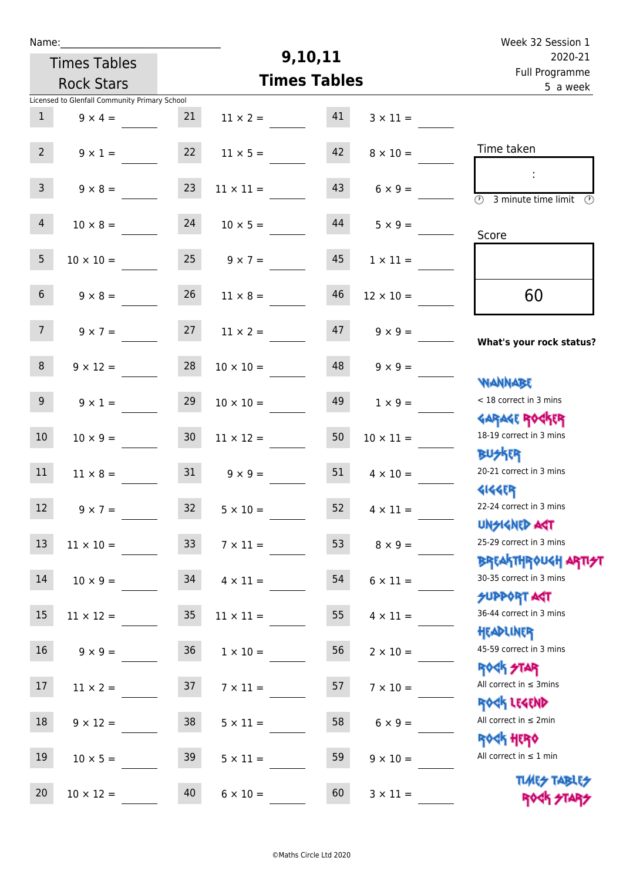| Week 32 Session 1                                                                      |                    |                     |                       |                   |                                               | Name:           |
|----------------------------------------------------------------------------------------|--------------------|---------------------|-----------------------|-------------------|-----------------------------------------------|-----------------|
| 2020-21                                                                                |                    | 9,10,11             |                       |                   | <b>Times Tables</b>                           |                 |
| Full Programme<br>5 a week                                                             |                    | <b>Times Tables</b> |                       | <b>Rock Stars</b> |                                               |                 |
|                                                                                        |                    |                     |                       |                   | Licensed to Glenfall Community Primary School |                 |
|                                                                                        | $3 \times 11 =$    | 41                  | $11 \times 2 =$       | 21                | $9 \times 4 =$                                | $\mathbf{1}$    |
| Time taken                                                                             | $8 \times 10 =$    | 42                  | $11 \times 5 =$       | 22                | $9 \times 1 =$                                | $2^{\circ}$     |
| $\overline{\textcircled{2}}$ 3 minute time limit $\overline{\textcircled{2}}$          | $6 \times 9 =$     | 43                  | $11 \times 11 =$      | 23                | $9 \times 8 =$                                | 3 <sup>7</sup>  |
| Score                                                                                  | $5 \times 9 =$     | 44                  | $10 \times 5 =$       | 24                | $10 \times 8 =$                               | $\overline{4}$  |
|                                                                                        | $1 \times 11 =$    | 45                  | $25 \t 9 \times 7 =$  |                   | $10 \times 10 =$                              | 5 <sub>1</sub>  |
| 60                                                                                     | $12 \times 10 =$   | 46                  | $11 \times 8 =$       | 26                | $9 \times 8 =$                                | 6 <sup>1</sup>  |
| What's your rock status?                                                               | $9 \times 9 =$     | 47                  | $11 \times 2 =$       | 27                | $9 \times 7 =$                                | 7 <sup>7</sup>  |
| <b>NANNABE</b>                                                                         | $9 \times 9 =$     | 48                  | $10 \times 10 =$      | 28                | $9 \times 12 =$                               | 8 <sup>1</sup>  |
| < 18 correct in 3 mins                                                                 | $1 \times 9 =$     | 49                  | $10 \times 10 =$      | 29                | $9 \times 1 =$                                | 9 <sub>o</sub>  |
| <b>GARAGE ROCKER</b><br>18-19 correct in 3 mins<br><b>BUSKRR</b>                       | $10 \times 11 =$   | 50                  | $11 \times 12 =$      | 30 <sub>o</sub>   | $10 \times 9 =$                               | 10 <sub>1</sub> |
| 20-21 correct in 3 mins<br><b>4144EP</b>                                               | $4 \times 10 =$    | 51                  | $9 \times 9 =$        | 31                | $11 \times 8 =$                               | 11              |
| 22-24 correct in 3 mins<br>UNSIGNED AGT                                                | 52 $4 \times 11 =$ |                     | $32 \t 5 \times 10 =$ |                   | $9 \times 7 =$                                | 12              |
| 25-29 correct in 3 mins                                                                | $8 \times 9 =$     | 53                  | $7 \times 11 =$       | 33                | $11 \times 10 =$                              | 13              |
| <b>BREAKTHROUGH ARTI<del>S</del>T</b><br>30-35 correct in 3 mins<br><b>SUPPORT AGT</b> | $6 \times 11 =$    | 54                  | $4 \times 11 =$       | 34                | $10 \times 9 =$                               | 14              |
| 36-44 correct in 3 mins                                                                | $4 \times 11 =$    | 55                  | $11 \times 11 =$      | 35                | $11 \times 12 =$                              | 15              |
| HEADLINER<br>45-59 correct in 3 mins                                                   | $2 \times 10 =$    | 56                  | $1 \times 10 =$       | 36                | $9 \times 9 =$                                | 16              |
| <b>ROCK STAR</b><br>All correct in $\leq$ 3mins                                        | $7 \times 10 =$    | 57                  | $7 \times 11 =$       | 37                | $11 \times 2 =$                               | 17              |
| ROCK LEGEND<br>All correct in $\leq 2$ min                                             | $6 \times 9 =$     | 58                  | $5 \times 11 =$       | 38                | $9 \times 12 =$                               | 18              |
| <b>ROCK HERO</b><br>All correct in $\leq 1$ min                                        | $9 \times 10 =$    | 59                  | $5 \times 11 =$       | 39                | $10 \times 5 =$                               | 19              |
| <b>TUARS TABLES</b>                                                                    | $3 \times 11 =$    | 60                  | $6 \times 10 =$       | 40                | $10 \times 12 =$                              | 20              |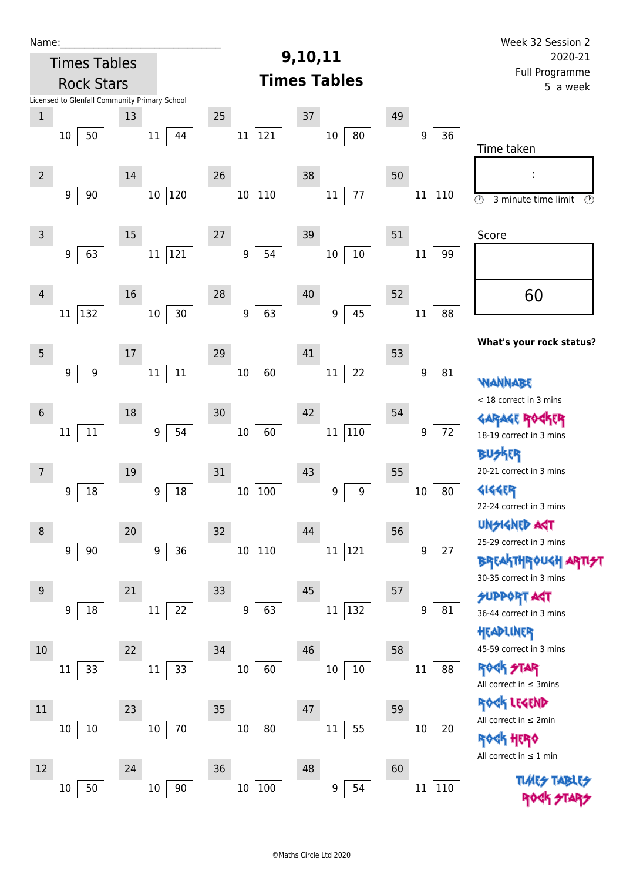| Name:          |                                               |        |                  |                        |                         |    |               | Week 32 Session 2                                      |
|----------------|-----------------------------------------------|--------|------------------|------------------------|-------------------------|----|---------------|--------------------------------------------------------|
|                | <b>Times Tables</b>                           |        |                  |                        | 9,10,11                 |    |               | 2020-21                                                |
|                | <b>Rock Stars</b>                             |        |                  |                        | <b>Times Tables</b>     |    |               | Full Programme<br>5 a week                             |
|                | Licensed to Glenfall Community Primary School |        |                  |                        |                         |    |               |                                                        |
| $\mathbf 1$    |                                               | 13     |                  | 25                     | 37                      | 49 |               |                                                        |
|                | 50<br>$10\,$                                  |        | 11<br>44         | 121<br>11              | 80<br>$10\,$            |    | 36<br>9       |                                                        |
|                |                                               |        |                  |                        |                         |    |               | Time taken                                             |
| $\overline{2}$ |                                               | $14\,$ |                  | 26                     | 38                      | 50 |               |                                                        |
|                | 90<br>9                                       |        | 120<br>$10\,$    | $110\,$<br>$10\,$      | $77\,$<br>$11\,$        |    | 110<br>11     |                                                        |
|                |                                               |        |                  |                        |                         |    |               | $\circledcirc$<br>3 minute time limit<br>$\circled{r}$ |
| $\mathsf{3}$   |                                               | 15     |                  | 27                     | 39                      | 51 |               | Score                                                  |
|                | 63<br>9                                       |        | 121<br>$11\,$    | 54<br>9                | $10\,$<br>$10\,$        |    | 99<br>$11\,$  |                                                        |
|                |                                               |        |                  |                        |                         |    |               |                                                        |
|                |                                               |        |                  |                        |                         |    |               |                                                        |
| $\overline{4}$ |                                               | 16     |                  | 28                     | 40                      | 52 |               | 60                                                     |
|                | 132<br>11                                     |        | $30$<br>$10\,$   | 63<br>$\boldsymbol{9}$ | 45<br>$\boldsymbol{9}$  |    | 88<br>$11\,$  |                                                        |
|                |                                               |        |                  |                        |                         |    |               | What's your rock status?                               |
| 5              |                                               | 17     |                  | 29                     | 41                      | 53 |               |                                                        |
|                | 9<br>$\boldsymbol{9}$                         |        | $11\,$<br>$11\,$ | 60<br>10               | 22<br>$11\,$            |    | 9<br>81       | WANNABE                                                |
|                |                                               |        |                  |                        |                         |    |               | < 18 correct in 3 mins                                 |
| $6\phantom{.}$ |                                               | 18     |                  | 30                     | 42                      | 54 |               | <b>GARAGE ROC</b>                                      |
|                | $11\,$<br>$11\,$                              |        | 54<br>9          | 60<br>$10\,$           | $ 110\rangle$<br>$11\,$ |    | 72<br>9       | 18-19 correct in 3 mins                                |
|                |                                               |        |                  |                        |                         |    |               | BUSKER                                                 |
| 7              |                                               | 19     |                  | 31                     | 43                      | 55 |               | 20-21 correct in 3 mins                                |
|                | 18<br>9                                       |        | 18<br>9          | 100<br>10              | 9<br>$\boldsymbol{9}$   |    | 80<br>$10\,$  | <b>4144EP</b>                                          |
|                |                                               |        |                  |                        |                         |    |               | 22-24 correct in 3 mins                                |
| 8              |                                               | 20     |                  | 32                     | 44                      | 56 |               | <b>UNSIGNED AST</b>                                    |
|                | 9<br>90                                       |        | 36<br>9          | $110\,$<br>10          | 121<br>$11\,$           |    | 9<br>27       | 25-29 correct in 3 mins                                |
|                |                                               |        |                  |                        |                         |    |               | <b>BREAKTHROUGH</b>                                    |
| $9\,$          |                                               | 21     |                  |                        | 45                      |    |               | 30-35 correct in 3 mins                                |
|                |                                               |        |                  | 33                     |                         | 57 |               | <b>SUPPORT AGT</b>                                     |
|                | 18<br>9                                       |        | 22<br>11         | 63<br>$\boldsymbol{9}$ | 132<br>$11\,$           |    | 81<br>9       | 36-44 correct in 3 mins                                |
|                |                                               |        |                  |                        |                         |    |               | HEADLINER                                              |
| 10             |                                               | 22     |                  | 34                     | 46                      | 58 |               | 45-59 correct in 3 mins                                |
|                | 33<br>11                                      |        | 33<br>$11\,$     | 10<br>60               | $10\,$<br>10            |    | 11<br>88      | <b>ROCK STAR</b>                                       |
|                |                                               |        |                  |                        |                         |    |               | All correct in $\leq$ 3mins                            |
| 11             |                                               | 23     |                  | 35                     | 47                      | 59 |               | ROCK LEGEND<br>All correct in $\leq 2$ min             |
|                | 10<br>10                                      |        | 70<br>$10\,$     | $80\,$<br>10           | 55<br>11                |    | $10\,$<br>20  | <b><k b="" her0<=""></k></b>                           |
|                |                                               |        |                  |                        |                         |    |               | All correct in $\leq 1$ min                            |
| 12             |                                               | 24     |                  | 36                     | 48                      | 60 |               |                                                        |
|                | 50<br>$10\,$                                  |        | $90\,$<br>$10\,$ | $10\,$<br>100          | 54<br>9                 |    | 110<br>$11\,$ | <b>TLARS</b>                                           |
|                |                                               |        |                  |                        |                         |    |               |                                                        |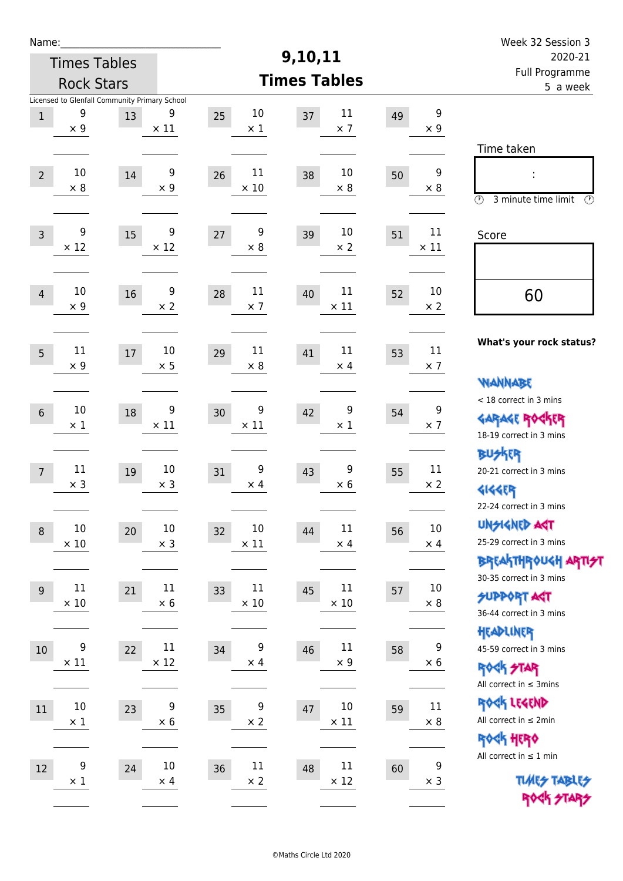| Name:          |                                                                  |    |                       |                                      | 9,10,11                     |    |                                | Week 32 Session 3<br>2020-21                                                                |
|----------------|------------------------------------------------------------------|----|-----------------------|--------------------------------------|-----------------------------|----|--------------------------------|---------------------------------------------------------------------------------------------|
|                | <b>Times Tables</b><br><b>Rock Stars</b>                         |    |                       |                                      | <b>Times Tables</b>         |    |                                | Full Programme<br>5 a week                                                                  |
| $\,1$          | Licensed to Glenfall Community Primary School<br>9<br>$\times$ 9 | 13 | 9<br>$\times$ 11      | 10<br>25<br>$\times$ 1               | 11<br>37<br>$\times$ 7      | 49 | 9<br>$\times$ 9                |                                                                                             |
| $\overline{2}$ | 10<br>$\times$ 8                                                 | 14 | 9<br>$\times 9$       | 11<br>26<br>$\times$ 10              | 10<br>38<br>$\times 8$      | 50 | 9<br>$\times 8$                | Time taken<br>İ,<br>$\circled{r}$<br>3 minute time limit<br>⊕                               |
| $\overline{3}$ | 9<br>$\times$ 12                                                 | 15 | 9<br>$\times$ 12      | 9<br>27<br>$\times 8$                | 10<br>39<br>$\times$ 2      | 51 | $11\,$<br>$\times$ 11          | Score                                                                                       |
| $\overline{4}$ | 10<br>$\times$ 9                                                 | 16 | 9<br>$\times 2$       | 11<br>28<br>$\times$ 7               | 11<br>40<br>$\times$ 11     | 52 | 10<br>$\times 2$               | 60                                                                                          |
| 5              | 11<br>$\times$ 9                                                 | 17 | 10<br>$\times$ 5      | 11<br>29<br>$\times 8$               | 11<br>41<br>$\times$ 4      | 53 | 11<br>$\times$ 7               | What's your rock status?                                                                    |
| $\sqrt{6}$     | $10\,$<br>$\times$ 1                                             | 18 | 9<br>$\times$ 11      | 9<br>30<br>$\times$ 11               | 9<br>42<br>$\times$ 1       | 54 | 9<br>$\times$ 7                | <b>NANNABE</b><br>< 18 correct in 3 mins<br><b>GARAGE ROCKER</b><br>18-19 correct in 3 mins |
| $\overline{7}$ | 11<br>$\times$ 3                                                 | 19 | $10\,$<br>$\times$ 3  | 9<br>31<br>$\times$ 4                | 9<br>43<br>$\times 6$       | 55 | 11<br>$\times$ 2               | <b>BUSKRR</b><br>20-21 correct in 3 mins<br><b>4144EP</b><br>22-24 correct in 3 mins        |
| $\,8\,$        | $10\,$<br>$\times$ 10                                            | 20 | $10\,$<br>$\times$ 3  | 10<br>32<br>$\times$ 11              | 11<br>44<br>$\times$ 4      | 56 | $10\,$<br>$\times$ 4           | <b>UNSIGNED AGT</b><br>25-29 correct in 3 mins<br><b>BREAKTHROUGH ARTI<del>S</del>T</b>     |
| 9              | $11\,$<br>$\times$ 10                                            | 21 | 11<br>$\times$ 6      | 11<br>33<br>$\times$ 10              | 11<br>45<br>$\times$ 10     | 57 | 10<br>$\times$ 8               | 30-35 correct in 3 mins<br><b>SUPPORT AGT</b><br>36-44 correct in 3 mins                    |
| 10             | $\boldsymbol{9}$<br>$\times$ 11                                  | 22 | $11\,$<br>$\times$ 12 | $\boldsymbol{9}$<br>34<br>$\times$ 4 | $11\,$<br>46<br>$\times 9$  | 58 | $\boldsymbol{9}$<br>$\times 6$ | HEADLINER<br>45-59 correct in 3 mins<br><b>ROCK STAR</b><br>All correct in $\leq$ 3mins     |
| 11             | $10\,$<br>$\times$ 1                                             | 23 | 9<br>$\times$ 6       | 9<br>35<br>$\times$ 2                | $10\,$<br>47<br>$\times$ 11 | 59 | 11<br>$\times$ 8               | ROCK LEGEND<br>All correct in $\leq 2$ min<br>ROCK HERO                                     |
| 12             | 9<br>$\times$ 1                                                  | 24 | $10\,$<br>$\times$ 4  | $11\,$<br>36<br>$\times$ 2           | $11\,$<br>48<br>$\times$ 12 | 60 | 9<br>$\times$ 3                | All correct in $\leq 1$ min<br><b>TUARS TABLES</b><br>ROCK STARS                            |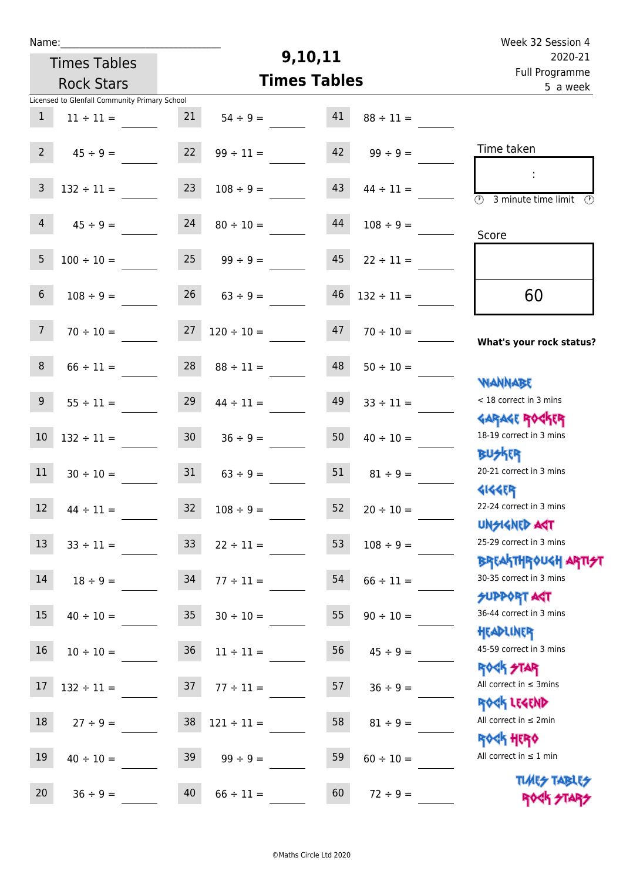| Week 32 Session 4                                           |                 |                     |                                |                 |                                               | Name:            |  |  |  |
|-------------------------------------------------------------|-----------------|---------------------|--------------------------------|-----------------|-----------------------------------------------|------------------|--|--|--|
| 2020-21                                                     |                 |                     | 9,10,11<br><b>Times Tables</b> |                 |                                               |                  |  |  |  |
| Full Programme<br>5 a week                                  |                 | <b>Times Tables</b> | <b>Rock Stars</b>              |                 |                                               |                  |  |  |  |
|                                                             |                 |                     |                                |                 | Licensed to Glenfall Community Primary School |                  |  |  |  |
|                                                             | $88 \div 11 =$  | 41                  | $54 \div 9 =$                  | 21              | $11 \div 11 =$                                | $\mathbf{1}$     |  |  |  |
| Time taken                                                  | $99 \div 9 =$   | 42                  | $99 \div 11 =$                 | 22              | $45 \div 9 =$                                 | $2^{\circ}$      |  |  |  |
| (1)<br>3 minute time limit<br>⊙                             | $44 \div 11 =$  | 43                  | $108 \div 9 =$                 | 23              | $132 \div 11 =$                               | $\overline{3}$   |  |  |  |
| Score                                                       | $108 \div 9 =$  | 44                  | $80 \div 10 =$                 | 24              | $45 \div 9 =$                                 | $\overline{4}$   |  |  |  |
|                                                             | $22 \div 11 =$  | 45                  | $99 \div 9 =$                  | 25              | $100 \div 10 =$                               | 5                |  |  |  |
| 60                                                          | $132 \div 11 =$ | 46                  | $63 ÷ 9 =$                     | 26              | $108 \div 9 =$                                | $\,$ 6 $\,$      |  |  |  |
| What's your rock status?                                    | $70 \div 10 =$  | 47                  | $120 \div 10 =$                | 27              | $70 \div 10 =$                                | 7 <sup>7</sup>   |  |  |  |
|                                                             | $50 \div 10 =$  | 48                  | $88 \div 11 =$                 | 28              | $66 \div 11 =$                                | $8\phantom{1}$   |  |  |  |
| <b>JARNARY</b><br>< 18 correct in 3 mins                    | $33 \div 11 =$  | 49                  | $44 \div 11 =$                 | 29              | $55 \div 11 =$                                | $\boldsymbol{9}$ |  |  |  |
| <b>GARAGE ROGKER</b><br>18-19 correct in 3 mins             | $40 \div 10 =$  | 50                  | $36 \div 9 =$                  | 30 <sub>o</sub> | $132 \div 11 =$                               | $10\,$           |  |  |  |
| <b>BUSKER</b><br>20-21 correct in 3 mins                    | $81 \div 9 =$   | 51                  | $63 \div 9 =$                  | 31              | $30 \div 10 =$                                | 11               |  |  |  |
| <b>4144EP</b><br>22-24 correct in 3 mins                    | $20 \div 10 =$  | 52                  | $32 \t 108 \div 9 =$           |                 | $44 \div 11 =$                                | 12               |  |  |  |
| <b>UNSIGNED AGT</b><br>25-29 correct in 3 mins              | $108 \div 9 =$  | 53                  | $22 \div 11 =$                 | 33 <sup>°</sup> | $33 \div 11 =$                                | 13               |  |  |  |
| ΒΡΓΑΚΤΗΡΟUGH ΑΡΤΙ <del>2</del> Τ<br>30-35 correct in 3 mins | $66 \div 11 =$  | 54                  | $77 \div 11 =$                 | 34              | $18 \div 9 =$                                 | 14               |  |  |  |
| <b>SUPPORT AGT</b><br>36-44 correct in 3 mins               | $90 \div 10 =$  | 55                  | $30 \div 10 =$                 | 35 <sub>2</sub> | $40 \div 10 =$                                | 15               |  |  |  |
| HEADLINER<br>45-59 correct in 3 mins                        | $45 \div 9 =$   | 56                  | $11 \div 11 =$                 | 36              | $10 \div 10 =$                                | 16               |  |  |  |
| <b>ROCK STAR</b><br>All correct in $\leq$ 3mins             | $36 \div 9 =$   | 57                  | $77 \div 11 =$                 | 37              | $132 \div 11 =$                               | $17$             |  |  |  |
| ROCK LEGEND<br>All correct in $\leq 2$ min                  | $81 \div 9 =$   | 58                  | $121 \div 11 =$                | 38              | $27 ÷ 9 =$                                    | $18\,$           |  |  |  |
| <b>ROCK HERO</b><br>All correct in $\leq 1$ min             | $60 \div 10 =$  | 59                  | $99 \div 9 =$                  | 39              | $40 \div 10 =$                                | 19               |  |  |  |
| <b>TUARS TABLES</b><br>ROCK STARS                           | $72 \div 9 =$   | 60                  | $66 \div 11 =$                 | 40              | $36 ÷ 9 =$                                    | 20               |  |  |  |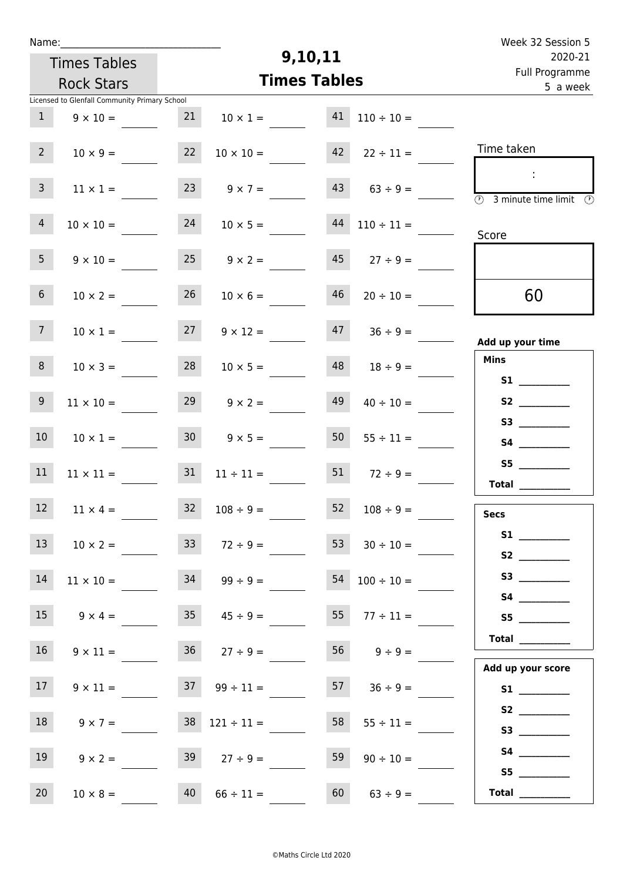| Week 32 Session 5                                                            |                                 |                     |                          |                   |                                               | Name:            |
|------------------------------------------------------------------------------|---------------------------------|---------------------|--------------------------|-------------------|-----------------------------------------------|------------------|
| 2020-21<br>Full Programme                                                    |                                 | 9,10,11             |                          |                   | <b>Times Tables</b>                           |                  |
| 5 a week                                                                     |                                 | <b>Times Tables</b> |                          | <b>Rock Stars</b> |                                               |                  |
|                                                                              |                                 |                     |                          |                   | Licensed to Glenfall Community Primary School |                  |
|                                                                              | $110 \div 10 =$                 | 41                  | $10 \times 1 =$          | 21                | $9 \times 10 =$                               | 1                |
| Time taken                                                                   | $42 \t22 \div 11 =$             |                     | $10 \times 10 =$         | 22                | $10 \times 9 =$                               | $2 \overline{ }$ |
| $\sim$<br>$\overline{\textcircled{2}}$ 3 minute time limit $\textcircled{2}$ | $9 \times 7 =$ 43 $63 \div 9 =$ |                     |                          | 23                | $11 \times 1 =$                               | 3 <sup>7</sup>   |
| Score                                                                        | $44$ $110 \div 11 =$            |                     | $10 \times 5 =$          | 24                | $10 \times 10 =$                              | $\overline{4}$   |
|                                                                              | $45$ $27 \div 9 =$              |                     | $9 \times 2 =$           | 25                | $9 \times 10 =$                               | 5 <sub>1</sub>   |
| 60                                                                           | $20 \div 10 =$                  | 46                  | $10 \times 6 =$          | 26                | $10 \times 2 =$                               | 6 <sup>1</sup>   |
| Add up your time                                                             | $47 \t36 \div 9 =$              |                     | $9 \times 12 =$          | 27                | $10 \times 1 =$                               | 7 <sup>7</sup>   |
| <b>Mins</b><br>S1                                                            | $18 \div 9 =$                   | 48                  | $10 \times 5 =$          | 28                | $10 \times 3 =$                               | 8                |
|                                                                              | $40 \div 10 =$                  | 49                  | $9 \times 2 =$           | 29                | $11 \times 10 =$                              | 9 <sup>°</sup>   |
|                                                                              | $55 \div 11 =$                  | 50                  | $9 \times 5 =$           | 30 <sup>1</sup>   | $10 \times 1 =$                               | 10 <sup>°</sup>  |
| S5<br>Total $\qquad$                                                         | $72 \div 9 =$                   | 51                  | $11 \div 11 =$           | 31                | $11 \times 11 =$                              | 11               |
| <b>Secs</b>                                                                  | $108 \div 9 =$                  | 52                  | $108 \div 9 =$           | 32                | $11 \times 4 =$                               | $12$             |
|                                                                              | $30 \div 10 =$                  | 53                  | $72 \div 9 =$            | 33                | $10 \times 2 =$                               | 13               |
|                                                                              | $100 \div 10 =$                 | 54                  | $99 \div 9 =$            | 34                | $11 \times 10 =$                              | 14               |
| S5                                                                           | $55 \t 77 \div 11 =$            |                     | $35 \t 45 \div 9 =$      |                   | $9 \times 4 =$                                | 15 <sub>1</sub>  |
| Total<br>Add up your score                                                   | $56$ $9 \div 9 =$               |                     | $27 \div 9 =$            | 36                | $9 \times 11 =$                               | 16 <sup>1</sup>  |
|                                                                              | $57 \t 36 \div 9 =$             |                     | $37 \t 99 \div 11 =$     |                   | $9 \times 11 =$                               | 17 <sub>1</sub>  |
| S3                                                                           | $55 \div 11 =$                  | 58                  | $38 \quad 121 \div 11 =$ |                   | $9 \times 7 =$                                | 18               |
|                                                                              | $90 \div 10 =$                  | 59                  | $27 \div 9 =$            | 39                | $9 \times 2 =$                                | 19               |
| Total $\qquad$                                                               | $63 \div 9 =$                   | 60                  | $66 \div 11 =$           | 40                | $10 \times 8 =$                               | 20               |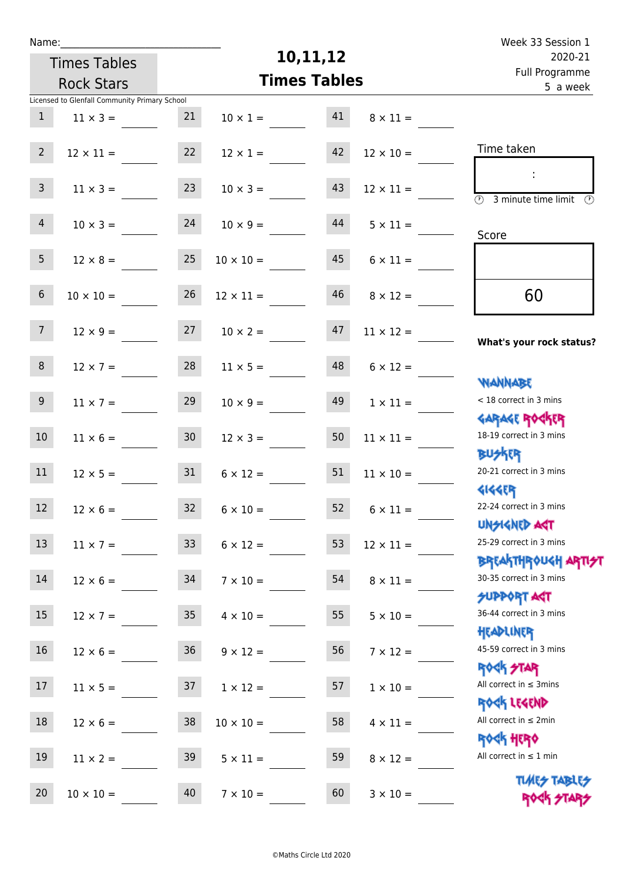| Week 33 Session 1                                                |                  |          |                     |                     |                                               | Name:            |
|------------------------------------------------------------------|------------------|----------|---------------------|---------------------|-----------------------------------------------|------------------|
| 2020-21                                                          |                  | 10,11,12 |                     | <b>Times Tables</b> |                                               |                  |
| Full Programme<br>5 a week                                       |                  |          | <b>Times Tables</b> |                     | <b>Rock Stars</b>                             |                  |
|                                                                  |                  |          |                     |                     | Licensed to Glenfall Community Primary School |                  |
|                                                                  | $8 \times 11 =$  | 41       | $10 \times 1 =$     | 21                  | $11 \times 3 =$                               | 1                |
| Time taken                                                       | $12 \times 10 =$ | 42       | $12 \times 1 =$     | 22                  | $12 \times 11 =$                              | $2^{\circ}$      |
| $\overline{\circledcirc}$ 3 minute time limit $\circledcirc$     | $12 \times 11 =$ | 43       | $10 \times 3 =$     | 23                  | $11 \times 3 =$                               | 3 <sup>7</sup>   |
| Score                                                            | $5 \times 11 =$  | 44       | $10 \times 9 =$     | 24                  | $10 \times 3 =$                               | 4 <sup>1</sup>   |
|                                                                  | $6 \times 11 =$  | 45       | $10 \times 10 =$    | 25                  | $12 \times 8 =$                               | 5 <sub>1</sub>   |
| 60                                                               | $8 \times 12 =$  | 46       | $12 \times 11 =$    | 26                  | $10 \times 10 =$                              | 6 <sup>1</sup>   |
| What's your rock status?                                         | $11 \times 12 =$ | 47       | $10 \times 2 =$     | 27                  | $12 \times 9 =$                               | 7 <sup>7</sup>   |
| <b>NANNABE</b>                                                   | $6 \times 12 =$  | 48       | $11 \times 5 =$     | 28                  | $12 \times 7 =$                               | 8                |
| < 18 correct in 3 mins<br><b>GARAGE ROCKER</b>                   | $1 \times 11 =$  | 49       | $10 \times 9 =$     | 29                  | $11 \times 7 =$                               | 9 <sub>o</sub>   |
| 18-19 correct in 3 mins<br><b>BUSKRR</b>                         | $11 \times 11 =$ | 50       | $12 \times 3 =$     | 30 <sub>2</sub>     | $11 \times 6 =$                               | 10 <sup>°</sup>  |
| 20-21 correct in 3 mins<br><b>4144EP</b>                         | $11 \times 10 =$ | 51       | $6 \times 12 =$     | 31                  | $12 \times 5 =$                               | 11               |
| 22-24 correct in 3 mins<br><b>UNSIGNED AGT</b>                   | $6 \times 11 =$  | 52       | $6 \times 10 =$     | 32                  | $12 \times 6 =$                               | 12 <sup>12</sup> |
| 25-29 correct in 3 mins<br><b>BREAKTHROUGH ARTI<del>S</del>T</b> | $12 \times 11 =$ | 53       | $6 \times 12 =$     | 33 <sup>°</sup>     | $11 \times 7 =$                               | 13               |
| 30-35 correct in 3 mins<br><b>SUPPORT AGT</b>                    | $8 \times 11 =$  | 54       | $7 \times 10 =$     | 34                  | $12 \times 6 =$                               | 14               |
| 36-44 correct in 3 mins<br>HEADLINER                             | $5 \times 10 =$  | 55       | $4 \times 10 =$     | 35 <sub>1</sub>     | $12 \times 7 =$                               | 15               |
| 45-59 correct in 3 mins<br><b>ROCK STAR</b>                      | $7 \times 12 =$  | 56       | $9 \times 12 =$     | 36 <sup>°</sup>     | $12 \times 6 =$                               | 16               |
| All correct in $\leq$ 3mins<br>ROCK LEGEND                       | $1 \times 10 =$  | 57       | $1 \times 12 =$     | 37                  | $11 \times 5 =$                               | 17               |
| All correct in $\leq 2$ min<br><b>ROCK HERO</b>                  | $4 \times 11 =$  | 58       | $10 \times 10 =$    | 38                  | $12 \times 6 =$                               | 18               |
| All correct in $\leq 1$ min<br><b>TUARS TABLES</b>               | $8 \times 12 =$  | 59       | $5 \times 11 =$     | 39                  | $11 \times 2 =$                               | 19               |
| ROCK STARS                                                       | $3 \times 10 =$  | 60       | $7 \times 10 =$     | 40                  | $10 \times 10 =$                              | 20               |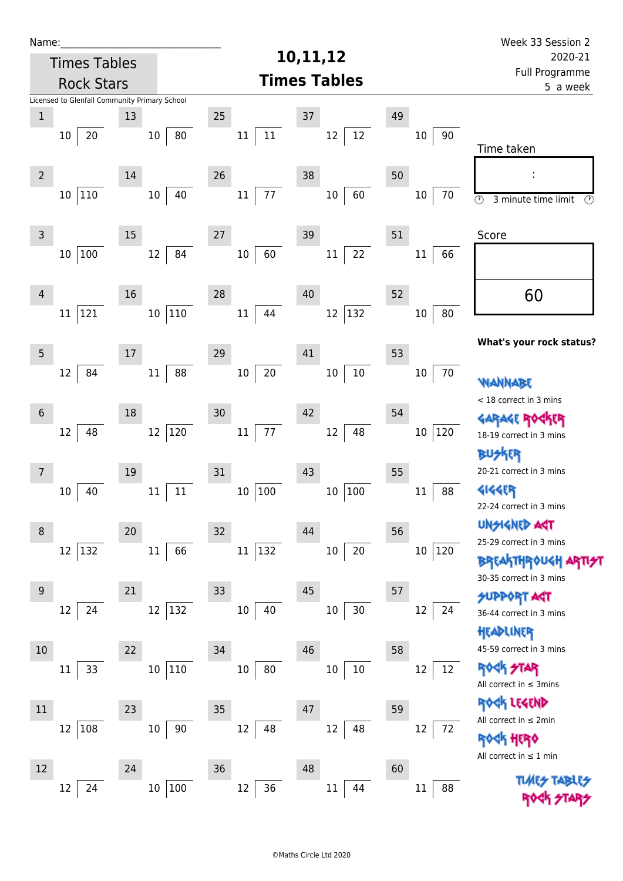| Name:          |                                               |        |                        |                  |                     |        | Week 33 Session 2                                                |  |
|----------------|-----------------------------------------------|--------|------------------------|------------------|---------------------|--------|------------------------------------------------------------------|--|
|                | <b>Times Tables</b>                           |        |                        | 10,11,12         | 2020-21             |        |                                                                  |  |
|                | <b>Rock Stars</b>                             |        |                        |                  | <b>Times Tables</b> |        | Full Programme<br>5 a week                                       |  |
|                | Licensed to Glenfall Community Primary School |        |                        |                  |                     |        |                                                                  |  |
| $\mathbf 1$    |                                               | 13     |                        | 25               | $37\,$              | 49     |                                                                  |  |
|                | 20<br>10                                      |        | 80<br>10               | 11<br>11         | 12<br>12            | 10     | 90                                                               |  |
|                |                                               |        |                        |                  |                     |        | Time taken                                                       |  |
| $\overline{2}$ |                                               | 14     |                        | 26               | 38                  | 50     |                                                                  |  |
|                | 110<br>10 <sup>1</sup>                        |        | 40<br>10               | 77<br>11         | 60<br>$10\,$        | $10\,$ | 70<br>$\overline{\circ}$<br>3 minute time limit<br>$\circled{r}$ |  |
|                |                                               |        |                        |                  |                     |        |                                                                  |  |
| $\mathsf 3$    |                                               | 15     |                        | 27               | 39                  | 51     | Score                                                            |  |
|                | 100<br>$10\,$                                 |        | 84<br>12               | 60<br>$10\,$     | 22<br>$11\,$        | 11     | 66                                                               |  |
|                |                                               |        |                        |                  |                     |        |                                                                  |  |
|                |                                               |        |                        |                  |                     |        |                                                                  |  |
| 4              |                                               | 16     |                        | 28               | 40                  | 52     | 60                                                               |  |
|                | 121<br>11                                     |        | 110<br>10 <sup>°</sup> | 44<br>11         | $ 132\rangle$<br>12 | 10     | 80                                                               |  |
|                |                                               |        |                        |                  |                     |        | What's your rock status?                                         |  |
| 5              |                                               | $17\,$ |                        | 29               | 41                  | 53     |                                                                  |  |
|                | 84<br>12                                      |        | 88<br>$11\,$           | $20\,$<br>$10\,$ | $10\,$<br>$10\,$    | 10     | 70<br>WANNABE                                                    |  |
|                |                                               |        |                        |                  |                     |        | < 18 correct in 3 mins                                           |  |
| $6\phantom{1}$ |                                               | 18     |                        | 30               | 42                  | 54     | <b>GARAGE ROG</b>                                                |  |
|                | 48<br>12                                      |        | $120\,$<br>12          | $77\,$<br>$11\,$ | 48<br>$12\,$        | 10     | 120<br>18-19 correct in 3 mins                                   |  |
|                |                                               |        |                        |                  |                     |        | BUSKER                                                           |  |
| 7              |                                               | 19     |                        | 31               | 43                  | 55     | 20-21 correct in 3 mins                                          |  |
|                | 40<br>10                                      |        | 11<br>$11\,$           | 10<br>100        | 100<br>$10\,$       | 11     | <b>4144EP</b><br>88                                              |  |
|                |                                               |        |                        |                  |                     |        | 22-24 correct in 3 mins                                          |  |
| 8              |                                               | 20     |                        | 32               | 44                  | 56     | <b>UNGIGNED AST</b>                                              |  |
|                | 132<br>12                                     |        | $11\,$<br>66           | 132<br>11        | $10\,$<br>$20\,$    | $10\,$ | 25-29 correct in 3 mins<br> 120                                  |  |
|                |                                               |        |                        |                  |                     |        | <b>BREAKTHROUGH ARTI<del>S</del>T</b>                            |  |
|                |                                               |        |                        |                  |                     |        | 30-35 correct in 3 mins                                          |  |
| 9              |                                               | 21     |                        | 33               | 45                  | 57     | <b>SUPPORT AST</b>                                               |  |
|                | 24<br>12                                      |        | 12<br>132              | 10<br>40         | 30<br>$10\,$        | 12     | 24<br>36-44 correct in 3 mins                                    |  |
|                |                                               |        |                        |                  |                     |        | HEADLINER                                                        |  |
| 10             |                                               | 22     |                        | 34               | 46                  | 58     | 45-59 correct in 3 mins                                          |  |
|                | 33<br>11                                      |        | 110<br>$10\,$          | $10\,$<br>80     | $10\,$<br>10        | 12     | <b>ROCK STAR</b><br>12                                           |  |
|                |                                               |        |                        |                  |                     |        | All correct in $\leq$ 3mins                                      |  |
| 11             |                                               | 23     |                        | 35               | 47                  | 59     | ROCK LEGEND<br>All correct in $\leq 2$ min                       |  |
|                | 108<br>12                                     |        | 10<br>90               | 12<br>48         | 12<br>48            | 12     | 72<br><b><h b="" her0<=""></h></b>                               |  |
|                |                                               |        |                        |                  |                     |        | All correct in $\leq 1$ min                                      |  |
| 12             |                                               | 24     |                        | 36               | 48                  | 60     |                                                                  |  |
|                | 24<br>12                                      |        | 100<br>$10\,$          | 12<br>36         | $11\,$<br>44        | $11\,$ | 88                                                               |  |
|                |                                               |        |                        |                  |                     |        |                                                                  |  |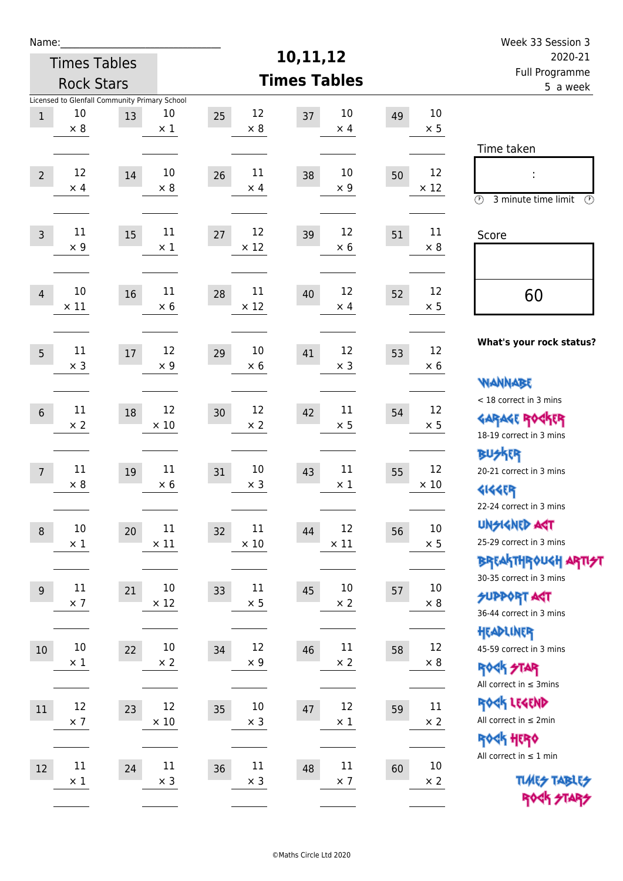| Week 33 Session 3                                                                                                 |                      |    |                            |                            |                       |                                                     |                      | Name:           |  |  |
|-------------------------------------------------------------------------------------------------------------------|----------------------|----|----------------------------|----------------------------|-----------------------|-----------------------------------------------------|----------------------|-----------------|--|--|
| 2020-21                                                                                                           |                      |    | 10,11,12                   | <b>Times Tables</b>        |                       |                                                     |                      |                 |  |  |
| Full Programme<br>5 a week                                                                                        |                      |    | <b>Times Tables</b>        |                            |                       | <b>Rock Stars</b>                                   |                      |                 |  |  |
|                                                                                                                   | $10\,$<br>$\times$ 5 | 49 | 10<br>37<br>$\times$ 4     | 12<br>25<br>$\times 8$     | 10<br>$\times$ 1      | Licensed to Glenfall Community Primary School<br>13 | 10<br>$\times$ 8     | $\,1$           |  |  |
| Time taken                                                                                                        |                      |    |                            |                            |                       |                                                     |                      |                 |  |  |
| İ,<br>$\circled{r}$<br>3 minute time limit<br>⊕                                                                   | 12<br>$\times$ 12    | 50 | 10<br>38<br>$\times$ 9     | 11<br>26<br>$\times$ 4     | 10<br>$\times$ 8      | 14                                                  | 12<br>$\times$ 4     | $\overline{2}$  |  |  |
| Score                                                                                                             | 11<br>$\times 8$     | 51 | 12<br>39<br>$\times 6$     | 12<br>27<br>$\times$ 12    | $11\,$<br>$\times$ 1  | 15                                                  | 11<br>$\times$ 9     | $\overline{3}$  |  |  |
| 60                                                                                                                | 12<br>$\times$ 5     | 52 | 12<br>40<br>$\times$ 4     | 11<br>28<br>$\times$ 12    | 11<br>$\times$ 6      | 16                                                  | 10<br>$\times$ 11    | $\overline{4}$  |  |  |
| What's your rock status?                                                                                          | 12<br>$\times 6$     | 53 | 12<br>41<br>$\times$ 3     | 10<br>29<br>$\times 6$     | 12<br>$\times$ 9      | 17                                                  | 11<br>$\times$ 3     | 5               |  |  |
| <b>NANNABE</b><br>< 18 correct in 3 mins<br><b>GARAGE ROCKER</b>                                                  | 12<br>$\times$ 5     | 54 | 11<br>42<br>$\times$ 5     | 12<br>30<br>$\times 2$     | 12<br>$\times$ 10     | 18                                                  | 11<br>$\times 2$     | $\sqrt{6}$      |  |  |
| 18-19 correct in 3 mins<br><b>BUSKRR</b><br>20-21 correct in 3 mins<br><b>4144EP</b>                              | 12<br>$\times$ 10    | 55 | 11<br>43<br>$\times$ 1     | 10<br>31<br>$\times$ 3     | 11<br>$\times$ 6      | 19                                                  | 11<br>$\times 8$     | $7\overline{ }$ |  |  |
| 22-24 correct in 3 mins<br><b>UNSIGNED AGT</b><br>25-29 correct in 3 mins                                         | $10\,$<br>$\times$ 5 | 56 | 12<br>44<br>$\times$ 11    | 11<br>32<br>$\times$ 10    | 11<br>$\times$ 11     | 20                                                  | $10\,$<br>$\times$ 1 | $\, 8$          |  |  |
| <b>BREAKTHROUGH ARTI<del>S</del>T</b><br>30-35 correct in 3 mins<br><b>SUPPORT AGT</b><br>36-44 correct in 3 mins | 10<br>$\times 8$     | 57 | 10<br>45<br>$\times 2$     | 11<br>33<br>$\times$ 5     | $10\,$<br>$\times$ 12 | 21                                                  | $11\,$<br>$\times$ 7 | 9               |  |  |
| HEADLINER<br>45-59 correct in 3 mins<br><b>ROCK STAR</b><br>All correct in $\leq$ 3mins                           | 12<br>$\times$ 8     | 58 | $11\,$<br>46<br>$\times 2$ | 12<br>34<br>$\times$ 9     | $10\,$<br>$\times 2$  | 22                                                  | $10\,$<br>$\times$ 1 | $10\,$          |  |  |
| ROCK LEGEND<br>All correct in $\leq 2$ min<br>ROCK HERO                                                           | 11<br>$\times$ 2     | 59 | 12<br>47<br>$\times$ 1     | 10<br>35<br>$\times$ 3     | 12<br>$\times$ 10     | 23                                                  | 12<br>$\times$ 7     | 11              |  |  |
| All correct in $\leq 1$ min<br><b>TUARS TABLES</b><br>ROCK STARS                                                  | $10\,$<br>$\times$ 2 | 60 | $11\,$<br>48<br>$\times$ 7 | $11\,$<br>36<br>$\times$ 3 | $11\,$<br>$\times$ 3  | 24                                                  | $11\,$<br>$\times$ 1 | 12              |  |  |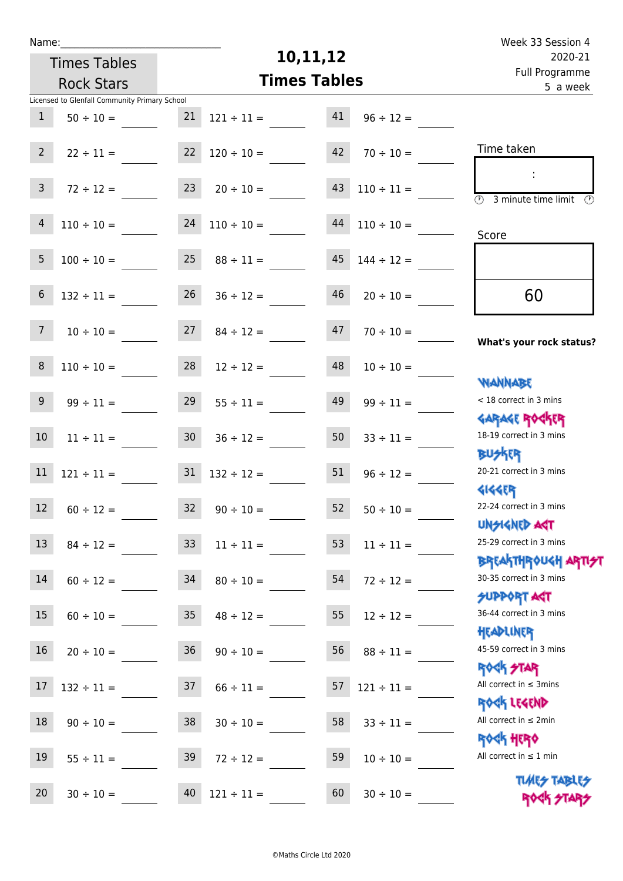|  | vam | L |  |
|--|-----|---|--|
|  |     |   |  |

Times Tables

# **10,11,12**

|                  | <b>Rock Stars</b>                                               |                 | <b>Times Tables</b> |                       | i uli rivyialillile.<br>5 a week                            |
|------------------|-----------------------------------------------------------------|-----------------|---------------------|-----------------------|-------------------------------------------------------------|
| $\mathbf{1}$     | Licensed to Glenfall Community Primary School<br>$50 \div 10 =$ | 21              | $121 \div 11 =$     | 41<br>$96 \div 12 =$  |                                                             |
| $2^{\circ}$      | $22 \div 11 =$                                                  | 22              | $120 \div 10 =$     | 42<br>$70 \div 10 =$  | Time taken                                                  |
| 3 <sup>7</sup>   | $72 \div 12 =$                                                  | 23              | $20 \div 10 =$      | 43<br>$110 \div 11 =$ | $\overline{(\mathcal{V})}$<br>3 minute time limit<br>⊙      |
| 4                | $110 \div 10 =$                                                 | 24              | $110 \div 10 =$     | 44<br>$110 \div 10 =$ | Score                                                       |
| 5                | $100 \div 10 =$                                                 | 25              | $88 \div 11 =$      | 45<br>$144 \div 12 =$ |                                                             |
| $\boldsymbol{6}$ | $132 \div 11 =$                                                 | 26              | $36 \div 12 =$      | 46<br>$20 \div 10 =$  | 60                                                          |
| 7 <sup>7</sup>   | $10 \div 10 =$                                                  | 27              | $84 \div 12 =$      | 47<br>$70 \div 10 =$  | What's your rock status?                                    |
| $\,8\,$          | $110 \div 10 =$                                                 | 28              | $12 \div 12 =$      | 48<br>$10 \div 10 =$  | <b>NANNABE</b>                                              |
| 9                | $99 \div 11 =$                                                  | 29              | $55 \div 11 =$      | 49<br>$99 \div 11 =$  | < 18 correct in 3 mins                                      |
| 10               | $11 \div 11 =$                                                  | 30 <sup>°</sup> | $36 \div 12 =$      | 50<br>$33 \div 11 =$  | <b>GARAGE ROGKER</b><br>18-19 correct in 3 mins             |
| $11\,$           | $121 \div 11 =$                                                 | 31              | $132 \div 12 =$     | 51<br>$96 \div 12 =$  | <b>BUSKRR</b><br>20-21 correct in 3 mins                    |
| 12               | $60 \div 12 =$                                                  | 32              | $90 \div 10 =$      | 52<br>$50 \div 10 =$  | <b>4144EP</b><br>22-24 correct in 3 mins                    |
|                  | $13 \t 84 \div 12 =$                                            |                 | $33 \t11 \div 11 =$ | $53 \t11 \div 11 =$   | <b>TPA GJIAPICIU</b><br>25-29 correct in 3 mins             |
| $14\,$           | $60 \div 12 =$                                                  | 34              | $80 \div 10 =$      | 54<br>$72 \div 12 =$  | BREAKTHRÓUGH ARTI <del>S</del> T<br>30-35 correct in 3 mins |
| 15               | $60 \div 10 =$                                                  | 35              | $48 \div 12 =$      | 55<br>$12 \div 12 =$  | <b>SUPPORT AGT</b><br>36-44 correct in 3 mins               |
| 16               | $20 \div 10 =$                                                  | 36              | $90 \div 10 =$      | 56<br>$88 \div 11 =$  | HEADLINER<br>45-59 correct in 3 mins                        |
| 17               | $132 \div 11 =$                                                 | 37              | $66 \div 11 =$      | 57<br>$121 \div 11 =$ | ROCK STAR<br>All correct in $\leq$ 3mins                    |
| 18               | $90 \div 10 =$                                                  | 38              | $30 \div 10 =$      | 58<br>$33 \div 11 =$  | ROCK LEGEND<br>All correct in $\leq 2$ min                  |
| 19               | $55 \div 11 =$                                                  | 39              | $72 \div 12 =$      | 59<br>$10 \div 10 =$  | ROCK HERO<br>All correct in $\leq 1$ min                    |
| 20               | $30 \div 10 =$                                                  | 40              | $121 \div 11 =$     | 60<br>$30 \div 10 =$  | <b>TUARS TABLES</b><br>ROCK STARS                           |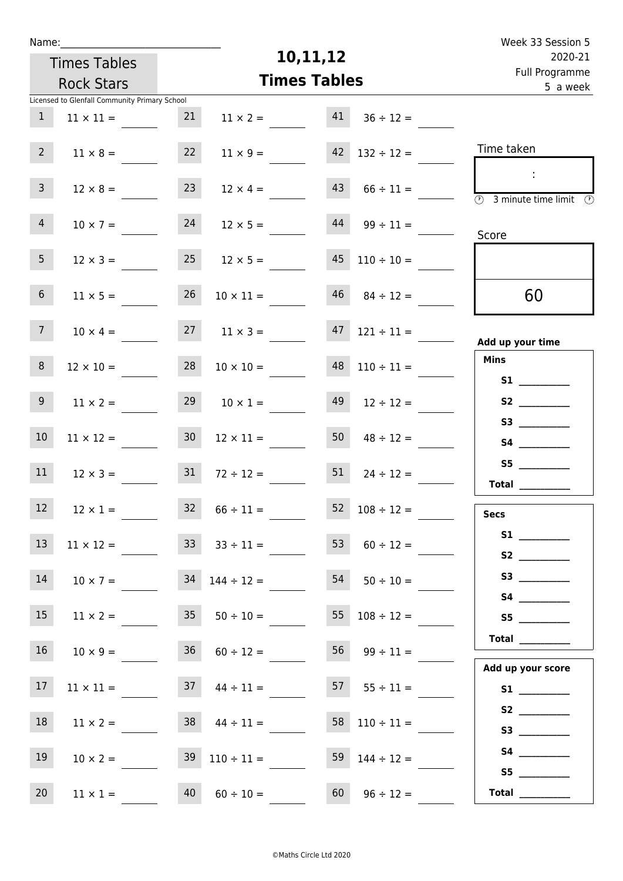| Week 33 Session 5                                                                                 |                          |                     |                                   |                     |                                               | Name:           |
|---------------------------------------------------------------------------------------------------|--------------------------|---------------------|-----------------------------------|---------------------|-----------------------------------------------|-----------------|
| 2020-21                                                                                           |                          | 10,11,12            |                                   | <b>Times Tables</b> |                                               |                 |
| Full Programme<br>5 a week                                                                        |                          | <b>Times Tables</b> |                                   | <b>Rock Stars</b>   |                                               |                 |
|                                                                                                   |                          |                     |                                   |                     | Licensed to Glenfall Community Primary School |                 |
|                                                                                                   | $36 \div 12 =$           | 41                  | $11 \times 2 =$                   | 21                  | $11 \times 11 =$                              | 1               |
| Time taken                                                                                        | $132 \div 12 =$          | 42                  | $11 \times 9 =$                   | 22                  | $11 \times 8 =$                               | 2 <sup>7</sup>  |
| $\mathcal{L}_{\mathcal{C}}$<br>$\overline{\textcircled{1}}$ 3 minute time limit $\textcircled{1}$ | $66 \div 11 =$           | 43                  | $12 \times 4 =$                   | 23                  | $12 \times 8 =$                               | 3 <sup>7</sup>  |
| Score                                                                                             | $44 \t 99 \div 11 =$     |                     | $12 \times 5 =$                   | 24                  | $10 \times 7 =$                               | $\overline{4}$  |
|                                                                                                   | $45$ $110 \div 10 =$     |                     | $12 \times 5 =$                   | 25                  | $12 \times 3 =$                               | 5 <sub>1</sub>  |
| 60                                                                                                | $46$ $84 \div 12 =$      |                     | $10 \times 11 =$                  | 26                  | $11 \times 5 =$                               | 6 <sup>1</sup>  |
| Add up your time                                                                                  | $47$ $121 \div 11 =$     |                     | $27 \t 11 \times 3 =$             |                     | $10 \times 4 =$                               | 7 <sup>7</sup>  |
| <b>Mins</b><br>S1                                                                                 | $110 \div 11 =$          | 48                  | $10 \times 10 =$                  | 28                  | $12 \times 10 =$                              | 8               |
| S2                                                                                                | $12 \div 12 =$           | 49                  | $10 \times 1 =$                   | 29                  | $11 \times 2 =$                               | 9 <sup>°</sup>  |
|                                                                                                   | $48 \div 12 =$           | 50                  | $12 \times 11 =$                  | 30 <sub>o</sub>     | $11 \times 12 =$                              | 10 <sup>°</sup> |
| S5<br>Total $\frac{1}{1}$                                                                         | $51 \t 24 \div 12 =$     |                     | $72 \div 12 =$                    | 31                  | $12 \times 3 =$                               | 11              |
| <b>Secs</b>                                                                                       | $52 \t108 \div 12 =$     |                     | $32 \t 66 \div 11 =$              |                     | $12 \times 1 =$                               | 12              |
| S2                                                                                                | $60 \div 12 =$           | 53                  | $33 \t33 \div 11 =$               |                     | $11 \times 12 =$                              | 13              |
|                                                                                                   | $54 \t 50 \div 10 =$     |                     | $34$ $144 \div 12 =$              |                     | $10 \times 7 =$                               | 14              |
| S5                                                                                                | $55 \t108 \div 12 =$     |                     | $11 \times 2 = 35$ $50 \div 10 =$ |                     |                                               | 15              |
| Total<br>Add up your score                                                                        | $56 \t 99 \div 11 =$     |                     | $36 \t 60 \div 12 =$              |                     | $10 \times 9 =$                               | 16 <sup>1</sup> |
|                                                                                                   | $57 \t 55 \div 11 =$     |                     | $37 \t 44 \div 11 =$              |                     | $11 \times 11 =$                              | 17 <sub>2</sub> |
| S3                                                                                                | $58 \quad 110 \div 11 =$ |                     | $38 \t 44 \div 11 =$              |                     | $11 \times 2 =$                               | 18              |
| S5                                                                                                | 59 $144 \div 12 =$       |                     | $39 \quad 110 \div 11 =$          |                     | $10 \times 2 =$                               | 19              |
| Total $\_\_$                                                                                      | $96 \div 12 =$           | 60                  | $60 \div 10 =$                    | 40                  | $11 \times 1 =$                               | 20              |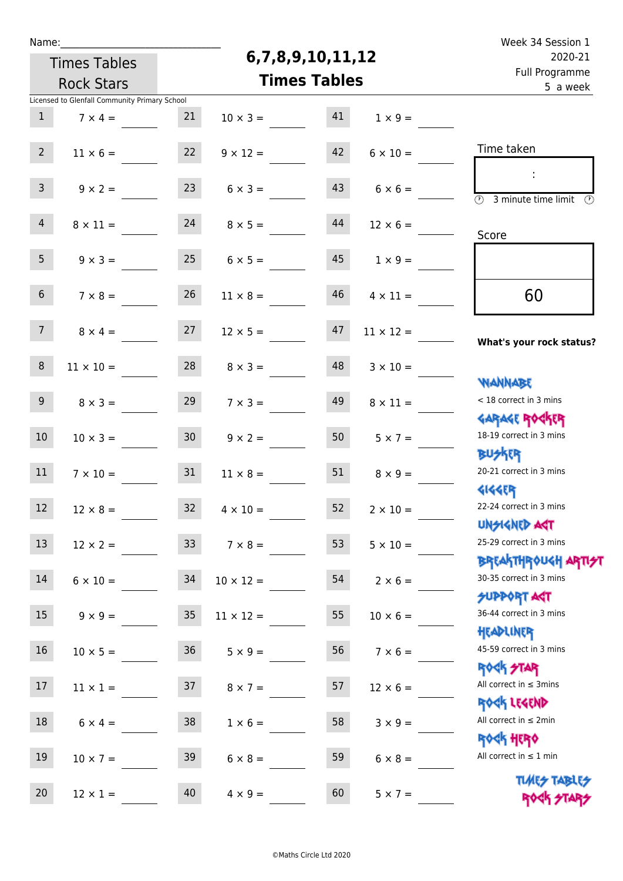| Week 34 Session 1                                                |                  |                     |                       |                     |                                               | Name:           |  |  |
|------------------------------------------------------------------|------------------|---------------------|-----------------------|---------------------|-----------------------------------------------|-----------------|--|--|
| 2020-21                                                          |                  | 6,7,8,9,10,11,12    |                       | <b>Times Tables</b> |                                               |                 |  |  |
| Full Programme<br>5 a week                                       |                  | <b>Times Tables</b> |                       | <b>Rock Stars</b>   |                                               |                 |  |  |
|                                                                  |                  |                     |                       |                     | Licensed to Glenfall Community Primary School |                 |  |  |
|                                                                  | $1 \times 9 =$   | 41                  | $10 \times 3 =$       | 21                  | $7 \times 4 =$                                | $\mathbf{1}$    |  |  |
| Time taken                                                       | $6 \times 10 =$  | 42                  | $9 \times 12 =$       | 22                  | $11 \times 6 =$                               | $2^{\circ}$     |  |  |
| $\overline{(\mathcal{V})}$<br>3 minute time limit<br>$\odot$     | $6 \times 6 =$   | 43                  | $6 \times 3 =$        | 23                  | $9 \times 2 =$                                | $\mathbf{3}$    |  |  |
| Score                                                            | $12 \times 6 =$  | 44                  | $8 \times 5 =$        | 24                  | $8 \times 11 =$                               | $\overline{4}$  |  |  |
|                                                                  | $1 \times 9 =$   | 45                  | $6 \times 5 =$        | 25                  | $9 \times 3 =$                                | 5 <sub>1</sub>  |  |  |
| 60                                                               | $4 \times 11 =$  | 46                  | $11 \times 8 =$       | 26                  | $7 \times 8 =$                                | $6\overline{6}$ |  |  |
| What's your rock status?                                         | $11 \times 12 =$ | 47                  | $12 \times 5 =$       | 27                  | $8 \times 4 =$                                | 7 <sup>7</sup>  |  |  |
| <b>NANNABE</b>                                                   | $3 \times 10 =$  | 48                  | $8 \times 3 =$        | 28                  | $11 \times 10 =$                              | $\, 8$          |  |  |
| < 18 correct in 3 mins                                           | $8 \times 11 =$  | 49                  | $7 \times 3 =$        | 29                  | $8 \times 3 =$                                | 9 <sup>°</sup>  |  |  |
| <b>GARAGE ROCKER</b><br>18-19 correct in 3 mins<br><b>BUSKER</b> | $5 \times 7 =$   | 50                  | $9 \times 2 =$        | 30 <sub>o</sub>     | $10 \times 3 =$                               | 10              |  |  |
| 20-21 correct in 3 mins<br><b>4144EP</b>                         | $8 \times 9 =$   | 51                  | $11 \times 8 =$       | 31                  | $7 \times 10 =$                               | 11              |  |  |
| 22-24 correct in 3 mins<br><b>UNSIGNED AST</b>                   | $2 \times 10 =$  | 52                  | $32 \t 4 \times 10 =$ |                     | $12 \times 8 =$                               | 12 <sub>2</sub> |  |  |
| 25-29 correct in 3 mins                                          | $5 \times 10 =$  | 53                  | $7 \times 8 =$        | 33                  | $12 \times 2 =$                               | 13              |  |  |
| ΒΡΓΑΚΤΗΡΟUGH ΑΡΤΙ <del>2</del> Τ<br>30-35 correct in 3 mins      | $2 \times 6 =$   | 54                  | $10 \times 12 =$      | 34                  | $6 \times 10 =$                               | 14              |  |  |
| <b>SUPPORT AGT</b><br>36-44 correct in 3 mins                    | $10 \times 6 =$  | 55                  | $11 \times 12 =$      | 35                  | $9 \times 9 =$                                | 15              |  |  |
| HEADLINER<br>45-59 correct in 3 mins                             | $7 \times 6 =$   | 56                  | $5 \times 9 =$        | 36                  | $10 \times 5 =$                               | 16              |  |  |
| <b>ROCK STAR</b><br>All correct in $\leq$ 3mins                  | $12 \times 6 =$  | 57                  | $8 \times 7 =$        | 37                  | $11 \times 1 =$                               | 17              |  |  |
| ROCK LEGEND<br>All correct in $\leq 2$ min                       | $3 \times 9 =$   | 58                  | $1 \times 6 =$        | 38                  | $6 \times 4 =$                                | 18              |  |  |
| <b>ROCK HERO</b><br>All correct in $\leq 1$ min                  | $6 \times 8 =$   | 59                  | $6 \times 8 =$        | 39                  | $10 \times 7 =$                               | 19              |  |  |
| <b>TUARS TABLES</b>                                              | $5 \times 7 =$   | 60                  | $4 \times 9 =$        | 40                  | $12 \times 1 =$                               | 20 <sub>2</sub> |  |  |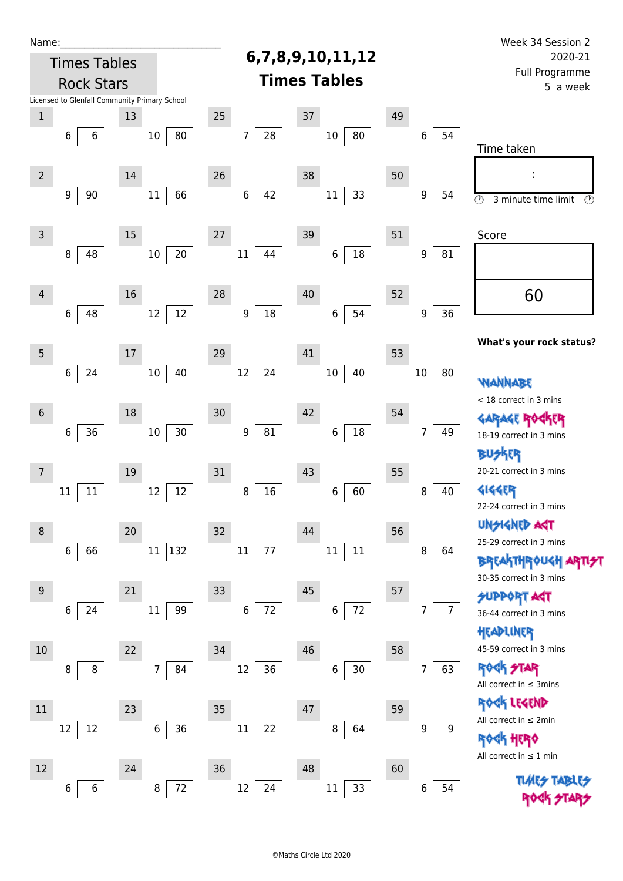| 6,7,8,9,10,11,12<br><b>Times Tables</b>                                                                                   | 2020-21                           |
|---------------------------------------------------------------------------------------------------------------------------|-----------------------------------|
|                                                                                                                           |                                   |
| <b>Times Tables</b><br><b>Rock Stars</b>                                                                                  | <b>Full Programme</b><br>5 a week |
| Licensed to Glenfall Community Primary School                                                                             |                                   |
| 25<br>37<br>49<br>13<br>$\mathbf{1}$                                                                                      |                                   |
| ${\bf 28}$<br>$80\,$<br>80<br>54<br>$10\,$<br>7<br>$10\,$<br>6<br>6<br>6                                                  |                                   |
| Time taken                                                                                                                |                                   |
| 38<br>26<br>50<br>$2 \nightharpoonup$<br>14<br>I,                                                                         |                                   |
| 42<br>66<br>33<br>9<br>90<br>$11\,$<br>$\boldsymbol{6}$<br>$11\,$<br>9<br>54<br>$\overline{\circ}$<br>3 minute time limit | $\odot$                           |
|                                                                                                                           |                                   |
| 39<br>$\mathsf{3}$<br>15<br>27<br>51<br>Score                                                                             |                                   |
| $18\,$<br>$20\,$<br>$\,6\,$<br>48<br>$10\,$<br>$11\,$<br>44<br>9<br>81<br>8                                               |                                   |
|                                                                                                                           |                                   |
| 60<br>52<br>16<br>28<br>40<br>$\overline{4}$                                                                              |                                   |
| $18\,$<br>$12\,$<br>54<br>36<br>6<br>48<br>12<br>9<br>6<br>9                                                              |                                   |
|                                                                                                                           |                                   |
| What's your rock status?                                                                                                  |                                   |
| $5\phantom{.0}$<br>29<br>41<br>17<br>53                                                                                   |                                   |
| 24<br>24<br>40<br>12<br>40<br>80<br>6<br>10<br>$10\,$<br>10<br>WANNABE                                                    |                                   |
| < 18 correct in 3 mins                                                                                                    |                                   |
| 42<br>30<br>54<br>$\sqrt{6}$<br>18<br>GARAGE ROGKER                                                                       |                                   |
| $30\,$<br>$18\,$<br>36<br>$81\,$<br>$10\,$<br>$\boldsymbol{9}$<br>6<br>6<br>7<br>49<br>18-19 correct in 3 mins            |                                   |
| 怀明                                                                                                                        |                                   |
| 20-21 correct in 3 mins<br>31<br>43<br>55<br>19<br>7                                                                      |                                   |
| $16\,$<br><b>4144ER</b><br>60<br>$12\,$<br>40<br>$11\,$<br>12<br>8<br>6<br>$\bf 8$<br>11                                  |                                   |
| 22-24 correct in 3 mins                                                                                                   |                                   |
| <b>UNSIGNED AGT</b><br>44<br>56<br>8<br>20<br>32<br>25-29 correct in 3 mins                                               |                                   |
| 132<br>66<br>$11\,$<br>$11\,$<br>77<br>$11\,$<br>$11\,$<br>$\bf 8$<br>6<br>64                                             |                                   |
| <b>BREAKTHROUGH ARTI<del>S</del>T</b><br>30-35 correct in 3 mins                                                          |                                   |
| 57<br>$9\,$<br>21<br>45<br>33<br><b>SUPPORT ART</b>                                                                       |                                   |
| $\bf 6$<br>72<br>$72\,$<br>99<br>6<br>6<br>24<br>$11\,$<br>7<br>36-44 correct in 3 mins                                   |                                   |
| HEADLINER                                                                                                                 |                                   |
| 45-59 correct in 3 mins<br>34<br>46<br>$10$<br>22<br>58                                                                   |                                   |
| <b>ROCK STAR</b><br>$12\,$<br>$\overline{7}$<br>84<br>36<br>$30\,$<br>63<br>6<br>8<br>7<br>8                              |                                   |
| All correct in $\leq$ 3mins                                                                                               |                                   |
| ROCK LEGEND<br>35<br>47<br>23<br>59<br>11                                                                                 |                                   |
| All correct in $\leq 2$ min<br>36<br>$12\,$<br>$\,$ 6 $\,$<br>$11\,$<br>64<br>22<br>8<br>9<br>12<br>9                     |                                   |
| <b>ROCK HERO</b>                                                                                                          |                                   |
| All correct in $\leq 1$ min<br>48<br>12<br>24<br>36<br>60                                                                 |                                   |
| <b>TLARS</b><br>$72\,$<br>$12\,$<br>8<br>24<br>$11\,$<br>33<br>54<br>6<br>6                                               |                                   |
| 6                                                                                                                         |                                   |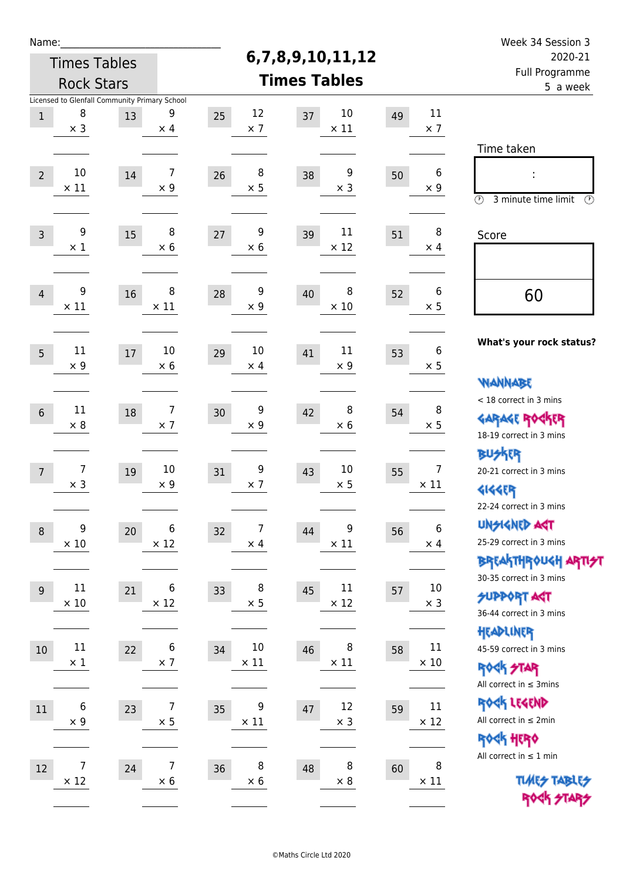| Week 34 Session 3<br>2020-21                                                                |                               |    |                       |    |                              |    | Name:                        |                                                     |                   |                |  |
|---------------------------------------------------------------------------------------------|-------------------------------|----|-----------------------|----|------------------------------|----|------------------------------|-----------------------------------------------------|-------------------|----------------|--|
| Full Programme                                                                              |                               |    | 6,7,8,9,10,11,12      |    | <b>Times Tables</b>          |    |                              |                                                     |                   |                |  |
| 5 a week                                                                                    |                               |    | <b>Times Tables</b>   |    |                              |    | <b>Rock Stars</b>            |                                                     |                   |                |  |
|                                                                                             | 11<br>$\times$ 7              | 49 | 10<br>$\times$ 11     | 37 | 12<br>$\times$ 7             | 25 | 9<br>$\times$ 4              | Licensed to Glenfall Community Primary School<br>13 | 8<br>$\times$ 3   | $1\,$          |  |
| Time taken                                                                                  |                               |    |                       |    |                              |    |                              |                                                     |                   |                |  |
| t<br>$\circled{r}$<br>3 minute time limit<br>⊕                                              | 6<br>$\times 9$               | 50 | 9<br>$\times$ 3       | 38 | 8<br>$\times$ 5              | 26 | $\overline{7}$<br>$\times$ 9 | 14                                                  | 10<br>$\times$ 11 | $\overline{2}$ |  |
| Score                                                                                       | 8<br>$\times$ 4               | 51 | 11<br>$\times$ 12     | 39 | 9<br>$\times 6$              | 27 | 8<br>$\times$ 6              | 15                                                  | 9<br>$\times$ 1   | $\mathsf{3}$   |  |
| 60                                                                                          | 6<br>$\times$ 5               | 52 | 8<br>$\times$ 10      | 40 | 9<br>$\times$ 9              | 28 | 8<br>$\times$ 11             | 16                                                  | 9<br>$\times$ 11  | $\overline{4}$ |  |
| What's your rock status?                                                                    | 6<br>$\times$ 5               | 53 | 11<br>$\times$ 9      | 41 | 10<br>$\times$ 4             | 29 | 10<br>$\times$ 6             | 17                                                  | 11<br>$\times$ 9  | 5              |  |
| <b>WANNABE</b><br>< 18 correct in 3 mins<br><b>GARAGE ROCKER</b><br>18-19 correct in 3 mins | 8<br>$\times$ 5               | 54 | 8<br>$\times 6$       | 42 | 9<br>$\times$ 9              | 30 | $\overline{7}$<br>$\times$ 7 | 18                                                  | 11<br>$\times 8$  | $6\,$          |  |
| BUSKER<br>20-21 correct in 3 mins<br><b>4144EP</b><br>22-24 correct in 3 mins               | $\overline{7}$<br>$\times$ 11 | 55 | 10<br>$\times$ 5      | 43 | 9<br>$\times$ 7              | 31 | 10<br>$\times 9$             | 19                                                  | 7<br>$\times$ 3   | $\overline{7}$ |  |
| <b>UNGIGNED AGT</b><br>25-29 correct in 3 mins<br><b>BREAKTHROUGH ARTI<del>S</del>T</b>     | $\,$ 6 $\,$<br>$\times$ 4     | 56 | 9<br>$\times$ 11      | 44 | $\overline{7}$<br>$\times$ 4 | 32 | 6<br>$\times$ 12             | 20                                                  | 9<br>$\times$ 10  | $\,8\,$        |  |
| 30-35 correct in 3 mins<br><b>SUPPORT AGT</b><br>36-44 correct in 3 mins                    | $10\,$<br>$\times$ 3          | 57 | $11\,$<br>$\times$ 12 | 45 | 8<br>$\times$ 5              | 33 | 6<br>$\times$ 12             | 21                                                  | 11<br>$\times$ 10 | 9              |  |
| HEADLINER<br>45-59 correct in 3 mins<br><b>ROCK STAR</b><br>All correct in $\leq$ 3mins     | 11<br>$\times$ 10             | 58 | 8<br>$\times$ 11      | 46 | $10\,$<br>$\times$ 11        | 34 | $\,6\,$<br>$\times$ 7        | 22                                                  | 11<br>$\times$ 1  | $10$           |  |
| ROCK LEGEND<br>All correct in $\leq 2$ min<br><b>ROCK HERO</b>                              | 11<br>$\times$ 12             | 59 | 12<br>$\times$ 3      | 47 | 9<br>$\times$ 11             | 35 | $\overline{7}$<br>$\times$ 5 | 23                                                  | 6<br>$\times$ 9   | 11             |  |
| All correct in $\leq 1$ min<br><b>TUARS TABLES</b><br>ROCK STARS                            | 8<br>$\times$ 11              | 60 | 8<br>$\times$ 8       | 48 | 8<br>$\times$ 6              | 36 | $\overline{7}$<br>$\times$ 6 | 24                                                  | 7<br>$\times$ 12  | $12\,$         |  |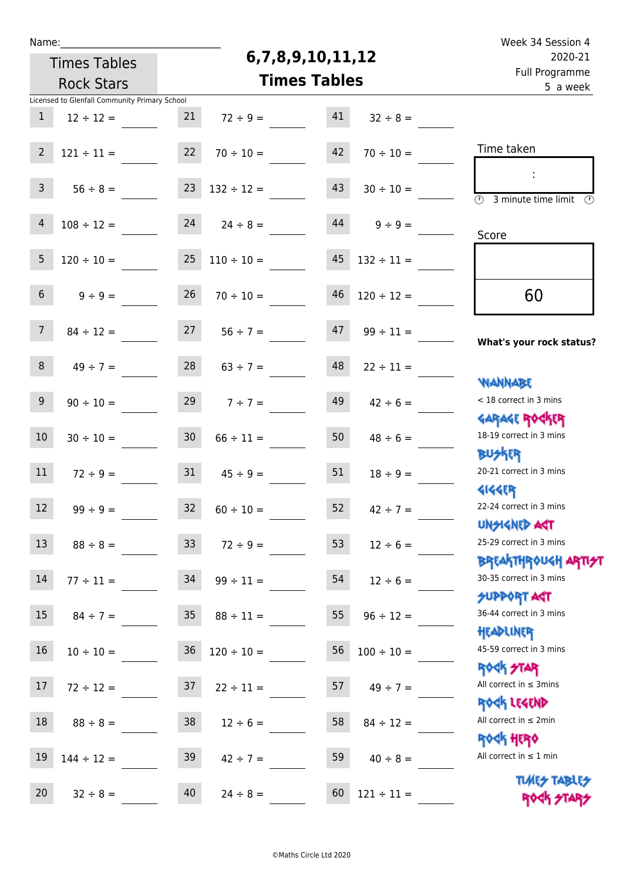|  | vam | L |  |
|--|-----|---|--|
|  |     |   |  |

# **6,7,8,9,10,11,12**

Week 34 Session 4 Full Programme 2020-21

| 2020-21                                                            |                 | 6,7,8,9,10,11,12 |                     | <b>Times Tables</b> |                 |                                               |                 |  |
|--------------------------------------------------------------------|-----------------|------------------|---------------------|---------------------|-----------------|-----------------------------------------------|-----------------|--|
| Full Programme<br>5 a week                                         |                 |                  | <b>Times Tables</b> |                     |                 | <b>Rock Stars</b>                             |                 |  |
|                                                                    |                 |                  |                     |                     |                 | Licensed to Glenfall Community Primary School |                 |  |
|                                                                    | $32 \div 8 =$   | 41               |                     | $72 \div 9 =$       | 21              | $12 \div 12 =$                                | $\mathbf{1}$    |  |
| Time taken                                                         | $70 \div 10 =$  | 42               |                     | $70 \div 10 =$      | 22              | $121 \div 11 =$                               | $\overline{2}$  |  |
| $\overline{(\mathcal{V})}$<br>3 minute time limit<br>$\mathcal{O}$ | $30 \div 10 =$  | 43               |                     | $132 \div 12 =$     | 23              | $56 \div 8 =$                                 | $\mathbf{3}$    |  |
| Score                                                              | $9 \div 9 =$    | 44               |                     | $24 \t 24 \div 8 =$ |                 | $108 \div 12 =$                               | $\overline{4}$  |  |
|                                                                    | $132 \div 11 =$ | 45               |                     | $110 \div 10 =$     | 25              | $120 \div 10 =$                               | 5 <sub>5</sub>  |  |
| 60                                                                 | $120 \div 12 =$ | 46               |                     | $70 \div 10 =$      | 26              | $9 \div 9 =$                                  | 6 <sup>1</sup>  |  |
| What's your rock status?                                           | $99 \div 11 =$  | 47               |                     | $56 \div 7 =$       | 27              | $84 \div 12 =$                                | 7 <sup>7</sup>  |  |
| <b>NANNABE</b>                                                     | $22 \div 11 =$  | 48               |                     | $63 \div 7 =$       | 28              | $49 \div 7 =$                                 | 8               |  |
| < 18 correct in 3 mins<br><b>GARAGE ROCKER</b>                     | $42 \div 6 =$   | 49               |                     | $7 ÷ 7 =$           | 29              | $90 \div 10 =$                                | 9               |  |
| 18-19 correct in 3 mins<br><b>BUSKER</b>                           | $48 \div 6 =$   | 50               |                     | $66 \div 11 =$      | 30 <sub>o</sub> | $30 \div 10 =$                                | 10              |  |
| 20-21 correct in 3 mins<br><b>4144EP</b>                           | $18 \div 9 =$   | 51               |                     | $45 \div 9 =$       | 31              | $72 \div 9 =$                                 | 11              |  |
| 22-24 correct in 3 mins<br>UNSIGNED ACT                            | $42 \div 7 =$   | 52               |                     | $60 \div 10 =$      | 32              | $99 \div 9 =$                                 | 12              |  |
| 25-29 correct in 3 mins<br><b>BREAKTHROUGH ARTI<del>S</del>T</b>   | $12 \div 6 =$   | 53               |                     | $72 \div 9 =$       | 33 <sup>°</sup> | $88 \div 8 =$                                 | 13              |  |
| 30-35 correct in 3 mins<br><b>SUPPORT ART</b>                      | $12 \div 6 =$   | 54               |                     | $99 \div 11 =$      | 34              | $77 \div 11 =$                                | 14              |  |
| 36-44 correct in 3 mins<br>HEADLINER                               | $96 \div 12 =$  | 55               |                     | $88 \div 11 =$      | 35 <sub>2</sub> | $84 \div 7 =$                                 | 15 <sub>1</sub> |  |
| 45-59 correct in 3 mins<br><b>ROCK STAR</b>                        | $100 \div 10 =$ | 56               |                     | $120 \div 10 =$     | 36              | $10 \div 10 =$                                | 16              |  |
| All correct in $\leq$ 3mins<br>ROCK LEGEND                         | $49 \div 7 =$   | 57               |                     | $22 \div 11 =$      | 37              | $72 \div 12 =$                                | 17              |  |
| All correct in $\leq 2$ min<br><b>ROCK HERO</b>                    | $84 \div 12 =$  | 58               |                     | $12 \div 6 =$       | 38              | $88 \div 8 =$                                 | 18              |  |
| All correct in $\leq 1$ min<br><b>TUARS TABLES</b>                 | $40 \div 8 =$   | 59               |                     | $42 \div 7 =$       | 39              | $144 \div 12 =$                               | 19              |  |
| ROCK STARS                                                         | $121 \div 11 =$ | 60               | $24 \div 8 =$       |                     | 40              | $32 \div 8 =$                                 | 20              |  |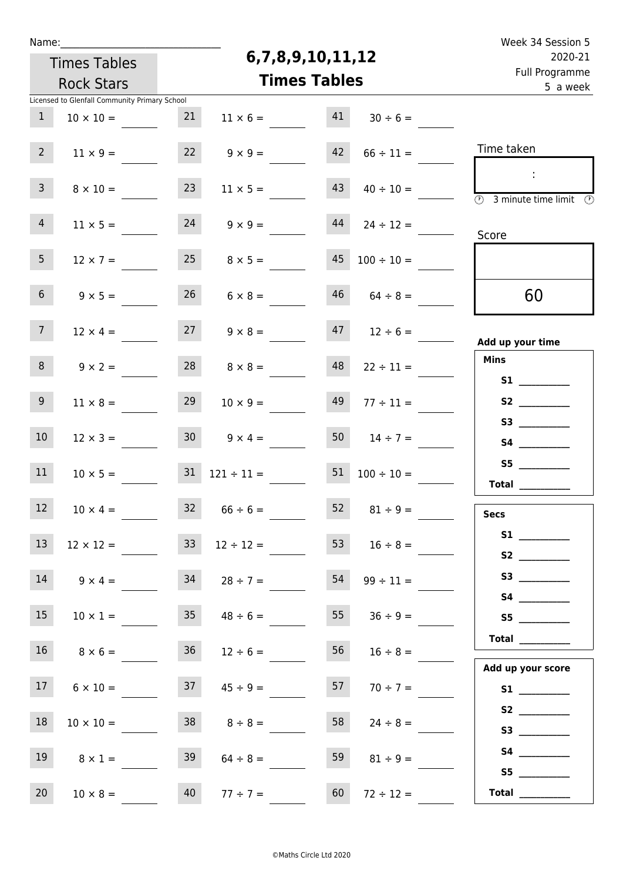| Week 34 Session 5                                                  |                  |    |                     |                     |                 |                                               | Name:           |  |  |  |  |
|--------------------------------------------------------------------|------------------|----|---------------------|---------------------|-----------------|-----------------------------------------------|-----------------|--|--|--|--|
| 2020-21                                                            |                  |    | 6,7,8,9,10,11,12    |                     |                 | <b>Times Tables</b>                           |                 |  |  |  |  |
| Full Programme<br>5 a week                                         |                  |    | <b>Times Tables</b> |                     |                 | <b>Rock Stars</b>                             |                 |  |  |  |  |
|                                                                    |                  |    |                     |                     |                 | Licensed to Glenfall Community Primary School |                 |  |  |  |  |
|                                                                    | $30 \div 6 =$    | 41 | $11 \times 6 =$     |                     | 21              | $10 \times 10 =$                              | $\mathbf{1}$    |  |  |  |  |
| Time taken                                                         | $66 \div 11 =$   | 42 | $9 \times 9 =$      |                     | 22              | $11 \times 9 =$                               | 2 <sup>7</sup>  |  |  |  |  |
| $\overline{\textcircled{2}}$ 3 minute time limit $\textcircled{2}$ | $40 \div 10 =$   | 43 | $11 \times 5 =$     |                     | 23              | $8 \times 10 =$                               | $\mathbf{3}$    |  |  |  |  |
| Score                                                              | $24 \div 12 =$   | 44 | $9 \times 9 =$      |                     | 24              | $11 \times 5 =$                               | $\overline{4}$  |  |  |  |  |
|                                                                    | $100 \div 10 =$  | 45 | $8 \times 5 =$      |                     | 25              | $12 \times 7 =$                               | 5 <sub>1</sub>  |  |  |  |  |
| 60                                                                 | $64 \div 8 =$    | 46 | $6 \times 8 =$      |                     | 26              | $9 \times 5 =$                                | 6 <sup>1</sup>  |  |  |  |  |
| Add up your time                                                   | $12 \div 6 =$    | 47 | $9 \times 8 =$      |                     | 27              | $12 \times 4 =$                               | 7 <sup>7</sup>  |  |  |  |  |
| <b>Mins</b>                                                        | $22 \div 11 =$   | 48 | $8 \times 8 =$      |                     | 28              | $9 \times 2 =$                                | 8               |  |  |  |  |
|                                                                    | $77 \div 11 =$   | 49 | $10 \times 9 =$     |                     | 29              | $11 \times 8 =$                               | 9 <sup>°</sup>  |  |  |  |  |
|                                                                    | $14 \div 7 =$    | 50 |                     | $9 \times 4 =$      | 30 <sub>o</sub> | $12 \times 3 =$                               | 10 <sup>°</sup> |  |  |  |  |
| S5<br>$\begin{tabular}{c} Total \end{tabular}$                     | $100 \div 10 =$  | 51 |                     | $121 \div 11 =$     | 31              | $10 \times 5 =$                               | 11              |  |  |  |  |
| Secs                                                               | 52 $81 \div 9 =$ |    |                     | $32 \t 66 \div 6 =$ |                 | $10 \times 4 =$                               | 12              |  |  |  |  |
| S1<br>S2                                                           | $16 \div 8 =$    | 53 | $12 \div 12 =$      |                     | 33 <sup>°</sup> | $12 \times 12 =$                              | 13              |  |  |  |  |
|                                                                    | $99 \div 11 =$   | 54 |                     | $34 \t 28 \div 7 =$ |                 | $14 \t 9 \times 4 =$                          |                 |  |  |  |  |
| S5                                                                 | $36 \div 9 =$    | 55 | $48 \div 6 =$       |                     | 35              | $10 \times 1 =$                               | 15              |  |  |  |  |
| Total<br>Add up your score                                         | $16 \div 8 =$    | 56 | $12 \div 6 =$       |                     | 36              | $8 \times 6 =$                                | 16              |  |  |  |  |
|                                                                    | $70 \div 7 =$    | 57 | $45 \div 9 =$       |                     | 37              | $6 \times 10 =$                               | 17              |  |  |  |  |
|                                                                    | $24 \div 8 =$    | 58 | $8 \div 8 =$        |                     | 38              | $10 \times 10 =$                              | 18              |  |  |  |  |
| S5                                                                 | $81 \div 9 =$    | 59 | $64 \div 8 =$       |                     | 39              | $8 \times 1 =$                                | 19              |  |  |  |  |
|                                                                    | $72 \div 12 =$   | 60 | $77 \div 7 =$       |                     | 40              | $10 \times 8 =$                               | 20 <sub>2</sub> |  |  |  |  |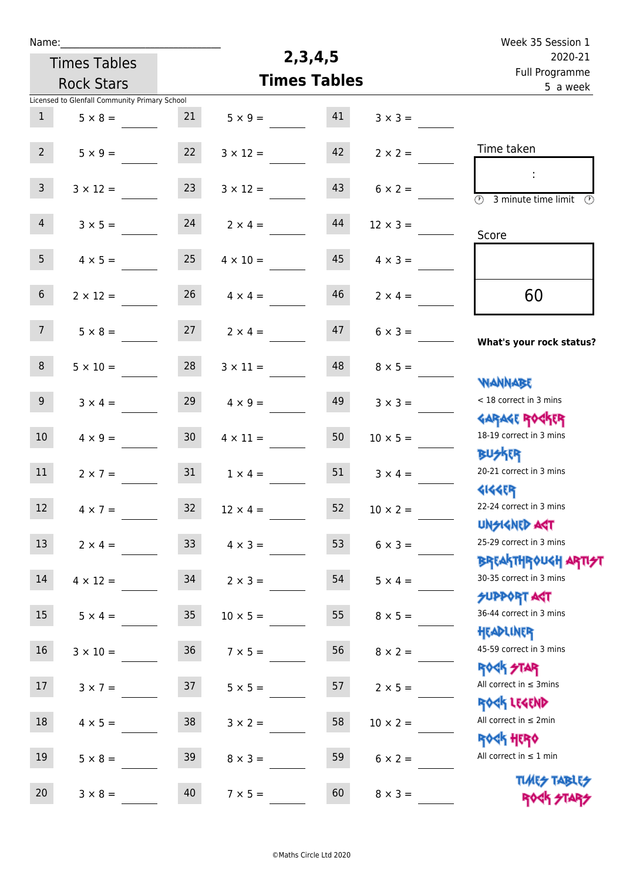| Name:            |                                               |                 |                     |                            |                 | Week 35 Session 1                                                  |
|------------------|-----------------------------------------------|-----------------|---------------------|----------------------------|-----------------|--------------------------------------------------------------------|
|                  | <b>Times Tables</b>                           |                 | 2, 3, 4, 5          | 2020-21                    |                 |                                                                    |
|                  | <b>Rock Stars</b>                             |                 | <b>Times Tables</b> | Full Programme<br>5 a week |                 |                                                                    |
|                  | Licensed to Glenfall Community Primary School |                 |                     |                            |                 |                                                                    |
| $\mathbf{1}$     | $5 \times 8 =$                                | 21              | $5 \times 9 =$      | 41                         | $3 \times 3 =$  |                                                                    |
| 2 <sup>7</sup>   | $5 \times 9 =$                                | 22              | $3 \times 12 =$     | 42                         | $2 \times 2 =$  | Time taken                                                         |
| 3 <sup>7</sup>   | $3 \times 12 =$                               | 23              | $3 \times 12 =$     | 43                         | $6 \times 2 =$  | ÷<br>$\overline{\mathcal{O}}$<br>3 minute time limit $\circled{0}$ |
| $\overline{4}$   | $3 \times 5 =$                                | 24              | $2 \times 4 =$      | 44                         | $12 \times 3 =$ | Score                                                              |
| 5 <sub>1</sub>   | $4 \times 5 =$                                | 25              | $4 \times 10 =$     | 45                         | $4 \times 3 =$  |                                                                    |
| 6 <sup>1</sup>   | $2 \times 12 =$                               | 26              | $4 \times 4 =$      | 46                         | $2 \times 4 =$  | 60                                                                 |
| 7 <sup>7</sup>   | $5 \times 8 =$                                | 27              | $2 \times 4 =$      | 47                         | $6 \times 3 =$  | What's your rock status?                                           |
| 8 <sup>°</sup>   | $5 \times 10 =$                               | 28              | $3 \times 11 =$     | 48                         | $8 \times 5 =$  | <b>NANNABE</b>                                                     |
| 9 <sub>o</sub>   | $3 \times 4 =$                                | 29              | $4 \times 9 =$      | 49                         | $3 \times 3 =$  | < 18 correct in 3 mins<br><b>GARAGE ROCKER</b>                     |
| 10 <sup>°</sup>  | $4 \times 9 =$                                | 30 <sub>2</sub> | $4 \times 11 =$     | 50                         | $10 \times 5 =$ | 18-19 correct in 3 mins<br><b>BUSKRR</b>                           |
| 11               | $2 \times 7 =$                                | 31              | $1 \times 4 =$      | 51                         | $3 \times 4 =$  | 20-21 correct in 3 mins<br><b>4144EP</b>                           |
| 12 <sup>12</sup> | $4 \times 7 =$                                | 32              | $12 \times 4 =$     | 52                         | $10 \times 2 =$ | 22-24 correct in 3 mins<br><b>UNSIGNED AGT</b>                     |
| 13               | $2 \times 4 =$                                | 33 <sup>°</sup> | $4 \times 3 =$      | 53                         | $6 \times 3 =$  | 25-29 correct in 3 mins<br><b>BREAKTHROUGH ARTI<del>S</del>T</b>   |
| 14               | $4 \times 12 =$                               | 34              | $2 \times 3 =$      | 54                         | $5 \times 4 =$  | 30-35 correct in 3 mins<br><b>SUPPORT AGT</b>                      |
| 15               | $5 \times 4 =$                                | 35 <sub>1</sub> | $10 \times 5 =$     | 55                         | $8 \times 5 =$  | 36-44 correct in 3 mins<br>HEADLINER                               |
| 16               | $3 \times 10 =$                               | 36              | $7 \times 5 =$      | 56                         | $8 \times 2 =$  | 45-59 correct in 3 mins<br>ROCK STAR                               |
| 17               | $3 \times 7 =$                                | 37              | $5 \times 5 =$      | 57                         | $2 \times 5 =$  | All correct in $\leq$ 3mins<br>ROCK LEGEND                         |
| 18               | $4 \times 5 =$                                | 38              | $3 \times 2 =$      | 58                         | $10 \times 2 =$ | All correct in $\leq 2$ min<br>ROCK HERO                           |
| 19               | $5 \times 8 =$                                | 39              | $8 \times 3 =$      | 59                         | $6 \times 2 =$  | All correct in $\leq 1$ min<br><b>TUARS TABLES</b>                 |
| 20               | $3 \times 8 =$                                | 40              | $7 \times 5 =$      | 60                         | $8 \times 3 =$  | ROCK STARS                                                         |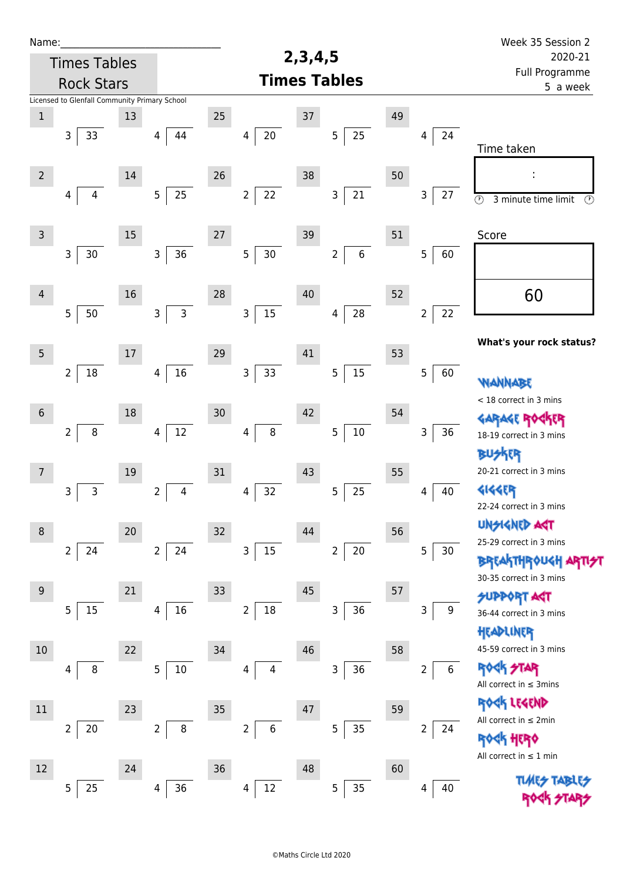| Week 35 Session 2                                                                      |                         |    |                                  |                     |                          |    |                      |    |                                               | Name:          |
|----------------------------------------------------------------------------------------|-------------------------|----|----------------------------------|---------------------|--------------------------|----|----------------------|----|-----------------------------------------------|----------------|
| 2020-21                                                                                |                         |    |                                  | 2, 3, 4, 5          |                          |    |                      |    | <b>Times Tables</b>                           |                |
| Full Programme<br>5 a week                                                             |                         |    |                                  | <b>Times Tables</b> |                          |    |                      |    | <b>Rock Stars</b>                             |                |
|                                                                                        |                         |    |                                  |                     |                          |    |                      |    | Licensed to Glenfall Community Primary School |                |
| Time taken                                                                             | 24<br>4                 | 49 | 25<br>$\sqrt{5}$                 | 37                  | $20\,$<br>4              | 25 | 44<br>4              | 13 | 3<br>33                                       | $\mathbf 1$    |
| $\overline{\odot}$<br>3 minute time limit<br>$\odot$                                   | 27<br>3                 | 50 | $21\,$<br>3                      | 38                  | $22\,$<br>$\overline{2}$ | 26 | 25<br>5              | 14 | 4<br>4                                        | $\overline{2}$ |
| Score                                                                                  | 5<br>60                 | 51 | $6\phantom{a}$<br>$\overline{2}$ | 39                  | 30<br>$\overline{5}$     | 27 | 36<br>$\mathsf{3}$   | 15 | $30\,$<br>3                                   | $\mathsf{3}$   |
| 60                                                                                     | 22<br>2                 | 52 | 28<br>4                          | 40                  | 15<br>$\mathsf 3$        | 28 | $\overline{3}$<br>3  | 16 | 5<br>50                                       | $\overline{4}$ |
| What's your rock status?                                                               |                         | 53 |                                  | 41                  |                          | 29 |                      | 17 |                                               | 5              |
| <b>WANNABE</b><br>< 18 correct in 3 mins                                               | 5<br>60                 | 54 | $15\,$<br>$\overline{5}$         | 42                  | 33<br>$\mathsf 3$        | 30 | 16<br>$\overline{4}$ | 18 | $18\,$<br>$\overline{2}$                      | $\sqrt{6}$     |
| <b>GARAGE ROGKER</b><br>18-19 correct in 3 mins<br><b>BUSKER</b>                       | 36<br>3                 |    | $10\,$<br>5                      |                     | $\bf 8$<br>4             |    | $12\,$<br>4          |    | $\overline{2}$<br>$\, 8$                      |                |
| 20-21 correct in 3 mins<br>4144EP<br>22-24 correct in 3 mins                           | 40<br>4                 | 55 | 25<br>5                          | 43                  | 32<br>4                  | 31 | 2<br>4               | 19 | 3<br>3                                        | 7              |
| <b>UNSIGNED AGT</b><br>25-29 correct in 3 mins                                         | 5<br>30                 | 56 | $\overline{2}$<br>$20\,$         | 44                  | 15<br>$\mathsf 3$        | 32 | $\overline{2}$<br>24 | 20 | 24<br>$\overline{2}$                          | 8              |
| <b>BREAKTHROUGH ARTI<del>S</del>T</b><br>30-35 correct in 3 mins<br><b>SUPPORT AGT</b> |                         | 57 |                                  | 45                  |                          | 33 |                      | 21 |                                               | 9              |
| 36-44 correct in 3 mins<br>HEADLINER<br>45-59 correct in 3 mins                        | 3<br>9                  | 58 | 36<br>3                          | 46                  | $18\,$<br>$\overline{2}$ | 34 | 16<br>4              | 22 | 5<br>15                                       | $10$           |
| <b>ROCK STAR</b><br>All correct in $\leq$ 3mins                                        | $6\,$<br>$\overline{2}$ |    | 36<br>3                          |                     | 4<br>4                   |    | 5<br>10              |    | 8<br>4                                        |                |
| ROCK LEGEND<br>All correct in $\leq 2$ min<br><b><k b="" her0<=""></k></b>             | 2<br>24                 | 59 | 35<br>5                          | 47                  | 6<br>$\overline{2}$      | 35 | $\overline{2}$<br>8  | 23 | $\overline{2}$<br>$20\,$                      | 11             |
| All correct in $\leq 1$ min                                                            | 40<br>4                 | 60 | 35<br>5                          | 48                  | $12\,$<br>$\overline{4}$ | 36 | 36<br>4              | 24 | 25<br>5                                       | 12             |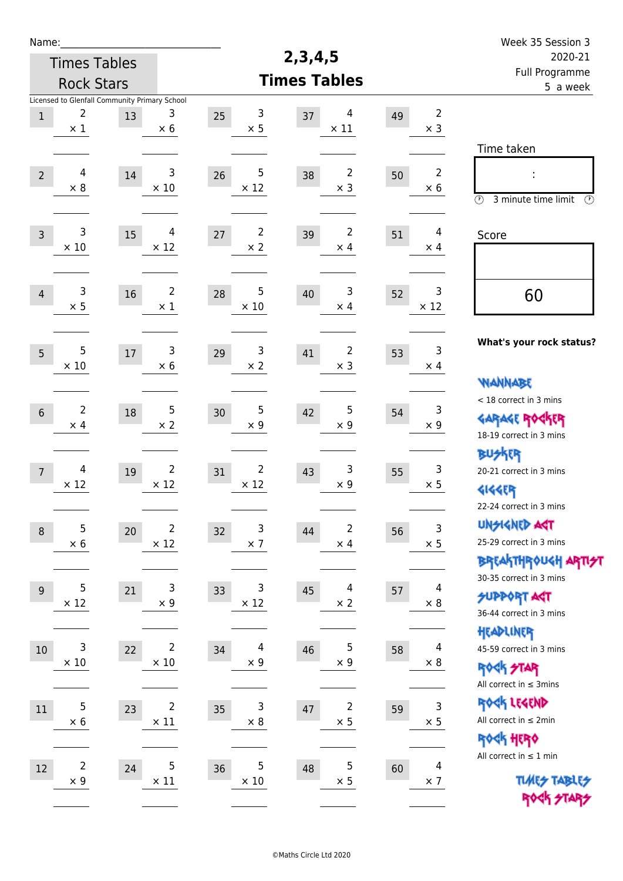| Name:          |                                                                  |        |                               |                                    |                                    |    |                              | Week 35 Session 3                                                                       |
|----------------|------------------------------------------------------------------|--------|-------------------------------|------------------------------------|------------------------------------|----|------------------------------|-----------------------------------------------------------------------------------------|
|                | <b>Times Tables</b>                                              |        |                               |                                    | 2, 3, 4, 5                         |    |                              | 2020-21                                                                                 |
|                | <b>Rock Stars</b>                                                |        |                               |                                    | <b>Times Tables</b>                |    |                              | Full Programme<br>5 a week                                                              |
| $\,1$          | Licensed to Glenfall Community Primary School<br>2<br>$\times 1$ | 13     | 3<br>$\times$ 6               | 3<br>25<br>$\times$ 5              | 4<br>37<br>$\times$ 11             | 49 | $\overline{2}$<br>$\times$ 3 |                                                                                         |
| $\overline{2}$ | 4<br>$\times 8$                                                  | 14     | 3<br>$\times$ 10              | 5<br>26<br>$\times$ 12             | 2<br>38<br>$\times$ 3              | 50 | $\overline{2}$<br>$\times 6$ | Time taken<br>İ,<br>$\circled{r}$<br>3 minute time limit<br>⊕                           |
| $\overline{3}$ | $\mathsf{3}$<br>$\times$ 10                                      | 15     | 4<br>$\times$ 12              | $\overline{2}$<br>27<br>$\times$ 2 | $\overline{2}$<br>39<br>$\times$ 4 | 51 | $\overline{4}$<br>$\times$ 4 | Score                                                                                   |
| $\overline{4}$ | 3<br>$\times$ 5                                                  | 16     | $\overline{2}$<br>$\times$ 1  | 5<br>28<br>$\times$ 10             | 3<br>40<br>$\times$ 4              | 52 | 3<br>$\times$ 12             | 60                                                                                      |
| 5              | 5<br>$\times$ 10                                                 | $17\,$ | 3<br>$\times 6$               | 3<br>29<br>$\times 2$              | 2<br>41<br>$\times$ 3              | 53 | 3<br>$\times$ 4              | What's your rock status?<br><b>WANNABE</b>                                              |
| $6\,$          | $\overline{2}$<br>$\times$ 4                                     | 18     | $\sqrt{5}$<br>$\times 2$      | 5<br>30<br>$\times$ 9              | 5<br>42<br>$\times$ 9              | 54 | 3<br>$\times$ 9              | < 18 correct in 3 mins<br><b>GARAGE ROCKER</b><br>18-19 correct in 3 mins               |
| $\overline{7}$ | 4<br>$\times$ 12                                                 | 19     | $\overline{2}$<br>$\times$ 12 | 2<br>31<br>$\times$ 12             | 3<br>43<br>$\times$ 9              | 55 | 3<br>$\times$ 5              | BUSKER<br>20-21 correct in 3 mins<br><b>4144EP</b><br>22-24 correct in 3 mins           |
| $\,8\,$        | 5<br>$\times$ 6                                                  | 20     | $\mathbf 2$<br>$\times$ 12    | 3<br>32<br>$\times$ 7              | 2<br>44<br>$\times$ 4              | 56 | $\mathsf 3$<br>$\times$ 5    | <b>UNGIGNED AGT</b><br>25-29 correct in 3 mins<br><b>BREAKTHROUGH ARTI<del>S</del>T</b> |
| 9              | 5<br>$\times$ 12                                                 | 21     | 3<br>$\times$ 9               | 3<br>33<br>$\times$ 12             | 4<br>45<br>$\times 2$              | 57 | 4<br>$\times 8$              | 30-35 correct in 3 mins<br><b>SUPPORT AGT</b><br>36-44 correct in 3 mins                |
| 10             | 3<br>$\times$ 10                                                 | 22     | $\overline{2}$<br>$\times$ 10 | $\overline{4}$<br>34<br>$\times$ 9 | 5<br>46<br>$\times$ 9              | 58 | $\overline{4}$<br>$\times 8$ | HEADLINER<br>45-59 correct in 3 mins<br><b>ROCK STAR</b><br>All correct in $\leq$ 3mins |
| $11\,$         | 5<br>$\times$ 6                                                  | 23     | $\overline{2}$<br>$\times$ 11 | 3<br>35<br>$\times$ 8              | $\overline{2}$<br>47<br>$\times$ 5 | 59 | $\mathsf 3$<br>$\times$ 5    | ROCK LEGEND<br>All correct in $\leq 2$ min<br>ROCK HERO                                 |
| $12\,$         | $\overline{c}$<br>$\times$ 9                                     | 24     | $\mathbf 5$<br>$\times$ 11    | 5<br>36<br>$\times$ 10             | 5<br>48<br>$\times$ 5              | 60 | 4<br>$\times$ 7              | All correct in $\leq 1$ min<br><b>TUARS TABLES</b><br>ROCK STARS                        |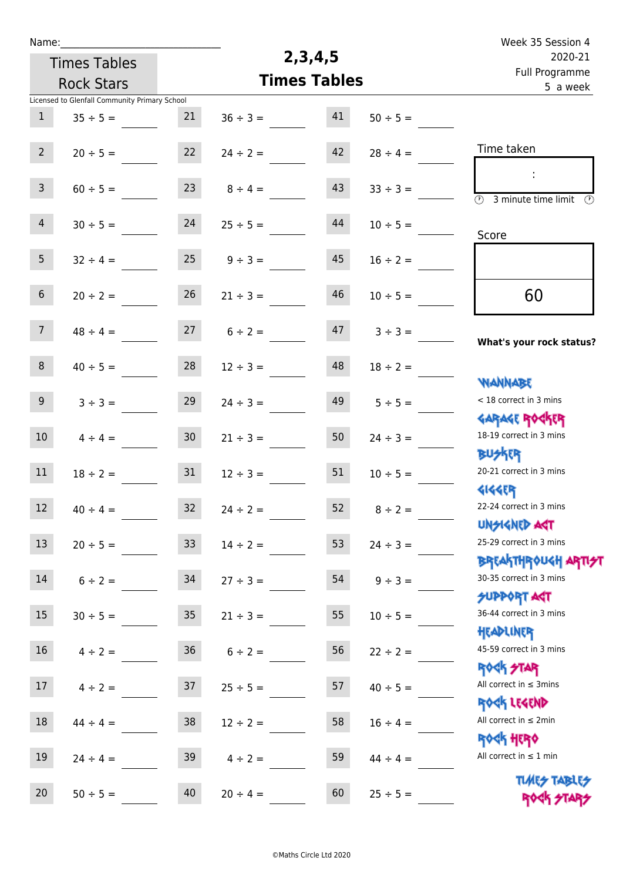|                                           | Week 35 Session 4                                                                 |                            |  |  |
|-------------------------------------------|-----------------------------------------------------------------------------------|----------------------------|--|--|
|                                           | 2, 3, 4, 5                                                                        | 2020-21                    |  |  |
|                                           | <b>Times Tables</b>                                                               | Full Programme<br>5 a week |  |  |
|                                           |                                                                                   |                            |  |  |
| 41<br>$50 \div 5 =$                       | $36 \div 3 =$                                                                     |                            |  |  |
| 42<br>$28 \div 4 =$                       | Time taken<br>$24 \div 2 =$                                                       |                            |  |  |
| 43<br>$33 \div 3 =$<br>$\overline{\odot}$ | $8 \div 4 =$<br>3 minute time limit                                               | $\odot$                    |  |  |
| 44<br>$10 \div 5 =$                       | $25 \div 5 =$<br>Score                                                            |                            |  |  |
| 45<br>$16 \div 2 =$                       | $9 \div 3 =$                                                                      |                            |  |  |
| 46<br>$10 \div 5 =$                       | 60<br>$21 \div 3 =$                                                               |                            |  |  |
| 47<br>$3 ÷ 3 =$                           | $6 \div 2 =$<br>What's your rock status?                                          |                            |  |  |
| 48<br>$18 \div 2 =$                       | $12 \div 3 =$<br><b>NANNABE</b>                                                   |                            |  |  |
| 49<br>$5 \div 5 =$                        | < 18 correct in 3 mins<br>$24 \div 3 =$<br><b>GARAGE ROGKER</b>                   |                            |  |  |
| 50<br>$24 \div 3 =$                       | 18-19 correct in 3 mins<br>$21 \div 3 =$<br><b>BUSKER</b>                         |                            |  |  |
| 51<br>$10 \div 5 =$                       | 20-21 correct in 3 mins<br>$12 \div 3 =$<br><b>4144EP</b>                         |                            |  |  |
| 52<br>$8 \div 2 =$                        | 22-24 correct in 3 mins<br>$24 \div 2 =$<br><b>UNSIGNED AGT</b>                   |                            |  |  |
| 53<br>$24 \div 3 =$                       | 25-29 correct in 3 mins<br>$14 \div 2 =$<br><b>BREAKTHROUGH ARTI<del>S</del>T</b> |                            |  |  |
| 54<br>$9 \div 3 =$                        | 30-35 correct in 3 mins<br>$27 \div 3 =$<br><b>SUPPORT ART</b>                    |                            |  |  |
| 55<br>$10 \div 5 =$                       | 36-44 correct in 3 mins<br>$21 \div 3 =$<br>HEADLINER                             |                            |  |  |
| 56<br>$22 \div 2 =$                       | 45-59 correct in 3 mins<br>$6 \div 2 =$<br><b>ROCK STAR</b>                       |                            |  |  |
| 57<br>$40 \div 5 =$                       | All correct in $\leq$ 3mins<br>$25 \div 5 =$<br>ROCK LEGEND                       |                            |  |  |
| 58<br>$16 \div 4 =$                       | All correct in $\leq 2$ min<br>$12 \div 2 =$<br><b>ROCK HERO</b>                  |                            |  |  |
| 59<br>$44 \div 4 =$                       | All correct in $\leq 1$ min<br>$4 \div 2 =$                                       |                            |  |  |
| 60<br>$25 \div 5 =$                       | <b>TUARS TABLES</b><br>$20 \div 4 =$<br>ROCK STARS                                |                            |  |  |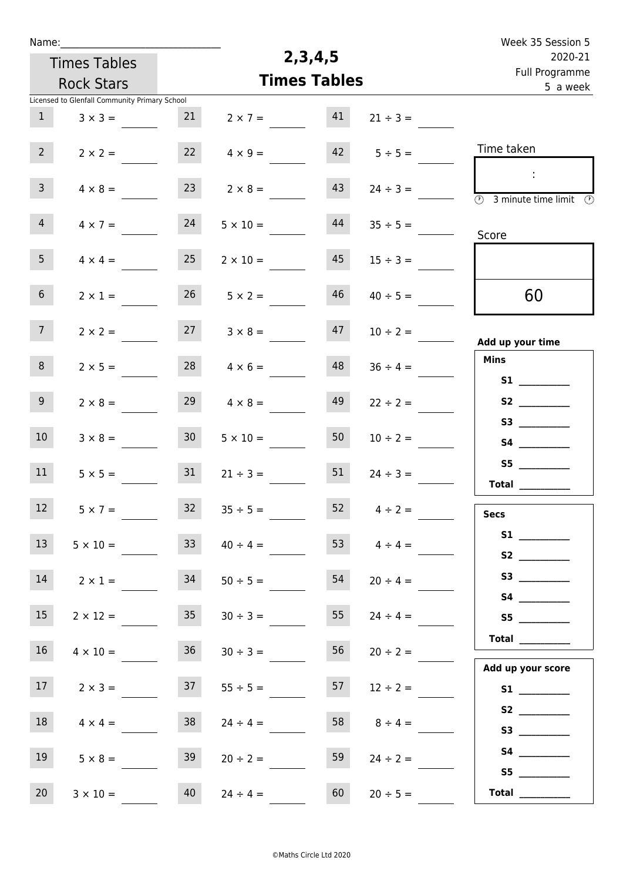| Name:                                         |                     |                       |                           | Week 35 Session 5                                                                       |
|-----------------------------------------------|---------------------|-----------------------|---------------------------|-----------------------------------------------------------------------------------------|
| <b>Times Tables</b>                           |                     | 2, 3, 4, 5            | 2020-21<br>Full Programme |                                                                                         |
| <b>Rock Stars</b>                             |                     | <b>Times Tables</b>   |                           | 5 a week                                                                                |
| Licensed to Glenfall Community Primary School |                     |                       |                           |                                                                                         |
| $\mathbf{1}$<br>$3 \times 3 =$                | 21                  | 41<br>$2 \times 7 =$  | $21 \div 3 =$             |                                                                                         |
| 2 <sup>7</sup><br>$2 \times 2 =$              | 22                  | $4 \times 9 =$        | $42 \t 5 \div 5 =$        | Time taken                                                                              |
| $\mathbf{3}$<br>$4 \times 8 =$                | 23                  | 43<br>$2 \times 8 =$  |                           | $\sim$<br>$\overline{\textcircled{1}}$ 3 minute time limit $\overline{\textcircled{1}}$ |
| $\overline{4}$<br>$4 \times 7 =$              | 24                  | 44<br>$5 \times 10 =$ | $35 \div 5 =$             | Score                                                                                   |
| 5 <sub>1</sub><br>$4 \times 4 =$              | 25                  | 45<br>$2 \times 10 =$ | $15 \div 3 =$             |                                                                                         |
| 6 <sup>1</sup><br>$2 \times 1 =$              | 26                  | 46<br>$5 \times 2 =$  | $40 \div 5 =$             | 60                                                                                      |
| 7 <sup>7</sup><br>$2 \times 2 =$              | 27                  | 47<br>$3 \times 8 =$  | $10 \div 2 =$             | Add up your time                                                                        |
| 8<br>$2 \times 5 =$                           | 28                  | 48<br>$4 \times 6 =$  | $36 \div 4 =$             | <b>Mins</b><br><b>S1 S1</b>                                                             |
| 9 <sub>o</sub><br>$2 \times 8 =$              | 29                  | 49<br>$4 \times 8 =$  | $22 \div 2 =$             | S2                                                                                      |
| 10 <sup>°</sup><br>$3 \times 8 =$             | 30 <sup>°</sup>     | 50<br>$5 \times 10 =$ | $10 \div 2 =$             |                                                                                         |
| 11<br>$5 \times 5 =$                          | 31                  | 51<br>$21 \div 3 =$   | $24 \div 3 =$             | Total $\qquad$                                                                          |
| 12<br>$5 \times 7 =$                          | 32                  | 52<br>$35 \div 5 =$   | $4 \div 2 =$              | <b>Secs</b>                                                                             |
| 13<br>$5 \times 10 =$                         | 33 <sup>°</sup>     | $40 \div 4 =$         | 53<br>$4 \div 4 =$        |                                                                                         |
| 14<br>$2 \times 1 =$                          | 34                  | 54<br>$50 \div 5 =$   | $20 \div 4 =$             | <b>S3 S3</b>                                                                            |
| 15<br>$2 \times 12 =$                         | 35                  | 55<br>$30 \div 3 =$   | $24 \div 4 =$             | S5                                                                                      |
| 16 <sup>1</sup><br>$4 \times 10 =$            | 36                  | 56<br>$30 \div 3 =$   | $20 \div 2 =$             | $\begin{tabular}{c} Total \end{tabular}$<br>Add up your score                           |
| 17 <sup>7</sup><br>$2 \times 3 =$             | 37                  | 57<br>$55 \div 5 =$   | $12 \div 2 =$             |                                                                                         |
| 18<br>$4 \times 4 =$                          | 38                  | 58<br>$24 \div 4 =$   | $8 \div 4 =$              |                                                                                         |
| 19<br>$5 \times 8 =$                          | 39                  | 59<br>$20 \div 2 =$   | $24 \div 2 =$             |                                                                                         |
| 20<br>$3 \times 10 =$                         | 40<br>$24 \div 4 =$ | 60                    | $20 \div 5 =$             | Total $\qquad$                                                                          |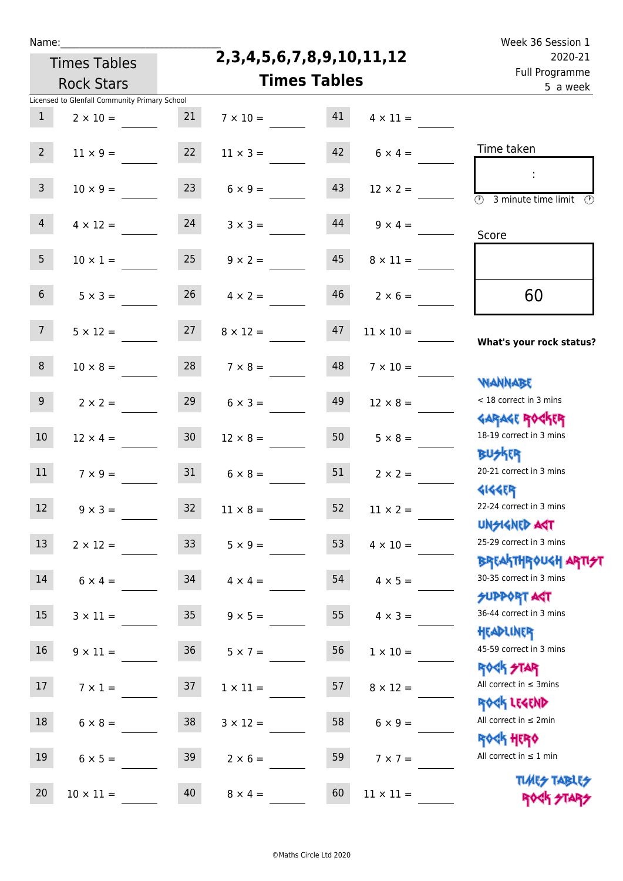| г   |    |  |
|-----|----|--|
| e e | ۰. |  |
|     |    |  |

### **2,3,4,5,6,7,8,9,10,11,12**

| 2020-21<br>Full Programme                                        |                  | 2,3,4,5,6,7,8,9,10,11,12 |  |                      | <b>Times Tables</b> |                                               |                 |  |  |
|------------------------------------------------------------------|------------------|--------------------------|--|----------------------|---------------------|-----------------------------------------------|-----------------|--|--|
| 5 a week                                                         |                  | <b>Times Tables</b>      |  |                      |                     | <b>Rock Stars</b>                             |                 |  |  |
|                                                                  |                  |                          |  |                      |                     | Licensed to Glenfall Community Primary School |                 |  |  |
|                                                                  | $4 \times 11 =$  | 41                       |  | $7 \times 10 =$      | 21                  | $2 \times 10 =$                               | $\mathbf{1}$    |  |  |
| Time taken                                                       | $6 \times 4 =$   | 42                       |  | $11 \times 3 =$      | 22                  | $11 \times 9 =$                               | 2 <sup>7</sup>  |  |  |
| $\overline{\mathcal{O}}$<br>3 minute time limit                  | $12 \times 2 =$  | 43                       |  | $6 \times 9 =$       | 23                  | $10 \times 9 =$                               | 3 <sup>7</sup>  |  |  |
| Score                                                            | $9 \times 4 =$   | 44                       |  | $3 \times 3 =$       | 24                  | $4 \times 12 =$                               | $\overline{4}$  |  |  |
|                                                                  | $8 \times 11 =$  | 45                       |  | $9 \times 2 =$       | 25                  | $10 \times 1 =$                               | 5 <sub>1</sub>  |  |  |
| 60                                                               | $2 \times 6 =$   | 46                       |  | $4 \times 2 =$       | 26                  | $5 \times 3 =$                                | 6 <sup>1</sup>  |  |  |
| What's your rock status?                                         | $11 \times 10 =$ | 47                       |  | $8 \times 12 =$      | 27                  | $5 \times 12 =$                               | 7 <sup>7</sup>  |  |  |
| <b>NANNABE</b>                                                   | $7 \times 10 =$  | 48                       |  | $7 \times 8 =$       | 28                  | $10 \times 8 =$                               | 8               |  |  |
| < 18 correct in 3 mins<br><b>GARAGE ROCKER</b>                   | $12 \times 8 =$  | 49                       |  | $6 \times 3 =$       | 29                  | $2 \times 2 =$                                | 9 <sub>o</sub>  |  |  |
| 18-19 correct in 3 mins<br><b>BUSKER</b>                         | $5 \times 8 =$   | 50                       |  | $12 \times 8 =$      | 30 <sub>o</sub>     | $12 \times 4 =$                               | 10 <sup>°</sup> |  |  |
| 20-21 correct in 3 mins<br><b>4144ER</b>                         | $2 \times 2 =$   | 51                       |  | $6 \times 8 =$       | 31                  | $7 \times 9 =$                                | 11              |  |  |
| 22-24 correct in 3 mins<br><b>UNSIGNED AGT</b>                   | $11 \times 2 =$  | 52                       |  | $11 \times 8 =$      | 32                  | $9 \times 3 =$                                | 12              |  |  |
| 25-29 correct in 3 mins<br><b>BREAKTHROUGH ARTI<del>S</del>T</b> | $4 \times 10 =$  | 53                       |  | $5 \times 9 =$       | 33 <sup>°</sup>     | $2 \times 12 =$                               | 13              |  |  |
| 30-35 correct in 3 mins<br>SUPPORT AGT                           | $4 \times 5 =$   | 54                       |  | $34 \t 4 \times 4 =$ |                     | $6 \times 4 =$                                | 14              |  |  |
| 36-44 correct in 3 mins<br>HEADLINER                             | $4 \times 3 =$   | 55                       |  | $9 \times 5 =$       | 35 <sub>1</sub>     | $3 \times 11 =$                               | 15 <sub>1</sub> |  |  |
| 45-59 correct in 3 mins<br><b>ROCK STAR</b>                      | $1 \times 10 =$  | 56                       |  | $5 \times 7 =$       | 36                  | $9 \times 11 =$                               | 16              |  |  |
| All correct in $\leq$ 3mins<br>ROCK LEGEND                       | $8 \times 12 =$  | 57                       |  | $1 \times 11 =$      | 37                  | $7 \times 1 =$                                | 17 <sub>1</sub> |  |  |
| All correct in $\leq 2$ min                                      | $6 \times 9 =$   | 58                       |  | $3 \times 12 =$      | 38                  | $6 \times 8 =$                                | 18              |  |  |
| <b>ROCK HERO</b><br>All correct in $\leq 1$ min                  | $7 \times 7 =$   | 59                       |  | $2 \times 6 =$       | 39                  | $6 \times 5 =$                                | 19              |  |  |
| <b>TUARS TABLES</b><br>ROCK STARS                                | $11 \times 11 =$ | 60                       |  | $8 \times 4 =$       | 40                  | $10 \times 11 =$                              | 20              |  |  |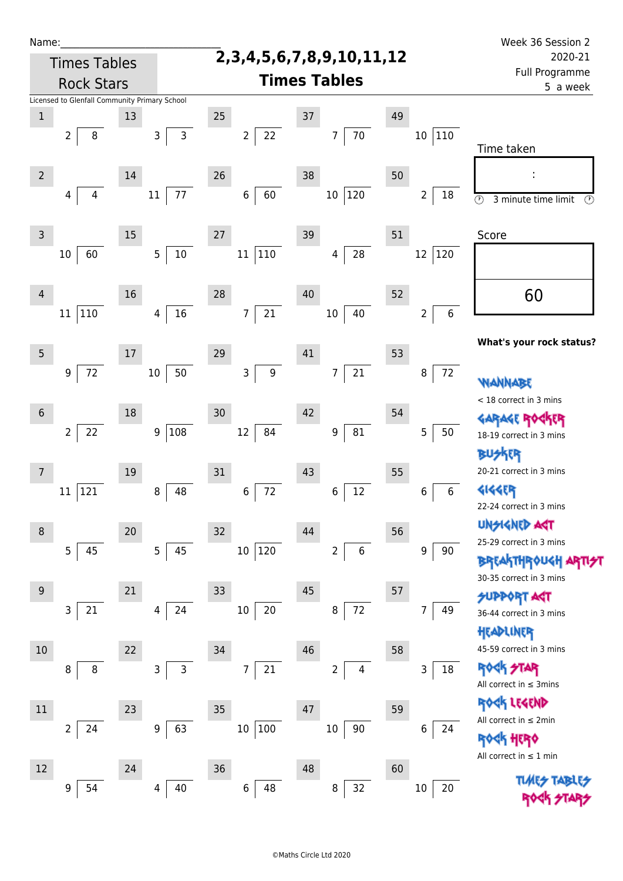| Name:           |                                               |        |              |                                    |                  |    |                               |    |                                   | Week 36 Session 2                               |  |  |
|-----------------|-----------------------------------------------|--------|--------------|------------------------------------|------------------|----|-------------------------------|----|-----------------------------------|-------------------------------------------------|--|--|
|                 | <b>Times Tables</b>                           |        |              | 2, 3, 4, 5, 6, 7, 8, 9, 10, 11, 12 |                  |    |                               |    |                                   | 2020-21                                         |  |  |
|                 | <b>Rock Stars</b>                             |        |              |                                    |                  |    | <b>Times Tables</b>           |    | <b>Full Programme</b><br>5 a week |                                                 |  |  |
|                 | Licensed to Glenfall Community Primary School |        |              |                                    |                  |    |                               |    |                                   |                                                 |  |  |
| $\,1$           |                                               | 13     |              | 25                                 |                  | 37 |                               | 49 |                                   |                                                 |  |  |
|                 | $\overline{2}$<br>8                           | 3      | $\mathsf{3}$ | $\overline{2}$                     | 22               |    | $70\,$<br>$\overline{7}$      |    | $10\,$<br>$ 110\rangle$           |                                                 |  |  |
|                 |                                               |        |              |                                    |                  |    |                               |    |                                   | Time taken                                      |  |  |
| $\overline{2}$  |                                               | 14     |              | 26                                 |                  | 38 |                               | 50 |                                   |                                                 |  |  |
|                 | 4<br>4                                        | 11     | 77           | 6                                  | 60               |    | 120<br>$10\,$                 |    | 2<br>18                           | $\odot$<br>3 minute time limit<br>$\circled{r}$ |  |  |
|                 |                                               |        |              |                                    |                  |    |                               |    |                                   |                                                 |  |  |
| 3               |                                               | $15\,$ |              | 27                                 |                  | 39 |                               | 51 |                                   | Score                                           |  |  |
|                 | 60<br>10                                      | 5      | $10\,$       | $11\,$                             | $110\,$          |    | 28<br>4                       |    | 120<br>12                         |                                                 |  |  |
|                 |                                               |        |              |                                    |                  |    |                               |    |                                   |                                                 |  |  |
| $\overline{4}$  |                                               | 16     |              | 28                                 |                  | 40 |                               | 52 |                                   | 60                                              |  |  |
|                 | 110<br>11                                     | 4      | 16           | $\overline{7}$                     | $21$             |    | 40<br>10                      |    | 6<br>2                            |                                                 |  |  |
|                 |                                               |        |              |                                    |                  |    |                               |    |                                   |                                                 |  |  |
| 5               |                                               | $17\,$ |              | 29                                 |                  | 41 |                               | 53 |                                   | What's your rock status?                        |  |  |
|                 | $72\,$<br>9                                   | $10\,$ | 50           | 3                                  | $\boldsymbol{9}$ |    | 21<br>$\overline{7}$          |    | $72\,$<br>8                       |                                                 |  |  |
|                 |                                               |        |              |                                    |                  |    |                               |    |                                   | WANNABE                                         |  |  |
| $6\phantom{.}6$ |                                               | 18     |              | 30                                 |                  | 42 |                               | 54 |                                   | < 18 correct in 3 mins                          |  |  |
|                 | $\overline{2}$                                | 9      | 108          | 12                                 | 84               |    | ${\bf 81}$<br>9               |    | 5<br>50                           | <b>GARAGE ROC</b><br>ίR                         |  |  |
|                 | 22                                            |        |              |                                    |                  |    |                               |    |                                   | 18-19 correct in 3 mins                         |  |  |
|                 |                                               |        |              |                                    |                  |    |                               |    |                                   | <b>BUSKER</b>                                   |  |  |
| 7               |                                               | 19     |              | 31                                 |                  | 43 |                               | 55 |                                   | 20-21 correct in 3 mins                         |  |  |
|                 | 121<br>11                                     | 8      | 48           | $\,6\,$                            | 72               |    | 12<br>6                       |    | $\,6\,$<br>6                      | 4144EP<br>22-24 correct in 3 mins               |  |  |
|                 |                                               |        |              |                                    |                  |    |                               |    |                                   | <b>UNGIGNED AST</b>                             |  |  |
| 8               |                                               | $20\,$ |              | 32                                 |                  | 44 |                               | 56 |                                   | 25-29 correct in 3 mins                         |  |  |
|                 | 5<br>45                                       | 5      | 45           | 10 <sup>°</sup>                    | 120              |    | $\,$ 6 $\,$<br>$\overline{2}$ |    | 9<br>90                           | <b>BREAKTHROUGH</b>                             |  |  |
|                 |                                               |        |              |                                    |                  |    |                               |    |                                   | 30-35 correct in 3 mins                         |  |  |
| 9               |                                               | 21     |              | 33                                 |                  | 45 |                               | 57 |                                   | <b>SUPPORT AGT</b>                              |  |  |
|                 | 21<br>3                                       | 4      | 24           | $10\,$                             | $20\,$           |    | 72<br>$\, 8$                  |    | 49<br>7                           | 36-44 correct in 3 mins                         |  |  |
|                 |                                               |        |              |                                    |                  |    |                               |    |                                   | HEADLINER                                       |  |  |
| $10\,$          |                                               | 22     |              | 34                                 |                  | 46 |                               | 58 |                                   | 45-59 correct in 3 mins                         |  |  |
|                 | 8<br>8                                        | 3      | $\mathsf{3}$ | 7                                  | $21\,$           |    | 2<br>4                        |    | 3<br>18                           | ROCK STAR                                       |  |  |
|                 |                                               |        |              |                                    |                  |    |                               |    |                                   | All correct in $\leq$ 3mins                     |  |  |
| $11\,$          |                                               | 23     |              | 35                                 |                  | 47 |                               | 59 |                                   | ROCK LEGEND<br>All correct in $\leq 2$ min      |  |  |
|                 | $\overline{2}$<br>24                          | 9      | 63           | 10                                 | 100              |    | $90\,$<br>$10\,$              |    | 6<br>24                           | <b>《下出版》</b>                                    |  |  |
|                 |                                               |        |              |                                    |                  |    |                               |    |                                   | All correct in $\leq 1$ min                     |  |  |
| 12              |                                               | 24     |              | 36                                 |                  | 48 |                               | 60 |                                   |                                                 |  |  |
|                 | 54<br>9                                       | 4      | 40           | $\,6\,$                            | 48               |    | 32<br>8                       |    | 20<br>$10$                        | <b>TIMES TABI</b>                               |  |  |
|                 |                                               |        |              |                                    |                  |    |                               |    |                                   |                                                 |  |  |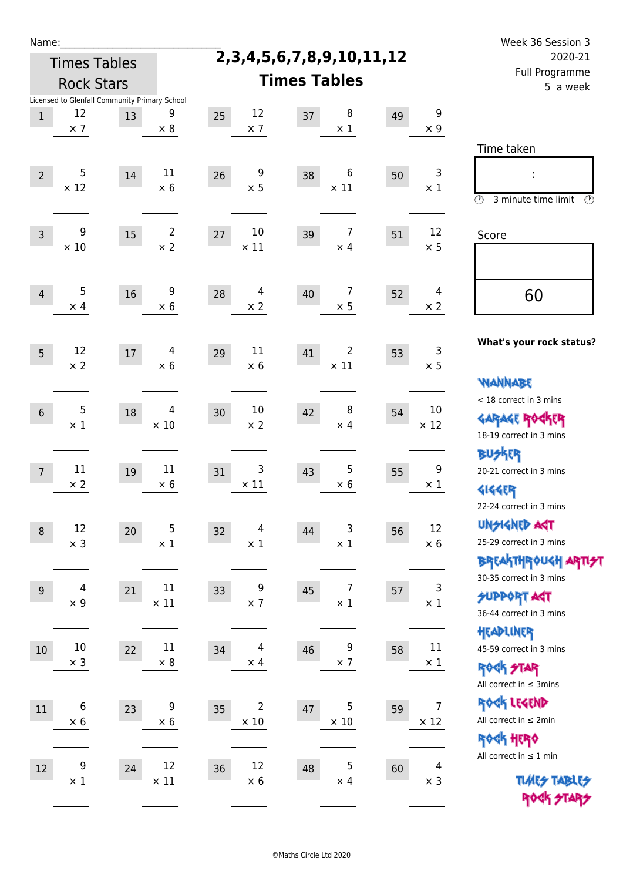| Name:           |                                                                   |        |                              |                                    |                                    |    |                               | Week 36 Session 3                                                                       |  |  |
|-----------------|-------------------------------------------------------------------|--------|------------------------------|------------------------------------|------------------------------------|----|-------------------------------|-----------------------------------------------------------------------------------------|--|--|
|                 | <b>Times Tables</b>                                               |        |                              | 2, 3, 4, 5, 6, 7, 8, 9, 10, 11, 12 |                                    |    |                               | 2020-21                                                                                 |  |  |
|                 | <b>Rock Stars</b>                                                 |        | <b>Times Tables</b>          |                                    |                                    |    | Full Programme<br>5 a week    |                                                                                         |  |  |
| $\mathbf{1}$    | Licensed to Glenfall Community Primary School<br>12<br>$\times$ 7 | 13     | 9<br>$\times 8$              | 12<br>25<br>$\times$ 7             | 8<br>37<br>$\times$ 1              | 49 | 9<br>$\times$ 9               |                                                                                         |  |  |
| $\overline{2}$  | 5<br>$\times$ 12                                                  | 14     | 11<br>$\times$ 6             | 9<br>26<br>$\times$ 5              | 6<br>38<br>$\times$ 11             | 50 | 3<br>$\times$ 1               | Time taken<br>t,<br>$\circledcirc$<br>3 minute time limit<br>$\mathcal{O}$              |  |  |
| $\overline{3}$  | 9<br>$\times 10$                                                  | 15     | $\overline{2}$<br>$\times 2$ | 10<br>27<br>$\times$ 11            | 7<br>39<br>$\times$ 4              | 51 | 12<br>$\times$ 5              | Score                                                                                   |  |  |
| $\overline{4}$  | 5<br>$\times$ 4                                                   | 16     | 9<br>$\times$ 6              | 4<br>28<br>$\times$ 2              | 7<br>40<br>$\times$ 5              | 52 | 4<br>$\times 2$               | 60                                                                                      |  |  |
| 5               | 12<br>$\times 2$                                                  | $17\,$ | 4<br>$\times 6$              | 11<br>29<br>$\times 6$             | 2<br>41<br>$\times$ 11             | 53 | 3<br>$\times$ 5               | What's your rock status?<br><b>WANNABE</b>                                              |  |  |
| $6\phantom{.}6$ | 5<br>$\times$ 1                                                   | 18     | 4<br>$\times$ 10             | 10<br>30<br>$\times 2$             | 8<br>42<br>$\times$ 4              | 54 | 10<br>$\times$ 12             | < 18 correct in 3 mins<br><b>GARAGE ROGKER</b><br>18-19 correct in 3 mins               |  |  |
| $\overline{7}$  | 11<br>$\times 2$                                                  | 19     | 11<br>$\times 6$             | 3<br>31<br>$\times$ 11             | 5<br>43<br>$\times 6$              | 55 | 9<br>$\times$ 1               | BU外界<br>20-21 correct in 3 mins<br><b>4144EP</b><br>22-24 correct in 3 mins             |  |  |
| $\,8\,$         | 12<br>$\times$ 3                                                  | 20     | $\mathsf 5$<br>$\times$ 1    | 4<br>32<br>$\times$ 1              | 3<br>44<br>$\times$ 1              | 56 | 12<br>$\times$ 6              | <b>UNGIGNED AGT</b><br>25-29 correct in 3 mins<br><b>BREAKTHROUGH ARTI<del>S</del>T</b> |  |  |
| $\overline{9}$  | 4<br>$\times 9$                                                   | 21     | $11\,$<br>$\times$ 11        | 9<br>33<br>$\times$ 7              | $\overline{7}$<br>45<br>$\times$ 1 | 57 | 3<br>$\times$ 1               | 30-35 correct in 3 mins<br><b>SUPPORT AST</b><br>36-44 correct in 3 mins                |  |  |
| $10\,$          | $10\,$<br>$\times$ 3                                              | 22     | $11\,$<br>$\times$ 8         | 4<br>34<br>$\times$ 4              | 9<br>46<br>$\times$ 7              | 58 | 11<br>$\times$ 1              | HEADLINER<br>45-59 correct in 3 mins<br><b>ROCK STAR</b><br>All correct in $\leq$ 3mins |  |  |
| 11              | 6<br>$\times$ 6                                                   | 23     | 9<br>$\times$ 6              | 2<br>35<br>$\times$ 10             | 5<br>47<br>$\times$ 10             | 59 | $\overline{7}$<br>$\times$ 12 | ROCK LEGEND<br>All correct in $\leq 2$ min<br><b>ROCK HERO</b>                          |  |  |
| 12              | 9<br>$\times$ 1                                                   | 24     | 12<br>$\times$ 11            | 12<br>36<br>$\times$ 6             | $\mathbf 5$<br>48<br>$\times$ 4    | 60 | $\overline{4}$<br>$\times$ 3  | All correct in $\leq 1$ min<br><b>TUARS TABLES</b><br>ROCK STARS                        |  |  |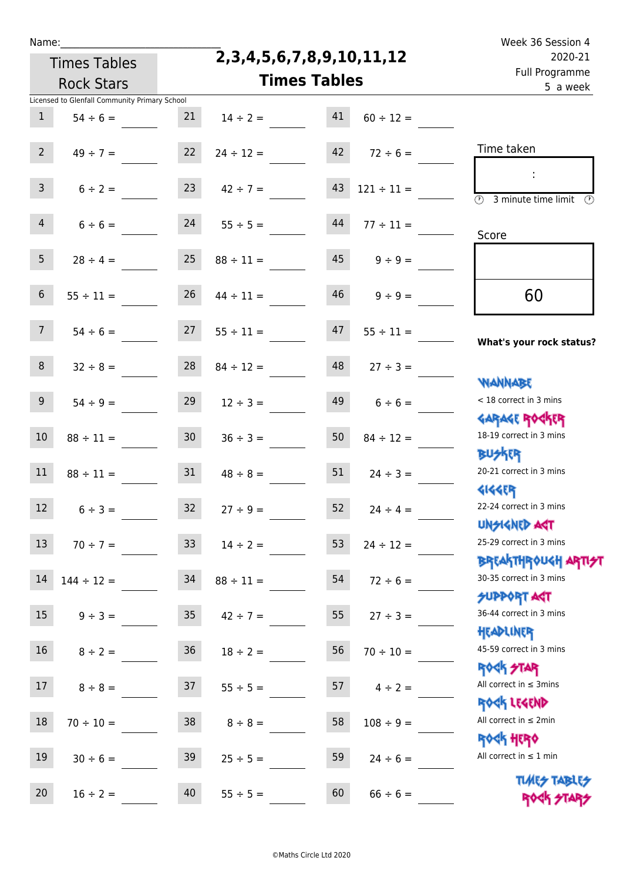Times Tables

# **2,3,4,5,6,7,8,9,10,11,12**

Name: Week 36 Session 4 Full Programme 2020-21

|                  | <b>Rock Stars</b>                                              |                 | <b>Times Tables</b> |    |                        | Full Programme<br>5 a week                                       |
|------------------|----------------------------------------------------------------|-----------------|---------------------|----|------------------------|------------------------------------------------------------------|
| 1                | Licensed to Glenfall Community Primary School<br>$54 \div 6 =$ | 21              | $14 \div 2 =$       | 41 | $60 \div 12 =$         |                                                                  |
|                  |                                                                |                 |                     |    |                        |                                                                  |
| $2^{\circ}$      | $49 \div 7 =$                                                  | 22              | $24 \div 12 =$      | 42 | $72 \div 6 =$          | Time taken                                                       |
|                  |                                                                |                 |                     |    |                        |                                                                  |
| $\mathbf{3}$     | $6 \div 2 =$                                                   | 23              | $42 \div 7 =$       | 43 | $121 \div 11 =$        | $\overline{\mathcal{O}}$<br>3 minute time limit<br>$\circled{r}$ |
| $\overline{4}$   |                                                                | 24              |                     | 44 |                        |                                                                  |
|                  | $6 \div 6 =$                                                   |                 | $55 \div 5 =$       |    | $77 \div 11 =$         | Score                                                            |
| 5 <sub>1</sub>   | $28 \div 4 =$                                                  | 25              | $88 \div 11 =$      |    | $45 \qquad 9 \div 9 =$ |                                                                  |
|                  |                                                                |                 |                     |    |                        |                                                                  |
| 6 <sup>1</sup>   | $55 \div 11 =$                                                 | 26              | $44 \div 11 =$      |    | $46$ $9 \div 9 =$      | 60                                                               |
|                  |                                                                |                 |                     |    |                        |                                                                  |
| 7 <sup>7</sup>   | $54 \div 6 =$                                                  | 27              | $55 \div 11 =$      | 47 | $55 \div 11 =$         | What's your rock status?                                         |
| 8 <sup>1</sup>   | $32 \div 8 =$                                                  | 28              | $84 \div 12 =$      | 48 | $27 \div 3 =$          |                                                                  |
|                  |                                                                |                 |                     |    |                        | <b>NANNABE</b>                                                   |
| 9 <sub>o</sub>   | $54 \div 9 =$                                                  | 29              | $12 \div 3 =$       | 49 | $6 \div 6 =$           | < 18 correct in 3 mins                                           |
|                  |                                                                |                 |                     |    |                        | <b>GARAGE ROCKER</b>                                             |
| 10               | $88 \div 11 =$                                                 | 30 <sup>1</sup> | $36 \div 3 =$       | 50 | $84 \div 12 =$         | 18-19 correct in 3 mins                                          |
| 11               |                                                                | 31              |                     | 51 |                        | <b>BU外四</b><br>20-21 correct in 3 mins                           |
|                  | $88 \div 11 =$                                                 |                 | $48 \div 8 =$       |    | $24 \div 3 =$          | <b>4144ER</b>                                                    |
| 12               | $6 \div 3 =$                                                   | 32              | $27 \div 9 =$       | 52 | $24 \div 4 =$          | 22-24 correct in 3 mins                                          |
|                  |                                                                |                 |                     |    |                        | <b>UNSIGNED AGT</b>                                              |
| 13               | $70 \div 7 =$                                                  | 33              | $14 \div 2 =$       |    | 53 $24 \div 12 =$      | 25-29 correct in 3 mins                                          |
|                  |                                                                |                 |                     |    |                        | <b>BREAKTHROUGH ARTI<del>S</del>T</b>                            |
| 14               | $144 \div 12 =$                                                | 34              | $88 \div 11 =$      | 54 | $72 \div 6 =$          | 30-35 correct in 3 mins                                          |
| $15\phantom{.0}$ | $9 \div 3 =$                                                   | 35 <sub>1</sub> | $42 \div 7 =$       | 55 | $27 \div 3 =$          | <b>SUPPORT ART</b><br>36-44 correct in 3 mins                    |
|                  |                                                                |                 |                     |    |                        | HEADLINER                                                        |
| 16 <sup>1</sup>  | $8 \div 2 =$                                                   | 36              | $18 \div 2 =$       | 56 | $70 \div 10 =$         | 45-59 correct in 3 mins                                          |
|                  |                                                                |                 |                     |    |                        | <b>ROCK STAR</b>                                                 |
| 17 <sub>1</sub>  | $8 \div 8 =$                                                   | 37              | $55 \div 5 =$       | 57 | $4 \div 2 =$           | All correct in $\leq$ 3mins                                      |
|                  |                                                                |                 |                     |    |                        | ROCK LEGEND<br>All correct in $\leq 2$ min                       |
| 18               | $70 \div 10 =$                                                 | 38              | $8 \div 8 =$        | 58 | $108 \div 9 =$         | <b>ROCK HERO</b>                                                 |
| 19               | $30 \div 6 =$                                                  | 39              | $25 \div 5 =$       | 59 | $24 \div 6 =$          | All correct in $\leq 1$ min                                      |
|                  |                                                                |                 |                     |    |                        | <b>TUARS TABLES</b>                                              |
| 20               | $16 \div 2 =$                                                  | 40              | $55 \div 5 =$       | 60 | $66 \div 6 =$          | ROCK STARS                                                       |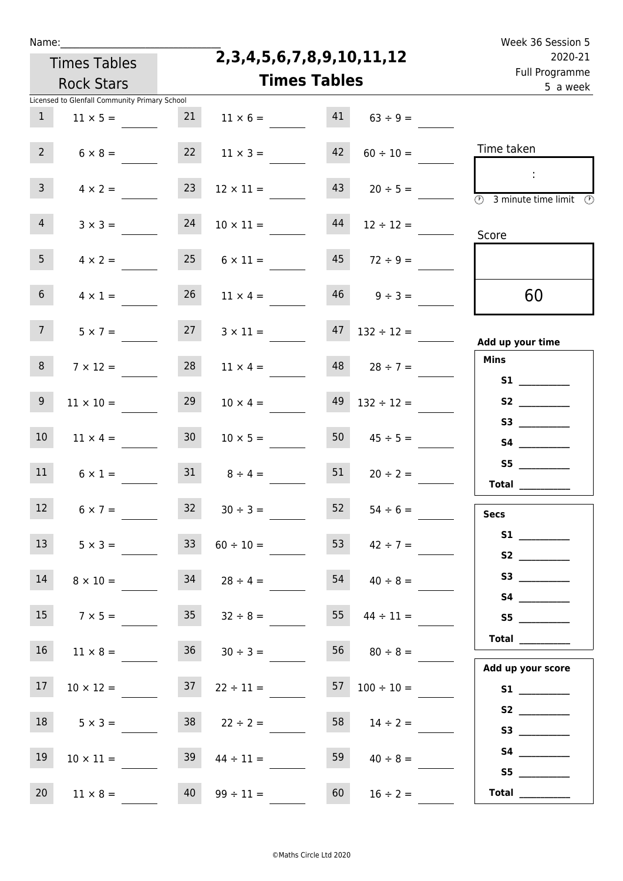| г   |    |  |
|-----|----|--|
| e e | ۰. |  |
|     |    |  |

### **2,3,4,5,6,7,8,9,10,11,12**

| 2020-21<br>Full Programme                                          |                     | 2,3,4,5,6,7,8,9,10,11,12 |                  |                 | <b>Times Tables</b>                           |                 |  |  |
|--------------------------------------------------------------------|---------------------|--------------------------|------------------|-----------------|-----------------------------------------------|-----------------|--|--|
| 5 a week                                                           | <b>Times Tables</b> |                          |                  |                 | <b>Rock Stars</b>                             |                 |  |  |
|                                                                    |                     |                          |                  |                 | Licensed to Glenfall Community Primary School |                 |  |  |
|                                                                    | $63 \div 9 =$       | 41                       | $11 \times 6 =$  | 21              | $11 \times 5 =$                               | $\mathbf{1}$    |  |  |
| Time taken                                                         | $60 \div 10 =$      | 42                       | $11 \times 3 =$  | 22              | $6 \times 8 =$                                | 2 <sup>7</sup>  |  |  |
| $\overline{\textcircled{2}}$ 3 minute time limit $\textcircled{2}$ | $20 \div 5 =$       | 43                       | $12 \times 11 =$ | 23              | $4 \times 2 =$                                | 3 <sup>7</sup>  |  |  |
| Score                                                              | $12 \div 12 =$      | 44                       | $10 \times 11 =$ | 24              | $3 \times 3 =$                                | 4               |  |  |
|                                                                    | $45$ $72 \div 9 =$  |                          | $6 \times 11 =$  | 25              | $4 \times 2 =$                                | 5 <sub>1</sub>  |  |  |
| 60                                                                 | $46 \t 9 \div 3 =$  |                          | $11 \times 4 =$  | 26              | $4 \times 1 =$                                | 6 <sup>1</sup>  |  |  |
| Add up your time                                                   | $132 \div 12 =$     | 47                       | $3 \times 11 =$  | 27              | $5 \times 7 =$                                | 7 <sup>7</sup>  |  |  |
| <b>Mins</b>                                                        | $28 \div 7 =$       | 48                       | $11 \times 4 =$  | 28              | $7 \times 12 =$                               | 8 <sub>1</sub>  |  |  |
|                                                                    | $132 \div 12 =$     | 49                       | $10 \times 4 =$  | 29              | $11 \times 10 =$                              | 9 <sub>o</sub>  |  |  |
|                                                                    | $50 \t 45 \div 5 =$ |                          | $10 \times 5 =$  | 30 <sub>o</sub> | $11 \times 4 =$                               | 10 <sup>°</sup> |  |  |
| S5<br>Total $\qquad$                                               | $20 \div 2 =$       | 51                       | $8 \div 4 =$     | 31              | $6 \times 1 =$                                | 11              |  |  |
| <b>Secs</b>                                                        | $54 \div 6 =$       | 52                       | $30 \div 3 =$    | 32              | $6 \times 7 =$                                | 12 <sup>2</sup> |  |  |
| S1<br>S2                                                           | 53 $42 \div 7 =$    |                          | $60 \div 10 =$   | 33 <sup>°</sup> | $5 \times 3 =$                                | 13              |  |  |
| <b>S4 S4</b>                                                       | $54 \t 40 \div 8 =$ |                          | $28 \div 4 =$    | 34              | $8 \times 10 =$                               | 14              |  |  |
|                                                                    | $44 \div 11 =$      | 55                       | $32 \div 8 =$    | 35              | $7 \times 5 =$                                | 15 <sub>1</sub> |  |  |
| <b>Total</b>                                                       | $56 \t 80 \div 8 =$ |                          | $30 \div 3 =$    | 36              | $11 \times 8 =$                               | 16              |  |  |
| Add up your score                                                  | $100 \div 10 =$     | 57                       | $22 \div 11 =$   | 37              | $10 \times 12 =$                              | 17              |  |  |
| S2                                                                 | $14 \div 2 =$       | 58                       | $22 \div 2 =$    | 38              | $5 \times 3 =$                                | 18              |  |  |
|                                                                    | 59 $40 \div 8 =$    |                          | $44 \div 11 =$   | 39              | $10 \times 11 =$                              | 19              |  |  |
| S5                                                                 | $16 \div 2 =$       | 60                       | $99 \div 11 =$   | 40              | $11 \times 8 =$                               | 20              |  |  |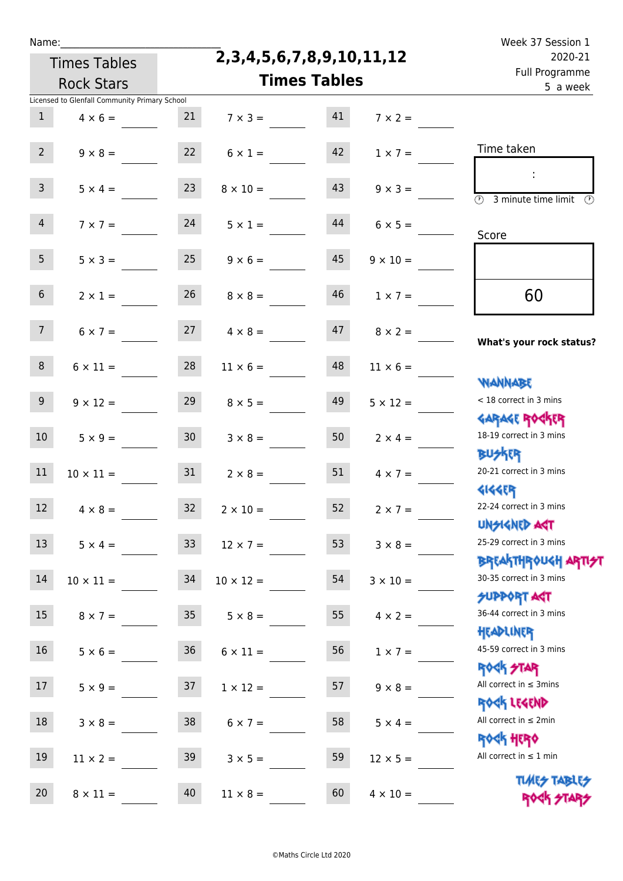| г   |    |  |
|-----|----|--|
| e e | ۰. |  |
|     |    |  |

**2,3,4,5,6,7,8,9,10,11,12**

| 2020-21                                                            |                     | 2,3,4,5,6,7,8,9,10,11,12 |                                  | <b>Times Tables</b> |                                               |                  |
|--------------------------------------------------------------------|---------------------|--------------------------|----------------------------------|---------------------|-----------------------------------------------|------------------|
| Full Programme<br>5 a week                                         | <b>Times Tables</b> |                          |                                  |                     | <b>Rock Stars</b>                             |                  |
|                                                                    |                     |                          |                                  |                     | Licensed to Glenfall Community Primary School |                  |
|                                                                    | $7 \times 2 =$      | 41                       | $7 \times 3 =$                   |                     | $4 \times 6 = 21$                             | 1                |
| Time taken                                                         | $1 \times 7 =$      | 42                       | $6 \times 1 =$                   | 22                  | $9 \times 8 =$                                | 2 <sup>7</sup>   |
| $\overline{(\mathcal{V})}$<br>3 minute time limit<br>$\mathcal{O}$ | $9 \times 3 =$      | 43                       | $8 \times 10 =$                  | 23                  | $5 \times 4 =$                                | $\mathbf{3}$     |
| Score                                                              | $6 \times 5 =$      | 44                       | $5 \times 1 =$                   | 24                  | $7 \times 7 =$                                | 4                |
|                                                                    | $9 \times 10 =$     | 45                       | $9 \times 6 =$                   | 25                  | $5 \times 3 =$                                | 5 <sub>1</sub>   |
| 60                                                                 | $1 \times 7 =$      | 46                       | $8 \times 8 =$                   | 26                  | $2 \times 1 =$                                | 6 <sup>1</sup>   |
| What's your rock status?                                           | $8 \times 2 =$      | 47                       | $6 \times 7 = 27$ $4 \times 8 =$ |                     |                                               | 7 <sup>7</sup>   |
| <b>NANNABE</b>                                                     | $11 \times 6 =$     | 48                       | $11 \times 6 =$                  | 28                  | $6 \times 11 =$                               | 8                |
| < 18 correct in 3 mins<br><b>GARAGE ROCKER</b>                     | $5 \times 12 =$     | 49                       | $8 \times 5 =$                   | 29                  | $9 \times 12 =$                               | 9 <sub>o</sub>   |
| 18-19 correct in 3 mins<br><b>BUSKER</b>                           | $2 \times 4 =$      | 50                       | $3 \times 8 =$                   | 30                  | $5 \times 9 =$                                | 10 <sup>°</sup>  |
| 20-21 correct in 3 mins<br><b>4144ER</b>                           | $4 \times 7 =$      | 51                       | $2 \times 8 =$                   | 31                  | $10 \times 11 =$                              | 11               |
| 22-24 correct in 3 mins<br><b>UNGIGNED AGT</b>                     | $2 \times 7 =$      | 52                       | $2 \times 10 =$                  | 32                  | $4 \times 8 =$                                | 12 <sup>2</sup>  |
| 25-29 correct in 3 mins<br><b>BREAKTHROUGH ARTI<del>S</del>T</b>   | $3 \times 8 =$      | 53                       | $12 \times 7 =$                  | 33 <sup>°</sup>     | $5 \times 4 =$                                | 13               |
| 30-35 correct in 3 mins<br><b>SUPPORT AGT</b>                      | $3 \times 10 =$     | 54                       | $10 \times 12 =$                 | 34                  | $10 \times 11 =$                              | 14               |
| 36-44 correct in 3 mins<br>HEADLINER                               | $4 \times 2 =$      | 55                       | $5 \times 8 =$                   | 35                  | $8 \times 7 =$                                | 15 <sub>1</sub>  |
| 45-59 correct in 3 mins<br><b>ROCK STAR</b>                        | $1 \times 7 =$      | 56                       | $6 \times 11 =$                  | 36                  | $5 \times 6 =$                                | 16 <sup>1</sup>  |
| All correct in $\leq$ 3mins<br>ROCK LEGEND                         | $9 \times 8 =$      | 57                       | $1 \times 12 =$                  | 37                  | $5 \times 9 =$                                | 17 <sup>17</sup> |
| All correct in $\leq 2$ min<br><b>ROCK HERO</b>                    | $5 \times 4 =$      | 58                       | $6 \times 7 =$                   | 38                  | $3 \times 8 =$                                | 18               |
| All correct in $\leq 1$ min                                        | $12 \times 5 =$     | 59                       | $3 \times 5 =$                   | 39                  | $11 \times 2 =$                               | 19               |
| <b>TUARS TABLES</b><br>ROCK STA                                    | $4 \times 10 =$     | 60                       | $11 \times 8 =$                  | 40                  | $8 \times 11 =$                               | 20               |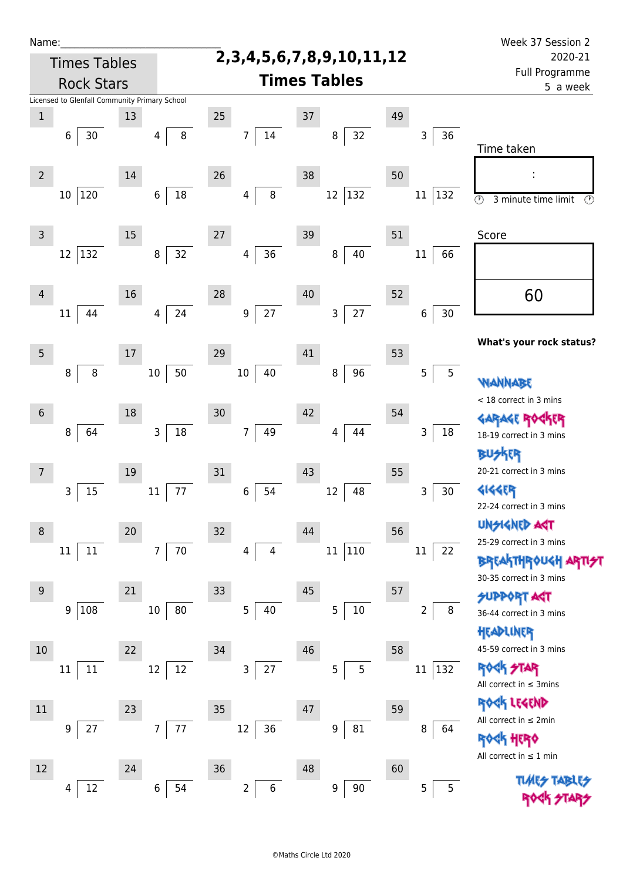| Name:           |                                               |    |                           |    |                      |    |                                    |    |                         | Week 37 Session 2                                          |
|-----------------|-----------------------------------------------|----|---------------------------|----|----------------------|----|------------------------------------|----|-------------------------|------------------------------------------------------------|
|                 | <b>Times Tables</b>                           |    |                           |    |                      |    | 2, 3, 4, 5, 6, 7, 8, 9, 10, 11, 12 |    |                         | 2020-21                                                    |
|                 | <b>Rock Stars</b>                             |    |                           |    |                      |    | <b>Times Tables</b>                |    |                         | Full Programme<br>5 a week                                 |
|                 | Licensed to Glenfall Community Primary School |    |                           |    |                      |    |                                    |    |                         |                                                            |
| $\mathbf 1$     |                                               | 13 |                           | 25 |                      | 37 |                                    | 49 |                         |                                                            |
|                 | $30$<br>6                                     |    | 8<br>4                    |    | 14<br>$\overline{7}$ |    | 32<br>8                            |    | 36<br>3                 | Time taken                                                 |
| $\overline{2}$  |                                               | 14 |                           | 26 |                      | 38 |                                    | 50 |                         |                                                            |
|                 | 10 120                                        |    | 18<br>$\boldsymbol{6}$    |    | 8<br>4               |    | $ 132\rangle$<br>12                |    | 11<br> 132              | $\overline{\odot}$<br>3 minute time limit<br>$\circled{r}$ |
| $\mathsf{3}$    |                                               | 15 |                           | 27 |                      | 39 |                                    | 51 |                         | Score                                                      |
|                 | 12<br>132                                     |    | 32<br>$\, 8$              |    | 36<br>4              |    | 40<br>8                            |    | 66<br>$11\,$            |                                                            |
| $\overline{4}$  | 44<br>11                                      | 16 | 24<br>4                   | 28 | 27<br>9              | 40 | 27<br>$\mathsf{3}$                 | 52 | 30<br>$\,6\,$           | 60                                                         |
|                 |                                               |    |                           |    |                      |    |                                    |    |                         | What's your rock status?                                   |
| $5\phantom{.0}$ |                                               | 17 |                           | 29 |                      | 41 |                                    | 53 |                         |                                                            |
|                 | 8<br>8                                        |    | 50<br>$10\,$              |    | 40<br>$10\,$         |    | 96<br>8                            |    | 5<br>5                  | <b>WANNABE</b><br>< 18 correct in 3 mins                   |
| $6\phantom{1}$  |                                               | 18 |                           | 30 |                      | 42 |                                    | 54 |                         | <b>GARAGE RO</b>                                           |
|                 | 8<br>64                                       |    | $18\,$<br>$\mathbf{3}$    |    | 49<br>$\overline{7}$ |    | 44<br>4                            |    | 18<br>3                 | 18-19 correct in 3 mins<br><b>BUSKER</b>                   |
| 7               |                                               | 19 |                           | 31 |                      | 43 |                                    | 55 |                         | 20-21 correct in 3 mins                                    |
|                 | 15<br>3                                       |    | 77<br>$11\,$              |    | 54<br>6              |    | 12<br>48                           |    | 3<br>30                 | <b>4144EP</b><br>22-24 correct in 3 mins                   |
| 8               |                                               | 20 |                           | 32 |                      | 44 |                                    | 56 |                         | UNSIGNED AGT                                               |
|                 | $11\,$<br>11                                  |    | $70\,$<br>$7\overline{ }$ |    | 4                    |    | 110<br>$11\,$                      |    | $11\,$<br>22            | 25-29 correct in 3 mins                                    |
|                 |                                               |    |                           |    |                      |    |                                    |    |                         | <b>BREAKTHROUGH</b><br>30-35 correct in 3 mins             |
| 9               |                                               | 21 |                           | 33 |                      | 45 |                                    | 57 |                         | <b>SUPPORT AGT</b>                                         |
|                 | 108<br>9                                      |    | 80<br>$10\,$              |    | 5<br>40              |    | $10\,$<br>5                        |    | $\, 8$<br>2             | 36-44 correct in 3 mins<br>HEADLINER                       |
| 10              |                                               | 22 |                           | 34 |                      | 46 |                                    | 58 |                         | 45-59 correct in 3 mins                                    |
|                 | 11<br>11                                      |    | 12<br>12                  |    | $27$<br>3            |    | 5<br>5                             |    | $ 132\rangle$<br>$11\,$ | <b>ROCK STAR</b><br>All correct in $\leq$ 3mins            |
| $11\,$          |                                               | 23 |                           | 35 |                      | 47 |                                    | 59 |                         | ROCK LEGEND                                                |
|                 | 27<br>9                                       |    | 77<br>7 <sup>7</sup>      |    | 12<br>36             |    | 81<br>9                            |    | 8<br>64                 | All correct in $\leq 2$ min                                |
|                 |                                               |    |                           |    |                      |    |                                    |    |                         | <b>ROGH HERO</b><br>All correct in $\leq 1$ min            |
| 12              |                                               | 24 |                           | 36 |                      | 48 |                                    | 60 |                         |                                                            |
|                 | 12<br>4                                       |    | $\,6\,$<br>54             |    | $\overline{2}$<br>6  |    | 90<br>9                            |    | 5<br>5                  |                                                            |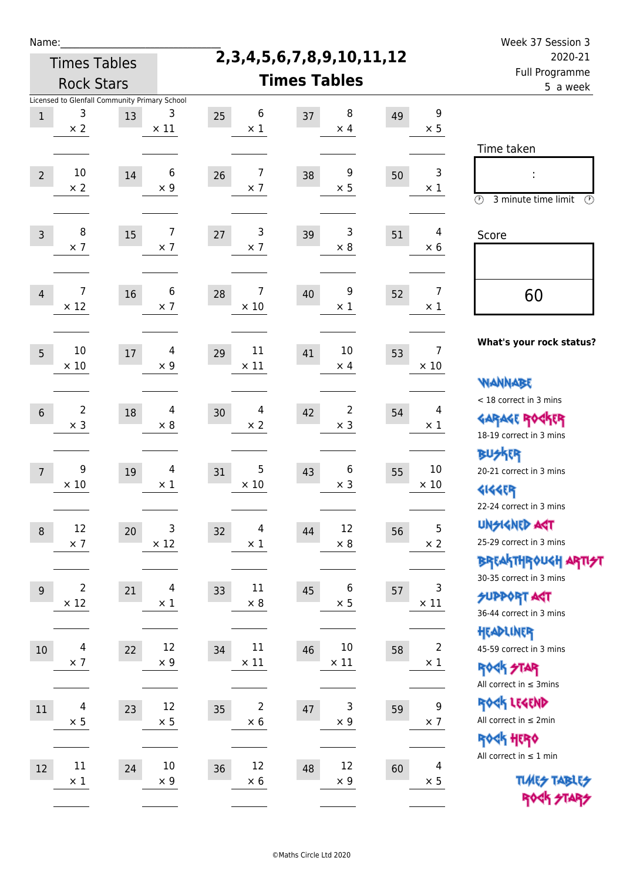| Name:           |                                                                  |    |                              |                         |                                    |    |                                | Week 37 Session 3                                                                               |  |  |
|-----------------|------------------------------------------------------------------|----|------------------------------|-------------------------|------------------------------------|----|--------------------------------|-------------------------------------------------------------------------------------------------|--|--|
|                 | <b>Times Tables</b>                                              |    |                              |                         | 2, 3, 4, 5, 6, 7, 8, 9, 10, 11, 12 |    |                                | 2020-21                                                                                         |  |  |
|                 | <b>Rock Stars</b>                                                |    |                              |                         | <b>Times Tables</b>                |    | Full Programme<br>5 a week     |                                                                                                 |  |  |
| $\,1$           | Licensed to Glenfall Community Primary School<br>3<br>$\times 2$ | 13 | 3<br>$\times$ 11             | 6<br>25<br>$\times$ 1   | 8<br>37<br>$\times$ 4              | 49 | $\boldsymbol{9}$<br>$\times$ 5 | Time taken                                                                                      |  |  |
| $\overline{2}$  | 10<br>$\times 2$                                                 | 14 | 6<br>$\times 9$              | 7<br>26<br>$\times$ 7   | 9<br>38<br>$\times$ 5              | 50 | 3<br>$\times 1$                | t,<br>$\circledcirc$<br>3 minute time limit<br>⊕                                                |  |  |
| $\overline{3}$  | 8<br>$\times$ 7                                                  | 15 | 7<br>$\times$ 7              | 3<br>$27$<br>$\times$ 7 | 3<br>39<br>$\times 8$              | 51 | 4<br>$\times 6$                | Score                                                                                           |  |  |
| $\overline{4}$  | 7<br>$\times$ 12                                                 | 16 | 6<br>$\times$ 7              | 7<br>28<br>$\times$ 10  | 9<br>40<br>$\times$ 1              | 52 | 7<br>$\times 1$                | 60                                                                                              |  |  |
| 5               | 10<br>$\times$ 10                                                | 17 | 4<br>$\times$ 9              | 11<br>29<br>$\times$ 11 | 10<br>41<br>$\times$ 4             | 53 | 7<br>$\times$ 10               | What's your rock status?<br>WANNABE                                                             |  |  |
| $6\phantom{1}6$ | $\overline{2}$<br>$\times$ 3                                     | 18 | 4<br>$\times 8$              | 4<br>30<br>$\times$ 2   | $\overline{2}$<br>42<br>$\times$ 3 | 54 | 4<br>$\times$ 1                | < 18 correct in 3 mins<br><b>GARAGE ROGKER</b><br>18-19 correct in 3 mins                       |  |  |
| $\overline{7}$  | 9<br>$\times 10$                                                 | 19 | $\overline{4}$<br>$\times 1$ | 5<br>31<br>$\times$ 10  | 6<br>43<br>$\times$ 3              | 55 | 10<br>$\times$ 10              | <b>BUSKER</b><br>20-21 correct in 3 mins<br><b>4144EP</b><br>22-24 correct in 3 mins            |  |  |
| $\,8\,$         | 12<br>$\times$ 7                                                 | 20 | 3<br>$\times$ 12             | 4<br>32<br>$\times$ 1   | 12<br>44<br>$\times$ 8             | 56 | 5<br>$\times$ 2                | <b>UNGIGNED AGT</b><br>25-29 correct in 3 mins<br>ΒΡΓΑ <sup>Κ</sup> ΤΗΡΟυΚΗ ΑΡΤΙ <del>2</del> Τ |  |  |
| $9$             | $\overline{2}$<br>$\times$ 12                                    | 21 | $\overline{4}$<br>$\times$ 1 | 11<br>33<br>$\times$ 8  | 6<br>45<br>$\times$ 5              | 57 | 3<br>$\times$ 11               | 30-35 correct in 3 mins<br><b>SUPPORT AGT</b><br>36-44 correct in 3 mins                        |  |  |
| 10              | $\overline{\mathcal{A}}$<br>$\times$ 7                           | 22 | 12<br>$\times 9$             | 11<br>34<br>$\times$ 11 | 10<br>46<br>$\times$ 11            | 58 | $\overline{2}$<br>$\times$ 1   | HEADLINER<br>45-59 correct in 3 mins<br><b>ROCK STAR</b><br>All correct in $\leq$ 3mins         |  |  |
| 11              | $\overline{4}$<br>$\times$ 5                                     | 23 | 12<br>$\times$ 5             | 2<br>35<br>$\times$ 6   | 3<br>47<br>$\times$ 9              | 59 | 9<br>$\times$ 7                | ROCK LEGEND<br>All correct in $\leq 2$ min<br>ROCK HERO                                         |  |  |
| 12              | $11\,$<br>$\times$ 1                                             | 24 | $10\,$<br>$\times 9$         | 12<br>36<br>$\times$ 6  | 12<br>48<br>$\times$ 9             | 60 | $\overline{4}$<br>$\times$ 5   | All correct in $\leq 1$ min<br><b>TUARS TABLES</b><br>ROCK STARS                                |  |  |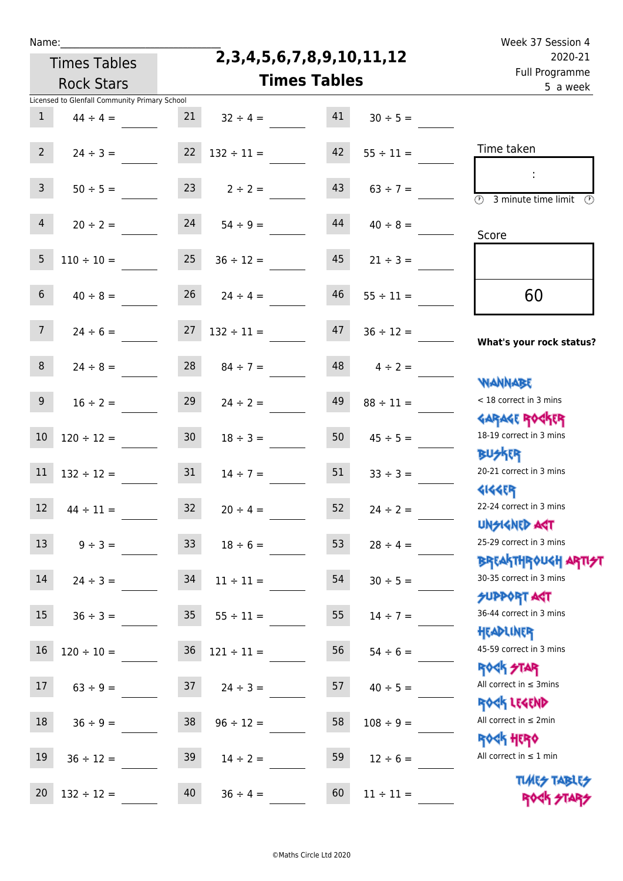Times Tables

## **2,3,4,5,6,7,8,9,10,11,12**

Name: Week 37 Session 4 Full Programme 2020-21

|                | <b>Rock Stars</b>                             |                 |                          | <b>Times Tables</b> |                  | Tull Flugialillile<br>5 a week                             |
|----------------|-----------------------------------------------|-----------------|--------------------------|---------------------|------------------|------------------------------------------------------------|
|                | Licensed to Glenfall Community Primary School |                 |                          |                     |                  |                                                            |
| $\mathbf{1}$   | $44 \div 4 =$                                 | 21              | $32 \div 4 =$            | 41                  | $30 \div 5 =$    |                                                            |
| 2 <sup>7</sup> | $24 \div 3 =$                                 | 22              | $132 \div 11 =$          | 42                  | $55 \div 11 =$   | Time taken                                                 |
|                |                                               |                 |                          |                     |                  |                                                            |
| 3 <sup>7</sup> | $50 \div 5 =$                                 |                 | $23 \t 2 \div 2 =$       | 43                  | $63 \div 7 =$    | $\overline{\mathcal{O}}$<br>3 minute time limit<br>$\odot$ |
| $\overline{4}$ | $20 \div 2 =$                                 | 24              | $54 \div 9 =$            | 44                  | $40 \div 8 =$    |                                                            |
|                |                                               |                 |                          |                     |                  | Score                                                      |
| 5 <sup>5</sup> | $110 \div 10 =$                               | 25              | $36 \div 12 =$           | 45                  | $21 \div 3 =$    |                                                            |
| 6 <sup>1</sup> | $40 \div 8 =$                                 |                 | $26$ $24 \div 4 =$       | 46                  | $55 \div 11 =$   | 60                                                         |
| 7 <sup>7</sup> |                                               |                 |                          | 47                  |                  |                                                            |
|                | $24 \div 6 =$                                 |                 | $27 \quad 132 \div 11 =$ |                     | $36 \div 12 =$   | What's your rock status?                                   |
| 8 <sup>1</sup> | $24 \div 8 =$                                 | 28              | $84 \div 7 =$            | 48                  | $4 \div 2 =$     |                                                            |
|                |                                               |                 |                          |                     |                  | <b>NANNABE</b>                                             |
| 9 <sub>o</sub> | $16 \div 2 =$                                 | 29              | $24 \div 2 =$            | 49                  | $88 \div 11 =$   | < 18 correct in 3 mins                                     |
|                |                                               |                 |                          |                     |                  | <b>GARAGE ROCKER</b>                                       |
| $10$           | $120 \div 12 =$                               | 30 <sup>1</sup> | $18 \div 3 =$            | 50                  | $45 \div 5 =$    | 18-19 correct in 3 mins                                    |
|                |                                               |                 |                          |                     |                  | <b>BUSKER</b><br>20-21 correct in 3 mins                   |
| 11             | $132 \div 12 =$                               | 31              | $14 \div 7 =$            | 51                  | $33 \div 3 =$    | <b>4144ER</b>                                              |
| 12             | $44 \div 11 =$                                | 32              | $20 \div 4 =$            | 52                  | $24 \div 2 =$    | 22-24 correct in 3 mins                                    |
|                |                                               |                 |                          |                     |                  | <b>UNSIGNED AST</b>                                        |
|                | 13 $9 \div 3 =$                               |                 | $33 \t 18 \div 6 =$      |                     | 53 $28 \div 4 =$ | 25-29 correct in 3 mins                                    |
|                |                                               |                 |                          |                     |                  | <b>BREAKTHROUGH ARTI<del>S</del>T</b>                      |
| 14             | $24 \div 3 =$                                 | 34              | $11 \div 11 =$           | 54                  | $30 \div 5 =$    | 30-35 correct in 3 mins                                    |
|                |                                               |                 |                          |                     |                  | <b>SUPPORT AGT</b>                                         |
| 15             | $36 \div 3 =$                                 | 35 <sub>1</sub> | $55 \div 11 =$           | 55                  | $14 \div 7 =$    | 36-44 correct in 3 mins                                    |
| 16             |                                               |                 |                          |                     |                  | HEADLINER<br>45-59 correct in 3 mins                       |
|                | $120 \div 10 =$                               | 36              | $121 \div 11 =$          | 56                  | $54 \div 6 =$    | <b>ROCK STAR</b>                                           |
| 17             | $63 \div 9 =$                                 | 37              | $24 \div 3 =$            | 57                  | $40 \div 5 =$    | All correct in $\leq$ 3mins                                |
|                |                                               |                 |                          |                     |                  | ROCK LEGEND                                                |
| 18             | $36 \div 9 =$                                 | 38              | $96 \div 12 =$           | 58                  | $108 \div 9 =$   | All correct in $\leq 2$ min                                |
|                |                                               |                 |                          |                     |                  | <b>ROCK HERO</b>                                           |
| 19             | $36 \div 12 =$                                | 39              | $14 \div 2 =$            | 59                  | $12 \div 6 =$    | All correct in $\leq 1$ min                                |
|                |                                               |                 |                          |                     |                  | <b>TUARS TABLES</b>                                        |
| 20             | $132 \div 12 =$                               | 40              | $36 \div 4 =$            | 60                  | $11 \div 11 =$   | ROCK STARS                                                 |